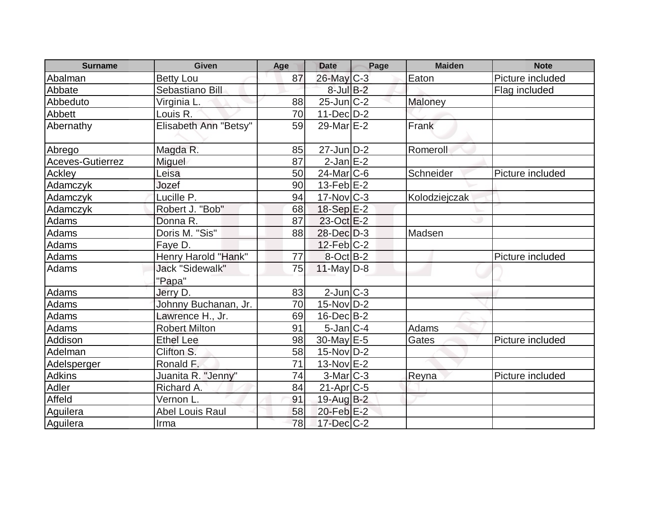| <b>Surname</b>   | <b>Given</b>           | Age | <b>Date</b>       | Page | <b>Maiden</b> | <b>Note</b>      |
|------------------|------------------------|-----|-------------------|------|---------------|------------------|
| Abalman          | <b>Betty Lou</b>       | 87  | 26-May C-3        |      | Eaton         | Picture included |
| Abbate           | Sebastiano Bill        |     | $8$ -Jul $B$ -2   |      |               | Flag included    |
| Abbeduto         | Virginia L.            | 88  | $25$ -Jun $C-2$   |      | Maloney       |                  |
| Abbett           | Louis R.               | 70  | $11$ -Dec $ D-2 $ |      |               |                  |
| Abernathy        | Elisabeth Ann "Betsy"  | 59  | 29-Mar $E-2$      |      | Frank         |                  |
| Abrego           | Magda R.               | 85  | $27$ -Jun $D-2$   |      | Romeroll      |                  |
| Aceves-Gutierrez | Miguel                 | 87  | $2$ -Jan $E-2$    |      |               |                  |
| <b>Ackley</b>    | Leisa                  | 50  | $24$ -Mar $ C-6 $ |      | Schneider     | Picture included |
| Adamczyk         | Jozef                  | 90  | $13-FebE-2$       |      |               |                  |
| Adamczyk         | Lucille P.             | 94  | $17$ -Nov $ C-3 $ |      | Kolodziejczak |                  |
| Adamczyk         | Robert J. "Bob"        | 68  | 18-Sep E-2        |      |               |                  |
| Adams            | Donna R.               | 87  | $23$ -Oct $E-2$   |      |               |                  |
| Adams            | Doris M. "Sis"         | 88  | $28$ -Dec $D-3$   |      | Madsen        |                  |
| <b>Adams</b>     | Faye D.                |     | $12$ -Feb $ C-2 $ |      |               |                  |
| Adams            | Henry Harold "Hank"    | 77  | $8-Oct$ B-2       |      |               | Picture included |
| Adams            | <b>Jack "Sidewalk"</b> | 75  | 11-May $D-8$      |      |               |                  |
|                  | "Papa"                 |     |                   |      |               |                  |
| Adams            | Jerry D.               | 83  | $2$ -Jun $C-3$    |      |               |                  |
| <b>Adams</b>     | Johnny Buchanan, Jr.   | 70  | $15$ -Nov $ D-2 $ |      |               |                  |
| <b>Adams</b>     | Lawrence H., Jr.       | 69  | $16$ -Dec $B$ -2  |      |               |                  |
| Adams            | <b>Robert Milton</b>   | 91  | $5$ -Jan $ C-4 $  |      | Adams         |                  |
| Addison          | <b>Ethel Lee</b>       | 98  | $30$ -May $E-5$   |      | Gates         | Picture included |
| Adelman          | Clifton S.             | 58  | $15$ -Nov $ D-2 $ |      |               |                  |
| Adelsperger      | Ronald F.              | 71  | $13-Nov$ E-2      |      |               |                  |
| Adkins           | Juanita R. "Jenny"     | 74  | $3-Mar$ $C-3$     |      | <b>Reyna</b>  | Picture included |
| Adler            | Richard A.             | 84  | $21$ -Apr $C$ -5  |      |               |                  |
| Affeld           | Vernon L.              | 91  | 19-Aug B-2        |      |               |                  |
| Aguilera         | <b>Abel Louis Raul</b> | 58  | 20-Feb E-2        |      |               |                  |
| Aquilera         | Irma                   | 78  | $17 - Dec$ $C-2$  |      |               |                  |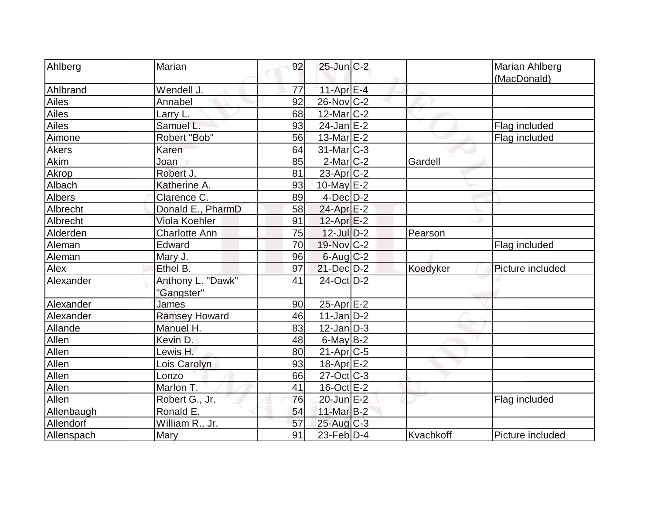| Ahlberg       | Marian                          | 92 | $25$ -Jun $C-2$          |           | Marian Ahlberg   |
|---------------|---------------------------------|----|--------------------------|-----------|------------------|
|               |                                 |    |                          |           | (MacDonald)      |
| Ahlbrand      | Wendell J.                      | 77 | $11-Apr$ $E-4$           |           |                  |
| <b>Ailes</b>  | Annabel                         | 92 | $26$ -Nov $ C-2 $        |           |                  |
| Ailes         | Larry L.                        | 68 | $12$ -Mar $C-2$          |           |                  |
| Ailes         | Samuel L.                       | 93 | $24$ -Jan $E-2$          |           | Flag included    |
| Aimone        | Robert "Bob"                    | 56 | 13-Mar E-2               |           | Flag included    |
| <b>Akers</b>  | Karen                           | 64 | $31$ -Mar $C-3$          |           |                  |
| Akim          | Joan                            | 85 | $2$ -Mar $C-2$           | Gardell   |                  |
| Akrop         | Robert J.                       | 81 | $23$ -Apr $ C-2 $        |           |                  |
| Albach        | Katherine A.                    | 93 | $10$ -May $E-2$          |           |                  |
| <b>Albers</b> | Clarence C.                     | 89 | $4$ -Dec $D-2$           |           |                  |
| Albrecht      | Donald E., PharmD               | 58 | 24-Apr E-2               |           |                  |
| Albrecht      | Viola Koehler                   | 91 | $12$ -Apr $E-2$          |           |                  |
| Alderden      | <b>Charlotte Ann</b>            | 75 | $12$ -Jul $D-2$          | Pearson   |                  |
| Aleman        | Edward                          | 70 | 19-Nov C-2               |           | Flag included    |
| Aleman        | Mary J.                         | 96 | $6$ -Aug $C$ -2          |           |                  |
| Alex          | Ethel B.                        | 97 | $21$ -Dec $D-2$          | Koedyker  | Picture included |
| Alexander     | Anthony L. "Dawk"<br>"Gangster" | 41 | $24$ -Oct $D-2$          |           |                  |
| Alexander     | <b>James</b>                    | 90 | 25-Apr E-2               |           |                  |
| Alexander     | <b>Ramsey Howard</b>            | 46 | $11$ -Jan $D-2$          |           |                  |
| Allande       | Manuel H.                       | 83 | $12$ -Jan $D-3$          |           |                  |
| Allen         | Kevin D.                        | 48 | $6$ -May $B-2$           |           |                  |
| Allen         | Lewis H.                        | 80 | $21-Apr$ $C-5$           |           |                  |
| Allen         | Lois Carolyn                    | 93 | 18-Apr <sub>E-2</sub>    |           |                  |
| Allen         | Lonzo                           | 66 | $27-Oct$ <sub>C</sub> -3 |           |                  |
| Allen         | Marlon T.                       | 41 | 16-Oct E-2               |           |                  |
| Allen         | Robert G., Jr.                  | 76 | 20-Jun E-2               |           | Flag included    |
| Allenbaugh    | Ronald E.                       | 54 | 11-Mar B-2               |           |                  |
| Allendorf     | William R., Jr.                 | 57 | 25-Aug C-3               |           |                  |
| Allenspach    | Mary                            | 91 | $23$ -Feb $ D-4 $        | Kvachkoff | Picture included |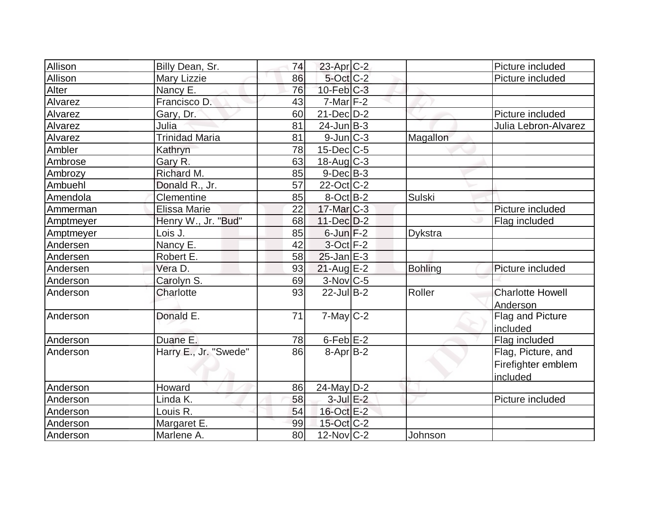| Allison        | Billy Dean, Sr.       | 74 | 23-Apr C-2        |                | Picture included        |
|----------------|-----------------------|----|-------------------|----------------|-------------------------|
| <b>Allison</b> | <b>Mary Lizzie</b>    | 86 | 5-Oct C-2         |                | Picture included        |
| Alter          | Nancy E.              | 76 | $10$ -Feb $ C-3 $ |                |                         |
| Alvarez        | Francisco D.          | 43 | $7$ -Mar $ F-2 $  |                |                         |
| Alvarez        | Gary, Dr.             | 60 | $21$ -Dec $D-2$   |                | Picture included        |
| Alvarez        | Julia                 | 81 | $24$ -Jun $B-3$   |                | Julia Lebron-Alvarez    |
| Alvarez        | <b>Trinidad Maria</b> | 81 | $9$ -Jun $ C-3 $  | Magallon       |                         |
| Ambler         | Kathryn               | 78 | $15$ -Dec $ C$ -5 |                |                         |
| Ambrose        | Gary R.               | 63 | $18$ -Aug C-3     |                |                         |
| Ambrozy        | Richard M.            | 85 | $9$ -Dec $B$ -3   |                |                         |
| Ambuehl        | Donald R., Jr.        | 57 | 22-Oct C-2        |                |                         |
| Amendola       | Clementine            | 85 | $8$ -Oct B-2      | <b>Sulski</b>  |                         |
| Ammerman       | <b>Elissa Marie</b>   | 22 | $17$ -Mar $C-3$   |                | Picture included        |
| Amptmeyer      | Henry W., Jr. "Bud"   | 68 | $11-Dec$ $D-2$    |                | Flag included           |
| Amptmeyer      | Lois J.               | 85 | $6$ -Jun $F-2$    | Dykstra        |                         |
| Andersen       | Nancy E.              | 42 | $3-Oct$ F-2       |                |                         |
| Andersen       | Robert E.             | 58 | $25$ -Jan $E-3$   |                |                         |
| Andersen       | Vera D.               | 93 | $21$ -Aug E-2     | <b>Bohling</b> | Picture included        |
| Anderson       | Carolyn S.            | 69 | 3-Nov C-5         |                |                         |
| Anderson       | Charlotte             | 93 | $22$ -Jul B-2     | Roller         | <b>Charlotte Howell</b> |
|                |                       |    |                   |                | Anderson                |
| Anderson       | Donald E.             | 71 | $7$ -May $C-2$    |                | Flag and Picture        |
|                |                       |    |                   |                | included                |
| Anderson       | Duane E.              | 78 | $6$ -Feb $E-2$    |                | Flag included           |
| Anderson       | Harry E., Jr. "Swede" | 86 | $8-Apr$ B-2       |                | Flag, Picture, and      |
|                |                       |    |                   |                | Firefighter emblem      |
|                |                       |    |                   |                | included                |
| Anderson       | Howard                | 86 | $24$ -May D-2     |                |                         |
| Anderson       | Linda K.              | 58 | $3$ -Jul $E-2$    |                | Picture included        |
| Anderson       | Louis R.              | 54 | 16-Oct E-2        |                |                         |
| Anderson       | Margaret E.           | 99 | $15$ -Oct $ C-2 $ |                |                         |
| Anderson       | Marlene A.            | 80 | $12$ -Nov $ C-2 $ | Johnson        |                         |
|                |                       |    |                   |                |                         |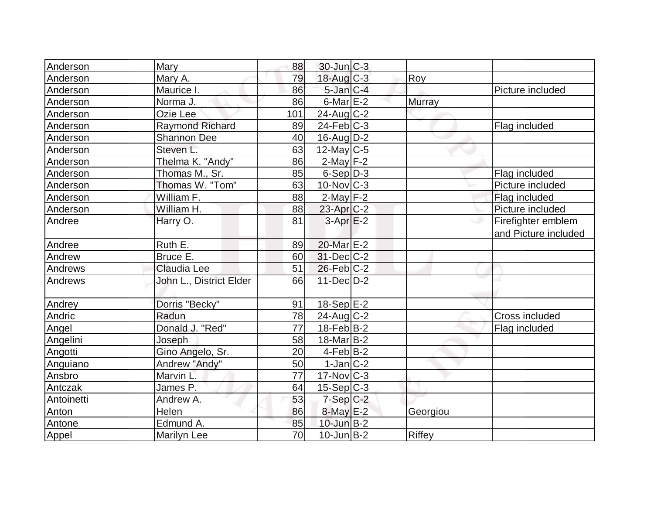| Anderson   | Mary                    | 88  | $30$ -Jun $ C-3 $ |          |                                            |
|------------|-------------------------|-----|-------------------|----------|--------------------------------------------|
| Anderson   | Mary A.                 | 79  | 18-Aug C-3        | Roy      |                                            |
| Anderson   | Maurice I.              | 86  | $5$ -Jan $C-4$    |          | Picture included                           |
| Anderson   | Norma J.                | 86  | $6$ -Mar $E-2$    | Murray   |                                            |
| Anderson   | Ozie Lee                | 101 | $24$ -Aug C-2     |          |                                            |
| Anderson   | <b>Raymond Richard</b>  | 89  | $24$ -Feb $ C-3 $ |          | Flag included                              |
| Anderson   | <b>Shannon Dee</b>      | 40  | $16$ -Aug $D-2$   |          |                                            |
| Anderson   | Steven L.               | 63  | $12$ -May C-5     |          |                                            |
| Anderson   | Thelma K. "Andy"        | 86  | $2$ -May $F-2$    |          |                                            |
| Anderson   | Thomas M., Sr.          | 85  | $6-Sep D-3$       |          | Flag included                              |
| Anderson   | Thomas W. "Tom"         | 63  | $10$ -Nov $ C-3 $ |          | Picture included                           |
| Anderson   | William F.              | 88  | $2$ -May $F-2$    |          | Flag included                              |
| Anderson   | William H.              | 88  | $23$ -Apr $C-2$   |          | Picture included                           |
| Andree     | Harry O.                | 81  | $3-Apr$ $E-2$     |          | Firefighter emblem<br>and Picture included |
| Andree     | Ruth E.                 | 89  | 20-Mar E-2        |          |                                            |
| Andrew     | Bruce E.                | 60  | $31$ -Dec $C-2$   |          |                                            |
| Andrews    | Claudia Lee             | 51  | $26$ -Feb $ C-2 $ |          |                                            |
| Andrews    | John L., District Elder | 66  | $11-Dec D-2$      |          |                                            |
| Andrey     | Dorris "Becky"          | 91  | 18-Sep E-2        |          |                                            |
| Andric     | Radun                   | 78  | $24$ -Aug C-2     |          | Cross included                             |
| Angel      | Donald J. "Red"         | 77  | $18$ -Feb $ B-2 $ |          | Flag included                              |
| Angelini   | Joseph                  | 58  | $18$ -Mar $ B-2 $ |          |                                            |
| Angotti    | Gino Angelo, Sr.        | 20  | $4-Feb B-2$       |          |                                            |
| Anguiano   | Andrew "Andy"           | 50  | $1$ -Jan $C-2$    |          |                                            |
| Ansbro     | Marvin L.               | 77  | $17$ -Nov $ C-3 $ |          |                                            |
| Antczak    | James P.                | 64  | $15-Sep C-3$      |          |                                            |
| Antoinetti | Andrew A.               | 53  | $7-Sep$ $C-2$     |          |                                            |
| Anton      | Helen                   | 86  | $8$ -May $E-2$    | Georgiou |                                            |
| Antone     | Edmund A.               | 85  | $10$ -Jun $B-2$   |          |                                            |
| Appel      | <b>Marilyn Lee</b>      | 70  | $10$ -Jun $B-2$   | Riffey   |                                            |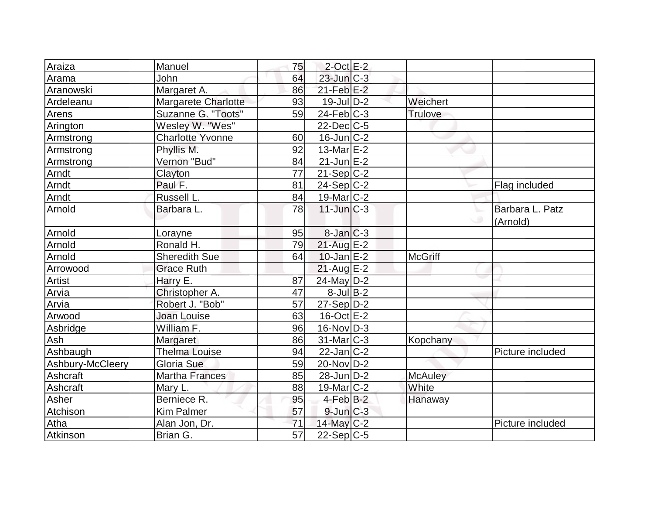| Araiza           | Manuel                  | 75              | $2$ -Oct $E-2$    |                |                  |
|------------------|-------------------------|-----------------|-------------------|----------------|------------------|
| Arama            | John                    | 64              | $23$ -Jun $C-3$   |                |                  |
| Aranowski        | Margaret A.             | 86              | $21$ -Feb $E-2$   |                |                  |
| Ardeleanu        | Margarete Charlotte     | 93              | $19$ -Jul $D-2$   | Weichert       |                  |
| Arens            | Suzanne G. "Toots"      | 59              | $24$ -Feb $ C-3 $ | <b>Trulove</b> |                  |
| Arington         | Wesley W. "Wes"         |                 | $22$ -Dec $C$ -5  |                |                  |
| Armstrong        | <b>Charlotte Yvonne</b> | 60              | $16$ -Jun $ C-2 $ |                |                  |
| Armstrong        | Phyllis M.              | 92              | 13-Mar $E-2$      |                |                  |
| Armstrong        | Vernon "Bud"            | 84              | $21$ -Jun $E-2$   |                |                  |
| Arndt            | Clayton                 | 77              | $21-Sep C-2$      |                |                  |
| Arndt            | Paul F.                 | 81              | $24-Sep C-2$      |                | Flag included    |
| Arndt            | Russell L.              | 84              | $19$ -Mar $ C-2 $ |                |                  |
| Arnold           | Barbara L.              | 78              | $11$ -Jun $C-3$   |                | Barbara L. Patz  |
|                  |                         |                 |                   |                | (Arnold)         |
| Arnold           | Lorayne                 | 95              | $8$ -Jan $C-3$    |                |                  |
| Arnold           | Ronald H.               | 79              | $21$ -Aug E-2     |                |                  |
| Arnold           | <b>Sheredith Sue</b>    | 64              | $10$ -Jan $E-2$   | <b>McGriff</b> |                  |
| Arrowood         | <b>Grace Ruth</b>       |                 | $21$ -Aug $E-2$   |                |                  |
| Artist           | Harry E.                | 87              | 24-May D-2        |                |                  |
| Arvia            | Christopher A.          | 47              | $8$ -Jul B-2      |                |                  |
| Arvia            | Robert J. "Bob"         | 57              | $27-Sep D-2$      |                |                  |
| Arwood           | <b>Joan Louise</b>      | 63              | $16$ -Oct $E - 2$ |                |                  |
| Asbridge         | William F.              | 96              | $16$ -Nov $ D-3 $ |                |                  |
| Ash              | Margaret                | 86              | $31$ -Mar $C-3$   | Kopchany       |                  |
| Ashbaugh         | <b>Thelma Louise</b>    | 94              | $22$ -Jan $C-2$   |                | Picture included |
| Ashbury-McCleery | Gloria Sue              | 59              | $20$ -Nov $ D-2 $ |                |                  |
| Ashcraft         | <b>Martha Frances</b>   | 85              | $28$ -Jun $D-2$   | <b>McAuley</b> |                  |
| Ashcraft         | Mary L.                 | 88              | $19$ -Mar $ C-2 $ | White          |                  |
| Asher            | Berniece R.             | 95              | $4$ -Feb $B-2$    | Hanaway        |                  |
| Atchison         | <b>Kim Palmer</b>       | 57              | $9$ -Jun $C-3$    |                |                  |
| Atha             | Alan Jon, Dr.           | 71              | $14$ -May C-2     |                | Picture included |
| Atkinson         | Brian G.                | $\overline{57}$ | $22-Sep C-5$      |                |                  |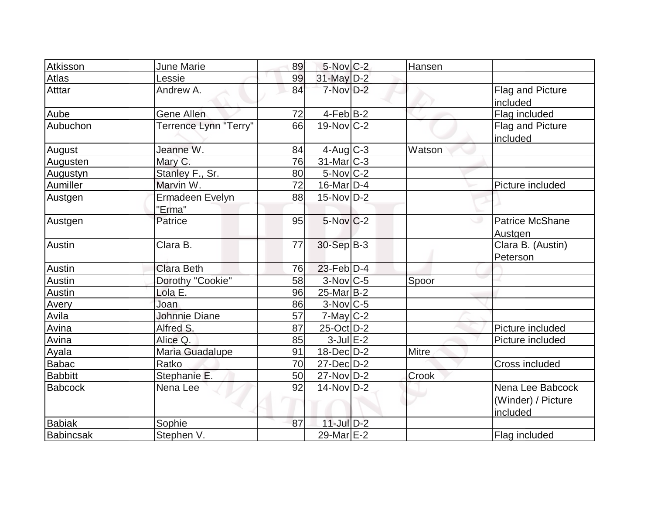| Atkisson         | June Marie                | 89 | $5$ -Nov $C-2$          | Hansen       |                                                    |
|------------------|---------------------------|----|-------------------------|--------------|----------------------------------------------------|
| Atlas            | Lessie                    | 99 | 31-May D-2              |              |                                                    |
| Atttar           | Andrew A.                 | 84 | 7-Nov D-2               |              | Flag and Picture<br>included                       |
| Aube             | <b>Gene Allen</b>         | 72 | $4-Feb$ B-2             |              | Flag included                                      |
| Aubuchon         | Terrence Lynn "Terry"     | 66 | $19-Nov$ C-2            |              | Flag and Picture<br>included                       |
| August           | Jeanne W.                 | 84 | $4$ -Aug $C-3$          | Watson       |                                                    |
| Augusten         | Mary C.                   | 76 | $31$ -Mar $ C-3 $       |              |                                                    |
| Augustyn         | Stanley F., Sr.           | 80 | $5-Nov$ <sub>C</sub> -2 |              |                                                    |
| Aumiller         | Marvin W.                 | 72 | 16-Mar $D-4$            |              | Picture included                                   |
| Austgen          | Ermadeen Evelyn<br>"Erma" | 88 | $15$ -Nov D-2           |              |                                                    |
| Austgen          | Patrice                   | 95 | $5-Nov$ C-2             |              | <b>Patrice McShane</b><br>Austgen                  |
| Austin           | Clara B.                  | 77 | 30-Sep B-3              |              | Clara B. (Austin)<br>Peterson                      |
| Austin           | <b>Clara Beth</b>         | 76 | $23$ -Feb $ D-4 $       |              |                                                    |
| <b>Austin</b>    | Dorothy "Cookie"          | 58 | $3-Nov$ C-5             | Spoor        |                                                    |
| Austin           | Lola E.                   | 96 | $25$ -Mar $B-2$         |              |                                                    |
| Avery            | Joan                      | 86 | $3-Nov$ <sub>C-5</sub>  |              |                                                    |
| Avila            | <b>Johnnie Diane</b>      | 57 | $7$ -May $C-2$          |              |                                                    |
| Avina            | Alfred S.                 | 87 | $25$ -Oct $D-2$         |              | Picture included                                   |
| Avina            | Alice Q.                  | 85 | $3$ -Jul $E-2$          |              | Picture included                                   |
| Ayala            | Maria Guadalupe           | 91 | $18$ -Dec $D-2$         | <b>Mitre</b> |                                                    |
| <b>Babac</b>     | Ratko                     | 70 | 27-Dec D-2              |              | Cross included                                     |
| <b>Babbitt</b>   | Stephanie E.              | 50 | $27$ -Nov $D-2$         | Crook        |                                                    |
| <b>Babcock</b>   | Nena Lee                  | 92 | $14$ -Nov $D-2$         |              | Nena Lee Babcock<br>(Winder) / Picture<br>included |
| <b>Babiak</b>    | Sophie                    | 87 | $11$ -Jul $D-2$         |              |                                                    |
| <b>Babincsak</b> | Stephen V.                |    | 29-Mar E-2              |              | Flag included                                      |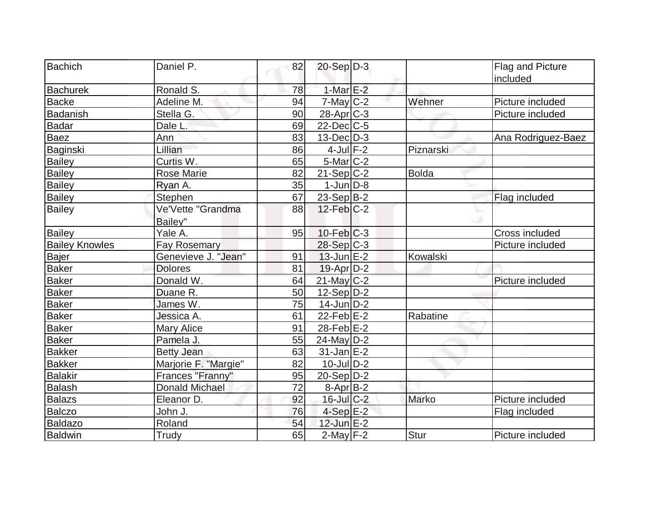| Bachich               | Daniel P.            | 82 | $20-Sep D-3$      |              | Flag and Picture   |
|-----------------------|----------------------|----|-------------------|--------------|--------------------|
|                       | Ronald S.            | 78 | $1-MarE-2$        |              | included           |
| <b>Bachurek</b>       |                      |    |                   |              |                    |
| Backe                 | Adeline M.           | 94 | $7$ -May $C-2$    | Wehner       | Picture included   |
| <b>Badanish</b>       | Stella G.            | 90 | $28$ -Apr $C-3$   |              | Picture included   |
| Badar                 | Dale L.              | 69 | $22$ -Dec $C$ -5  |              |                    |
| <b>Baez</b>           | Ann                  | 83 | $13$ -Dec $D-3$   |              | Ana Rodriguez-Baez |
| Baginski              | Lillian              | 86 | $4$ -Jul $F-2$    | Piznarski    |                    |
| <b>Bailey</b>         | Curtis W.            | 65 | 5-Mar C-2         |              |                    |
| <b>Bailey</b>         | <b>Rose Marie</b>    | 82 | $21-Sep C-2$      | <b>Bolda</b> |                    |
| <b>Bailey</b>         | Ryan A.              | 35 | $1$ -Jun $D-8$    |              |                    |
| Bailey                | <b>Stephen</b>       | 67 | 23-Sep B-2        |              | Flag included      |
| <b>Bailey</b>         | Ve'Vette "Grandma    | 88 | $12$ -Feb $C-2$   |              |                    |
|                       | Bailey"              |    |                   |              |                    |
| Bailey                | Yale A.              | 95 | $10$ -Feb $ C-3 $ |              | Cross included     |
| <b>Bailey Knowles</b> | <b>Fay Rosemary</b>  |    | 28-Sep C-3        |              | Picture included   |
| Bajer                 | Genevieve J. "Jean"  | 91 | $13$ -Jun $E-2$   | Kowalski     |                    |
| <b>Baker</b>          | <b>Dolores</b>       | 81 | $19$ -Apr $ D-2 $ |              |                    |
| Baker                 | Donald W.            | 64 | $21$ -May C-2     |              | Picture included   |
| <b>Baker</b>          | Duane R.             | 50 | $12-Sep D-2$      |              |                    |
| <b>Baker</b>          | James W.             | 75 | $14$ -Jun $D-2$   |              |                    |
| <b>Baker</b>          | Jessica A.           | 61 | $22$ -Feb $E-2$   | Rabatine     |                    |
| Baker                 | <b>Mary Alice</b>    | 91 | $28$ -Feb $E-2$   |              |                    |
| <b>Baker</b>          | Pamela J.            | 55 | 24-May D-2        |              |                    |
| <b>Bakker</b>         | <b>Betty Jean</b>    | 63 | $31$ -Jan $E-2$   |              |                    |
| <b>Bakker</b>         | Marjorie F. "Margie" | 82 | $10$ -Jul $D-2$   |              |                    |
| Balakir               | Frances "Franny"     | 95 | $20-Sep D-2$      |              |                    |
| <b>Balash</b>         | Donald Michael       | 72 | $8-Apr B-2$       |              |                    |
| Balazs                | Eleanor D.           | 92 | $16$ -Jul $C-2$   | Marko        | Picture included   |
| Balczo                | John J.              | 76 | $4-Sep$ $E-2$     |              | Flag included      |
| Baldazo               | Roland               | 54 | $12$ -Jun $E-2$   |              |                    |
| Baldwin               | Trudy                | 65 | $2$ -May $F-2$    | Stur         | Picture included   |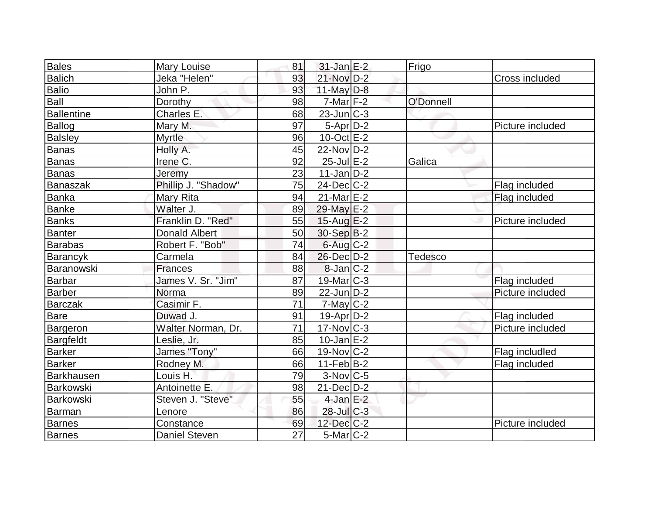| <b>Bales</b>      | Mary Louise          | 81 | $31$ -Jan $E-2$        | Frigo          |                  |
|-------------------|----------------------|----|------------------------|----------------|------------------|
| <b>Balich</b>     | Jeka "Helen"         | 93 | 21-Nov D-2             |                | Cross included   |
| <b>Balio</b>      | John P.              | 93 | 11-May $D-8$           |                |                  |
| Ball              | Dorothy              | 98 | $7$ -Mar $ F-2 $       | O'Donnell      |                  |
| <b>Ballentine</b> | Charles E.           | 68 | $23$ -Jun $ C-3 $      |                |                  |
| Ballog            | Mary M.              | 97 | $5-Apr$ D-2            |                | Picture included |
| <b>Balsley</b>    | Myrtle               | 96 | $10$ -Oct $E - 2$      |                |                  |
| Banas             | Holly A.             | 45 | $22$ -Nov $ D-2 $      |                |                  |
| Banas             | Irene C.             | 92 | $25$ -Jul $E-2$        | Galica         |                  |
| Banas             | Jeremy               | 23 | $11$ -Jan $ D-2 $      |                |                  |
| <b>Banaszak</b>   | Phillip J. "Shadow"  | 75 | $24$ -Dec $C-2$        |                | Flag included    |
| Banka             | Mary Rita            | 94 | $21$ -Mar $E-2$        |                | Flag included    |
| <b>Banke</b>      | Walter J.            | 89 | 29-May E-2             |                |                  |
| <b>Banks</b>      | Franklin D. "Red"    | 55 | $15$ -Aug E-2          |                | Picture included |
| Banter            | <b>Donald Albert</b> | 50 | 30-Sep B-2             |                |                  |
| Barabas           | Robert F. "Bob"      | 74 | $6$ -Aug $C$ -2        |                |                  |
| Barancyk          | Carmela              | 84 | $26$ -Dec $D-2$        | <b>Tedesco</b> |                  |
| Baranowski        | <b>Frances</b>       | 88 | $8$ -Jan $ C-2 $       |                |                  |
| Barbar            | James V. Sr. "Jim"   | 87 | $19$ -Mar $ C-3 $      |                | Flag included    |
| Barber            | Norma                | 89 | $22$ -Jun $D-2$        |                | Picture included |
| <b>Barczak</b>    | Casimir F.           | 71 | $7$ -May $ C-2 $       |                |                  |
| Bare              | Duwad J.             | 91 | $19-Apr D-2$           |                | Flag included    |
| Bargeron          | Walter Norman, Dr.   | 71 | $17$ -Nov $C-3$        |                | Picture included |
| Bargfeldt         | Leslie, Jr.          | 85 | $10$ -Jan $E-2$        |                |                  |
| Barker            | James "Tony"         | 66 | $19-Nov$ C-2           |                | Flag includled   |
| Barker            | Rodney M.            | 66 | $11-Feb B-2$           |                | Flag included    |
| Barkhausen        | Louis H.             | 79 | $3-Nov$ <sub>C-5</sub> |                |                  |
| Barkowski         | Antoinette E.        | 98 | $21$ -Dec $D-2$        |                |                  |
| Barkowski         | Steven J. "Steve"    | 55 | $4$ -Jan $E-2$         |                |                  |
| <b>Barman</b>     | Lenore               | 86 | $28$ -Jul C-3          |                |                  |
| <b>Barnes</b>     | Constance            | 69 | $12$ -Dec $C-2$        |                | Picture included |
| <b>Barnes</b>     | <b>Daniel Steven</b> | 27 | $5$ -Mar $ C-2 $       |                |                  |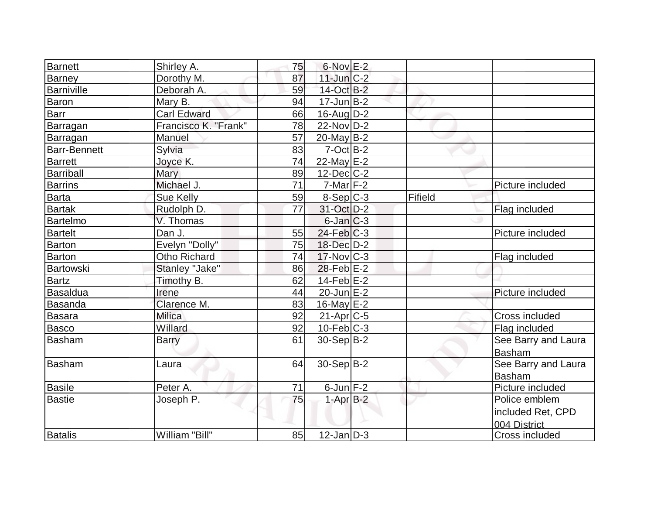| <b>Barnett</b> | Shirley A.           | 75 | $6$ -Nov $E-2$          |         |                     |
|----------------|----------------------|----|-------------------------|---------|---------------------|
| Barney         | Dorothy M.           | 87 | $11$ -Jun $C-2$         |         |                     |
| Barniville     | Deborah A.           | 59 | 14-Oct B-2              |         |                     |
| Baron          | Mary B.              | 94 | $17 - Jun$ B-2          |         |                     |
| Barr           | <b>Carl Edward</b>   | 66 | $16$ -Aug $D-2$         |         |                     |
| Barragan       | Francisco K. "Frank" | 78 | 22-Nov D-2              |         |                     |
| Barragan       | <b>Manuel</b>        | 57 | $20$ -May B-2           |         |                     |
| Barr-Bennett   | Sylvia               | 83 | $7-Oct$ $B-2$           |         |                     |
| <b>Barrett</b> | Joyce K.             | 74 | 22-May $E-2$            |         |                     |
| Barriball      | Mary                 | 89 | $12$ -Dec $C-2$         |         |                     |
| <b>Barrins</b> | Michael J.           | 71 | $7$ -Mar $ F-2 $        |         | Picture included    |
| <b>Barta</b>   | Sue Kelly            | 59 | $8-Sep C-3$             | Fifield |                     |
| <b>Bartak</b>  | Rudolph D.           | 77 | 31-Oct D-2              |         | Flag included       |
| Bartelmo       | V. Thomas            |    | $6$ -Jan $C-3$          |         |                     |
| <b>Bartelt</b> | Dan J.               | 55 | $24$ -Feb $ C-3 $       |         | Picture included    |
| Barton         | Evelyn "Dolly"       | 75 | 18-Dec D-2              |         |                     |
| Barton         | Otho Richard         | 74 | $17$ -Nov $ C-3 $       |         | Flag included       |
| Bartowski      | Stanley "Jake"       | 86 | $28$ -Feb $E-2$         |         |                     |
| <b>Bartz</b>   | Timothy B.           | 62 | $14-Feb$ $E-2$          |         |                     |
| Basaldua       | Irene                | 44 | $20$ -Jun $E-2$         |         | Picture included    |
| Basanda        | Clarence M.          | 83 | 16-May $E-2$            |         |                     |
| <b>Basara</b>  | <b>Milica</b>        | 92 | $21-Apr$ <sub>C-5</sub> |         | Cross included      |
| <b>Basco</b>   | Willard              | 92 | $10$ -Feb $ C-3 $       |         | Flag included       |
| <b>Basham</b>  | <b>Barry</b>         | 61 | $30-Sep B-2$            |         | See Barry and Laura |
|                |                      |    |                         |         | <b>Basham</b>       |
| Basham         | Laura                | 64 | $30-Sep B-2$            |         | See Barry and Laura |
|                |                      |    |                         |         | <b>Basham</b>       |
| Basile         | Peter A.             | 71 | $6$ -Jun $F-2$          |         | Picture included    |
| <b>Bastie</b>  | Joseph P.            | 75 | $1-AprB-2$              |         | Police emblem       |
|                |                      |    |                         |         | included Ret, CPD   |
|                |                      |    |                         |         | 004 District        |
| <b>Batalis</b> | William "Bill"       | 85 | $12$ -Jan $ D-3 $       |         | Cross included      |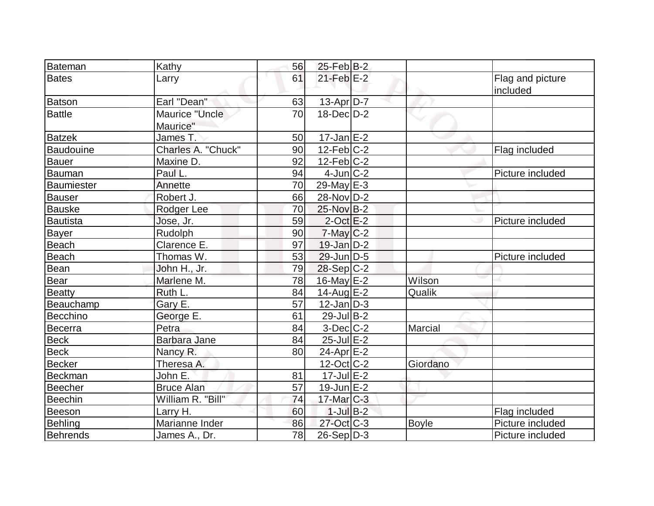| Bateman          | Kathy                      | 56 | $25$ -Feb $B$ -2  |              |                              |
|------------------|----------------------------|----|-------------------|--------------|------------------------------|
| <b>Bates</b>     | Larry                      | 61 | $21$ -Feb $E-2$   |              | Flag and picture<br>included |
| <b>Batson</b>    | Earl "Dean"                | 63 | $13$ -Apr $D-7$   |              |                              |
| <b>Battle</b>    | Maurice "Uncle<br>Maurice" | 70 | $18$ -Dec $D-2$   |              |                              |
| <b>Batzek</b>    | James T.                   | 50 | $17$ -Jan $E-2$   |              |                              |
| <b>Baudouine</b> | Charles A. "Chuck"         | 90 | $12$ -Feb $ C-2 $ |              | Flag included                |
| <b>Bauer</b>     | Maxine D.                  | 92 | $12$ -Feb $ C-2 $ |              |                              |
| Bauman           | Paul L.                    | 94 | $4$ -Jun $ C-2 $  |              | Picture included             |
| Baumiester       | Annette                    | 70 | $29$ -May $E-3$   |              |                              |
| <b>Bauser</b>    | Robert J.                  | 66 | 28-Nov D-2        |              |                              |
| <b>Bauske</b>    | Rodger Lee                 | 70 | 25-Nov B-2        |              |                              |
| Bautista         | Jose, Jr.                  | 59 | $2$ -Oct $E-2$    |              | Picture included             |
| <b>Bayer</b>     | Rudolph                    | 90 | $7$ -May $C-2$    |              |                              |
| Beach            | Clarence E.                | 97 | $19$ -Jan $D-2$   |              |                              |
| Beach            | Thomas W.                  | 53 | $29$ -Jun $ D-5$  |              | Picture included             |
| Bean             | John H., Jr.               | 79 | 28-Sep C-2        |              |                              |
| Bear             | Marlene M.                 | 78 | $16$ -May $E-2$   | Wilson       |                              |
| Beatty           | Ruth L.                    | 84 | $14$ -Aug E-2     | Qualik       |                              |
| Beauchamp        | Gary E.                    | 57 | $12$ -Jan $ D-3 $ |              |                              |
| Becchino         | George E.                  | 61 | $29$ -Jul B-2     |              |                              |
| Becerra          | Petra                      | 84 | $3-Dec$ $C-2$     | Marcial      |                              |
| <b>Beck</b>      | Barbara Jane               | 84 | $25$ -Jul $E-2$   |              |                              |
| <b>Beck</b>      | Nancy R.                   | 80 | $24$ -Apr $E-2$   |              |                              |
| Becker           | Theresa A.                 |    | $12$ -Oct C-2     | Giordano     |                              |
| Beckman          | John E.                    | 81 | $17$ -Jul $E-2$   |              |                              |
| Beecher          | <b>Bruce Alan</b>          | 57 | $19$ -Jun $E-2$   |              |                              |
| Beechin          | William R. "Bill"          | 74 | $17$ -Mar $C-3$   |              |                              |
| Beeson           | Larry H.                   | 60 | $1$ -Jul $B-2$    |              | Flag included                |
| Behling          | Marianne Inder             | 86 | $27$ -Oct C-3     | <b>Boyle</b> | Picture included             |
| <b>Behrends</b>  | James A., Dr.              | 78 | $26-Sep D-3$      |              | Picture included             |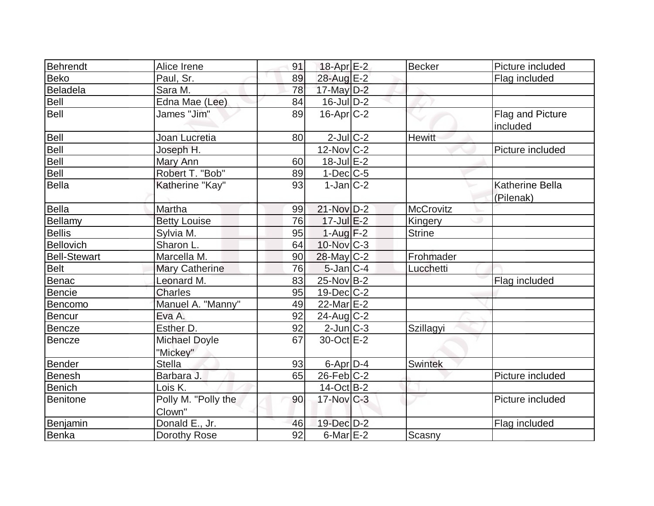| Behrendt            | Alice Irene                      | 91 | 18-Apr <sub>E-2</sub> | <b>Becker</b>    | Picture included                    |
|---------------------|----------------------------------|----|-----------------------|------------------|-------------------------------------|
| <b>Beko</b>         | Paul, Sr.                        | 89 | 28-Aug E-2            |                  | Flag included                       |
| <b>Beladela</b>     | Sara M.                          | 78 | $17$ -May $D-2$       |                  |                                     |
| <b>Bell</b>         | Edna Mae (Lee)                   | 84 | $16$ -JulD-2          |                  |                                     |
| Bell                | James "Jim"                      | 89 | $16$ -Apr $ C$ -2     |                  | Flag and Picture<br>included        |
| Bell                | Joan Lucretia                    | 80 | $2$ -Jul $C-2$        | <b>Hewitt</b>    |                                     |
| Bell                | Joseph H.                        |    | $12$ -Nov $ C-2 $     |                  | Picture included                    |
| <b>Bell</b>         | Mary Ann                         | 60 | $18$ -Jul $E-2$       |                  |                                     |
| Bell                | Robert T. "Bob"                  | 89 | $1-Dec$ $C-5$         |                  |                                     |
| <b>Bella</b>        | Katherine "Kay"                  | 93 | $1-Jan C-2$           |                  | <b>Katherine Bella</b><br>(Pilenak) |
| Bella               | Martha                           | 99 | 21-Nov D-2            | <b>McCrovitz</b> |                                     |
| Bellamy             | <b>Betty Louise</b>              | 76 | $17$ -Jul $E-2$       | Kingery          |                                     |
| <b>Bellis</b>       | Sylvia M.                        | 95 | $1-Auq$ F-2           | <b>Strine</b>    |                                     |
| <b>Bellovich</b>    | Sharon L.                        | 64 | $10$ -Nov $ C-3 $     |                  |                                     |
| <b>Bell-Stewart</b> | Marcella M.                      | 90 | $28$ -May C-2         | Frohmader        |                                     |
| <b>Belt</b>         | <b>Mary Catherine</b>            | 76 | $5$ -Jan $ C-4$       | Lucchetti        |                                     |
| <b>Benac</b>        | Leonard M.                       | 83 | 25-Nov B-2            |                  | Flag included                       |
| <b>Bencie</b>       | <b>Charles</b>                   | 95 | $19$ -Dec $ C-2 $     |                  |                                     |
| Bencomo             | Manuel A. "Manny"                | 49 | 22-Mar E-2            |                  |                                     |
| <b>Bencur</b>       | Eva A.                           | 92 | $24$ -Aug C-2         |                  |                                     |
| <b>Bencze</b>       | Esther D.                        | 92 | $2$ -Jun $ C-3 $      | Szillagyi        |                                     |
| Bencze              | <b>Michael Doyle</b><br>"Mickey" | 67 | 30-Oct E-2            |                  |                                     |
| <b>Bender</b>       | <b>Stella</b>                    | 93 | $6$ -Apr $D-4$        | <b>Swintek</b>   |                                     |
| <b>Benesh</b>       | Barbara J.                       | 65 | $26$ -Feb $C-2$       |                  | Picture included                    |
| Benich              | Lois K.                          |    | $14-Oct$ B-2          |                  |                                     |
| Benitone            | Polly M. "Polly the<br>Clown"    | 90 | $17$ -Nov $ C-3 $     |                  | Picture included                    |
| Benjamin            | Donald E., Jr.                   | 46 | 19-Dec D-2            |                  | Flag included                       |
| Benka               | Dorothy Rose                     | 92 | $6$ -Mar $E-2$        | Scasny           |                                     |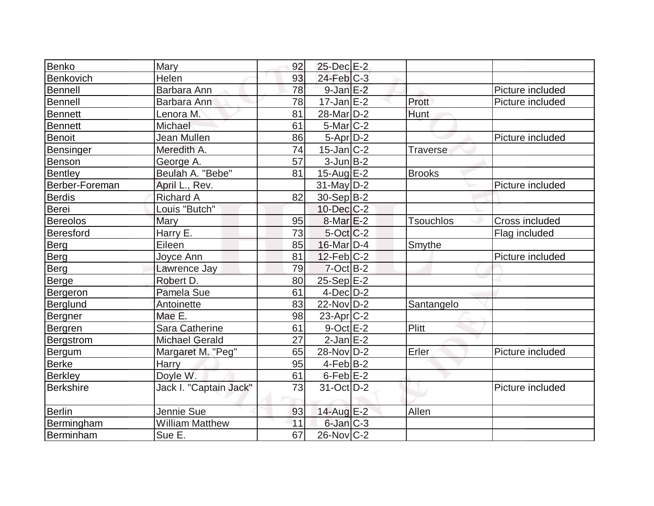| Benko            | Mary                   | 92 | 25-Dec E-2            |                  |                  |
|------------------|------------------------|----|-----------------------|------------------|------------------|
| Benkovich        | Helen                  | 93 | $24$ -Feb $C-3$       |                  |                  |
| Bennell          | Barbara Ann            | 78 | $9$ -Jan $E-2$        |                  | Picture included |
| Bennell          | Barbara Ann            | 78 | $17 - Jan \, E - 2$   | Prott            | Picture included |
| Bennett          | Lenora M.              | 81 | 28-Mar <sub>D-2</sub> | Hunt             |                  |
| Bennett          | Michael                | 61 | $5$ -Mar $ C-2 $      |                  |                  |
| Benoit           | Jean Mullen            | 86 | $5-Apr$ D-2           |                  | Picture included |
| Bensinger        | Meredith A.            | 74 | $15$ -Jan $ C-2 $     | <b>Traverse</b>  |                  |
| Benson           | George A.              | 57 | $3$ -Jun $B-2$        |                  |                  |
| Bentley          | Beulah A. "Bebe"       | 81 | $15$ -Aug $E-2$       | <b>Brooks</b>    |                  |
| Berber-Foreman   | April L., Rev.         |    | $31$ -May $ D-2 $     |                  | Picture included |
| <b>Berdis</b>    | <b>Richard A</b>       | 82 | 30-Sep B-2            |                  |                  |
| <b>Berei</b>     | Louis "Butch"          |    | $10$ -Dec $C-2$       |                  |                  |
| <b>Bereolos</b>  | Mary                   | 95 | $8$ -Mar $E-2$        | <b>Tsouchlos</b> | Cross included   |
| Beresford        | Harry E.               | 73 | $5-Oct$ $C-2$         |                  | Flag included    |
| Berg             | Eileen                 | 85 | 16-Mar D-4            | Smythe           |                  |
| Berg             | Joyce Ann              | 81 | $12$ -Feb $ C-2 $     |                  | Picture included |
| Berg             | Lawrence Jay           | 79 | $7$ -Oct $B-2$        |                  |                  |
| <b>Berge</b>     | Robert D.              | 80 | $25-Sep$ $E-2$        |                  |                  |
| Bergeron         | Pamela Sue             | 61 | $4$ -Dec $D-2$        |                  |                  |
| Berglund         | Antoinette             | 83 | $22$ -Nov $ D-2 $     | Santangelo       |                  |
| Bergner          | Mae E.                 | 98 | $23$ -Apr $ C-2 $     |                  |                  |
| Bergren          | <b>Sara Catherine</b>  | 61 | $9$ -Oct $E$ -2       | Plitt            |                  |
| Bergstrom        | <b>Michael Gerald</b>  | 27 | $2$ -Jan $E-2$        |                  |                  |
| Bergum           | Margaret M. "Peg"      | 65 | $28-Nov D-2$          | Erler            | Picture included |
| <b>Berke</b>     | Harry                  | 95 | $4$ -Feb $ B-2 $      |                  |                  |
| <b>Berkley</b>   | Doyle W.               | 61 | $6$ -Feb $E-2$        |                  |                  |
| <b>Berkshire</b> | Jack I. "Captain Jack" | 73 | $31-Oct$ D-2          |                  | Picture included |
| Berlin           | Jennie Sue             | 93 | 14-Aug E-2            | Allen            |                  |
| Bermingham       | <b>William Matthew</b> | 11 | $6$ -Jan $C-3$        |                  |                  |
| Berminham        | Sue E.                 | 67 | $26$ -Nov $ C-2 $     |                  |                  |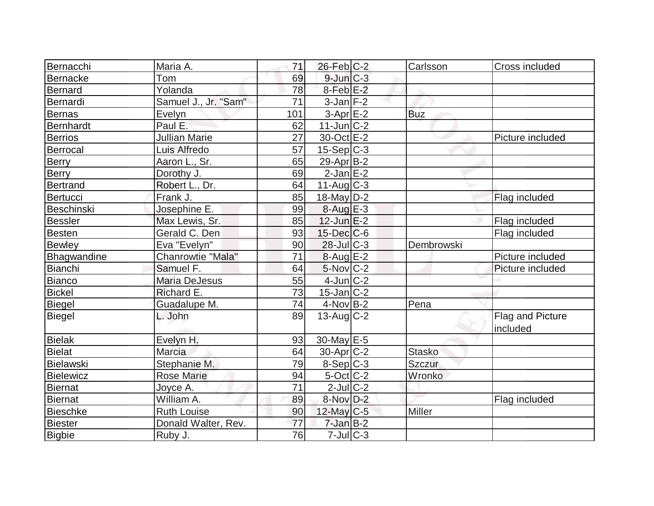| Bernacchi         | Maria A.             | 71  | $26$ -Feb $C-2$   | Carlsson      | Cross included               |
|-------------------|----------------------|-----|-------------------|---------------|------------------------------|
| <b>Bernacke</b>   | Tom                  | 69  | $9$ -Jun $C-3$    |               |                              |
| <b>Bernard</b>    | Yolanda              | 78  | $8$ -Feb $E-2$    |               |                              |
| Bernardi          | Samuel J., Jr. "Sam" | 71  | $3$ -Jan $F-2$    |               |                              |
| <b>Bernas</b>     | Evelyn               | 101 | $3-Apr$ $E-2$     | <b>Buz</b>    |                              |
| <b>Bernhardt</b>  | Paul E.              | 62  | $11$ -Jun $C-2$   |               |                              |
| <b>Berrios</b>    | <b>Jullian Marie</b> | 27  | 30-Oct E-2        |               | Picture included             |
| Berrocal          | Luis Alfredo         | 57  | $15-Sep C-3$      |               |                              |
| Berry             | Aaron L., Sr.        | 65  | $29$ -Apr $ B-2 $ |               |                              |
| <b>Berry</b>      | Dorothy J.           | 69  | $2$ -Jan $E-2$    |               |                              |
| <b>Bertrand</b>   | Robert L., Dr.       | 64  | 11-Aug $C-3$      |               |                              |
| Bertucci          | Frank J.             | 85  | 18-May D-2        |               | Flag included                |
| <b>Beschinski</b> | Josephine E.         | 99  | $8-Aug$ $E-3$     |               |                              |
| <b>Bessler</b>    | Max Lewis, Sr.       | 85  | $12$ -Jun $E-2$   |               | Flag included                |
| <b>Besten</b>     | Gerald C. Den        | 93  | $15$ -Dec $ C$ -6 |               | Flag included                |
| <b>Bewley</b>     | Eva "Evelyn"         | 90  | $28$ -Jul $C-3$   | Dembrowski    |                              |
| Bhagwandine       | Chanrowtie "Mala"    | 71  | $8$ -Aug E-2      |               | Picture included             |
| <b>Bianchi</b>    | Samuel F.            | 64  | $5-Nov$ $C-2$     |               | Picture included             |
| Bianco            | <b>Maria DeJesus</b> | 55  | $4$ -Jun $C-2$    |               |                              |
| <b>Bickel</b>     | Richard E.           | 73  | $15$ -Jan $ C-2 $ |               |                              |
| <b>Biegel</b>     | Guadalupe M.         | 74  | $4$ -Nov $B-2$    | Pena          |                              |
| <b>Biegel</b>     | L. John              | 89  | $13$ -Aug C-2     |               | Flag and Picture<br>included |
| <b>Bielak</b>     | Evelyn H.            | 93  | 30-May E-5        |               |                              |
| <b>Bielat</b>     | Marcia               | 64  | $30$ -Apr $C-2$   | <b>Stasko</b> |                              |
| Bielawski         | Stephanie M.         | 79  | $8-Sep C-3$       | Szczur        |                              |
| <b>Bielewicz</b>  | <b>Rose Marie</b>    | 94  | $5$ -Oct C-2      | Wronko        |                              |
| <b>Biernat</b>    | Joyce A.             | 71  | $2$ -Jul $ C-2 $  |               |                              |
| Biernat           | William A.           | 89  | 8-Nov D-2         |               | Flag included                |
| <b>Bieschke</b>   | <b>Ruth Louise</b>   | 90  | $12$ -May C-5     | Miller        |                              |
| <b>Biester</b>    | Donald Walter, Rev.  | 77  | $7$ -Jan $B-2$    |               |                              |
| Bigbie            | Ruby J.              | 76  | $7$ -Jul $C-3$    |               |                              |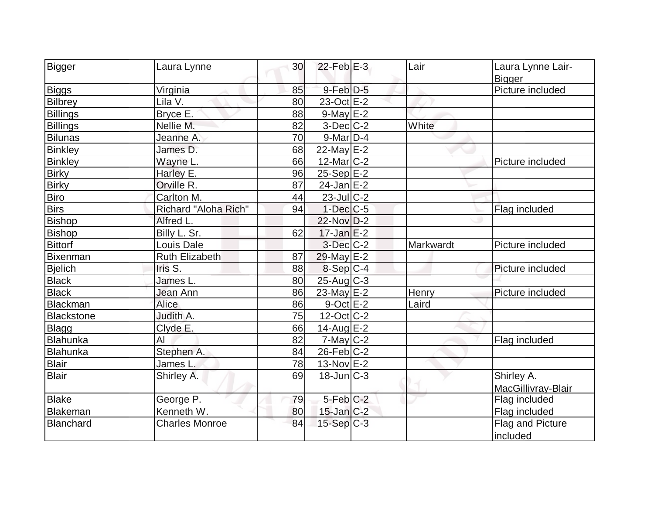| Bigger            | Laura Lynne           | 30 | $22$ -Feb $E-3$   | Lair      | Laura Lynne Lair-<br><b>Bigger</b> |
|-------------------|-----------------------|----|-------------------|-----------|------------------------------------|
| <b>Biggs</b>      | Virginia              | 85 | $9$ -Feb $D-5$    |           | Picture included                   |
| <b>Bilbrey</b>    | Lila V.               | 80 | $23-Oct$ $E-2$    |           |                                    |
| <b>Billings</b>   | Bryce E.              | 88 | $9$ -May $E-2$    |           |                                    |
| <b>Billings</b>   | Nellie M.             | 82 | $3-Dec$ $C-2$     | White     |                                    |
| Bilunas           | Jeanne A.             | 70 | $9$ -Mar $D-4$    |           |                                    |
| <b>Binkley</b>    | James D.              | 68 | 22-May $E-2$      |           |                                    |
| <b>Binkley</b>    | Wayne L.              | 66 | $12$ -Mar $ C-2 $ |           | Picture included                   |
| <b>Birky</b>      | Harley E.             | 96 | $25-Sep$ $E-2$    |           |                                    |
| <b>Birky</b>      | Orville R.            | 87 | $24$ -Jan E-2     |           |                                    |
| <b>Biro</b>       | Carlton M.            | 44 | $23$ -Jul C-2     |           |                                    |
| <b>Birs</b>       | Richard "Aloha Rich"  | 94 | $1-Dec$ $C-5$     |           | Flag included                      |
| <b>Bishop</b>     | Alfred L.             |    | 22-Nov D-2        |           |                                    |
| <b>Bishop</b>     | Billy L. Sr.          | 62 | $17$ -Jan $E-2$   |           |                                    |
| <b>Bittorf</b>    | Louis Dale            |    | $3$ -Dec $C$ -2   | Markwardt | Picture included                   |
| <b>Bixenman</b>   | <b>Ruth Elizabeth</b> | 87 | 29-May $E-2$      |           |                                    |
| <b>Bjelich</b>    | Iris S.               | 88 | $8-Sep C-4$       |           | Picture included                   |
| <b>Black</b>      | James L.              | 80 | $25$ -Aug C-3     |           |                                    |
| <b>Black</b>      | Jean Ann              | 86 | 23-May $E-2$      | Henry     | Picture included                   |
| Blackman          | Alice                 | 86 | $9$ -Oct $E - 2$  | Laird     |                                    |
| <b>Blackstone</b> | Judith A.             | 75 | $12$ -Oct $ C-2 $ |           |                                    |
| <b>Blagg</b>      | Clyde E.              | 66 | 14-Aug $E-2$      |           |                                    |
| Blahunka          | AI                    | 82 | $7$ -May $C$ -2   |           | Flag included                      |
| Blahunka          | Stephen A.            | 84 | $26$ -Feb $C-2$   |           |                                    |
| <b>Blair</b>      | James L.              | 78 | 13-Nov E-2        |           |                                    |
| <b>Blair</b>      | Shirley A.            | 69 | $18$ -Jun $ C-3 $ |           | Shirley A.                         |
|                   |                       |    |                   |           | MacGillivray-Blair                 |
| <b>Blake</b>      | George P.             | 79 | $5-Feb$ $C-2$     |           | Flag included                      |
| Blakeman          | Kenneth W.            | 80 | $15$ -Jan $C-2$   |           | Flag included                      |
| <b>Blanchard</b>  | <b>Charles Monroe</b> | 84 | $15-Sep C-3$      |           | Flag and Picture                   |
|                   |                       |    |                   |           | included                           |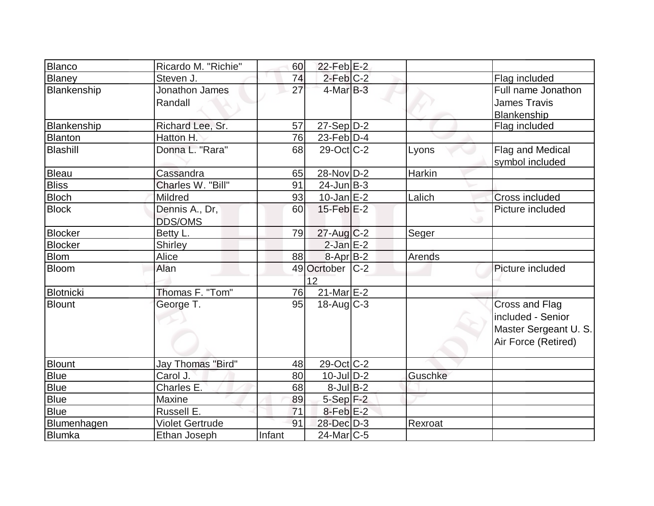| Blanco         | Ricardo M. "Richie"    | 60     | $22$ -Feb $E-2$   |         |                       |
|----------------|------------------------|--------|-------------------|---------|-----------------------|
| Blaney         | Steven J.              | 74     | $2$ -Feb $C-2$    |         | Flag included         |
| Blankenship    | Jonathon James         | 27     | $4$ -Mar $B-3$    |         | Full name Jonathon    |
|                | Randall                |        |                   |         | <b>James Travis</b>   |
|                |                        |        |                   |         | Blankenship           |
| Blankenship    | Richard Lee, Sr.       | 57     | $27-Sep D-2$      |         | Flag included         |
| Blanton        | Hatton H.              | 76     | $23$ -Feb $D-4$   |         |                       |
| Blashill       | Donna L. "Rara"        | 68     | $29$ -Oct C-2     | Lyons   | Flag and Medical      |
|                |                        |        |                   |         | symbol included       |
| Bleau          | Cassandra              | 65     | 28-Nov D-2        | Harkin  |                       |
| <b>Bliss</b>   | Charles W. "Bill"      | 91     | $24$ -Jun $B-3$   |         |                       |
| <b>Bloch</b>   | Mildred                | 93     | $10$ -Jan $E-2$   | Lalich  | <b>Cross included</b> |
| <b>Block</b>   | Dennis A., Dr,         | 60     | $15$ -Feb $E-2$   |         | Picture included      |
|                | <b>DDS/OMS</b>         |        |                   |         |                       |
| <b>Blocker</b> | Betty L.               | 79     | $27$ -Aug C-2     | Seger   |                       |
| <b>Blocker</b> | Shirley                |        | $2-Jan$ $E-2$     |         |                       |
| <b>Blom</b>    | Alice                  | 88     | 8-Apr B-2         | Arends  |                       |
| Bloom          | Alan                   |        | 49 Ocrtober C-2   |         | Picture included      |
|                |                        |        | 12                |         |                       |
| Blotnicki      | Thomas F. "Tom"        | 76     | $21$ -Mar $E-2$   |         |                       |
| <b>Blount</b>  | George T.              | 95     | $18$ -Aug C-3     |         | Cross and Flag        |
|                |                        |        |                   |         | included - Senior     |
|                |                        |        |                   |         | Master Sergeant U. S. |
|                |                        |        |                   |         | Air Force (Retired)   |
|                |                        |        |                   |         |                       |
| <b>Blount</b>  | Jay Thomas "Bird"      | 48     | $29-Oct$ $C-2$    |         |                       |
| <b>Blue</b>    | Carol J.               | 80     | $10$ -Jul $D-2$   | Guschke |                       |
| <b>Blue</b>    | Charles E.             | 68     | $8$ -Jul B-2      |         |                       |
| <b>Blue</b>    | Maxine                 | 89     | $5-Sep$ F-2       |         |                       |
| <b>Blue</b>    | Russell E.             | 71     | $8$ -Feb $E-2$    |         |                       |
| Blumenhagen    | <b>Violet Gertrude</b> | 91     | 28-Dec D-3        | Rexroat |                       |
| Blumka         | Ethan Joseph           | Infant | $24$ -Mar $ C-5 $ |         |                       |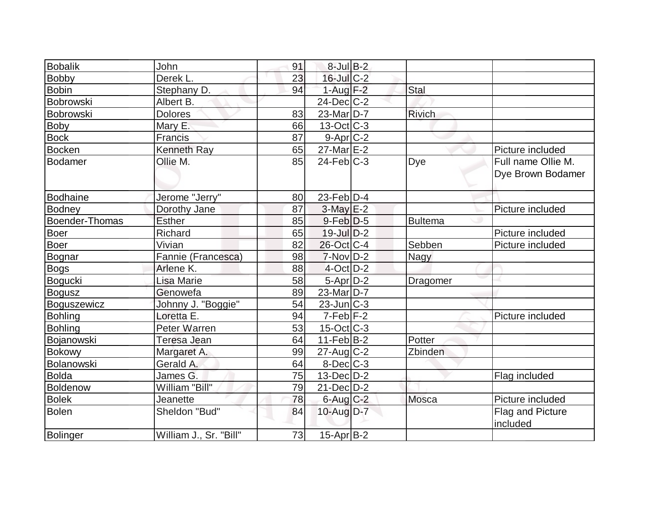| <b>Bobalik</b>        | John                   | 91 | $8$ -Jul $B-2$    |                |                                         |
|-----------------------|------------------------|----|-------------------|----------------|-----------------------------------------|
| <b>Bobby</b>          | Derek L.               | 23 | 16-Jul C-2        |                |                                         |
| <b>Bobin</b>          | Stephany D.            | 94 | $1-Aug$ F-2       | Stal           |                                         |
| Bobrowski             | Albert B.              |    | $24$ -Dec $C$ -2  |                |                                         |
| <b>Bobrowski</b>      | <b>Dolores</b>         | 83 | $23$ -Mar $ D-7 $ | <b>Rivich</b>  |                                         |
| Boby                  | Mary E.                | 66 | $13-Oct$ $C-3$    |                |                                         |
| <b>Bock</b>           | Francis                | 87 | $9-Apr$ $C-2$     |                |                                         |
| <b>Bocken</b>         | Kenneth Ray            | 65 | $27$ -Mar $E-2$   |                | Picture included                        |
| <b>Bodamer</b>        | Ollie M.               | 85 | $24$ -Feb $C-3$   | Dye            | Full name Ollie M.<br>Dye Brown Bodamer |
| <b>Bodhaine</b>       | Jerome "Jerry"         | 80 | $23$ -Feb $ D-4$  |                |                                         |
| <b>Bodney</b>         | Dorothy Jane           | 87 | $3-May$ $E-2$     |                | Picture included                        |
| <b>Boender-Thomas</b> | <b>Esther</b>          | 85 | $9$ -Feb $D-5$    | <b>Bultema</b> |                                         |
| <b>Boer</b>           | Richard                | 65 | $19$ -Jul $D-2$   |                | Picture included                        |
| <b>Boer</b>           | Vivian                 | 82 | 26-Oct C-4        | Sebben         | Picture included                        |
| Bognar                | Fannie (Francesca)     | 98 | $7-NovD-2$        | Nagy           |                                         |
| <b>Bogs</b>           | Arlene K.              | 88 | $4$ -Oct $D-2$    |                |                                         |
| <b>Bogucki</b>        | Lisa Marie             | 58 | $5-Apr$ $D-2$     | Dragomer       |                                         |
| <b>Bogusz</b>         | Genowefa               | 89 | $23$ -Mar $ D-7 $ |                |                                         |
| Boguszewicz           | Johnny J. "Boggie"     | 54 | $23$ -Jun $C-3$   |                |                                         |
| <b>Bohling</b>        | Loretta E.             | 94 | $7-Feb$ $F-2$     |                | Picture included                        |
| <b>Bohling</b>        | Peter Warren           | 53 | $15$ -Oct $ C-3 $ |                |                                         |
| Bojanowski            | Teresa Jean            | 64 | $11-Feb B-2$      | Potter         |                                         |
| <b>Bokowy</b>         | Margaret A.            | 99 | $27$ -Aug C-2     | Zbinden        |                                         |
| Bolanowski            | Gerald A.              | 64 | $8$ -Dec $C-3$    |                |                                         |
| <b>Bolda</b>          | James G.               | 75 | $13$ -Dec $D-2$   |                | Flag included                           |
| <b>Boldenow</b>       | William "Bill"         | 79 | $21$ -Dec $D-2$   |                |                                         |
| <b>Bolek</b>          | Jeanette               | 78 | $6$ -Aug $C$ -2   | Mosca          | Picture included                        |
| <b>Bolen</b>          | Sheldon "Bud"          | 84 | $10$ -Aug $D-7$   |                | <b>Flag and Picture</b><br>included     |
| Bolinger              | William J., Sr. "Bill" | 73 | $15$ -Apr $ B-2 $ |                |                                         |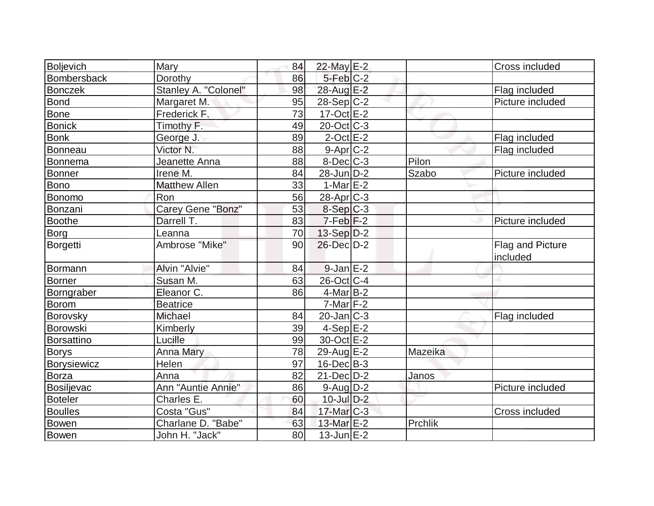| Boljevich         | Mary                 | 84 | 22-May E-2            |         | Cross included               |
|-------------------|----------------------|----|-----------------------|---------|------------------------------|
| Bombersback       | Dorothy              | 86 | $5-Feb$ $C-2$         |         |                              |
| <b>Bonczek</b>    | Stanley A. "Colonel" | 98 | 28-Aug E-2            |         | Flag included                |
| <b>Bond</b>       | Margaret M.          | 95 | $28-Sep C-2$          |         | Picture included             |
| Bone              | Frederick F.         | 73 | $17-Oct$ $E-2$        |         |                              |
| <b>Bonick</b>     | Timothy F.           | 49 | $20$ -Oct $C-3$       |         |                              |
| <b>Bonk</b>       | George J.            | 89 | $2$ -Oct $E-2$        |         | Flag included                |
| Bonneau           | Victor N.            | 88 | $9-Apr$ $C-2$         |         | Flag included                |
| Bonnema           | Jeanette Anna        | 88 | $8$ -Dec $C$ -3       | Pilon   |                              |
| Bonner            | Irene M.             | 84 | 28-Jun D-2            | Szabo   | Picture included             |
| Bono              | <b>Matthew Allen</b> | 33 | 1-Mar $E-2$           |         |                              |
| Bonomo            | Ron                  | 56 | 28-Apr <sub>C-3</sub> |         |                              |
| Bonzani           | Carey Gene "Bonz"    | 53 | 8-Sep C-3             |         |                              |
| <b>Boothe</b>     | Darrell T.           | 83 | $7-Feb$ $F-2$         |         | Picture included             |
| Borg              | Leanna               | 70 | $13-Sep D-2$          |         |                              |
| Borgetti          | Ambrose "Mike"       | 90 | 26-Dec D-2            |         | Flag and Picture<br>included |
| Bormann           | Alvin "Alvie"        | 84 | $9$ -Jan $E-2$        |         |                              |
| Borner            | Susan M.             | 63 | 26-Oct C-4            |         |                              |
| Borngraber        | Eleanor C.           | 86 | $4$ -Mar $ B-2 $      |         |                              |
| Borom             | <b>Beatrice</b>      |    | $7$ -Mar $ F-2 $      |         |                              |
| Borovsky          | Michael              | 84 | $20$ -Jan $ C-3 $     |         | Flag included                |
| Borowski          | Kimberly             | 39 | $4-Sep$ $E-2$         |         |                              |
| <b>Borsattino</b> | Lucille              | 99 | 30-Oct E-2            |         |                              |
| <b>Borys</b>      | <b>Anna Mary</b>     | 78 | 29-Aug $E-2$          | Mazeika |                              |
| Borysiewicz       | Helen                | 97 | $16$ -Dec $B-3$       |         |                              |
| Borza             | Anna                 | 82 | $21$ -Dec $D-2$       | Janos   |                              |
| Bosiljevac        | Ann "Auntie Annie"   | 86 | $9$ -Aug $D-2$        |         | Picture included             |
| <b>Boteler</b>    | Charles E.           | 60 | $10$ -Jul $D-2$       |         |                              |
| <b>Boulles</b>    | Costa "Gus"          | 84 | 17-Mar C-3            |         | Cross included               |
| Bowen             | Charlane D. "Babe"   | 63 | 13-Mar E-2            | Prchlik |                              |
| Bowen             | John H. "Jack"       | 80 | $13$ -Jun $E-2$       |         |                              |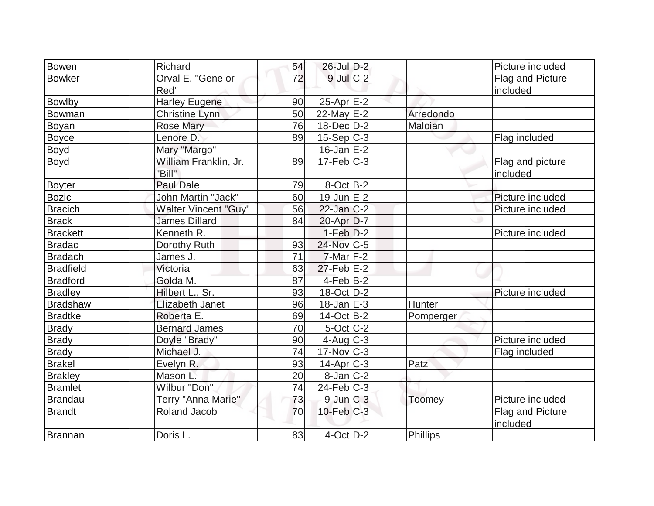| Bowen                | Richard                    | 54 | 26-Jul D-2                      |           | Picture included |
|----------------------|----------------------------|----|---------------------------------|-----------|------------------|
| <b>Bowker</b>        | Orval E. "Gene or          | 72 | $9$ -Jul $C$ -2                 |           | Flag and Picture |
|                      | Red"                       |    |                                 |           | included         |
| <b>Bowlby</b>        | <b>Harley Eugene</b>       | 90 | 25-Apr <sub>E-2</sub>           |           |                  |
| Bowman               | <b>Christine Lynn</b>      | 50 | 22-May E-2                      | Arredondo |                  |
| Boyan                | <b>Rose Mary</b>           | 76 | $18$ -Dec $D-2$                 | Maloian   |                  |
|                      | Lenore D.                  | 89 |                                 |           |                  |
| <b>Boyce</b><br>Boyd | Mary "Margo"               |    | $15-Sep C-3$<br>$16$ -Jan $E-2$ |           | Flag included    |
|                      |                            |    | $17 - Feb$ <sub>C-3</sub>       |           |                  |
| Boyd                 | William Franklin, Jr.      | 89 |                                 |           | Flag and picture |
|                      | "Bill"<br><b>Paul Dale</b> |    |                                 |           | included         |
| <b>Boyter</b>        |                            | 79 | $8$ -Oct $B-2$                  |           |                  |
| <b>Bozic</b>         | John Martin "Jack"         | 60 | $19$ -Jun $E-2$                 |           | Picture included |
| <b>Bracich</b>       | Walter Vincent "Guy"       | 56 | $22$ -Jan $ C-2 $               |           | Picture included |
| <b>Brack</b>         | <b>James Dillard</b>       | 84 | 20-Apr D-7                      |           |                  |
| <b>Brackett</b>      | Kenneth R.                 |    | $1-Feb D-2$                     |           | Picture included |
| <b>Bradac</b>        | Dorothy Ruth               | 93 | 24-Nov C-5                      |           |                  |
| <b>Bradach</b>       | James J.                   | 71 | $7$ -Mar $ F-2 $                |           |                  |
| <b>Bradfield</b>     | Victoria                   | 63 | $27$ -Feb $E-2$                 |           |                  |
| <b>Bradford</b>      | Golda M.                   | 87 | $4-Feb$ B-2                     |           |                  |
| <b>Bradley</b>       | Hilbert L., Sr.            | 93 | 18-Oct D-2                      |           | Picture included |
| <b>Bradshaw</b>      | Elizabeth Janet            | 96 | $18$ -Jan $E-3$                 | Hunter    |                  |
| <b>Bradtke</b>       | Roberta E.                 | 69 | $14-Oct$ B-2                    | Pomperger |                  |
| <b>Brady</b>         | <b>Bernard James</b>       | 70 | 5-Oct C-2                       |           |                  |
| <b>Brady</b>         | Doyle "Brady"              | 90 | $4$ -Aug $C-3$                  |           | Picture included |
| <b>Brady</b>         | Michael J.                 | 74 | $17$ -Nov $ C-3 $               |           | Flag included    |
| Brakel               | Evelyn R.                  | 93 | 14-Apr <sub>C-3</sub>           | Patz      |                  |
| <b>Brakley</b>       | Mason L.                   | 20 | $8$ -Jan $ C-2 $                |           |                  |
| <b>Bramlet</b>       | Wilbur "Don"               | 74 | $24$ -Feb $ C-3 $               |           |                  |
| Brandau              | Terry "Anna Marie"         | 73 | $9$ -Jun $C-3$                  | Toomey    | Picture included |
| <b>Brandt</b>        | Roland Jacob               | 70 | $10$ -Feb $C-3$                 |           | Flag and Picture |
|                      |                            |    |                                 |           | included         |
| Brannan              | Doris L.                   | 83 | $4$ -Oct $D-2$                  | Phillips  |                  |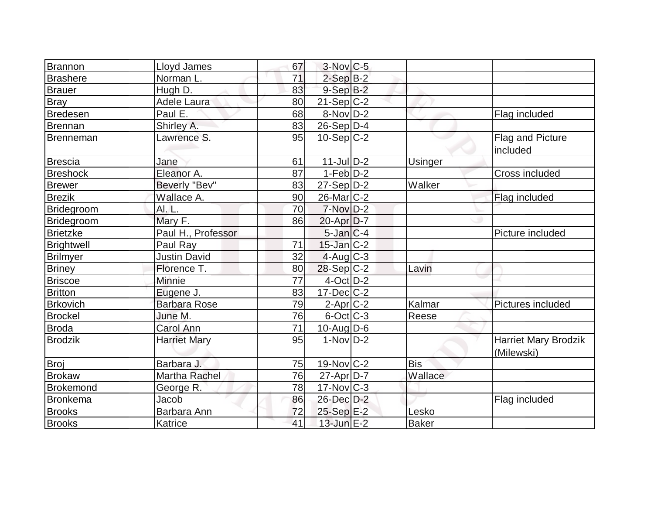| Brannon           | Lloyd James         | 67              | $3-Nov$ <sub>C-5</sub> |                |                                           |
|-------------------|---------------------|-----------------|------------------------|----------------|-------------------------------------------|
| <b>Brashere</b>   | Norman L.           | 71              | $2-Sep B-2$            |                |                                           |
| <b>Brauer</b>     | Hugh D.             | 83              | $9-Sep$ $B-2$          |                |                                           |
| Bray              | Adele Laura         | 80              | $21-Sep C-2$           |                |                                           |
| <b>Bredesen</b>   | Paul E.             | 68              | 8-Nov D-2              |                | Flag included                             |
| Brennan           | Shirley A.          | 83              | $26-Sep D-4$           |                |                                           |
| Brenneman         | Lawrence S.         | 95              | $10-Sep C-2$           |                | Flag and Picture<br>included              |
| Brescia           | Jane                | 61              | $11$ -Jul $D-2$        | <b>Usinger</b> |                                           |
| <b>Breshock</b>   | Eleanor A.          | 87              | $1-Feb$ $D-2$          |                | Cross included                            |
| <b>Brewer</b>     | Beverly "Bev"       | 83              | $27-Sep D-2$           | Walker         |                                           |
| <b>Brezik</b>     | Wallace A.          | 90              | $26$ -Mar $ C-2 $      |                | Flag included                             |
| Bridegroom        | AI. L.              | 70              | $7-Nov$ D-2            |                |                                           |
| <b>Bridegroom</b> | Mary F.             | 86              | $20$ -Apr $D-7$        |                |                                           |
| <b>Brietzke</b>   | Paul H., Professor  |                 | $5$ -Jan $C-4$         |                | Picture included                          |
| Brightwell        | Paul Ray            | 71              | $15$ -Jan $ C-2 $      |                |                                           |
| <b>Brilmyer</b>   | <b>Justin David</b> | 32              | $4$ -Aug $C-3$         |                |                                           |
| <b>Briney</b>     | Florence T.         | 80              | $28-Sep C-2$           | Lavin          |                                           |
| <b>Briscoe</b>    | Minnie              | $\overline{77}$ | $4$ -Oct $D-2$         |                |                                           |
| <b>Britton</b>    | Eugene J.           | 83              | $17 - Dec$ $C-2$       |                |                                           |
| <b>Brkovich</b>   | <b>Barbara Rose</b> | 79              | $2$ -Apr $C-2$         | Kalmar         | Pictures included                         |
| <b>Brockel</b>    | June M.             | 76              | $6$ -Oct $C$ -3        | Reese          |                                           |
| Broda             | <b>Carol Ann</b>    | $\overline{71}$ | $10$ -AugD-6           |                |                                           |
| <b>Brodzik</b>    | <b>Harriet Mary</b> | 95              | $1-NovD-2$             |                | <b>Harriet Mary Brodzik</b><br>(Milewski) |
| Broj              | Barbara J.          | 75              | 19-Nov C-2             | <b>Bis</b>     |                                           |
| <b>Brokaw</b>     | Martha Rachel       | 76              | $27$ -Apr $D-7$        | Wallace        |                                           |
| Brokemond         | George R.           | 78              | $17$ -Nov $ C-3 $      |                |                                           |
| Bronkema          | Jacob               | 86              | 26-Dec D-2             |                | Flag included                             |
| <b>Brooks</b>     | Barbara Ann         | 72              | 25-Sep E-2             | Lesko          |                                           |
| <b>Brooks</b>     | Katrice             | 41              | $13$ -Jun $E-2$        | <b>Baker</b>   |                                           |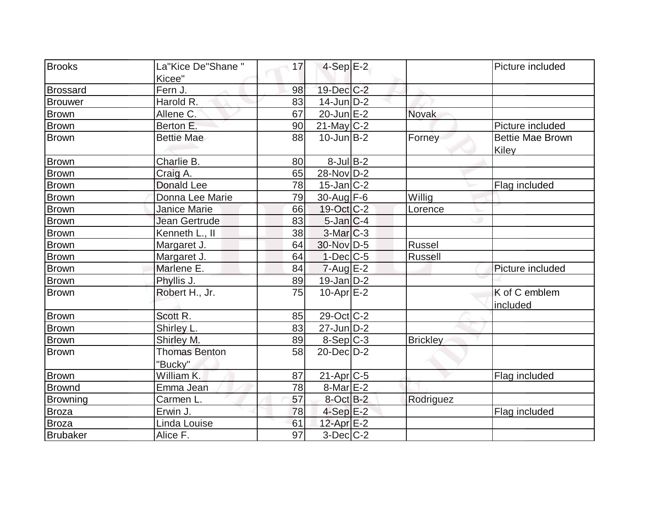| <b>Brooks</b>   | La"Kice De"Shane"               | 17 | $4-Sep$ E-2       |                 | Picture included                 |
|-----------------|---------------------------------|----|-------------------|-----------------|----------------------------------|
|                 | Kicee"                          |    |                   |                 |                                  |
| <b>Brossard</b> | Fern J.                         | 98 | $19$ -Dec $ C-2 $ |                 |                                  |
| <b>Brouwer</b>  | Harold R.                       | 83 | $14$ -Jun $D-2$   |                 |                                  |
| <b>Brown</b>    | Allene C.                       | 67 | $20$ -Jun $E-2$   | <b>Novak</b>    |                                  |
| <b>Brown</b>    | Berton E.                       | 90 | $21$ -May C-2     |                 | Picture included                 |
| Brown           | <b>Bettie Mae</b>               | 88 | $10$ -Jun $B-2$   | Forney          | <b>Bettie Mae Brown</b><br>Kiley |
| <b>Brown</b>    | Charlie B.                      | 80 | $8$ -Jul B-2      |                 |                                  |
| <b>Brown</b>    | Craig A.                        | 65 | 28-Nov D-2        |                 |                                  |
| <b>Brown</b>    | <b>Donald Lee</b>               | 78 | $15$ -Jan $ C-2 $ |                 | Flag included                    |
| <b>Brown</b>    | Donna Lee Marie                 | 79 | 30-Aug F-6        | Willig          |                                  |
| <b>Brown</b>    | <b>Janice Marie</b>             | 66 | 19-Oct C-2        | Lorence         |                                  |
| <b>Brown</b>    | Jean Gertrude                   | 83 | $5$ -Jan $ C-4 $  |                 |                                  |
| <b>Brown</b>    | Kenneth L., II                  | 38 | $3-Mar$ $C-3$     |                 |                                  |
| <b>Brown</b>    | Margaret J.                     | 64 | 30-Nov D-5        | Russel          |                                  |
| <b>Brown</b>    | Margaret J.                     | 64 | $1-Dec$ $C-5$     | <b>Russell</b>  |                                  |
| <b>Brown</b>    | Marlene E.                      | 84 | $7 - Aug$ $E-2$   |                 | Picture included                 |
| <b>Brown</b>    | Phyllis J.                      | 89 | $19$ -Jan $D-2$   |                 |                                  |
| Brown           | Robert H., Jr.                  | 75 | 10-Apr $E-2$      |                 | K of C emblem<br>included        |
| <b>Brown</b>    | Scott R.                        | 85 | 29-Oct C-2        |                 |                                  |
| <b>Brown</b>    | Shirley L.                      | 83 | $27$ -Jun $ D-2 $ |                 |                                  |
| <b>Brown</b>    | Shirley M.                      | 89 | $8-Sep C-3$       | <b>Brickley</b> |                                  |
| <b>Brown</b>    | <b>Thomas Benton</b><br>"Bucky" | 58 | $20$ -Dec $D-2$   |                 |                                  |
| <b>Brown</b>    | William K.                      | 87 | $21-Apr$ $C-5$    |                 | Flag included                    |
| <b>Brownd</b>   | Emma Jean                       | 78 | $8$ -Mar $E-2$    |                 |                                  |
| <b>Browning</b> | Carmen L.                       | 57 | $8$ -Oct $B-2$    | Rodriguez       |                                  |
| Broza           | Erwin J.                        | 78 | $4-Sep$ $E-2$     |                 | Flag included                    |
| Broza           | Linda Louise                    | 61 | 12-Apr $E-2$      |                 |                                  |
| <b>Brubaker</b> | Alice F.                        | 97 | $3-Dec$ $C-2$     |                 |                                  |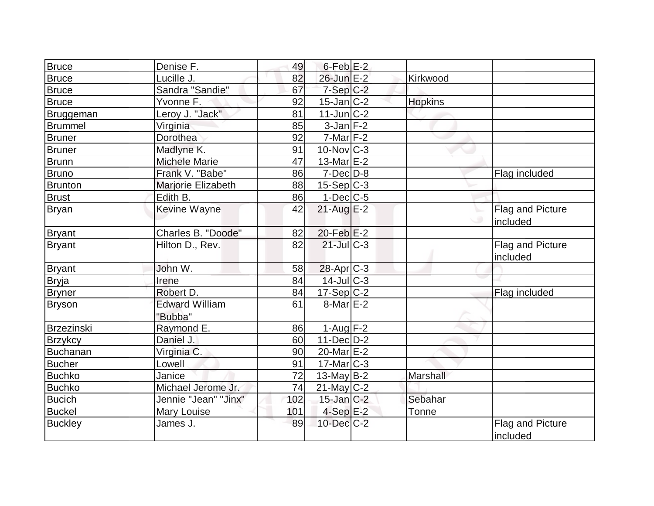| <b>Bruce</b>   | Denise F.                        | 49  | $6$ -Feb $E-2$        |                |                                     |
|----------------|----------------------------------|-----|-----------------------|----------------|-------------------------------------|
| <b>Bruce</b>   | Lucille J.                       | 82  | 26-Jun E-2            | Kirkwood       |                                     |
| <b>Bruce</b>   | Sandra "Sandie"                  | 67  | $7-Sep$ $C-2$         |                |                                     |
| <b>Bruce</b>   | Yvonne F.                        | 92  | $15$ -Jan $ C-2 $     | <b>Hopkins</b> |                                     |
| Bruggeman      | Leroy J. "Jack"                  | 81  | $11$ -Jun $C-2$       |                |                                     |
| <b>Brummel</b> | Virginia                         | 85  | $3$ -Jan $F-2$        |                |                                     |
| Bruner         | Dorothea                         | 92  | $7$ -Mar $ F-2 $      |                |                                     |
| Bruner         | Madlyne K.                       | 91  | $10$ -Nov $ C-3 $     |                |                                     |
| <b>Brunn</b>   | <b>Michele Marie</b>             | 47  | 13-Mar $E-2$          |                |                                     |
| <b>Bruno</b>   | Frank V. "Babe"                  | 86  | $7$ -Dec $D-8$        |                | Flag included                       |
| <b>Brunton</b> | Marjorie Elizabeth               | 88  | $15-Sep C-3$          |                |                                     |
| <b>Brust</b>   | Edith B.                         | 86  | $1-Dec$ $C-5$         |                |                                     |
| Bryan          | Kevine Wayne                     | 42  | $21$ -Aug E-2         |                | <b>Flag and Picture</b><br>included |
| <b>Bryant</b>  | Charles B. "Doode"               | 82  | $20$ -Feb $E-2$       |                |                                     |
| <b>Bryant</b>  | Hilton D., Rev.                  | 82  | 21-Jul C-3            |                | <b>Flag and Picture</b><br>included |
| <b>Bryant</b>  | John W.                          | 58  | 28-Apr <sub>C-3</sub> |                |                                     |
| <b>Bryja</b>   | Irene                            | 84  | 14-Jul C-3            |                |                                     |
| Bryner         | Robert D.                        | 84  | $17-Sep C-2$          |                | Flag included                       |
| <b>Bryson</b>  | <b>Edward William</b><br>"Bubba" | 61  | $8$ -Mar $E-2$        |                |                                     |
| Brzezinski     | Raymond E.                       | 86  | 1-Aug $F-2$           |                |                                     |
| <b>Brzykcy</b> | Daniel J.                        | 60  | $11$ -Dec $D-2$       |                |                                     |
| Buchanan       | Virginia C.                      | 90  | 20-Mar E-2            |                |                                     |
| <b>Bucher</b>  | Lowell                           | 91  | $17$ -Mar $ C-3 $     |                |                                     |
| <b>Buchko</b>  | Janice                           | 72  | $13$ -May B-2         | Marshall       |                                     |
| <b>Buchko</b>  | Michael Jerome Jr.               | 74  | $21$ -May C-2         |                |                                     |
| <b>Bucich</b>  | Jennie "Jean" "Jinx"             | 102 | $15$ -Jan $C-2$       | Sebahar        |                                     |
| <b>Buckel</b>  | <b>Mary Louise</b>               | 101 | $4-Sep$ E-2           | Tonne          |                                     |
| <b>Buckley</b> | James J.                         | 89  | $10$ -Dec $C-2$       |                | Flag and Picture<br>included        |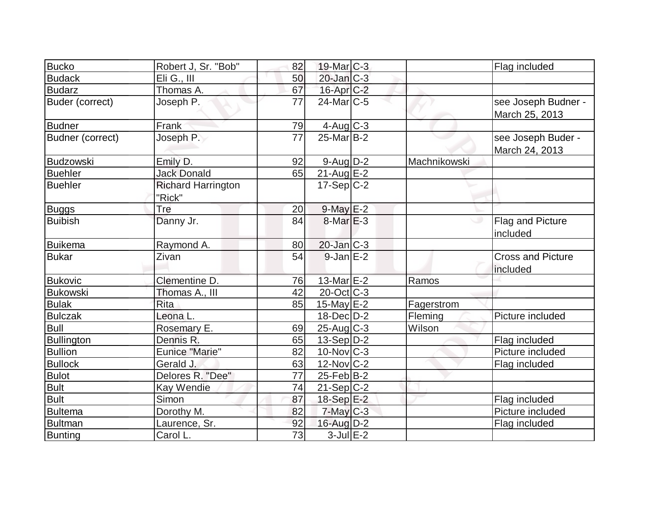| <b>Bucko</b>      | Robert J, Sr. "Bob"                 | 82 | 19-Mar C-3        |              | Flag included                         |
|-------------------|-------------------------------------|----|-------------------|--------------|---------------------------------------|
| <b>Budack</b>     | Eli G., III                         | 50 | 20-Jan C-3        |              |                                       |
| <b>Budarz</b>     | Thomas A.                           | 67 | $16$ -Apr $C-2$   |              |                                       |
| Buder (correct)   | Joseph P.                           | 77 | $24$ -Mar $ C-5 $ |              | see Joseph Budner -<br>March 25, 2013 |
| <b>Budner</b>     | Frank                               | 79 | $4$ -Aug $C-3$    |              |                                       |
| Budner (correct)  | Joseph P.                           | 77 | $25$ -Mar $B-2$   |              | see Joseph Buder -<br>March 24, 2013  |
| Budzowski         | Emily D.                            | 92 | 9-Aug D-2         | Machnikowski |                                       |
| <b>Buehler</b>    | <b>Jack Donald</b>                  | 65 | $21$ -Aug $E-2$   |              |                                       |
| <b>Buehler</b>    | <b>Richard Harrington</b><br>"Rick" |    | $17-Sep C-2$      |              |                                       |
| <b>Buggs</b>      | Tre                                 | 20 | $9$ -May $E-2$    |              |                                       |
| <b>Buibish</b>    | Danny Jr.                           | 84 | $8$ -Mar $E-3$    |              | Flag and Picture<br>included          |
| Buikema           | Raymond A.                          | 80 | $20$ -Jan $C-3$   |              |                                       |
| <b>Bukar</b>      | Zivan                               | 54 | $9$ -Jan $E-2$    |              | <b>Cross and Picture</b><br>included  |
| <b>Bukovic</b>    | Clementine D.                       | 76 | 13-Mar $E-2$      | Ramos        |                                       |
| <b>Bukowski</b>   | Thomas A., III                      | 42 | $20$ -Oct $ C-3 $ |              |                                       |
| <b>Bulak</b>      | <b>Rita</b>                         | 85 | 15-May $E-2$      | Fagerstrom   |                                       |
| <b>Bulczak</b>    | Leona L.                            |    | $18$ -Dec $D-2$   | Fleming      | Picture included                      |
| <b>Bull</b>       | Rosemary E.                         | 69 | $25$ -Aug C-3     | Wilson       |                                       |
| <b>Bullington</b> | Dennis R.                           | 65 | $13-Sep D-2$      |              | Flag included                         |
| <b>Bullion</b>    | <b>Eunice "Marie"</b>               | 82 | $10$ -Nov $ C-3 $ |              | Picture included                      |
| <b>Bullock</b>    | Gerald J.                           | 63 | 12-Nov C-2        |              | Flag included                         |
| <b>Bulot</b>      | Delores R. "Dee"                    | 77 | $25$ -Feb $ B-2 $ |              |                                       |
| <b>Bult</b>       | Kay Wendie                          | 74 | $21-Sep C-2$      |              |                                       |
| <b>Bult</b>       | Simon                               | 87 | 18-Sep $E-2$      |              | Flag included                         |
| <b>Bultema</b>    | Dorothy M.                          | 82 | $7$ -May $C-3$    |              | Picture included                      |
| <b>Bultman</b>    | Laurence, Sr.                       | 92 | $16$ -Aug $D-2$   |              | Flag included                         |
| Bunting           | Carol L.                            | 73 | $3$ -Jul $E-2$    |              |                                       |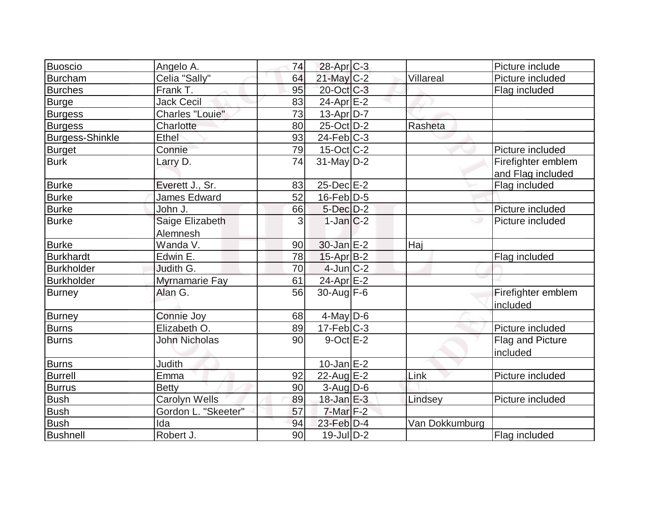|                        |                        |    |                       |                | Picture include    |
|------------------------|------------------------|----|-----------------------|----------------|--------------------|
| Buoscio                | Angelo A.              | 74 | $28$ -Apr $C-3$       |                |                    |
| Burcham                | Celia "Sally"          | 64 | $21$ -May C-2         | Villareal      | Picture included   |
| <b>Burches</b>         | Frank T.               | 95 | 20-Oct C-3            |                | Flag included      |
| <b>Burge</b>           | <b>Jack Cecil</b>      | 83 | $24$ -Apr $E-2$       |                |                    |
| Burgess                | <b>Charles "Louie"</b> | 73 | 13-Apr D-7            |                |                    |
| <b>Burgess</b>         | Charlotte              | 80 | 25-Oct D-2            | Rasheta        |                    |
| <b>Burgess-Shinkle</b> | Ethel                  | 93 | $24$ -Feb $ C-3$      |                |                    |
| Burget                 | Connie                 | 79 | $15$ -Oct C-2         |                | Picture included   |
| <b>Burk</b>            | Larry D.               | 74 | $31$ -May D-2         |                | Firefighter emblem |
|                        |                        |    |                       |                | and Flag included  |
| <b>Burke</b>           | Everett J., Sr.        | 83 | $25$ -Dec $E$ -2      |                | Flag included      |
| <b>Burke</b>           | <b>James Edward</b>    | 52 | $16$ -Feb $D-5$       |                |                    |
| <b>Burke</b>           | John J.                | 66 | $5$ -Dec $D-2$        |                | Picture included   |
| <b>Burke</b>           | Saige Elizabeth        | 3  | $1-Jan C-2$           |                | Picture included   |
|                        | Alemnesh               |    |                       |                |                    |
| <b>Burke</b>           | Wanda V.               | 90 | $30$ -Jan $E-2$       | Haj            |                    |
| <b>Burkhardt</b>       | Edwin E.               | 78 | $15$ -Apr $ B-2 $     |                | Flag included      |
| Burkholder             | Judith G.              | 70 | $4$ -Jun $C-2$        |                |                    |
| <b>Burkholder</b>      | Myrnamarie Fay         | 61 | 24-Apr <sub>E-2</sub> |                |                    |
| <b>Burney</b>          | Alan G.                | 56 | $30$ -Aug $F-6$       |                | Firefighter emblem |
|                        |                        |    |                       |                | included           |
| <b>Burney</b>          | Connie Joy             | 68 | $4$ -May D-6          |                |                    |
| <b>Burns</b>           | Elizabeth O.           | 89 | $17-Feb$ C-3          |                | Picture included   |
| Burns                  | <b>John Nicholas</b>   | 90 | $9$ -Oct $E-2$        |                | Flag and Picture   |
|                        |                        |    |                       |                | included           |
| <b>Burns</b>           | <b>Judith</b>          |    | $10$ -Jan $E-2$       |                |                    |
| <b>Burrell</b>         | Emma                   | 92 | $22$ -Aug $E-2$       | Link           | Picture included   |
| <b>Burrus</b>          | <b>Betty</b>           | 90 | $3$ -Aug D-6          |                |                    |
| <b>Bush</b>            | Carolyn Wells          | 89 | $18$ -Jan $E-3$       | Lindsey        | Picture included   |
| <b>Bush</b>            | Gordon L. "Skeeter"    | 57 | $7$ -Mar $F-2$        |                |                    |
| <b>Bush</b>            | Ida                    | 94 | 23-Feb D-4            | Van Dokkumburg |                    |
| <b>Bushnell</b>        | Robert J.              | 90 | $19$ -JulD-2          |                | Flag included      |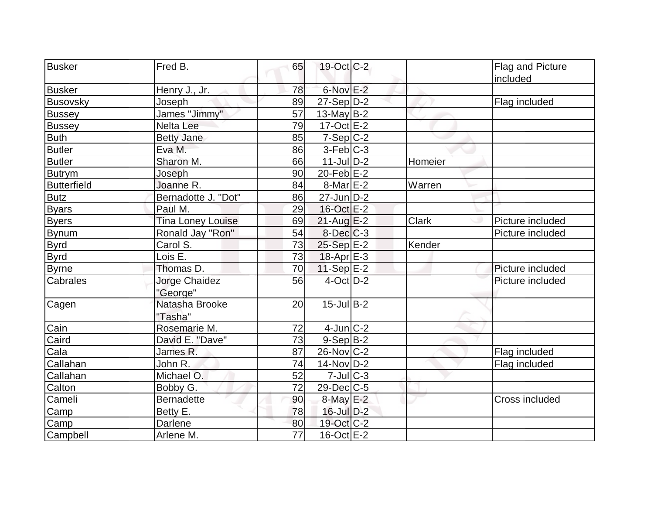| <b>Busker</b>      | Fred B.                   | 65              | $19-Oct$ $C-2$       |         | Flag and Picture |
|--------------------|---------------------------|-----------------|----------------------|---------|------------------|
|                    |                           |                 |                      |         | included         |
| <b>Busker</b>      | Henry J., Jr.             | 78              | 6-Nov <sup>E-2</sup> |         |                  |
| <b>Busovsky</b>    | Joseph                    | 89              | $27-Sep D-2$         |         | Flag included    |
| <b>Bussey</b>      | James "Jimmy"             | 57              | 13-May $B-2$         |         |                  |
| <b>Bussey</b>      | <b>Nelta Lee</b>          | 79              | $17-Oct$ $E-2$       |         |                  |
| <b>Buth</b>        | <b>Betty Jane</b>         | 85              | $7-Sep C-2$          |         |                  |
| <b>Butler</b>      | Eva M.                    | 86              | $3-Feb C-3$          |         |                  |
| <b>Butler</b>      | Sharon M.                 | 66              | $11$ -JulD-2         | Homeier |                  |
| <b>Butrym</b>      | Joseph                    | 90              | $20$ -Feb $E-2$      |         |                  |
| <b>Butterfield</b> | Joanne R.                 | 84              | $8$ -Mar $E-2$       | Warren  |                  |
| <b>Butz</b>        | Bernadotte J. "Dot"       | 86              | $27$ -Jun D-2        |         |                  |
| <b>Byars</b>       | Paul M.                   | 29              | 16-Oct E-2           |         |                  |
| <b>Byers</b>       | <b>Tina Loney Louise</b>  | 69              | $21$ -Aug $E-2$      | Clark   | Picture included |
| <b>Bynum</b>       | Ronald Jay "Ron"          | 54              | $8$ -Dec $C$ -3      |         | Picture included |
| <b>Byrd</b>        | Carol S.                  | 73              | 25-Sep E-2           | Kender  |                  |
| <b>Byrd</b>        | Lois E.                   | 73              | $18$ -Apr $E-3$      |         |                  |
| <b>Byrne</b>       | Thomas D.                 | 70              | 11-Sep $ E-2 $       |         | Picture included |
| Cabrales           | Jorge Chaidez<br>"George" | 56              | $4$ -Oct $D-2$       |         | Picture included |
| Cagen              | Natasha Brooke<br>"Tasha" | 20              | $15$ -Jul B-2        |         |                  |
| Cain               | Rosemarie M.              | 72              | $4$ -Jun $C-2$       |         |                  |
| Caird              | David E. "Dave"           | 73              | $9-Sep B-2$          |         |                  |
| Cala               | James R.                  | 87              | $26$ -Nov $ C-2 $    |         | Flag included    |
| Callahan           | John R.                   | 74              | $14$ -Nov $ D-2 $    |         | Flag included    |
| Callahan           | Michael O.                | 52              | $7$ -Jul $C-3$       |         |                  |
| Calton             | Bobby G.                  | 72              | $29$ -Dec $C$ -5     |         |                  |
| Cameli             | <b>Bernadette</b>         | 90              | $8$ -May $E-2$       |         | Cross included   |
| Camp               | Betty E.                  | 78              | $16$ -Jul $D-2$      |         |                  |
| Camp               | Darlene                   | 80              | 19-Oct C-2           |         |                  |
| Campbell           | Arlene M.                 | $\overline{77}$ | $16$ -Oct $E-2$      |         |                  |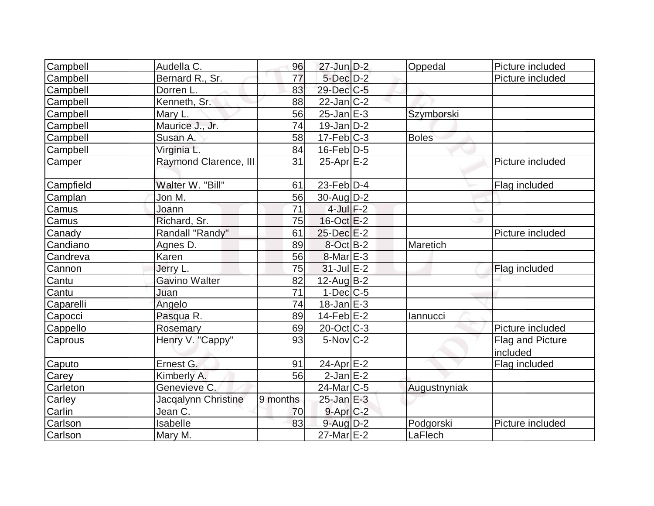| Campbell<br>Audella C.          | 96       | $27$ -Jun $D-2$        | Oppedal      | Picture included |
|---------------------------------|----------|------------------------|--------------|------------------|
| Bernard R., Sr.<br>Campbell     | 77       | $5$ -Dec $D-2$         |              | Picture included |
| Campbell<br>Dorren L.           | 83       | 29-Dec C-5             |              |                  |
| Kenneth, Sr.<br>Campbell        | 88       | $22$ -Jan $C-2$        |              |                  |
| Campbell<br>Mary L.             | 56       | $25$ -Jan $E-3$        | Szymborski   |                  |
| Maurice J., Jr.<br>Campbell     | 74       | $19$ -Jan $D-2$        |              |                  |
| Campbell<br>Susan A.            | 58       | $17$ -Feb $ C-3$       | <b>Boles</b> |                  |
| Virginia L.<br>Campbell         | 84       | $16$ -Feb $D-5$        |              |                  |
| Raymond Clarence, III<br>Camper | 31       | $25$ -Apr $E-2$        |              | Picture included |
| Walter W. "Bill"<br>Campfield   | 61       | $23$ -Feb $ D-4$       |              | Flag included    |
| Jon M.<br>Camplan               | 56       | $30$ -Aug $D-2$        |              |                  |
| Camus<br>Joann                  | 71       | $4$ -Jul $F-2$         |              |                  |
| Richard, Sr.<br>Camus           | 75       | $16-Oct$ $E-2$         |              |                  |
| Randall "Randy"<br>Canady       | 61       | $25$ -Dec $E-2$        |              | Picture included |
| Candiano<br>Agnes D.            | 89       | $8$ -Oct $B-2$         | Maretich     |                  |
| Karen<br>Candreva               | 56       | $8$ -Mar $E - 3$       |              |                  |
| Jerry L.<br>Cannon              | 75       | $31$ -Jul $E-2$        |              | Flag included    |
| <b>Gavino Walter</b><br>Cantu   | 82       | $12$ -Aug $B-2$        |              |                  |
| Cantu<br>Juan                   | 71       | $1-Dec$ $C-5$          |              |                  |
| Caparelli<br>Angelo             | 74       | $18$ -Jan $E-3$        |              |                  |
| Pasqua R.<br>Capocci            | 89       | $14-Feb$ $E-2$         | lannucci     |                  |
| Cappello<br>Rosemary            | 69       | $20$ -Oct $ C-3 $      |              | Picture included |
| Henry V. "Cappy"<br>Caprous     | 93       | $5$ -Nov $ C-2 $       |              | Flag and Picture |
|                                 |          |                        |              | included         |
| Caputo<br>Ernest G.             | 91       | 24-Apr <sub>E-2</sub>  |              | Flag included    |
| Kimberly A.<br>Carey            | 56       | $2-JanE-2$             |              |                  |
| Genevieve C.<br>Carleton        |          | 24-Mar <sub>IC-5</sub> | Augustnyniak |                  |
| Jacqalynn Christine<br>Carley   | 9 months | $25$ -Jan $E-3$        |              |                  |
| Carlin<br>Jean C.               | 70       | $9$ -Apr $C-2$         |              |                  |
| Isabelle<br>Carlson             | 83       | $9$ -Aug $D-2$         | Podgorski    | Picture included |
| Carlson<br>Mary M.              |          | 27-Mar E-2             | LaFlech      |                  |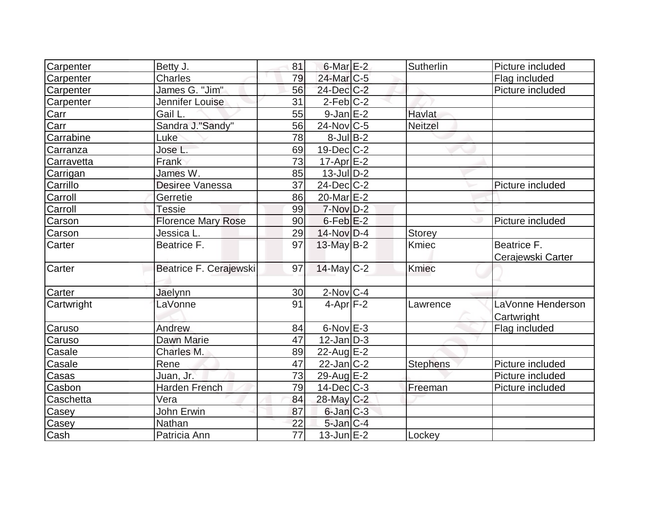| Carpenter     | Betty J.                  | 81              | $6$ -Mar $E-2$         | Sutherlin       | Picture included                 |
|---------------|---------------------------|-----------------|------------------------|-----------------|----------------------------------|
| Carpenter     | Charles                   | 79              | 24-Mar <sub>IC-5</sub> |                 | Flag included                    |
| Carpenter     | James G. "Jim"            | 56              | 24-Dec C-2             |                 | Picture included                 |
| Carpenter     | Jennifer Louise           | 31              | $2$ -Feb $ C-2 $       |                 |                                  |
| Carr          | Gail L.                   | 55              | $9$ -Jan $E-2$         | Havlat          |                                  |
| Carr          | Sandra J."Sandy"          | 56              | $24$ -Nov $ C-5$       | <b>Neitzel</b>  |                                  |
| Carrabine     | Luke                      | 78              | $8$ -Jul B-2           |                 |                                  |
| Carranza      | Jose L.                   | 69              | $19$ -Dec $C$ -2       |                 |                                  |
| Carravetta    | Frank                     | 73              | $17$ -Apr $E-2$        |                 |                                  |
| Carrigan      | James W.                  | 85              | $13$ -Jul $D-2$        |                 |                                  |
| Carrillo      | Desiree Vanessa           | 37              | $24$ -Dec $C$ -2       |                 | Picture included                 |
| Carroll       | Gerretie                  | 86              | 20-Mar <sub>E-2</sub>  |                 |                                  |
| Carroll       | <b>Tessie</b>             | 99              | $7-Nov$ D-2            |                 |                                  |
| Carson        | <b>Florence Mary Rose</b> | 90              | $6$ -Feb $ E-2 $       |                 | Picture included                 |
| Carson        | Jessica L.                | 29              | $14$ -Nov D-4          | Storey          |                                  |
| Carter        | Beatrice F.               | 97              | 13-May B-2             | <b>Kmiec</b>    | Beatrice F.<br>Cerajewski Carter |
| Carter        | Beatrice F. Cerajewski    | 97              | $14$ -May C-2          | <b>Kmiec</b>    |                                  |
| <b>Carter</b> | Jaelynn                   | 30              | $2$ -Nov $ C-4 $       |                 |                                  |
| Cartwright    | LaVonne                   | 91              | $4-Apr$ F-2            | Lawrence        | LaVonne Henderson<br>Cartwright  |
| Caruso        | Andrew                    | 84              | $6$ -Nov $E-3$         |                 | Flag included                    |
| Caruso        | Dawn Marie                | 47              | $12$ -Jan D-3          |                 |                                  |
| Casale        | Charles M.                | 89              | $22$ -Aug $E-2$        |                 |                                  |
| Casale        | Rene                      | 47              | $22$ -Jan $C-2$        | <b>Stephens</b> | Picture included                 |
| Casas         | Juan, Jr.                 | 73              | 29-Aug E-2             |                 | Picture included                 |
| Casbon        | <b>Harden French</b>      | 79              | $14$ -Dec $C$ -3       | Freeman         | Picture included                 |
| Caschetta     | Vera                      | 84              | 28-May C-2             |                 |                                  |
| Casey         | John Erwin                | 87              | $6$ -Jan $C-3$         |                 |                                  |
| Casey         | Nathan                    | 22              | $5$ -Jan $C-4$         |                 |                                  |
| Cash          | Patricia Ann              | $\overline{77}$ | $13$ -Jun $E-2$        | Lockey          |                                  |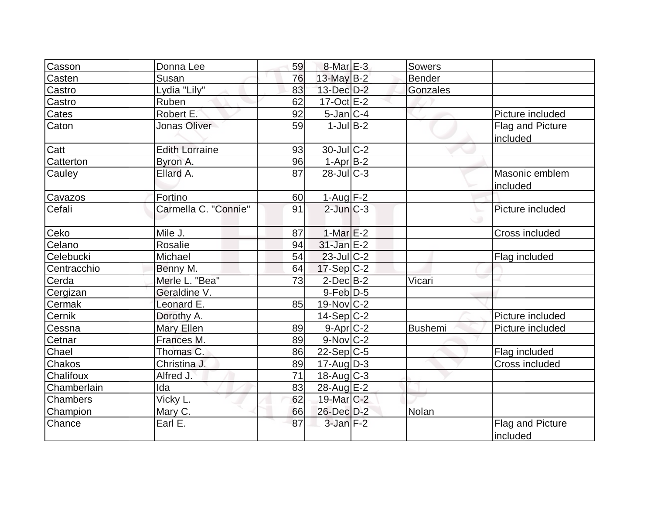| Casson      | Donna Lee             | 59 | $8$ -Mar $E-3$   | Sowers         |                              |
|-------------|-----------------------|----|------------------|----------------|------------------------------|
| Casten      | Susan                 | 76 | $13$ -May B-2    | <b>Bender</b>  |                              |
| Castro      | Lydia "Lily"          | 83 | 13-Dec D-2       | Gonzales       |                              |
| Castro      | Ruben                 | 62 | $17-Oct$ $E-2$   |                |                              |
| Cates       | Robert E.             | 92 | $5$ -Jan $ C-4 $ |                | Picture included             |
| Caton       | Jonas Oliver          | 59 | $1$ -JulB-2      |                | Flag and Picture<br>included |
| Catt        | <b>Edith Lorraine</b> | 93 | $30$ -Jul $C-2$  |                |                              |
| Catterton   | Byron A.              | 96 | $1-Apr$ B-2      |                |                              |
| Cauley      | Ellard A.             | 87 | $28$ -Jul $C-3$  |                | Masonic emblem<br>included   |
| Cavazos     | Fortino               | 60 | $1-Aug$ F-2      |                |                              |
| Cefali      | Carmella C. "Connie"  | 91 | $2$ -Jun $ C-3 $ |                | Picture included             |
| Ceko        | Mile J.               | 87 | 1-Mar $E-2$      |                | Cross included               |
| Celano      | <b>Rosalie</b>        | 94 | $31$ -Jan $E-2$  |                |                              |
| Celebucki   | Michael               | 54 | $23$ -JulC-2     |                | Flag included                |
| Centracchio | Benny M.              | 64 | $17-Sep C-2$     |                |                              |
| Cerda       | Merle L. "Bea"        | 73 | $2$ -Dec $B-2$   | Vicari         |                              |
| Cergizan    | Geraldine V.          |    | $9$ -Feb $D-5$   |                |                              |
| Cermak      | Leonard E.            | 85 | $19-Nov$ C-2     |                |                              |
| Cernik      | Dorothy A.            |    | $14-Sep C-2$     |                | Picture included             |
| Cessna      | <b>Mary Ellen</b>     | 89 | $9-Apr$ C-2      | <b>Bushemi</b> | Picture included             |
| Cetnar      | Frances M.            | 89 | $9-Nov$ C-2      |                |                              |
| Chael       | Thomas C.             | 86 | $22-Sep C-5$     |                | Flag included                |
| Chakos      | Christina J.          | 89 | $17$ -Aug $D-3$  |                | Cross included               |
| Chalifoux   | Alfred J.             | 71 | $18$ -Aug $C-3$  |                |                              |
| Chamberlain | Ida                   | 83 | 28-Aug E-2       |                |                              |
| Chambers    | Vicky L.              | 62 | 19-Mar C-2       |                |                              |
| Champion    | Mary C.               | 66 | 26-Dec D-2       | Nolan          |                              |
| Chance      | Earl E.               | 87 | $3$ -Jan $F-2$   |                | Flag and Picture<br>included |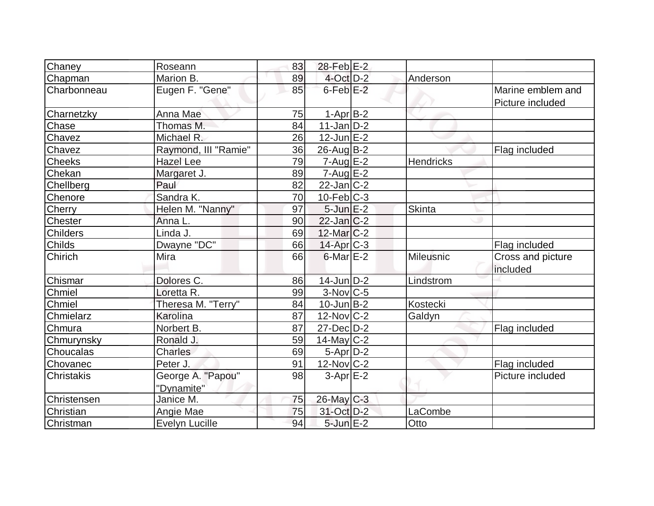| Chaney             | Roseann                         | 83 | $28$ -Feb $E-2$       |                  |                                       |
|--------------------|---------------------------------|----|-----------------------|------------------|---------------------------------------|
| Chapman            | Marion B.                       | 89 | $4$ -Oct $D-2$        | Anderson         |                                       |
| <b>Charbonneau</b> | Eugen F. "Gene"                 | 85 | $6$ -Feb $E-2$        |                  | Marine emblem and<br>Picture included |
| Charnetzky         | Anna Mae                        | 75 | $1-Apr$ B-2           |                  |                                       |
| Chase              | Thomas M.                       | 84 | $11$ -Jan $ D-2 $     |                  |                                       |
| Chavez             | Michael R.                      | 26 | $12$ -Jun $E-2$       |                  |                                       |
| Chavez             | Raymond, III "Ramie"            | 36 | 26-Aug B-2            |                  | Flag included                         |
| <b>Cheeks</b>      | <b>Hazel Lee</b>                | 79 | $7 - Aug$ $E-2$       | <b>Hendricks</b> |                                       |
| Chekan             | Margaret J.                     | 89 | $7 - Aug$ E-2         |                  |                                       |
| Chellberg          | Paul                            | 82 | $22$ -Jan $ C-2 $     |                  |                                       |
| Chenore            | Sandra K.                       | 70 | $10$ -Feb $ C-3 $     |                  |                                       |
| <b>Cherry</b>      | Helen M. "Nanny"                | 97 | $5$ -Jun $E-2$        | <b>Skinta</b>    |                                       |
| Chester            | Anna L.                         | 90 | $22$ -Jan $ C-2 $     |                  |                                       |
| <b>Childers</b>    | Linda J.                        | 69 | $12$ -Mar $ C-2 $     |                  |                                       |
| <b>Childs</b>      | Dwayne "DC"                     | 66 | 14-Apr <sub>C-3</sub> |                  | Flag included                         |
| Chirich            | Mira                            | 66 | $6$ -Mar $E-2$        | <b>Mileusnic</b> | Cross and picture<br>included         |
| Chismar            | Dolores C.                      | 86 | $14$ -Jun $D-2$       | Lindstrom        |                                       |
| Chmiel             | Loretta R.                      | 99 | $3-Nov$ C-5           |                  |                                       |
| Chmiel             | Theresa M. "Terry"              | 84 | $10$ -Jun $B-2$       | Kostecki         |                                       |
| Chmielarz          | Karolina                        | 87 | $12$ -Nov $ C-2 $     | Galdyn           |                                       |
| Chmura             | Norbert B.                      | 87 | 27-Dec D-2            |                  | Flag included                         |
| Chmurynsky         | Ronald J.                       | 59 | $14$ -May C-2         |                  |                                       |
| Choucalas          | <b>Charles</b>                  | 69 | $5 - Apr$ $D-2$       |                  |                                       |
| Chovanec           | Peter J.                        | 91 | 12-Nov C-2            |                  | Flag included                         |
| <b>Christakis</b>  | George A. "Papou"<br>"Dynamite" | 98 | $3-Apr$ $E-2$         |                  | Picture included                      |
| Christensen        | Janice M.                       | 75 | $26$ -May C-3         |                  |                                       |
| Christian          | Angie Mae                       | 75 | 31-Oct D-2            | LaCombe          |                                       |
| Christman          | <b>Evelyn Lucille</b>           | 94 | $5$ -Jun $E-2$        | Otto             |                                       |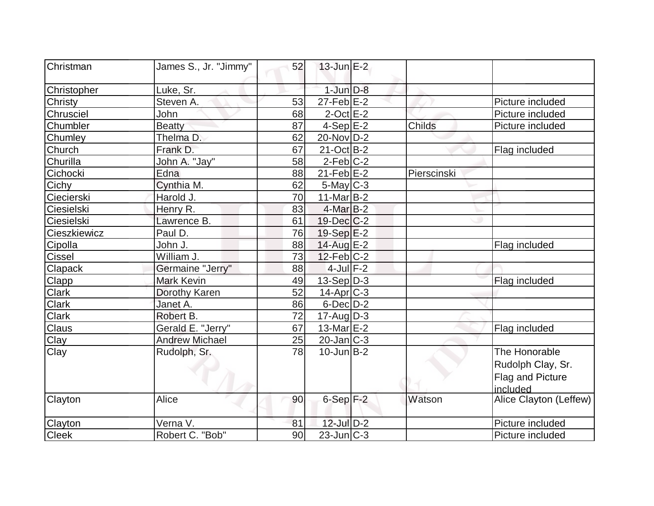| Christman      | James S., Jr. "Jimmy" | 52 | $13$ -Jun $E-2$   |             |                                                                    |
|----------------|-----------------------|----|-------------------|-------------|--------------------------------------------------------------------|
| Christopher    | Luke, Sr.             |    | $1$ -Jun $D-8$    |             |                                                                    |
| <b>Christy</b> | Steven A.             | 53 | $27$ -Feb $E-2$   |             | Picture included                                                   |
| Chrusciel      | John                  | 68 | $2$ -Oct $E-2$    |             | Picture included                                                   |
| Chumbler       | <b>Beatty</b>         | 87 | $4-Sep$ $E-2$     | Childs      | Picture included                                                   |
| Chumley        | Thelma D.             | 62 | 20-Nov D-2        |             |                                                                    |
| Church         | Frank D.              | 67 | $21-Oct$ B-2      |             | Flag included                                                      |
| Churilla       | John A. "Jay"         | 58 | $2-Feb C-2$       |             |                                                                    |
| Cichocki       | Edna                  | 88 | $21$ -Feb $E-2$   | Pierscinski |                                                                    |
| Cichy          | Cynthia M.            | 62 | $5$ -May $C-3$    |             |                                                                    |
| Ciecierski     | Harold J.             | 70 | $11$ -Mar $B-2$   |             |                                                                    |
| Ciesielski     | Henry R.              | 83 | $4$ -Mar $B-2$    |             |                                                                    |
| Ciesielski     | Lawrence B.           | 61 | 19-Dec C-2        |             |                                                                    |
| Cieszkiewicz   | Paul D.               | 76 | $19-Sep$ $E-2$    |             |                                                                    |
| Cipolla        | John J.               | 88 | 14-Aug E-2        |             | Flag included                                                      |
| <b>Cissel</b>  | William J.            | 73 | $12$ -Feb $ C-2 $ |             |                                                                    |
| <b>Clapack</b> | Germaine "Jerry"      | 88 | $4$ -Jul F-2      |             |                                                                    |
| <b>Clapp</b>   | <b>Mark Kevin</b>     | 49 | $13-Sep D-3$      |             | Flag included                                                      |
| <b>Clark</b>   | Dorothy Karen         | 52 | $14$ -Apr $ C-3 $ |             |                                                                    |
| Clark          | Janet A.              | 86 | $6$ -Dec $D-2$    |             |                                                                    |
| <b>Clark</b>   | Robert B.             | 72 | $17$ -Aug $D-3$   |             |                                                                    |
| Claus          | Gerald E. "Jerry"     | 67 | 13-Mar $E-2$      |             | Flag included                                                      |
| Clay           | <b>Andrew Michael</b> | 25 | $20$ -Jan $ C-3 $ |             |                                                                    |
| Clay           | Rudolph, Sr.          | 78 | $10$ -Jun $B-2$   |             | The Honorable<br>Rudolph Clay, Sr.<br>Flag and Picture<br>included |
| Clayton        | Alice                 | 90 | $6-Sep$ $F-2$     | Watson      | Alice Clayton (Leffew)                                             |
| Clayton        | Verna V.              | 81 | $12$ -Jul $D-2$   |             | Picture included                                                   |
| <b>Cleek</b>   | Robert C. "Bob"       | 90 | $23$ -Jun $ C-3 $ |             | Picture included                                                   |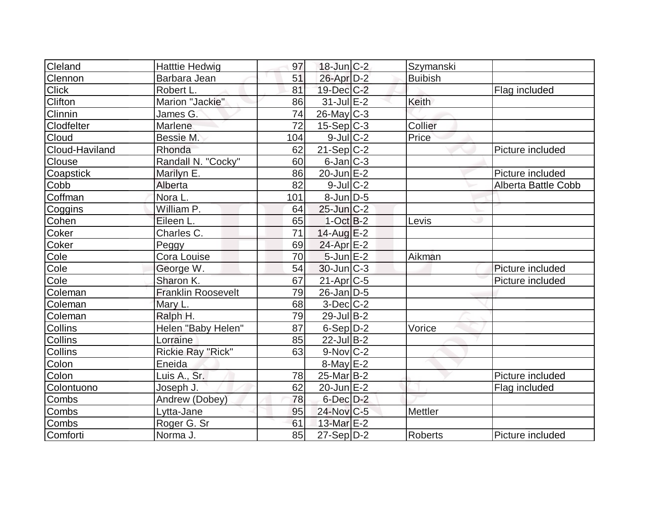| Cleland        | <b>Hatttie Hedwig</b>     | 97  | $18$ -Jun $ C-2 $      | Szymanski      |                     |
|----------------|---------------------------|-----|------------------------|----------------|---------------------|
| Clennon        | Barbara Jean              | 51  | $26$ -Apr $D-2$        | <b>Buibish</b> |                     |
| <b>Click</b>   | Robert L.                 | 81  | 19-Dec C-2             |                | Flag included       |
| <b>Clifton</b> | Marion "Jackie"           | 86  | $31$ -Jul $E-2$        | <b>Keith</b>   |                     |
| Clinnin        | James G.                  | 74  | $26$ -May C-3          |                |                     |
| Clodfelter     | Marlene                   | 72  | $15-Sep C-3$           | Collier        |                     |
| Cloud          | Bessie M.                 | 104 | $9$ -Jul $C-2$         | Price          |                     |
| Cloud-Haviland | Rhonda                    | 62  | $21-Sep C-2$           |                | Picture included    |
| Clouse         | Randall N. "Cocky"        | 60  | $6$ -Jan $ C-3 $       |                |                     |
| Coapstick      | Marilyn E.                | 86  | $20$ -Jun $E-2$        |                | Picture included    |
| Cobb           | Alberta                   | 82  | $9$ -Jul $C-2$         |                | Alberta Battle Cobb |
| Coffman        | Nora L.                   | 101 | $8$ -Jun $D-5$         |                |                     |
| Coggins        | William P.                | 64  | $25$ -Jun $C-2$        |                |                     |
| Cohen          | Eileen L.                 | 65  | $1-Oct$ B-2            | Levis          |                     |
| Coker          | Charles C.                | 71  | $14$ -Aug $E-2$        |                |                     |
| Coker          | Peggy                     | 69  | $24$ -Apr $E-2$        |                |                     |
| Cole           | Cora Louise               | 70  | $5$ -Jun $E-2$         | Aikman         |                     |
| Cole           | George W.                 | 54  | $30$ -Jun $ C-3 $      |                | Picture included    |
| Cole           | Sharon K.                 | 67  | $21-Apr$ $C-5$         |                | Picture included    |
| Coleman        | <b>Franklin Roosevelt</b> | 79  | $26$ -Jan $D-5$        |                |                     |
| Coleman        | Mary L.                   | 68  | $3$ -Dec $ C-2 $       |                |                     |
| Coleman        | Ralph H.                  | 79  | $29$ -Jul B-2          |                |                     |
| <b>Collins</b> | Helen "Baby Helen"        | 87  | $6-Sep D-2$            | Vorice         |                     |
| Collins        | Lorraine                  | 85  | $22$ -Jul B-2          |                |                     |
| <b>Collins</b> | Rickie Ray "Rick"         | 63  | $9-Nov$ <sub>C-2</sub> |                |                     |
| Colon          | Eneida                    |     | $8$ -May $E-2$         |                |                     |
| Colon          | Luis A., Sr.              | 78  | $25$ -Mar $B$ -2       |                | Picture included    |
| Colontuono     | Joseph J.                 | 62  | 20-Jun E-2             |                | Flag included       |
| Combs          | Andrew (Dobey)            | 78  | $6$ -Dec $D-2$         |                |                     |
| Combs          | Lytta-Jane                | 95  | 24-Nov C-5             | Mettler        |                     |
| <b>Combs</b>   | Roger G. Sr               | 61  | 13-Mar E-2             |                |                     |
| Comforti       | Norma J.                  | 85  | 27-Sep D-2             | <b>Roberts</b> | Picture included    |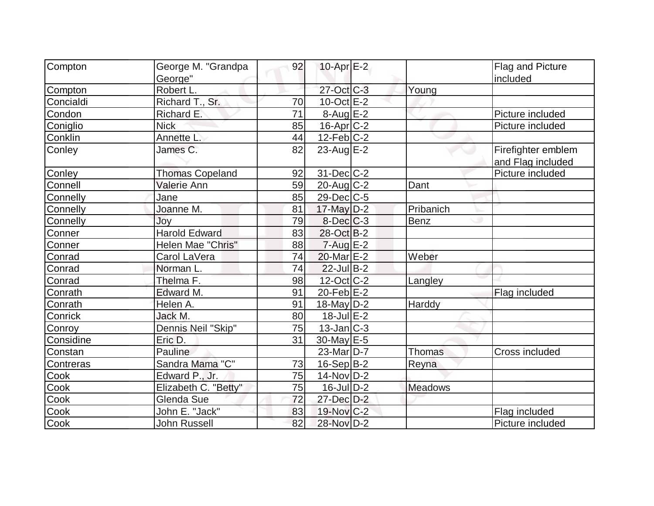|           |                        |    | $10$ -Apr $E-2$          |                |                    |
|-----------|------------------------|----|--------------------------|----------------|--------------------|
| Compton   | George M. "Grandpa     | 92 |                          |                | Flag and Picture   |
|           | George"                |    | 27-Oct C-3               |                | included           |
| Compton   | Robert L.              |    |                          | Young          |                    |
| Concialdi | Richard T., Sr.        | 70 | $10$ -Oct $E-2$          |                |                    |
| Condon    | Richard E.             | 71 | $8-Aug$ $E-2$            |                | Picture included   |
| Coniglio  | <b>Nick</b>            | 85 | $16$ -Apr $ C-2 $        |                | Picture included   |
| Conklin   | Annette L.             | 44 | $12$ -Feb $ C-2 $        |                |                    |
| Conley    | James C.               | 82 | 23-Aug $E-2$             |                | Firefighter emblem |
|           |                        |    |                          |                | and Flag included  |
| Conley    | <b>Thomas Copeland</b> | 92 | $31$ -Dec $ C-2 $        |                | Picture included   |
| Connell   | Valerie Ann            | 59 | $20$ -Aug $C-2$          | Dant           |                    |
| Connelly  | Jane                   | 85 | $29$ -Dec $ C$ -5        |                |                    |
| Connelly  | Joanne M.              | 81 | 17-May D-2               | Pribanich      |                    |
| Connelly  | Joy                    | 79 | $8$ -Dec $C-3$           | Benz           |                    |
| Conner    | <b>Harold Edward</b>   | 83 | 28-Oct B-2               |                |                    |
| Conner    | Helen Mae "Chris"      | 88 | $7 - Aug$ E-2            |                |                    |
| Conrad    | Carol LaVera           | 74 | 20-Mar <sub>IE</sub> -2  | Weber          |                    |
| Conrad    | Norman L.              | 74 | $22$ -Jul B-2            |                |                    |
| Conrad    | Thelma F.              | 98 | $12$ -Oct C-2            | Langley        |                    |
| Conrath   | Edward M.              | 91 | 20-Feb $E-2$             |                | Flag included      |
| Conrath   | Helen A.               | 91 | $18$ -May D-2            | Harddy         |                    |
| Conrick   | Jack M.                | 80 | $18$ -Jul $E-2$          |                |                    |
| Conroy    | Dennis Neil "Skip"     | 75 | $13$ -Jan $ C-3 $        |                |                    |
| Considine | Eric D.                | 31 | 30-May E-5               |                |                    |
| Constan   | Pauline                |    | $23$ -Mar $ D-7 $        | Thomas         | Cross included     |
| Contreras | Sandra Mama "C"        | 73 | $16-Sep B-2$             | Reyna          |                    |
| Cook      | Edward P., Jr.         | 75 | $14$ -Nov $ D-2 $        |                |                    |
| Cook      | Elizabeth C. "Betty"   | 75 | $16$ -Jul $D-2$          | <b>Meadows</b> |                    |
| Cook      | Glenda Sue             | 72 | $27 - Dec$ $D-2$         |                |                    |
| Cook      | John E. "Jack"         | 83 | $19-Nov$ <sub>C</sub> -2 |                | Flag included      |
| Cook      | <b>John Russell</b>    | 82 | 28-Nov D-2               |                | Picture included   |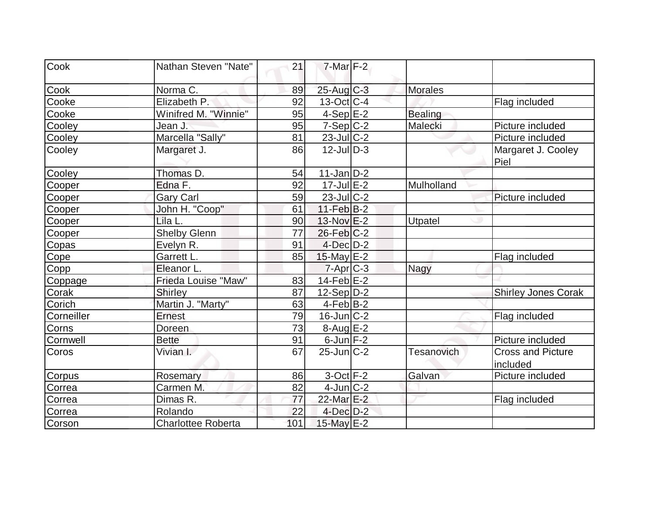| Cook          | Nathan Steven "Nate"      | 21  | $7$ -Mar $F-2$   |                   |                                      |
|---------------|---------------------------|-----|------------------|-------------------|--------------------------------------|
| Cook          | Norma C.                  | 89  | $25$ -Aug C-3    | <b>Morales</b>    |                                      |
| Cooke         | Elizabeth P.              | 92  | $13-Oct$ $C-4$   |                   | Flag included                        |
| Cooke         | Winifred M. "Winnie"      | 95  | $4-Sep$ $E-2$    | <b>Bealing</b>    |                                      |
| Cooley        | Jean J.                   | 95  | $7-Sep C-2$      | Malecki           | Picture included                     |
| Cooley        | Marcella "Sally"          | 81  | 23-Jul C-2       |                   | Picture included                     |
| Cooley        | Margaret J.               | 86  | $12$ -JulD-3     |                   | Margaret J. Cooley<br>Piel           |
| Cooley        | Thomas D.                 | 54  | $11$ -Jan $D-2$  |                   |                                      |
| Cooper        | Edna F.                   | 92  | $17$ -Jul $E-2$  | Mulholland        |                                      |
| Cooper        | Gary Carl                 | 59  | $23$ -Jul C-2    |                   | Picture included                     |
| Cooper        | John H. "Coop"            | 61  | $11-Feb$ B-2     |                   |                                      |
| Cooper        | Lila L.                   | 90  | $13-Nov$ $E-2$   | Utpatel           |                                      |
| Cooper        | <b>Shelby Glenn</b>       | 77  | $26$ -Feb $C-2$  |                   |                                      |
| Copas         | Evelyn R.                 | 91  | $4$ -Dec $D-2$   |                   |                                      |
| Cope          | Garrett L.                | 85  | $15$ -May E-2    |                   | Flag included                        |
| Copp          | Eleanor L.                |     | $7$ -Apr $ C$ -3 | Nagy              |                                      |
| Coppage       | Frieda Louise "Maw"       | 83  | $14$ -Feb $E-2$  |                   |                                      |
| Corak         | <b>Shirley</b>            | 87  | $12-Sep D-2$     |                   | <b>Shirley Jones Corak</b>           |
| Corich        | Martin J. "Marty"         | 63  | $4-Feb B-2$      |                   |                                      |
| Corneiller    | <b>Ernest</b>             | 79  | $16$ -Jun $C-2$  |                   | Flag included                        |
| Corns         | Doreen                    | 73  | $8-Auq$ $E-2$    |                   |                                      |
| Cornwell      | <b>Bette</b>              | 91  | $6$ -Jun $F-2$   |                   | Picture included                     |
| Coros         | Vivian I.                 | 67  | $25$ -Jun $C-2$  | <b>Tesanovich</b> | <b>Cross and Picture</b><br>included |
| <b>Corpus</b> | Rosemary                  | 86  | $3$ -Oct $F-2$   | Galvan            | Picture included                     |
| Correa        | Carmen M.                 | 82  | $4$ -Jun $C-2$   |                   |                                      |
| Correa        | Dimas R.                  | 77  | 22-Mar E-2       |                   | Flag included                        |
| Correa        | Rolando                   | 22  | $4$ -Dec $D-2$   |                   |                                      |
| Corson        | <b>Charlottee Roberta</b> | 101 | 15-May E-2       |                   |                                      |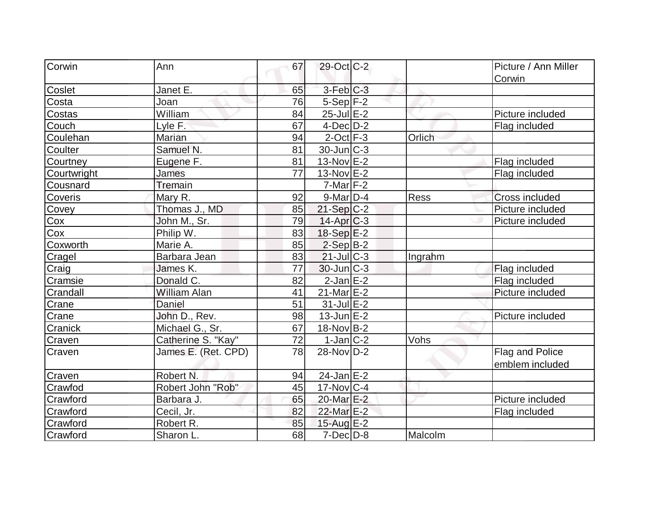| Corwin      | Ann                 | 67 | 29-Oct C-2        |         | Picture / Ann Miller  |
|-------------|---------------------|----|-------------------|---------|-----------------------|
|             |                     |    |                   |         | Corwin                |
| Coslet      | Janet E.            | 65 | $3-Feb$ $C-3$     |         |                       |
| Costa       | Joan                | 76 | $5-Sep$ F-2       |         |                       |
| Costas      | William             | 84 | $25$ -Jul $E-2$   |         | Picture included      |
| Couch       | Lyle F.             | 67 | $4$ -Dec $D-2$    |         | Flag included         |
| Coulehan    | <b>Marian</b>       | 94 | $2$ -Oct $ F-3 $  | Orlich  |                       |
| Coulter     | Samuel N.           | 81 | $30$ -Jun $ C-3 $ |         |                       |
| Courtney    | Eugene F.           | 81 | 13-Nov E-2        |         | Flag included         |
| Courtwright | James               | 77 | $13-Nov$ E-2      |         | Flag included         |
| Cousnard    | <b>Tremain</b>      |    | $7$ -Mar $ F-2 $  |         |                       |
| Coveris     | Mary R.             | 92 | $9$ -Mar $D-4$    | Ress    | <b>Cross included</b> |
| Covey       | Thomas J., MD       | 85 | $21-Sep C-2$      |         | Picture included      |
| Cox         | John M., Sr.        | 79 | $14$ -Apr $ C-3 $ |         | Picture included      |
| Cox         | Philip W.           | 83 | 18-Sep E-2        |         |                       |
| Coxworth    | Marie A.            | 85 | $2-SepB-2$        |         |                       |
| Cragel      | Barbara Jean        | 83 | $21$ -Jul $C-3$   | Ingrahm |                       |
| Craig       | James K.            | 77 | $30$ -Jun $ C-3 $ |         | Flag included         |
| Cramsie     | Donald C.           | 82 | $2$ -Jan $E-2$    |         | Flag included         |
| Crandall    | <b>William Alan</b> | 41 | $21$ -Mar $E-2$   |         | Picture included      |
| Crane       | Daniel              | 51 | $31$ -Jul $E-2$   |         |                       |
| Crane       | John D., Rev.       | 98 | $13$ -Jun $E-2$   |         | Picture included      |
| Cranick     | Michael G., Sr.     | 67 | 18-Nov B-2        |         |                       |
| Craven      | Catherine S. "Kay"  | 72 | $1-Jan C-2$       | Vohs    |                       |
| Craven      | James E. (Ret. CPD) | 78 | $28-Nov D-2$      |         | Flag and Police       |
|             |                     |    |                   |         | emblem included       |
| Craven      | Robert N.           | 94 | $24$ -Jan $E-2$   |         |                       |
| Crawfod     | Robert John "Rob"   | 45 | $17$ -Nov $ C-4$  |         |                       |
| Crawford    | Barbara J.          | 65 | 20-Mar E-2        |         | Picture included      |
| Crawford    | Cecil, Jr.          | 82 | 22-Mar E-2        |         | Flag included         |
| Crawford    | Robert R.           | 85 | 15-Aug E-2        |         |                       |
| Crawford    | Sharon L.           | 68 | $7$ -Dec $D-8$    | Malcolm |                       |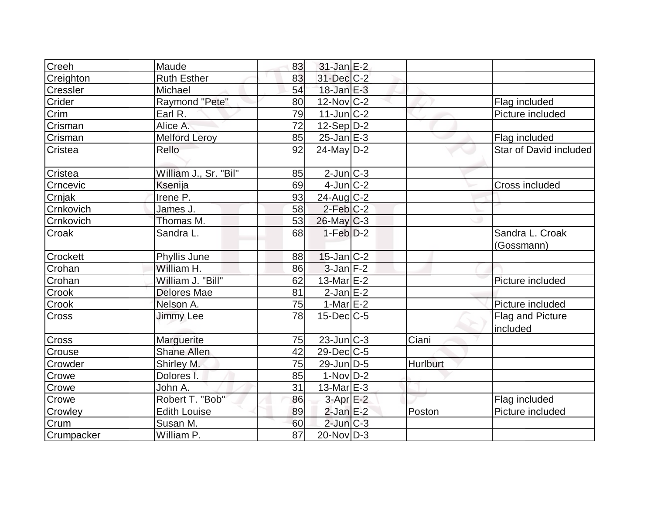| Creeh      | Maude                 | 83 | $31$ -Jan $E-2$        |          |                               |
|------------|-----------------------|----|------------------------|----------|-------------------------------|
| Creighton  | <b>Ruth Esther</b>    | 83 | 31-Dec C-2             |          |                               |
| Cressler   | Michael               | 54 | $18$ -Jan $E-3$        |          |                               |
| Crider     | Raymond "Pete"        | 80 | $12$ -Nov $ C-2 $      |          | Flag included                 |
| Crim       | Earl R.               | 79 | $11$ -Jun $ C-2 $      |          | Picture included              |
| Crisman    | Alice A.              | 72 | $12-Sep D-2$           |          |                               |
| Crisman    | <b>Melford Leroy</b>  | 85 | $25$ -Jan $E-3$        |          | Flag included                 |
| Cristea    | Rello                 | 92 | $24$ -May $D-2$        |          | <b>Star of David included</b> |
| Cristea    | William J., Sr. "Bil" | 85 | $2$ -Jun $C-3$         |          |                               |
| Crncevic   | Ksenija               | 69 | $4$ -Jun $ C-2 $       |          | <b>Cross included</b>         |
| Crnjak     | Irene P.              | 93 | $24$ -Aug C-2          |          |                               |
| Crnkovich  | James J.              | 58 | $2-Feb$ <sub>C-2</sub> |          |                               |
| Crnkovich  | Thomas M.             | 53 | $26$ -May $C-3$        |          |                               |
| Croak      | Sandra L.             | 68 | $1-Feb D-2$            |          | Sandra L. Croak<br>(Gossmann) |
| Crockett   | Phyllis June          | 88 | $15$ -Jan $C-2$        |          |                               |
| Crohan     | William H.            | 86 | $3$ -Jan $F-2$         |          |                               |
| Crohan     | William J. "Bill"     | 62 | 13-Mar E-2             |          | Picture included              |
| Crook      | <b>Delores Mae</b>    | 81 | $2$ -Jan $E-2$         |          |                               |
| Crook      | Nelson A.             | 75 | 1-Mar $E$ -2           |          | Picture included              |
| Cross      | <b>Jimmy Lee</b>      | 78 | $15$ -Dec $C$ -5       |          | Flag and Picture<br>included  |
| Cross      | Marguerite            | 75 | $23$ -Jun $ C-3 $      | Ciani    |                               |
| Crouse     | <b>Shane Allen</b>    | 42 | 29-Dec C-5             |          |                               |
| Crowder    | Shirley M.            | 75 | $29$ -Jun $D-5$        | Hurlburt |                               |
| Crowe      | Dolores I.            | 85 | $1-Nov D-2$            |          |                               |
| Crowe      | John A.               | 31 | $13$ -Mar $E-3$        |          |                               |
| Crowe      | Robert T. "Bob"       | 86 | $3-Apr$ E-2            |          | Flag included                 |
| Crowley    | <b>Edith Louise</b>   | 89 | $2$ -Jan $E-2$         | Poston   | Picture included              |
| Crum       | Susan M.              | 60 | $2$ -Jun $C-3$         |          |                               |
| Crumpacker | William P.            | 87 | $20$ -Nov $ D-3 $      |          |                               |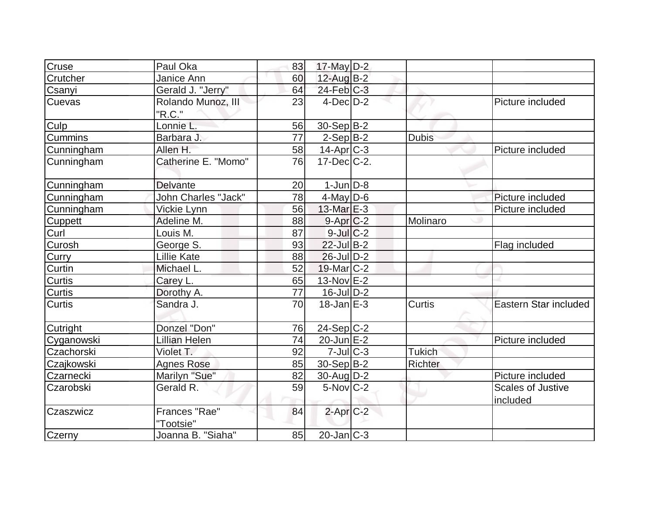| Cruse          | Paul Oka            | 83 | 17-May D-2                 |               |                          |
|----------------|---------------------|----|----------------------------|---------------|--------------------------|
| Crutcher       | Janice Ann          | 60 | $12$ -Aug B-2              |               |                          |
| Csanyi         | Gerald J. "Jerry"   | 64 | $24$ -Feb $C-3$            |               |                          |
| Cuevas         | Rolando Munoz, III  | 23 | $4$ -Dec $D-2$             |               | Picture included         |
|                | "R.C."              |    |                            |               |                          |
| Culp           | Lonnie L.           | 56 | 30-Sep B-2                 |               |                          |
| <b>Cummins</b> | Barbara J.          | 77 | $2-Sep B-2$                | <b>Dubis</b>  |                          |
| Cunningham     | Allen H.            | 58 | $14$ -Apr $ C-3 $          |               | Picture included         |
| Cunningham     | Catherine E. "Momo" | 76 | $17$ -Dec $C-2$ .          |               |                          |
| Cunningham     | Delvante            | 20 | $1$ -Jun $D-8$             |               |                          |
| Cunningham     | John Charles "Jack" | 78 | $4$ -May $ D-6$            |               | Picture included         |
| Cunningham     | Vickie Lynn         | 56 | 13-Mar $E-3$               |               | Picture included         |
| Cuppett        | Adeline M.          | 88 | $9 - Apr$ $C-2$            | Molinaro      |                          |
| Curl           | Louis M.            | 87 | $9$ -Jul $C-2$             |               |                          |
| Curosh         | George S.           | 93 | $22$ -Jul $B-2$            |               | Flag included            |
| Curry          | <b>Lillie Kate</b>  | 88 | $26$ -Jul $D-2$            |               |                          |
| Curtin         | Michael L.          | 52 | $19$ -Mar $C-2$            |               |                          |
| Curtis         | Carey L.            | 65 | $13-Nov$ $E-2$             |               |                          |
| <b>Curtis</b>  | Dorothy A.          | 77 | $16$ -JulD-2               |               |                          |
| Curtis         | Sandra J.           | 70 | $18$ -Jan $E-3$            | Curtis        | Eastern Star included    |
| Cutright       | Donzel "Don"        | 76 | $24-Sep C-2$               |               |                          |
| Cyganowski     | Lillian Helen       | 74 | $20$ -Jun $E-2$            |               | Picture included         |
| Czachorski     | Violet T.           | 92 | $7$ -Jul $C-3$             | <b>Tukich</b> |                          |
| Czajkowski     | <b>Agnes Rose</b>   | 85 | 30-Sep B-2                 | Richter       |                          |
| Czarnecki      | Marilyn "Sue"       | 82 | 30-Aug D-2                 |               | Picture included         |
| Czarobski      | Gerald R.           | 59 | $5-Nov$ C-2                |               | <b>Scales of Justive</b> |
|                |                     |    |                            |               | included                 |
| Czaszwicz      | Frances "Rae"       | 84 | $2$ -Apr $C-2$             |               |                          |
|                | "Tootsie"           |    |                            |               |                          |
| Czerny         | Joanna B. "Siaha"   | 85 | $20$ -Jan $\overline{C-3}$ |               |                          |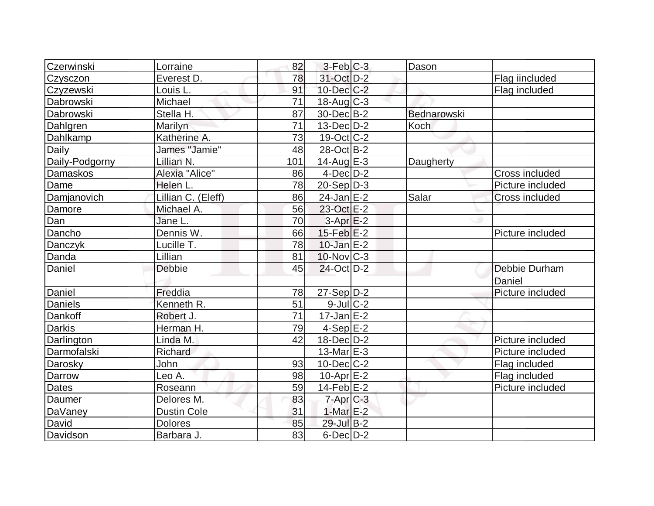| Czerwinski     | Lorraine           | 82  | $3-Feb$ <sub>C-3</sub>   | Dason       |                       |
|----------------|--------------------|-----|--------------------------|-------------|-----------------------|
| Czysczon       | Everest D.         | 78  | 31-Oct D-2               |             | Flag iincluded        |
| Czyzewski      | Louis L.           | 91  | $10$ -Dec $C-2$          |             | Flag included         |
| Dabrowski      | Michael            | 71  | $18$ -Aug $C-3$          |             |                       |
| Dabrowski      | Stella H.          | 87  | 30-Dec B-2               | Bednarowski |                       |
| Dahlgren       | Marilyn            | 71  | $13$ -Dec $D-2$          | Koch        |                       |
| Dahlkamp       | Katherine A.       | 73  | $19-Oct$ <sub>C</sub> -2 |             |                       |
| Daily          | James "Jamie"      | 48  | 28-Oct B-2               |             |                       |
| Daily-Podgorny | Lillian N.         | 101 | $14$ -Aug $E-3$          | Daugherty   |                       |
| Damaskos       | Alexia "Alice"     | 86  | $4$ -Dec $D-2$           |             | Cross included        |
| Dame           | Helen L.           | 78  | $20-Sep D-3$             |             | Picture included      |
| Damjanovich    | Lillian C. (Eleff) | 86  | $24$ -Jan $E-2$          | Salar       | <b>Cross included</b> |
| Damore         | Michael A.         | 56  | 23-Oct E-2               |             |                       |
| Dan            | Jane L.            | 70  | $3-AprE-2$               |             |                       |
| Dancho         | Dennis W.          | 66  | $15$ -Feb $ E-2 $        |             | Picture included      |
| Danczyk        | Lucille T.         | 78  | $10$ -Jan $E-2$          |             |                       |
| Danda          | Lillian            | 81  | $10$ -Nov $ C-3 $        |             |                       |
| Daniel         | <b>Debbie</b>      | 45  | $24$ -Oct $D-2$          |             | Debbie Durham         |
|                |                    |     |                          |             | Daniel                |
| Daniel         | Freddia            | 78  | $27-Sep D-2$             |             | Picture included      |
| <b>Daniels</b> | Kenneth R.         | 51  | $9$ -Jul $C-2$           |             |                       |
| Dankoff        | Robert J.          | 71  | $17$ -Jan $E-2$          |             |                       |
| <b>Darkis</b>  | Herman H.          | 79  | $4-Sep$ $E-2$            |             |                       |
| Darlington     | Linda M.           | 42  | $18$ -Dec $D-2$          |             | Picture included      |
| Darmofalski    | Richard            |     | $13$ -Mar $E-3$          |             | Picture included      |
| Darosky        | John               | 93  | $10$ -Dec $ C-2 $        |             | Flag included         |
| Darrow         | Leo A.             | 98  | $10$ -Apr $E-2$          |             | Flag included         |
| <b>Dates</b>   | Roseann            | 59  | $14$ -Feb $E-2$          |             | Picture included      |
| Daumer         | Delores M.         | 83  | $7$ -Apr $C$ -3          |             |                       |
| DaVaney        | <b>Dustin Cole</b> | 31  | 1-Mar $E-2$              |             |                       |
| David          | <b>Dolores</b>     | 85  | 29-Jul B-2               |             |                       |
| Davidson       | Barbara J.         | 83  | $6$ -Dec $D-2$           |             |                       |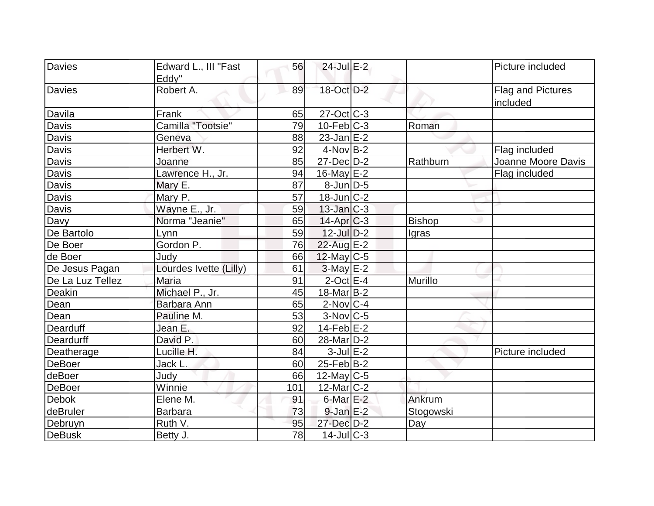| Davies           | Edward L., III "Fast   | 56  | $24$ -Jul $E-2$        |               | Picture included         |
|------------------|------------------------|-----|------------------------|---------------|--------------------------|
|                  | Eddy"                  |     |                        |               |                          |
| <b>Davies</b>    | Robert A.              | 89  | 18-Oct D-2             |               | <b>Flag and Pictures</b> |
|                  |                        |     |                        |               | included                 |
| Davila           | Frank                  | 65  | $27$ -Oct $C-3$        |               |                          |
| Davis            | Camilla "Tootsie"      | 79  | $10$ -Feb $C-3$        | Roman         |                          |
| Davis            | Geneva                 | 88  | $23$ -Jan $E-2$        |               |                          |
| Davis            | Herbert W.             | 92  | $4$ -Nov B-2           |               | Flag included            |
| Davis            | Joanne                 | 85  | $27$ -Dec $D-2$        | Rathburn      | Joanne Moore Davis       |
| Davis            | Lawrence H., Jr.       | 94  | $16$ -May $E-2$        |               | Flag included            |
| <b>Davis</b>     | Mary E.                | 87  | $8$ -Jun $D-5$         |               |                          |
| Davis            | Mary P.                | 57  | $18$ -Jun $C-2$        |               |                          |
| Davis            | Wayne E., Jr.          | 59  | $13$ -Jan $ C-3 $      |               |                          |
| Davy             | Norma "Jeanie"         | 65  | $14$ -Apr $C-3$        | <b>Bishop</b> |                          |
| De Bartolo       | Lynn                   | 59  | $12$ -Jul $D-2$        | Igras         |                          |
| De Boer          | Gordon P.              | 76  | 22-Aug E-2             |               |                          |
| de Boer          | Judy                   | 66  | $12$ -May C-5          |               |                          |
| De Jesus Pagan   | Lourdes Ivette (Lilly) | 61  | $3$ -May $E-2$         |               |                          |
| De La Luz Tellez | Maria                  | 91  | $2$ -Oct $E-4$         | Murillo       |                          |
| Deakin           | Michael P., Jr.        | 45  | $18$ -Mar $B-2$        |               |                          |
| Dean             | Barbara Ann            | 65  | $2$ -Nov $ C-4 $       |               |                          |
| Dean             | Pauline M.             | 53  | $3-Nov$ <sub>C-5</sub> |               |                          |
| Dearduff         | Jean E.                | 92  | $14$ -Feb $ E-2 $      |               |                          |
| Deardurff        | David P.               | 60  | $28$ -Mar $ D-2 $      |               |                          |
| Deatherage       | Lucille H.             | 84  | $3$ -Jul $E-2$         |               | Picture included         |
| <b>DeBoer</b>    | Jack L.                | 60  | $25$ -Feb $ B-2 $      |               |                          |
| deBoer           | Judy                   | 66  | 12-May $C-5$           |               |                          |
| <b>DeBoer</b>    | Winnie                 | 101 | $12$ -Mar $ C-2 $      |               |                          |
| <b>Debok</b>     | Elene M.               | 91  | $6$ -Mar $E-2$         | Ankrum        |                          |
| deBruler         | <b>Barbara</b>         | 73  | $9$ -Jan $E-2$         | Stogowski     |                          |
| Debruyn          | Ruth V.                | 95  | 27-Dec D-2             | Day           |                          |
| <b>DeBusk</b>    | Betty J.               | 78  | $14$ -JulC-3           |               |                          |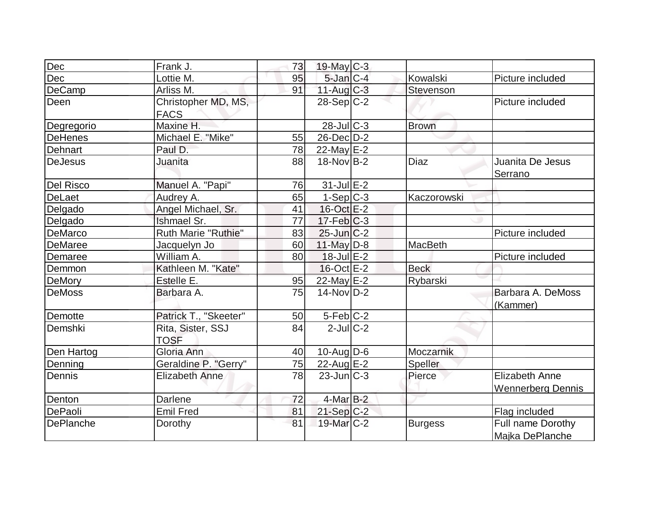| Dec              | Frank J.                   | 73 | $19$ -May C-3           |                |                          |
|------------------|----------------------------|----|-------------------------|----------------|--------------------------|
| Dec              | Lottie M.                  | 95 | $5$ -Jan $C-4$          | Kowalski       | Picture included         |
| DeCamp           | Arliss M.                  | 91 | $11-Aug$ $C-3$          | Stevenson      |                          |
| Deen             | Christopher MD, MS,        |    | $28-Sep C-2$            |                | Picture included         |
|                  | <b>FACS</b>                |    |                         |                |                          |
| Degregorio       | Maxine H.                  |    | $28$ -JulC-3            | <b>Brown</b>   |                          |
| <b>DeHenes</b>   | Michael E. "Mike"          | 55 | $26$ -Dec $D-2$         |                |                          |
| Dehnart          | Paul D.                    | 78 | $22$ -May $E-2$         |                |                          |
| <b>DeJesus</b>   | Juanita                    | 88 | $18-NovIB-2$            | <b>Diaz</b>    | Juanita De Jesus         |
|                  |                            |    |                         |                | Serrano                  |
| <b>Del Risco</b> | Manuel A. "Papi"           | 76 | $31$ -Jul $E-2$         |                |                          |
| <b>DeLaet</b>    | Audrey A.                  | 65 | $1-Sep C-3$             | Kaczorowski    |                          |
| Delgado          | Angel Michael, Sr.         | 41 | 16-Oct E-2              |                |                          |
| Delgado          | <b>Ishmael Sr.</b>         | 77 | $17$ -Feb $ C-3 $       |                |                          |
| DeMarco          | <b>Ruth Marie "Ruthie"</b> | 83 | $25$ -Jun $C-2$         |                | Picture included         |
| <b>DeMaree</b>   | Jacquelyn Jo               | 60 | 11-May $D-8$            | <b>MacBeth</b> |                          |
| Demaree          | William A.                 | 80 | $18$ -Jul $E-2$         |                | Picture included         |
| Demmon           | Kathleen M. "Kate"         |    | $16$ -Oct $E-2$         | <b>Beck</b>    |                          |
| <b>DeMory</b>    | Estelle E.                 | 95 | 22-May E-2              | Rybarski       |                          |
| <b>DeMoss</b>    | Barbara A.                 | 75 | $14$ -Nov $D-2$         |                | Barbara A. DeMoss        |
|                  |                            |    |                         |                | (Kammer)                 |
| Demotte          | Patrick T., "Skeeter"      | 50 | $5-Feb$ <sub>C</sub> -2 |                |                          |
| Demshki          | Rita, Sister, SSJ          | 84 | $2$ -JulC-2             |                |                          |
|                  | <b>TOSF</b>                |    |                         |                |                          |
| Den Hartog       | Gloria Ann                 | 40 | $10$ -Aug $D$ -6        | Moczarnik      |                          |
| Denning          | Geraldine P. "Gerry"       | 75 | 22-Aug E-2              | Speller        |                          |
| Dennis           | <b>Elizabeth Anne</b>      | 78 | $23$ -Jun $C-3$         | Pierce         | <b>Elizabeth Anne</b>    |
|                  |                            |    |                         |                | <b>Wennerberg Dennis</b> |
| Denton           | Darlene                    | 72 | $4$ -Mar $B-2$          |                |                          |
| DePaoli          | Emil Fred                  | 81 | $21-Sep C-2$            |                | Flag included            |
| <b>DePlanche</b> | Dorothy                    | 81 | 19-Mar C-2              | <b>Burgess</b> | Full name Dorothy        |
|                  |                            |    |                         |                | Majka DePlanche          |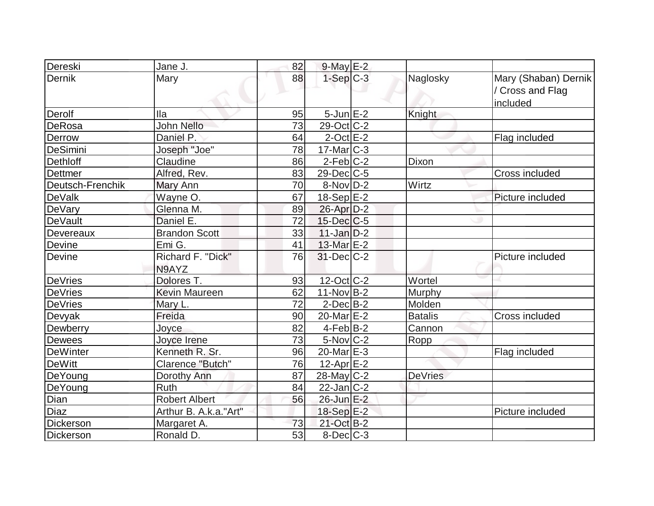| Dereski          | Jane J.                    | 82 | $9$ -May $E-2$         |                |                                                      |
|------------------|----------------------------|----|------------------------|----------------|------------------------------------------------------|
| Dernik           | Mary                       | 88 | $1-Sep C-3$            | Naglosky       | Mary (Shaban) Dernik<br>/ Cross and Flag<br>included |
| Derolf           | lla                        | 95 | $5$ -Jun $E-2$         | Knight         |                                                      |
| DeRosa           | John Nello                 | 73 | 29-Oct C-2             |                |                                                      |
| Derrow           | Daniel P.                  | 64 | $2$ -Oct $E-2$         |                | Flag included                                        |
| DeSimini         | Joseph "Joe"               | 78 | $17$ -Mar $ C-3 $      |                |                                                      |
| <b>Dethloff</b>  | Claudine                   | 86 | $2-Feb$ C-2            | Dixon          |                                                      |
| <b>Dettmer</b>   | Alfred, Rev.               | 83 | $29$ -Dec $ C$ -5      |                | Cross included                                       |
| Deutsch-Frenchik | Mary Ann                   | 70 | $8-Nov D-2$            | Wirtz          |                                                      |
| DeValk           | Wayne O.                   | 67 | $18-Sep$ $E-2$         |                | Picture included                                     |
| DeVary           | Glenna M.                  | 89 | $26$ -Apr $D-2$        |                |                                                      |
| <b>DeVault</b>   | Daniel E.                  | 72 | $15$ -Dec $C$ -5       |                |                                                      |
| Devereaux        | <b>Brandon Scott</b>       | 33 | $11$ -Jan $D-2$        |                |                                                      |
| Devine           | Emi G.                     | 41 | 13-Mar E-2             |                |                                                      |
| Devine           | Richard F. "Dick"<br>N9AYZ | 76 | $31$ -Dec $C-2$        |                | Picture included                                     |
| DeVries          | Dolores T.                 | 93 | 12-Oct C-2             | Wortel         |                                                      |
| <b>DeVries</b>   | <b>Kevin Maureen</b>       | 62 | $11-NovB-2$            | Murphy         |                                                      |
| <b>DeVries</b>   | Mary L.                    | 72 | $2$ -Dec $B-2$         | Molden         |                                                      |
| Devyak           | Freida                     | 90 | 20-Mar <sub>E</sub> -2 | <b>Batalis</b> | Cross included                                       |
| Dewberry         | Joyce                      | 82 | $4-Feb$ B-2            | Cannon         |                                                      |
| <b>Dewees</b>    | Joyce Irene                | 73 | $5$ -Nov $ C-2 $       | Ropp           |                                                      |
| <b>DeWinter</b>  | Kenneth R. Sr.             | 96 | 20-Mar $E-3$           |                | Flag included                                        |
| <b>DeWitt</b>    | Clarence "Butch"           | 76 | 12-Apr $E-2$           |                |                                                      |
| DeYoung          | Dorothy Ann                | 87 | $28$ -May C-2          | <b>DeVries</b> |                                                      |
| DeYoung          | <b>Ruth</b>                | 84 | $22$ -Jan C-2          |                |                                                      |
| Dian             | <b>Robert Albert</b>       | 56 | 26-Jun E-2             |                |                                                      |
| Diaz             | Arthur B. A.k.a."Art"      |    | 18-Sep E-2             |                | Picture included                                     |
| Dickerson        | Margaret A.                | 73 | 21-Oct B-2             |                |                                                      |
| Dickerson        | Ronald D.                  | 53 | $8$ -Dec $C-3$         |                |                                                      |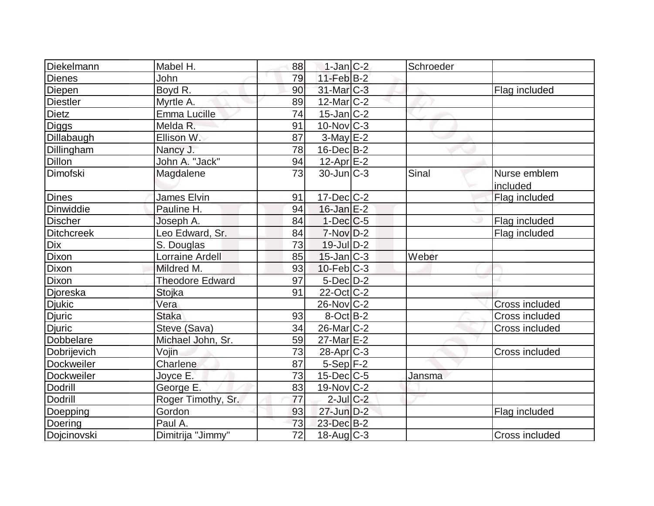| Diekelmann        | Mabel H.               | 88 | $1$ -Jan $C-2$           | Schroeder |                       |
|-------------------|------------------------|----|--------------------------|-----------|-----------------------|
| <b>Dienes</b>     | <b>John</b>            | 79 | $11$ -Feb $B$ -2         |           |                       |
| Diepen            | Boyd R.                | 90 | $31$ -Mar $ C-3 $        |           | Flag included         |
| <b>Diestler</b>   | Myrtle A.              | 89 | $12$ -Mar $ C-2 $        |           |                       |
| <b>Dietz</b>      | Emma Lucille           | 74 | $15$ -Jan $ C-2 $        |           |                       |
| Diggs             | Melda R.               | 91 | $10$ -Nov $ C-3 $        |           |                       |
| Dillabaugh        | Ellison W.             | 87 | $3-May$ $E-2$            |           |                       |
| Dillingham        | Nancy J.               | 78 | $16$ -Dec $B$ -2         |           |                       |
| Dillon            | John A. "Jack"         | 94 | 12-Apr E-2               |           |                       |
| Dimofski          | Magdalene              | 73 | $30$ -Jun $ C-3 $        | Sinal     | Nurse emblem          |
|                   |                        |    |                          |           | included              |
| <b>Dines</b>      | James Elvin            | 91 | $17$ -Dec $ C-2 $        |           | Flag included         |
| Dinwiddie         | Pauline H.             | 94 | $16$ -Jan $E-2$          |           |                       |
| <b>Discher</b>    | Joseph A.              | 84 | $1-Dec$ $C-5$            |           | Flag included         |
| <b>Ditchcreek</b> | Leo Edward, Sr.        | 84 | $7-Nov D-2$              |           | Flag included         |
| <b>Dix</b>        | S. Douglas             | 73 | $19$ -Jul $D-2$          |           |                       |
| Dixon             | Lorraine Ardell        | 85 | $15$ -Jan $ C-3 $        | Weber     |                       |
| Dixon             | Mildred M.             | 93 | $10$ -Feb $ C-3 $        |           |                       |
| Dixon             | <b>Theodore Edward</b> | 97 | $5$ -Dec $D-2$           |           |                       |
| Djoreska          | Stojka                 | 91 | $22$ -Oct C-2            |           |                       |
| <b>Djukic</b>     | Vera                   |    | $26$ -Nov $ C-2 $        |           | <b>Cross included</b> |
| Djuric            | <b>Staka</b>           | 93 | $8-Oct$ B-2              |           | Cross included        |
| <b>Djuric</b>     | Steve (Sava)           | 34 | $26$ -Mar $C-2$          |           | Cross included        |
| Dobbelare         | Michael John, Sr.      | 59 | $27$ -Mar $E-2$          |           |                       |
| Dobrijevich       | <b>Vojin</b>           | 73 | $28$ -Apr $C-3$          |           | Cross included        |
| Dockweiler        | Charlene               | 87 | $5-Sep$ F-2              |           |                       |
| Dockweiler        | Joyce E.               | 73 | $15$ -Dec $C$ -5         | Jansma    |                       |
| <b>Dodrill</b>    | George E.              | 83 | $19-Nov$ <sub>C</sub> -2 |           |                       |
| <b>Dodrill</b>    | Roger Timothy, Sr.     | 77 | $2$ -Jul $C-2$           |           |                       |
| Doepping          | Gordon                 | 93 | $27$ -Jun $D-2$          |           | Flag included         |
| Doering           | Paul A.                | 73 | 23-Dec B-2               |           |                       |
| Dojcinovski       | Dimitrija "Jimmy"      | 72 | $18$ -Aug C-3            |           | <b>Cross included</b> |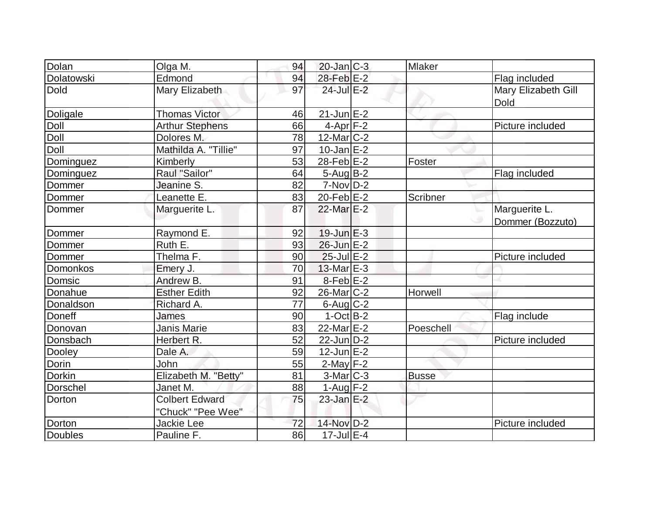| Dolan          | Olga M.                | 94 | $20$ -Jan $C-3$       | <b>Mlaker</b> |                     |
|----------------|------------------------|----|-----------------------|---------------|---------------------|
| Dolatowski     | Edmond                 | 94 | 28-Feb E-2            |               | Flag included       |
| <b>Dold</b>    | Mary Elizabeth         | 97 | 24-Jul E-2            |               | Mary Elizabeth Gill |
|                |                        |    |                       |               | Dold                |
| Doligale       | <b>Thomas Victor</b>   | 46 | $21$ -Jun $E-2$       |               |                     |
| Doll           | <b>Arthur Stephens</b> | 66 | $4-Apr$ F-2           |               | Picture included    |
| Doll           | Dolores M.             | 78 | $12$ -Mar $ C-2 $     |               |                     |
| Doll           | Mathilda A. "Tillie"   | 97 | $10$ -Jan $E-2$       |               |                     |
| Dominguez      | Kimberly               | 53 | 28-Feb E-2            | Foster        |                     |
| Dominguez      | Raul "Sailor"          | 64 | $5 - Aug$ B-2         |               | Flag included       |
| Dommer         | Jeanine S.             | 82 | $7-Nov D-2$           |               |                     |
| Dommer         | Leanette E.            | 83 | $20$ -Feb $E-2$       | Scribner      |                     |
| Dommer         | Marguerite L.          | 87 | 22-Mar <sub>E-2</sub> |               | Marguerite L.       |
|                |                        |    |                       |               | Dommer (Bozzuto)    |
| Dommer         | Raymond E.             | 92 | $19$ -Jun $E-3$       |               |                     |
| Dommer         | Ruth E.                | 93 | $26$ -Jun $E-2$       |               |                     |
| Dommer         | Thelma F.              | 90 | $25$ -Jul $E-2$       |               | Picture included    |
| Domonkos       | Emery J.               | 70 | $13$ -Mar $E-3$       |               |                     |
| Domsic         | Andrew B.              | 91 | $8$ -Feb $E-2$        |               |                     |
| Donahue        | <b>Esther Edith</b>    | 92 | 26-Mar C-2            | Horwell       |                     |
| Donaldson      | Richard A.             | 77 | 6-Aug C-2             |               |                     |
| Doneff         | James                  | 90 | $1-Oct$ B-2           |               | Flag include        |
| Donovan        | <b>Janis Marie</b>     | 83 | 22-Mar E-2            | Poeschell     |                     |
| Donsbach       | Herbert R.             | 52 | $22$ -Jun $D-2$       |               | Picture included    |
| Dooley         | Dale A.                | 59 | $12$ -Jun $E-2$       |               |                     |
| Dorin          | John                   | 55 | $2$ -May $F-2$        |               |                     |
| <b>Dorkin</b>  | Elizabeth M. "Betty"   | 81 | $3-Mar$ C-3           | <b>Busse</b>  |                     |
| Dorschel       | Janet M.               | 88 | 1-Aug $F-2$           |               |                     |
| Dorton         | <b>Colbert Edward</b>  | 75 | $23$ -Jan E-2         |               |                     |
|                | "Chuck" "Pee Wee"      |    |                       |               |                     |
| Dorton         | Jackie Lee             | 72 | 14-Nov D-2            |               | Picture included    |
| <b>Doubles</b> | Pauline F.             | 86 | 17-Jul E-4            |               |                     |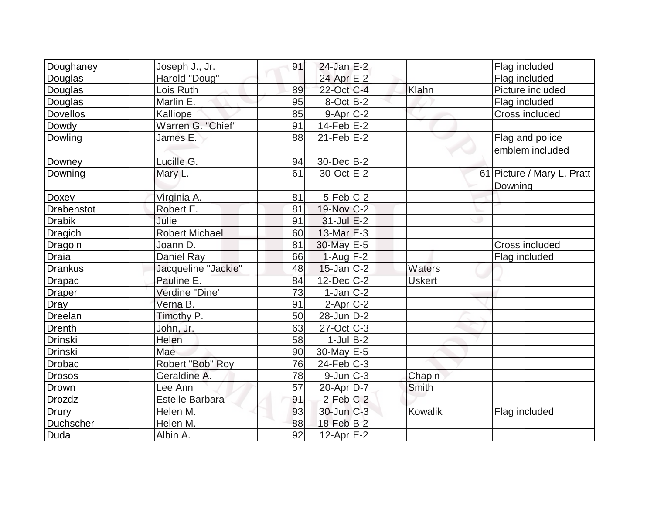| Doughaney         | Joseph J., Jr.         | 91 | $24$ -Jan E-2     |               | Flag included               |
|-------------------|------------------------|----|-------------------|---------------|-----------------------------|
| Douglas           | Harold "Doug"          |    | 24-Apr E-2        |               | Flag included               |
| Douglas           | Lois Ruth              | 89 | 22-Oct C-4        | Klahn         | Picture included            |
| Douglas           | Marlin E.              | 95 | $8$ -Oct $B$ -2   |               | Flag included               |
| <b>Dovellos</b>   | Kalliope               | 85 | $9-Apr$ C-2       |               | Cross included              |
| Dowdy             | Warren G. "Chief"      | 91 | $14$ -Feb $E-2$   |               |                             |
| Dowling           | James E.               | 88 | $21$ -Feb $E-2$   |               | Flag and police             |
|                   |                        |    |                   |               | emblem included             |
| Downey            | Lucille G.             | 94 | 30-Dec B-2        |               |                             |
| Downing           | Mary L.                | 61 | 30-Oct E-2        |               | 61 Picture / Mary L. Pratt- |
|                   |                        |    |                   |               | Downing                     |
| Doxey             | Virginia A.            | 81 | $5-Feb$ $C-2$     |               |                             |
| <b>Drabenstot</b> | Robert E.              | 81 | 19-Nov C-2        |               |                             |
| <b>Drabik</b>     | Julie                  | 91 | $31$ -Jul $E-2$   |               |                             |
| <b>Dragich</b>    | <b>Robert Michael</b>  | 60 | $13$ -Mar $E-3$   |               |                             |
| Dragoin           | Joann D.               | 81 | 30-May E-5        |               | Cross included              |
| <b>Draia</b>      | Daniel Ray             | 66 | $1-Auq$ F-2       |               | Flag included               |
| <b>Drankus</b>    | Jacqueline "Jackie"    | 48 | $15$ -Jan $ C-2 $ | Waters        |                             |
| <b>Drapac</b>     | Pauline E.             | 84 | $12$ -Dec $ C-2 $ | <b>Uskert</b> |                             |
| <b>Draper</b>     | Verdine "Dine'         | 73 | $1-Jan$ C-2       |               |                             |
| Dray              | Verna B.               | 91 | $2$ -Apr $C-2$    |               |                             |
| Dreelan           | Timothy P.             | 50 | $28$ -Jun $D-2$   |               |                             |
| <b>Drenth</b>     | John, Jr.              | 63 | $27$ -Oct $ C-3 $ |               |                             |
| <b>Drinski</b>    | Helen                  | 58 | $1$ -Jul B-2      |               |                             |
| Drinski           | Mae                    | 90 | 30-May $E-5$      |               |                             |
| <b>Drobac</b>     | Robert "Bob" Roy       | 76 | 24-Feb C-3        |               |                             |
| <b>Drosos</b>     | Geraldine A.           | 78 | $9$ -Jun $C-3$    | Chapin        |                             |
| Drown             | Lee Ann                | 57 | 20-Apr D-7        | Smith         |                             |
| Drozdz            | <b>Estelle Barbara</b> | 91 | $2$ -Feb $C-2$    |               |                             |
| <b>Drury</b>      | Helen M.               | 93 | $30$ -Jun $C-3$   | Kowalik       | Flag included               |
| Duchscher         | Helen M.               | 88 | $18$ -Feb $ B-2 $ |               |                             |
| Duda              | Albin A.               | 92 | 12-Apr $E-2$      |               |                             |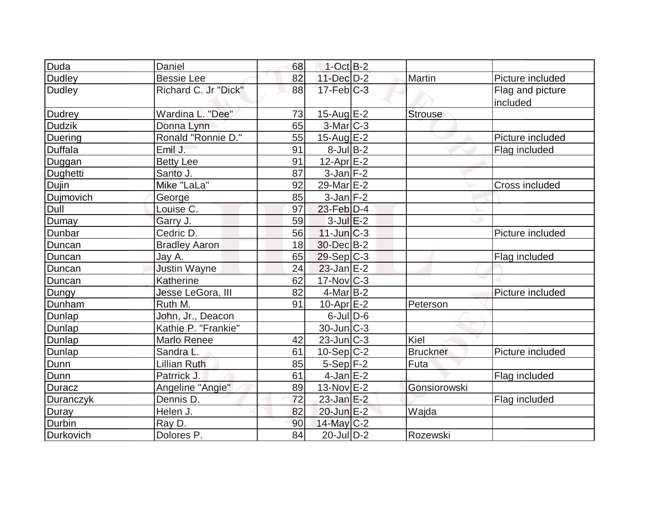| Duda             | Daniel               | 68 | $1-Cct$ B-2             |                 |                       |
|------------------|----------------------|----|-------------------------|-----------------|-----------------------|
| <b>Dudley</b>    | <b>Bessie Lee</b>    | 82 | 11-Dec D-2              | Martin          | Picture included      |
| <b>Dudley</b>    | Richard C. Jr "Dick" | 88 | $17$ -Feb $C-3$         |                 | Flag and picture      |
|                  |                      |    |                         |                 | included              |
| <b>Dudrey</b>    | Wardina L. "Dee"     | 73 | $15$ -Aug E-2           | <b>Strouse</b>  |                       |
| <b>Dudzik</b>    | Donna Lynn           | 65 | $3-Mar$ $C-3$           |                 |                       |
| Duering          | Ronald "Ronnie D."   | 55 | $15$ -Aug E-2           |                 | Picture included      |
| <b>Duffala</b>   | Emil J.              | 91 | $8$ -Jul $B-2$          |                 | Flag included         |
| Duggan           | <b>Betty Lee</b>     | 91 | $12$ -Apr $E-2$         |                 |                       |
| Dughetti         | Santo J.             | 87 | $3$ -Jan $F-2$          |                 |                       |
| Dujin            | Mike "LaLa"          | 92 | 29-Mar <sub>IE</sub> -2 |                 | <b>Cross included</b> |
| Dujmovich        | George               | 85 | $3$ -Jan $ F-2 $        |                 |                       |
| Dull             | Louise C.            | 97 | $23$ -Feb $ D-4$        |                 |                       |
| Dumay            | Garry J.             | 59 | $3$ -Jul $E-2$          |                 |                       |
| Dunbar           | Cedric D.            | 56 | $11$ -Jun $C-3$         |                 | Picture included      |
| Duncan           | <b>Bradley Aaron</b> | 18 | 30-Dec B-2              |                 |                       |
| Duncan           | Jay A.               | 65 | $29-Sep C-3$            |                 | Flag included         |
| Duncan           | <b>Justin Wayne</b>  | 24 | $23$ -Jan $E-2$         |                 |                       |
| Duncan           | Katherine            | 62 | $17$ -Nov $ C-3 $       |                 |                       |
| Dungy            | Jesse LeGora, III    | 82 | $4$ -Mar $ B-2 $        |                 | Picture included      |
| Dunham           | Ruth M.              | 91 | $10$ -Apr $E-2$         | Peterson        |                       |
| Dunlap           | John, Jr., Deacon    |    | $6$ -Jul $D$ -6         |                 |                       |
| Dunlap           | Kathie P. "Frankie"  |    | $30$ -Jun $ C-3 $       |                 |                       |
| Dunlap           | <b>Marlo Renee</b>   | 42 | $23$ -Jun $C-3$         | Kiel            |                       |
| Dunlap           | Sandra L.            | 61 | $10-Sep C-2$            | <b>Bruckner</b> | Picture included      |
| Dunn             | <b>Lillian Ruth</b>  | 85 | $5-Sep$ F-2             | Futa            |                       |
| Dunn             | Patrrick J.          | 61 | $4$ -Jan $E-2$          |                 | Flag included         |
| <b>Duracz</b>    | Angeline "Angie"     | 89 | 13-Nov E-2              | Gonsiorowski    |                       |
| <b>Duranczyk</b> | Dennis D.            | 72 | $23$ -Jan E-2           |                 | Flag included         |
| Duray            | Helen J.             | 82 | 20-Jun E-2              | Wajda           |                       |
| Durbin           | Ray D.               | 90 | $14$ -May C-2           |                 |                       |
| Durkovich        | Dolores P.           | 84 | $20$ -JulD-2            | Rozewski        |                       |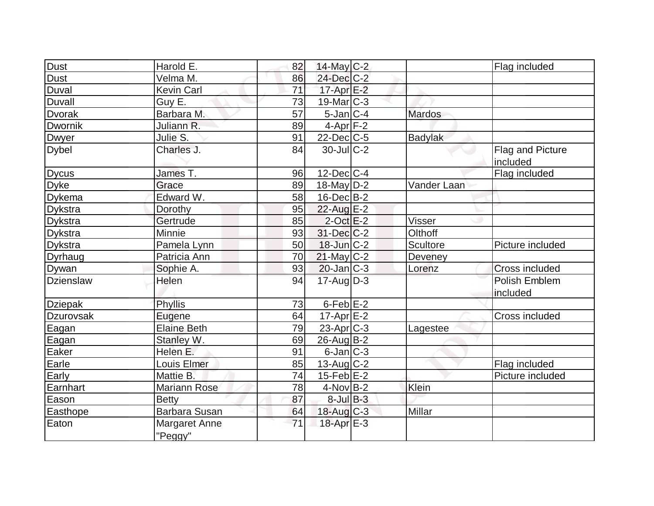| <b>Dust</b>      | Harold E.                | 82 | $14$ -May C-2     |                | Flag included                |
|------------------|--------------------------|----|-------------------|----------------|------------------------------|
| Dust             | Velma M.                 | 86 | 24-Dec C-2        |                |                              |
| Duval            | <b>Kevin Carl</b>        | 71 | $17$ -Apr $E-2$   |                |                              |
| <b>Duvall</b>    | Guy E.                   | 73 | $19$ -Mar $ C-3 $ |                |                              |
| <b>Dvorak</b>    | Barbara M.               | 57 | $5$ -Jan $C-4$    | <b>Mardos</b>  |                              |
| Dwornik          | Juliann R.               | 89 | $4$ -Apr $F-2$    |                |                              |
| <b>Dwyer</b>     | Julie S.                 | 91 | $22$ -Dec $C$ -5  | <b>Badylak</b> |                              |
| <b>Dybel</b>     | Charles J.               | 84 | $30$ -JulC-2      |                | Flag and Picture<br>included |
| <b>Dycus</b>     | James T.                 | 96 | $12$ -Dec $C-4$   |                | Flag included                |
| <b>Dyke</b>      | Grace                    | 89 | 18-May $D-2$      | Vander Laan    |                              |
|                  | Edward W.                |    |                   |                |                              |
| <b>Dykema</b>    |                          | 58 | $16$ -Dec $B-2$   |                |                              |
| <b>Dykstra</b>   | Dorothy                  | 95 | 22-Aug E-2        |                |                              |
| <b>Dykstra</b>   | Gertrude                 | 85 | $2$ -Oct $E-2$    | <b>Visser</b>  |                              |
| <b>Dykstra</b>   | Minnie                   | 93 | $31$ -Dec $C-2$   | Olthoff        |                              |
| Dykstra          | Pamela Lynn              | 50 | $18$ -Jun $C-2$   | Scultore       | Picture included             |
| Dyrhaug          | Patricia Ann             | 70 | $21$ -May C-2     | Deveney        |                              |
| <b>Dywan</b>     | Sophie A.                | 93 | $20$ -Jan $ C-3 $ | Lorenz         | <b>Cross included</b>        |
| <b>Dzienslaw</b> | Helen                    | 94 | $17$ -Aug $D-3$   |                | Polish Emblem<br>included    |
| <b>Dziepak</b>   | Phyllis                  | 73 | $6$ -Feb $E-2$    |                |                              |
| Dzurovsak        | Eugene                   | 64 | $17$ -Apr $E$ -2  |                | Cross included               |
| Eagan            | <b>Elaine Beth</b>       | 79 | $23$ -Apr $ C-3 $ | Lagestee       |                              |
| Eagan            | Stanley W.               | 69 | 26-Aug B-2        |                |                              |
| Eaker            | Helen E.                 | 91 | $6$ -Jan $ C-3 $  |                |                              |
| Earle            | Louis Elmer              | 85 | 13-Aug $C-2$      |                | Flag included                |
| Early            | Mattie B.                | 74 | $15$ -Feb $E-2$   |                | Picture included             |
| Earnhart         | <b>Mariann Rose</b>      | 78 | $4$ -Nov $ B-2 $  | Klein          |                              |
| Eason            | <b>Betty</b>             | 87 | $8$ -Jul $B$ -3   |                |                              |
| Easthope         | <b>Barbara Susan</b>     | 64 | $18$ -Aug $C-3$   | Millar         |                              |
| Eaton            | Margaret Anne<br>"Peggy" | 71 | $18$ -Apr $E-3$   |                |                              |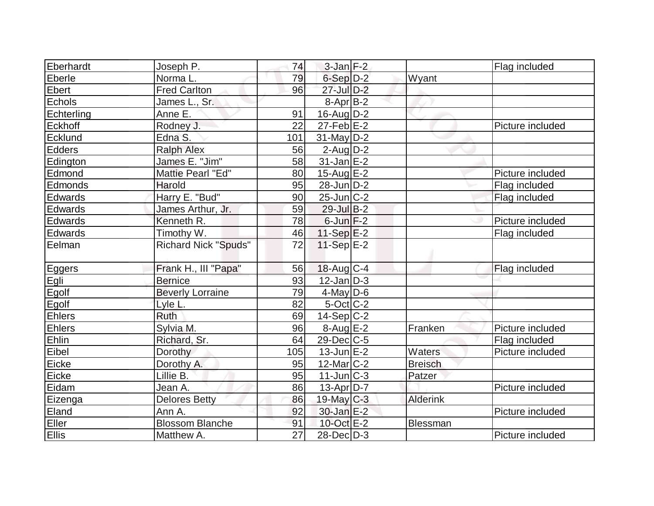| Eberhardt     | Joseph P.                   | 74  | $3$ -Jan $F-2$    |                 | Flag included    |
|---------------|-----------------------------|-----|-------------------|-----------------|------------------|
| Eberle        | Norma L.                    | 79  | $6-Sep D-2$       | Wyant           |                  |
| Ebert         | <b>Fred Carlton</b>         | 96  | 27-Jul D-2        |                 |                  |
| Echols        | James L., Sr.               |     | $8-Apr$ B-2       |                 |                  |
| Echterling    | Anne E.                     | 91  | $16$ -Aug $D-2$   |                 |                  |
| Eckhoff       | Rodney J.                   | 22  | $27$ -Feb $E-2$   |                 | Picture included |
| Ecklund       | Edna S.                     | 101 | 31-May D-2        |                 |                  |
| Edders        | <b>Ralph Alex</b>           | 56  | $2$ -Aug $D-2$    |                 |                  |
| Edington      | James E. "Jim"              | 58  | $31$ -Jan $E-2$   |                 |                  |
| Edmond        | Mattie Pearl "Ed"           | 80  | $15$ -Aug $E-2$   |                 | Picture included |
| Edmonds       | Harold                      | 95  | $28$ -Jun $D-2$   |                 | Flag included    |
| Edwards       | Harry E. "Bud"              | 90  | $25$ -Jun $ C-2 $ |                 | Flag included    |
| Edwards       | James Arthur, Jr.           | 59  | 29-Jul B-2        |                 |                  |
| Edwards       | Kenneth R.                  | 78  | $6$ -Jun $F-2$    |                 | Picture included |
| Edwards       | Timothy W.                  | 46  | 11-Sep $E-2$      |                 | Flag included    |
| Eelman        | <b>Richard Nick "Spuds"</b> | 72  | 11-Sep $E-2$      |                 |                  |
| Eggers        | Frank H., III "Papa"        | 56  | $18$ -Aug $C-4$   |                 | Flag included    |
| Egli<br>Egolf | <b>Bernice</b>              | 93  | $12$ -Jan $D-3$   |                 |                  |
|               | <b>Beverly Lorraine</b>     | 79  | $4$ -May D-6      |                 |                  |
| Egolf         | Lyle L.                     | 82  | $5$ -Oct $ C-2 $  |                 |                  |
| Ehlers        | <b>Ruth</b>                 | 69  | $14-Sep C-2$      |                 |                  |
| Ehlers        | Sylvia M.                   | 96  | $8-Aug$ $E-2$     | Franken         | Picture included |
| Ehlin         | Richard, Sr.                | 64  | $29$ -Dec $C$ -5  |                 | Flag included    |
| Eibel         | Dorothy                     | 105 | $13$ -Jun $E-2$   | Waters          | Picture included |
| Eicke         | Dorothy A.                  | 95  | $12$ -Mar $ C-2 $ | <b>Breisch</b>  |                  |
| Eicke         | Lillie B.                   | 95  | $11$ -Jun $C-3$   | Patzer          |                  |
| Eidam         | Jean A.                     | 86  | $13$ -Apr $ D-7 $ |                 | Picture included |
| Eizenga       | <b>Delores Betty</b>        | 86  | 19-May C-3        | <b>Alderink</b> |                  |
| Eland         | Ann A.                      | 92  | 30-Jan E-2        |                 | Picture included |
| Eller         | <b>Blossom Blanche</b>      | 91  | 10-Oct E-2        | Blessman        |                  |
| <b>Ellis</b>  | Matthew A.                  | 27  | 28-Dec D-3        |                 | Picture included |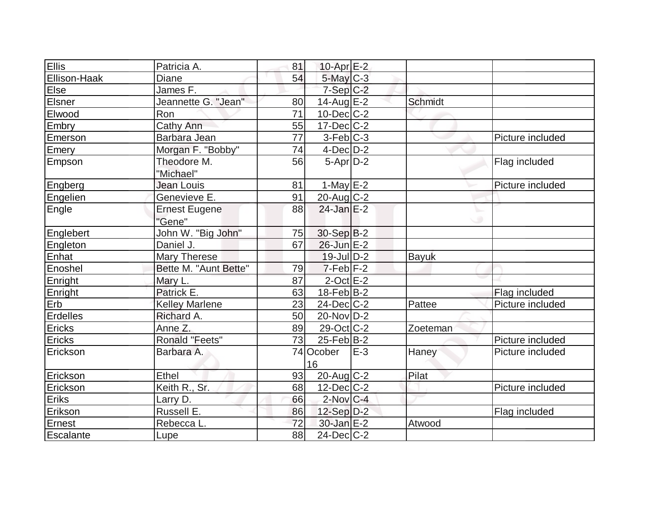| <b>Ellis</b>    | Patricia A.           | 81 | $10$ -Apr $E-2$   |       |                |                  |
|-----------------|-----------------------|----|-------------------|-------|----------------|------------------|
| Ellison-Haak    | Diane                 | 54 | 5-May C-3         |       |                |                  |
| Eise            | James F.              |    | $7-Sep$ $C-2$     |       |                |                  |
| Elsner          | Jeannette G. "Jean"   | 80 | $14$ -Aug $E-2$   |       | <b>Schmidt</b> |                  |
| Elwood          | Ron                   | 71 | $10$ -Dec $C$ -2  |       |                |                  |
| Embry           | Cathy Ann             | 55 | $17 - Dec$ $C-2$  |       |                |                  |
| Emerson         | Barbara Jean          | 77 | $3-Feb C-3$       |       |                | Picture included |
| Emery           | Morgan F. "Bobby"     | 74 | $4$ -Dec $D-2$    |       |                |                  |
| Empson          | Theodore M.           | 56 | $5-Apr D-2$       |       |                | Flag included    |
|                 | "Michael"             |    |                   |       |                |                  |
| Engberg         | Jean Louis            | 81 | $1-May$ $E-2$     |       |                | Picture included |
| Engelien        | Genevieve E.          | 91 | $20$ -Aug $C-2$   |       |                |                  |
| Engle           | <b>Ernest Eugene</b>  | 88 | $24$ -Jan E-2     |       |                |                  |
|                 | "Gene"                |    |                   |       |                |                  |
| Englebert       | John W. "Big John"    | 75 | 30-Sep B-2        |       |                |                  |
| Engleton        | Daniel J.             | 67 | $26$ -Jun $E-2$   |       |                |                  |
| Enhat           | Mary Therese          |    | $19$ -Jul $D-2$   |       | <b>Bayuk</b>   |                  |
| Enoshel         | Bette M. "Aunt Bette" | 79 | $7-Feb$ $F-2$     |       |                |                  |
| Enright         | Mary L.               | 87 | $2$ -Oct $E-2$    |       |                |                  |
| Enright         | Patrick E.            | 63 | $18$ -Feb $B-2$   |       |                | Flag included    |
| Erb             | <b>Kelley Marlene</b> | 23 | $24$ -Dec $C$ -2  |       | Pattee         | Picture included |
| Erdelles        | Richard A.            | 50 | $20$ -Nov $D-2$   |       |                |                  |
| Ericks          | Anne Z.               | 89 | $29$ -Oct C-2     |       | Zoeteman       |                  |
| Ericks          | <b>Ronald "Feets"</b> | 73 | $25$ -Feb $ B-2 $ |       |                | Picture included |
| Erickson        | Barbara A.            |    | 74 Ocober         | $E-3$ | Haney          | Picture included |
|                 |                       |    | 16                |       |                |                  |
| Erickson        | Ethel                 | 93 | $20$ -Aug C-2     |       | Pilat          |                  |
| <b>Erickson</b> | Keith R., Sr.         | 68 | $12$ -Dec $ C-2 $ |       |                | Picture included |
| Eriks           | Larry D.              | 66 | $2$ -Nov $ C-4 $  |       |                |                  |
| Erikson         | Russell E.            | 86 | $12-Sep D-2$      |       |                | Flag included    |
| Ernest          | Rebecca L.            | 72 | $30$ -Jan E-2     |       | Atwood         |                  |
| Escalante       | Lupe                  | 88 | $24$ -Dec $C$ -2  |       |                |                  |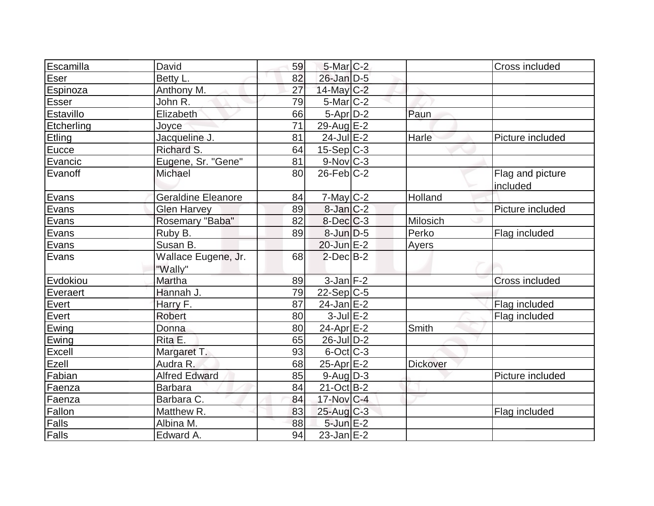| Escamilla     | David                     | 59 | $5$ -Mar $C-2$   |                 | Cross included   |
|---------------|---------------------------|----|------------------|-----------------|------------------|
| Eser          | Betty L.                  | 82 | $26$ -Jan D-5    |                 |                  |
| Espinoza      | Anthony M.                | 27 | 14-May C-2       |                 |                  |
| <b>Esser</b>  | John R.                   | 79 | $5$ -Mar $ C-2 $ |                 |                  |
| Estavillo     | Elizabeth                 | 66 | $5-Apr$ D-2      | Paun            |                  |
| Etcherling    | Joyce                     | 71 | $29$ -Aug $E-2$  |                 |                  |
| <b>Etling</b> | Jacqueline J.             | 81 | $24$ -Jul $E-2$  | Harle           | Picture included |
| Eucce         | Richard S.                | 64 | $15-Sep C-3$     |                 |                  |
| Evancic       | Eugene, Sr. "Gene"        | 81 | $9-Nov$ $C-3$    |                 |                  |
| Evanoff       | Michael                   | 80 | $26$ -Feb $C-2$  |                 | Flag and picture |
|               |                           |    |                  |                 | included         |
| Evans         | <b>Geraldine Eleanore</b> | 84 | $7$ -May $C-2$   | Holland         |                  |
| Evans         | <b>Glen Harvey</b>        | 89 | $8$ -Jan $C-2$   |                 | Picture included |
| Evans         | Rosemary "Baba"           | 82 | $8$ -Dec $C-3$   | Milosich        |                  |
| Evans         | Ruby B.                   | 89 | $8$ -Jun $D-5$   | Perko           | Flag included    |
| Evans         | Susan B.                  |    | $20$ -Jun $E-2$  | Ayers           |                  |
| Evans         | Wallace Eugene, Jr.       | 68 | $2$ -Dec $B-2$   |                 |                  |
|               | "Wally"                   |    |                  |                 |                  |
| Evdokiou      | Martha                    | 89 | $3$ -Jan $F-2$   |                 | Cross included   |
| Everaert      | Hannah J.                 | 79 | $22-Sep C-5$     |                 |                  |
| Evert         | Harry F.                  | 87 | $24$ -Jan $E-2$  |                 | Flag included    |
| Evert         | Robert                    | 80 | $3$ -Jul $E-2$   |                 | Flag included    |
| Ewing         | Donna                     | 80 | $24$ -Apr $E$ -2 | Smith           |                  |
| Ewing         | Rita E.                   | 65 | $26$ -JulD-2     |                 |                  |
| Excell        | Margaret T.               | 93 | $6$ -Oct $C$ -3  |                 |                  |
| Ezell         | Audra R.                  | 68 | 25-Apr E-2       | <b>Dickover</b> |                  |
| Fabian        | <b>Alfred Edward</b>      | 85 | $9$ -Aug $D-3$   |                 | Picture included |
| Faenza        | Barbara                   | 84 | $21-Oct$ B-2     |                 |                  |
| Faenza        | Barbara C.                | 84 | 17-Nov C-4       |                 |                  |
| Fallon        | Matthew R.                | 83 | $25$ -Aug $C-3$  |                 | Flag included    |
| Falls         | Albina M.                 | 88 | $5$ -Jun $E-2$   |                 |                  |
| Falls         | Edward A.                 | 94 | $23$ -Jan $E-2$  |                 |                  |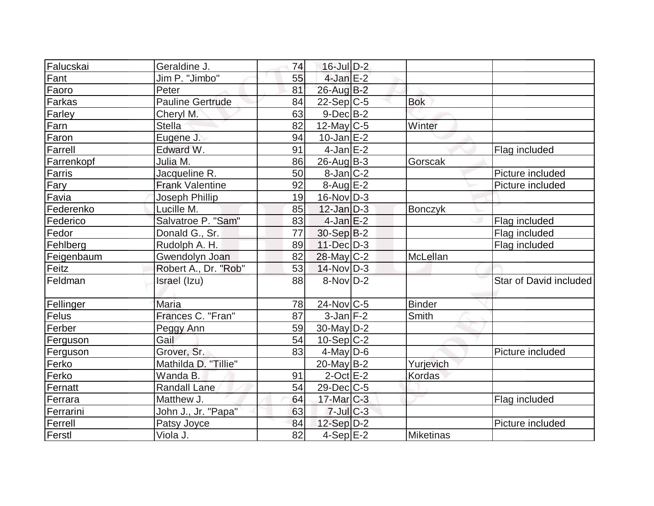| Falucskai  | Geraldine J.            | 74 | $16$ -Jul $D-2$   |                |                        |
|------------|-------------------------|----|-------------------|----------------|------------------------|
| Fant       | Jim P. "Jimbo"          | 55 | $4$ -Jan $E-2$    |                |                        |
| Faoro      | Peter                   | 81 | 26-Aug B-2        |                |                        |
| Farkas     | <b>Pauline Gertrude</b> | 84 | $22-Sep C-5$      | <b>Bok</b>     |                        |
| Farley     | Cheryl M.               | 63 | $9$ -Dec $B$ -2   |                |                        |
| Farn       | <b>Stella</b>           | 82 | $12$ -May C-5     | Winter         |                        |
| Faron      | Eugene J.               | 94 | $10$ -Jan $ E-2 $ |                |                        |
| Farrell    | Edward W.               | 91 | 4-Jan $E-2$       |                | Flag included          |
| Farrenkopf | Julia M.                | 86 | $26$ -Aug $B-3$   | Gorscak        |                        |
| Farris     | Jacqueline R.           | 50 | $8$ -Jan $ C-2 $  |                | Picture included       |
| Fary       | <b>Frank Valentine</b>  | 92 | $8-Aug$ $E-2$     |                | Picture included       |
| Favia      | Joseph Phillip          | 19 | $16$ -Nov $ D-3 $ |                |                        |
| Federenko  | Lucille M.              | 85 | $12$ -Jan $D-3$   | <b>Bonczyk</b> |                        |
| Federico   | Salvatroe P. "Sam"      | 83 | $4$ -Jan $E-2$    |                | Flag included          |
| Fedor      | Donald G., Sr.          | 77 | $30-Sep B-2$      |                | Flag included          |
| Fehlberg   | Rudolph A. H.           | 89 | 11-Dec D-3        |                | Flag included          |
| Feigenbaum | Gwendolyn Joan          | 82 | $28$ -May C-2     | McLellan       |                        |
| Feitz      | Robert A., Dr. "Rob"    | 53 | $14$ -Nov $ D-3 $ |                |                        |
| Feldman    | Israel (Izu)            | 88 | 8-Nov D-2         |                | Star of David included |
| Fellinger  | Maria                   | 78 | $24$ -Nov $ C-5 $ | Binder         |                        |
| Felus      | Frances C. "Fran"       | 87 | $3$ -Jan $F-2$    | Smith          |                        |
| Ferber     | Peggy Ann               | 59 | $30$ -May $D-2$   |                |                        |
| Ferguson   | Gail                    | 54 | $10-Sep C-2$      |                |                        |
| Ferguson   | Grover, Sr.             | 83 | $4$ -May D-6      |                | Picture included       |
| Ferko      | Mathilda D. "Tillie"    |    | 20-May B-2        | Yurjevich      |                        |
| Ferko      | Wanda B.                | 91 | $2$ -Oct $E-2$    | Kordas         |                        |
| Fernatt    | <b>Randall Lane</b>     | 54 | $29$ -Dec $C$ -5  |                |                        |
| Ferrara    | Matthew J.              | 64 | $17$ -Mar $C-3$   |                | Flag included          |
| Ferrarini  | John J., Jr. "Papa"     | 63 | $7$ -Jul $C-3$    |                |                        |
| Ferrell    | Patsy Joyce             | 84 | $12-Sep D-2$      |                | Picture included       |
| Ferstl     | Viola J.                | 82 | $4-Sep$ $E-2$     | Miketinas      |                        |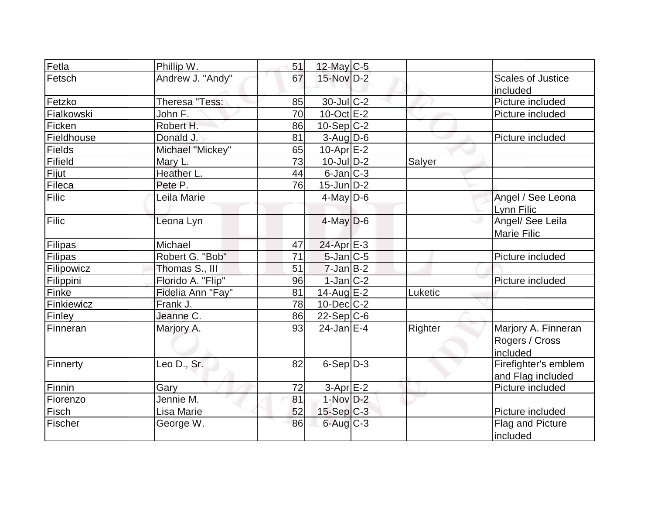| Fetla         | Phillip W.        | 51 | $12$ -May C-5     |         |                          |
|---------------|-------------------|----|-------------------|---------|--------------------------|
| Fetsch        | Andrew J. "Andy"  | 67 | $15$ -Nov $D-2$   |         | <b>Scales of Justice</b> |
|               |                   |    |                   |         | included                 |
| Fetzko        | Theresa "Tess:    | 85 | 30-Jul C-2        |         | Picture included         |
| Fialkowski    | John F.           | 70 | $10$ -Oct $E-2$   |         | Picture included         |
| Ficken        | Robert H.         | 86 | $10-Sep C-2$      |         |                          |
| Fieldhouse    | Donald J.         | 81 | $3$ -Aug D-6      |         | Picture included         |
| <b>Fields</b> | Michael "Mickey"  | 65 | $10-Apr$ $E-2$    |         |                          |
| Fifield       | Mary L.           | 73 | $10$ -Jul $D-2$   | Salyer  |                          |
| Fijut         | Heather L.        | 44 | $6$ -Jan $ C-3 $  |         |                          |
| Fileca        | Pete P.           | 76 | $15$ -Jun $D-2$   |         |                          |
| Filic         | Leila Marie       |    | $4$ -May D-6      |         | Angel / See Leona        |
|               |                   |    |                   |         | Lynn Filic               |
| Filic         | Leona Lyn         |    | $4$ -May $D$ -6   |         | Angel/ See Leila         |
|               |                   |    |                   |         | Marie Filic              |
| Filipas       | Michael           | 47 | $24$ -Apr $E-3$   |         |                          |
| Filipas       | Robert G. "Bob"   | 71 | $5$ -Jan $ C$ -5  |         | Picture included         |
| Filipowicz    | Thomas S., III    | 51 | $7$ -Jan $B-2$    |         |                          |
| Filippini     | Florido A. "Flip" | 96 | $1-Jan C-2$       |         | Picture included         |
| Finke         | Fidelia Ann "Fay" | 81 | 14-Aug $E-2$      | Luketic |                          |
| Finkiewicz    | Frank J.          | 78 | $10$ -Dec $ C-2 $ |         |                          |
| Finley        | Jeanne C.         | 86 | $22-Sep C-6$      |         |                          |
| Finneran      | Marjory A.        | 93 | $24$ -Jan $ E-4 $ | Righter | Marjory A. Finneran      |
|               |                   |    |                   |         | Rogers / Cross           |
|               |                   |    |                   |         | included                 |
| Finnerty      | Leo D., Sr.       | 82 | $6-Sep D-3$       |         | Firefighter's emblem     |
|               |                   |    |                   |         | and Flag included        |
| Finnin        | Garv              | 72 | $3$ -Apr $E-2$    |         | Picture included         |
| Fiorenzo      | Jennie M.         | 81 | 1-Nov D-2         |         |                          |
| Fisch         | Lisa Marie        | 52 | $15-Sep$ C-3      |         | Picture included         |
| Fischer       | George W.         | 86 | $6$ -Aug $C$ -3   |         | Flag and Picture         |
|               |                   |    |                   |         | included                 |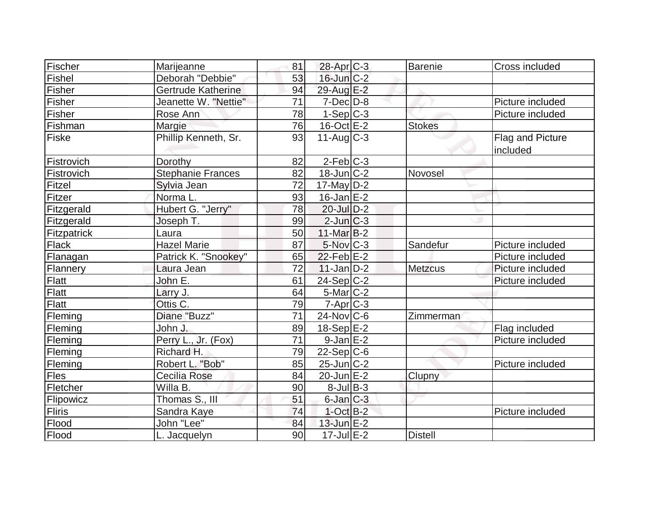| Fischer            | Marijeanne                | 81              | $28$ -Apr $C-3$   | Barenie        | Cross included               |
|--------------------|---------------------------|-----------------|-------------------|----------------|------------------------------|
| <b>Fishel</b>      | Deborah "Debbie"          | 53              | $16$ -Jun $C-2$   |                |                              |
| Fisher             | <b>Gertrude Katherine</b> | 94              | 29-Aug E-2        |                |                              |
| Fisher             | Jeanette W. "Nettie"      | 71              | $7$ -Dec $D-8$    |                | Picture included             |
| Fisher             | Rose Ann                  | 78              | $1-Sep C-3$       |                | Picture included             |
| Fishman            | Margie                    | 76              | $16$ -Oct $E-2$   | <b>Stokes</b>  |                              |
| Fiske              | Phillip Kenneth, Sr.      | 93              | $11-Aug$ $C-3$    |                | Flag and Picture<br>included |
| Fistrovich         | Dorothy                   | 82              | $2-Feb$ C-3       |                |                              |
| Fistrovich         | <b>Stephanie Frances</b>  | 82              | $18$ -Jun $C-2$   | Novosel        |                              |
| Fitzel             | Sylvia Jean               | 72              | $17$ -May D-2     |                |                              |
| Fitzer             | Norma L.                  | 93              | $16$ -Jan $E-2$   |                |                              |
| Fitzgerald         | Hubert G. "Jerry"         | 78              | $20$ -Jul $D-2$   |                |                              |
| Fitzgerald         | Joseph T.                 | 99              | $2$ -Jun $ C-3 $  |                |                              |
| <b>Fitzpatrick</b> | Laura                     | 50              | $11-Mar$ B-2      |                |                              |
| Flack              | <b>Hazel Marie</b>        | 87              | 5-Nov C-3         | Sandefur       | Picture included             |
| Flanagan           | Patrick K. "Snookey"      | 65              | $22$ -Feb $E-2$   |                | Picture included             |
| Flannery           | Laura Jean                | 72              | $11$ -Jan D-2     | <b>Metzcus</b> | Picture included             |
| Flatt              | John E.                   | 61              | 24-Sep C-2        |                | Picture included             |
| Flatt              | Larry J.                  | 64              | $5$ -Mar $C-2$    |                |                              |
| Flatt              | Ottis C.                  | 79              | $7 - Apr$ $C - 3$ |                |                              |
| Fleming            | Diane "Buzz"              | $\overline{71}$ | $24$ -Nov $ C-6$  | Zimmerman      |                              |
| Fleming            | John J.                   | 89              | $18-Sep$ E-2      |                | Flag included                |
| Fleming            | Perry L., Jr. (Fox)       | 71              | $9$ -Jan $E-2$    |                | Picture included             |
| Fleming            | Richard H.                | 79              | $22-Sep C-6$      |                |                              |
| Fleming            | Robert L. "Bob"           | 85              | $25$ -Jun $ C-2 $ |                | Picture included             |
| Fles               | <b>Cecilia Rose</b>       | 84              | $20$ -Jun $E-2$   | Clupny         |                              |
| Fletcher           | Willa B.                  | 90              | $8$ -Jul B-3      |                |                              |
| Flipowicz          | Thomas S., III            | 51              | $6$ -Jan $C-3$    |                |                              |
| <b>Fliris</b>      | Sandra Kaye               | 74              | $1$ -Oct $B-2$    |                | Picture included             |
| Flood              | John "Lee"                | 84              | 13-Jun E-2        |                |                              |
| Flood              | L. Jacquelyn              | 90              | $17$ -Jul $E-2$   | <b>Distell</b> |                              |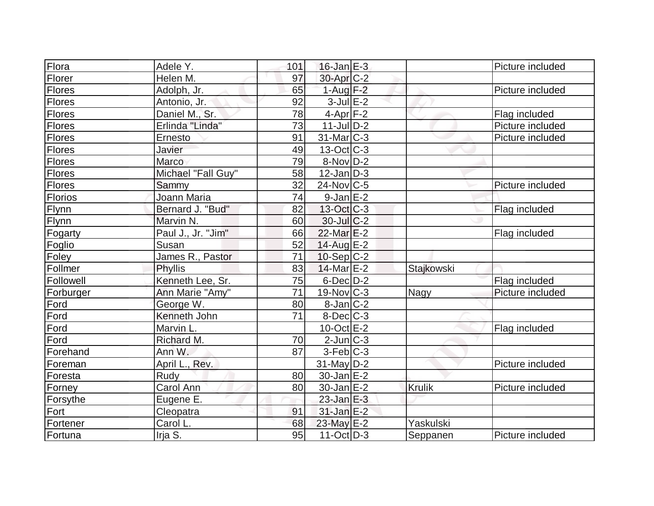| Flora          | Adele Y.           | 101             | $16$ -Jan $E-3$       |               | Picture included |
|----------------|--------------------|-----------------|-----------------------|---------------|------------------|
| Florer         | Helen M.           | 97              | 30-Apr <sub>C-2</sub> |               |                  |
| <b>Flores</b>  | Adolph, Jr.        | 65              | $1-Aug$ F-2           |               | Picture included |
| <b>Flores</b>  | Antonio, Jr.       | 92              | $3$ -Jul $E-2$        |               |                  |
| <b>Flores</b>  | Daniel M., Sr.     | 78              | $4-Apr$ F-2           |               | Flag included    |
| Flores         | Erlinda "Linda"    | 73              | $11$ -Jul $D-2$       |               | Picture included |
| Flores         | Ernesto            | 91              | $31$ -Mar $ C-3 $     |               | Picture included |
| Flores         | Javier             | 49              | $13-Oct$ $C-3$        |               |                  |
| Flores         | Marco              | 79              | $8-Nov D-2$           |               |                  |
| <b>Flores</b>  | Michael "Fall Guy" | 58              | $12$ -Jan $D-3$       |               |                  |
| <b>Flores</b>  | Sammy              | 32              | $24$ -Nov $ C-5$      |               | Picture included |
| <b>Florios</b> | Joann Maria        | 74              | $9$ -Jan $E-2$        |               |                  |
| Flynn          | Bernard J. "Bud"   | 82              | $13-Oct$ $C-3$        |               | Flag included    |
| Flynn          | Marvin N.          | 60              | $30$ -Jul $C-2$       |               |                  |
| Fogarty        | Paul J., Jr. "Jim" | 66              | 22-Mar E-2            |               | Flag included    |
| Foglio         | Susan              | 52              | 14-Aug E-2            |               |                  |
| Foley          | James R., Pastor   | 71              | $10-Sep C-2$          |               |                  |
| Follmer        | Phyllis            | 83              | 14-Mar E-2            | Stajkowski    |                  |
| Followell      | Kenneth Lee, Sr.   | 75              | 6-Dec D-2             |               | Flag included    |
| Forburger      | Ann Marie "Amy"    | $\overline{71}$ | 19-Nov C-3            | Nagy          | Picture included |
| Ford           | George W.          | 80              | $8$ -Jan $ C-2 $      |               |                  |
| Ford           | Kenneth John       | 71              | $8$ -Dec $C$ -3       |               |                  |
| Ford           | Marvin L.          |                 | $10$ -Oct $E - 2$     |               | Flag included    |
| Ford           | Richard M.         | 70              | $2$ -Jun $ C-3 $      |               |                  |
| Forehand       | Ann W.             | 87              | $3-Feb C-3$           |               |                  |
| Foreman        | April L., Rev.     |                 | $31$ -May D-2         |               | Picture included |
| Foresta        | Rudy               | 80              | $30$ -Jan $E-2$       |               |                  |
| Forney         | Carol Ann          | 80              | $30$ -Jan $E-2$       | <b>Krulik</b> | Picture included |
| Forsythe       | Eugene E.          |                 | $23$ -Jan $E-3$       |               |                  |
| Fort           | Cleopatra          | 91              | $31$ -Jan $E-2$       |               |                  |
| Fortener       | Carol L.           | 68              | 23-May E-2            | Yaskulski     |                  |
| Fortuna        | Irja S.            | 95              | $11-Oct$ D-3          | Seppanen      | Picture included |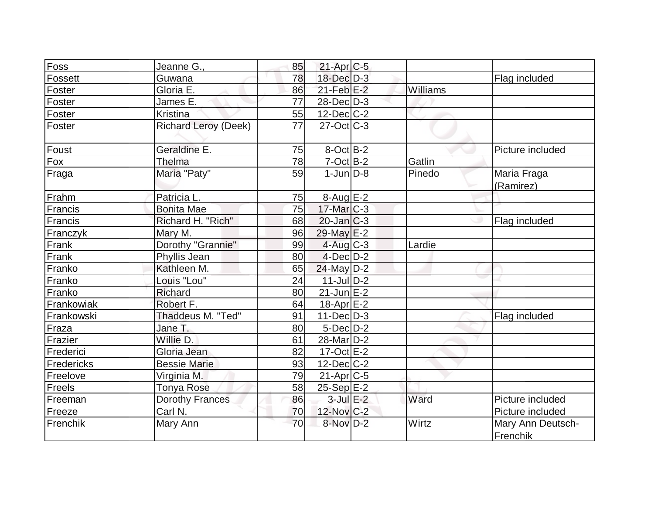| Foss       | Jeanne G.,                  | 85 | $21-Apr$ $C-5$         |          |                               |
|------------|-----------------------------|----|------------------------|----------|-------------------------------|
| Fossett    | Guwana                      | 78 | 18-Dec D-3             |          | Flag included                 |
| Foster     | Gloria E.                   | 86 | $21$ -Feb $E-2$        | Williams |                               |
| Foster     | James E.                    | 77 | $28$ -Dec $D-3$        |          |                               |
| Foster     | <b>Kristina</b>             | 55 | $12$ -Dec $C$ -2       |          |                               |
| Foster     | <b>Richard Leroy (Deek)</b> | 77 | $27$ -Oct $ C-3 $      |          |                               |
| Foust      | Geraldine E.                | 75 | $8$ -Oct $B-2$         |          | Picture included              |
| Fox        | Thelma                      | 78 | $7-Oct$ $B-2$          | Gatlin   |                               |
| Fraga      | Maria "Paty"                | 59 | $1$ -Jun $D-8$         | Pinedo   | Maria Fraga<br>(Ramirez)      |
| Frahm      | Patricia L.                 | 75 | $8-Aug$ $E-2$          |          |                               |
| Francis    | <b>Bonita Mae</b>           | 75 | $17$ -Mar $C-3$        |          |                               |
| Francis    | Richard H. "Rich"           | 68 | $20$ -Jan $C-3$        |          | Flag included                 |
| Franczyk   | Mary M.                     | 96 | 29-May E-2             |          |                               |
| Frank      | Dorothy "Grannie"           | 99 | 4-Aug C-3              | Lardie   |                               |
| Frank      | Phyllis Jean                | 80 | $4$ -Dec $D-2$         |          |                               |
| Franko     | Kathleen M.                 | 65 | 24-May D-2             |          |                               |
| Franko     | Louis "Lou"                 | 24 | $11$ -Jul $D-2$        |          |                               |
| Franko     | Richard                     | 80 | $21$ -Jun $E-2$        |          |                               |
| Frankowiak | Robert F.                   | 64 | $18-Apr$ $E-2$         |          |                               |
| Frankowski | Thaddeus M. "Ted"           | 91 | $11-Dec$ D-3           |          | Flag included                 |
| Fraza      | Jane T.                     | 80 | $5$ -Dec $D-2$         |          |                               |
| Frazier    | Willie D.                   | 61 | 28-Mar <sub>D</sub> -2 |          |                               |
| Frederici  | Gloria Jean                 | 82 | $17-Oct$ $E-2$         |          |                               |
| Fredericks | <b>Bessie Marie</b>         | 93 | $12$ -Dec $ C-2 $      |          |                               |
| Freelove   | Virginia M.                 | 79 | $21-Apr$ $C-5$         |          |                               |
| Freels     | <b>Tonya Rose</b>           | 58 | $25-Sep$ $E-2$         |          |                               |
| Freeman    | <b>Dorothy Frances</b>      | 86 | $3$ -Jul $E-2$         | Ward     | Picture included              |
| Freeze     | Carl N.                     | 70 | 12-Nov C-2             |          | Picture included              |
| Frenchik   | Mary Ann                    | 70 | 8-Nov D-2              | Wirtz    | Mary Ann Deutsch-<br>Frenchik |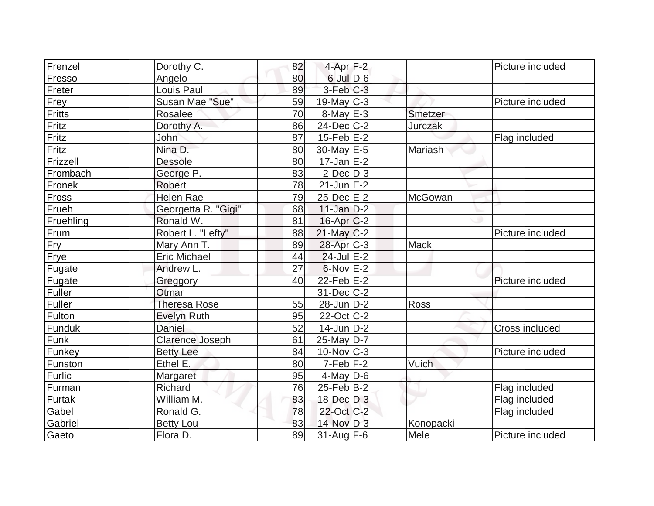| Frenzel   | Dorothy C.             | 82 | 4-Apr <sub>F-2</sub>  |           | Picture included      |
|-----------|------------------------|----|-----------------------|-----------|-----------------------|
| Fresso    | Angelo                 | 80 | $6$ -Jul $D$ -6       |           |                       |
| Freter    | Louis Paul             | 89 | $3-Feb$ $C-3$         |           |                       |
| Frey      | Susan Mae "Sue"        | 59 | $19$ -May C-3         |           | Picture included      |
| Fritts    | Rosalee                | 70 | $8$ -May $E - 3$      | Smetzer   |                       |
| Fritz     | Dorothy A.             | 86 | $24$ -Dec $C-2$       | Jurczak   |                       |
| Fritz     | John                   | 87 | $15$ -Feb $E-2$       |           | Flag included         |
| Fritz     | Nina D.                | 80 | 30-May $E-5$          | Mariash   |                       |
| Frizzell  | <b>Dessole</b>         | 80 | $17 - Jan \, E - 2$   |           |                       |
| Frombach  | George P.              | 83 | $2$ -Dec $D-3$        |           |                       |
| Fronek    | <b>Robert</b>          | 78 | $21$ -Jun $E-2$       |           |                       |
| Fross     | <b>Helen Rae</b>       | 79 | $25$ -Dec $E-2$       | McGowan   |                       |
| Frueh     | Georgetta R. "Gigi"    | 68 | $11$ -Jan $D-2$       |           |                       |
| Fruehling | Ronald W.              | 81 | $16$ -Apr $ C$ -2     |           |                       |
| Frum      | Robert L. "Lefty"      | 88 | $21$ -May $ C-2 $     |           | Picture included      |
| Fry       | Mary Ann T.            | 89 | 28-Apr <sub>C-3</sub> | Mack      |                       |
| Frye      | <b>Eric Michael</b>    | 44 | $24$ -Jul $E-2$       |           |                       |
| Fugate    | Andrew L.              | 27 | $6$ -Nov $E-2$        |           |                       |
| Fugate    | Greggory               | 40 | $22$ -Feb $E-2$       |           | Picture included      |
| Fuller    | Otmar                  |    | $31$ -Dec $C-2$       |           |                       |
| Fuller    | <b>Theresa Rose</b>    | 55 | $28$ -Jun $D-2$       | Ross      |                       |
| Fulton    | <b>Evelyn Ruth</b>     | 95 | $22$ -Oct C-2         |           |                       |
| Funduk    | <b>Daniel</b>          | 52 | $14$ -Jun $D-2$       |           | <b>Cross included</b> |
| Funk      | <b>Clarence Joseph</b> | 61 | 25-May D-7            |           |                       |
| Funkey    | <b>Betty Lee</b>       | 84 | $10$ -Nov $ C-3 $     |           | Picture included      |
| Funston   | Ethel E.               | 80 | $7-Feb$ $F-2$         | Vuich     |                       |
| Furlic    | Margaret               | 95 | $4$ -May D-6          |           |                       |
| Furman    | Richard                | 76 | $25$ -Feb $ B-2 $     |           | Flag included         |
| Furtak    | William M.             | 83 | 18-Dec D-3            |           | Flag included         |
| Gabel     | Ronald G.              | 78 | 22-Oct C-2            |           | Flag included         |
| Gabriel   | <b>Betty Lou</b>       | 83 | 14-Nov D-3            | Konopacki |                       |
| Gaeto     | Flora D.               | 89 | $31$ -Aug F-6         | Mele      | Picture included      |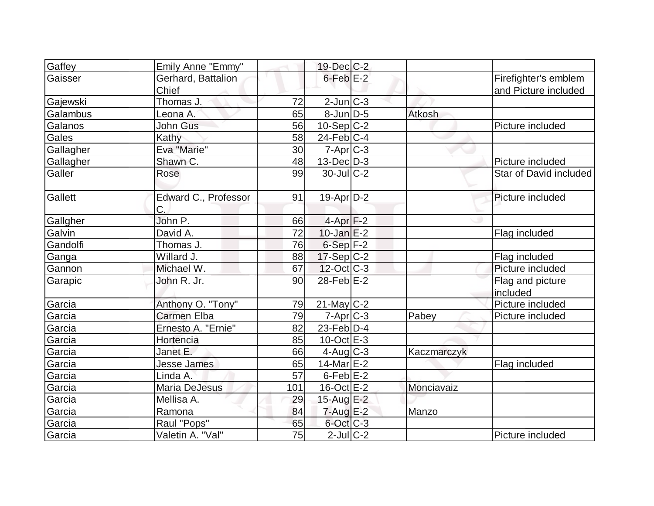| Gaffey    | Emily Anne "Emmy"          |     | $19$ -Dec $C$ -2  |               |                              |
|-----------|----------------------------|-----|-------------------|---------------|------------------------------|
| Gaisser   | Gerhard, Battalion         |     | $6$ -Feb $E-2$    |               | Firefighter's emblem         |
|           | Chief                      |     |                   |               | and Picture included         |
| Gajewski  | Thomas J.                  | 72  | $2$ -Jun $ C-3 $  |               |                              |
| Galambus  | Leona A.                   | 65  | $8$ -JunD-5       | <b>Atkosh</b> |                              |
| Galanos   | <b>John Gus</b>            | 56  | $10-Sep C-2$      |               | Picture included             |
| Gales     | Kathy                      | 58  | $24$ -Feb $ C-4$  |               |                              |
| Gallagher | Eva "Marie"                | 30  | $7 - Apr$ $C - 3$ |               |                              |
| Gallagher | Shawn C.                   | 48  | $13$ -Dec $D-3$   |               | Picture included             |
| Galler    | Rose                       | 99  | $30$ -JulC-2      |               | Star of David included       |
| Gallett   | Edward C., Professor<br>C. | 91  | $19-Apr D-2$      |               | Picture included             |
| Gallgher  | John P.                    | 66  | $4$ -Apr $F-2$    |               |                              |
| Galvin    | David A.                   | 72  | $10$ -Jan $E-2$   |               | Flag included                |
| Gandolfi  | Thomas J.                  | 76  | $6-Sep$ $F-2$     |               |                              |
| Ganga     | Willard J.                 | 88  | $17-Sep C-2$      |               | Flag included                |
| Gannon    | Michael W.                 | 67  | $12$ -Oct C-3     |               | Picture included             |
| Garapic   | John R. Jr.                | 90  | $28$ -Feb $E-2$   |               | Flag and picture<br>included |
| Garcia    | Anthony O. "Tony"          | 79  | $21$ -May C-2     |               | Picture included             |
| Garcia    | <b>Carmen Elba</b>         | 79  | $7 - Apr$ $C - 3$ | Pabey         | Picture included             |
| Garcia    | Ernesto A. "Ernie"         | 82  | $23$ -Feb $ D-4$  |               |                              |
| Garcia    | Hortencia                  | 85  | $10$ -Oct $E - 3$ |               |                              |
| Garcia    | Janet E.                   | 66  | $4$ -Aug C-3      | Kaczmarczyk   |                              |
| Garcia    | Jesse James                | 65  | 14-Mar E-2        |               | Flag included                |
| Garcia    | Linda A.                   | 57  | $6$ -Feb $E-2$    |               |                              |
| Garcia    | Maria DeJesus              | 101 | $16$ -Oct $E - 2$ | Monciavaiz    |                              |
| Garcia    | Mellisa A.                 | 29  | 15-Aug E-2        |               |                              |
| Garcia    | Ramona                     | 84  | $7 - Aug$ $E - 2$ | Manzo         |                              |
| Garcia    | Raul "Pops"                | 65  | $6$ -Oct $C$ -3   |               |                              |
| Garcia    | Valetin A. "Val"           | 75  | $2$ -Jul $ C-2 $  |               | Picture included             |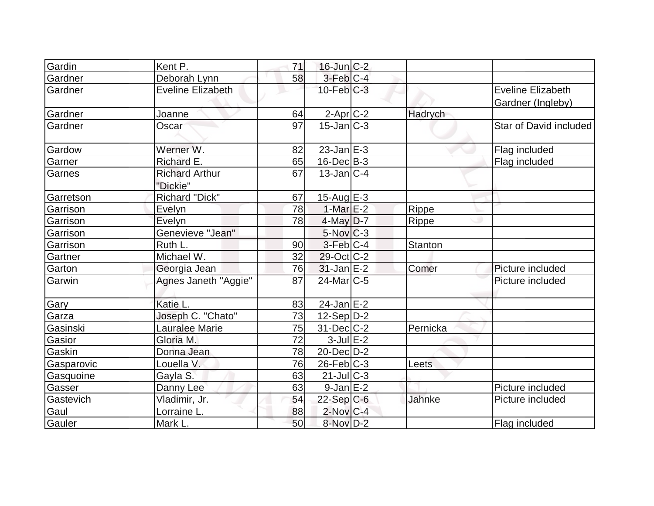| Gardin     | Kent P.                           | 71 | $16$ -Jun $C-2$   |               |                                               |
|------------|-----------------------------------|----|-------------------|---------------|-----------------------------------------------|
| Gardner    | Deborah Lynn                      | 58 | $3-Feb$ $C-4$     |               |                                               |
| Gardner    | <b>Eveline Elizabeth</b>          |    | $10$ -Feb $ C-3 $ |               | <b>Eveline Elizabeth</b><br>Gardner (Ingleby) |
| Gardner    | Joanne                            | 64 | $2$ -Apr $ C$ -2  | Hadrych       |                                               |
| Gardner    | Oscar                             | 97 | $15$ -Jan $ C-3 $ |               | Star of David included                        |
| Gardow     | Werner W.                         | 82 | $23$ -Jan $E-3$   |               | Flag included                                 |
| Garner     | Richard E.                        | 65 | $16$ -Dec $B$ -3  |               | Flag included                                 |
| Garnes     | <b>Richard Arthur</b><br>"Dickie" | 67 | $13$ -Jan $ C-4 $ |               |                                               |
| Garretson  | <b>Richard "Dick"</b>             | 67 | $15$ -Aug $E-3$   |               |                                               |
| Garrison   | Evelyn                            | 78 | 1-Mar $E-2$       | Rippe         |                                               |
| Garrison   | Evelyn                            | 78 | 4-May D-7         | <b>Rippe</b>  |                                               |
| Garrison   | Genevieve "Jean"                  |    | $5$ -Nov $C-3$    |               |                                               |
| Garrison   | Ruth L.                           | 90 | $3-Feb C-4$       | Stanton       |                                               |
| Gartner    | Michael W.                        | 32 | 29-Oct C-2        |               |                                               |
| Garton     | Georgia Jean                      | 76 | $31$ -Jan E-2     | Comer         | Picture included                              |
| Garwin     | Agnes Janeth "Aggie"              | 87 | $24$ -Mar $C$ -5  |               | Picture included                              |
| Gary       | Katie L.                          | 83 | $24$ -Jan $E-2$   |               |                                               |
| Garza      | Joseph C. "Chato"                 | 73 | $12-Sep D-2$      |               |                                               |
| Gasinski   | <b>Lauralee Marie</b>             | 75 | $31$ -Dec $ C-2 $ | Pernicka      |                                               |
| Gasior     | Gloria M.                         | 72 | $3$ -Jul $E-2$    |               |                                               |
| Gaskin     | Donna Jean                        | 78 | 20-Dec D-2        |               |                                               |
| Gasparovic | Louella V.                        | 76 | $26$ -Feb $ C-3 $ | Leets         |                                               |
| Gasquoine  | Gayla S.                          | 63 | $21$ -JulC-3      |               |                                               |
| Gasser     | Danny Lee                         | 63 | $9$ -Jan $E-2$    |               | Picture included                              |
| Gastevich  | Vladimir, Jr.                     | 54 | $22$ -Sep C-6     | <b>Jahnke</b> | Picture included                              |
| Gaul       | Lorraine L.                       | 88 | $2$ -Nov $ C-4 $  |               |                                               |
| Gauler     | Mark L.                           | 50 | 8-Nov D-2         |               | Flag included                                 |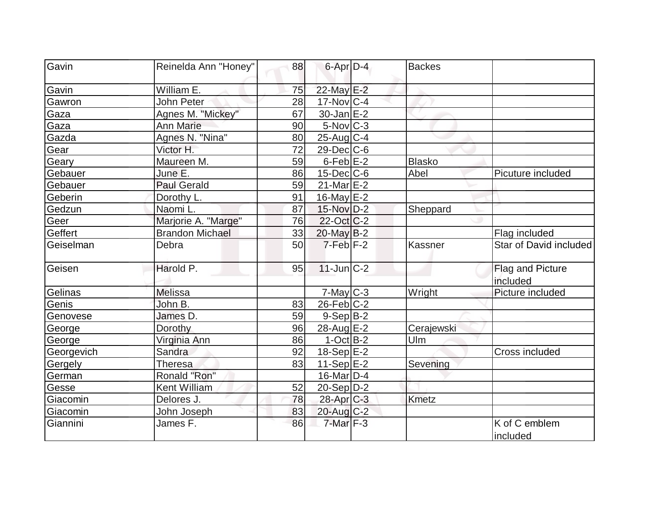| Gavin      | Reinelda Ann "Honey"   | 88 | 6-Apr D-4             | <b>Backes</b> |                              |
|------------|------------------------|----|-----------------------|---------------|------------------------------|
|            |                        |    |                       |               |                              |
| Gavin      | William E.             | 75 | 22-May E-2            |               |                              |
| Gawron     | John Peter             | 28 | $17$ -Nov $ C-4$      |               |                              |
| Gaza       | Agnes M. "Mickey"      | 67 | $30 - Jan$ $E-2$      |               |                              |
| Gaza       | <b>Ann Marie</b>       | 90 | $5$ -Nov $ C-3 $      |               |                              |
| Gazda      | Agnes N. "Nina"        | 80 | 25-Aug C-4            |               |                              |
| Gear       | Victor H.              | 72 | $29$ -Dec $C$ -6      |               |                              |
| Geary      | Maureen M.             | 59 | $6$ -Feb $E-2$        | <b>Blasko</b> |                              |
| Gebauer    | June E.                | 86 | $15$ -Dec $ C$ -6     | Abel          | Picuture included            |
| Gebauer    | <b>Paul Gerald</b>     | 59 | $21$ -Mar $E-2$       |               |                              |
| Geberin    | Dorothy L.             | 91 | $16$ -May $E-2$       |               |                              |
| Gedzun     | Naomi L.               | 87 | 15-Nov D-2            | Sheppard      |                              |
| Geer       | Marjorie A. "Marge"    | 76 | 22-Oct C-2            |               |                              |
| Geffert    | <b>Brandon Michael</b> | 33 | $20$ -May B-2         |               | Flag included                |
| Geiselman  | Debra                  | 50 | $7-Feb$ $F-2$         | Kassner       | Star of David included       |
| Geisen     | Harold P.              | 95 | $11$ -Jun $C-2$       |               | Flag and Picture<br>included |
| Gelinas    | <b>Melissa</b>         |    | $7$ -May $C-3$        | Wright        | Picture included             |
| Genis      | John B.                | 83 | $26$ -Feb $ C-2$      |               |                              |
| Genovese   | James D.               | 59 | $9-Sep B-2$           |               |                              |
| George     | Dorothy                | 96 | 28-Aug E-2            | Cerajewski    |                              |
| George     | Virginia Ann           | 86 | $1-Oct$ B-2           | Ulm           |                              |
| Georgevich | Sandra                 | 92 | $18-Sep$ E-2          |               | Cross included               |
| Gergely    | Theresa                | 83 | $11-Sep$ E-2          | Sevening      |                              |
| German     | Ronald "Ron"           |    | $16$ -Mar $ D-4$      |               |                              |
| Gesse      | Kent William           | 52 | $20-Sep D-2$          |               |                              |
| Giacomin   | Delores J.             | 78 | 28-Apr <sub>C-3</sub> | <b>Kmetz</b>  |                              |
| Giacomin   | John Joseph            | 83 | $20$ -Aug $C-2$       |               |                              |
| Giannini   | James F.               | 86 | $7$ -Mar $F-3$        |               | K of C emblem<br>included    |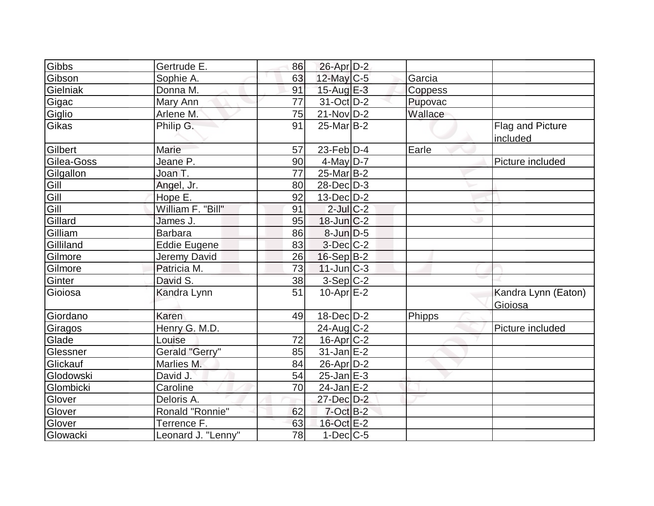| Gibbs      | Gertrude E.         | 86        | 26-Apr D-2        |         |                                     |
|------------|---------------------|-----------|-------------------|---------|-------------------------------------|
| Gibson     | Sophie A.           | 63        | $12$ -May C-5     | Garcia  |                                     |
| Gielniak   | Donna M.            | 91        | 15-Aug $E-3$      | Coppess |                                     |
| Gigac      | Mary Ann            | 77        | $31-Oct$ D-2      | Pupovac |                                     |
| Giglio     | Arlene M.           | 75        | $21$ -Nov $ D-2 $ | Wallace |                                     |
| Gikas      | Philip G.           | 91        | $25$ -Mar $ B-2 $ |         | <b>Flag and Picture</b><br>included |
| Gilbert    | Marie               | 57        | 23-Feb $D-4$      | Earle   |                                     |
| Gilea-Goss | Jeane P.            | 90        | 4-May $D-7$       |         | Picture included                    |
| Gilgallon  | Joan T.             | 77        | $25$ -Mar $B-2$   |         |                                     |
| Gill       | Angel, Jr.          | 80        | $28$ -Dec $D-3$   |         |                                     |
| Gill       | Hope E.             | 92        | $13$ -Dec $D-2$   |         |                                     |
| Gill       | William F. "Bill"   | 91        | $2$ -Jul $ C-2 $  |         |                                     |
| Gillard    | James J.            | 95        | $18$ -Jun $C-2$   |         |                                     |
| Gilliam    | <b>Barbara</b>      | 86        | 8-Jun D-5         |         |                                     |
| Gilliland  | <b>Eddie Eugene</b> | 83        | 3-Dec C-2         |         |                                     |
| Gilmore    | Jeremy David        | 26        | $16-Sep B-2$      |         |                                     |
| Gilmore    | Patricia M.         | 73        | $11$ -Jun $C-3$   |         |                                     |
| Ginter     | David S.            | <u>38</u> | $3-Sep C-2$       |         |                                     |
| Gioiosa    | Kandra Lynn         | 51        | $10-Apr$ $E-2$    |         | Kandra Lynn (Eaton)<br>Gioiosa      |
| Giordano   | Karen               | 49        | 18-Dec D-2        | Phipps  |                                     |
| Giragos    | Henry G. M.D.       |           | $24$ -Aug $C-2$   |         | Picture included                    |
| Glade      | Louise              | 72        | $16$ -Apr $C-2$   |         |                                     |
| Glessner   | Gerald "Gerry"      | 85        | $31$ -Jan $E-2$   |         |                                     |
| Glickauf   | Marlies M.          | 84        | $26$ -Apr $D-2$   |         |                                     |
| Glodowski  | David J.            | 54        | $25$ -Jan $E-3$   |         |                                     |
| Glombicki  | Caroline            | 70        | $24$ -Jan $E-2$   |         |                                     |
| Glover     | Deloris A.          |           | 27-Dec D-2        |         |                                     |
| Glover     | Ronald "Ronnie"     | 62        | $7$ -Oct $B-2$    |         |                                     |
| Glover     | Terrence F.         | 63        | 16-Oct E-2        |         |                                     |
| Glowacki   | Leonard J. "Lenny"  | 78        | $1-Dec$ $C-5$     |         |                                     |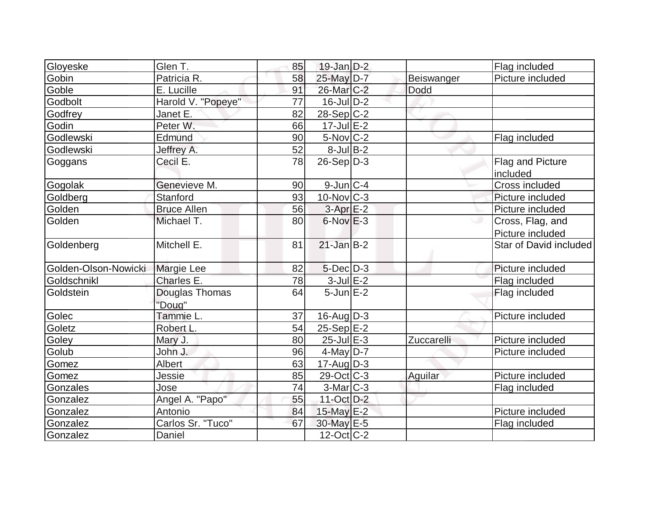| Gloyeske             | Glen T.            | 85 | $19$ -Jan $D-2$         |            | Flag included          |
|----------------------|--------------------|----|-------------------------|------------|------------------------|
| Gobin                | Patricia R.        | 58 | 25-May D-7              | Beiswanger | Picture included       |
| Goble                | E. Lucille         | 91 | 26-Mar <sub>IC</sub> -2 | Dodd       |                        |
| Godbolt              | Harold V. "Popeye" | 77 | $16$ -Jul $D-2$         |            |                        |
| Godfrey              | Janet E.           | 82 | $28-Sep C-2$            |            |                        |
| Godin                | Peter W.           | 66 | $17$ -Jul $E-2$         |            |                        |
| Godlewski            | Edmund             | 90 | $5$ -Nov $ C-2 $        |            | Flag included          |
| Godlewski            | Jeffrey A.         | 52 | $8$ -Jul B-2            |            |                        |
| Goggans              | Cecil E.           | 78 | $26-Sep D-3$            |            | Flag and Picture       |
|                      |                    |    |                         |            | included               |
| Gogolak              | Genevieve M.       | 90 | $9$ -Jun $ C-4 $        |            | Cross included         |
| Goldberg             | Stanford           | 93 | $10$ -Nov $ C-3 $       |            | Picture included       |
| Golden               | <b>Bruce Allen</b> | 56 | $3-AprE-2$              |            | Picture included       |
| Golden               | Michael T.         | 80 | $6$ -Nov $E-3$          |            | Cross, Flag, and       |
|                      |                    |    |                         |            | Picture included       |
| Goldenberg           | Mitchell E.        | 81 | $21$ -Jan B-2           |            | Star of David included |
| Golden-Olson-Nowicki | <b>Margie Lee</b>  | 82 | $5$ -Dec $D-3$          |            | Picture included       |
| Goldschnikl          | Charles E.         | 78 | $3$ -Jul $E-2$          |            | Flag included          |
| Goldstein            | Douglas Thomas     | 64 | $5$ -Jun $E-2$          |            | Flag included          |
|                      | "Doug"             |    |                         |            |                        |
| Golec                | Tammie L.          | 37 | $16$ -Aug $D-3$         |            | Picture included       |
| Goletz               | Robert L.          | 54 | $25-Sep$ $E-2$          |            |                        |
| Goley                | Mary J.            | 80 | $25$ -Jul $E-3$         | Zuccarelli | Picture included       |
| Golub                | John J.            | 96 | $4$ -May D-7            |            | Picture included       |
| Gomez                | Albert             | 63 | 17-Aug D-3              |            |                        |
| Gomez                | Jessie             | 85 | $29-Oct$ $C-3$          | Aguilar    | Picture included       |
| Gonzales             | Jose               | 74 | $3-Mar$ $C-3$           |            | Flag included          |
| Gonzalez             | Angel A. "Papo"    | 55 | $11$ -Oct D-2           |            |                        |
| Gonzalez             | Antonio            | 84 | 15-May E-2              |            | Picture included       |
| Gonzalez             | Carlos Sr. "Tuco"  | 67 | 30-May E-5              |            | Flag included          |
| Gonzalez             | Daniel             |    | $12$ -Oct $ C-2 $       |            |                        |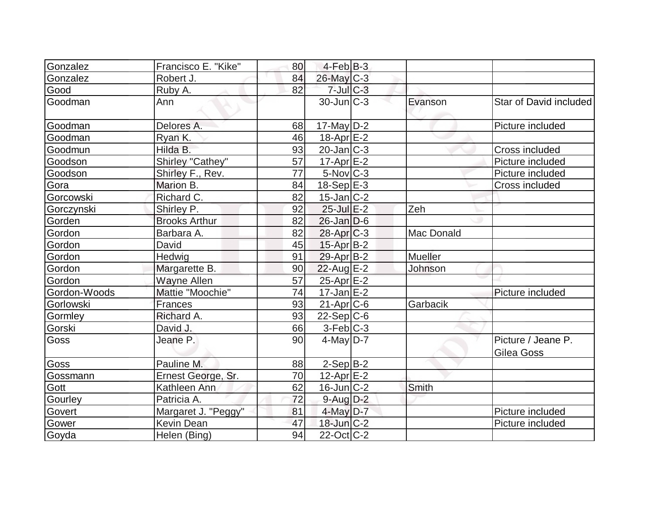| Gonzalez         | Francisco E. "Kike"  | 80 | $4$ -Feb $ B-3 $          |                   |                        |
|------------------|----------------------|----|---------------------------|-------------------|------------------------|
| Gonzalez         | Robert J.            | 84 | $26$ -May $C-3$           |                   |                        |
| Good             | Ruby A.              | 82 | $7$ -Jul $C-3$            |                   |                        |
| <b>I</b> Goodman | Ann                  |    | $30$ -Jun $C-3$           | Evanson           | Star of David included |
| Goodman          | Delores A.           | 68 | $17$ -May D-2             |                   | Picture included       |
| Goodman          | Ryan K.              | 46 | $18$ -Apr $E-2$           |                   |                        |
| Goodmun          | Hilda B.             | 93 | $20$ -Jan $ C-3 $         |                   | Cross included         |
| Goodson          | Shirley "Cathey"     | 57 | $17$ -Apr $E-2$           |                   | Picture included       |
| Goodson          | Shirley F., Rev.     | 77 | $5$ -Nov $ C-3 $          |                   | Picture included       |
| Gora             | Marion B.            | 84 | $18-Sep$ $E-3$            |                   | Cross included         |
| Gorcowski        | Richard C.           | 82 | $15$ -Jan $ C-2 $         |                   |                        |
| Gorczynski       | Shirley P.           | 92 | $25$ -Jul $E-2$           | Zeh               |                        |
| Gorden           | <b>Brooks Arthur</b> | 82 | $26$ -Jan D-6             |                   |                        |
| Gordon           | Barbara A.           | 82 | $28$ -Apr $ C-3 $         | <b>Mac Donald</b> |                        |
| Gordon           | David                | 45 | 15-Apr B-2                |                   |                        |
| Gordon           | Hedwig               | 91 | $29$ -Apr $B$ -2          | <b>Mueller</b>    |                        |
| Gordon           | Margarette B.        | 90 | 22-Aug E-2                | Johnson           |                        |
| Gordon           | Wayne Allen          | 57 | 25-Apr E-2                |                   |                        |
| Gordon-Woods     | Mattie "Moochie"     | 74 | $17 - Jan \, \boxed{E-2}$ |                   | Picture included       |
| Gorlowski        | Frances              | 93 | $21-Apr$ $C-6$            | Garbacik          |                        |
| Gormley          | Richard A.           | 93 | $22-Sep C-6$              |                   |                        |
| Gorski           | David J.             | 66 | $3-Feb$ $C-3$             |                   |                        |
| <b>Goss</b>      | Jeane P.             | 90 | $4$ -May D-7              |                   | Picture / Jeane P.     |
|                  |                      |    |                           |                   | Gilea Goss             |
| Goss             | Pauline M.           | 88 | $2-Sep$ B-2               |                   |                        |
| Gossmann         | Ernest George, Sr.   | 70 | $12$ -Apr $E-2$           |                   |                        |
| Gott             | Kathleen Ann         | 62 | $16$ -Jun $ C-2 $         | Smith             |                        |
| Gourley          | Patricia A.          | 72 | $9$ -Aug $D-2$            |                   |                        |
| Govert           | Margaret J. "Peggy"  | 81 | $4$ -May $D-7$            |                   | Picture included       |
| Gower            | <b>Kevin Dean</b>    | 47 | $18$ -Jun $C-2$           |                   | Picture included       |
| Goyda            | Helen (Bing)         | 94 | $22$ -Oct C-2             |                   |                        |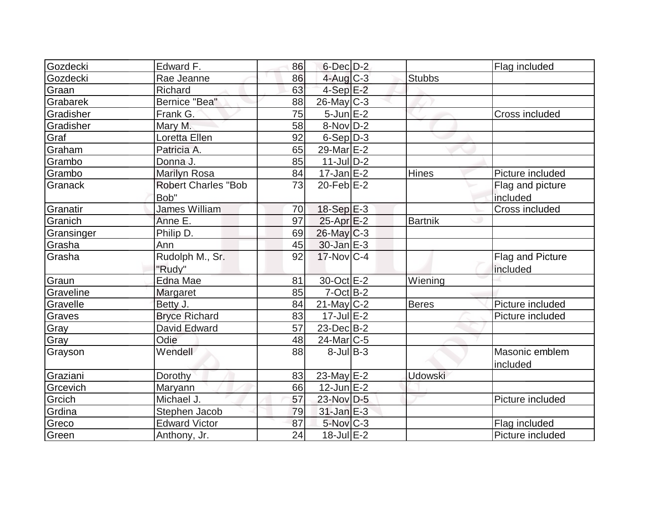| Gozdecki   | Edward F.                  | 86 | $6$ -Dec $D-2$         |                | Flag included    |
|------------|----------------------------|----|------------------------|----------------|------------------|
| Gozdecki   | Rae Jeanne                 | 86 | $4$ -Aug $C-3$         | <b>Stubbs</b>  |                  |
| Graan      | Richard                    | 63 | $4-Sep$ $E-2$          |                |                  |
| Grabarek   | Bernice "Bea"              | 88 | 26-May C-3             |                |                  |
| Gradisher  | Frank G.                   | 75 | $5$ -Jun $E-2$         |                | Cross included   |
| Gradisher  | Mary M.                    | 58 | $8-Nov D-2$            |                |                  |
| Graf       | Loretta Ellen              | 92 | $6-Sep D-3$            |                |                  |
| Graham     | Patricia A.                | 65 | 29-Mar E-2             |                |                  |
| Grambo     | Donna J.                   | 85 | $11$ -JulD-2           |                |                  |
| Grambo     | <b>Marilyn Rosa</b>        | 84 | $17$ -Jan $E-2$        | Hines          | Picture included |
| Granack    | <b>Robert Charles "Bob</b> | 73 | $20$ -Feb $E-2$        |                | Flag and picture |
|            | Bob"                       |    |                        |                | included         |
| Granatir   | <b>James William</b>       | 70 | 18-Sep E-3             |                | Cross included   |
| Granich    | Anne E.                    | 97 | $25$ -Apr $E-2$        | <b>Bartnik</b> |                  |
| Gransinger | Philip D.                  | 69 | $26$ -May $C-3$        |                |                  |
| Grasha     | Ann                        | 45 | $30$ -Jan $E-3$        |                |                  |
| Grasha     | Rudolph M., Sr.            | 92 | $17$ -Nov $C-4$        |                | Flag and Picture |
|            | "Rudy"                     |    |                        |                | included         |
| Graun      | Edna Mae                   | 81 | 30-Oct E-2             | Wiening        |                  |
| Graveline  | <b>Margaret</b>            | 85 | $7-Oct$ B-2            |                |                  |
| Gravelle   | Betty J.                   | 84 | $21$ -May C-2          | <b>Beres</b>   | Picture included |
| Graves     | <b>Bryce Richard</b>       | 83 | $17 -$ Jul $E - 2$     |                | Picture included |
| Gray       | David Edward               | 57 | $23$ -Dec $B-2$        |                |                  |
| Gray       | Odie                       | 48 | 24-Mar <sub>IC-5</sub> |                |                  |
| Grayson    | Wendell                    | 88 | $8$ -Jul B-3           |                | Masonic emblem   |
|            |                            |    |                        |                | included         |
| Graziani   | Dorothy                    | 83 | 23-May E-2             | <b>Udowski</b> |                  |
| Grcevich   | <b>Maryann</b>             | 66 | $12$ -Jun $E-2$        |                |                  |
| Grcich     | Michael J.                 | 57 | 23-Nov D-5             |                | Picture included |
| Grdina     | Stephen Jacob              | 79 | $31$ -Jan $E-3$        |                |                  |
| Greco      | <b>Edward Victor</b>       | 87 | $5$ -Nov $C-3$         |                | Flag included    |
| Green      | Anthony, Jr.               | 24 | $18$ -Jul $E-2$        |                | Picture included |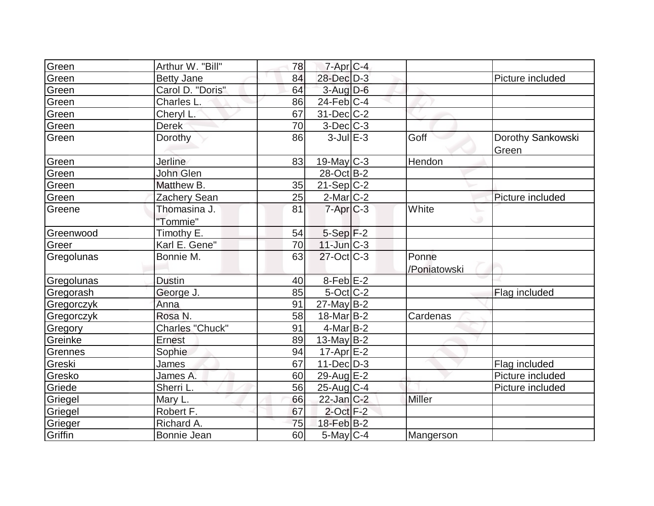| Green      | Arthur W. "Bill"         | 78 | $7 - Apr$ <sub>C-4</sub> |                       |                            |
|------------|--------------------------|----|--------------------------|-----------------------|----------------------------|
| Green      | <b>Betty Jane</b>        | 84 | 28-Dec D-3               |                       | Picture included           |
| Green      | Carol D. "Doris"         | 64 | $3$ -Aug $D$ -6          |                       |                            |
| Green      | Charles L.               | 86 | $24$ -Feb $ C-4$         |                       |                            |
| Green      | Cheryl L.                | 67 | 31-Dec C-2               |                       |                            |
| Green      | <b>Derek</b>             | 70 | $3$ -Dec $ C-3 $         |                       |                            |
| Green      | Dorothy                  | 86 | $3$ -Jul $E-3$           | Goff                  | Dorothy Sankowski<br>Green |
| Green      | <b>Jerline</b>           | 83 | 19-May $C-3$             | Hendon                |                            |
| Green      | John Glen                |    | 28-Oct B-2               |                       |                            |
| Green      | Matthew B.               | 35 | $21-Sep C-2$             |                       |                            |
| Green      | Zachery Sean             | 25 | $2$ -Mar $C-2$           |                       | Picture included           |
| Greene     | Thomasina J.<br>"Tommie" | 81 | $7 - Apr$ $C-3$          | White<br>w            |                            |
| Greenwood  | Timothy E.               | 54 | $5-Sep$ $F-2$            |                       |                            |
| Greer      | Karl E. Gene"            | 70 | $11$ -Jun $C-3$          |                       |                            |
| Gregolunas | Bonnie M.                | 63 | $27$ -Oct $ C-3 $        | Ponne<br>/Poniatowski |                            |
| Gregolunas | <b>Dustin</b>            | 40 | $8$ -Feb $E-2$           |                       |                            |
| Gregorash  | George J.                | 85 | $5$ -Oct C-2             |                       | Flag included              |
| Gregorczyk | Anna                     | 91 | $27$ -May B-2            |                       |                            |
| Gregorczyk | Rosa N.                  | 58 | $18$ -Mar $ B-2 $        | Cardenas              |                            |
| Gregory    | <b>Charles "Chuck"</b>   | 91 | $4$ -Mar $ B-2 $         |                       |                            |
| Greinke    | Ernest                   | 89 | $13$ -May B-2            |                       |                            |
| Grennes    | Sophie                   | 94 | $17$ -Apr $E-2$          |                       |                            |
| Greski     | James                    | 67 | $11$ -Dec $ D-3 $        |                       | Flag included              |
| Gresko     | James A.                 | 60 | 29-Aug E-2               |                       | Picture included           |
| Griede     | Sherri L.                | 56 | $25$ -Aug C-4            |                       | Picture included           |
| Griegel    | Mary L.                  | 66 | $22$ -Jan $C-2$          | <b>Miller</b>         |                            |
| Griegel    | Robert F.                | 67 | $2$ -Oct $F-2$           |                       |                            |
| Grieger    | Richard A.               | 75 | $18$ -Feb $B$ -2         |                       |                            |
| Griffin    | Bonnie Jean              | 60 | $5$ -May $C$ -4          | Mangerson             |                            |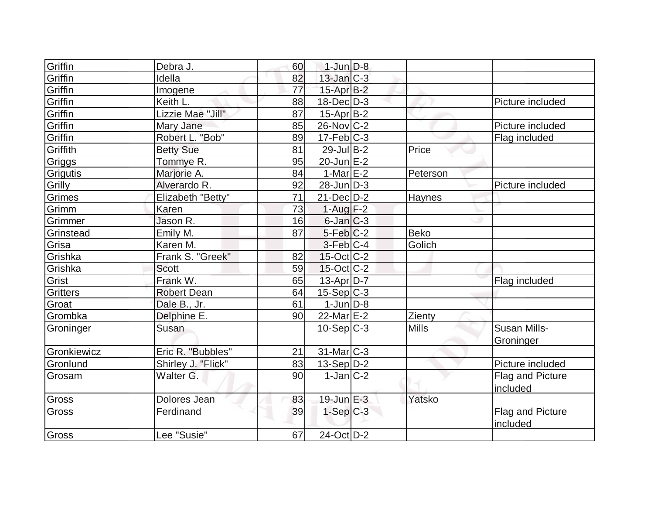| Griffin         | Debra J.           | 60              | $1$ -Jun $D-8$         |              |                     |
|-----------------|--------------------|-----------------|------------------------|--------------|---------------------|
| Griffin         | Idella             | 82              | $13$ -Jan $C-3$        |              |                     |
| Griffin         | Imogene            | 77              | 15-Apr B-2             |              |                     |
| Griffin         | Keith L            | 88              | $18$ -Dec $D-3$        |              | Picture included    |
| Griffin         | Lizzie Mae "Jill"  | 87              | $15$ -Apr $B$ -2       |              |                     |
| Griffin         | Mary Jane          | 85              | $26$ -Nov $ C-2 $      |              | Picture included    |
| Griffin         | Robert L. "Bob"    | 89              | $17$ -Feb $ C-3$       |              | Flag included       |
| Griffith        | <b>Betty Sue</b>   | 81              | $29$ -Jul B-2          | Price        |                     |
| Griggs          | Tommye R.          | 95              | $20$ -Jun $E-2$        |              |                     |
| Grigutis        | Marjorie A.        | 84              | 1-Mar $E-2$            | Peterson     |                     |
| Grilly          | Alverardo R.       | 92              | $28$ -Jun $D-3$        |              | Picture included    |
| Grimes          | Elizabeth "Betty"  | 71              | $21$ -Dec $ D-2 $      | Haynes       |                     |
| Grimm           | Karen              | 73              | $1-Aug$ F-2            |              |                     |
| Grimmer         | Jason R.           | 16              | $6$ -Jan $C-3$         |              |                     |
| Grinstead       | Emily M.           | 87              | $5-Feb$ <sub>C-2</sub> | <b>Beko</b>  |                     |
| Grisa           | Karen M.           |                 | $3-Feb$ $C-4$          | Golich       |                     |
| Grishka         | Frank S. "Greek"   | 82              | $15$ -Oct $ C-2 $      |              |                     |
| Grishka         | <b>Scott</b>       | 59              | $15$ -Oct C-2          |              |                     |
| Grist           | Frank W.           | 65              | 13-Apr D-7             |              | Flag included       |
| <b>Gritters</b> | <b>Robert Dean</b> | 64              | $15-Sep C-3$           |              |                     |
| Groat           | Dale B., Jr.       | 61              | $1$ -Jun $D-8$         |              |                     |
| Grombka         | Delphine E.        | 90 <sub>l</sub> | $22$ -Mar $E-2$        | Zienty       |                     |
| Groninger       | Susan              |                 | $10-Sep$ $C-3$         | <b>Mills</b> | <b>Susan Mills-</b> |
|                 |                    |                 |                        |              | Groninger           |
| Gronkiewicz     | Eric R. "Bubbles"  | 21              | 31-Mar C-3             |              |                     |
| Gronlund        | Shirley J. "Flick" | 83              | $13-Sep D-2$           |              | Picture included    |
| Grosam          | Walter G.          | 90 <sub>l</sub> | $1-Jan C-2$            |              | Flag and Picture    |
|                 |                    |                 |                        |              | included            |
| Gross           | Dolores Jean       | 83              | $19$ -Jun $E - 3$      | Yatsko       |                     |
| Gross           | Ferdinand          | 39              | $1-Sep C-3$            |              | Flag and Picture    |
|                 |                    |                 |                        |              | included            |
| Gross           | Lee "Susie"        | 67              | $24$ -Oct $D-2$        |              |                     |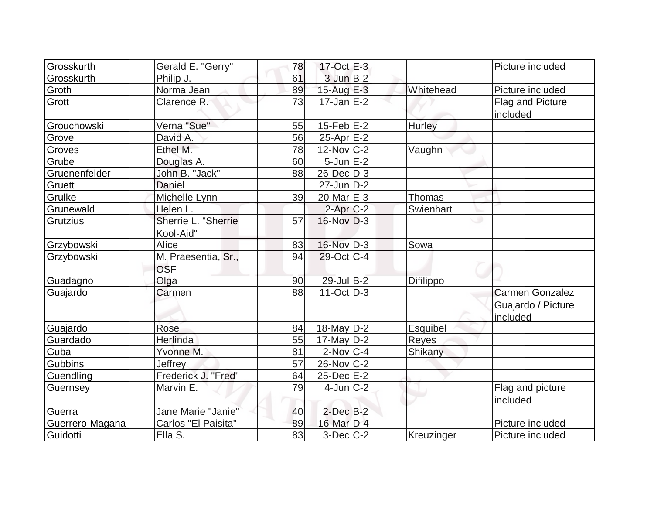|                 |                     |    | $17-Oct$ <sub>E-3</sub> |                  |                        |
|-----------------|---------------------|----|-------------------------|------------------|------------------------|
| Grosskurth      | Gerald E. "Gerry"   | 78 |                         |                  | Picture included       |
| Grosskurth      | Philip J.           | 61 | $3$ -Jun $B-2$          |                  |                        |
| Groth           | Norma Jean          | 89 | $15$ -Aug E-3           | Whitehead        | Picture included       |
| Grott           | Clarence R.         | 73 | $17$ -Jan $E-2$         |                  | Flag and Picture       |
|                 |                     |    |                         |                  | included               |
| Grouchowski     | Verna "Sue"         | 55 | $15$ -Feb $ E-2 $       | Hurley           |                        |
| Grove           | David A.            | 56 | $25$ -Apr $E-2$         |                  |                        |
| Groves          | Ethel M.            | 78 | $12$ -Nov $ C-2 $       | Vaughn           |                        |
| Grube           | Douglas A.          | 60 | $5$ -Jun $E-2$          |                  |                        |
| Gruenenfelder   | John B. "Jack"      | 88 | 26-Dec D-3              |                  |                        |
| Gruett          | <b>Daniel</b>       |    | $27$ -Jun $D-2$         |                  |                        |
| Grulke          | Michelle Lynn       | 39 | 20-Mar $E-3$            | Thomas           |                        |
| Grunewald       | Helen L.            |    | $2$ -Apr $C-2$          | Swienhart        |                        |
| Grutzius        | Sherrie L. "Sherrie | 57 | $16$ -Nov $D-3$         |                  | ت                      |
|                 | Kool-Aid"           |    |                         |                  |                        |
| Grzybowski      | Alice               | 83 | $16$ -Nov $D-3$         | Sowa             |                        |
| Grzybowski      | M. Praesentia, Sr., | 94 | $29$ -Oct C-4           |                  |                        |
|                 | <b>OSF</b>          |    |                         |                  |                        |
| Guadagno        | Olga                | 90 | $29$ -Jul B-2           | <b>Difilippo</b> |                        |
| Guajardo        | Carmen              | 88 | $11$ -Oct $D-3$         |                  | <b>Carmen Gonzalez</b> |
|                 |                     |    |                         |                  | Guajardo / Picture     |
|                 |                     |    |                         |                  | included               |
| Guajardo        | Rose                | 84 | 18-May $D-2$            | Esquibel         |                        |
| Guardado        | Herlinda            | 55 | $17$ -May D-2           | Reyes            |                        |
| Guba            | Yvonne M.           | 81 | $2$ -Nov $ C-4 $        | Shikany          |                        |
| Gubbins         | Jeffrey             | 57 | 26-Nov C-2              |                  |                        |
| Guendling       | Frederick J. "Fred" | 64 | $25$ -Dec $E-2$         |                  |                        |
| Guernsey        | Marvin E.           | 79 | $4$ -Jun $ C-2 $        |                  | Flag and picture       |
|                 |                     |    |                         |                  | included               |
| Guerra          | Jane Marie "Janie"  | 40 | $2$ -Dec $B-2$          |                  |                        |
| Guerrero-Magana | Carlos "El Paisita" | 89 | $16$ -Mar $D-4$         |                  | Picture included       |
| Guidotti        | Ella S.             | 83 | $3-Dec$ $C-2$           | Kreuzinger       | Picture included       |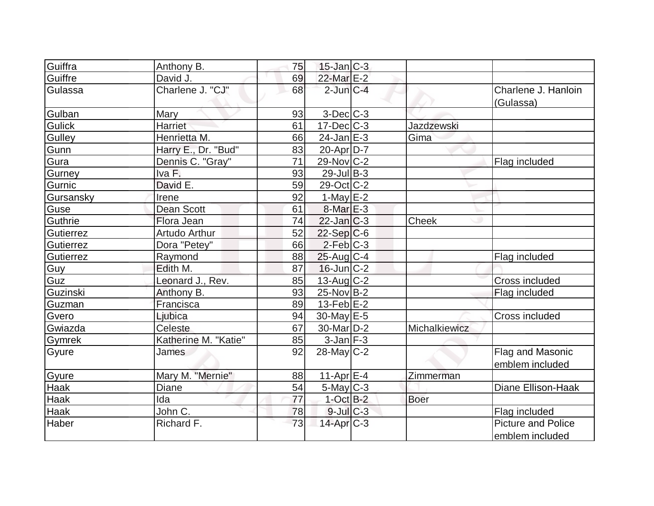| Guiffra       | Anthony B.           | 75 | $15$ -Jan $ C-3 $        |                   |                                              |
|---------------|----------------------|----|--------------------------|-------------------|----------------------------------------------|
| Guiffre       | David J.             | 69 | 22-Mar E-2               |                   |                                              |
| Gulassa       | Charlene J. "CJ"     | 68 | $2$ -Jun $C-4$           |                   | Charlene J. Hanloin<br>(Gulassa)             |
| Gulban        | Mary                 | 93 | $3$ -Dec $C-3$           |                   |                                              |
| <b>Gulick</b> | <b>Harriet</b>       | 61 | $17 - Dec$ $C-3$         | <b>Jazdzewski</b> |                                              |
| Gulley        | Henrietta M.         | 66 | $24$ -Jan $E-3$          | Gima              |                                              |
| Gunn          | Harry E., Dr. "Bud"  | 83 | $20$ -Apr $D-7$          |                   |                                              |
| Gura          | Dennis C. "Gray"     | 71 | 29-Nov C-2               |                   | Flag included                                |
| Gurney        | Iva F.               | 93 | $29$ -Jul B-3            |                   |                                              |
| Gurnic        | David E.             | 59 | $29-Oct$ <sub>C</sub> -2 |                   |                                              |
| Gursansky     | Irene                | 92 | $1-May$ $E-2$            |                   |                                              |
| Guse          | <b>Dean Scott</b>    | 61 | $8$ -Mar $E - 3$         |                   |                                              |
| Guthrie       | Flora Jean           | 74 | $22$ -Jan $ C-3 $        | Cheek             |                                              |
| Gutierrez     | <b>Artudo Arthur</b> | 52 | $22-Sep C-6$             |                   |                                              |
| Gutierrez     | Dora "Petey"         | 66 | $2$ -Feb $C-3$           |                   |                                              |
| Gutierrez     | Raymond              | 88 | $25$ -Aug C-4            |                   | Flag included                                |
| Guy           | Edith M.             | 87 | $16$ -Jun $ C-2 $        |                   |                                              |
| Guz           | Leonard J., Rev.     | 85 | $13$ -Aug C-2            |                   | Cross included                               |
| Guzinski      | Anthony B.           | 93 | $25$ -Nov B-2            |                   | Flag included                                |
| Guzman        | Francisca            | 89 | $13$ -Feb $E-2$          |                   |                                              |
| Gvero         | Ljubica              | 94 | $30$ -May $E-5$          |                   | Cross included                               |
| Gwiazda       | Celeste              | 67 | 30-Mar <sub>D-2</sub>    | Michalkiewicz     |                                              |
| <b>Gymrek</b> | Katherine M. "Katie" | 85 | $3$ -Jan $F-3$           |                   |                                              |
| Gyure         | James                | 92 | $28$ -May C-2            |                   | Flag and Masonic<br>emblem included          |
| Gyure         | Mary M. "Mernie"     | 88 | $11-Apr$ $E-4$           | Zimmerman         |                                              |
| Haak          | <b>Diane</b>         | 54 | $5$ -May $C-3$           |                   | <b>Diane Ellison-Haak</b>                    |
| <b>Haak</b>   | Ida                  | 77 | $1-Oct$ B-2              | <b>Boer</b>       |                                              |
| Haak          | John C.              | 78 | $9$ -Jul $C$ -3          |                   | Flag included                                |
| Haber         | Richard F.           | 73 | $14$ -Apr $C-3$          |                   | <b>Picture and Police</b><br>emblem included |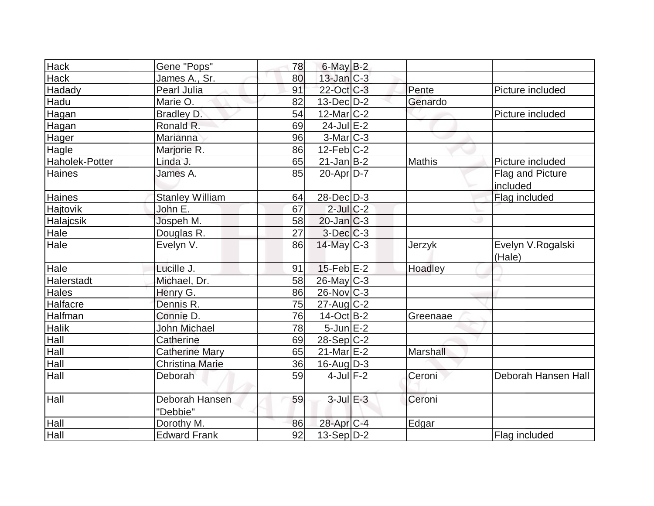| Hack             | Gene "Pops"                | 78 | $6$ -May $B-2$    |               |                             |
|------------------|----------------------------|----|-------------------|---------------|-----------------------------|
| <b>Hack</b>      | James A., Sr.              | 80 | 13-Jan C-3        |               |                             |
| Hadady           | Pearl Julia                | 91 | 22-Oct C-3        | Pente         | Picture included            |
| Hadu             | Marie O.                   | 82 | $13$ -Dec $D-2$   | Genardo       |                             |
| Hagan            | Bradley D.                 | 54 | 12-Mar C-2        |               | Picture included            |
| Hagan            | Ronald R.                  | 69 | $24$ -Jul $E-2$   |               |                             |
| Hager            | Marianna                   | 96 | 3-Mar C-3         |               |                             |
| Hagle            | Marjorie R.                | 86 | $12$ -Feb $C-2$   |               |                             |
| Haholek-Potter   | Linda J.                   | 65 | $21$ -Jan B-2     | <b>Mathis</b> | Picture included            |
| Haines           | James A.                   | 85 | $20$ -Apr $D-7$   |               | Flag and Picture            |
|                  |                            |    |                   |               | included                    |
| Haines           | <b>Stanley William</b>     | 64 | 28-Dec D-3        |               | Flag included               |
| Hajtovik         | John E.                    | 67 | $2$ -Jul $C-2$    |               |                             |
| <b>Halajcsik</b> | Jospeh M.                  | 58 | $20$ -Jan $ C-3 $ |               |                             |
| Hale             | Douglas R.                 | 27 | $3$ -Dec $C$ -3   |               |                             |
| Hale             | Evelyn V.                  | 86 | $14$ -May C-3     | Jerzyk        | Evelyn V.Rogalski<br>(Hale) |
| Hale             | Lucille J.                 | 91 | $15$ -Feb $E-2$   | Hoadley       |                             |
| Halerstadt       | Michael, Dr.               | 58 | 26-May C-3        |               |                             |
| Hales            | Henry G.                   | 86 | $26$ -Nov $C-3$   |               |                             |
| Halfacre         | Dennis R.                  | 75 | $27$ -Aug C-2     |               |                             |
| Halfman          | Connie D.                  | 76 | 14-Oct B-2        | Greenaae      |                             |
| Halik            | <b>John Michael</b>        | 78 | $5$ -Jun $E-2$    |               |                             |
| Hall             | Catherine                  | 69 | $28-Sep C-2$      |               |                             |
| Hall             | <b>Catherine Mary</b>      | 65 | $21$ -Mar $E-2$   | Marshall      |                             |
| Hall             | <b>Christina Marie</b>     | 36 | 16-Aug D-3        |               |                             |
| Hall             | Deborah                    | 59 | $4$ -Jul $F-2$    | Ceroni        | Deborah Hansen Hall         |
| Hall             | Deborah Hansen<br>"Debbie" | 59 | $3$ -Jul $E-3$    | Ceroni        |                             |
| Hall             | Dorothy M.                 | 86 | 28-Apr C-4        | Edgar         |                             |
| Hall             | <b>Edward Frank</b>        | 92 | $13-Sep D-2$      |               | Flag included               |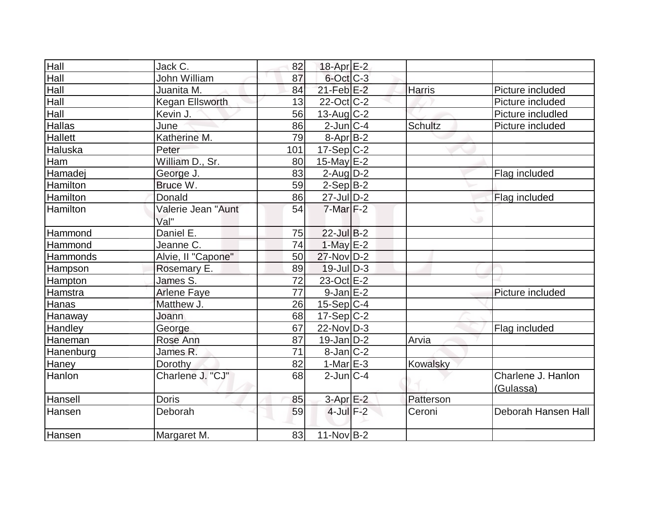| Hall            | Jack C.                    | 82              | 18-Apr <sub>E-2</sub> |                |                                 |
|-----------------|----------------------------|-----------------|-----------------------|----------------|---------------------------------|
| Hall            | John William               | 87              | $6$ -Oct $C$ -3       |                |                                 |
| Hall            | Juanita M.                 | 84              | $21$ -Feb $E-2$       | <b>Harris</b>  | Picture included                |
| Hall            | <b>Kegan Ellsworth</b>     | 13              | $22$ -Oct $ C-2 $     |                | Picture included                |
| Hall            | Kevin J.                   | 56              | $13$ -Aug C-2         |                | Picture includled               |
| <b>Hallas</b>   | June                       | 86              | $2$ -Jun $C-4$        | <b>Schultz</b> | Picture included                |
| <b>Hallett</b>  | Katherine M.               | 79              | $8-Apr B-2$           |                |                                 |
| Haluska         | Peter                      | 101             | $17-Sep C-2$          |                |                                 |
| Ham             | William D., Sr.            | 80              | 15-May $E-2$          |                |                                 |
| Hamadej         | George J.                  | 83              | $2$ -Aug $D-2$        |                | Flag included                   |
| Hamilton        | Bruce W.                   | 59              | $2-Sep B-2$           |                |                                 |
| Hamilton        | Donald                     | 86              | $27$ -Jul $D-2$       |                | Flag included                   |
| <b>Hamilton</b> | Valerie Jean "Aunt<br>Val" | 54              | $7-Mar$ F-2           |                |                                 |
| Hammond         | Daniel E.                  | 75              | 22-Jul B-2            |                |                                 |
| Hammond         | Jeanne C.                  | 74              | $1-May$ $E-2$         |                |                                 |
| Hammonds        | Alvie, Il "Capone"         | 50              | 27-Nov D-2            |                |                                 |
| Hampson         | Rosemary E.                | 89              | $19$ -Jul $D-3$       |                |                                 |
| Hampton         | James S.                   | 72              | 23-Oct E-2            |                |                                 |
| Hamstra         | <b>Arlene Faye</b>         | $\overline{77}$ | $9$ -Jan $E-2$        |                | Picture included                |
| Hanas           | Matthew J.                 | 26              | $15-Sep C-4$          |                |                                 |
| Hanaway         | Joann                      | 68              | $17-Sep C-2$          |                |                                 |
| Handley         | George                     | 67              | $22$ -Nov D-3         |                | Flag included                   |
| Haneman         | Rose Ann                   | 87              | $19$ -Jan D-2         | Arvia          |                                 |
| Hanenburg       | James R.                   | 71              | $8$ -Jan $ C-2 $      |                |                                 |
| Haney           | Dorothy                    | 82              | $1-Mar$ $E-3$         | Kowalsky       |                                 |
| Hanlon          | Charlene J. "CJ"           | 68              | $2$ -Jun $ C-4$       |                | Charlene J. Hanlon<br>(Gulassa) |
| Hansell         | <b>Doris</b>               | 85              | $3-AprE-2$            | Patterson      |                                 |
| Hansen          | Deborah                    | 59              | $4$ -Jul $F-2$        | Ceroni         | Deborah Hansen Hall             |
| Hansen          | Margaret M.                | 83              | $11-Nov$ B-2          |                |                                 |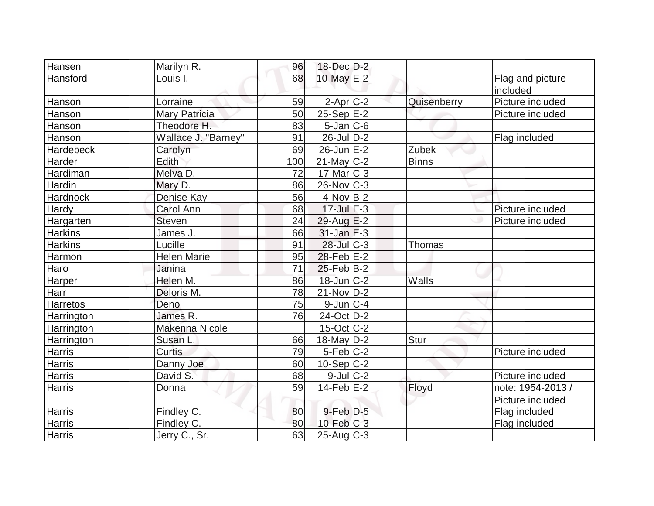| Hansen            | Marilyn R.           | 96  | $18$ -Dec $D-2$    |              |                   |
|-------------------|----------------------|-----|--------------------|--------------|-------------------|
| Hansford          | Louis I.             | 68  | 10-May E-2         |              | Flag and picture  |
|                   |                      |     |                    |              | included          |
| Hanson            | Lorraine             | 59  | $2$ -Apr $C-2$     | Quisenberry  | Picture included  |
| Hanson            | <b>Mary Patricia</b> | 50  | $25-Sep$ $E-2$     |              | Picture included  |
| Hanson            | Theodore H.          | 83  | $5$ -Jan $C$ -6    |              |                   |
| Hanson            | Wallace J. "Barney"  | 91  | $26$ -Jul $D-2$    |              | Flag included     |
| Hardebeck         | Carolyn              | 69  | $26$ -Jun $E-2$    | Zubek        |                   |
| Harder            | Edith                | 100 | $21$ -May C-2      | <b>Binns</b> |                   |
| Hardiman          | Melva D.             | 72  | $17$ -Mar $ C-3 $  |              |                   |
| Hardin            | Mary D.              | 86  | $26$ -Nov $ C-3 $  |              |                   |
| Hardnock          | Denise Kay           | 56  | $4$ -Nov B-2       |              |                   |
| Hardy             | <b>Carol Ann</b>     | 68  | $17 -$ Jul $E - 3$ |              | Picture included  |
| Hargarten         | <b>Steven</b>        | 24  | 29-Aug $E-2$       |              | Picture included  |
| <b>Harkins</b>    | James J.             | 66  | $31$ -Jan $E-3$    |              |                   |
| <b>Harkins</b>    | Lucille              | 91  | $28$ -Jul $C-3$    | Thomas       |                   |
| Harmon            | <b>Helen Marie</b>   | 95  | $28$ -Feb $E-2$    |              |                   |
| Haro              | Janina               | 71  | $25$ -Feb $ B-2 $  |              |                   |
| Harper            | Helen M.             | 86  | $18$ -Jun $C-2$    | Walls        |                   |
| Harr              | Deloris M.           | 78  | $21$ -Nov $ D-2 $  |              |                   |
| Harretos          | Deno                 | 75  | $9$ -Jun $C-4$     |              |                   |
| Harrington        | James R.             | 76  | 24-Oct D-2         |              |                   |
| <b>Harrington</b> | Makenna Nicole       |     | $15$ -Oct $ C-2 $  |              |                   |
| Harrington        | Susan L.             | 66  | 18-May $D-2$       | Stur         |                   |
| <b>Harris</b>     | <b>Curtis</b>        | 79  | $5-Feb C-2$        |              | Picture included  |
| <b>Harris</b>     | Danny Joe            | 60  | $10-Sep$ C-2       |              |                   |
| Harris            | David S.             | 68  | $9$ -Jul $C$ -2    |              | Picture included  |
| <b>Harris</b>     | Donna                | 59  | $14$ -Feb $E-2$    | Floyd        | note: 1954-2013 / |
|                   |                      |     |                    |              | Picture included  |
| <b>Harris</b>     | Findley C.           | 80  | $9$ -Feb $D-5$     |              | Flag included     |
| Harris            | Findley C.           | 80  | $10$ -Feb $C-3$    |              | Flag included     |
| <b>Harris</b>     | Jerry C., Sr.        | 63  | $25$ -Aug C-3      |              |                   |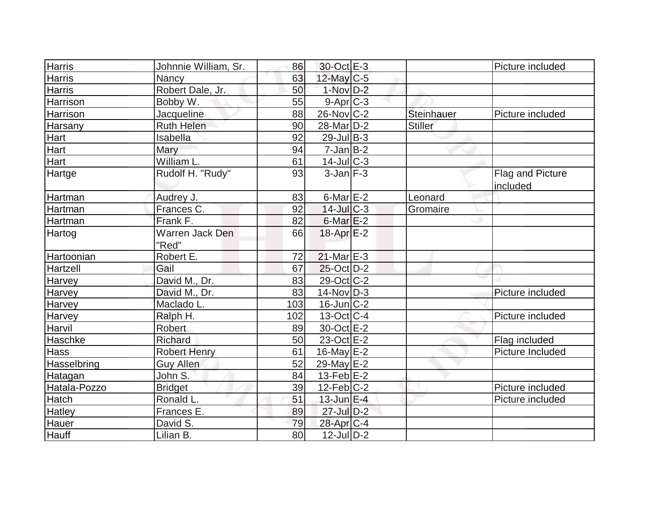| Harris        | Johnnie William, Sr. | 86  | 30-Oct E-3       |            | Picture included |
|---------------|----------------------|-----|------------------|------------|------------------|
| <b>Harris</b> | Nancy                | 63  | 12-May C-5       |            |                  |
| Harris        | Robert Dale, Jr.     | 50  | $1-Nov$ D-2      |            |                  |
| Harrison      | Bobby W.             | 55  | 9-Apr C-3        |            |                  |
| Harrison      | Jacqueline           | 88  | $26$ -Nov $C-2$  | Steinhauer | Picture included |
| Harsany       | <b>Ruth Helen</b>    | 90  | 28-Mar D-2       | Stiller    |                  |
| Hart          | Isabella             | 92  | $29$ -Jul B-3    |            |                  |
| Hart          | Mary                 | 94  | $7$ -Jan $B$ -2  |            |                  |
| Hart          | William L.           | 61  | $14$ -Jul $C-3$  |            |                  |
| Hartge        | Rudolf H. "Rudy"     | 93  | $3$ -Jan $F-3$   |            | Flag and Picture |
|               |                      |     |                  |            | included         |
| Hartman       | Audrey J.            | 83  | $6$ -Mar $E-2$   | Leonard    |                  |
| Hartman       | Frances C.           | 92  | $14$ -Jul $C-3$  | Gromaire   |                  |
| Hartman       | Frank F.             | 82  | $6$ -Mar $E-2$   |            |                  |
| Hartog        | Warren Jack Den      | 66  | $18$ -Apr $E-2$  |            |                  |
|               | "Red"                |     |                  |            |                  |
| Hartoonian    | Robert E.            | 72  | $21$ -Mar $E-3$  |            |                  |
| Hartzell      | Gail                 | 67  | $25$ -Oct $D-2$  |            |                  |
| Harvey        | David M., Dr.        | 83  | 29-Oct C-2       |            |                  |
| Harvey        | David M., Dr.        | 83  | $14$ -Nov $D-3$  |            | Picture included |
| Harvey        | Maclado L.           | 103 | $16$ -Jun $C-2$  |            |                  |
| <b>Harvey</b> | Ralph H.             | 102 | 13-Oct C-4       |            | Picture included |
| Harvil        | <b>Robert</b>        | 89  | 30-Oct E-2       |            |                  |
| Haschke       | Richard              | 50  | 23-Oct E-2       |            | Flag included    |
| Hass          | <b>Robert Henry</b>  | 61  | 16-May $E-2$     |            | Picture Included |
| Hasselbring   | Guy Allen            | 52  | 29-May E-2       |            |                  |
| Hatagan       | John S.              | 84  | 13-Feb $E-2$     |            |                  |
| Hatala-Pozzo  | <b>Bridget</b>       | 39  | $12$ -Feb $ C-2$ |            | Picture included |
| Hatch         | Ronald L.            | 51  | $13$ -Jun $E-4$  |            | Picture included |
| Hatley        | Frances E.           | 89  | $27$ -Jul $D-2$  |            |                  |
| Hauer         | David S.             | 79  | 28-Apr C-4       |            |                  |
| Hauff         | Lilian B.            | 80  | $12$ -JulD-2     |            |                  |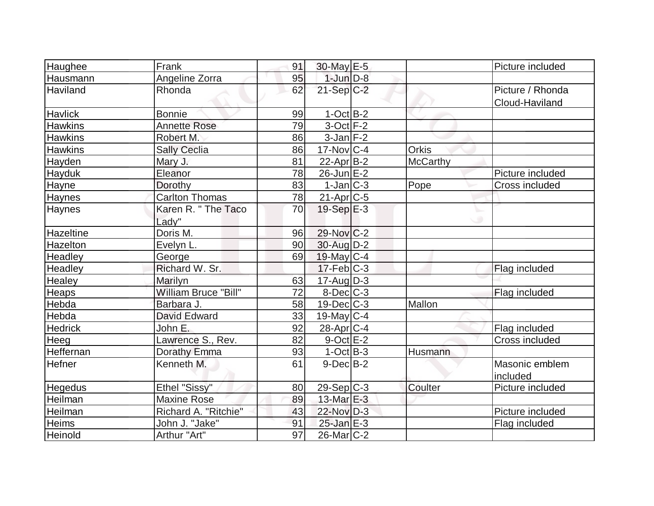| Haughee          | Frank                 | 91              | 30-May E-5              |                 | Picture included |
|------------------|-----------------------|-----------------|-------------------------|-----------------|------------------|
| Hausmann         | Angeline Zorra        | 95              | $1$ -Jun $D-8$          |                 |                  |
| <b>Haviland</b>  | Rhonda                | 62              | $21-Sep$ C-2            |                 | Picture / Rhonda |
|                  |                       |                 |                         |                 | Cloud-Haviland   |
| <b>Havlick</b>   | <b>Bonnie</b>         | 99              | $1-OctB-2$              |                 |                  |
| <b>Hawkins</b>   | <b>Annette Rose</b>   | 79              | $3$ -Oct $F-2$          |                 |                  |
| <b>Hawkins</b>   | Robert M.             | 86              | $3$ -Jan $F-2$          |                 |                  |
| <b>Hawkins</b>   | <b>Sally Ceclia</b>   | 86              | $17$ -Nov $ C-4 $       | <b>Orkis</b>    |                  |
| Hayden           | Mary J.               | 81              | $22$ -Apr $B-2$         | <b>McCarthy</b> |                  |
| Hayduk           | Eleanor               | 78              | $26$ -Jun $E-2$         |                 | Picture included |
| Hayne            | Dorothy               | 83              | $1-Jan C-3$             | Pope            | Cross included   |
| Haynes           | <b>Carlton Thomas</b> | 78              | 21-Apr <sub>C-5</sub>   |                 |                  |
| <b>Haynes</b>    | Karen R. " The Taco   | 70              | $19-Sep \E-3$           |                 |                  |
|                  | Lady"                 |                 |                         |                 |                  |
| <b>Hazeltine</b> | Doris M.              | 96              | 29-Nov C-2              |                 |                  |
| Hazelton         | Evelyn L.             | 90              | 30-Aug D-2              |                 |                  |
| Headley          | George                | 69              | 19-May C-4              |                 |                  |
| Headley          | Richard W. Sr.        |                 | $17$ -Feb $ C-3$        |                 | Flag included    |
| Healey           | Marilyn               | 63              | $17$ -Aug $D-3$         |                 |                  |
| Heaps            | William Bruce "Bill"  | $\overline{72}$ | $8$ -Dec $C$ -3         |                 | Flag included    |
| Hebda            | Barbara J.            | 58              | $19$ -Dec $C$ -3        | Mallon          |                  |
| Hebda            | <b>David Edward</b>   | 33              | $19$ -May $C$ -4        |                 |                  |
| <b>Hedrick</b>   | John E.               | 92              | $28$ -Apr $ C-4$        |                 | Flag included    |
| Heeg             | Lawrence S., Rev.     | 82              | $9$ -Oct $E-2$          |                 | Cross included   |
| Heffernan        | Dorathy Emma          | 93              | $1-Oct$ B-3             | Husmann         |                  |
| Hefner           | Kenneth M.            | 61              | $9-Dec$ B-2             |                 | Masonic emblem   |
|                  |                       |                 |                         |                 | included         |
| <b>Hegedus</b>   | Ethel "Sissy"         | 80              | $29-Sep C-3$            | Coulter         | Picture included |
| Heilman          | <b>Maxine Rose</b>    | 89              | 13-Mar $E-3$            |                 |                  |
| Heilman          | Richard A. "Ritchie"  | 43              | 22-Nov D-3              |                 | Picture included |
| Heims            | John J. "Jake"        | 91              | $25$ -Jan $E-3$         |                 | Flag included    |
| Heinold          | Arthur "Art"          | 97              | 26-Mar <sub>IC</sub> -2 |                 |                  |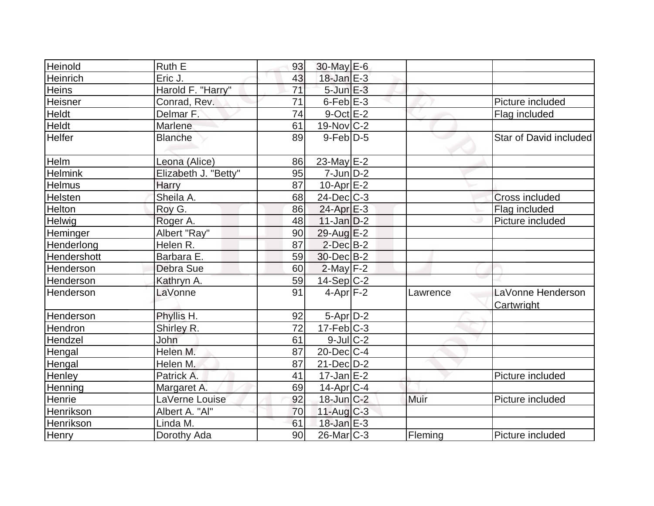| Heinold          | Ruth E               | 93 | $30$ -May $E$ -6       |          |                                 |
|------------------|----------------------|----|------------------------|----------|---------------------------------|
| Heinrich         | Eric J.              | 43 | $18$ -Jan $E-3$        |          |                                 |
| <b>Heins</b>     | Harold F. "Harry"    | 71 | $5$ -Jun $E-3$         |          |                                 |
| <b>Heisner</b>   | Conrad, Rev.         | 71 | $6$ -Feb $E-3$         |          | Picture included                |
| <b>Heldt</b>     | Delmar F.            | 74 | $9$ -Oct $E-2$         |          | Flag included                   |
| Heldt            | Marlene              | 61 | 19-Nov C-2             |          |                                 |
| <b>Helfer</b>    | <b>Blanche</b>       | 89 | $9$ -Feb $D-5$         |          | Star of David included          |
| Helm             | Leona (Alice)        | 86 | $23$ -May E-2          |          |                                 |
| <b>Helmink</b>   | Elizabeth J. "Betty" | 95 | $7$ -Jun $D-2$         |          |                                 |
| <b>Helmus</b>    | Harry                | 87 | $10$ -Apr $E-2$        |          |                                 |
| <b>Helsten</b>   | Sheila A.            | 68 | $24$ -Dec $C-3$        |          | Cross included                  |
| Helton           | Roy G.               | 86 | $24$ -Apr $E-3$        |          | Flag included                   |
| Helwig           | Roger A.             | 48 | $11$ -Jan $D-2$        |          | Picture included                |
| Heminger         | Albert "Ray"         | 90 | $29$ -Aug $E-2$        |          |                                 |
| Henderlong       | Helen R.             | 87 | $2$ -Dec $B-2$         |          |                                 |
| Hendershott      | Barbara E.           | 59 | $30$ -Dec $B-2$        |          |                                 |
| Henderson        | Debra Sue            | 60 | $2$ -May $F-2$         |          |                                 |
| Henderson        | Kathryn A.           | 59 | $14-Sep C-2$           |          |                                 |
| Henderson        | LaVonne              | 91 | $4$ -Apr $F-2$         | Lawrence | LaVonne Henderson<br>Cartwright |
| <b>Henderson</b> | Phyllis H.           | 92 | $5-Apr$ D-2            |          |                                 |
| Hendron          | Shirley R.           | 72 | $17$ -Feb $ C-3 $      |          |                                 |
| Hendzel          | John                 | 61 | $9$ -Jul $C-2$         |          |                                 |
| Hengal           | Helen M.             | 87 | $20$ -Dec $C$ -4       |          |                                 |
| Hengal           | Helen M.             | 87 | $21$ -Dec $D-2$        |          |                                 |
| Henley           | Patrick A.           | 41 | $17 - Jan \, E - 2$    |          | Picture included                |
| Henning          | Margaret A.          | 69 | 14-Apr <sub>IC-4</sub> |          |                                 |
| Henrie           | LaVerne Louise       | 92 | $18$ -Jun $C-2$        | Muir     | Picture included                |
| Henrikson        | Albert A. "Al"       | 70 | $11-Aug$ $C-3$         |          |                                 |
| Henrikson        | Linda M.             | 61 | $18$ -Jan E-3          |          |                                 |
| Henry            | Dorothy Ada          | 90 | $26$ -Mar $C-3$        | Fleming  | Picture included                |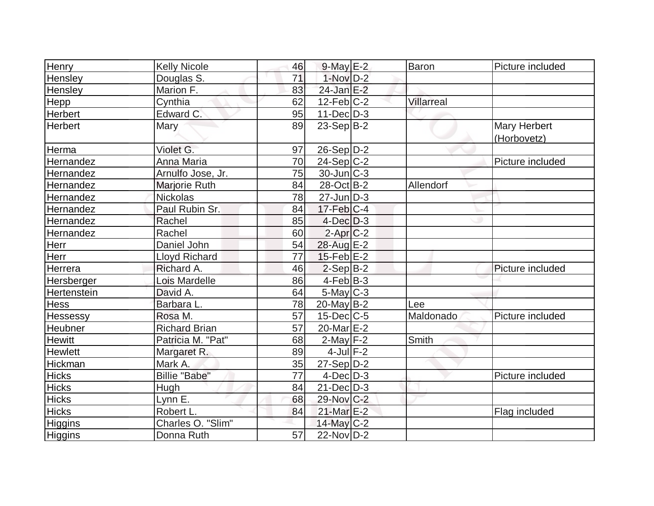| <b>Henry</b>   | <b>Kelly Nicole</b>  | 46              | $9$ -May $E-2$          | <b>Baron</b>      | Picture included            |
|----------------|----------------------|-----------------|-------------------------|-------------------|-----------------------------|
| Hensley        | Douglas S.           | 71              | $1-Nov$ D-2             |                   |                             |
| Hensley        | Marion F.            | 83              | $24$ -Jan $E-2$         |                   |                             |
| Hepp           | Cynthia              | 62              | $12$ -Feb $ C-2 $       | <b>Villarreal</b> |                             |
| Herbert        | Edward C.            | 95              | $11$ -Dec $ D-3 $       |                   |                             |
| Herbert        | <b>Mary</b>          | 89              | $23-Sep\overline{B-2}$  |                   | Mary Herbert<br>(Horbovetz) |
| Herma          | Violet G.            | 97              | $26-Sep D-2$            |                   |                             |
| Hernandez      | Anna Maria           | 70              | $24-Sep C-2$            |                   | Picture included            |
| Hernandez      | Arnulfo Jose, Jr.    | 75              | $30$ -Jun $ C-3 $       |                   |                             |
| Hernandez      | Marjorie Ruth        | 84              | 28-Oct B-2              | Allendorf         |                             |
| Hernandez      | Nickolas             | 78              | $27$ -Jun $ D-3 $       |                   |                             |
| Hernandez      | Paul Rubin Sr.       | 84              | $17$ -Feb $ C-4$        |                   |                             |
| Hernandez      | Rachel               | 85              | $4$ -Dec $D-3$          |                   |                             |
| Hernandez      | Rachel               | 60              | $2$ -Apr $C-2$          |                   |                             |
| Herr           | Daniel John          | 54              | 28-Aug E-2              |                   |                             |
| Herr           | <b>Lloyd Richard</b> | 77              | $15$ -Feb $E$ -2        |                   |                             |
| Herrera        | Richard A.           | 46              | $2-Sep B-2$             |                   | Picture included            |
| Hersberger     | Lois Mardelle        | 86              | $4$ -Feb $B-3$          |                   |                             |
| Hertenstein    | David A.             | 64              | $5$ -May $C-3$          |                   |                             |
| <b>Hess</b>    | Barbara L.           | 78              | $20$ -May B-2           | Lee               |                             |
| Hessessy       | Rosa M.              | 57              | $15$ -Dec $ C$ -5       | Maldonado         | Picture included            |
| Heubner        | <b>Richard Brian</b> | 57              | 20-Mar <sub>IE</sub> -2 |                   |                             |
| <b>Hewitt</b>  | Patricia M. "Pat"    | 68              | $2$ -May $F-2$          | Smith             |                             |
| <b>Hewlett</b> | Margaret R.          | 89              | $4$ -Jul $F-2$          |                   |                             |
| Hickman        | Mark A.              | 35              | 27-Sep D-2              |                   |                             |
| <b>Hicks</b>   | <b>Billie "Babe"</b> | 77              | $4$ -Dec $D-3$          |                   | Picture included            |
| <b>Hicks</b>   | Hugh                 | 84              | $21$ -Dec $D-3$         |                   |                             |
| <b>Hicks</b>   | Lynn E.              | 68              | 29-Nov C-2              |                   |                             |
| <b>Hicks</b>   | Robert L.            | 84              | 21-Mar E-2              |                   | Flag included               |
| Higgins        | Charles O. "Slim"    |                 | $14$ -May C-2           |                   |                             |
| Higgins        | Donna Ruth           | $\overline{57}$ | 22-Nov D-2              |                   |                             |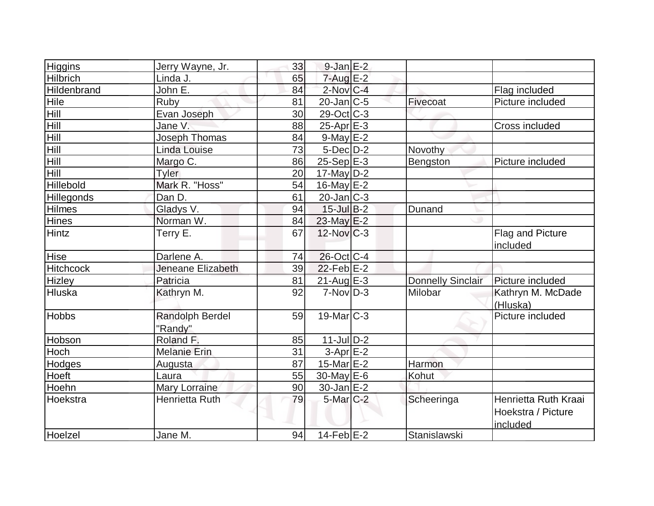| Higgins           | Jerry Wayne, Jr.       | 33 | $9$ -Jan $E-2$    |                          |                      |
|-------------------|------------------------|----|-------------------|--------------------------|----------------------|
| <b>Hilbrich</b>   | Linda J.               | 65 | $7 - Aug$ $E-2$   |                          |                      |
| Hildenbrand       | John E.                | 84 | $2$ -Nov $C-4$    |                          | Flag included        |
| Hile              | Ruby                   | 81 | $20$ -Jan $ C-5 $ | Fivecoat                 | Picture included     |
| Hill              | Evan Joseph            | 30 | 29-Oct C-3        |                          |                      |
| Hill              | Jane V.                | 88 | $25$ -Apr $E-3$   |                          | Cross included       |
| Hill              | Joseph Thomas          | 84 | $9$ -May $E-2$    |                          |                      |
| Hill              | Linda Louise           | 73 | $5$ -Dec $D-2$    | Novothy                  |                      |
| Hill              | Margo C.               | 86 | $25-Sep$ E-3      | Bengston                 | Picture included     |
| Hill              | <b>Tyler</b>           | 20 | $17$ -May D-2     |                          |                      |
| Hillebold         | Mark R. "Hoss"         | 54 | 16-May $E-2$      |                          |                      |
| <b>Hillegonds</b> | Dan D.                 | 61 | $20$ -Jan $ C-3 $ |                          |                      |
| <b>Hilmes</b>     | Gladys V.              | 94 | $15$ -Jul $B-2$   | Dunand                   |                      |
| <b>Hines</b>      | Norman W.              | 84 | $23$ -May $E-2$   |                          |                      |
| <b>Hintz</b>      | Terry E.               | 67 | 12-Nov C-3        |                          | Flag and Picture     |
|                   |                        |    |                   |                          | included             |
| Hise              | Darlene A.             | 74 | $26$ -Oct C-4     |                          |                      |
| <b>Hitchcock</b>  | Jeneane Elizabeth      | 39 | $22$ -Feb $E-2$   |                          |                      |
| <b>Hizley</b>     | Patricia               | 81 | $21$ -Aug $E-3$   | <b>Donnelly Sinclair</b> | Picture included     |
| Hluska            | Kathryn M.             | 92 | $7-NovD-3$        | Milobar                  | Kathryn M. McDade    |
|                   |                        |    |                   |                          | (Hluska)             |
| <b>Hobbs</b>      | <b>Randolph Berdel</b> | 59 | $19$ -Mar $ C-3 $ |                          | Picture included     |
|                   | "Randy"                |    |                   |                          |                      |
| Hobson            | Roland F.              | 85 | $11$ -Jul $D-2$   |                          |                      |
| Hoch              | <b>Melanie Erin</b>    | 31 | $3-Apr$ $E-2$     |                          |                      |
| Hodges            | Augusta                | 87 | 15-Mar $E-2$      | Harmon                   |                      |
| Hoeft             | Laura                  | 55 | 30-May $E-6$      | Kohut                    |                      |
| Hoehn             | Mary Lorraine          | 90 | $30$ -Jan $E-2$   |                          |                      |
| Hoekstra          | Henrietta Ruth         | 79 | $5$ -Mar $C-2$    | Scheeringa               | Henrietta Ruth Kraai |
|                   |                        |    |                   |                          | Hoekstra / Picture   |
|                   |                        |    |                   |                          | included             |
| Hoelzel           | Jane M.                | 94 | $14$ -Feb $E-2$   | Stanislawski             |                      |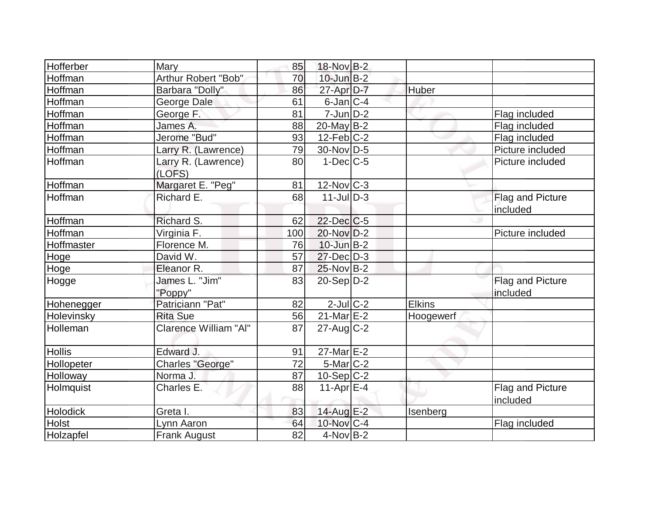| Hofferber     | Mary                          | 85  | 18-Nov B-2        |               |                              |
|---------------|-------------------------------|-----|-------------------|---------------|------------------------------|
| Hoffman       | Arthur Robert "Bob"           | 70  | $10$ -Jun $B-2$   |               |                              |
| Hoffman       | Barbara "Dolly"               | 86  | $27$ -Apr $D-7$   | Huber         |                              |
| Hoffman       | George Dale                   | 61  | $6$ -Jan $ C-4 $  |               |                              |
| Hoffman       | George F.                     | 81  | $7 - Jun$ $D-2$   |               | Flag included                |
| Hoffman       | James A.                      | 88  | $20$ -May B-2     |               | Flag included                |
| Hoffman       | Jerome "Bud"                  | 93  | $12$ -Feb $ C-2 $ |               | Flag included                |
| Hoffman       | Larry R. (Lawrence)           | 79  | 30-Nov D-5        |               | Picture included             |
| Hoffman       | Larry R. (Lawrence)<br>(LOFS) | 80  | $1-Dec$ $C-5$     |               | Picture included             |
| Hoffman       | Margaret E. "Peg"             | 81  | $12$ -Nov $ C-3 $ |               |                              |
| Hoffman       | Richard E.                    | 68  | $11$ -Jul D-3     |               | Flag and Picture<br>included |
| Hoffman       | Richard S.                    | 62  | $22$ -Dec $C$ -5  |               |                              |
| Hoffman       | Virginia F.                   | 100 | $20$ -Nov $D-2$   |               | Picture included             |
| Hoffmaster    | Florence M.                   | 76  | $10$ -Jun $B-2$   |               |                              |
| Hoge          | David W.                      | 57  | $27$ -Dec $D-3$   |               |                              |
| Hoge          | Eleanor R.                    | 87  | $25$ -Nov B-2     |               |                              |
| Hogge         | James L. "Jim"<br>"Poppy"     | 83  | $20-Sep D-2$      |               | Flag and Picture<br>included |
| Hohenegger    | Patriciann "Pat"              | 82  | $2$ -Jul $C$ -2   | <b>Elkins</b> |                              |
| Holevinsky    | <b>Rita Sue</b>               | 56  | $21$ -Mar $E-2$   | Hoogewerf     |                              |
| Holleman      | Clarence William "Al"         | 87  | $27$ -Aug $C-2$   |               |                              |
| <b>Hollis</b> | Edward J.                     | 91  | 27-Mar E-2        |               |                              |
| Hollopeter    | <b>Charles "George"</b>       | 72  | 5-Mar C-2         |               |                              |
| Holloway      | Norma J.                      | 87  | $10-Sep C-2$      |               |                              |
| Holmquist     | Charles E.                    | 88  | $11-Apr \, E-4$   |               | Flag and Picture<br>included |
| Holodick      | Greta I.                      | 83  | 14-Aug E-2        | Isenberg      |                              |
| Holst         | Lynn Aaron                    | 64  | 10-Nov C-4        |               | Flag included                |
| Holzapfel     | <b>Frank August</b>           | 82  | $4$ -Nov B-2      |               |                              |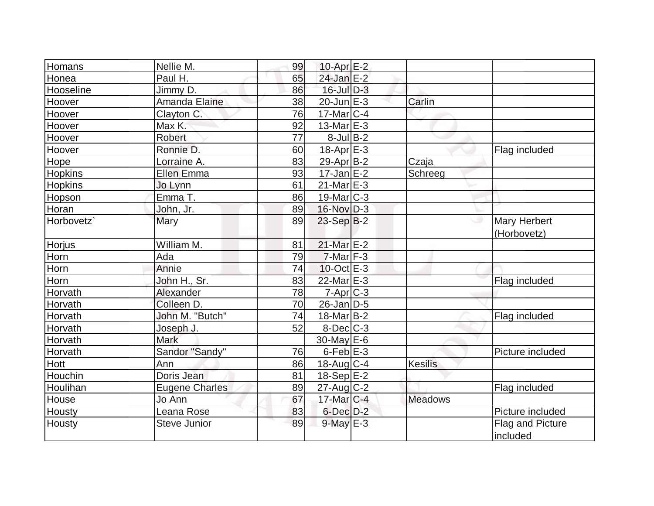| Homans     | Nellie M.             | 99 | 10-Apr <sub>E</sub> -2 |                |                                    |
|------------|-----------------------|----|------------------------|----------------|------------------------------------|
| Honea      | Paul H.               | 65 | 24-Jan E-2             |                |                                    |
| Hooseline  | Jimmy D.              | 86 | 16-Jul D-3             |                |                                    |
| Hoover     | Amanda Elaine         | 38 | $20$ -Jun $E-3$        | Carlin         |                                    |
| Hoover     | Clayton C.            | 76 | $17$ -Mar $ C-4 $      |                |                                    |
| Hoover     | Max K.                | 92 | $13$ -Mar $E-3$        |                |                                    |
| Hoover     | <b>Robert</b>         | 77 | $8$ -Jul B-2           |                |                                    |
| Hoover     | Ronnie D.             | 60 | $18-Apr \, E-3$        |                | Flag included                      |
| Hope       | Lorraine A.           | 83 | 29-Apr B-2             | Czaja          |                                    |
| Hopkins    | Ellen Emma            | 93 | $17$ -Jan $E-2$        | Schreeg        |                                    |
| Hopkins    | Jo Lynn               | 61 | $21$ -Mar $E-3$        |                |                                    |
| Hopson     | Emma T.               | 86 | 19-Mar <sub>C-3</sub>  |                |                                    |
| Horan      | John, Jr.             | 89 | 16-Nov D-3             |                |                                    |
| Horbovetz` | Mary                  | 89 | $23-Sep B-2$           |                | <b>Mary Herbert</b><br>(Horbovetz) |
| Horjus     | William M.            | 81 | 21-Mar E-2             |                |                                    |
| Horn       | Ada                   | 79 | $7$ -Mar $F-3$         |                |                                    |
| Horn       | Annie                 | 74 | $10$ -Oct $E - 3$      |                |                                    |
| Horn       | John H., Sr.          | 83 | 22-Mar E-3             |                | Flag included                      |
| Horvath    | Alexander             | 78 | $7$ -Apr $ C$ -3       |                |                                    |
| Horvath    | Colleen D.            | 70 | $26$ -Jan $D-5$        |                |                                    |
| Horvath    | John M. "Butch"       | 74 | $18$ -Mar $ B-2 $      |                | Flag included                      |
| Horvath    | Joseph J.             | 52 | $8$ -Dec $C$ -3        |                |                                    |
| Horvath    | <b>Mark</b>           |    | $30$ -May $E-6$        |                |                                    |
| Horvath    | Sandor "Sandy"        | 76 | $6$ -Feb $E-3$         |                | Picture included                   |
| Hott       | Ann                   | 86 | 18-Aug C-4             | <b>Kesilis</b> |                                    |
| Houchin    | Doris Jean            | 81 | $18-Sep$ $E-2$         |                |                                    |
| Houlihan   | <b>Eugene Charles</b> | 89 | 27-Aug C-2             |                | Flag included                      |
| House      | Jo Ann                | 67 | 17-Mar C-4             | <b>Meadows</b> |                                    |
| Housty     | Leana Rose            | 83 | $6$ -Dec $D-2$         |                | Picture included                   |
| Housty     | <b>Steve Junior</b>   | 89 | $9$ -May $E-3$         |                | Flag and Picture<br>included       |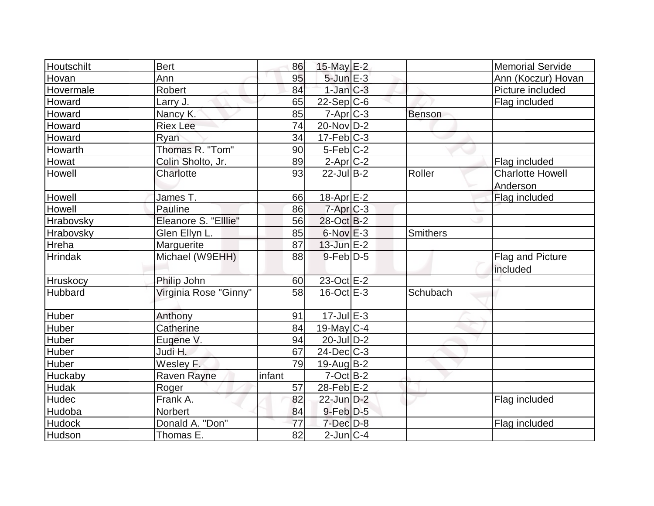| <b>Houtschilt</b> | <b>Bert</b>           | 86     | 15-May $E-2$           |                 | <b>Memorial Servide</b> |
|-------------------|-----------------------|--------|------------------------|-----------------|-------------------------|
| Hovan             | Ann                   | 95     | $5$ -Jun $E-3$         |                 | Ann (Koczur) Hovan      |
| Hovermale         | <b>Robert</b>         | 84     | $1$ -Jan $C-3$         |                 | Picture included        |
| Howard            | Larry J.              | 65     | $22-Sep C-6$           |                 | Flag included           |
| Howard            | Nancy K.              | 85     | $7 - Apr$ $C - 3$      | <b>Benson</b>   |                         |
| Howard            | <b>Riex Lee</b>       | 74     | $20$ -Nov $ D-2 $      |                 |                         |
| Howard            | Ryan                  | 34     | $17$ -Feb $ C-3 $      |                 |                         |
| Howarth           | Thomas R. "Tom"       | 90     | $5-Feb$ <sub>C-2</sub> |                 |                         |
| <b>Howat</b>      | Colin Sholto, Jr.     | 89     | $2$ -Apr $C-2$         |                 | Flag included           |
| <b>Howell</b>     | Charlotte             | 93     | $22$ -Jul B-2          | Roller          | <b>Charlotte Howell</b> |
|                   |                       |        |                        |                 | Anderson                |
| Howell            | James T.              | 66     | 18-Apr $E-2$           |                 | Flag included           |
| Howell            | Pauline               | 86     | $7-Apr$ <sub>C-3</sub> |                 |                         |
| <b>Hrabovsky</b>  | Eleanore S. "Elllie"  | 56     | 28-Oct B-2             |                 |                         |
| Hrabovsky         | Glen Ellyn L.         | 85     | $6$ -Nov $E-3$         | <b>Smithers</b> |                         |
| Hreha             | Marguerite            | 87     | $13$ -Jun $E-2$        |                 |                         |
| <b>Hrindak</b>    | Michael (W9EHH)       | 88     | $9$ -Feb $D-5$         |                 | Flag and Picture        |
|                   |                       |        |                        |                 | included                |
| Hruskocy          | Philip John           | 60     | 23-Oct E-2             |                 |                         |
| <b>Hubbard</b>    | Virginia Rose "Ginny" | 58     | $16$ -Oct $E - 3$      | Schubach        |                         |
|                   |                       |        |                        |                 |                         |
| <b>Huber</b>      | Anthony               | 91     | $17 -$ Jul $E - 3$     |                 |                         |
| Huber             | Catherine             | 84     | 19-May $C-4$           |                 |                         |
| Huber             | Eugene V.             | 94     | $20$ -JulD-2           |                 |                         |
| Huber             | Judi H.               | 67     | $24$ -Dec $C$ -3       |                 |                         |
| Huber             | Wesley F.             | 79     | $19$ -Aug $B - 2$      |                 |                         |
| Huckaby           | Raven Rayne           | infant | $7$ -Oct $B-2$         |                 |                         |
| Hudak             | Roger                 | 57     | $28$ -Feb $E-2$        |                 |                         |
| <b>Hudec</b>      | Frank A.              | 82     | 22-Jun D-2             |                 | Flag included           |
| Hudoba            | Norbert               | 84     | $9$ -Feb $D-5$         |                 |                         |
| <b>Hudock</b>     | Donald A. "Don"       | 77     | $7$ -Dec $D-8$         |                 | Flag included           |
| Hudson            | Thomas E.             | 82     | $2$ -Jun $C-4$         |                 |                         |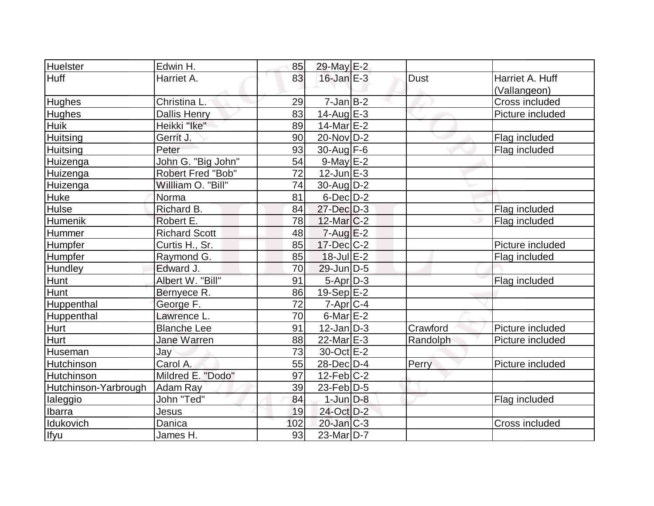| Huelster             | Edwin H.             | 85  | 29-May E-2        |             |                  |
|----------------------|----------------------|-----|-------------------|-------------|------------------|
| Huff                 | Harriet A.           | 83  | $16$ -Jan $E-3$   | <b>Dust</b> | Harriet A. Huff  |
|                      |                      |     |                   |             | (Vallangeon)     |
| <b>Hughes</b>        | Christina L.         | 29  | $7$ -Jan $B$ -2   |             | Cross included   |
| <b>Hughes</b>        | <b>Dallis Henry</b>  | 83  | $14$ -Aug $E-3$   |             | Picture included |
| <b>Huik</b>          | Heikki "Ike"         | 89  | $14$ -Mar $E-2$   |             |                  |
| Huitsing             | Gerrit J.            | 90  | 20-Nov D-2        |             | Flag included    |
| Huitsing             | Peter                | 93  | $30$ -Aug F-6     |             | Flag included    |
| Huizenga             | John G. "Big John"   | 54  | $9$ -May $E-2$    |             |                  |
| Huizenga             | Robert Fred "Bob"    | 72  | $12$ -Jun $E-3$   |             |                  |
| Huizenga             | Willliam O. "Bill"   | 74  | $30$ -AugD-2      |             |                  |
| <b>Huke</b>          | Norma                | 81  | $6$ -Dec $D-2$    |             |                  |
| Hulse                | Richard B.           | 84  | $27 - Dec$ $D-3$  |             | Flag included    |
| Humenik              | Robert E.            | 78  | $12$ -Mar $C-2$   |             | Flag included    |
| Hummer               | <b>Richard Scott</b> | 48  | $7 - Aug$ $E-2$   |             |                  |
| Humpfer              | Curtis H., Sr.       | 85  | 17-Dec C-2        |             | Picture included |
| Humpfer              | Raymond G.           | 85  | $18$ -Jul $E-2$   |             | Flag included    |
| Hundley              | Edward J.            | 70  | $29$ -Jun $ D-5$  |             |                  |
| Hunt                 | Albert W. "Bill"     | 91  | $5-Apr D-3$       |             | Flag included    |
| Hunt                 | Bernyece R.          | 86  | $19-Sep$ $E-2$    |             |                  |
| Huppenthal           | George F.            | 72  | $7$ -Apr $C$ -4   |             |                  |
| Huppenthal           | Lawrence L.          | 70  | $6$ -Mar $E-2$    |             |                  |
| Hurt                 | <b>Blanche Lee</b>   | 91  | $12$ -Jan $ D-3 $ | Crawford    | Picture included |
| Hurt                 | <b>Jane Warren</b>   | 88  | 22-Mar $E-3$      | Randolph    | Picture included |
| Huseman              | Jay                  | 73  | 30-Oct E-2        |             |                  |
| Hutchinson           | Carol A.             | 55  | $28$ -Dec $D-4$   | Perry       | Picture included |
| Hutchinson           | Mildred E. "Dodo"    | 97  | $12$ -Feb $ C-2 $ |             |                  |
| Hutchinson-Yarbrough | Adam Ray             | 39  | $23$ -Feb $ D-5$  |             |                  |
| laleggio             | John "Ted"           | 84  | $1$ -Jun $D-8$    |             | Flag included    |
| Ibarra               | Jesus                | 19  | 24-Oct D-2        |             |                  |
| Idukovich            | Danica               | 102 | $20$ -Jan $ C-3 $ |             | Cross included   |
| Ifyu                 | James H.             | 93  | $23$ -Mar $ D-7 $ |             |                  |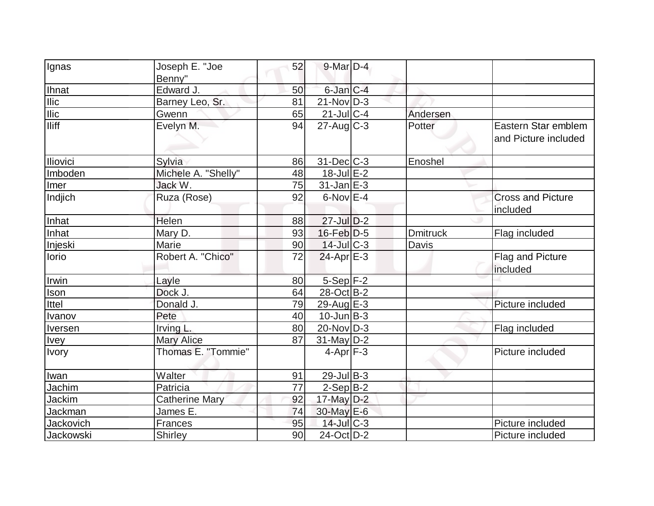| [Ignas           | Joseph E. "Joe        | 52 | $9$ -Mar $D-4$    |                 |                                             |
|------------------|-----------------------|----|-------------------|-----------------|---------------------------------------------|
|                  | Benny"                |    |                   |                 |                                             |
| <b>Ihnat</b>     | Edward J.             | 50 | $6$ -Jan $C-4$    |                 |                                             |
| <b>Ilic</b>      | Barney Leo, Sr.       | 81 | $21-Nov D-3$      |                 |                                             |
| $I$ lic          | Gwenn                 | 65 | $21$ -Jul $C$ -4  | Andersen        |                                             |
| <b>Iliff</b>     | Evelyn M.             | 94 | $27$ -Aug C-3     | Potter          | Eastern Star emblem<br>and Picture included |
| Iliovici         | Sylvia                | 86 | $31$ -Dec $C-3$   | Enoshel         |                                             |
| Imboden          | Michele A. "Shelly"   | 48 | $18$ -Jul $E-2$   |                 |                                             |
| Imer             | Jack W.               | 75 | $31$ -Jan $E-3$   |                 |                                             |
| Indjich          | Ruza (Rose)           | 92 | $6$ -Nov $E-4$    |                 | <b>Cross and Picture</b><br>included        |
| Inhat            | Helen                 | 88 | $27$ -Jul $D-2$   |                 |                                             |
| Inhat            | Mary D.               | 93 | $16$ -Feb $D-5$   | <b>Dmitruck</b> | Flag included                               |
| Injeski          | Marie                 | 90 | $14$ -Jul C-3     | Davis           |                                             |
| lorio            | Robert A. "Chico"     | 72 | $24$ -Apr $E-3$   |                 | Flag and Picture<br>included                |
| Irwin            | Layle                 | 80 | $5-Sep$ F-2       |                 |                                             |
| Ison             | Dock J.               | 64 | 28-Oct B-2        |                 |                                             |
| Ittel            | Donald J.             | 79 | 29-Aug E-3        |                 | Picture included                            |
| Ivanov           | Pete                  | 40 | $10$ -Jun $B-3$   |                 |                                             |
| Iversen          | Irving L.             | 80 | $20$ -Nov $ D-3 $ |                 | Flag included                               |
| <b>Ivey</b>      | <b>Mary Alice</b>     | 87 | $31$ -May $D-2$   |                 |                                             |
| <b>Ivory</b>     | Thomas E. "Tommie"    |    | $4-Apr$ F-3       |                 | Picture included                            |
| Iwan             | Walter                | 91 | $29$ -Jul B-3     |                 |                                             |
| Jachim           | Patricia              | 77 | $2-Sep B-2$       |                 |                                             |
| Jackim           | <b>Catherine Mary</b> | 92 | 17-May D-2        |                 |                                             |
| Jackman          | James E.              | 74 | 30-May E-6        |                 |                                             |
| <b>Jackovich</b> | Frances               | 95 | $14$ -Jul $C-3$   |                 | Picture included                            |
| Jackowski        | Shirley               | 90 | 24-Oct D-2        |                 | Picture included                            |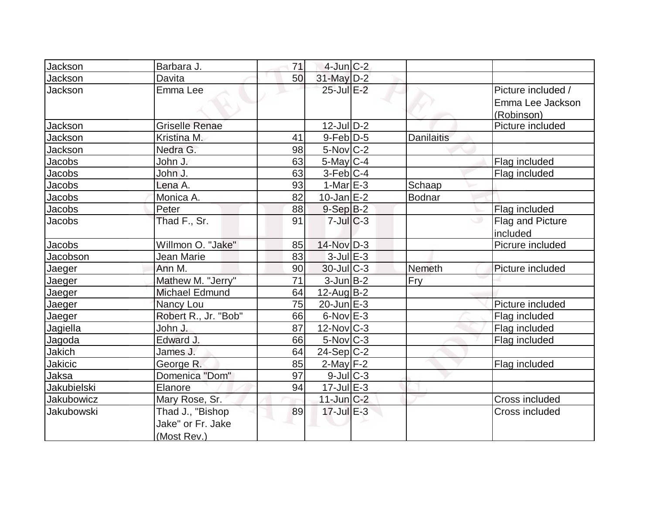| <b>Jackson</b>    | Barbara J.            | 71 | $4$ -Jun $C-2$         |                   |                    |
|-------------------|-----------------------|----|------------------------|-------------------|--------------------|
| Jackson           | Davita                | 50 | $31$ -May $D-2$        |                   |                    |
| Jackson           | Emma Lee              |    | 25-Jul E-2             |                   | Picture included / |
|                   |                       |    |                        |                   | Emma Lee Jackson   |
|                   |                       |    |                        |                   | (Robinson)         |
| Jackson           | <b>Griselle Renae</b> |    | $12$ -JulD-2           |                   | Picture included   |
| Jackson           | Kristina M.           | 41 | $9$ -Feb $D-5$         | <b>Danilaitis</b> |                    |
| Jackson           | Nedra G.              | 98 | $5-Nov$ <sub>C-2</sub> |                   |                    |
| Jacobs            | John J.               | 63 | 5-May $C-4$            |                   | Flag included      |
| Jacobs            | John J.               | 63 | $3-Feb C-4$            |                   | Flag included      |
| Jacobs            | Lena A.               | 93 | $1-Mar \, E-3$         | Schaap            |                    |
| Jacobs            | Monica A.             | 82 | $10$ -Jan $E-2$        | <b>Bodnar</b>     |                    |
| Jacobs            | Peter                 | 88 | $9-Sep B-2$            |                   | Flag included      |
| <b>Jacobs</b>     | Thad F., Sr.          | 91 | $7 -$ Jul $C - 3$      |                   | Flag and Picture   |
|                   |                       |    |                        |                   | included           |
| Jacobs            | Willmon O. "Jake"     | 85 | 14-Nov D-3             |                   | Picrure included   |
| Jacobson          | Jean Marie            | 83 | $3$ -Jul $E-3$         |                   |                    |
| Jaeger            | Ann M.                | 90 | $30$ -JulC-3           | Nemeth            | Picture included   |
| Jaeger            | Mathew M. "Jerry"     | 71 | $3$ -Jun $B-2$         | Fry               |                    |
| Jaeger            | Michael Edmund        | 64 | $12$ -Aug $B-2$        |                   |                    |
| Jaeger            | Nancy Lou             | 75 | $20$ -Jun $E-3$        |                   | Picture included   |
| Jaeger            | Robert R., Jr. "Bob"  | 66 | $6$ -Nov $E-3$         |                   | Flag included      |
| Jagiella          | John J.               | 87 | $12$ -Nov $ C-3 $      |                   | Flag included      |
| Jagoda            | Edward J.             | 66 | $5$ -Nov $C-3$         |                   | Flag included      |
| Jakich            | James J.              | 64 | $24-Sep C-2$           |                   |                    |
| Jakicic           | George R.             | 85 | $2$ -May $F-2$         |                   | Flag included      |
| Jaksa             | Domenica "Dom"        | 97 | $9$ -Jul $C-3$         |                   |                    |
| Jakubielski       | Elanore               | 94 | $17$ -Jul $E-3$        |                   |                    |
| Jakubowicz        | Mary Rose, Sr.        |    | $11$ -Jun $C-2$        |                   | Cross included     |
| <b>Jakubowski</b> | Thad J., "Bishop      | 89 | $17 -$ Jul $E - 3$     |                   | Cross included     |
|                   | Jake" or Fr. Jake     |    |                        |                   |                    |
|                   | (Most Rev.)           |    |                        |                   |                    |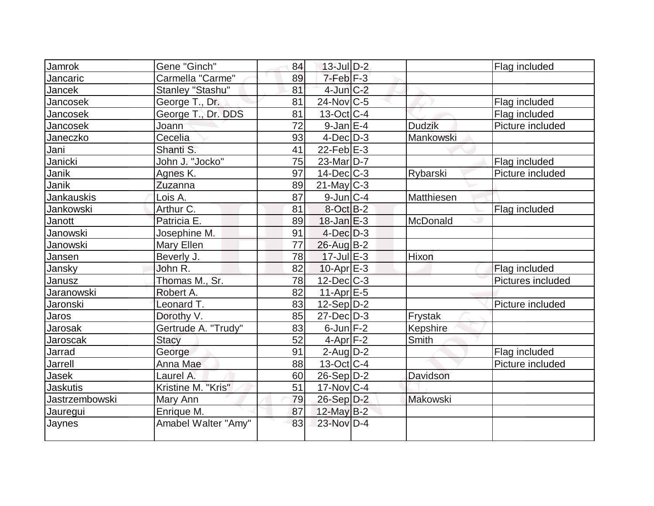| Jamrok          | Gene "Ginch"        | 84 | $13$ -Jul $D-2$   |                 | Flag included     |
|-----------------|---------------------|----|-------------------|-----------------|-------------------|
| Jancaric        | Carmella "Carme"    | 89 | $7-Feb$ $F-3$     |                 |                   |
| Jancek          | Stanley "Stashu"    | 81 | $4$ -Jun $C-2$    |                 |                   |
| Jancosek        | George T., Dr.      | 81 | $24$ -Nov $ C-5 $ |                 | Flag included     |
| Jancosek        | George T., Dr. DDS  | 81 | $13-Oct$ $C-4$    |                 | Flag included     |
| Jancosek        | Joann               | 72 | $9$ -Jan $E-4$    | <b>Dudzik</b>   | Picture included  |
| Janeczko        | Cecelia             | 93 | $4$ -Dec $D-3$    | Mankowski       |                   |
| Jani            | Shanti S.           | 41 | $22$ -Feb $E-3$   |                 |                   |
| Janicki         | John J. "Jocko"     | 75 | $23$ -Mar $ D-7 $ |                 | Flag included     |
| Janik           | Agnes K.            | 97 | $14$ -Dec $C$ -3  | Rybarski        | Picture included  |
| Janik           | Zuzanna             | 89 | $21$ -May C-3     |                 |                   |
| Jankauskis      | Lois A.             | 87 | $9$ -Jun $ C-4 $  | Matthiesen      |                   |
| Jankowski       | Arthur C.           | 81 | 8-Oct B-2         |                 | Flag included     |
| Janott          | Patricia E.         | 89 | $18$ -Jan $E-3$   | McDonald        |                   |
| Janowski        | Josephine M.        | 91 | $4$ -Dec $D-3$    |                 |                   |
| Janowski        | Mary Ellen          | 77 | 26-Aug B-2        |                 |                   |
| Jansen          | Beverly J.          | 78 | $17$ -Jul $E-3$   | Hixon           |                   |
| Jansky          | John R.             | 82 | $10$ -Apr $E-3$   |                 | Flag included     |
| Janusz          | Thomas M., Sr.      | 78 | $12$ -Dec $C$ -3  |                 | Pictures included |
| Jaranowski      | Robert A.           | 82 | $11-Apr$ $E-5$    |                 |                   |
| Jaronski        | Leonard T.          | 83 | $12-Sep D-2$      |                 | Picture included  |
| Jaros           | Dorothy V.          | 85 | $27 - Dec$ $D-3$  | Frystak         |                   |
| Jarosak         | Gertrude A. "Trudy" | 83 | $6$ -Jun $F-2$    | Kepshire        |                   |
| <b>Jaroscak</b> | <b>Stacy</b>        | 52 | $4-Apr$ F-2       | Smith           |                   |
| Jarrad          | George              | 91 | $2$ -Aug $D-2$    |                 | Flag included     |
| Jarrell         | Anna Mae            | 88 | $13-Oct$ $C-4$    |                 | Picture included  |
| Jasek           | Laurel A.           | 60 | $26-Sep D-2$      | Davidson        |                   |
| <b>Jaskutis</b> | Kristine M. "Kris"  | 51 | $17$ -Nov $ C-4$  |                 |                   |
| Jastrzembowski  | Mary Ann            | 79 | 26-Sep D-2        | <b>Makowski</b> |                   |
| Jauregui        | Enrique M.          | 87 | $12$ -May B-2     |                 |                   |
| Jaynes          | Amabel Walter "Amy" | 83 | $23-Nov$ D-4      |                 |                   |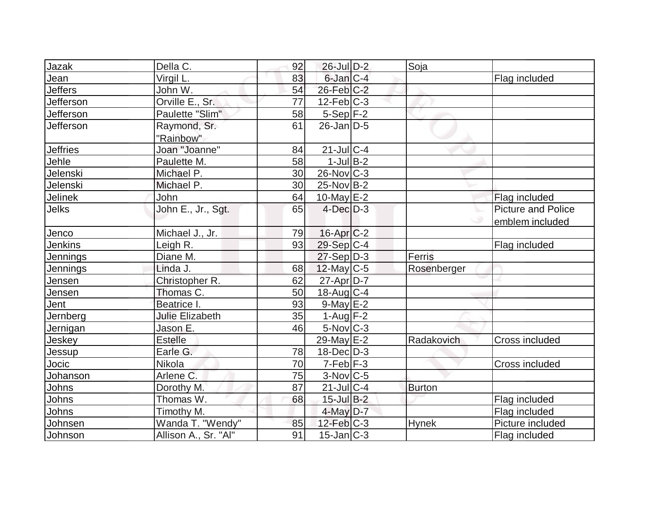| Jazak           | Della C.               | 92 | $26$ -Jul $D-2$        | Soja          |                    |
|-----------------|------------------------|----|------------------------|---------------|--------------------|
| Jean            | Virgil L.              | 83 | 6-Jan C-4              |               | Flag included      |
| <b>Jeffers</b>  | John W.                | 54 | $26$ -Feb $C-2$        |               |                    |
| Jefferson       | Orville E., Sr.        | 77 | $12$ -Feb $ C-3 $      |               |                    |
| Jefferson       | Paulette "Slim"        | 58 | $5-Sep$ F-2            |               |                    |
| Jefferson       | Raymond, Sr.           | 61 | $26$ -Jan $ D-5 $      |               |                    |
|                 | "Rainbow"              |    |                        |               |                    |
| <b>Jeffries</b> | Joan "Joanne"          | 84 | $21$ -JulC-4           |               |                    |
| Jehle           | Paulette M.            | 58 | $1$ -Jul B-2           |               |                    |
| Jelenski        | Michael P.             | 30 | $26$ -Nov $ C-3 $      |               |                    |
| Jelenski        | Michael P.             | 30 | $25$ -Nov $ B-2 $      |               |                    |
| Jelinek         | John                   | 64 | 10-May E-2             |               | Flag included      |
| Jelks           | John E., Jr., Sgt.     | 65 | $4$ -Dec $D-3$         |               | Picture and Police |
|                 |                        |    |                        |               | emblem included    |
| Jenco           | Michael J., Jr.        | 79 | $16$ -Apr $C-2$        |               |                    |
| <b>Jenkins</b>  | Leigh R.               | 93 | 29-Sep C-4             |               | Flag included      |
| Jennings        | Diane M.               |    | $27-Sep D-3$           | Ferris        |                    |
| <b>Jennings</b> | Linda J.               | 68 | $12$ -May C-5          | Rosenberger   |                    |
| Jensen          | Christopher R.         | 62 | 27-Apr D-7             |               |                    |
| Jensen          | Thomas C.              | 50 | $18$ -Aug C-4          |               |                    |
| Jent            | Beatrice I.            | 93 | 9-May E-2              |               |                    |
| Jernberg        | <b>Julie Elizabeth</b> | 35 | $1-Auq$ F-2            |               |                    |
| Jernigan        | Jason E.               | 46 | $5$ -Nov $ C-3 $       |               |                    |
| Jeskey          | <b>Estelle</b>         |    | 29-May E-2             | Radakovich    | Cross included     |
| Jessup          | Earle G.               | 78 | $18$ -Dec $D-3$        |               |                    |
| Jocic           | Nikola                 | 70 | $7-Feb$ F-3            |               | Cross included     |
| Johanson        | Arlene C.              | 75 | $3-Nov$ <sub>C-5</sub> |               |                    |
| Johns           | Dorothy M.             | 87 | $21$ -JulC-4           | <b>Burton</b> |                    |
| Johns           | Thomas W.              | 68 | $15$ -Jul B-2          |               | Flag included      |
| Johns           | Timothy M.             |    | $4$ -May $D-7$         |               | Flag included      |
| Johnsen         | Wanda T. "Wendy"       | 85 | $12$ -Feb $ C-3 $      | <b>Hynek</b>  | Picture included   |
| Johnson         | Allison A., Sr. "Al"   | 91 | $15$ -Jan $ C-3 $      |               | Flag included      |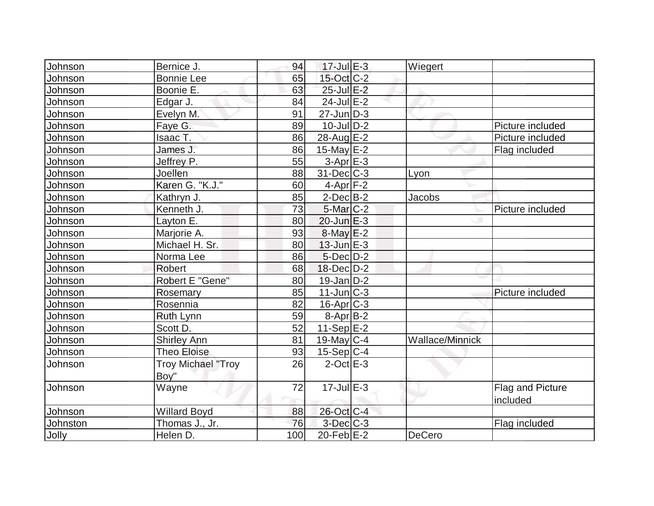| Johnson  | Bernice J.                | 94  | $17$ -Jul $E-3$   | Wiegert                |                  |
|----------|---------------------------|-----|-------------------|------------------------|------------------|
| Johnson  | <b>Bonnie Lee</b>         | 65  | 15-Oct C-2        |                        |                  |
| Johnson  | Boonie E.                 | 63  | 25-Jul E-2        |                        |                  |
| Johnson  | Edgar J.                  | 84  | $24$ -Jul $E-2$   |                        |                  |
| Johnson  | Evelyn M.                 | 91  | $27$ -Jun $ D-3 $ |                        |                  |
| Johnson  | Faye G.                   | 89  | $10$ -JulD-2      |                        | Picture included |
| Johnson  | Isaac T.                  | 86  | 28-Aug E-2        |                        | Picture included |
| Johnson  | James J.                  | 86  | 15-May E-2        |                        | Flag included    |
| Johnson  | Jeffrey P.                | 55  | $3-AprE-3$        |                        |                  |
| Johnson  | Joellen                   | 88  | $31$ -Dec $C-3$   | Lyon                   |                  |
| Johnson  | Karen G. "K.J."           | 60  | $4-Apr$ F-2       |                        |                  |
| Johnson  | Kathryn J.                | 85  | $2$ -Dec $B-2$    | <b>Jacobs</b>          |                  |
| Johnson  | Kenneth J.                | 73  | 5-Mar C-2         |                        | Picture included |
| Johnson  | Layton E.                 | 80  | $20$ -Jun $E-3$   |                        |                  |
| Johnson  | Marjorie A.               | 93  | $8$ -May $E-2$    |                        |                  |
| Johnson  | Michael H. Sr.            | 80  | $13$ -Jun $E-3$   |                        |                  |
| Johnson  | Norma Lee                 | 86  | $5$ -Dec $D-2$    |                        |                  |
| Johnson  | <b>Robert</b>             | 68  | $18$ -Dec $D-2$   |                        |                  |
| Johnson  | Robert E "Gene"           | 80  | $19$ -Jan $D-2$   |                        |                  |
| Johnson  | Rosemary                  | 85  | $11$ -Jun $C-3$   |                        | Picture included |
| Johnson  | Rosennia                  | 82  | 16-Apr C-3        |                        |                  |
| Johnson  | <b>Ruth Lynn</b>          | 59  | $8-Apr$ B-2       |                        |                  |
| Johnson  | Scott D.                  | 52  | 11-Sep $E-2$      |                        |                  |
| Johnson  | <b>Shirley Ann</b>        | 81  | 19-May C-4        | <b>Wallace/Minnick</b> |                  |
| Johnson  | <b>Theo Eloise</b>        | 93  | $15-Sep C-4$      |                        |                  |
| Johnson  | <b>Troy Michael "Troy</b> | 26  | $2$ -Oct $E-3$    |                        |                  |
|          | Boy"                      |     |                   |                        |                  |
| Johnson  | Wayne                     | 72  | $17$ -Jul $E-3$   |                        | Flag and Picture |
|          |                           |     |                   |                        | included         |
| Johnson  | <b>Willard Boyd</b>       | 88  | 26-Oct C-4        |                        |                  |
| Johnston | Thomas J., Jr.            | 76  | $3$ -Dec $C-3$    |                        | Flag included    |
| Jolly    | Helen D.                  | 100 | 20-Feb $E-2$      | <b>DeCero</b>          |                  |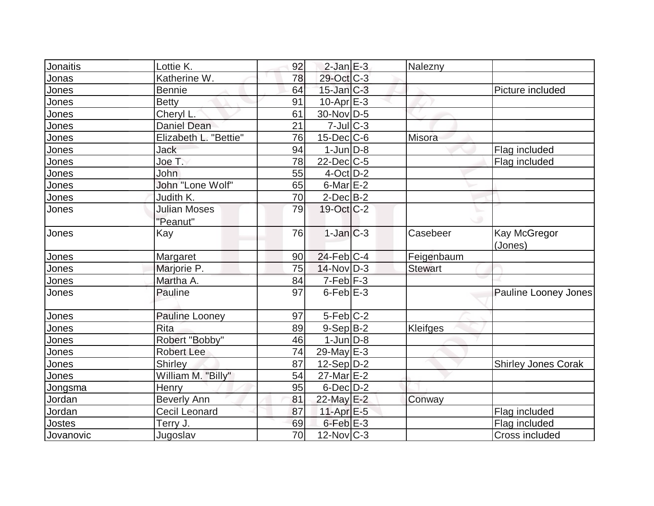| Jonaitis     | Lottie K.             | 92 | $2$ -Jan $E-3$        | Nalezny        |                            |
|--------------|-----------------------|----|-----------------------|----------------|----------------------------|
| Jonas        | Katherine W.          | 78 | 29-Oct C-3            |                |                            |
| Jones        | <b>Bennie</b>         | 64 | $15$ -Jan $C-3$       |                | Picture included           |
| Jones        | <b>Betty</b>          | 91 | $10$ -Apr $E-3$       |                |                            |
| Jones        | Cheryl L.             | 61 | 30-Nov D-5            |                |                            |
| Jones        | <b>Daniel Dean</b>    | 21 | $7$ -Jul $ C-3 $      |                |                            |
| Jones        | Elizabeth L. "Bettie" | 76 | $15$ -Dec $C$ -6      | Misora         |                            |
| Jones        | Jack                  | 94 | $1$ -Jun $D-8$        |                | Flag included              |
| Jones        | Joe T.                | 78 | $22$ -Dec $C$ -5      |                | Flag included              |
| Jones        | John                  | 55 | $4$ -Oct $ D-2 $      |                |                            |
| Jones        | John "Lone Wolf"      | 65 | $6$ -Mar $E-2$        |                |                            |
| <u>Jones</u> | Judith K.             | 70 | $2$ -Dec $B-2$        |                |                            |
| Jones        | <b>Julian Moses</b>   | 79 | $19-Oct$ $C-2$        |                |                            |
|              | "Peanut"              |    |                       |                |                            |
| Jones        | Kay                   | 76 | $1$ -Jan $C-3$        | Casebeer       | Kay McGregor<br>(Jones)    |
| Jones        | Margaret              | 90 | $24$ -Feb $ C-4$      | Feigenbaum     |                            |
| Jones        | Marjorie P.           | 75 | $14$ -Nov $ D-3 $     | <b>Stewart</b> |                            |
| <u>Jones</u> | Martha A.             | 84 | $7-Feb$ $F-3$         |                |                            |
| Jones        | <b>Pauline</b>        | 97 | $6$ -Feb $E$ -3       |                | Pauline Looney Jones       |
| Jones        | Pauline Looney        | 97 | $5-Feb$ $C-2$         |                |                            |
| Jones        | <b>Rita</b>           | 89 | $9-Sep B-2$           | Kleifges       |                            |
| Jones        | Robert "Bobby"        | 46 | $1$ -Jun $D-8$        |                |                            |
| Jones        | <b>Robert Lee</b>     | 74 | 29-May $E-3$          |                |                            |
| Jones        | Shirley               | 87 | $12-Sep D-2$          |                | <b>Shirley Jones Corak</b> |
| Jones        | William M. "Billy"    | 54 | 27-Mar <sub>E-2</sub> |                |                            |
| Jongsma      | Henry                 | 95 | $6$ -Dec $D-2$        |                |                            |
| Jordan       | <b>Beverly Ann</b>    | 81 | 22-May E-2            | Conway         |                            |
| Jordan       | Cecil Leonard         | 87 | $11-Apr \mathsf{E-5}$ |                | Flag included              |
| Jostes       | Terry J.              | 69 | $6$ -Feb $E-3$        |                | Flag included              |
| Jovanovic    | Jugoslav              | 70 | $12$ -Nov $ C-3 $     |                | Cross included             |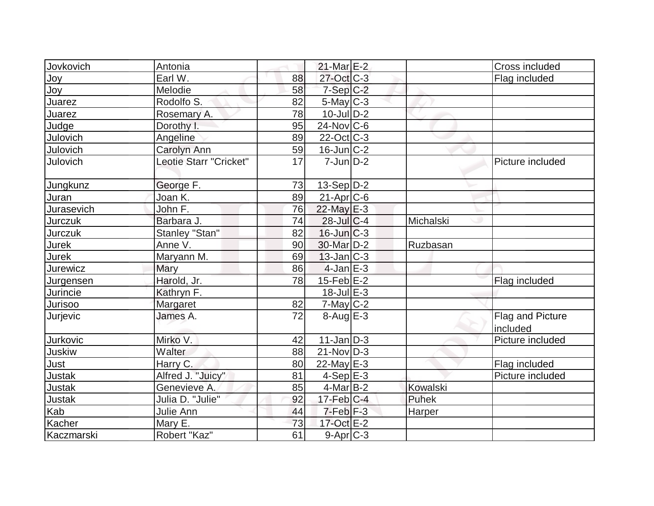| Jovkovich     | Antonia                |    | $21$ -Mar $E-2$            |           | Cross included               |
|---------------|------------------------|----|----------------------------|-----------|------------------------------|
| Jov           | Earl W.                | 88 | $27$ -Oct $C-3$            |           | Flag included                |
| Joy           | Melodie                | 58 | $7-Sep C-2$                |           |                              |
| Juarez        | Rodolfo S.             | 82 | $5$ -May $C-3$             |           |                              |
| Juarez        | Rosemary A.            | 78 | $10$ -Jul $D-2$            |           |                              |
| Judge         | Dorothy I.             | 95 | $24$ -Nov $\overline{C-6}$ |           |                              |
| Julovich      | Angeline               | 89 | $22$ -Oct $C-3$            |           |                              |
| Julovich      | <b>Carolyn Ann</b>     | 59 | $16$ -Jun $ C-2 $          |           |                              |
| Julovich      | Leotie Starr "Cricket" | 17 | $7$ -Jun $D-2$             |           | Picture included             |
| Jungkunz      | George F.              | 73 | $13-Sep D-2$               |           |                              |
| Juran         | Joan K.                | 89 | $21-Apr$ $C-6$             |           |                              |
| Jurasevich    | John F.                | 76 | $22$ -May E-3              |           |                              |
| Jurczuk       | Barbara J.             | 74 | $28$ -Jul $C-4$            | Michalski |                              |
| Jurczuk       | Stanley "Stan"         | 82 | $16$ -Jun $C-3$            |           |                              |
| Jurek         | Anne V.                | 90 | 30-Mar D-2                 | Ruzbasan  |                              |
| Jurek         | Maryann M.             | 69 | $13$ -Jan $ C-3 $          |           |                              |
| Jurewicz      | Mary                   | 86 | $4$ -Jan $E-3$             |           |                              |
| Jurgensen     | Harold, Jr.            | 78 | $15$ -Feb $E-2$            |           | Flag included                |
| Jurincie      | Kathryn F.             |    | 18-Jul E-3                 |           |                              |
| Jurisoo       | Margaret               | 82 | $7$ -May $ C-2 $           |           |                              |
| Jurjevic      | James A.               | 72 | $8-AugE-3$                 |           | Flag and Picture<br>included |
| Jurkovic      | Mirko V.               | 42 | $11$ -Jan $D-3$            |           | Picture included             |
| Juskiw        | Walter                 | 88 | $21-Nov D-3$               |           |                              |
| Just          | Harry C.               | 80 | $22$ -May E-3              |           | Flag included                |
| Justak        | Alfred J. "Juicy"      | 81 | $4-Sep$ $E-3$              |           | Picture included             |
| <b>Justak</b> | Genevieve A.           | 85 | $4$ -Mar $ B-2 $           | Kowalski  |                              |
| <b>Justak</b> | Julia D. "Julie"       | 92 | $17$ -Feb $ C-4 $          | Puhek     |                              |
| Kab           | Julie Ann              | 44 | $7-Feb$ $F-3$              | Harper    |                              |
| Kacher        | Mary E.                | 73 | 17-Oct E-2                 |           |                              |
| Kaczmarski    | Robert "Kaz"           | 61 | $9-Apr$ C-3                |           |                              |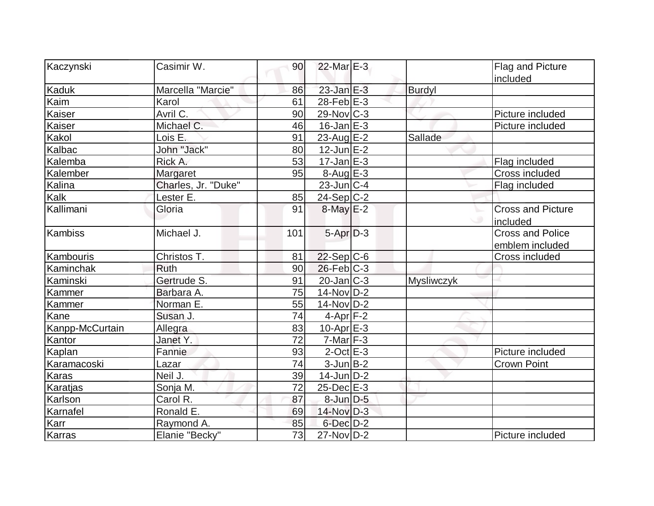| Kaczynski       | Casimir W.          | 90  | $22$ -Mar $E-3$   |            | Flag and Picture                           |
|-----------------|---------------------|-----|-------------------|------------|--------------------------------------------|
| Kaduk           | Marcella "Marcie"   | 86  | $23$ -Jan $E-3$   | Burdyl     | included                                   |
| Kaim            | Karol               | 61  | $28$ -Feb $E-3$   |            |                                            |
| Kaiser          | Avril C.            | 90  | $29$ -Nov $ C-3 $ |            | Picture included                           |
| Kaiser          | Michael C.          | 46  | $16$ -Jan $E-3$   |            | Picture included                           |
| Kakol           | Lois E.             | 91  | $23$ -Aug E-2     | Sallade    |                                            |
| Kalbac          | John "Jack"         | 80  | $12$ -Jun $E-2$   |            |                                            |
| Kalemba         | Rick A.             | 53  | $17$ -Jan $E-3$   |            | Flag included                              |
| Kalember        | Margaret            | 95  | $8-Aug$ $E-3$     |            | Cross included                             |
| Kalina          | Charles, Jr. "Duke" |     | $23$ -Jun $C-4$   |            | Flag included                              |
| Kalk            | Lester E.           | 85  | $24-Sep C-2$      |            |                                            |
| Kallimani       | Gloria              | 91  | $8$ -May $E-2$    |            | <b>Cross and Picture</b><br>included       |
| Kambiss         | Michael J.          | 101 | $5-AprD-3$        |            | <b>Cross and Police</b><br>emblem included |
| Kambouris       | Christos T.         | 81  | $22-Sep C-6$      |            | Cross included                             |
| Kaminchak       | <b>Ruth</b>         | 90  | $26$ -Feb $ C-3 $ |            |                                            |
| Kaminski        | Gertrude S.         | 91  | $20$ -Jan $C-3$   | Mysliwczyk |                                            |
| Kammer          | Barbara A.          | 75  | $14$ -Nov $ D-2 $ |            |                                            |
| Kammer          | Norman E.           | 55  | $14$ -Nov $D-2$   |            |                                            |
| Kane            | Susan J.            | 74  | $4$ -Apr $F-2$    |            |                                            |
| Kanpp-McCurtain | Allegra             | 83  | $10-Apr$ $E-3$    |            |                                            |
| Kantor          | Janet Y.            | 72  | $7$ -Mar $ F-3 $  |            |                                            |
| Kaplan          | Fannie              | 93  | $2$ -Oct $E-3$    |            | Picture included                           |
| Karamacoski     | Lazar               | 74  | $3$ -Jun $B$ -2   |            | <b>Crown Point</b>                         |
| Karas           | Neil J.             | 39  | $14$ -Jun $D-2$   |            |                                            |
| Karatjas        | Sonja M.            | 72  | $25$ -Dec $E-3$   |            |                                            |
| Karlson         | Carol R.            | 87  | $8$ -Jun $D-5$    |            |                                            |
| Karnafel        | Ronald E.           | 69  | 14-Nov D-3        |            |                                            |
| Karr            | Raymond A.          | 85  | $6$ -Dec $D-2$    |            |                                            |
| Karras          | Elanie "Becky"      | 73  | $27$ -Nov $D-2$   |            | Picture included                           |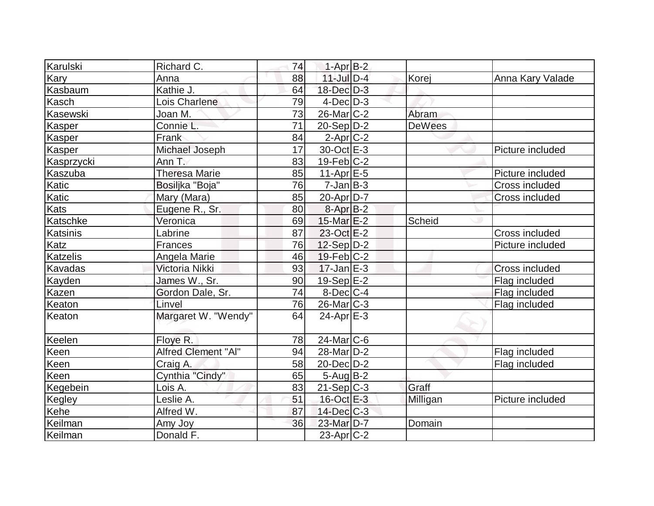| Karulski        | Richard C.           | 74 | $1-AprB-2$            |               |                       |
|-----------------|----------------------|----|-----------------------|---------------|-----------------------|
| Kary            | Anna                 | 88 | $11$ -Jul $D-4$       | Korej         | Anna Kary Valade      |
| Kasbaum         | Kathie J.            | 64 | 18-Dec D-3            |               |                       |
| Kasch           | Lois Charlene        | 79 | $4$ -Dec $D-3$        |               |                       |
| Kasewski        | Joan M.              | 73 | $26$ -Mar $C-2$       | Abram         |                       |
| Kasper          | Connie L.            | 71 | $20-Sep D-2$          | <b>DeWees</b> |                       |
| Kasper          | Frank                | 84 | $2$ -Apr $C-2$        |               |                       |
| Kasper          | Michael Joseph       | 17 | $30$ -Oct $E - 3$     |               | Picture included      |
| Kasprzycki      | Ann T.               | 83 | $19$ -Feb $ C-2 $     |               |                       |
| Kaszuba         | <b>Theresa Marie</b> | 85 | $11-Apr \mid E-5$     |               | Picture included      |
| Katic           | Bosiljka "Boja"      | 76 | $7$ -Jan $ B-3 $      |               | Cross included        |
| Katic           | Mary (Mara)          | 85 | 20-Apr D-7            |               | <b>Cross included</b> |
| <b>Kats</b>     | Eugene R., Sr.       | 80 | $8-AprB-2$            |               |                       |
| Katschke        | Veronica             | 69 | $15$ -Mar $E-2$       | <b>Scheid</b> |                       |
| Katsinis        | Labrine              | 87 | $23-Oct$ $E-2$        |               | Cross included        |
| Katz            | Frances              | 76 | $12$ -Sep $D-2$       |               | Picture included      |
| <b>Katzelis</b> | Angela Marie         | 46 | $19$ -Feb $C-2$       |               |                       |
| Kavadas         | Victoria Nikki       | 93 | $17 - Jan$ $E-3$      |               | <b>Cross included</b> |
| Kayden          | James W., Sr.        | 90 | 19-Sep E-2            |               | Flag included         |
| Kazen           | Gordon Dale, Sr.     | 74 | $8$ -Dec $C$ -4       |               | Flag included         |
| Keaton          | Linvel               | 76 | $26$ -Mar $ C-3 $     |               | Flag included         |
| Keaton          | Margaret W. "Wendy"  | 64 | $24-Apr \rvert E-3$   |               |                       |
| Keelen          | Floye R.             | 78 | $24$ -Mar $ C-6 $     |               |                       |
| Keen            | Alfred Clement "Al"  | 94 | 28-Mar <sub>D-2</sub> |               | Flag included         |
| Keen            | Craig A.             | 58 | 20-Dec D-2            |               | Flag included         |
| Keen            | Cynthia "Cindy"      | 65 | $5 - Aug$ B-2         |               |                       |
| Kegebein        | Lois A.              | 83 | $21-Sep C-3$          | Graff         |                       |
| Kegley          | Leslie A.            | 51 | 16-Oct E-3            | Milligan      | Picture included      |
| Kehe            | Alfred W.            | 87 | 14-Dec C-3            |               |                       |
| Keilman         | Amy Joy              | 36 | 23-Mar D-7            | Domain        |                       |
| Keilman         | Donald F.            |    | $23$ -Apr $ C-2 $     |               |                       |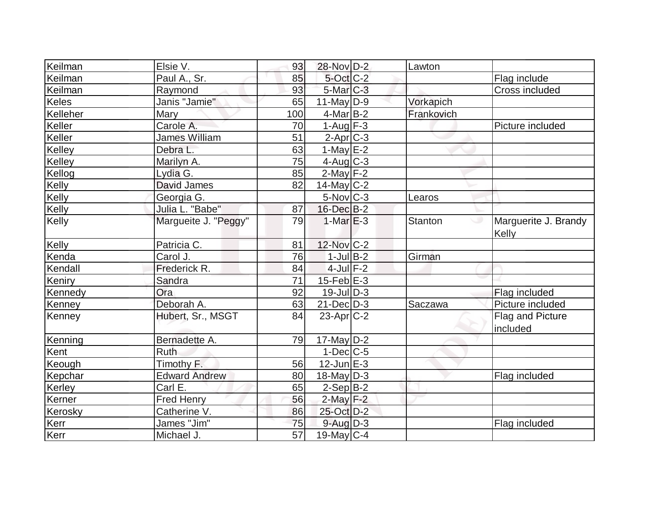| Keilman      | Elsie V.             | 93              | 28-Nov D-2        | Lawton     |                               |
|--------------|----------------------|-----------------|-------------------|------------|-------------------------------|
| Keilman      | Paul A., Sr.         | 85              | 5-Oct C-2         |            | Flag include                  |
| Keilman      | Raymond              | 93              | 5-Mar C-3         |            | Cross included                |
| <b>Keles</b> | Janis "Jamie"        | 65              | $11$ -May D-9     | Vorkapich  |                               |
| Kelleher     | <b>Mary</b>          | 100             | $4$ -Mar $B-2$    | Frankovich |                               |
| Keller       | Carole A.            | 70              | 1-Aug $F-3$       |            | Picture included              |
| Keller       | <b>James William</b> | 51              | $2-Apr$ $C-3$     |            |                               |
| Kelley       | Debra L.             | 63              | $1-May$ $E-2$     |            |                               |
| Kelley       | Marilyn A.           | 75              | $4$ -Aug C-3      |            |                               |
| Kellog       | Lydia G.             | 85              | $2$ -May $F-2$    |            |                               |
| Kelly        | David James          | 82              | $14$ -May C-2     |            |                               |
| Kelly        | Georgia G.           |                 | $5$ -Nov $ C-3 $  | Learos     |                               |
| Kelly        | Julia L. "Babe"      | 87              | $16$ -Dec $B-2$   |            |                               |
| Kelly        | Margueite J. "Peggy" | 79              | $1-MarE-3$        | Stanton    | Marguerite J. Brandy<br>Kelly |
| Kelly        | Patricia C.          | 81              | 12-Nov C-2        |            |                               |
| Kenda        | Carol J.             | 76              | $1$ -Jul B-2      | Girman     |                               |
| Kendall      | Frederick R.         | 84              | $4$ -Jul $F-2$    |            |                               |
| Keniry       | Sandra               | 71              | $15$ -Feb $E$ -3  |            |                               |
| Kennedy      | Ora                  | 92              | $19$ -Jul $D-3$   |            | Flag included                 |
| Kenney       | Deborah A.           | 63              | $21$ -Dec $D-3$   | Saczawa    | Picture included              |
| Kenney       | Hubert, Sr., MSGT    | 84              | $23$ -Apr $C-2$   |            | Flag and Picture<br>included  |
| Kenning      | Bernadette A.        | 79              | $17$ -May $ D-2 $ |            |                               |
| Kent         | Ruth                 |                 | $1-Dec$ $C-5$     |            |                               |
| Keough       | Timothy F.           | 56              | $12$ -Jun $E-3$   |            |                               |
| Kepchar      | <b>Edward Andrew</b> | 80              | $18$ -May $ D-3 $ |            | Flag included                 |
| Kerley       | Carl E.              | 65              | $2-Sep B-2$       |            |                               |
| Kerner       | <b>Fred Henry</b>    | 56              | $2$ -May $F-2$    |            |                               |
| Kerosky      | Catherine V.         | 86              | 25-Oct D-2        |            |                               |
| Kerr         | James "Jim"          | 75              | $9-Auq$ $D-3$     |            | Flag included                 |
| Kerr         | Michael J.           | $\overline{57}$ | $19$ -May C-4     |            |                               |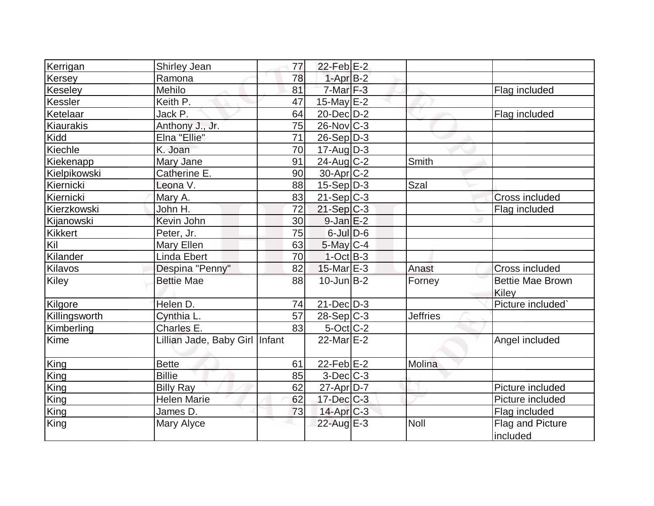| Kerrigan       | Shirley Jean                     | 77 | $22$ -Feb $E-2$  |                 |                                  |
|----------------|----------------------------------|----|------------------|-----------------|----------------------------------|
| Kersey         | Ramona                           | 78 | $1-AprB-2$       |                 |                                  |
| Keseley        | Mehilo                           | 81 | $7-Mar$ F-3      |                 | Flag included                    |
| Kessler        | Keith P.                         | 47 | $15$ -May $E-2$  |                 |                                  |
| Ketelaar       | Jack P.                          | 64 | $20 - Dec$ $D-2$ |                 | Flag included                    |
| Kiaurakis      | Anthony J., Jr.                  | 75 | $26$ -Nov $C-3$  |                 |                                  |
| Kidd           | Elna "Ellie"                     | 71 | $26-Sep D-3$     |                 |                                  |
| Kiechle        | K. Joan                          | 70 | $17$ -Aug $D-3$  |                 |                                  |
| Kiekenapp      | Mary Jane                        | 91 | $24$ -Aug C-2    | Smith           |                                  |
| Kielpikowski   | Catherine E.                     | 90 | $30$ -Apr $C-2$  |                 |                                  |
| Kiernicki      | Leona V.                         | 88 | $15-Sep D-3$     | <b>Szal</b>     |                                  |
| Kiernicki      | Mary A.                          | 83 | $21-Sep C-3$     |                 | <b>Cross included</b>            |
| Kierzkowski    | John H.                          | 72 | $21-Sep$ C-3     |                 | Flag included                    |
| Kijanowski     | Kevin John                       | 30 | $9$ -Jan $E-2$   |                 |                                  |
| <b>Kikkert</b> | Peter, Jr.                       | 75 | $6$ -Jul $D$ -6  |                 |                                  |
| Kil            | Mary Ellen                       | 63 | $5$ -May $C-4$   |                 |                                  |
| Kilander       | Linda Ebert                      | 70 | $1-Oct$ B-3      |                 |                                  |
| Kilavos        | Despina "Penny"                  | 82 | $15$ -Mar $E-3$  | Anast           | <b>Cross included</b>            |
| Kiley          | <b>Bettie Mae</b>                | 88 | $10$ -Jun $B-2$  | Forney          | <b>Bettie Mae Brown</b><br>Kiley |
| Kilgore        | Helen D.                         | 74 | $21$ -Dec $D-3$  |                 | Picture included`                |
| Killingsworth  | Cynthia L.                       | 57 | $28-Sep C-3$     | <b>Jeffries</b> |                                  |
| Kimberling     | Charles E.                       | 83 | $5$ -Oct C-2     |                 |                                  |
| Kime           | Lillian Jade, Baby Girl   Infant |    | $22$ -MarlE-2    |                 | Angel included                   |
| King           | <b>Bette</b>                     | 61 | $22$ -Feb $E-2$  | Molina          |                                  |
| King           | <b>Billie</b>                    | 85 | $3$ -Dec $C$ -3  |                 |                                  |
| King           | <b>Billy Ray</b>                 | 62 | 27-Apr D-7       |                 | Picture included                 |
| King           | <b>Helen Marie</b>               | 62 | $17$ -Dec $C$ -3 |                 | Picture included                 |
| King           | James D.                         | 73 | $14$ -Apr $C-3$  |                 | Flag included                    |
| King           | Mary Alyce                       |    | 22-Aug E-3       | Noll            | Flag and Picture<br>included     |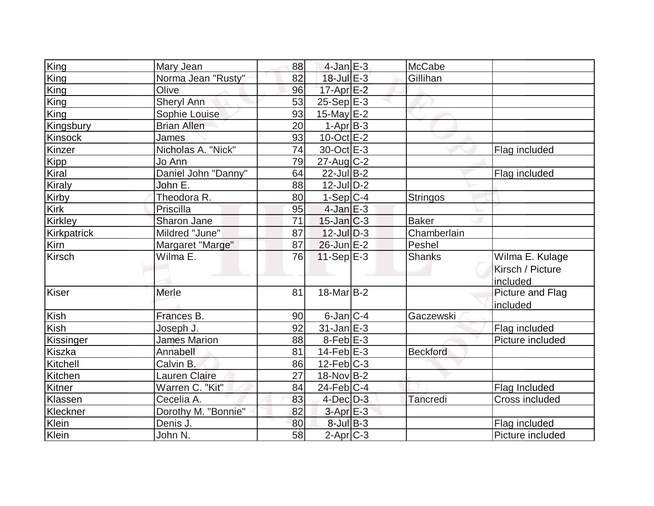| King                     | Mary Jean            | 88       | $4$ -Jan $E-3$       | McCabe          |                                                 |
|--------------------------|----------------------|----------|----------------------|-----------------|-------------------------------------------------|
| King                     | Norma Jean "Rusty"   | 82       | $18$ -Jul $E-3$      | Gillihan        |                                                 |
| $\overline{\text{King}}$ | Olive                | 96       | $17$ -Apr $E-2$      |                 |                                                 |
| King                     | Sheryl Ann           | 53       | $25-Sep$ $E-3$       |                 |                                                 |
| King                     | Sophie Louise        | 93       | 15-May $E-2$         |                 |                                                 |
| Kingsbury                | <b>Brian Allen</b>   | 20       | $1-Apr$ B-3          |                 |                                                 |
| Kinsock                  | <b>James</b>         | 93       | $10$ -Oct $E - 2$    |                 |                                                 |
| Kinzer                   | Nicholas A. "Nick"   | 74       | 30-Oct E-3           |                 | Flag included                                   |
| <b>Kipp</b>              | Jo Ann               | 79       | $27$ -Aug C-2        |                 |                                                 |
| Kiral                    | Daniel John "Danny"  | 64       | $22$ -Jul B-2        |                 | Flag included                                   |
| <b>Kiraly</b>            | John E.              | 88       | $12$ -JulD-2         |                 |                                                 |
| Kirby                    | Theodora R.          | 80       | $1-Sep C-4$          | <b>Stringos</b> |                                                 |
| Kirk                     | Priscilla            | 95       | $4$ -Jan $E-3$       |                 |                                                 |
| <b>Kirkley</b>           | Sharon Jane          | 71       | $15$ -Jan $ C-3 $    | <b>Baker</b>    |                                                 |
| <b>Kirkpatrick</b>       | Mildred "June"       | 87       | $12$ -Jul $D-3$      | Chamberlain     |                                                 |
| Kirn                     | Margaret "Marge"     | 87       | 26-Jun E-2           | Peshel          |                                                 |
|                          |                      |          |                      |                 |                                                 |
| <b>Kirsch</b>            | Wilma E.             | 76       | $11-Sep$ $E-3$       | <b>Shanks</b>   | Wilma E. Kulage<br>Kirsch / Picture<br>included |
| Kiser                    | <b>Merle</b>         | 81       | $18$ -Mar $ B-2 $    |                 | Picture and Flag<br>included                    |
| Kish                     | Frances B.           | 90       | $6$ -Jan $ C-4 $     | Gaczewski       |                                                 |
| Kish                     | Joseph J.            | 92       | $31$ -Jan $E-3$      |                 | Flag included                                   |
| Kissinger                | <b>James Marion</b>  | 88       | 8-Feb <sup>E-3</sup> |                 | Picture included                                |
| Kiszka                   | Annabell             | 81       | $14$ -Feb $E-3$      | <b>Beckford</b> |                                                 |
| Kitchell                 | Calvin B.            | 86       | $12$ -Feb $ C-3 $    |                 |                                                 |
| Kitchen                  | <b>Lauren Claire</b> | 27       | 18-Nov B-2           |                 |                                                 |
| Kitner                   | Warren C. "Kit"      | 84       | $24$ -Feb $ C-4$     |                 | Flag Included                                   |
| Klassen                  | Cecelia A.           | 83       | $4$ -Dec $D-3$       | Tancredi        | Cross included                                  |
| Kleckner                 | Dorothy M. "Bonnie"  | 82       | $3-AprE-3$           |                 |                                                 |
| Klein<br>Klein           | Denis J.             | 80<br>58 | $8$ -Jul B-3         |                 | Flag included                                   |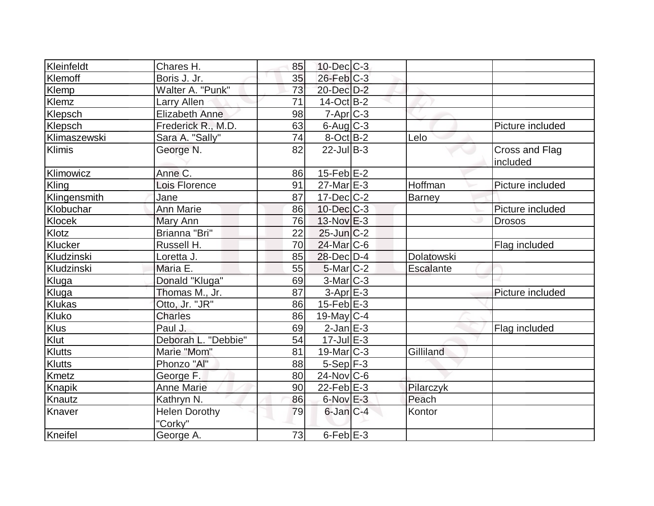| Kleinfeldt    | Chares H.                       | 85 | $10$ -Dec $C$ -3   |               |                            |
|---------------|---------------------------------|----|--------------------|---------------|----------------------------|
| Klemoff       | Boris J. Jr.                    | 35 | $26$ -Feb $C-3$    |               |                            |
| Klemp         | Walter A. "Punk"                | 73 | 20-Dec D-2         |               |                            |
| <b>Klemz</b>  | Larry Allen                     | 71 | $14-Oct$ B-2       |               |                            |
| Klepsch       | <b>Elizabeth Anne</b>           | 98 | $7 - Apr$ $C - 3$  |               |                            |
| Klepsch       | Frederick R., M.D.              | 63 | $6$ -Aug $C$ -3    |               | Picture included           |
| Klimaszewski  | Sara A. "Sally"                 | 74 | $8$ -Oct B-2       | Lelo          |                            |
| <b>Klimis</b> | George N.                       | 82 | $22$ -Jul B-3      |               | Cross and Flag<br>included |
| Klimowicz     | Anne C.                         | 86 | $15$ -Feb $E$ -2   |               |                            |
| Kling         | Lois Florence                   | 91 | $27$ -Mar $E-3$    | Hoffman       | Picture included           |
| Klingensmith  | Jane                            | 87 | $17$ -Dec $C$ -2   | <b>Barney</b> |                            |
| Klobuchar     | <b>Ann Marie</b>                | 86 | $10$ -Dec $C-3$    |               | Picture included           |
| Klocek        | Mary Ann                        | 76 | 13-Nov E-3         |               | <b>Drosos</b>              |
| Klotz         | Brianna "Bri"                   | 22 | $25$ -Jun $C-2$    |               |                            |
| Klucker       | Russell H.                      | 70 | $24$ -Mar $ C-6$   |               | Flag included              |
| Kludzinski    | Loretta J.                      | 85 | 28-Dec D-4         | Dolatowski    |                            |
| Kludzinski    | Maria E.                        | 55 | $5$ -Mar $ C-2 $   | Escalante     |                            |
| Kluga         | Donald "Kluga"                  | 69 | $3-Mar$ $C-3$      |               |                            |
| Kluga         | Thomas M., Jr.                  | 87 | $3-Apr$ $E-3$      |               | Picture included           |
| <b>Klukas</b> | Otto, Jr. "JR"                  | 86 | $15$ -Feb $E-3$    |               |                            |
| Kluko         | <b>Charles</b>                  | 86 | $19$ -May C-4      |               |                            |
| <b>Klus</b>   | Paul J.                         | 69 | $2$ -Jan $E-3$     |               | Flag included              |
| Klut          | Deborah L. "Debbie"             | 54 | $17 -$ Jul $E - 3$ |               |                            |
| <b>Klutts</b> | Marie "Mom"                     | 81 | $19$ -Mar $ C-3 $  | Gilliland     |                            |
| <b>Klutts</b> | Phonzo "Al"                     | 88 | $5-Sep$ $F-3$      |               |                            |
| <b>Kmetz</b>  | George F.                       | 80 | $24$ -Nov $ C-6$   |               |                            |
| <b>Knapik</b> | <b>Anne Marie</b>               | 90 | 22-Feb $E-3$       | Pilarczyk     |                            |
| Knautz        | Kathryn N.                      | 86 | $6$ -Nov $E-3$     | Peach         |                            |
| Knaver        | <b>Helen Dorothy</b><br>"Corkv" | 79 | $6$ -Jan $C-4$     | Kontor        |                            |
| Kneifel       | George A.                       | 73 | $6-FebE-3$         |               |                            |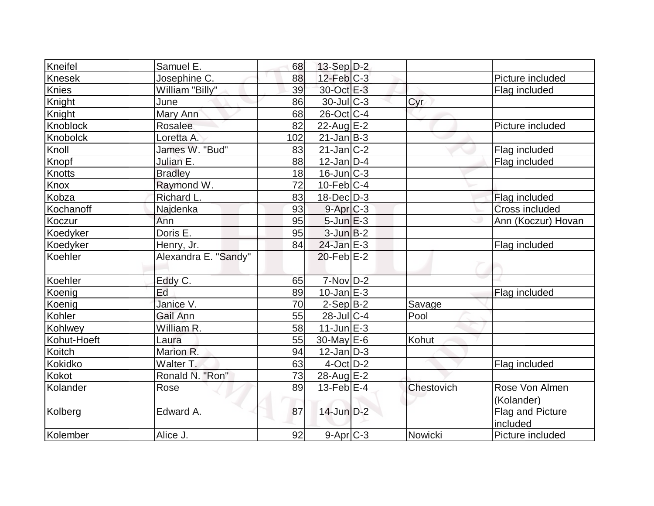| Kneifel       | Samuel E.            | 68  | $13-Sep D-2$      |            |                                     |
|---------------|----------------------|-----|-------------------|------------|-------------------------------------|
| <b>Knesek</b> | Josephine C.         | 88  | $12$ -Feb $ C-3 $ |            | Picture included                    |
| Knies         | William "Billy"      | 39  | 30-Oct E-3        |            | Flag included                       |
| <b>Knight</b> | June                 | 86  | $30$ -JulC-3      | Cyr        |                                     |
| Knight        | Mary Ann             | 68  | 26-Oct C-4        |            |                                     |
| Knoblock      | Rosalee              | 82  | 22-Aug $E-2$      |            | Picture included                    |
| Knobolck      | Loretta A.           | 102 | $21$ -Jan $ B-3 $ |            |                                     |
| Knoll         | James W. "Bud"       | 83  | $21$ -Jan $ C-2 $ |            | Flag included                       |
| Knopf         | Julian E.            | 88  | $12$ -Jan $D-4$   |            | Flag included                       |
| Knotts        | <b>Bradley</b>       | 18  | $16$ -Jun $ C-3 $ |            |                                     |
| Knox          | Raymond W.           | 72  | $10$ -Feb $ C-4$  |            |                                     |
| Kobza         | Richard L.           | 83  | $18$ -Dec $D-3$   |            | Flag included                       |
| Kochanoff     | Najdenka             | 93  | $9-AprC-3$        |            | Cross included                      |
| Koczur        | Ann                  | 95  | $5$ -Jun $E-3$    |            | Ann (Koczur) Hovan                  |
| Koedyker      | Doris E.             | 95  | $3$ -Jun $B-2$    |            |                                     |
| Koedyker      | Henry, Jr.           | 84  | $24$ -Jan E-3     |            | Flag included                       |
| Koehler       | Alexandra E. "Sandy" |     | $20$ -Feb $E-2$   |            |                                     |
| Koehler       | Eddy C.              | 65  | $7-Nov$ D-2       |            |                                     |
| Koenig        | Ed                   | 89  | $10$ -Jan $E-3$   |            | Flag included                       |
| Koenig        | Janice V.            | 70  | $2-Sep B-2$       | Savage     |                                     |
| Kohler        | Gail Ann             | 55  | $28$ -Jul $C-4$   | Pool       |                                     |
| Kohlwey       | William R.           | 58  | $11$ -Jun $E-3$   |            |                                     |
| Kohut-Hoeft   | Laura                | 55  | $30$ -May $E$ -6  | Kohut      |                                     |
| Koitch        | Marion R.            | 94  | $12$ -Jan $ D-3 $ |            |                                     |
| Kokidko       | Walter T.            | 63  | $4$ -Oct $D-2$    |            | Flag included                       |
| Kokot         | Ronald N. "Ron"      | 73  | $28$ -Aug $E-2$   |            |                                     |
| Kolander      | Rose                 | 89  | $13$ -Feb $E-4$   | Chestovich | Rose Von Almen                      |
|               |                      |     |                   |            | (Kolander)                          |
| Kolberg       | Edward A.            | 87  | 14-Jun D-2        |            | <b>Flag and Picture</b><br>included |
| Kolember      | Alice J.             | 92  | $9-Apr$ $C-3$     | Nowicki    | Picture included                    |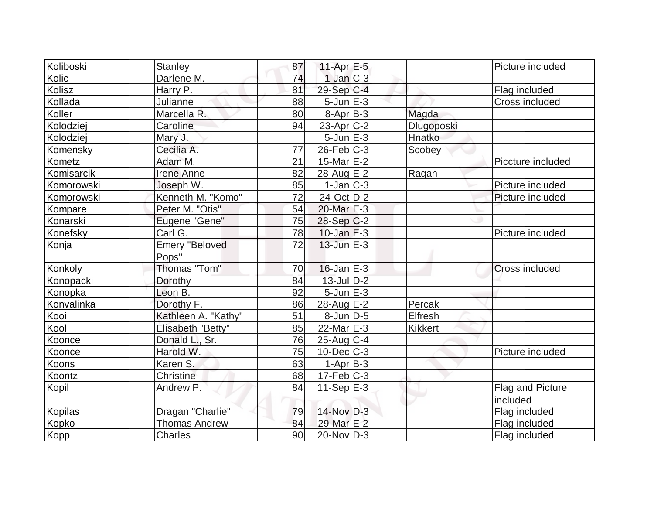| Koliboski  | <b>Stanley</b>        | 87 | 11-Apr $E-5$      |                | Picture included      |
|------------|-----------------------|----|-------------------|----------------|-----------------------|
| Kolic      | Darlene M.            | 74 | $1$ -Jan $C-3$    |                |                       |
| Kolisz     | Harry P.              | 81 | 29-Sep C-4        |                | Flag included         |
| Kollada    | Julianne              | 88 | $5$ -Jun $E-3$    |                | Cross included        |
| Koller     | Marcella R.           | 80 | $8-Apr$ B-3       | Magda          |                       |
| Kolodziej  | Caroline              | 94 | $23$ -Apr $C-2$   | Dlugoposki     |                       |
| Kolodziej  | Mary J.               |    | $5$ -Jun $E-3$    | Hnatko         |                       |
| Komensky   | Cecilia A.            | 77 | $26$ -Feb $ C-3 $ | Scobey         |                       |
| Kometz     | Adam M.               | 21 | $15$ -Mar $E-2$   |                | Piccture included     |
| Komisarcik | <b>Irene Anne</b>     | 82 | $28$ -Aug $E-2$   | Ragan          |                       |
| Komorowski | Joseph W.             | 85 | $1-Jan C-3$       |                | Picture included      |
| Komorowski | Kenneth M. "Komo"     | 72 | 24-Oct D-2        |                | Picture included      |
| Kompare    | Peter M. "Otis"       | 54 | 20-Mar E-3        |                |                       |
| Konarski   | Eugene "Gene"         | 75 | $28-Sep C-2$      |                |                       |
| Konefsky   | Carl G.               | 78 | $10$ -Jan $E-3$   |                | Picture included      |
| Konja      | <b>Emery "Beloved</b> | 72 | $13$ -Jun $E-3$   |                |                       |
|            | Pops"                 |    |                   |                |                       |
| Konkoly    | Thomas "Tom"          | 70 | $16$ -Jan $E-3$   |                | <b>Cross included</b> |
| Konopacki  | Dorothy               | 84 | $13$ -Jul $D-2$   |                |                       |
| Konopka    | Leon B.               | 92 | $5$ -Jun $E-3$    |                |                       |
| Konvalinka | Dorothy F.            | 86 | 28-Aug E-2        | Percak         |                       |
| Kooi       | Kathleen A. "Kathy"   | 51 | $8$ -Jun $D-5$    | Elfresh        |                       |
| Kool       | Elisabeth "Betty"     | 85 | $22$ -Mar $E-3$   | <b>Kikkert</b> |                       |
| Koonce     | Donald L., Sr.        | 76 | $25$ -Aug C-4     |                |                       |
| Koonce     | Harold W.             | 75 | $10$ -Dec $ C-3 $ |                | Picture included      |
| Koons      | Karen S.              | 63 | $1-AprB-3$        |                |                       |
| Koontz     | <b>Christine</b>      | 68 | $17-Feb$ $C-3$    |                |                       |
| Kopil      | Andrew P.             | 84 | $11-Sep$ $E-3$    |                | Flag and Picture      |
|            |                       |    |                   |                | included              |
| Kopilas    | Dragan "Charlie"      | 79 | $14$ -Nov $D-3$   |                | Flag included         |
| Kopko      | <b>Thomas Andrew</b>  | 84 | 29-Mar E-2        |                | Flag included         |
| Kopp       | <b>Charles</b>        | 90 | $20$ -Nov $ D-3 $ |                | Flag included         |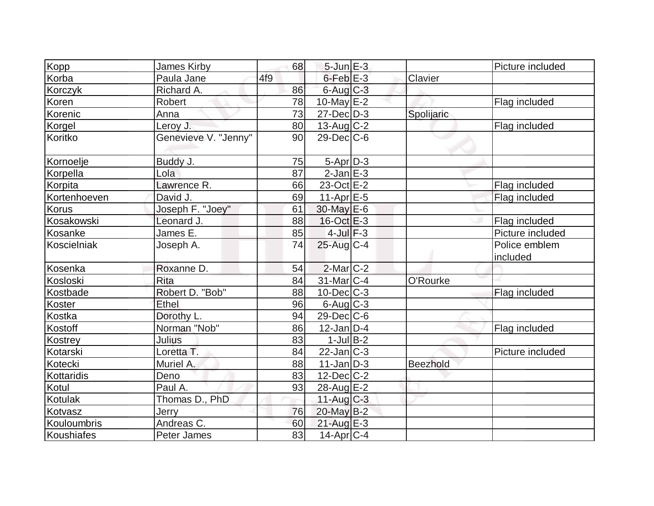| Kopp         | <b>James Kirby</b>   | 68  | $5$ -Jun $E-3$    |                 | Picture included          |
|--------------|----------------------|-----|-------------------|-----------------|---------------------------|
| Korba        | Paula Jane           | 4f9 | $6$ -Feb $E$ -3   | Clavier         |                           |
| Korczyk      | Richard A.           | 86  | $6$ -Aug $C$ -3   |                 |                           |
| Koren        | Robert               | 78  | $10$ -May $E-2$   |                 | Flag included             |
| Korenic      | Anna                 | 73  | $27 - Dec$ $D-3$  | Spolijaric      |                           |
| Korgel       | Leroy J.             | 80  | 13-Aug C-2        |                 | Flag included             |
| Koritko      | Genevieve V. "Jenny" | 90  | $29$ -Dec $C$ -6  |                 |                           |
| Kornoelje    | Buddy J.             | 75  | 5-Apr D-3         |                 |                           |
| Korpella     | Lola                 | 87  | $2$ -Jan $E-3$    |                 |                           |
| Korpita      | Lawrence R.          | 66  | 23-Oct E-2        |                 | Flag included             |
| Kortenhoeven | David J.             | 69  | $11-Apr$ $E-5$    |                 | Flag included             |
| <b>Korus</b> | Joseph F. "Joey"     | 61  | 30-May E-6        |                 |                           |
| Kosakowski   | Leonard J.           | 88  | 16-Oct E-3        |                 | Flag included             |
| Kosanke      | James E.             | 85  | $4$ -Jul $F-3$    |                 | Picture included          |
| Koscielniak  | Joseph A.            | 74  | 25-Aug C-4        |                 | Police emblem<br>included |
| Kosenka      | Roxanne D.           | 54  | $2$ -Mar $ C-2 $  |                 |                           |
| Kosloski     | Rita                 | 84  | $31$ -Mar $ C-4 $ | O'Rourke        |                           |
| Kostbade     | Robert D. "Bob"      | 88  | $10$ -Dec $C-3$   |                 | Flag included             |
| Koster       | Ethel                | 96  | $6$ -Aug $C$ -3   |                 |                           |
| Kostka       | Dorothy L.           | 94  | $29$ -Dec $C$ -6  |                 |                           |
| Kostoff      | Norman "Nob"         | 86  | $12$ -Jan D-4     |                 | Flag included             |
| Kostrey      | Julius               | 83  | $1$ -Jul B-2      |                 |                           |
| Kotarski     | Loretta T.           | 84  | $22$ -Jan $ C-3 $ |                 | Picture included          |
| Kotecki      | Muriel A.            | 88  | $11$ -Jan $ D-3 $ | <b>Beezhold</b> |                           |
| Kottaridis   | Deno                 | 83  | $12$ -Dec $C-2$   |                 |                           |
| Kotul        | Paul A.              | 93  | 28-Aug E-2        |                 |                           |
| Kotulak      | Thomas D., PhD       |     | 11-Aug $C-3$      |                 |                           |
| Kotvasz      | Jerry                | 76  | 20-May B-2        |                 |                           |
| Kouloumbris  | Andreas C.           | 60  | $21$ -Aug $E-3$   |                 |                           |
| Koushiafes   | Peter James          | 83  | $14$ -Apr $ C-4 $ |                 |                           |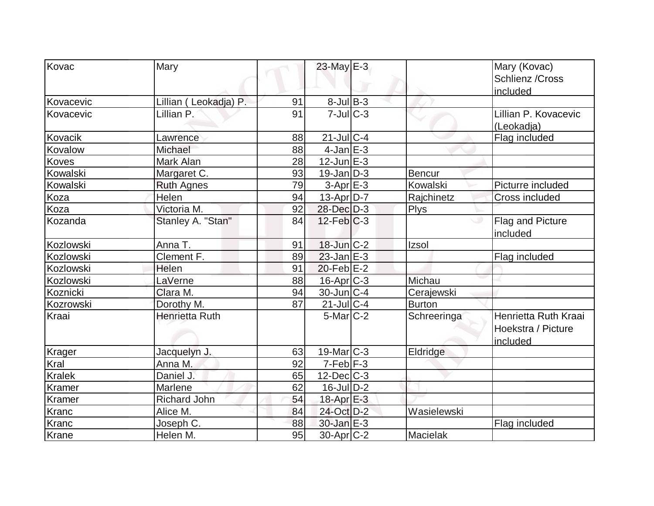| Kovac     | Mary                  |    | 23-May E-3             |               | Mary (Kovac)<br>Schlienz / Cross<br>included           |
|-----------|-----------------------|----|------------------------|---------------|--------------------------------------------------------|
| Kovacevic | Lillian (Leokadja) P. | 91 | $8$ -Jul B-3           |               |                                                        |
| Kovacevic | Lillian P.            | 91 | $7$ -Jul $C-3$         |               | Lillian P. Kovacevic<br>(Leokadja)                     |
| Kovacik   | Lawrence              | 88 | $21$ -Jul C-4          |               | Flag included                                          |
| Kovalow   | Michael               | 88 | $4$ -Jan $E-3$         |               |                                                        |
| Koves     | Mark Alan             | 28 | $12$ -Jun $E-3$        |               |                                                        |
| Kowalski  | Margaret C.           | 93 | $19$ -Jan D-3          | Bencur        |                                                        |
| Kowalski  | <b>Ruth Agnes</b>     | 79 | $3-Apr$ $E-3$          | Kowalski      | Picturre included                                      |
| Koza      | Helen                 | 94 | 13-Apr D-7             | Rajchinetz    | <b>Cross included</b>                                  |
| Koza      | Victoria M.           | 92 | 28-Dec D-3             | <b>Plys</b>   |                                                        |
| Kozanda   | Stanley A. "Stan"     | 84 | $12$ -Feb $ C-3 $      |               | Flag and Picture<br>included                           |
| Kozlowski | Anna T.               | 91 | 18-Jun C-2             | Izsol         |                                                        |
| Kozlowski | Clement F.            | 89 | $23$ -Jan $E-3$        |               | Flag included                                          |
| Kozlowski | Helen                 | 91 | $20$ -Feb $E-2$        |               |                                                        |
| Kozlowski | LaVerne               | 88 | $16$ -Apr $C-3$        | Michau        |                                                        |
| Koznicki  | Clara M.              | 94 | $30$ -Jun $ C-4 $      | Cerajewski    |                                                        |
| Kozrowski | Dorothy M.            | 87 | $21$ -JulC-4           | <b>Burton</b> |                                                        |
| Kraai     | <b>Henrietta Ruth</b> |    | $5$ -Mar $C-2$         | Schreeringa   | Henrietta Ruth Kraai<br>Hoekstra / Picture<br>included |
| Krager    | Jacquelyn J.          | 63 | $19$ -Mar $ C-3 $      | Eldridge      |                                                        |
| Kral      | Anna M.               | 92 | $7-Feb$ $F-3$          |               |                                                        |
| Kralek    | Daniel J.             | 65 | $12$ -Dec $ C-3 $      |               |                                                        |
| Kramer    | Marlene               | 62 | $16$ -Jul $D-2$        |               |                                                        |
| Kramer    | Richard John          | 54 | 18-Apr E-3             |               |                                                        |
| Kranc     | Alice M.              | 84 | 24-Oct D-2             | Wasielewski   |                                                        |
| Kranc     | Joseph C.             | 88 | $30$ -Jan $E-3$        |               | Flag included                                          |
| Krane     | Helen M.              | 95 | 30-Apr <sub>IC-2</sub> | Macielak      |                                                        |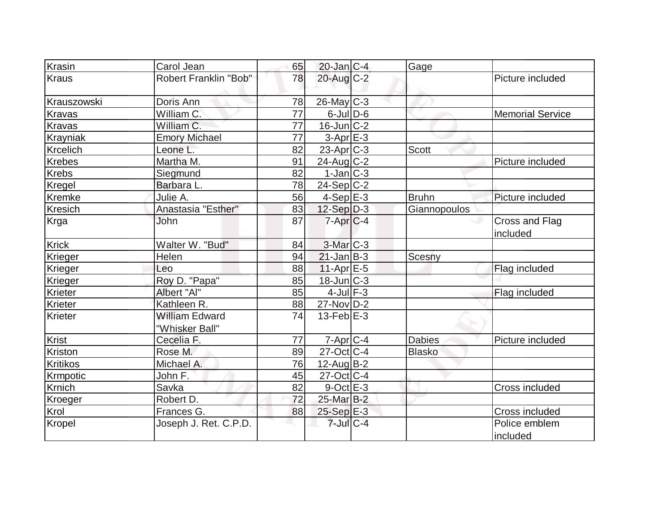| Krasin          | Carol Jean                              | 65 | $20$ -Jan C-4     | Gage          |                            |
|-----------------|-----------------------------------------|----|-------------------|---------------|----------------------------|
| <b>Kraus</b>    | Robert Franklin "Bob"                   | 78 | 20-Aug C-2        |               | Picture included           |
| Krauszowski     | Doris Ann                               | 78 | 26-May C-3        |               |                            |
| Kravas          | William C.                              | 77 | $6$ -JulD-6       |               | <b>Memorial Service</b>    |
| <b>Kravas</b>   | William C.                              | 77 | $16$ -Jun $C-2$   |               |                            |
| Krayniak        | <b>Emory Michael</b>                    | 77 | $3-Apr$ $E-3$     |               |                            |
| <b>Krcelich</b> | Leone L.                                | 82 | $23$ -Apr $ C-3 $ | <b>Scott</b>  |                            |
| Krebes          | Martha M.                               | 91 | $24$ -Aug C-2     |               | Picture included           |
| Krebs           | Siegmund                                | 82 | $1-Jan C-3$       |               |                            |
| <b>Kregel</b>   | Barbara L.                              | 78 | $24-Sep C-2$      |               |                            |
| Kremke          | Julie A.                                | 56 | $4-Sep$ E-3       | Bruhn         | Picture included           |
| <b>Kresich</b>  | Anastasia "Esther"                      | 83 | $12-Sep D-3$      | Giannopoulos  |                            |
| Krga            | John                                    | 87 | $7-Apr C-4$       |               | Cross and Flag<br>included |
| <b>Krick</b>    | Walter W. "Bud"                         | 84 | $3$ -Mar $C-3$    |               |                            |
| Krieger         | Helen                                   | 94 | $21$ -Jan B-3     | Scesny        |                            |
| <b>Krieger</b>  | Leo                                     | 88 | $11-Apr \, E-5$   |               | Flag included              |
| Krieger         | Roy D. "Papa"                           | 85 | 18-Jun C-3        |               |                            |
| Krieter         | Albert "Al"                             | 85 | $4$ -Jul $F-3$    |               | Flag included              |
| Krieter         | Kathleen R.                             | 88 | 27-Nov D-2        |               |                            |
| <b>Krieter</b>  | <b>William Edward</b><br>"Whisker Ball" | 74 | $13$ -Feb $ E-3 $ |               |                            |
| <b>Krist</b>    | Cecelia F.                              | 77 | $7-Apr$ $C-4$     | <b>Dabies</b> | Picture included           |
| Kriston         | Rose M.                                 | 89 | $27$ -Oct $ C-4 $ | Blasko        |                            |
| Kritikos        | Michael A.                              | 76 | $12$ -AugB-2      |               |                            |
| Krmpotic        | John F.                                 | 45 | $27$ -Oct $ C-4$  |               |                            |
| Krnich          | Savka                                   | 82 | $9$ -Oct $E - 3$  |               | Cross included             |
| Kroeger         | Robert D.                               | 72 | 25-Mar B-2        |               |                            |
| Krol            | Frances G.                              | 88 | $25-Sep$ $E-3$    |               | Cross included             |
| Kropel          | Joseph J. Ret. C.P.D.                   |    | $7$ -Jul $C-4$    |               | Police emblem<br>included  |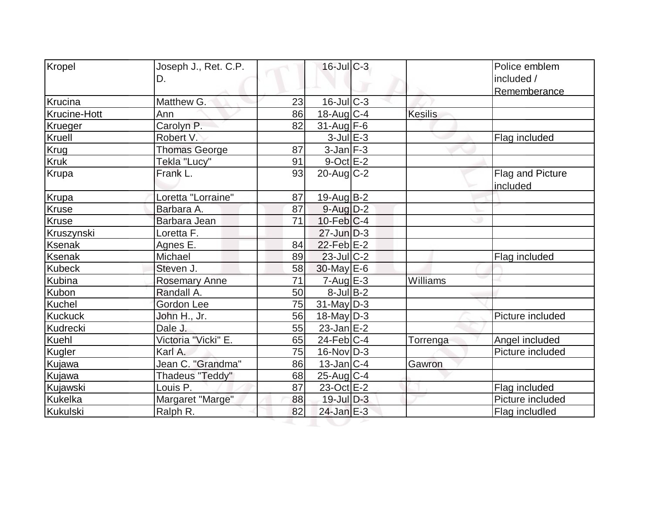| Kropel              | Joseph J., Ret. C.P.<br>D. |    | $16$ -JulC-3      |                | Police emblem<br>included /<br>Rememberance |
|---------------------|----------------------------|----|-------------------|----------------|---------------------------------------------|
| Krucina             | Matthew G.                 | 23 | $16$ -Jul $C-3$   |                |                                             |
| <b>Krucine-Hott</b> | Ann                        | 86 | $18$ -Aug C-4     | <b>Kesilis</b> |                                             |
| Krueger             | Carolyn P.                 | 82 | $31$ -Aug F-6     |                |                                             |
| Kruell              | Robert V.                  |    | $3$ -Jul $E-3$    |                | Flag included                               |
| Krug                | <b>Thomas George</b>       | 87 | $3$ -Jan $F-3$    |                |                                             |
| <b>Kruk</b>         | Tekla "Lucy"               | 91 | $9$ -Oct $E-2$    |                |                                             |
| Krupa               | Frank L.                   | 93 | $20$ -Aug $C-2$   |                | Flag and Picture<br>included                |
| Krupa               | Loretta "Lorraine"         | 87 | $19$ -Aug $B - 2$ |                |                                             |
| Kruse               | Barbara A.                 | 87 | $9$ -Aug $D-2$    |                |                                             |
| <b>Kruse</b>        | Barbara Jean               | 71 | $10$ -Feb $ C-4$  |                |                                             |
| Kruszynski          | Loretta F.                 |    | $27$ -Jun $D-3$   |                |                                             |
| <b>Ksenak</b>       | Agnes E.                   | 84 | $22$ -Feb $E-2$   |                |                                             |
| Ksenak              | Michael                    | 89 | 23-Jul C-2        |                | Flag included                               |
| <b>Kubeck</b>       | Steven J.                  | 58 | $30$ -May E-6     |                |                                             |
| Kubina              | <b>Rosemary Anne</b>       | 71 | $7 - Aug$ E-3     | Williams       |                                             |
| Kubon               | Randall A.                 | 50 | $8$ -Jul B-2      |                |                                             |
| Kuchel              | <b>Gordon Lee</b>          | 75 | $31$ -May D-3     |                |                                             |
| <b>Kuckuck</b>      | John H., Jr.               | 56 | $18$ -May D-3     |                | Picture included                            |
| Kudrecki            | Dale J.                    | 55 | $23$ -Jan $E-2$   |                |                                             |
| Kuehl               | Victoria "Vicki" E.        | 65 | $24$ -Feb $ C-4$  | Torrenga       | Angel included                              |
| Kugler              | Karl A.                    | 75 | $16$ -Nov $ D-3 $ |                | Picture included                            |
| Kujawa              | Jean C. "Grandma"          | 86 | $13$ -Jan $ C-4 $ | Gawron         |                                             |
| Kujawa              | Thadeus "Teddy"            | 68 | $25$ -Aug $ C-4$  |                |                                             |
| Kujawski            | Louis P.                   | 87 | 23-Oct E-2        |                | Flag included                               |
| Kukelka             | Margaret "Marge"           | 88 | $19$ -Jul $D-3$   |                | Picture included                            |
| Kukulski            | Ralph R.                   | 82 | 24-Jan E-3        |                | Flag includled                              |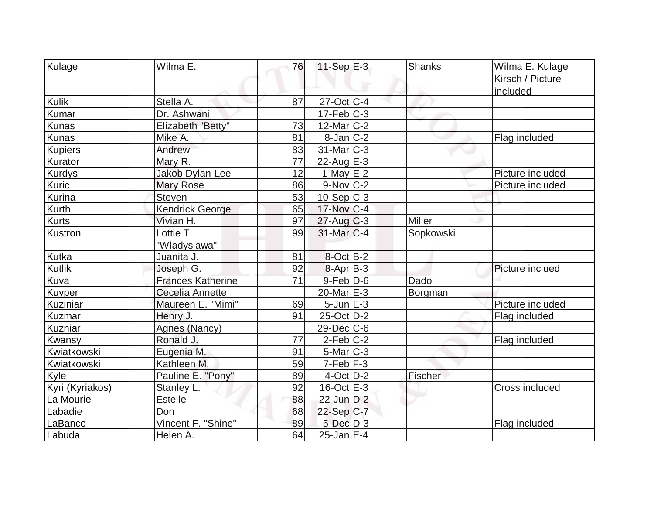| Kulage          | Wilma E.                 | 76 | $11-Sep$ E-3             | <b>Shanks</b> | Wilma E. Kulage  |
|-----------------|--------------------------|----|--------------------------|---------------|------------------|
|                 |                          |    |                          |               | Kirsch / Picture |
|                 |                          |    |                          |               | included         |
| Kulik           | Stella A.                | 87 | 27-Oct C-4               |               |                  |
| Kumar           | Dr. Ashwani              |    | $17-Feb$ <sub>C</sub> -3 |               |                  |
| <b>Kunas</b>    | Elizabeth "Betty"        | 73 | $12$ -Mar $ C-2 $        |               |                  |
| Kunas           | Mike A.                  | 81 | $8$ -Jan $ C-2 $         |               | Flag included    |
| <b>Kupiers</b>  | Andrew                   | 83 | $31$ -Mar $ C-3 $        |               |                  |
| Kurator         | Mary R.                  | 77 | 22-Aug E-3               |               |                  |
| <b>Kurdys</b>   | Jakob Dylan-Lee          | 12 | $1-May$ $E-2$            |               | Picture included |
| Kuric           | <b>Mary Rose</b>         | 86 | $9-Nov$ $C-2$            |               | Picture included |
| Kurina          | Steven                   | 53 | $10-Sep C-3$             |               |                  |
| Kurth           | <b>Kendrick George</b>   | 65 | 17-Nov C-4               |               |                  |
| <b>Kurts</b>    | Vivian H.                | 97 | $27$ -Aug C-3            | <b>Miller</b> |                  |
| Kustron         | Lottie T.                | 99 | $31$ -Mar $C-4$          | Sopkowski     |                  |
|                 | "Wladyslawa"             |    |                          |               |                  |
| Kutka           | Juanita J.               | 81 | $8-Oct$ B-2              |               |                  |
| <b>Kutlik</b>   | Joseph G.                | 92 | $8-Apr$ B-3              |               | Picture inclued  |
| Kuva            | <b>Frances Katherine</b> | 71 | $9$ -Feb $D$ -6          | Dado          |                  |
| Kuyper          | Cecelia Annette          |    | $20$ -Mar $E-3$          | Borgman       |                  |
| Kuziniar        | Maureen E. "Mimi"        | 69 | $5$ -Jun $E-3$           |               | Picture included |
| Kuzmar          | Henry J.                 | 91 | 25-Oct D-2               |               | Flag included    |
| Kuzniar         | Agnes (Nancy)            |    | $29$ -Dec $ C$ -6        |               |                  |
| Kwansy          | Ronald J.                | 77 | $2$ -Feb $ C-2 $         |               | Flag included    |
| Kwiatkowski     | Eugenia M.               | 91 | $5-Mar$ $C-3$            |               |                  |
| Kwiatkowski     | Kathleen M.              | 59 | $7-Feb$ $F-3$            |               |                  |
| Kyle            | Pauline E. "Pony"        | 89 | $4$ -Oct $D-2$           | Fischer       |                  |
| Kyri (Kyriakos) | Stanley L.               | 92 | $16$ -Oct $E - 3$        |               | Cross included   |
| La Mourie       | <b>Estelle</b>           | 88 | $22$ -Jun $D-2$          |               |                  |
| Labadie         | Don                      | 68 | $22-Sep C-7$             |               |                  |
| LaBanco         | Vincent F. "Shine"       | 89 | $5$ -Dec $D-3$           |               | Flag included    |
| Labuda          | Helen A.                 | 64 | $25$ -Jan $E-4$          |               |                  |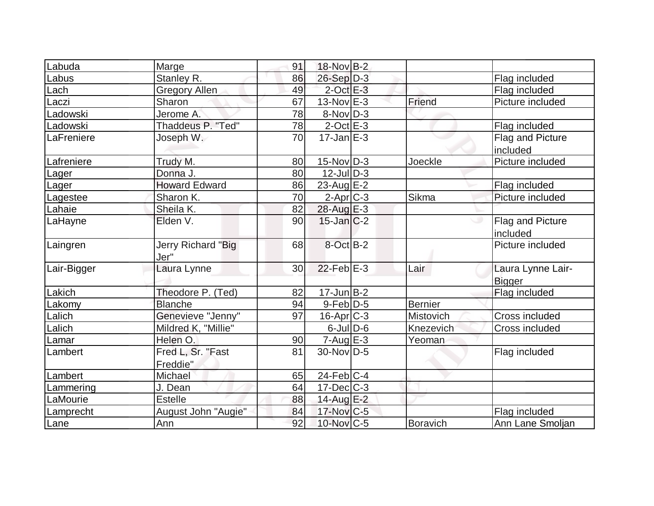| Labuda      | Marge                         | 91 | 18-Nov B-2        |                  |                                    |
|-------------|-------------------------------|----|-------------------|------------------|------------------------------------|
| Labus       | Stanley R.                    | 86 | 26-Sep D-3        |                  | Flag included                      |
| Lach        | <b>Gregory Allen</b>          | 49 | $2$ -Oct $E-3$    |                  | Flag included                      |
| Laczi       | <b>Sharon</b>                 | 67 | $13-Nov$ E-3      | Friend           | Picture included                   |
| Ladowski    | Jerome A.                     | 78 | $8-Nov D-3$       |                  |                                    |
| Ladowski    | Thaddeus P. "Ted"             | 78 | $2$ -Oct $E-3$    |                  | Flag included                      |
| LaFreniere  | Joseph W.                     | 70 | $17$ -Jan $E-3$   |                  | Flag and Picture<br>included       |
| Lafreniere  | Trudy M.                      | 80 | $15$ -Nov $ D-3 $ | Joeckle          | Picture included                   |
| Lager       | Donna J.                      | 80 | $12$ -JulD-3      |                  |                                    |
| Lager       | <b>Howard Edward</b>          | 86 | $23$ -Aug E-2     |                  | Flag included                      |
| Lagestee    | Sharon K.                     | 70 | $2$ -Apr $C$ -3   | Sikma            | Picture included                   |
| Lahaie      | Sheila K.                     | 82 | 28-Aug E-3        |                  |                                    |
| LaHayne     | Elden V.                      | 90 | $15$ -Jan $ C-2 $ |                  | Flag and Picture<br>included       |
| Laingren    | Jerry Richard "Big<br>Jer"    | 68 | 8-Oct B-2         |                  | Picture included                   |
| Lair-Bigger | Laura Lynne                   | 30 | $22$ -Feb $E-3$   | Lair             | Laura Lynne Lair-<br><b>Bigger</b> |
| Lakich      | Theodore P. (Ted)             | 82 | $17$ -Jun $B-2$   |                  | Flag included                      |
| Lakomy      | <b>Blanche</b>                | 94 | $9-Feb$ $D-5$     | <b>Bernier</b>   |                                    |
| Lalich      | Genevieve "Jenny"             | 97 | $16$ -Apr $C-3$   | <b>Mistovich</b> | Cross included                     |
| Lalich      | Mildred K, "Millie"           |    | $6$ -Jul $D$ -6   | Knezevich        | Cross included                     |
| Lamar       | Helen O.                      | 90 | $7 - Aug$ $E-3$   | Yeoman           |                                    |
| Lambert     | Fred L, Sr. "Fast<br>Freddie" | 81 | 30-Nov D-5        |                  | Flag included                      |
| Lambert     | Michael                       | 65 | $24$ -Feb $ C-4$  |                  |                                    |
| Lammering   | J. Dean                       | 64 | 17-Dec C-3        |                  |                                    |
| LaMourie    | <b>Estelle</b>                | 88 | 14-Aug E-2        |                  |                                    |
| Lamprecht   | August John "Augie"           | 84 | 17-Nov C-5        |                  | Flag included                      |
| Lane        | Ann                           | 92 | 10-Nov C-5        | <b>Boravich</b>  | Ann Lane Smoljan                   |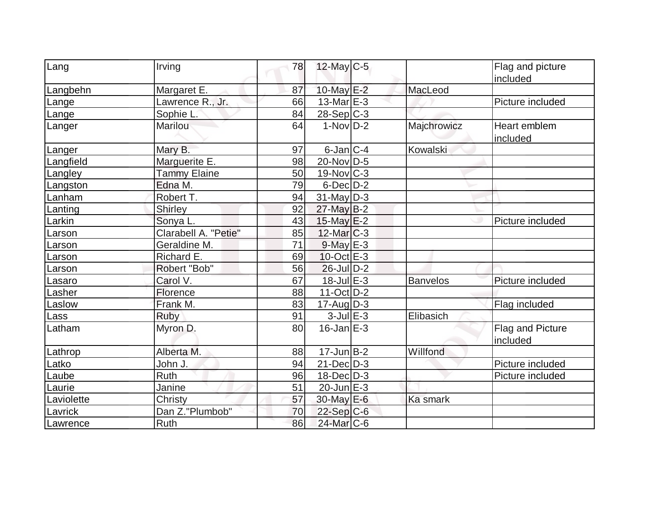| Lang       | Irving               | 78 | $12$ -May C-5            |                 | Flag and picture<br>included |
|------------|----------------------|----|--------------------------|-----------------|------------------------------|
| Langbehn   | Margaret E.          | 87 | 10-May E-2               | MacLeod         |                              |
| Lange      | Lawrence R., Jr.     | 66 | 13-Mar $E-3$             |                 | Picture included             |
| Lange      | Sophie L.            | 84 | $28-Sep C-3$             |                 |                              |
| Langer     | Marilou              | 64 | $1-NovD-2$               | Majchrowicz     | Heart emblem<br>included     |
| Langer     | Mary B.              | 97 | $6$ -Jan $ C-4 $         | Kowalski        |                              |
| Langfield  | Marguerite E.        | 98 | $20$ -Nov $ D-5 $        |                 |                              |
| Langley    | <b>Tammy Elaine</b>  | 50 | $19-Nov$ <sub>C</sub> -3 |                 |                              |
| Langston   | Edna M.              | 79 | $6$ -Dec $D-2$           |                 |                              |
| Lanham     | Robert T.            | 94 | $31$ -May D-3            |                 |                              |
| Lanting    | Shirley              | 92 | $27$ -May B-2            |                 |                              |
| Larkin     | Sonya L.             | 43 | $15$ -May $E-2$          |                 | Picture included             |
| Larson     | Clarabell A. "Petie" | 85 | $12$ -Mar $ C-3 $        |                 |                              |
| Larson     | Geraldine M.         | 71 | $9$ -May $E-3$           |                 |                              |
| Larson     | Richard E.           | 69 | $10$ -Oct $E - 3$        |                 |                              |
| Larson     | Robert "Bob"         | 56 | $26$ -Jul $D-2$          |                 |                              |
| Lasaro     | Carol V.             | 67 | $18$ -Jul $E-3$          | <b>Banvelos</b> | Picture included             |
| Lasher     | Florence             | 88 | $11-Oct$ D-2             |                 |                              |
| Laslow     | Frank M.             | 83 | $17$ -Aug $ D-3 $        |                 | Flag included                |
| Lass       | Ruby                 | 91 | $3$ -Jul $E-3$           | Elibasich       |                              |
| Latham     | Myron D.             | 80 | $16$ -Jan $E-3$          |                 | Flag and Picture<br>included |
| Lathrop    | Alberta M.           | 88 | $17$ -Jun $B-2$          | Willfond        |                              |
| Latko      | John J.              | 94 | $21$ -Dec $D-3$          |                 | Picture included             |
| Laube      | Ruth                 | 96 | $18$ -Dec $ D-3 $        |                 | Picture included             |
| Laurie     | Janine               | 51 | 20-Jun E-3               |                 |                              |
| Laviolette | Christy              | 57 | 30-May E-6               | Ka smark        |                              |
| Lavrick    | Dan Z."Plumbob"      | 70 | $22-Sep C-6$             |                 |                              |
| Lawrence   | Ruth                 | 86 | 24-Mar C-6               |                 |                              |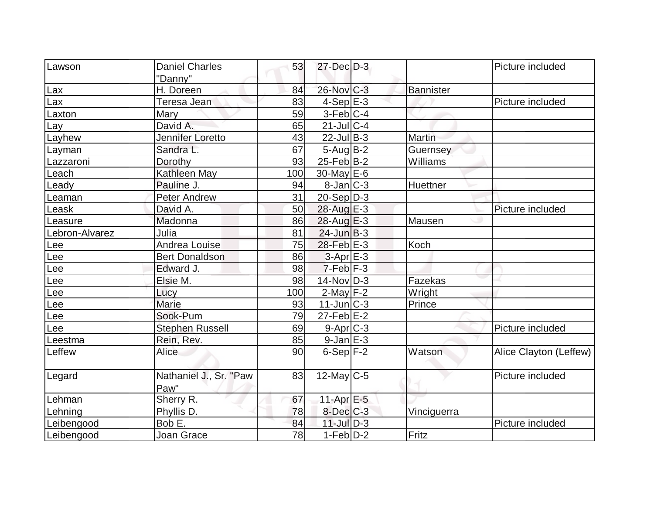| Lawson         | <b>Daniel Charles</b>          | 53  | $27 - Dec$ $D-3$            |               | Picture included       |
|----------------|--------------------------------|-----|-----------------------------|---------------|------------------------|
|                | "Danny"                        |     |                             |               |                        |
| Lax            | H. Doreen                      | 84  | $26$ -Nov $ C-3 $           | Bannister     |                        |
| Lax            | Teresa Jean                    | 83  | $4-Sep$ $E-3$               |               | Picture included       |
| Laxton         | <b>Mary</b>                    | 59  | $3-Feb$ C-4                 |               |                        |
| Lay            | David A.                       | 65  | $21$ -Jul C-4               |               |                        |
| Layhew         | Jennifer Loretto               | 43  | $22$ -Jul B-3               | <b>Martin</b> |                        |
| Layman         | Sandra L.                      | 67  | $5 - Aug$ B-2               | Guernsey      |                        |
| Lazzaroni      | Dorothy                        | 93  | $25$ -Feb $ B-2 $           | Williams      |                        |
| Leach          | Kathleen May                   | 100 | $30$ -May $E$ -6            |               |                        |
| Leady          | Pauline J.                     | 94  | $8$ -Jan $ C-3 $            | Huettner      |                        |
| Leaman         | <b>Peter Andrew</b>            | 31  | $20-Sep D-3$                |               |                        |
| Leask          | David A.                       | 50  | 28-Aug E-3                  |               | Picture included       |
| Leasure        | Madonna                        | 86  | $28$ -Aug $E-3$             | Mausen        |                        |
| Lebron-Alvarez | Julia                          | 81  | $24$ -Jun $B-3$             |               |                        |
| Lee            | Andrea Louise                  | 75  | $28$ -Feb $E-3$             | Koch          |                        |
| Lee            | <b>Bert Donaldson</b>          | 86  | $3-Apr$ E-3                 |               |                        |
| Lee            | Edward J.                      | 98  | $7-Feb$ $F-3$               |               |                        |
| Lee            | Elsie M.                       | 98  | 14-Nov D-3                  | Fazekas       |                        |
| Lee            | Lucy                           | 100 | $2$ -May $F-2$              | Wright        |                        |
| Lee            | <b>Marie</b>                   | 93  | $11$ -Jun $\overline{C}$ -3 | Prince        |                        |
| Lee            | Sook-Pum                       | 79  | $27$ -Feb $E-2$             |               |                        |
| Lee            | <b>Stephen Russell</b>         | 69  | $9-Apr$ $C-3$               |               | Picture included       |
| Leestma        | Rein, Rev.                     | 85  | $9$ -Jan $E-3$              |               |                        |
| Leffew         | <b>Alice</b>                   | 90  | $6-Sep$ $F-2$               | Watson        | Alice Clayton (Leffew) |
| Legard         | Nathaniel J., Sr. "Paw<br>Paw" | 83  | $12$ -May C-5               |               | Picture included       |
| Lehman         | Sherry R.                      | 67  | 11-Apr $E-5$                |               |                        |
| Lehning        | Phyllis D.                     | 78  | $8$ -Dec $C$ -3             | Vinciguerra   |                        |
| Leibengood     | Bob E.                         | 84  | $11$ -Jul $D-3$             |               | Picture included       |
| Leibengood     | Joan Grace                     | 78  | $1-Feb D-2$                 | Fritz         |                        |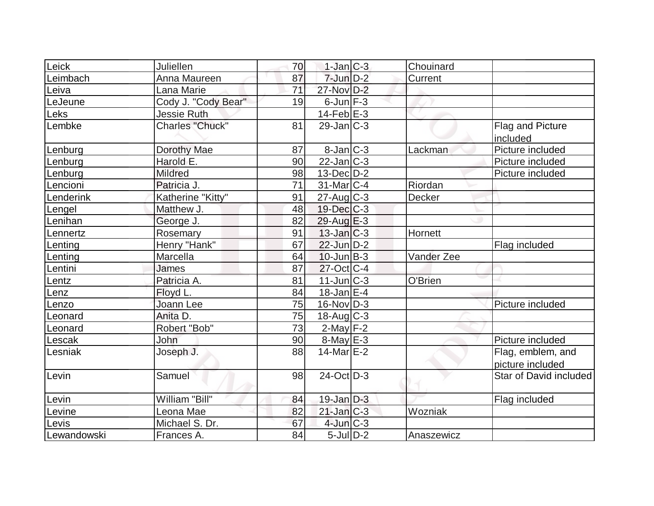| Leick       | Juliellen              | 70 | $1-Jan C-3$       | Chouinard  |                        |
|-------------|------------------------|----|-------------------|------------|------------------------|
| Leimbach    | Anna Maureen           | 87 | $7$ -Jun $D-2$    | Current    |                        |
| Leiva       | Lana Marie             | 71 | 27-Nov D-2        |            |                        |
| LeJeune     | Cody J. "Cody Bear"    | 19 | $6$ -Jun $F-3$    |            |                        |
| Leks        | <b>Jessie Ruth</b>     |    | $14$ -Feb $E-3$   |            |                        |
| Lembke      | <b>Charles "Chuck"</b> | 81 | $29$ -Jan $ C-3 $ |            | Flag and Picture       |
|             |                        |    |                   |            | included               |
| Lenburg     | Dorothy Mae            | 87 | $8$ -Jan $ C-3 $  | Lackman    | Picture included       |
| Lenburg     | Harold E.              | 90 | $22$ -Jan C-3     |            | Picture included       |
|             | Mildred                | 98 | $13$ -Dec $D-2$   |            | Picture included       |
| Lenburg     |                        | 71 |                   | Riordan    |                        |
| Lencioni    | Patricia J.            |    | $31$ -Mar $ C-4 $ |            |                        |
| Lenderink   | Katherine "Kitty"      | 91 | $27$ -Aug C-3     | Decker     |                        |
| Lengel      | Matthew J.             | 48 | $19$ -Dec $C$ -3  |            |                        |
| Lenihan     | George J.              | 82 | $29$ -Aug $E-3$   |            |                        |
| Lennertz    | Rosemary               | 91 | $13$ -Jan $ C-3 $ | Hornett    |                        |
| Lenting     | Henry "Hank"           | 67 | $22$ -Jun $D-2$   |            | Flag included          |
| Lenting     | Marcella               | 64 | $10$ -Jun $ B-3 $ | Vander Zee |                        |
| Lentini     | <b>James</b>           | 87 | $27$ -Oct C-4     |            |                        |
| Lentz       | Patricia A.            | 81 | $11$ -Jun $C-3$   | O'Brien    |                        |
| Lenz        | Floyd L.               | 84 | $18 - Jan \nE-4$  |            |                        |
| Lenzo       | Joann Lee              | 75 | $16$ -Nov $ D-3 $ |            | Picture included       |
| Leonard     | Anita D.               | 75 | $18$ -Aug C-3     |            |                        |
| Leonard     | Robert "Bob"           | 73 | $2$ -May $F-2$    |            |                        |
| Lescak      | John                   | 90 | $8$ -May $E - 3$  |            | Picture included       |
| Lesniak     | Joseph J.              | 88 | $14$ -Mar $E-2$   |            | Flag, emblem, and      |
|             |                        |    |                   |            | picture included       |
| Levin       | Samuel                 | 98 | 24-Oct D-3        |            | Star of David included |
|             |                        |    |                   |            |                        |
| Levin       | William "Bill"         | 84 | $19$ -Jan $D-3$   |            | Flag included          |
| Levine      | Leona Mae              | 82 | $21$ -Jan $C-3$   | Wozniak    |                        |
| Levis       | Michael S. Dr.         | 67 | $4$ -Jun $C-3$    |            |                        |
| Lewandowski | Frances A.             | 84 | $5$ -Jul $D-2$    | Anaszewicz |                        |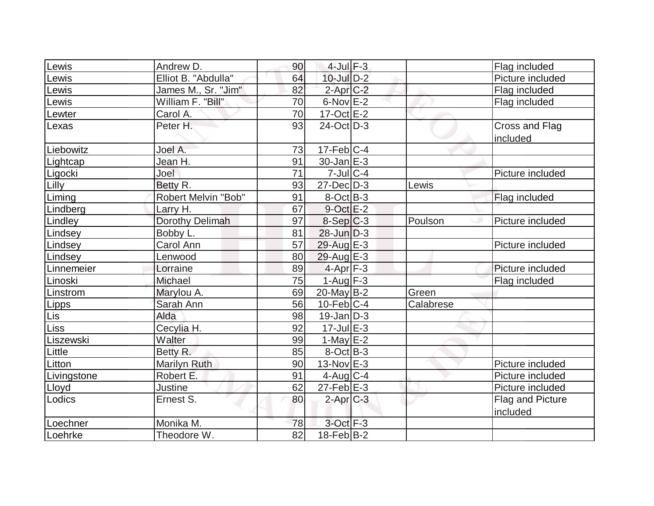| Lewis       | Andrew D.           | 90              | $4$ -Jul $F-3$      |           | Flag included                |
|-------------|---------------------|-----------------|---------------------|-----------|------------------------------|
| Lewis       | Elliot B. "Abdulla" | 64              | $10$ -Jul $D-2$     |           | Picture included             |
| Lewis       | James M., Sr. "Jim" | 82              | $2$ -Apr $C-2$      |           | Flag included                |
| Lewis       | William F. "Bill"   | 70              | $6$ -Nov $E-2$      |           | Flag included                |
| Lewter      | Carol A.            | 70              | $17-Oct$ $E-2$      |           |                              |
| Lexas       | Peter H.            | 93              | $24$ -Oct $ D-3 $   |           | Cross and Flag<br>included   |
| Liebowitz   | Joel A.             | 73              | $17$ -Feb $ C-4 $   |           |                              |
| Lightcap    | Jean H.             | 91              | $30 - Jan \, E - 3$ |           |                              |
| Ligocki     | Joel                | 71              | $7$ -Jul $ C-4$     |           | Picture included             |
| Lilly       | Betty R.            | 93              | $27$ -Dec $D-3$     | Lewis     |                              |
| Liming      | Robert Melvin "Bob" | 91              | $8-Oct$ B-3         |           | Flag included                |
| Lindberg    | Larry H.            | 67              | $9$ -Oct $E-2$      |           |                              |
| Lindley     | Dorothy Delimah     | 97              | $8-Sep C-3$         | Poulson   | Picture included             |
| Lindsey     | Bobby L.            | 81              | $28$ -Jun $D-3$     |           |                              |
| Lindsey     | Carol Ann           | 57              | 29-Aug E-3          |           | Picture included             |
| Lindsey     | Lenwood             | 80              | $29$ -Aug $E-3$     |           |                              |
| Linnemeier  | Lorraine            | 89              | $4-Apr$ F-3         |           | Picture included             |
| Linoski     | Michael             | 75              | $1-Aug$ F-3         |           | Flag included                |
| Linstrom    | Marylou A.          | 69              | $20$ -May B-2       | Green     |                              |
| Lipps       | Sarah Ann           | 56              | $10$ -Feb $ C-4$    | Calabrese |                              |
| Lis         | Alda                | 98              | $19$ -Jan $ D-3 $   |           |                              |
| <b>Liss</b> | Cecylia H.          | 92              | $17 -$ Jul $E - 3$  |           |                              |
| Liszewski   | Walter              | 99              | 1-May $E-2$         |           |                              |
| Little      | Betty R.            | 85              | $8-Oct$ B-3         |           |                              |
| Litton      | <b>Marilyn Ruth</b> | 90              | $13-Nov$ E-3        |           | Picture included             |
| Livingstone | Robert E.           | 91              | $4$ -Aug C-4        |           | Picture included             |
| Lloyd       | Justine             | 62              | $27$ -Feb $E-3$     |           | Picture included             |
| Lodics      | Ernest S.           | 80              | $2$ -Apr $C-3$      |           | Flag and Picture<br>included |
| Loechner    | Monika M.           | 78              | 3-Oct F-3           |           |                              |
| Loehrke     | Theodore W.         | $\overline{82}$ | $18-Feb B-2$        |           |                              |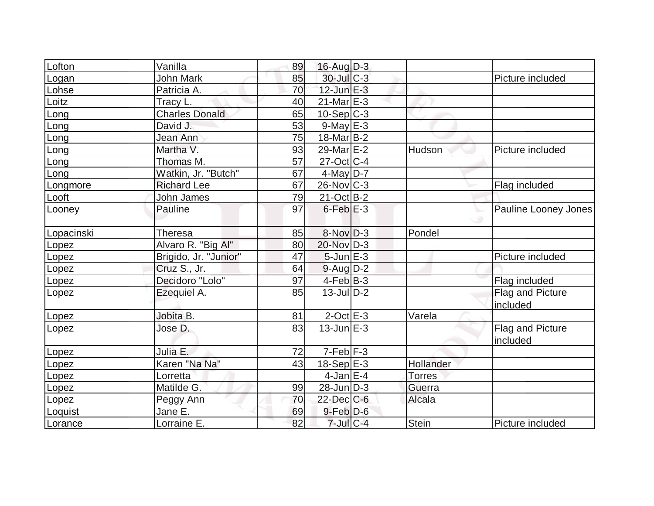|            | Vanilla               | 89 | $16$ -Aug $D-3$         |               |                              |
|------------|-----------------------|----|-------------------------|---------------|------------------------------|
| Lofton     |                       |    |                         |               |                              |
| Logan      | <b>John Mark</b>      | 85 | 30-Jul C-3              |               | Picture included             |
| Lohse      | Patricia A.           | 70 | $12$ -Jun $E-3$         |               |                              |
| Loitz      | Tracy L.              | 40 | $21$ -Mar $E-3$         |               |                              |
| Long       | <b>Charles Donald</b> | 65 | $10-Sep C-3$            |               |                              |
| Long       | David J.              | 53 | $9$ -May $E-3$          |               |                              |
| Long       | Jean Ann              | 75 | 18-Mar B-2              |               |                              |
| Long       | Martha V.             | 93 | 29-Mar <sub>IE</sub> -2 | Hudson        | Picture included             |
| Long       | Thomas M.             | 57 | $27$ -Oct $ C-4 $       |               |                              |
| Long       | Watkin, Jr. "Butch"   | 67 | $4$ -May D-7            |               |                              |
| Longmore   | <b>Richard Lee</b>    | 67 | $26$ -Nov $ C-3 $       |               | Flag included                |
| Looft      | John James            | 79 | $21-Oct$ B-2            |               |                              |
| Looney     | Pauline               | 97 | $6$ -Feb $E-3$          |               | Pauline Looney Jones         |
| Lopacinski | <b>Theresa</b>        | 85 | $8-Nov D-3$             | Pondel        |                              |
| Lopez      | Alvaro R. "Big Al"    | 80 | 20-Nov D-3              |               |                              |
| Lopez      | Brigido, Jr. "Junior" | 47 | $5$ -Jun $E-3$          |               | Picture included             |
| Lopez      | Cruz S., Jr.          | 64 | $9$ -Aug $D-2$          |               |                              |
| Lopez      | Decidoro "Lolo"       | 97 | $4-Feb B-3$             |               | Flag included                |
| Lopez      | Ezequiel A.           | 85 | $13$ -Jul $D-2$         |               | Flag and Picture<br>included |
| Lopez      | Jobita B.             | 81 | $2$ -Oct $E - 3$        | Varela        |                              |
| Lopez      | Jose D.               | 83 | $13$ -Jun $E-3$         |               | Flag and Picture<br>included |
| Lopez      | Julia E.              | 72 | $7-Feb$ $F-3$           |               |                              |
| Lopez      | Karen "Na Na"         | 43 | $18-Sep$ $E-3$          | Hollander     |                              |
| Lopez      | Lorretta              |    | 4-Jan $E$ -4            | <b>Torres</b> |                              |
| Lopez      | Matilde G.            | 99 | $28$ -Jun $D-3$         | Guerra        |                              |
| Lopez      | Peggy Ann             | 70 | $22$ -Dec $C$ -6        | Alcala        |                              |
| Loquist    | Jane E.               | 69 | $9$ -Feb $D$ -6         |               |                              |
| Lorance    | Lorraine E.           | 82 | $7$ -Jul $C$ -4         | Stein         | Picture included             |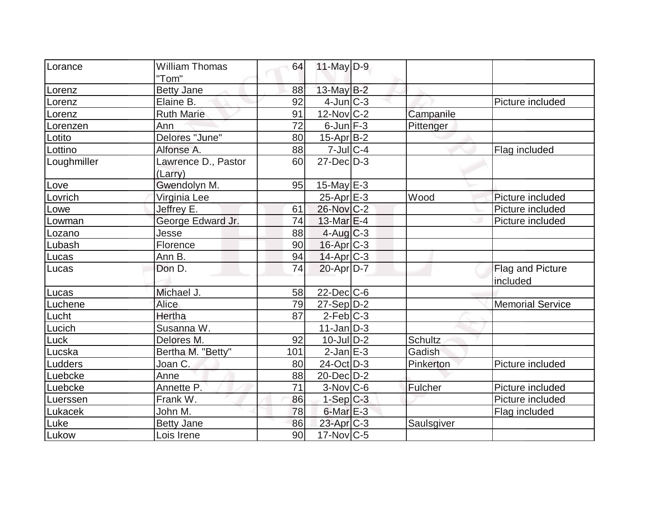| Lorance     | <b>William Thomas</b> | 64  | $11$ -May $D-9$        |                |                         |
|-------------|-----------------------|-----|------------------------|----------------|-------------------------|
|             | "Tom"                 |     |                        |                |                         |
| Lorenz      | <b>Betty Jane</b>     | 88  | 13-May $B-2$           |                |                         |
| Lorenz      | Elaine B.             | 92  | $4$ -Jun $C-3$         |                | Picture included        |
| Lorenz      | <b>Ruth Marie</b>     | 91  | $12$ -Nov $C-2$        | Campanile      |                         |
| Lorenzen    | Ann                   | 72  | $6$ -Jun $F-3$         | Pittenger      |                         |
| Lotito      | Delores "June"        | 80  | $15$ -Apr $B$ -2       |                |                         |
| Lottino     | Alfonse A.            | 88  | $7 -$ Jul C-4          |                | Flag included           |
| Loughmiller | Lawrence D., Pastor   | 60  | $27$ -Dec $D-3$        |                |                         |
|             | (Larry)               |     |                        |                |                         |
| Love        | Gwendolyn M.          | 95  | $15$ -May E-3          |                |                         |
| Lovrich     | Virginia Lee          |     | $25$ -Apr $E-3$        | Wood           | Picture included        |
| Lowe        | Jeffrey E.            | 61  | 26-Nov C-2             |                | Picture included        |
| Lowman      | George Edward Jr.     | 74  | $13$ -Mar $E-4$        |                | Picture included        |
| Lozano      | Jesse                 | 88  | $4$ -Aug $C-3$         |                |                         |
| Lubash      | Florence              | 90  | 16-Apr C-3             |                |                         |
| Lucas       | Ann B.                | 94  | $14$ -Apr $C-3$        |                |                         |
| Lucas       | Don D.                | 74  | $20$ -Apr $D-7$        |                | Flag and Picture        |
|             |                       |     |                        |                | included                |
| Lucas       | Michael J.            | 58  | $22$ -Dec $ C$ -6      |                |                         |
| Luchene     | Alice                 | 79  | $27-Sep D-2$           |                | <b>Memorial Service</b> |
| Lucht       | Hertha                | 87  | $2-Feb$ $C-3$          |                |                         |
| Lucich      | Susanna W.            |     | $11$ -Jan $ D-3 $      |                |                         |
| Luck        | Delores M.            | 92  | $10$ -Jul $D-2$        | <b>Schultz</b> |                         |
| Lucska      | Bertha M. "Betty"     | 101 | $2$ -Jan $E-3$         | Gadish         |                         |
| Ludders     | Joan C.               | 80  | 24-Oct D-3             | Pinkerton      | Picture included        |
| Luebcke     | Anne                  | 88  | $20$ -Dec $D-2$        |                |                         |
| Luebcke     | Annette P.            | 71  | $3-Nov$ <sub>C-6</sub> | Fulcher        | Picture included        |
| Luerssen    | Frank W.              | 86  | $1-Sep$ $C-3$          |                | Picture included        |
| Lukacek     | John M.               | 78  | $6$ -Mar $E-3$         |                | Flag included           |
| Luke        | <b>Betty Jane</b>     | 86  | 23-Apr C-3             | Saulsgiver     |                         |
| Lukow       | Lois Irene            | 90  | $17$ -Nov $ C$ -5      |                |                         |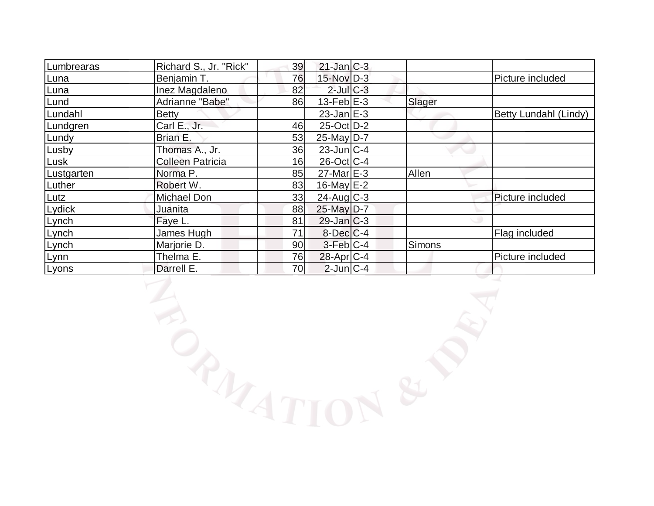| Lumbrearas | Richard S., Jr. "Rick"  | 39 | $21$ -Jan $C-3$   |               |                       |
|------------|-------------------------|----|-------------------|---------------|-----------------------|
| Luna       | Benjamin T.             | 76 | 15-Nov D-3        |               | Picture included      |
| Luna       | Inez Magdaleno          | 82 | $2$ -Jul $C-3$    |               |                       |
| Lund       | Adrianne "Babe"         | 86 | $13$ -Feb $E-3$   | Slager        |                       |
| Lundahl    | <b>Betty</b>            |    | $23$ -Jan E-3     |               | Betty Lundahl (Lindy) |
| Lundgren   | Carl E., Jr.            | 46 | $25$ -Oct D-2     |               |                       |
| Lundy      | Brian E.                | 53 | $25$ -May D-7     |               |                       |
| Lusby      | Thomas A., Jr.          | 36 | $23$ -Jun $ C-4 $ |               |                       |
| Lusk       | <b>Colleen Patricia</b> | 16 | $26$ -Oct C-4     |               |                       |
| Lustgarten | Norma P.                | 85 | $27$ -Mar $E-3$   | Allen         |                       |
| Luther     | Robert W.               | 83 | $16$ -May $E-2$   |               |                       |
| Lutz       | <b>Michael Don</b>      | 33 | $24$ -Aug C-3     |               | Picture included      |
| Lydick     | Juanita                 | 88 | 25-May D-7        |               |                       |
| Lynch      | Faye L.                 | 81 | $29$ -Jan $C-3$   |               |                       |
| Lynch      | James Hugh              | 71 | $8$ -Dec $C-4$    |               | Flag included         |
| Lynch      | Marjorie D.             | 90 | $3-Feb C-4$       | <b>Simons</b> |                       |
| Lynn       | Thelma E.               | 76 | $28$ -Apr $C-4$   |               | Picture included      |
| Lyons      | Darrell E.              | 70 | $2$ -Jun $ C-4 $  |               |                       |

**LANDREP**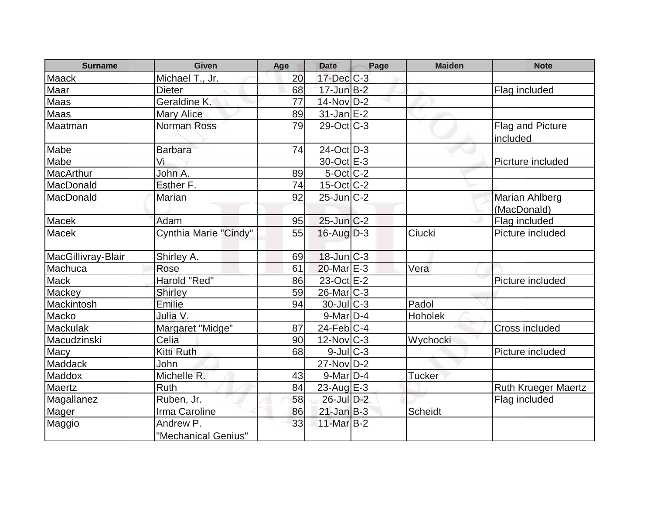| <b>Surname</b>     | Given                            | Age | <b>Date</b>       | Page | <b>Maiden</b>  | <b>Note</b>                  |
|--------------------|----------------------------------|-----|-------------------|------|----------------|------------------------------|
| Maack              | Michael T., Jr.                  | 20  | $17$ -Dec $C-3$   |      |                |                              |
| Maar               | <b>Dieter</b>                    | 68  | $17$ -Jun $B-2$   |      |                | Flag included                |
| Maas               | Geraldine K.                     | 77  | $14$ -Nov $ D-2 $ |      |                |                              |
| Maas               | <b>Mary Alice</b>                | 89  | $31 - JanE-2$     |      |                |                              |
| Maatman            | <b>Norman Ross</b>               | 79  | $29$ -Oct $ C-3 $ |      |                | Flag and Picture<br>included |
| Mabe               | <b>Barbara</b>                   | 74  | $24$ -Oct $D-3$   |      |                |                              |
| Mabe               | Vi                               |     | 30-Oct E-3        |      |                | Picrture included            |
| MacArthur          | John A.                          | 89  | $5$ -Oct $ C-2 $  |      |                |                              |
| MacDonald          | <b>Esther F.</b>                 | 74  | $15$ -Oct $ C-2 $ |      |                |                              |
| MacDonald          | Marian                           | 92  | $25$ -Jun $C-2$   |      |                | <b>Marian Ahlberg</b>        |
|                    |                                  |     |                   |      |                | (MacDonald)                  |
| Macek              | Adam                             | 95  | 25-Jun C-2        |      |                | Flag included                |
| Macek              | Cynthia Marie "Cindy"            | 55  | $16$ -Aug $D-3$   |      | Ciucki         | Picture included             |
| MacGillivray-Blair | Shirley A.                       | 69  | $18$ -Jun $ C-3 $ |      |                |                              |
| Machuca            | Rose                             | 61  | 20-Mar E-3        |      | Vera           |                              |
| <b>Mack</b>        | Harold "Red"                     | 86  | 23-Oct E-2        |      |                | Picture included             |
| Mackey             | <b>Shirley</b>                   | 59  | 26-Mar C-3        |      |                |                              |
| Mackintosh         | Emilie                           | 94  | $30$ -JulC-3      |      | Padol          |                              |
| Macko              | Julia V.                         |     | $9$ -Mar $D-4$    |      | Hoholek        |                              |
| Mackulak           | Margaret "Midge"                 | 87  | $24$ -Feb $ C-4$  |      |                | Cross included               |
| Macudzinski        | Celia                            | 90  | $12$ -Nov $ C-3 $ |      | Wychocki       |                              |
| <b>Macy</b>        | Kitti Ruth                       | 68  | $9$ -Jul $C-3$    |      |                | Picture included             |
| Maddack            | John                             |     | $27$ -Nov D-2     |      |                |                              |
| <b>Maddox</b>      | Michelle R.                      | 43  | $9$ -Mar $D-4$    |      | <b>Tucker</b>  |                              |
| Maertz             | Ruth                             | 84  | $23$ -Aug E-3     |      |                | <b>Ruth Krueger Maertz</b>   |
| Magallanez         | Ruben, Jr.                       | 58  | 26-Jul D-2        |      |                | Flag included                |
| Mager              | Irma Caroline                    | 86  | $21$ -Jan B-3     |      | <b>Scheidt</b> |                              |
| Maggio             | Andrew P.<br>"Mechanical Genius" | 33  | 11-Mar B-2        |      |                |                              |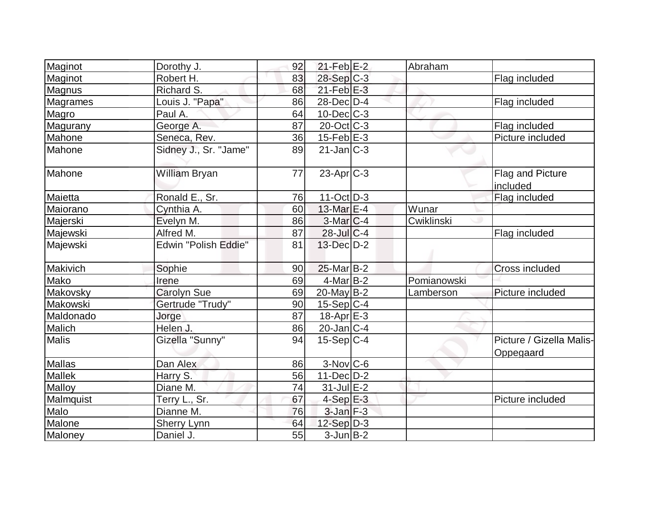| Maginot         | Dorothy J.            | 92 | $21$ -Feb $E-2$   | Abraham     |                                       |
|-----------------|-----------------------|----|-------------------|-------------|---------------------------------------|
| Maginot         | Robert H.             | 83 | 28-Sep C-3        |             | Flag included                         |
| Magnus          | Richard S.            | 68 | $21$ -Feb $E-3$   |             |                                       |
| <b>Magrames</b> | Louis J. "Papa"       | 86 | $28$ -Dec $D-4$   |             | Flag included                         |
| Magro           | Paul A.               | 64 | $10$ -Dec $ C-3 $ |             |                                       |
| Magurany        | George A.             | 87 | $20$ -Oct $ C-3 $ |             | Flag included                         |
| Mahone          | Seneca, Rev.          | 36 | $15$ -Feb $E$ -3  |             | Picture included                      |
| Mahone          | Sidney J., Sr. "Jame" | 89 | $21$ -Jan $ C-3 $ |             |                                       |
| Mahone          | William Bryan         | 77 | $23$ -Apr $ C-3 $ |             | Flag and Picture<br>included          |
| Maietta         | Ronald E., Sr.        | 76 | $11-Oct$ D-3      |             | Flag included                         |
| Maiorano        | Cynthia A.            | 60 | 13-Mar E-4        | Wunar       |                                       |
| Majerski        | Evelyn M.             | 86 | $3-Mar$ $C-4$     | Cwiklinski  |                                       |
| Majewski        | Alfred M.             | 87 | $28$ -Jul C-4     |             | Flag included                         |
| Majewski        | Edwin "Polish Eddie"  | 81 | 13-Dec D-2        |             |                                       |
| Makivich        | Sophie                | 90 | $25$ -Mar $B-2$   |             | Cross included                        |
| Mako            | Irene                 | 69 | 4-Mar B-2         | Pomianowski |                                       |
| Makovsky        | <b>Carolyn Sue</b>    | 69 | $20$ -May B-2     | Lamberson   | Picture included                      |
| Makowski        | Gertrude "Trudy"      | 90 | $15-Sep C-4$      |             |                                       |
| Maldonado       | Jorge                 | 87 | 18-Apr E-3        |             |                                       |
| Malich          | Helen J.              | 86 | $20$ -Jan $ C-4 $ |             |                                       |
| Malis           | Gizella "Sunny"       | 94 | $15-Sep C-4$      |             | Picture / Gizella Malis-<br>Oppegaard |
| Mallas          | Dan Alex              | 86 | $3-Nov$ $C-6$     |             |                                       |
| <b>Mallek</b>   | Harry S.              | 56 | $11-Dec$ D-2      |             |                                       |
| Malloy          | Diane M.              | 74 | $31$ -Jul $E-2$   |             |                                       |
| Malmquist       | Terry L., Sr.         | 67 | $4-SepE-3$        |             | Picture included                      |
| Malo            | Dianne M.             | 76 | $3$ -Jan $F-3$    |             |                                       |
| Malone          | <b>Sherry Lynn</b>    | 64 | $12-Sep D-3$      |             |                                       |
| Maloney         | Daniel J.             | 55 | $3$ -Jun $B-2$    |             |                                       |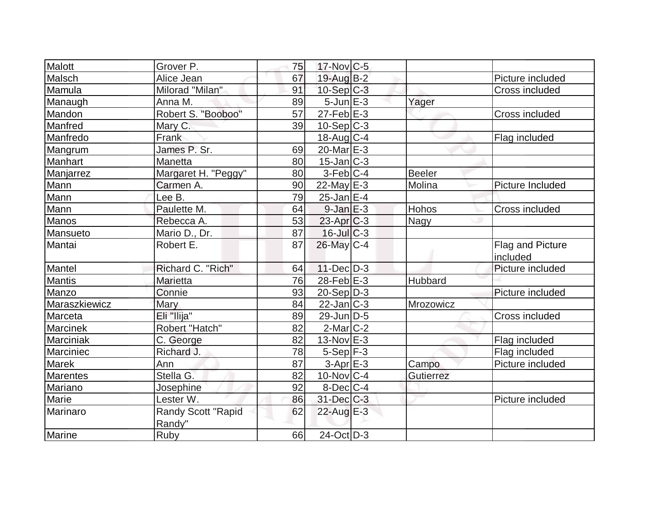| Malott          | Grover P.           | 75 | 17-Nov C-5        |                |                       |
|-----------------|---------------------|----|-------------------|----------------|-----------------------|
| Malsch          | Alice Jean          | 67 | 19-Aug B-2        |                | Picture included      |
| Mamula          | Milorad "Milan"     | 91 | $10-Sep C-3$      |                | Cross included        |
| Manaugh         | Anna M.             | 89 | $5 - Jun$ $E - 3$ | Yager          |                       |
| Mandon          | Robert S. "Booboo"  | 57 | $27$ -Feb $E-3$   |                | Cross included        |
| Manfred         | Mary C.             | 39 | $10-Sep C-3$      |                |                       |
| Manfredo        | Frank               |    | $18$ -Aug C-4     |                | Flag included         |
| Mangrum         | James P. Sr.        | 69 | 20-Mar $E-3$      |                |                       |
| Manhart         | Manetta             | 80 | $15$ -Jan $ C-3 $ |                |                       |
| Manjarrez       | Margaret H. "Peggy" | 80 | $3-Feb C-4$       | Beeler         |                       |
| Mann            | Carmen A.           | 90 | $22$ -May E-3     | Molina         | Picture Included      |
| Mann            | Lee B.              | 79 | $25$ -Jan $E-4$   |                |                       |
| Mann            | Paulette M.         | 64 | $9$ -Jan $E-3$    | Hohos          | <b>Cross included</b> |
| Manos           | Rebecca A.          | 53 | $23$ -Apr $ C-3 $ | Nagy           |                       |
| Mansueto        | Mario D., Dr.       | 87 | $16$ -JulC-3      |                |                       |
| Mantai          | Robert E.           | 87 | 26-May C-4        |                | Flag and Picture      |
|                 |                     |    |                   |                | included              |
| Mantel          | Richard C. "Rich"   | 64 | $11 - Dec$ $D-3$  |                | Picture included      |
| <b>Mantis</b>   | Marietta            | 76 | 28-Feb $E-3$      | <b>Hubbard</b> |                       |
| Manzo           | Connie              | 93 | $20-Sep D-3$      |                | Picture included      |
| Maraszkiewicz   | Mary                | 84 | $22$ -Jan $ C-3 $ | Mrozowicz      |                       |
| Marceta         | Eli "Ilija"         | 89 | $29$ -Jun $ D-5$  |                | Cross included        |
| <b>Marcinek</b> | Robert "Hatch"      | 82 | $2$ -Mar $C-2$    |                |                       |
| Marciniak       | C. George           | 82 | $13-Nov$ E-3      |                | Flag included         |
| Marciniec       | Richard J.          | 78 | $5-Sep$ $F-3$     |                | Flag included         |
| <b>Marek</b>    | Ann                 | 87 | $3-AprE-3$        | Campo          | Picture included      |
| Marentes        | Stella G.           | 82 | $10$ -Nov $ C-4 $ | Gutierrez      |                       |
| Mariano         | Josephine           | 92 | $8$ -Dec $C-4$    |                |                       |
| Marie           | Lester W.           | 86 | $31$ -Dec $C-3$   |                | Picture included      |
| Marinaro        | Randy Scott "Rapid  | 62 | 22-Aug $E-3$      |                |                       |
|                 | Randy"              |    |                   |                |                       |
| <b>Marine</b>   | Ruby                | 66 | $24-Oct$ D-3      |                |                       |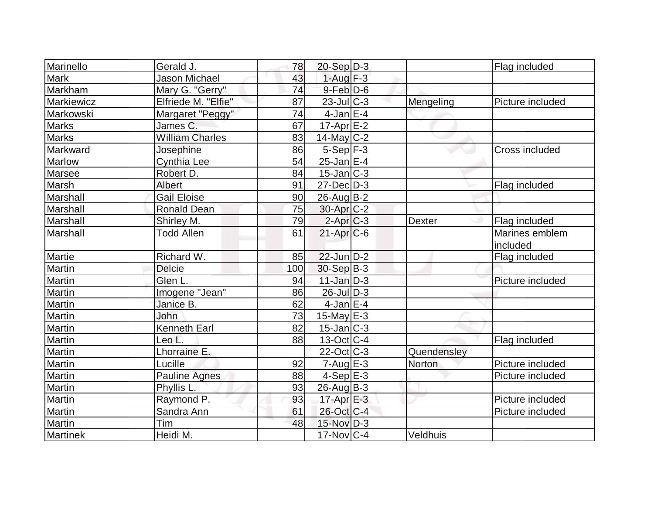| Marinello     | Gerald J.              | 78  | $20-Sep D-3$             |             | Flag included    |
|---------------|------------------------|-----|--------------------------|-------------|------------------|
| <b>Mark</b>   | <b>Jason Michael</b>   | 43  | $1-Aug$ F-3              |             |                  |
| Markham       | Mary G. "Gerry"        | 74  | $9$ -Feb $D-6$           |             |                  |
| Markiewicz    | Elfriede M. "Elfie"    | 87  | $23$ -Jul C-3            | Mengeling   | Picture included |
| Markowski     | Margaret "Peggy"       | 74  | $4$ -Jan E-4             |             |                  |
| <b>Marks</b>  | James C.               | 67  | $17$ -Apr $E-2$          |             |                  |
| <b>Marks</b>  | <b>William Charles</b> | 83  | $14$ -May C-2            |             |                  |
| Markward      | Josephine              | 86  | $5-Sep$ F-3              |             | Cross included   |
| <b>Marlow</b> | <b>Cynthia Lee</b>     | 54  | $25$ -Jan $E-4$          |             |                  |
| Marsee        | Robert D.              | 84  | $15$ -Jan $ C-3 $        |             |                  |
| Marsh         | <b>Albert</b>          | 91  | $27$ -Dec $D-3$          |             | Flag included    |
| Marshall      | <b>Gail Eloise</b>     | 90  | $26$ -Aug $B-2$          |             |                  |
| Marshall      | <b>Ronald Dean</b>     | 75  | 30-Apr <sub>C-2</sub>    |             |                  |
| Marshall      | Shirley M.             | 79  | $2-Apr$ $C-3$            | Dexter      | Flag included    |
| Marshall      | <b>Todd Allen</b>      | 61  | $21-Apr$ $C-6$           |             | Marines emblem   |
|               |                        |     |                          |             | included         |
| Martie        | Richard W.             | 85  | $22$ -Jun $D-2$          |             | Flag included    |
| Martin        | <b>Delcie</b>          | 100 | $30-Sep B-3$             |             |                  |
| Martin        | Glen L.                | 94  | $11$ -Jan $ D-3 $        |             | Picture included |
| Martin        | Imogene "Jean"         | 86  | 26-Jul D-3               |             |                  |
| Martin        | Janice B.              | 62  | $4$ -Jan $E-4$           |             |                  |
| Martin        | John                   | 73  | $15$ -May $E-3$          |             |                  |
| Martin        | <b>Kenneth Earl</b>    | 82  | $15$ -Jan $ C-3 $        |             |                  |
| Martin        | Leo L.                 | 88  | $13-Oct$ <sub>C</sub> -4 |             | Flag included    |
| Martin        | Lhorraine E.           |     | $22$ -Oct C-3            | Quendensley |                  |
| <b>Martin</b> | Lucille                | 92  | $7 - Aug$ E-3            | Norton      | Picture included |
| Martin        | <b>Pauline Agnes</b>   | 88  | $4-Sep$ $E-3$            |             | Picture included |
| Martin        | Phyllis L.             | 93  | 26-Aug B-3               |             |                  |
| Martin        | Raymond P.             | 93  | $17$ -Apr $E-3$          |             | Picture included |
| Martin        | Sandra Ann             | 61  | 26-Oct C-4               |             | Picture included |
| Martin        | Tim                    | 48  | 15-Nov D-3               |             |                  |
| Martinek      | Heidi M.               |     | $17$ -Nov $ C-4$         | Veldhuis    |                  |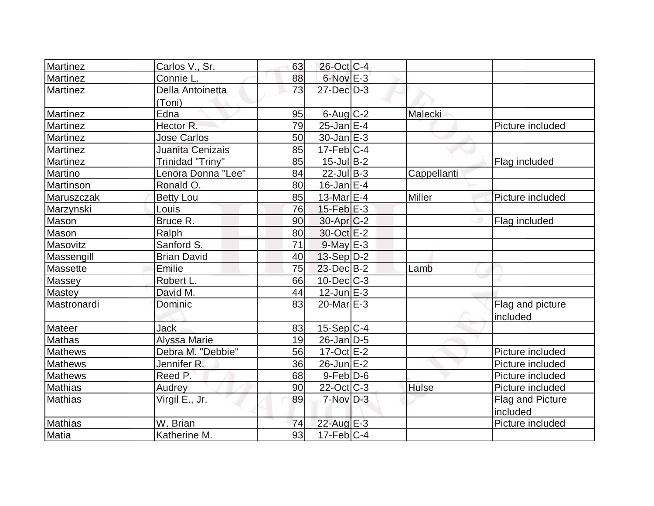| Martinez        | Carlos V., Sr.         | 63 | 26-Oct C-4            |               |                  |
|-----------------|------------------------|----|-----------------------|---------------|------------------|
| Martinez        | Connie L.              | 88 | $6$ -Nov $E-3$        |               |                  |
| <b>Martinez</b> | Della Antoinetta       | 73 | 27-Dec D-3            |               |                  |
|                 | (Toni)                 |    |                       |               |                  |
| <b>Martinez</b> | Edna                   | 95 | $6$ -Aug $C$ -2       | Malecki       |                  |
| <b>Martinez</b> | Hector R.              | 79 | $25$ -Jan $E-4$       |               | Picture included |
| <b>Martinez</b> | <b>Jose Carlos</b>     | 50 | $30 - Jan \, E - 3$   |               |                  |
| <b>Martinez</b> | Juanita Cenizais       | 85 | $17$ -Feb $ C-4 $     |               |                  |
| <b>Martinez</b> | Trinidad "Triny"       | 85 | $15$ -Jul B-2         |               | Flag included    |
| Martino         | Lenora Donna "Lee"     | 84 | $22$ -Jul B-3         | Cappellanti   |                  |
| Martinson       | Ronald O.              | 80 | $16$ -Jan $E-4$       |               |                  |
| Maruszczak      | <b>Betty Lou</b>       | 85 | 13-Mar $E-4$          | <b>Miller</b> | Picture included |
| Marzynski       | Louis                  | 76 | $15$ -Feb $E-3$       |               |                  |
| <b>Mason</b>    | Bruce R.               | 90 | 30-Apr <sub>C-2</sub> |               | Flag included    |
| Mason           | Ralph                  | 80 | 30-Oct E-2            |               |                  |
| Masovitz        | Sanford S.             | 71 | $9$ -May $E-3$        |               |                  |
| Massengill      | <b>Brian David</b>     | 40 | $13-Sep D-2$          |               |                  |
| Massette        | Emilie                 | 75 | $23$ -Dec $B-2$       | Lamb          |                  |
| Massey          | Robert L.              | 66 | $10$ -Dec $C$ -3      |               |                  |
| <b>Mastey</b>   | David M.               | 44 | $12$ -Jun $E-3$       |               |                  |
| Mastronardi     | Dominic                | 83 | $20$ -Mar $E-3$       |               | Flag and picture |
|                 |                        |    |                       |               | included         |
| <b>Mateer</b>   | <b>Jack</b>            | 83 | $15-Sep C-4$          |               |                  |
| <b>Mathas</b>   | <b>Alyssa Marie</b>    | 19 | $26$ -Jan $D-5$       |               |                  |
| <b>Mathews</b>  | Debra M. "Debbie"      | 56 | $17-Oct$ $E-2$        |               | Picture included |
| <b>Mathews</b>  | Jennifer <sub>R.</sub> | 36 | 26-Jun E-2            |               | Picture included |
| <b>Mathews</b>  | Reed P.                | 68 | $9-Feb$ $D-6$         |               | Picture included |
| Mathias         | Audrey                 | 90 | $22$ -Oct $ C-3 $     | <b>Hulse</b>  | Picture included |
| <b>Mathias</b>  | Virgil E., Jr.         | 89 | $7-Nov$ D-3           |               | Flag and Picture |
|                 |                        |    |                       |               | included         |
| <b>Mathias</b>  | W. Brian               | 74 | $22$ -Aug $E-3$       |               | Picture included |
| <b>Matia</b>    | Katherine M.           | 93 | $17$ -Feb $ C-4 $     |               |                  |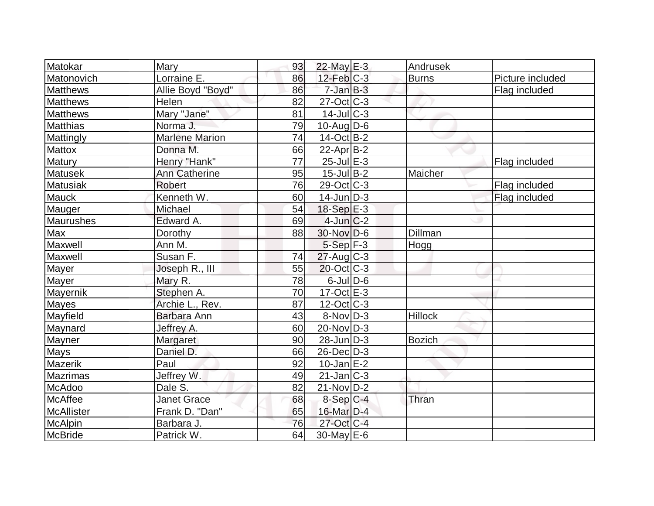| Matokar           | Mary                  | 93 | $22$ -May $E-3$          | Andrusek       |                  |
|-------------------|-----------------------|----|--------------------------|----------------|------------------|
| Matonovich        | Lorraine E.           | 86 | $12$ -Feb $C-3$          | <b>Burns</b>   | Picture included |
| <b>Matthews</b>   | Allie Boyd "Boyd"     | 86 | $7$ -Jan $B-3$           |                | Flag included    |
| Matthews          | Helen                 | 82 | $27$ -Oct C-3            |                |                  |
| Matthews          | Mary "Jane"           | 81 | $14$ -Jul $C-3$          |                |                  |
| <b>Matthias</b>   | Norma J.              | 79 | $10$ -AugD-6             |                |                  |
| Mattingly         | <b>Marlene Marion</b> | 74 | $14-Oct$ B-2             |                |                  |
| <b>Mattox</b>     | Donna M.              | 66 | $22$ -Apr $ B-2 $        |                |                  |
| Matury            | Henry "Hank"          | 77 | $25$ -Jul $E-3$          |                | Flag included    |
| <b>Matusek</b>    | <b>Ann Catherine</b>  | 95 | $15$ -Jul B-2            | Maicher        |                  |
| <b>Matusiak</b>   | <b>Robert</b>         | 76 | $29-Oct$ <sub>C</sub> -3 |                | Flag included    |
| <b>Mauck</b>      | Kenneth W.            | 60 | $14$ -Jun $D-3$          |                | Flag included    |
| Mauger            | Michael               | 54 | 18-Sep E-3               |                |                  |
| Maurushes         | Edward A.             | 69 | $4$ -Jun $C-2$           |                |                  |
| Max               | Dorothy               | 88 | $30$ -Nov $D-6$          | Dillman        |                  |
| Maxwell           | Ann M.                |    | $5-Sep$ F-3              | Hogg           |                  |
| Maxwell           | Susan F.              | 74 | $27$ -Aug C-3            |                |                  |
| Mayer             | Joseph R., III        | 55 | $20$ -Oct $ C-3 $        |                |                  |
| Mayer             | Mary R.               | 78 | $6$ -JulD-6              |                |                  |
| Mayernik          | Stephen A.            | 70 | $17-Oct$ $E-3$           |                |                  |
| <b>Mayes</b>      | Archie L., Rev.       | 87 | $12$ -Oct $ C-3 $        |                |                  |
| Mayfield          | Barbara Ann           | 43 | $8-Nov D-3$              | <b>Hillock</b> |                  |
| Maynard           | Jeffrey A.            | 60 | $20$ -Nov $ D-3 $        |                |                  |
| Mayner            | Margaret              | 90 | $28$ -Jun $D-3$          | <b>Bozich</b>  |                  |
| <b>Mays</b>       | Daniel D.             | 66 | 26-Dec D-3               |                |                  |
| <b>Mazerik</b>    | Paul                  | 92 | $10$ -Jan $E-2$          |                |                  |
| <b>Mazrimas</b>   | Jeffrey W.            | 49 | $21$ -Jan $ C-3 $        |                |                  |
| <b>McAdoo</b>     | Dale S.               | 82 | $21-Nov D-2$             |                |                  |
| <b>McAffee</b>    | <b>Janet Grace</b>    | 68 | $8-Sep C-4$              | Thran          |                  |
| <b>McAllister</b> | Frank D. "Dan"        | 65 | 16-Mar D-4               |                |                  |
| <b>McAlpin</b>    | Barbara J.            | 76 | $27$ -Oct C-4            |                |                  |
| McBride           | Patrick W.            | 64 | $30$ -May E-6            |                |                  |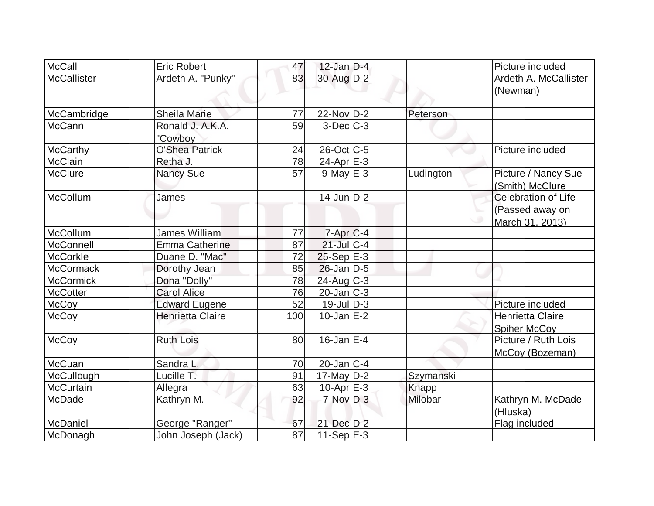| McCall             | <b>Eric Robert</b>          | 47              | $12$ -Jan D-4          |           | Picture included                                                 |
|--------------------|-----------------------------|-----------------|------------------------|-----------|------------------------------------------------------------------|
| <b>McCallister</b> | Ardeth A. "Punky"           | 83              | $30$ -Aug $D-2$        |           | Ardeth A. McCallister<br>(Newman)                                |
| McCambridge        | <b>Sheila Marie</b>         | 77              | $22$ -Nov $D-2$        | Peterson  |                                                                  |
| <b>McCann</b>      | Ronald J. A.K.A.<br>"Cowboy | 59              | $3-Dec$ $C-3$          |           |                                                                  |
| <b>McCarthy</b>    | <b>O'Shea Patrick</b>       | 24              | 26-Oct C-5             |           | Picture included                                                 |
| <b>McClain</b>     | Retha J.                    | 78              | 24-Apr $E-3$           |           |                                                                  |
| <b>McClure</b>     | <b>Nancy Sue</b>            | 57              | $9$ -May $E-3$         | Ludington | Picture / Nancy Sue<br>(Smith) McClure                           |
| McCollum           | James                       |                 | $14$ -Jun $D-2$        |           | <b>Celebration of Life</b><br>(Passed away on<br>March 31, 2013) |
| McCollum           | James William               | 77              | $7-Apr$ <sub>C-4</sub> |           |                                                                  |
| McConnell          | <b>Emma Catherine</b>       | 87              | $21$ -JulC-4           |           |                                                                  |
| <b>McCorkle</b>    | Duane D. "Mac"              | 72              | $25-Sep$ $E-3$         |           |                                                                  |
| <b>McCormack</b>   | Dorothy Jean                | 85              | $26$ -Jan $D-5$        |           |                                                                  |
| <b>McCormick</b>   | Dona "Dolly"                | 78              | 24-Aug C-3             |           |                                                                  |
| <b>McCotter</b>    | <b>Carol Alice</b>          | 76              | $20$ -Jan $ C-3 $      |           |                                                                  |
| <b>McCoy</b>       | <b>Edward Eugene</b>        | 52              | $19$ -JulD-3           |           | Picture included                                                 |
| <b>McCoy</b>       | <b>Henrietta Claire</b>     | 100             | $10$ -Jan $E-2$        |           | Henrietta Claire<br><b>Spiher McCov</b>                          |
| <b>McCoy</b>       | <b>Ruth Lois</b>            | 80              | 16-Jan $E-4$           |           | Picture / Ruth Lois<br>McCoy (Bozeman)                           |
| McCuan             | Sandra L.                   | 70              | $20$ -Jan $ C-4 $      |           |                                                                  |
| McCullough         | Lucille T.                  | 91              | 17-May $D-2$           | Szymanski |                                                                  |
| <b>McCurtain</b>   | Allegra                     | 63              | $10$ -Apr $E-3$        | Knapp     |                                                                  |
| <b>McDade</b>      | Kathryn M.                  | 92              | $7-Nov$ D-3            | Milobar   | Kathryn M. McDade<br>(Hluska)                                    |
| <b>McDaniel</b>    | George "Ranger"             | 67              | 21-Dec D-2             |           | Flag included                                                    |
| McDonagh           | John Joseph (Jack)          | $\overline{87}$ | $11-Sep$ E-3           |           |                                                                  |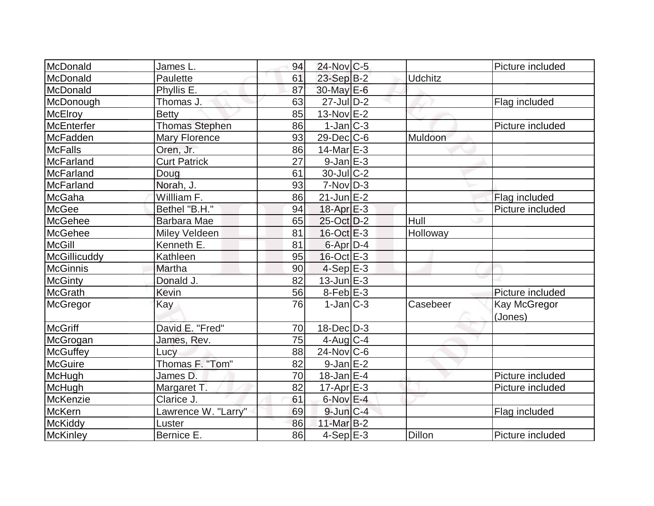| McDonald        | James L.              | 94 | 24-Nov C-5        |                | Picture included |
|-----------------|-----------------------|----|-------------------|----------------|------------------|
| McDonald        | Paulette              | 61 | $23-Sep B-2$      | <b>Udchitz</b> |                  |
| McDonald        | Phyllis E.            | 87 | 30-May E-6        |                |                  |
| McDonough       | Thomas J.             | 63 | $27$ -Jul $D-2$   |                | Flag included    |
| <b>McElroy</b>  | <b>Betty</b>          | 85 | $13-Nov$ E-2      |                |                  |
| McEnterfer      | <b>Thomas Stephen</b> | 86 | $1-Jan$ $C-3$     |                | Picture included |
| McFadden        | <b>Mary Florence</b>  | 93 | $29$ -Dec $C$ -6  | Muldoon        |                  |
| McFalls         | Oren, Jr.             | 86 | $14$ -Mar $ E-3 $ |                |                  |
| McFarland       | <b>Curt Patrick</b>   | 27 | $9$ -Jan $E-3$    |                |                  |
| McFarland       | Doug                  | 61 | $30$ -Jul $C-2$   |                |                  |
| McFarland       | Norah, J.             | 93 | $7-Nov D-3$       |                |                  |
| McGaha          | Willliam F.           | 86 | $21$ -Jun $E-2$   |                | Flag included    |
| McGee           | Bethel "B.H."         | 94 | $18$ -Apr $E-3$   |                | Picture included |
| McGehee         | Barbara Mae           | 65 | 25-Oct D-2        | Hull           |                  |
| McGehee         | Miley Veldeen         | 81 | $16$ -Oct $E-3$   | Holloway       |                  |
| <b>McGill</b>   | Kenneth E.            | 81 | 6-Apr D-4         |                |                  |
| McGillicuddy    | Kathleen              | 95 | $16$ -Oct $E - 3$ |                |                  |
| McGinnis        | Martha                | 90 | $4-Sep$ E-3       |                |                  |
| <b>McGinty</b>  | Donald J.             | 82 | $13$ -Jun $E-3$   |                |                  |
| <b>McGrath</b>  | Kevin                 | 56 | $8$ -Feb $E-3$    |                | Picture included |
| McGregor        | Kay                   | 76 | $1-Jan C-3$       | Casebeer       | Kay McGregor     |
|                 |                       |    |                   |                | (Jones)          |
| <b>McGriff</b>  | David E. "Fred"       | 70 | $18$ -Dec $ D-3 $ |                |                  |
| McGrogan        | James, Rev.           | 75 | $4$ -Aug C-4      |                |                  |
| <b>McGuffey</b> | Lucy                  | 88 | $24$ -Nov $ C-6$  |                |                  |
| <b>McGuire</b>  | Thomas F. "Tom"       | 82 | $9$ -Jan $E-2$    |                |                  |
| McHugh          | James D.              | 70 | $18$ -Jan $E-4$   |                | Picture included |
| McHugh          | Margaret T.           | 82 | $17$ -Apr $E-3$   |                | Picture included |
| McKenzie        | Clarice J.            | 61 | $6$ -Nov $E-4$    |                |                  |
| <b>McKern</b>   | Lawrence W. "Larry"   | 69 | $9$ -Jun $C-4$    |                | Flag included    |
| McKiddy         | Luster                | 86 | 11-Mar $B-2$      |                |                  |
| McKinley        | Bernice E.            | 86 | $4-Sep$ $E-3$     | Dillon         | Picture included |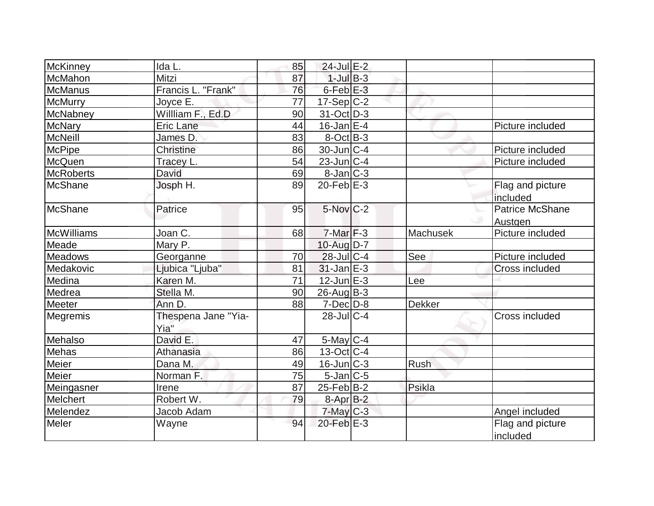| McKinney         | Ida L.                      | 85 | 24-Jul E-2           |               |                              |
|------------------|-----------------------------|----|----------------------|---------------|------------------------------|
| McMahon          | Mitzi                       | 87 | $1$ -Jul $B-3$       |               |                              |
| <b>McManus</b>   | Francis L. "Frank"          | 76 | 6-Feb <sup>E-3</sup> |               |                              |
| <b>McMurry</b>   | Joyce E.                    | 77 | $17-Sep C-2$         |               |                              |
| McNabney         | Willliam F., Ed.D           | 90 | $31-Oct$ D-3         |               |                              |
| <b>McNary</b>    | Eric Lane                   | 44 | $16$ -Jan $E-4$      |               | Picture included             |
| <b>McNeill</b>   | James D.                    | 83 | $8-Oct$ B-3          |               |                              |
| <b>McPipe</b>    | Christine                   | 86 | $30$ -Jun $C-4$      |               | Picture included             |
| McQuen           | Tracey L.                   | 54 | $23$ -Jun $ C-4 $    |               | Picture included             |
| <b>McRoberts</b> | David                       | 69 | $8$ -Jan $ C-3 $     |               |                              |
| <b>McShane</b>   | Josph H.                    | 89 | $20$ -Feb $E-3$      |               | Flag and picture<br>included |
| McShane          | Patrice                     | 95 | $5$ -Nov $C-2$       |               | Patrice McShane<br>Austgen   |
| McWilliams       | Joan C.                     | 68 | $7-Mar$ F-3          | Machusek      | Picture included             |
| Meade            | Mary P.                     |    | 10-Aug D-7           |               |                              |
| Meadows          | Georganne                   | 70 | $28$ -JulC-4         | See           | Picture included             |
| Medakovic        | Ljubica "Ljuba"             | 81 | $31$ -Jan $E-3$      |               | <b>Cross included</b>        |
| Medina           | Karen M.                    | 71 | $12$ -Jun $E-3$      | Lee           |                              |
| Medrea           | Stella M.                   | 90 | $26$ -Aug $B-3$      |               |                              |
| Meeter           | Ann D.                      | 88 | $7$ -Dec $D-8$       | <b>Dekker</b> |                              |
| Megremis         | Thespena Jane "Yia-<br>Yia" |    | $28$ -JulC-4         |               | <b>Cross included</b>        |
| Mehalso          | David E.                    | 47 | 5-May C-4            |               |                              |
| Mehas            | Athanasia                   | 86 | $13-Oct$ $C-4$       |               |                              |
| Meier            | Dana M.                     | 49 | $16$ -Jun $ C-3 $    | Rush          |                              |
| Meier            | Norman F.                   | 75 | $5$ -Jan $ C-5 $     |               |                              |
| Meingasner       | Irene                       | 87 | $25$ -Feb $ B-2 $    | Psikla        |                              |
| Melchert         | Robert W.                   | 79 | 8-Apr B-2            |               |                              |
| Melendez         | Jacob Adam                  |    | $7$ -May $C-3$       |               | Angel included               |
| Meler            | Wayne                       | 94 | $20$ -Feb $E-3$      |               | Flag and picture<br>included |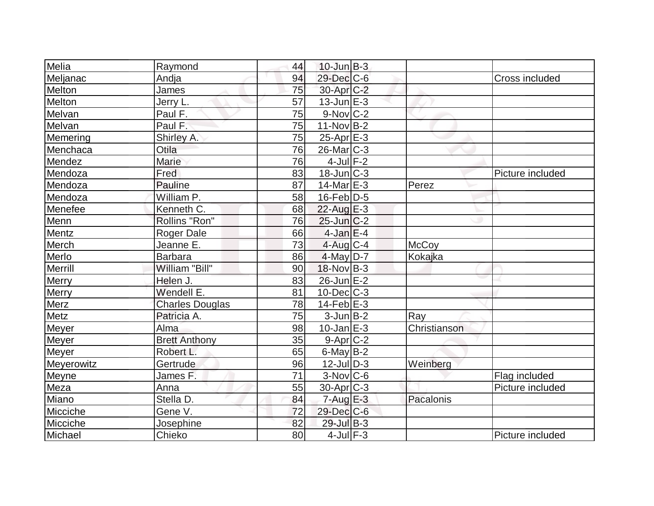| Melia        | Raymond                | 44 | $10$ -Jun $B-3$       |              |                  |
|--------------|------------------------|----|-----------------------|--------------|------------------|
| Meljanac     | Andja                  | 94 | 29-Dec C-6            |              | Cross included   |
| Melton       | James                  | 75 | 30-Apr <sub>C-2</sub> |              |                  |
| Melton       | Jerry L.               | 57 | $13$ -Jun $E-3$       |              |                  |
| Melvan       | Paul F.                | 75 | $9-Nov$ C-2           |              |                  |
| Melvan       | Paul F.                | 75 | $11-Nov$ B-2          |              |                  |
| Memering     | Shirley A.             | 75 | $25$ -Apr $E-3$       |              |                  |
| Menchaca     | Otila                  | 76 | $26$ -Mar $ C-3 $     |              |                  |
| Mendez       | <b>Marie</b>           | 76 | $4$ -Jul $F-2$        |              |                  |
| Mendoza      | Fred                   | 83 | $18$ -Jun $ C-3 $     |              | Picture included |
| Mendoza      | Pauline                | 87 | $14$ -Mar $E-3$       | Perez        |                  |
| Mendoza      | William P.             | 58 | $16$ -Feb $ D-5$      |              |                  |
| Menefee      | Kenneth C.             | 68 | $22$ -Aug E-3         |              |                  |
| <b>Menn</b>  | Rollins "Ron"          | 76 | $25$ -Jun $C-2$       |              |                  |
| Mentz        | <b>Roger Dale</b>      | 66 | $4$ -Jan $E-4$        |              |                  |
| Merch        | Jeanne E.              | 73 | $4$ -Aug C-4          | <b>McCoy</b> |                  |
| Merlo        | <b>Barbara</b>         | 86 | $4$ -May D-7          | Kokajka      |                  |
| Merrill      | William "Bill"         | 90 | $18-Nov B-3$          |              |                  |
| <b>Merry</b> | Helen J.               | 83 | 26-Jun E-2            |              |                  |
| <b>Merry</b> | Wendell E.             | 81 | $10$ -Dec $ C-3 $     |              |                  |
| <b>Merz</b>  | <b>Charles Douglas</b> | 78 | $14$ -Feb $E-3$       |              |                  |
| <b>Metz</b>  | Patricia A.            | 75 | $3$ -Jun $B-2$        | Ray          |                  |
| Meyer        | Alma                   | 98 | $10$ -Jan $E-3$       | Christianson |                  |
| Meyer        | <b>Brett Anthony</b>   | 35 | $9-Apr$ C-2           |              |                  |
| <b>Meyer</b> | Robert L.              | 65 | $6$ -May B-2          |              |                  |
| Meyerowitz   | Gertrude               | 96 | $12$ -JulD-3          | Weinberg     |                  |
| Meyne        | James F.               | 71 | $3-Nov$ $C-6$         |              | Flag included    |
| Meza         | Anna                   | 55 | $30$ -Apr $ C-3 $     |              | Picture included |
| Miano        | Stella D.              | 84 | $7 - Aug$ E-3         | Pacalonis    |                  |
| Micciche     | Gene V.                | 72 | 29-Dec C-6            |              |                  |
| Micciche     | Josephine              | 82 | 29-Jul B-3            |              |                  |
| Michael      | Chieko                 | 80 | $4$ -Jul $F-3$        |              | Picture included |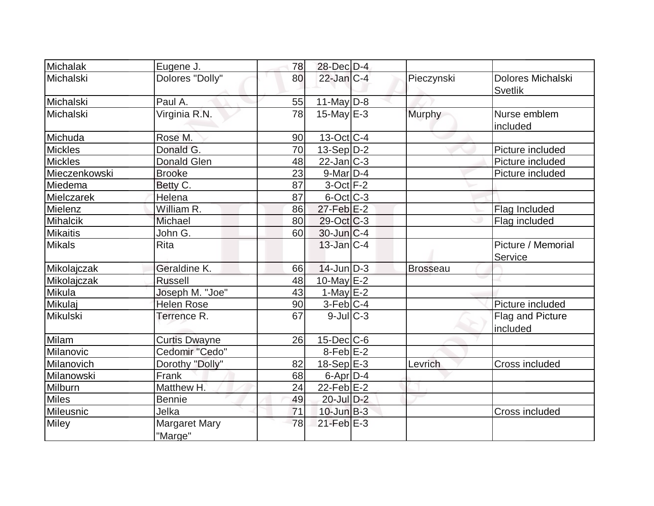| Michalak        | Eugene J.                       | 78 | 28-Dec D-4        |                 |                                     |
|-----------------|---------------------------------|----|-------------------|-----------------|-------------------------------------|
| Michalski       | Dolores "Dolly"                 | 80 | $22$ -Jan $C-4$   | Pieczynski      | Dolores Michalski<br><b>Svetlik</b> |
| Michalski       | Paul A.                         | 55 | $11$ -May D-8     |                 |                                     |
| Michalski       | Virginia R.N.                   | 78 | 15-May $E-3$      | Murphy          | Nurse emblem<br>included            |
| Michuda         | Rose M.                         | 90 | 13-Oct C-4        |                 |                                     |
| <b>Mickles</b>  | Donald G.                       | 70 | $13-Sep D-2$      |                 | Picture included                    |
| <b>Mickles</b>  | <b>Donald Glen</b>              | 48 | $22$ -Jan $ C-3 $ |                 | Picture included                    |
| Mieczenkowski   | <b>Brooke</b>                   | 23 | $9$ -Mar $D-4$    |                 | Picture included                    |
| Miedema         | Betty C.                        | 87 | $3$ -Oct $F-2$    |                 |                                     |
| Mielczarek      | Helena                          | 87 | $6$ -Oct $ C-3 $  |                 |                                     |
| Mielenz         | William R.                      | 86 | $27$ -Feb $E-2$   |                 | Flag Included                       |
| Mihalcik        | Michael                         | 80 | $29-Oct$ $C-3$    |                 | Flag included                       |
| <b>Mikaitis</b> | John G.                         | 60 | $30$ -Jun $ C-4 $ |                 |                                     |
| <b>Mikals</b>   | <b>Rita</b>                     |    | $13$ -Jan $C-4$   |                 | Picture / Memorial<br>Service       |
| Mikolajczak     | Geraldine K.                    | 66 | $14$ -Jun $D-3$   | <b>Brosseau</b> |                                     |
| Mikolajczak     | <b>Russell</b>                  | 48 | 10-May $E-2$      |                 |                                     |
| Mikula          | Joseph M. "Joe"                 | 43 | 1-May $E-2$       |                 |                                     |
| Mikulaj         | <b>Helen Rose</b>               | 90 | $3-Feb$ C-4       |                 | Picture included                    |
| Mikulski        | Terrence R.                     | 67 | $9$ -Jul $ C-3 $  |                 | Flag and Picture<br>included        |
| Milam           | <b>Curtis Dwayne</b>            | 26 | $15$ -Dec $ C$ -6 |                 |                                     |
| Milanovic       | Cedomir "Cedo"                  |    | $8-Feb$ $E-2$     |                 |                                     |
| Milanovich      | Dorothy "Dolly"                 | 82 | $18-Sep$ $E-3$    | Levrich         | Cross included                      |
| Milanowski      | Frank                           | 68 | $6$ -Apr $D-4$    |                 |                                     |
| Milburn         | Matthew H.                      | 24 | $22$ -Feb $E-2$   |                 |                                     |
| <b>Miles</b>    | <b>Bennie</b>                   | 49 | 20-Jul D-2        |                 |                                     |
| Mileusnic       | Jelka                           | 71 | $10$ -Jun $B-3$   |                 | Cross included                      |
| <b>Miley</b>    | <b>Margaret Mary</b><br>"Marge" | 78 | $21$ -Feb $E-3$   |                 |                                     |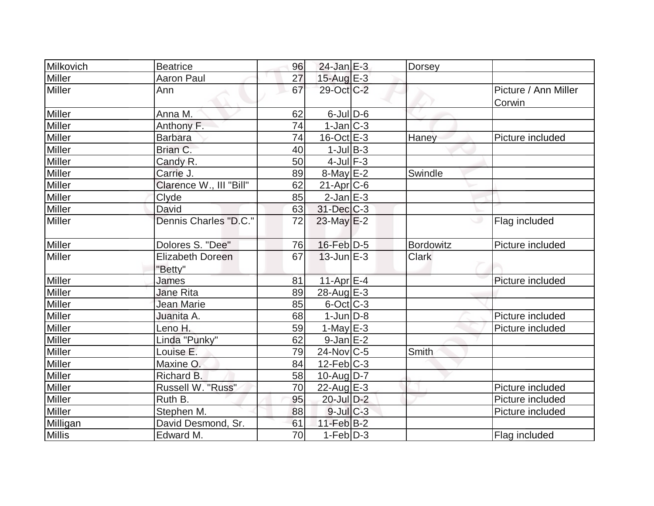| Milkovich     | <b>Beatrice</b>                    | 96              | $24$ -Jan $E-3$   | Dorsey       |                                |
|---------------|------------------------------------|-----------------|-------------------|--------------|--------------------------------|
| Miller        | <b>Aaron Paul</b>                  | 27              | 15-Aug $E-3$      |              |                                |
| Miller        | Ann                                | 67              | 29-Oct C-2        |              | Picture / Ann Miller<br>Corwin |
| Miller        | Anna M.                            | 62              | $6$ -JulD-6       |              |                                |
| <b>Miller</b> | Anthony F.                         | 74              | $1-Jan$ $C-3$     |              |                                |
| Miller        | <b>Barbara</b>                     | 74              | $16$ -Oct $E - 3$ | Haney        | Picture included               |
| Miller        | Brian C.                           | 40              | $1$ -Jul B-3      |              |                                |
| Miller        | Candy R.                           | 50              | $4$ -Jul $F-3$    |              |                                |
| Miller        | Carrie J.                          | 89              | $8$ -May $E-2$    | Swindle      |                                |
| Miller        | Clarence W., III "Bill"            | 62              | $21-Apr$ $C-6$    |              |                                |
| <b>Miller</b> | Clyde                              | 85              | $2$ -Jan $E-3$    |              |                                |
| <b>Miller</b> | David                              | 63              | 31-Dec C-3        |              |                                |
| Miller        | Dennis Charles "D.C."              | 72              | $23$ -May $E-2$   |              | Flag included                  |
| Miller        | Dolores S. "Dee"                   | 76              | $16$ -Feb $D-5$   | Bordowitz    | Picture included               |
| Miller        | <b>Elizabeth Doreen</b><br>"Betty" | 67              | $13$ -Jun $E-3$   | <b>Clark</b> |                                |
| Miller        | James                              | 81              | $11-Apr \ 6-4$    |              | Picture included               |
| Miller        | <b>Jane Rita</b>                   | 89              | 28-Aug $E-3$      |              |                                |
| <b>Miller</b> | <b>Jean Marie</b>                  | 85              | $6$ -Oct $ C-3 $  |              |                                |
| Miller        | Juanita A.                         | 68              | $1$ -Jun $D-8$    |              | Picture included               |
| <b>Miller</b> | Leno H.                            | 59              | $1$ -May E-3      |              | Picture included               |
| Miller        | Linda "Punky"                      | 62              | $9$ -Jan $E-2$    |              |                                |
| Miller        | Louise E.                          | 79              | $24$ -Nov $ C-5$  | Smith        |                                |
| Miller        | Maxine O.                          | 84              | $12$ -Feb $ C-3 $ |              |                                |
| Miller        | Richard B.                         | 58              | $10$ -Aug $D-7$   |              |                                |
| <b>Miller</b> | Russell W. "Russ"                  | 70              | $22$ -Aug $E-3$   |              | Picture included               |
| Miller        | Ruth B.                            | 95              | 20-Jul D-2        |              | Picture included               |
| <b>Miller</b> | Stephen M.                         | 88              | $9$ -Jul $C$ -3   |              | Picture included               |
| Milligan      | David Desmond, Sr.                 | 61              | $11-Feb$ B-2      |              |                                |
| <b>Millis</b> | Edward M.                          | $\overline{70}$ | $1-Feb D-3$       |              | Flag included                  |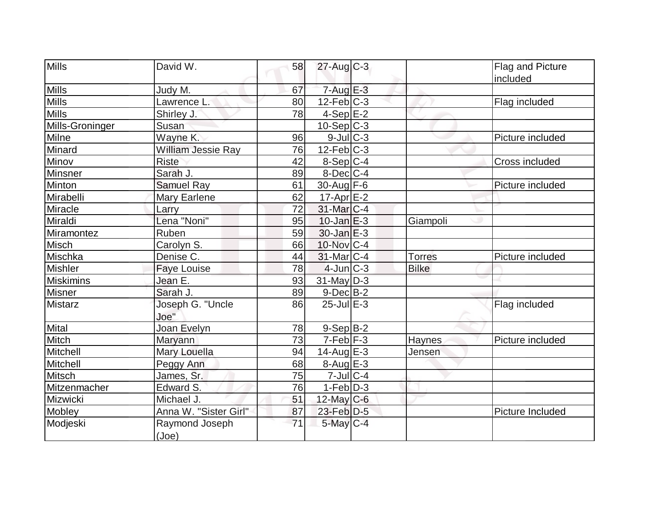| <b>Mills</b>     | David W.                         | 58 | $27$ -Aug C-3     |               | Flag and Picture        |
|------------------|----------------------------------|----|-------------------|---------------|-------------------------|
|                  |                                  |    |                   |               | included                |
| <b>Mills</b>     | Judy M.                          | 67 | $7 - Aug$ $E-3$   |               |                         |
| <b>Mills</b>     | Lawrence L.                      | 80 | $12$ -Feb $ C-3 $ |               | Flag included           |
| <b>Mills</b>     | Shirley J.                       | 78 | $4-Sep$ E-2       |               |                         |
| Mills-Groninger  | Susan                            |    | $10-Sep$ $C-3$    |               |                         |
| Milne            | Wayne K.                         | 96 | $9$ -Jul $C-3$    |               | Picture included        |
| Minard           | William Jessie Ray               | 76 | $12$ -Feb $ C-3 $ |               |                         |
| Minov            | <b>Riste</b>                     | 42 | 8-Sep C-4         |               | Cross included          |
| Minsner          | Sarah J.                         | 89 | $8$ -Dec $C-4$    |               |                         |
| Minton           | <b>Samuel Ray</b>                | 61 | 30-Aug $F-6$      |               | Picture included        |
| Mirabelli        | <b>Mary Earlene</b>              | 62 | $17$ -Apr $E$ -2  |               |                         |
| Miracle          | Larry                            | 72 | 31-Mar C-4        |               |                         |
| Miraldi          | Lena "Noni"                      | 95 | $10$ -Jan $E-3$   | Giampoli      |                         |
| Miramontez       | Ruben                            | 59 | $30$ -Jan $E-3$   |               |                         |
| <b>Misch</b>     | Carolyn S.                       | 66 | 10-Nov C-4        |               |                         |
| Mischka          | Denise C.                        | 44 | $31$ -Mar $ C-4 $ | <b>Torres</b> | Picture included        |
| <b>Mishler</b>   | <b>Faye Louise</b>               | 78 | $4$ -Jun $ C-3 $  | <b>Bilke</b>  |                         |
| <b>Miskimins</b> | Jean E.                          | 93 | $31$ -May $D-3$   |               |                         |
| <b>Misner</b>    | Sarah J.                         | 89 | $9-Dec$ B-2       |               |                         |
| <b>Mistarz</b>   | Joseph G. "Uncle<br>Joe"         | 86 | $25$ -Jul $E-3$   |               | Flag included           |
| Mital            | Joan Evelyn                      | 78 | $9-Sep B-2$       |               |                         |
| Mitch            | Maryann                          | 73 | $7-Feb$ $F-3$     | Haynes        | Picture included        |
| Mitchell         | Mary Louella                     | 94 | $14$ -Aug $E-3$   | Jensen        |                         |
| Mitchell         | Peggy Ann                        | 68 | 8-Aug E-3         |               |                         |
| <b>Mitsch</b>    | James, Sr.                       | 75 | $7$ -Jul $ C-4$   |               |                         |
| Mitzenmacher     | Edward S.                        | 76 | $1-Feb D-3$       |               |                         |
| Mizwicki         | Michael J.                       | 51 | 12-May $C-6$      |               |                         |
| Mobley           | Anna W. "Sister Girl"            | 87 | $23$ -Feb $D-5$   |               | <b>Picture Included</b> |
| Modjeski         | Raymond Joseph<br>( <u>Joe</u> ) | 71 | $5$ -May $C-4$    |               |                         |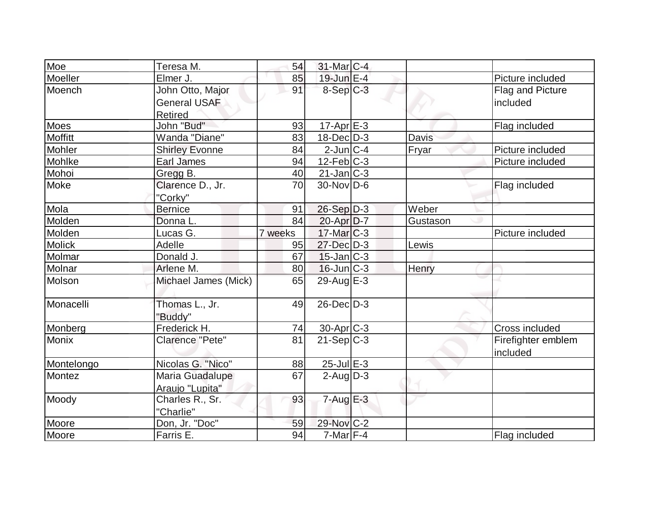| Moe           | Teresa M.                                          | 54      | $31$ -Mar $ C-4 $ |          |                                |
|---------------|----------------------------------------------------|---------|-------------------|----------|--------------------------------|
| Moeller       | Elmer J.                                           | 85      | 19-Jun E-4        |          | Picture included               |
| Moench        | John Otto, Major<br><b>General USAF</b><br>Retired | 91      | $8-Sep C-3$       |          | Flag and Picture<br>included   |
| <b>Moes</b>   | John "Bud"                                         | 93      | $17$ -Apr $E-3$   |          | Flag included                  |
| Moffitt       | Wanda "Diane"                                      | 83      | $18$ -Dec $D-3$   | Davis    |                                |
| Mohler        | <b>Shirley Evonne</b>                              | 84      | $2$ -Jun $ C-4 $  | Fryar    | Picture included               |
| Mohlke        | Earl James                                         | 94      | $12$ -Feb $ C-3 $ |          | Picture included               |
| Mohoi         | Gregg B.                                           | 40      | $21$ -Jan $ C-3 $ |          |                                |
| Moke          | Clarence D., Jr.<br>"Corky"                        | 70      | $30$ -Nov $ D-6 $ |          | Flag included                  |
| Mola          | <b>Bernice</b>                                     | 91      | $26-Sep$ D-3      | Weber    |                                |
| Molden        | Donna L.                                           | 84      | 20-Apr D-7        | Gustason |                                |
| Molden        | Lucas G.                                           | 7 weeks | $17$ -Mar $ C-3 $ |          | Picture included               |
| <b>Molick</b> | Adelle                                             | 95      | 27-Dec D-3        | Lewis    |                                |
| Molmar        | Donald J.                                          | 67      | $15$ -Jan $ C-3 $ |          |                                |
| Molnar        | Arlene M.                                          | 80      | $16$ -Jun $C-3$   | Henry    |                                |
| Molson        | Michael James (Mick)                               | 65      | $29$ -Aug $E-3$   |          |                                |
| Monacelli     | Thomas L., Jr.<br>"Buddy"                          | 49      | $26$ -Dec $D-3$   |          |                                |
| Monberg       | Frederick H.                                       | 74      | $30-Apr$ $C-3$    |          | Cross included                 |
| <b>Monix</b>  | Clarence "Pete"                                    | 81      | $21-Sep C-3$      |          | Firefighter emblem<br>included |
| Montelongo    | Nicolas G. "Nico"                                  | 88      | $25$ -Jul $E$ -3  |          |                                |
| Montez        | Maria Guadalupe<br>Araujo "Lupita"                 | 67      | $2$ -Aug $D-3$    |          |                                |
| Moody         | Charles R., Sr.<br>"Charlie"                       | 93      | $7 - Aug$ $E-3$   |          |                                |
| Moore         | Don, Jr. "Doc"                                     | 59      | 29-Nov C-2        |          |                                |
| Moore         | Farris E.                                          | 94      | $7$ -Mar $F-4$    |          | Flag included                  |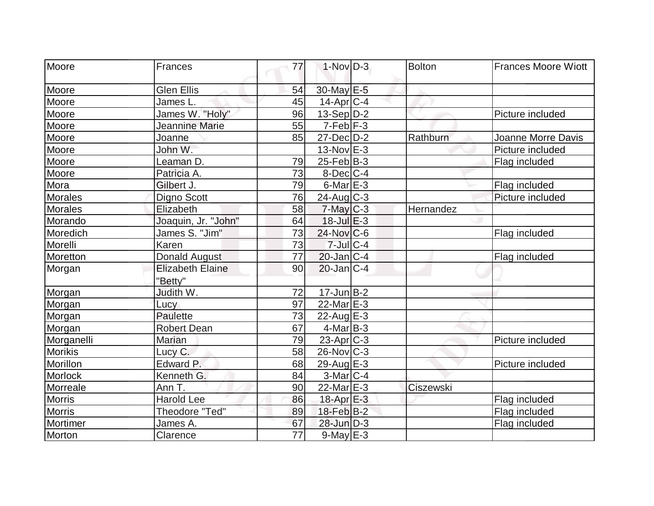| Moore          | <b>Frances</b>                     | 77              | $1-Nov$ D-3           | <b>Bolton</b> | <b>Frances Moore Wiott</b> |
|----------------|------------------------------------|-----------------|-----------------------|---------------|----------------------------|
| Moore          | Glen Ellis                         | 54              | 30-May E-5            |               |                            |
| Moore          | James L.                           | 45              | $14$ -Apr $ C-4$      |               |                            |
| Moore          | James W. "Holy"                    | 96              | $13-Sep D-2$          |               | Picture included           |
| Moore          | Jeannine Marie                     | 55              | $7-Feb$ $F-3$         |               |                            |
| Moore          | Joanne                             | 85              | $27$ -Dec $D-2$       | Rathburn      | Joanne Morre Davis         |
| Moore          | John W.                            |                 | $13-Nov$ E-3          |               | Picture included           |
| Moore          | Leaman D.                          | 79              | $25$ -Feb $ B-3 $     |               | Flag included              |
| Moore          | Patricia A.                        | 73              | 8-Dec <sub>IC-4</sub> |               |                            |
| Mora           | Gilbert J.                         | 79              | $6$ -Mar $E-3$        |               | Flag included              |
| <b>Morales</b> | Digno Scott                        | 76              | $24$ -Aug C-3         |               | Picture included           |
| <b>Morales</b> | Elizabeth                          | 58              | $7$ -May $C-3$        | Hernandez     |                            |
| Morando        | Joaquin, Jr. "John"                | 64              | $18$ -Jul $E-3$       |               |                            |
| Moredich       | James S. "Jim"                     | 73              | $24$ -Nov $ C-6$      |               | Flag included              |
| Morelli        | Karen                              | 73              | $7 -$ Jul $C - 4$     |               |                            |
| Moretton       | Donald August                      | $\overline{77}$ | $20$ -Jan $C-4$       |               | Flag included              |
| Morgan         | <b>Elizabeth Elaine</b><br>"Betty" | 90              | $20$ -Jan $ C-4 $     |               |                            |
| Morgan         | Judith W.                          | 72              | $17 - Jun$ $B-2$      |               |                            |
| Morgan         | Lucy                               | 97              | 22-Mar E-3            |               |                            |
| Morgan         | Paulette                           | 73              | $22$ -Aug $E-3$       |               |                            |
| Morgan         | <b>Robert Dean</b>                 | 67              | $4$ -Mar $B - 3$      |               |                            |
| Morganelli     | <b>Marian</b>                      | 79              | $23$ -Apr $C-3$       |               | Picture included           |
| <b>Morikis</b> | Lucy C.                            | 58              | $26$ -Nov $ C-3 $     |               |                            |
| Morillon       | Edward P.                          | 68              | 29-Aug $E-3$          |               | Picture included           |
| Morlock        | Kenneth G.                         | 84              | $3-Mar$ $C-4$         |               |                            |
| Morreale       | Ann T.                             | 90              | $22$ -Mar $E-3$       | Ciszewski     |                            |
| <b>Morris</b>  | <b>Harold Lee</b>                  | 86              | 18-Apr E-3            |               | Flag included              |
| <b>Morris</b>  | Theodore "Ted"                     | 89              | $18$ -Feb $ B-2 $     |               | Flag included              |
| Mortimer       | James A.                           | 67              | 28-Jun D-3            |               | Flag included              |
| Morton         | Clarence                           | 77              | $9$ -May $E-3$        |               |                            |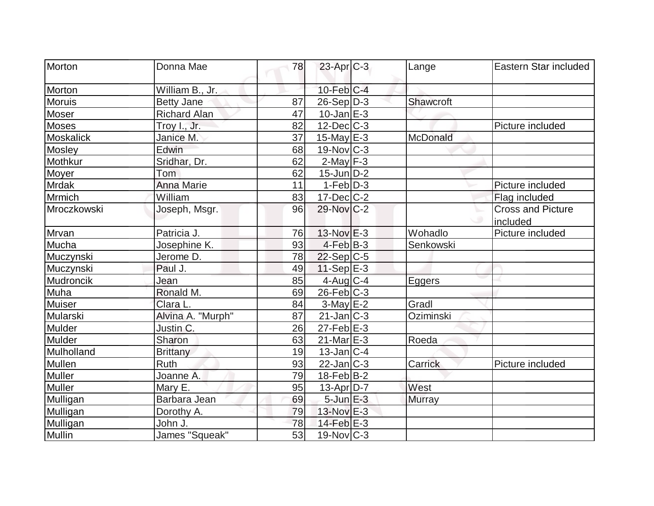| Morton           | Donna Mae           | 78 | $23$ -Apr $C-3$         | Lange     | Eastern Star included    |
|------------------|---------------------|----|-------------------------|-----------|--------------------------|
| Morton           | William B., Jr.     |    | $10$ -Feb $ C-4 $       |           |                          |
| <b>Moruis</b>    | <b>Betty Jane</b>   | 87 | $26-Sep D-3$            | Shawcroft |                          |
| Moser            | <b>Richard Alan</b> | 47 | $10$ -Jan $E-3$         |           |                          |
| Moses            | Troy I., Jr.        | 82 | $12$ -Dec $ C-3 $       |           | Picture included         |
| <b>Moskalick</b> | Janice M.           | 37 | $15$ -May $E-3$         | McDonald  |                          |
| Mosley           | Edwin               | 68 | $19-Nov$ <sub>C-3</sub> |           |                          |
| Mothkur          | Sridhar, Dr.        | 62 | $2$ -May $F-3$          |           |                          |
| Moyer            | Tom                 | 62 | $15$ -Jun $D-2$         |           |                          |
| <b>Mrdak</b>     | <b>Anna Marie</b>   | 11 | $1-Feb D-3$             |           | Picture included         |
| Mrmich           | William             | 83 | $17 - Dec$ C-2          |           | Flag included            |
| Mroczkowski      | Joseph, Msgr.       | 96 | 29-Nov C-2              |           | <b>Cross and Picture</b> |
|                  |                     |    |                         |           | included                 |
| Mrvan            | Patricia J.         | 76 | $13-Nov$ E-3            | Wohadlo   | Picture included         |
| Mucha            | Josephine K.        | 93 | $4-Feb B-3$             | Senkowski |                          |
| Muczynski        | Jerome D.           | 78 | $22-Sep C-5$            |           |                          |
| Muczynski        | Paul J.             | 49 | $11-Sep$ E-3            |           |                          |
| Mudroncik        | Jean                | 85 | $4$ -Aug C-4            | Eggers    |                          |
| Muha             | Ronald M.           | 69 | $26$ -Feb $ C-3 $       |           |                          |
| <b>Muiser</b>    | Clara L.            | 84 | $3-May$ $E-2$           | Gradl     |                          |
| Mularski         | Alvina A. "Murph"   | 87 | $21$ -Jan $ C-3 $       | Oziminski |                          |
| Mulder           | Justin C.           | 26 | $27$ -Feb $ E-3 $       |           |                          |
| Mulder           | Sharon              | 63 | $21$ -Mar $E-3$         | Roeda     |                          |
| Mulholland       | <b>Brittany</b>     | 19 | $13$ -Jan $ C-4 $       |           |                          |
| Mullen           | <b>Ruth</b>         | 93 | $22$ -Jan $ C-3 $       | Carrick   | Picture included         |
| <b>Muller</b>    | Joanne A.           | 79 | $18$ -Feb $ B-2 $       |           |                          |
| Muller           | Mary E.             | 95 | $13$ -Apr $ D-7 $       | West      |                          |
| Mulligan         | Barbara Jean        | 69 | $5$ -Jun $E-3$          | Murray    |                          |
| Mulligan         | Dorothy A.          | 79 | $13-Nov$ $E-3$          |           |                          |
| Mulligan         | John J.             | 78 | 14-Feb E-3              |           |                          |
| Mullin           | James "Squeak"      | 53 | $19-Nov$ $C-3$          |           |                          |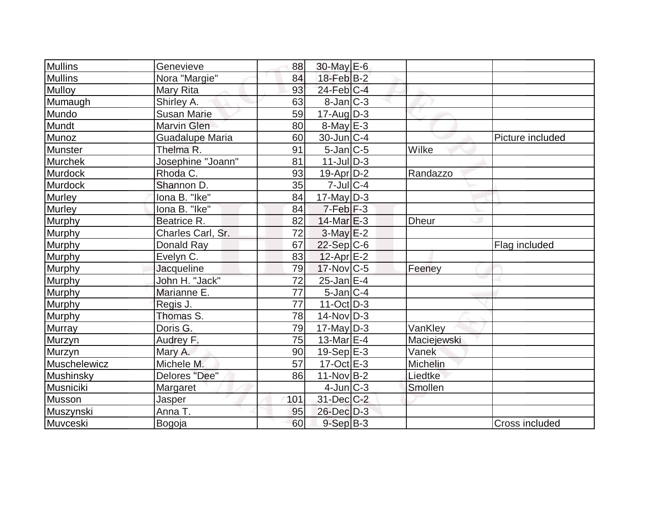| Mullins        | Genevieve          | 88              | $30$ -May $E-6$   |              |                  |
|----------------|--------------------|-----------------|-------------------|--------------|------------------|
| <b>Mullins</b> | Nora "Margie"      | 84              | $18$ -Feb $ B-2 $ |              |                  |
| Mulloy         | Mary Rita          | 93              | $24$ -Feb $ C-4$  |              |                  |
| Mumaugh        | Shirley A.         | 63              | $8$ -Jan $ C-3 $  |              |                  |
| Mundo          | <b>Susan Marie</b> | 59              | $17$ -Aug $ D-3 $ |              |                  |
| Mundt          | <b>Marvin Glen</b> | 80              | $8$ -May $E - 3$  |              |                  |
| Munoz          | Guadalupe Maria    | 60              | $30$ -Jun $ C-4 $ |              | Picture included |
| Munster        | Thelma R.          | 91              | $5$ -Jan $ C-5 $  | Wilke        |                  |
| <b>Murchek</b> | Josephine "Joann"  | 81              | $11$ -Jul $D-3$   |              |                  |
| <b>Murdock</b> | Rhoda C.           | 93              | $19-Apr D-2$      | Randazzo     |                  |
| Murdock        | Shannon D.         | 35              | $7$ -Jul $ C-4 $  |              |                  |
| <b>Murley</b>  | lona B. "Ike"      | 84              | $17$ -May D-3     |              |                  |
| <b>Murley</b>  | lona B. "Ike"      | 84              | $7-Feb$ $F-3$     |              |                  |
| Murphy         | Beatrice R.        | 82              | $14$ -Mar $E-3$   | <b>Dheur</b> |                  |
| Murphy         | Charles Carl, Sr.  | 72              | $3-May$ $E-2$     |              |                  |
| Murphy         | Donald Ray         | 67              | $22-Sep C-6$      |              | Flag included    |
| Murphy         | Evelyn C.          | 83              | $12$ -Apr $E-2$   |              |                  |
| <b>Murphy</b>  | <b>Jacqueline</b>  | 79              | $17$ -Nov $ C-5 $ | Feeney       |                  |
| <b>Murphy</b>  | John H. "Jack"     | 72              | $25$ -Jan $E-4$   |              |                  |
| Murphy         | Marianne E.        | $\overline{77}$ | $5$ -Jan $ C-4 $  |              |                  |
| Murphy         | Regis J.           | 77              | $11-Oct$ D-3      |              |                  |
| Murphy         | Thomas S.          | 78              | $14$ -Nov $ D-3 $ |              |                  |
| <b>Murray</b>  | Doris G.           | 79              | $17$ -May D-3     | VanKley      |                  |
| Murzyn         | Audrey F.          | 75              | $13$ -Mar $E-4$   | Maciejewski  |                  |
| Murzyn         | Mary A.            | 90              | $19-Sep$ $E-3$    | Vanek        |                  |
| Muschelewicz   | Michele M.         | 57              | $17-Oct$ $E-3$    | Michelin     |                  |
| Mushinsky      | Delores "Dee"      | 86              | $11-Nov B-2$      | Liedtke      |                  |
| Musniciki      | <b>Margaret</b>    |                 | $4$ -Jun $ C-3 $  | Smollen      |                  |
| Musson         | <b>Jasper</b>      | 101             | $31$ -Dec $C-2$   |              |                  |
| Muszynski      | Anna T.            | 95              | 26-Dec D-3        |              |                  |
| Muvceski       | Bogoja             | 60              | $9-Sep B-3$       |              | Cross included   |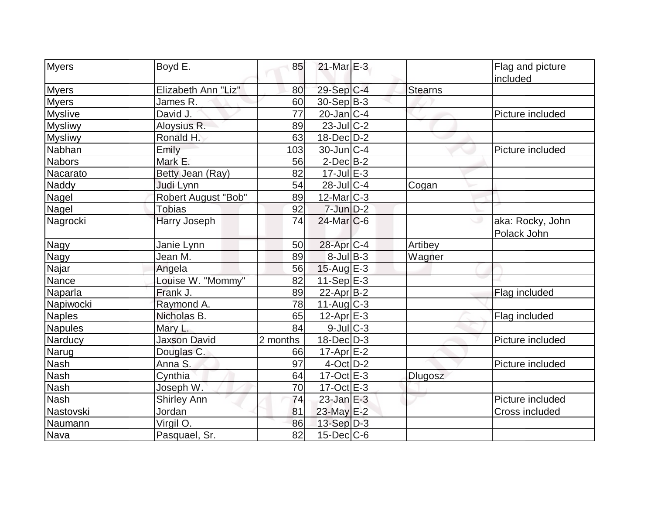| Myers          | Boyd E.             | 85       | $21$ -Mar $E-3$    |                | Flag and picture                |
|----------------|---------------------|----------|--------------------|----------------|---------------------------------|
|                |                     |          |                    |                | included                        |
| <b>Myers</b>   | Elizabeth Ann "Liz" | 80       | 29-Sep C-4         | <b>Stearns</b> |                                 |
| <b>Myers</b>   | James R.            | 60       | $30-Sep B-3$       |                |                                 |
| <b>Myslive</b> | David J.            | 77       | $20$ -Jan $ C-4 $  |                | Picture included                |
| <b>Mysliwy</b> | Aloysius R.         | 89       | $23$ -Jul $C-2$    |                |                                 |
| <b>Mysliwy</b> | Ronald H.           | 63       | $18$ -Dec $D-2$    |                |                                 |
| Nabhan         | Emily               | 103      | $30$ -Jun $ C-4 $  |                | Picture included                |
| <b>Nabors</b>  | Mark E.             | 56       | $2$ -Dec $B-2$     |                |                                 |
| Nacarato       | Betty Jean (Ray)    | 82       | $17 -$ Jul $E - 3$ |                |                                 |
| Naddy          | Judi Lynn           | 54       | 28-Jul C-4         | Cogan          |                                 |
| Nagel          | Robert August "Bob" | 89       | $12$ -Mar $ C-3 $  |                |                                 |
| Nagel          | <b>Tobias</b>       | 92       | $7$ -Jun $D-2$     |                |                                 |
| Nagrocki       | Harry Joseph        | 74       | $24$ -Mar $C$ -6   |                | aka: Rocky, John<br>Polack John |
| Nagy           | Janie Lynn          | 50       | 28-Apr C-4         | Artibey        |                                 |
| Nagy           | Jean M.             | 89       | $8$ -Jul B-3       | Wagner         |                                 |
| Najar          | Angela              | 56       | $15$ -Aug E-3      |                |                                 |
| Nance          | Louise W. "Mommy"   | 82       | $11-Sep$ E-3       |                |                                 |
| Naparla        | Frank J.            | 89       | $22$ -Apr $ B-2 $  |                | Flag included                   |
| Napiwocki      | Raymond A.          | 78       | 11-Aug C-3         |                |                                 |
| <b>Naples</b>  | Nicholas B.         | 65       | $12$ -Apr $E-3$    |                | Flag included                   |
| <b>Napules</b> | Mary L.             | 84       | $9$ -Jul $ C-3$    |                |                                 |
| Narducy        | <b>Jaxson David</b> | 2 months | $18$ -Dec $D-3$    |                | Picture included                |
| Narug          | Douglas C.          | 66       | $17$ -Apr $E-2$    |                |                                 |
| <b>Nash</b>    | Anna S.             | 97       | $4$ -Oct $D-2$     |                | Picture included                |
| <b>Nash</b>    | Cynthia             | 64       | $17-Oct$ $E-3$     | Dlugosz        |                                 |
| <b>Nash</b>    | Joseph W.           | 70       | $17-Oct$ $E-3$     |                |                                 |
| <b>Nash</b>    | <b>Shirley Ann</b>  | 74       | $23$ -Jan $E-3$    |                | Picture included                |
| Nastovski      | Jordan              | 81       | $23$ -May $E-2$    |                | Cross included                  |
| Naumann        | Virgil O.           | 86       | 13-Sep D-3         |                |                                 |
| Nava           | Pasquael, Sr.       | 82       | 15-Dec C-6         |                |                                 |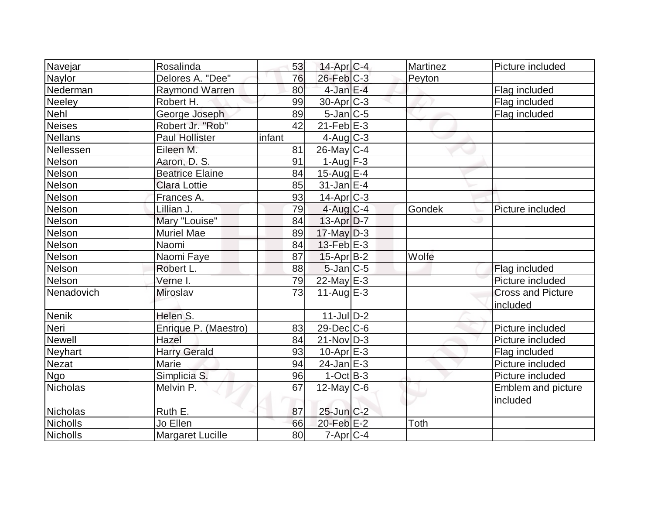| Navejar        | Rosalinda               | 53     | $14$ -Apr $C-4$  | <b>Martinez</b> | Picture included         |
|----------------|-------------------------|--------|------------------|-----------------|--------------------------|
| Naylor         | Delores A. "Dee"        | 76     | $26$ -Feb $C-3$  | Peyton          |                          |
| Nederman       | <b>Raymond Warren</b>   | 80     | $4$ -Jan $E-4$   |                 | Flag included            |
| <b>Neeley</b>  | Robert H.               | 99     | $30$ -Apr $C-3$  |                 | Flag included            |
| <b>Nehl</b>    | George Joseph           | 89     | $5$ -Jan $ C$ -5 |                 | Flag included            |
| <b>Neises</b>  | Robert Jr. "Rob"        | 42     | $21$ -Feb $E-3$  |                 |                          |
| <b>Nellans</b> | <b>Paul Hollister</b>   | infant | $4$ -Aug C-3     |                 |                          |
| Nellessen      | Eileen M.               | 81     | $26$ -May C-4    |                 |                          |
| Nelson         | Aaron, D. S.            | 91     | $1-Auq$ F-3      |                 |                          |
| Nelson         | <b>Beatrice Elaine</b>  | 84     | $15$ -Aug $E-4$  |                 |                          |
| Nelson         | <b>Clara Lottie</b>     | 85     | $31$ -Jan $E-4$  |                 |                          |
| Nelson         | Frances A.              | 93     | $14$ -Apr $C-3$  |                 |                          |
| Nelson         | Lillian J.              | 79     | $4$ -Aug C-4     | <b>Gondek</b>   | Picture included         |
| Nelson         | Mary "Louise"           | 84     | $13-Apr D-7$     |                 |                          |
| Nelson         | <b>Muriel Mae</b>       | 89     | $17$ -May $D-3$  |                 |                          |
| Nelson         | Naomi                   | 84     | $13$ -Feb $E-3$  |                 |                          |
| Nelson         | Naomi Faye              | 87     | 15-Apr B-2       | Wolfe           |                          |
| Nelson         | Robert L.               | 88     | $5$ -Jan $C$ -5  |                 | Flag included            |
| Nelson         | Verne I.                | 79     | $22$ -May E-3    |                 | Picture included         |
| Nenadovich     | Miroslav                | 73     | 11-Aug $E-3$     |                 | <b>Cross and Picture</b> |
|                |                         |        |                  |                 | included                 |
| <b>Nenik</b>   | Helen S.                |        | $11$ -JulD-2     |                 |                          |
| Neri           | Enrique P. (Maestro)    | 83     | $29$ -Dec $C$ -6 |                 | Picture included         |
| <b>Newell</b>  | Hazel                   | 84     | $21-Nov D-3$     |                 | Picture included         |
| <b>Neyhart</b> | <b>Harry Gerald</b>     | 93     | $10$ -Apr $E-3$  |                 | Flag included            |
| <b>Nezat</b>   | Marie                   | 94     | $24$ -Jan $E-3$  |                 | Picture included         |
| <b>Ngo</b>     | Simplicia S.            | 96     | $1-Oct$ B-3      |                 | Picture included         |
| Nicholas       | Melvin P.               | 67     | $12$ -May C-6    |                 | Emblem and picture       |
|                |                         |        |                  |                 | included                 |
| Nicholas       | Ruth E.                 | 87     | $25$ -Jun $C-2$  |                 |                          |
| Nicholls       | Jo Ellen                | 66     | $20$ -Feb $E-2$  | Toth            |                          |
| Nicholls       | <b>Margaret Lucille</b> | 80     | $7$ -Apr $ C-4 $ |                 |                          |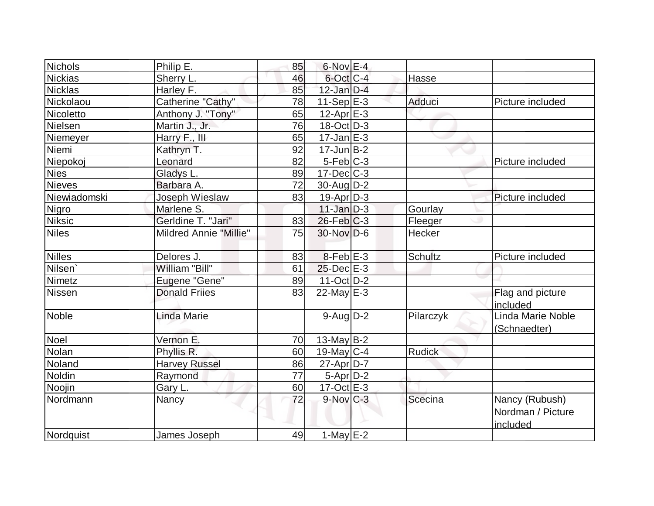| Nichols             | Philip E.                     | 85 | $6$ -Nov $E-4$         |                |                                                 |
|---------------------|-------------------------------|----|------------------------|----------------|-------------------------------------------------|
| <b>Nickias</b>      | Sherry L.                     | 46 | 6-Oct C-4              | Hasse          |                                                 |
| <b>Nicklas</b>      | Harley F.                     | 85 | $12$ -Jan $D-4$        |                |                                                 |
| Nickolaou           | Catherine "Cathy"             | 78 | $11-Sep$ $E-3$         | Adduci         | Picture included                                |
| Nicoletto           | Anthony J. "Tony"             | 65 | $12$ -Apr $E$ -3       |                |                                                 |
| Nielsen             | Martin J., Jr.                | 76 | $18-Oct$ D-3           |                |                                                 |
| Niemeyer            | Harry F., III                 | 65 | $17$ -Jan $E-3$        |                |                                                 |
| Niemi               | Kathryn T.                    | 92 | $17 - Jun$ B-2         |                |                                                 |
| Niepokoj            | Leonard                       | 82 | $5-Feb$ $C-3$          |                | Picture included                                |
| <b>Nies</b>         | Gladys L.                     | 89 | $17 - Dec$ $C-3$       |                |                                                 |
| <b>Nieves</b>       | Barbara A.                    | 72 | $30$ -Aug $D-2$        |                |                                                 |
| Niewiadomski        | Joseph Wieslaw                | 83 | $19-Apr D-3$           |                | Picture included                                |
| Nigro               | Marlene S.                    |    | $11$ -Jan $D-3$        | Gourlay        |                                                 |
| <b>Niksic</b>       | Gerldine T. "Jari"            | 83 | $26$ -Feb $C-3$        | Fleeger        |                                                 |
| <b>Niles</b>        | <b>Mildred Annie "Millie"</b> | 75 | $30$ -Nov $D-6$        | Hecker         |                                                 |
| <b>Nilles</b>       | Delores J.                    | 83 | $8$ -Feb $E-3$         | <b>Schultz</b> | Picture included                                |
| Nilsen <sup>'</sup> | William "Bill"                | 61 | $25$ -Dec $E-3$        |                |                                                 |
| Nimetz              | Eugene "Gene"                 | 89 | $11$ -Oct $D-2$        |                |                                                 |
| <b>Nissen</b>       | <b>Donald Frijes</b>          | 83 | $22$ -May $E-3$        |                | Flag and picture<br>lincluded                   |
| <b>Noble</b>        | Linda Marie                   |    | $9-Aug1D-2$            | Pilarczyk      | Linda Marie Noble<br>(Schnaedter)               |
| <b>Noel</b>         | Vernon E.                     | 70 | $13$ -May B-2          |                |                                                 |
| Nolan               | Phyllis R.                    | 60 | $19$ -May C-4          | <b>Rudick</b>  |                                                 |
| Noland              | <b>Harvey Russel</b>          | 86 | 27-Apr D-7             |                |                                                 |
| <b>Noldin</b>       | Raymond                       | 77 | $5-Apr$ D-2            |                |                                                 |
| Noojin              | Gary L.                       | 60 | $17$ -Oct $E-3$        |                |                                                 |
| Nordmann            | Nancy                         | 72 | $9-Nov$ <sub>C-3</sub> | Scecina        | Nancy (Rubush)<br>Nordman / Picture<br>included |
| Nordquist           | James Joseph                  | 49 | $1$ -May $E-2$         |                |                                                 |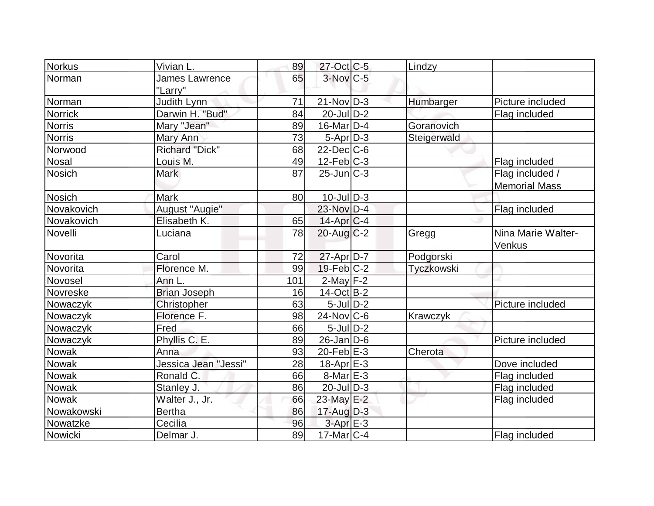| Norkus         | Vivian L.             | 89  | $27$ -Oct C-5         | Lindzy      |                      |
|----------------|-----------------------|-----|-----------------------|-------------|----------------------|
| Norman         | <b>James Lawrence</b> | 65  | $3-Nov$ C-5           |             |                      |
|                | "Larry"               |     |                       |             |                      |
| Norman         | Judith Lynn           | 71  | $21-Nov D-3$          | Humbarger   | Picture included     |
| <b>Norrick</b> | Darwin H. "Bud"       | 84  | $20$ -JulD-2          |             | Flag included        |
| <b>Norris</b>  | Mary "Jean"           | 89  | $16$ -Mar $ D-4 $     | Goranovich  |                      |
| <b>Norris</b>  | Mary Ann              | 73  | $5-Apr D-3$           | Steigerwald |                      |
| Norwood        | <b>Richard "Dick"</b> | 68  | $22$ -Dec $ C$ -6     |             |                      |
| <b>Nosal</b>   | Louis M.              | 49  | $12$ -Feb $ C-3 $     |             | Flag included        |
| <b>Nosich</b>  | <b>Mark</b>           | 87  | $25$ -Jun $C-3$       |             | Flag included /      |
|                |                       |     |                       |             | <b>Memorial Mass</b> |
| Nosich         | <b>Mark</b>           | 80  | $10$ -JulD-3          |             |                      |
| Novakovich     | August "Augie"        |     | 23-Nov D-4            |             | Flag included        |
| Novakovich     | Elisabeth K.          | 65  | $14$ -Apr $C-4$       |             |                      |
| Novelli        | Luciana               | 78  | $20$ -Aug $C-2$       | Gregg       | Nina Marie Walter-   |
|                |                       |     |                       |             | Venkus               |
| Novorita       | Carol                 | 72  | $27$ -Apr $ D-7$      | Podgorski   |                      |
| Novorita       | Florence M.           | 99  | $19$ -Feb $ C-2$      | Tyczkowski  |                      |
| Novosel        | Ann L.                | 101 | $2$ -May $F-2$        |             |                      |
| Novreske       | <b>Brian Joseph</b>   | 16  | $14-Oct$ B-2          |             |                      |
| Nowaczyk       | Christopher           | 63  | $5$ -Jul $D-2$        |             | Picture included     |
| Nowaczyk       | Florence F.           | 98  | $24$ -Nov $ C-6$      | Krawczyk    |                      |
| Nowaczyk       | Fred                  | 66  | $5$ -Jul $D-2$        |             |                      |
| Nowaczyk       | Phyllis C. E.         | 89  | $26$ -Jan $ D-6$      |             | Picture included     |
| <b>Nowak</b>   | Anna                  | 93  | 20-Feb $E-3$          | Cherota     |                      |
| Nowak          | Jessica Jean "Jessi"  | 28  | 18-Apr <sub>E-3</sub> |             | Dove included        |
| Nowak          | Ronald C.             | 66  | $8$ -Mar $E - 3$      |             | Flag included        |
| <b>Nowak</b>   | Stanley J.            | 86  | $20$ -Jul $D-3$       |             | Flag included        |
| Nowak          | Walter J., Jr.        | 66  | 23-May E-2            |             | Flag included        |
| Nowakowski     | <b>Bertha</b>         | 86  | $17$ -Aug $D-3$       |             |                      |
| Nowatzke       | Cecilia               | 96  | $3$ -Apr $E-3$        |             |                      |
| Nowicki        | Delmar J.             | 89  | $17$ -Mar $ C-4$      |             | Flag included        |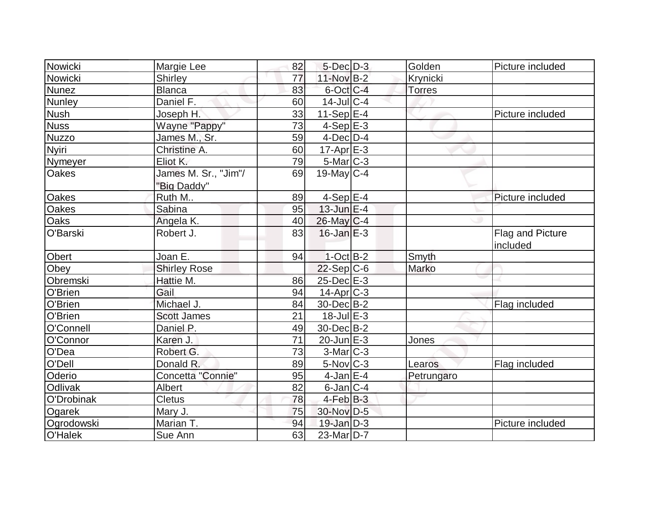| Nowicki      | Margie Lee           | 82 | $5$ -Dec $D-3$    | Golden        | Picture included |
|--------------|----------------------|----|-------------------|---------------|------------------|
| Nowicki      | <b>Shirley</b>       | 77 | $11-Nov B-2$      | Krynicki      |                  |
| Nunez        | <b>Blanca</b>        | 83 | 6-Oct C-4         | <b>Torres</b> |                  |
| Nunley       | Daniel F.            | 60 | $14$ -Jul $C-4$   |               |                  |
| <b>Nush</b>  | Joseph H.            | 33 | 11-Sep $E-4$      |               | Picture included |
| <b>Nuss</b>  | Wayne "Pappy"        | 73 | $4-Sep$ $E-3$     |               |                  |
| <b>Nuzzo</b> | James M., Sr.        | 59 | $4$ -Dec $D-4$    |               |                  |
| Nyiri        | Christine A.         | 60 | $17$ -Apr $E-3$   |               |                  |
| Nymeyer      | Eliot K.             | 79 | 5-Mar C-3         |               |                  |
| <b>Oakes</b> | James M. Sr., "Jim"/ | 69 | 19-May $C-4$      |               |                  |
|              | "Big Daddy"          |    |                   |               |                  |
| <b>Oakes</b> | Ruth M               | 89 | $4-Sep$ E-4       |               | Picture included |
| Oakes        | Sabina               | 95 | $13$ -Jun $E-4$   |               |                  |
| Oaks         | Angela K.            | 40 | $26$ -May C-4     |               |                  |
| O'Barski     | Robert J.            | 83 | $16$ -Jan $E-3$   |               | Flag and Picture |
|              |                      |    |                   |               | included         |
| Obert        | Joan E.              | 94 | $1$ -Oct B-2      | Smyth         |                  |
| Obey         | <b>Shirley Rose</b>  |    | $22-Sep C-6$      | Marko         |                  |
| Obremski     | Hattie M.            | 86 | 25-Dec E-3        |               |                  |
| O'Brien      | Gail                 | 94 | $14$ -Apr $ C-3 $ |               |                  |
| O'Brien      | Michael J.           | 84 | 30-Dec B-2        |               | Flag included    |
| O'Brien      | <b>Scott James</b>   | 21 | $18$ -Jul $E-3$   |               |                  |
| O'Connell    | Daniel P.            | 49 | 30-Dec B-2        |               |                  |
| O'Connor     | Karen J.             | 71 | $20$ -Jun $E-3$   | Jones         |                  |
| O'Dea        | Robert G.            | 73 | $3-Mar$ $C-3$     |               |                  |
| O'Dell       | Donald R.            | 89 | 5-Nov C-3         | Learos        | Flag included    |
| Oderio       | Concetta "Connie"    | 95 | $4$ -Jan $E-4$    | Petrungaro    |                  |
| Odlivak      | Albert               | 82 | $6$ -Jan $ C-4$   |               |                  |
| O'Drobinak   | <b>Cletus</b>        | 78 | $4$ -Feb $B-3$    |               |                  |
| Ogarek       | Mary J.              | 75 | 30-Nov D-5        |               |                  |
| Ogrodowski   | Marian T.            | 94 | $19$ -Jan $D-3$   |               | Picture included |
| O'Halek      | Sue Ann              | 63 | $23$ -Mar $ D-7 $ |               |                  |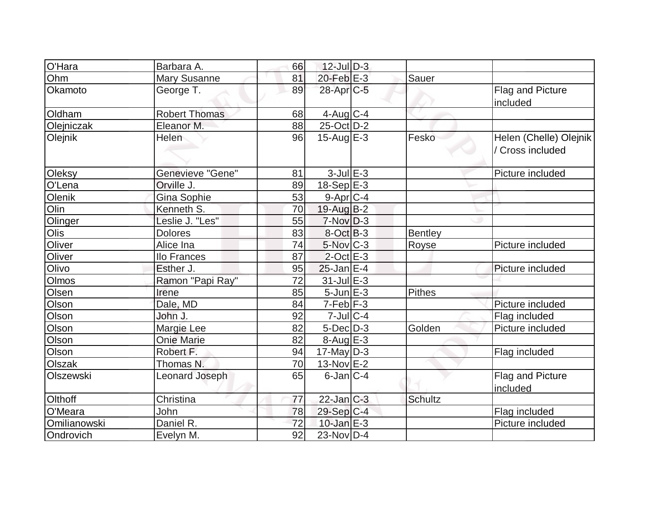| O'Hara        | Barbara A.            | 66 | $12$ -Jul $D-3$            |                |                                            |
|---------------|-----------------------|----|----------------------------|----------------|--------------------------------------------|
| Ohm           | <b>Mary Susanne</b>   | 81 | $20$ -Feb $E-3$            | Sauer          |                                            |
| Okamoto       | George T.             | 89 | 28-Apr <sub>IC-5</sub>     |                | Flag and Picture<br>included               |
| Oldham        | <b>Robert Thomas</b>  | 68 | $4$ -Aug $\overline{C}$ -4 |                |                                            |
| Olejniczak    | Eleanor M.            | 88 | $25$ -Oct $D-2$            |                |                                            |
| Olejnik       | Helen                 | 96 | $15$ -Aug $E-3$            | Fesko          | Helen (Chelle) Olejnik<br>/ Cross included |
| <b>Oleksy</b> | Genevieve "Gene"      | 81 | $3$ -Jul $E-3$             |                | Picture included                           |
| O'Lena        | Orville J.            | 89 | 18-Sep E-3                 |                |                                            |
| Olenik        | Gina Sophie           | 53 | $9$ -Apr $C$ -4            |                |                                            |
| Olin          | Kenneth S.            | 70 | $19$ -Aug B-2              |                |                                            |
| Olinger       | Leslie J. "Les"       | 55 | $7-NovD-3$                 |                |                                            |
| Olis          | <b>Dolores</b>        | 83 | $8-Oct$ B-3                | <b>Bentley</b> |                                            |
| Oliver        | Alice Ina             | 74 | 5-Nov C-3                  | Royse          | Picture included                           |
| Oliver        | llo Frances           | 87 | $2$ -Oct $E-3$             |                |                                            |
| Olivo         | Esther J.             | 95 | $25$ -Jan $E-4$            |                | Picture included                           |
| <b>Olmos</b>  | Ramon "Papi Ray"      | 72 | $31$ -Jul $E-3$            |                |                                            |
| Olsen         | Irene                 | 85 | $5 - Jun$ $E-3$            | Pithes         |                                            |
| Olson         | Dale, MD              | 84 | $7-Feb$ F-3                |                | Picture included                           |
| Olson         | John J.               | 92 | $7$ -Jul $ C-4 $           |                | Flag included                              |
| Olson         | Margie Lee            | 82 | $5$ -Dec $D-3$             | Golden         | Picture included                           |
| Olson         | <b>Onie Marie</b>     | 82 | $8-Aug$ $E-3$              |                |                                            |
| Olson         | Robert F.             | 94 | $17$ -May D-3              |                | Flag included                              |
| Olszak        | Thomas N.             | 70 | $13-Nov$ E-2               |                |                                            |
| Olszewski     | <b>Leonard Joseph</b> | 65 | $6$ -Jan $ C-4 $           |                | <b>Flag and Picture</b><br>included        |
| Olthoff       | Christina             | 77 | $22$ -Jan $C-3$            | <b>Schultz</b> |                                            |
| O'Meara       | John                  | 78 | $29-Sep C-4$               |                | Flag included                              |
| Omilianowski  | Daniel R.             | 72 | $10$ -Jan E-3              |                | Picture included                           |
| Ondrovich     | Evelyn M.             | 92 | $23$ -Nov D-4              |                |                                            |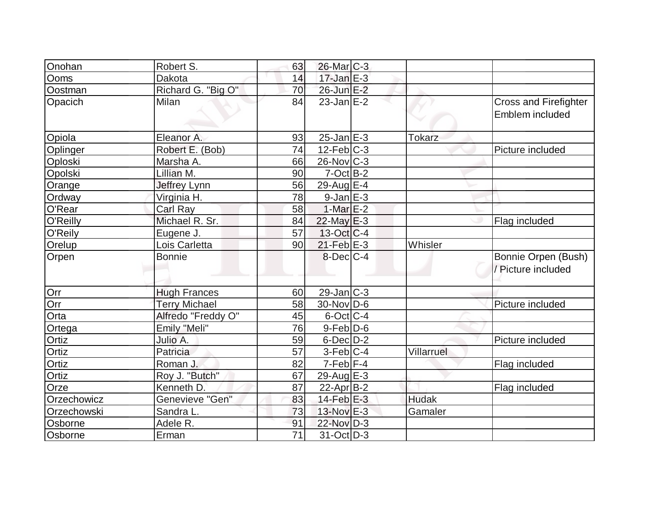| Onohan      | Robert S.            | 63              | $26$ -Mar $C-3$   |               |                                         |
|-------------|----------------------|-----------------|-------------------|---------------|-----------------------------------------|
| <b>Ooms</b> | Dakota               | 14              | $17$ -Jan $E-3$   |               |                                         |
| Oostman     | Richard G. "Big O"   | 70              | 26-Jun E-2        |               |                                         |
| Opacich     | <b>Milan</b>         | 84              | $23$ -Jan $E-2$   |               | <b>Cross and Firefighter</b>            |
|             |                      |                 |                   |               | Emblem included                         |
| Opiola      | Eleanor A.           | 93              | $25$ -Jan $E-3$   | <b>Tokarz</b> |                                         |
| Oplinger    | Robert E. (Bob)      | 74              | $12$ -Feb $ C-3 $ |               | Picture included                        |
| Oploski     | Marsha A.            | 66              | $26$ -Nov $ C-3 $ |               |                                         |
| Opolski     | Lillian M.           | 90              | $7$ -Oct $ B-2 $  |               |                                         |
| Orange      | Jeffrey Lynn         | 56              | 29-Aug E-4        |               |                                         |
| Ordway      | Virginia H.          | 78              | $9$ -Jan $E-3$    |               |                                         |
| O'Rear      | Carl Ray             | 58              | $1-MarE-2$        |               |                                         |
| O'Reilly    | Michael R. Sr.       | 84              | $22$ -May $E-3$   |               | Flag included                           |
| O'Reily     | Eugene J.            | 57              | $13-Oct$ $C-4$    |               |                                         |
| Orelup      | Lois Carletta        | 90              | $21$ -Feb $E-3$   | Whisler       |                                         |
| Orpen       | <b>Bonnie</b>        |                 | $8$ -Dec $C$ -4   |               | Bonnie Orpen (Bush)<br>Picture included |
| Orr         | <b>Hugh Frances</b>  | 60              | $29$ -Jan $ C-3 $ |               |                                         |
| Orr         | <b>Terry Michael</b> | 58              | 30-Nov D-6        |               | Picture included                        |
| Orta        | Alfredo "Freddy O"   | 45              | $6$ -Oct $ C-4 $  |               |                                         |
| Ortega      | Emily "Meli"         | 76              | $9-Feb D-6$       |               |                                         |
| Ortiz       | Julio A.             | 59              | $6$ -Dec $D-2$    |               | Picture included                        |
| Ortiz       | Patricia             | 57              | $3-Feb C-4$       | Villarruel    |                                         |
| Ortiz       | Roman J.             | 82              | $7-Feb$ $F-4$     |               | Flag included                           |
| Ortiz       | Roy J. "Butch"       | 67              | 29-Aug $E-3$      |               |                                         |
| Orze        | Kenneth D.           | 87              | 22-Apr B-2        |               | Flag included                           |
| Orzechowicz | Genevieve "Gen"      | 83              | $14$ -Feb $E-3$   | <b>Hudak</b>  |                                         |
| Orzechowski | Sandra L.            | 73              | 13-Nov E-3        | Gamaler       |                                         |
| Osborne     | Adele R.             | 91              | 22-Nov D-3        |               |                                         |
| Osborne     | Erman                | $\overline{71}$ | $31-Oct$ D-3      |               |                                         |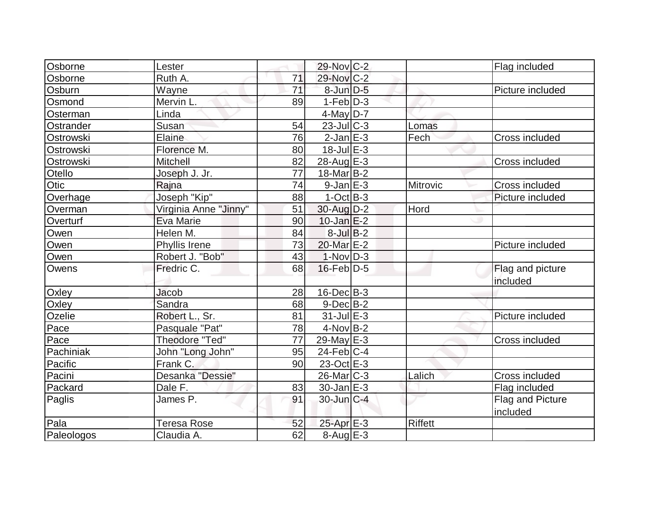| Osborne    | Lester                |                 | 29-Nov C-2             |                | Flag included    |
|------------|-----------------------|-----------------|------------------------|----------------|------------------|
| Osborne    | Ruth A.               | 71              | 29-Nov C-2             |                |                  |
| Osburn     | Wayne                 | $\overline{71}$ | $8$ -Jun $D-5$         |                | Picture included |
| Osmond     | Mervin L.             | 89              | $1-Feb D-3$            |                |                  |
| Osterman   | Linda                 |                 | $4$ -May $D-7$         |                |                  |
| Ostrander  | Susan                 | 54              | $23$ -Jul C-3          | Lomas          |                  |
| Ostrowski  | Elaine                | 76              | $2-Jan$ $E-3$          | Fech           | Cross included   |
| Ostrowski  | Florence M.           | 80              | 18-Jul E-3             |                |                  |
| Ostrowski  | Mitchell              | 82              | 28-Aug E-3             |                | Cross included   |
| Otello     | Joseph J. Jr.         | 77              | 18-Mar <sub>B</sub> -2 |                |                  |
| Otic       | Rajna                 | 74              | $9$ -Jan $E-3$         | Mitrovic       | Cross included   |
| Overhage   | Joseph "Kip"          | 88              | $1-Oct$ B-3            |                | Picture included |
| Overman    | Virginia Anne "Jinny" | 51              | 30-Aug D-2             | Hord           |                  |
| Overturf   | Eva Marie             | 90              | $10$ -Jan $ E-2 $      |                |                  |
| Owen       | Helen M.              | 84              | $8$ -Jul B-2           |                |                  |
| Owen       | Phyllis Irene         | 73              | 20-Mar E-2             |                | Picture included |
| Owen       | Robert J. "Bob"       | 43              | $1-Nov D-3$            |                |                  |
| Owens      | Fredric C.            | 68              | $16$ -Feb $D-5$        |                | Flag and picture |
|            |                       |                 |                        |                | included         |
| Oxley      | Jacob                 | 28              | $16$ -Dec $B$ -3       |                |                  |
| Oxley      | Sandra                | 68              | $9-Dec B-2$            |                |                  |
| Ozelie     | Robert L., Sr.        | 81              | $31$ -Jul $E-3$        |                | Picture included |
| Pace       | Pasquale "Pat"        | 78              | $4$ -Nov $ B-2 $       |                |                  |
| Pace       | <b>Theodore "Ted"</b> | 77              | 29-May E-3             |                | Cross included   |
| Pachiniak  | John "Long John"      | 95              | $24$ -Feb $ C-4$       |                |                  |
| Pacific    | Frank C.              | 90              | 23-Oct E-3             |                |                  |
| Pacini     | Desanka "Dessie"      |                 | $26$ -Mar $ C-3 $      | Lalich         | Cross included   |
| Packard    | Dale F.               | 83              | $30$ -Jan $E-3$        |                | Flag included    |
| Paglis     | James P.              | 91              | $30$ -Jun $ C-4 $      |                | Flag and Picture |
|            |                       |                 |                        |                | included         |
| Pala       | Teresa Rose           | 52              | $25$ -Apr $E-3$        | <b>Riffett</b> |                  |
| Paleologos | Claudia A.            | 62              | $8-Aug$ $E-3$          |                |                  |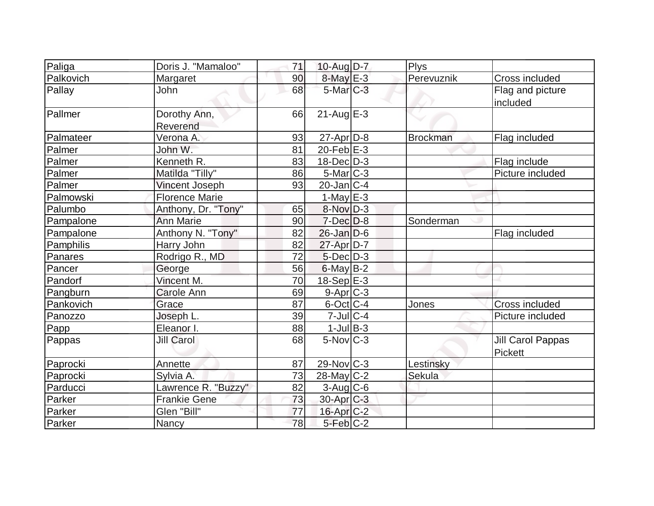| Paliga    | Doris J. "Mamaloo"       | 71 | 10-Aug $D-7$           | <b>Plys</b>     |                                     |
|-----------|--------------------------|----|------------------------|-----------------|-------------------------------------|
| Palkovich | Margaret                 | 90 | $8$ -May $E-3$         | Perevuznik      | <b>Cross included</b>               |
| Pallay    | John                     | 68 | $5$ -Mar $C-3$         |                 | Flag and picture<br>included        |
| Pallmer   | Dorothy Ann,<br>Reverend | 66 | $21$ -Aug $E-3$        |                 |                                     |
| Palmateer | Verona A.                | 93 | $27$ -Apr $D-8$        | <b>Brockman</b> | Flag included                       |
| Palmer    | John W.                  | 81 | $20$ -Feb $E-3$        |                 |                                     |
| Palmer    | Kenneth R.               | 83 | $18$ -Dec $D-3$        |                 | Flag include                        |
| Palmer    | Matilda "Tilly"          | 86 | $5$ -Mar $ C-3 $       |                 | Picture included                    |
| Palmer    | <b>Vincent Joseph</b>    | 93 | $20$ -Jan $ C-4 $      |                 |                                     |
| Palmowski | <b>Florence Marie</b>    |    | 1-May $E-3$            |                 |                                     |
| Palumbo   | Anthony, Dr. "Tony"      | 65 | 8-Nov D-3              |                 |                                     |
| Pampalone | <b>Ann Marie</b>         | 90 | $7$ -Dec $D-8$         | Sonderman       |                                     |
| Pampalone | Anthony N. "Tony"        | 82 | $26$ -Jan D-6          |                 | Flag included                       |
| Pamphilis | Harry John               | 82 | $27$ -Apr $D-7$        |                 |                                     |
| Panares   | Rodrigo R., MD           | 72 | $5$ -Dec $D-3$         |                 |                                     |
| Pancer    | George                   | 56 | $6$ -May $B-2$         |                 |                                     |
| Pandorf   | Vincent M.               | 70 | $18-Sep$ E-3           |                 |                                     |
| Pangburn  | Carole Ann               | 69 | $9-Apr$ $C-3$          |                 |                                     |
| Pankovich | Grace                    | 87 | $6$ -Oct C-4           | Jones           | Cross included                      |
| Panozzo   | Joseph L.                | 39 | $7$ -Jul $C$ -4        |                 | Picture included                    |
| Papp      | Eleanor I.               | 88 | $1$ -Jul B-3           |                 |                                     |
| Pappas    | <b>Jill Carol</b>        | 68 | $5$ -Nov $ C-3 $       |                 | Jill Carol Pappas<br><b>Pickett</b> |
| Paprocki  | Annette                  | 87 | $29$ -Nov $ C-3 $      | Lestinsky       |                                     |
| Paprocki  | Sylvia A.                | 73 | $28$ -May C-2          | Sekula          |                                     |
| Parducci  | Lawrence R. "Buzzy"      | 82 | $3$ -Aug C-6           |                 |                                     |
| Parker    | <b>Frankie Gene</b>      | 73 | 30-Apr C-3             |                 |                                     |
| Parker    | Glen "Bill"              | 77 | $16$ -Apr $C-2$        |                 |                                     |
| Parker    | Nancy                    | 78 | $5-Feb$ <sub>C-2</sub> |                 |                                     |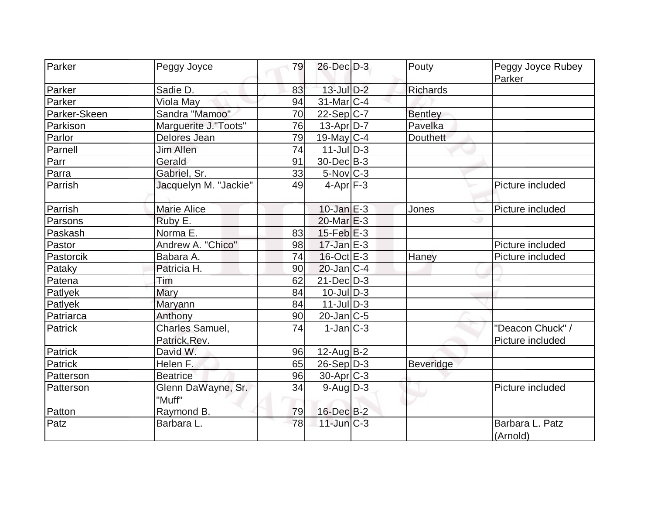| Parker       | Peggy Joyce           | 79 | 26-Dec D-3          | Pouty            | Peggy Joyce Rubey           |
|--------------|-----------------------|----|---------------------|------------------|-----------------------------|
|              |                       |    |                     |                  | Parker                      |
| Parker       | Sadie D.              | 83 | $13$ -Jul $D-2$     | <b>Richards</b>  |                             |
| Parker       | Viola May             | 94 | $31$ -Mar $ C-4 $   |                  |                             |
| Parker-Skeen | Sandra "Mamoo"        | 70 | 22-Sep C-7          | <b>Bentley</b>   |                             |
| Parkison     | Marguerite J."Toots"  | 76 | 13-Apr D-7          | Pavelka          |                             |
| Parlor       | Delores Jean          | 79 | 19-May $C-4$        | <b>Douthett</b>  |                             |
| Parnell      | <b>Jim Allen</b>      | 74 | $11$ -JulD-3        |                  |                             |
| Parr         | Gerald                | 91 | 30-Dec B-3          |                  |                             |
| Parra        | Gabriel, Sr.          | 33 | $5$ -Nov $ C-3 $    |                  |                             |
| Parrish      | Jacquelyn M. "Jackie" | 49 | $4-Apr$ $F-3$       |                  | Picture included            |
| Parrish      | <b>Marie Alice</b>    |    | $10$ -Jan $E-3$     | Jones            | Picture included            |
| Parsons      | Ruby E.               |    | $20$ -Mar $E-3$     |                  |                             |
| Paskash      | Norma E.              | 83 | $15$ -Feb $E-3$     |                  |                             |
| Pastor       | Andrew A. "Chico"     | 98 | $17 - Jan \, E - 3$ |                  | Picture included            |
| Pastorcik    | Babara A.             | 74 | $16$ -Oct $E - 3$   | Haney            | Picture included            |
| Pataky       | Patricia H.           | 90 | $20$ -Jan $ C-4$    |                  |                             |
| Patena       | Tim                   | 62 | $21$ -Dec $D-3$     |                  |                             |
| Patlyek      | Mary                  | 84 | $10$ -Jul $D-3$     |                  |                             |
| Patlyek      | Maryann               | 84 | $11$ -JulD-3        |                  |                             |
| Patriarca    | Anthony               | 90 | $20$ -Jan $ C-5 $   |                  |                             |
| Patrick      | Charles Samuel,       | 74 | $1-Jan C-3$         |                  | "Deacon Chuck" /            |
|              | Patrick, Rev.         |    |                     |                  | Picture included            |
| Patrick      | David W.              | 96 | 12-Aug B-2          |                  |                             |
| Patrick      | Helen F.              | 65 | $26-Sep D-3$        | <b>Beveridge</b> |                             |
| Patterson    | <b>Beatrice</b>       | 96 | $30$ -Apr $ C-3 $   |                  |                             |
| Patterson    | Glenn DaWayne, Sr.    | 34 | $9$ -Aug $D-3$      |                  | Picture included            |
|              | "Muff"                |    |                     |                  |                             |
| Patton       | Raymond B.            | 79 | 16-Dec B-2          |                  |                             |
| Patz         | Barbara L.            | 78 | $11$ -Jun $C-3$     |                  | Barbara L. Patz<br>(Arnold) |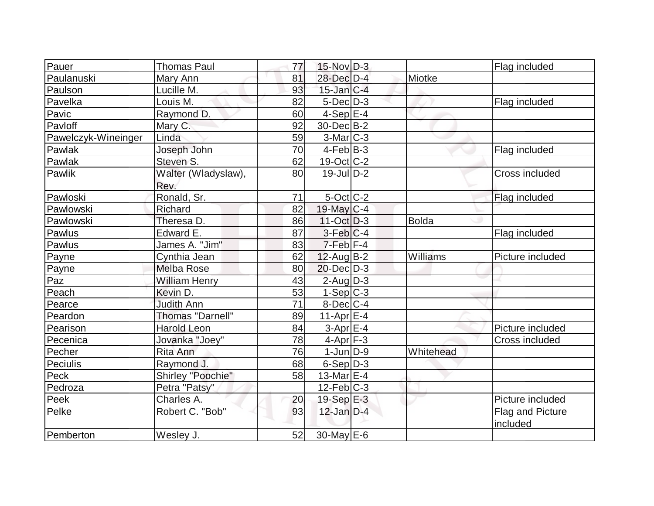| Pauer               | <b>Thomas Paul</b>      | 77 | $15$ -Nov $D-3$          |              | Flag included    |
|---------------------|-------------------------|----|--------------------------|--------------|------------------|
| Paulanuski          | Mary Ann                | 81 | 28-Dec D-4               | Miotke       |                  |
| Paulson             | Lucille M.              | 93 | $15$ -Jan $C-4$          |              |                  |
| Pavelka             | Louis M.                | 82 | $5$ -Dec $D-3$           |              | Flag included    |
| Pavic               | Raymond D.              | 60 | $4-Sep$ $E-4$            |              |                  |
| Pavloff             | Mary C.                 | 92 | 30-Dec B-2               |              |                  |
| Pawelczyk-Wineinger | Linda                   | 59 | $3-Mar$ $C-3$            |              |                  |
| Pawlak              | Joseph John             | 70 | $4-Feb B-3$              |              | Flag included    |
| Pawlak              | Steven S.               | 62 | $19-Oct$ <sub>C</sub> -2 |              |                  |
| Pawlik              | Walter (Wladyslaw),     | 80 | $19$ -Jul $D-2$          |              | Cross included   |
|                     | Rev.                    |    |                          |              |                  |
| Pawloski            | Ronald, Sr.             | 71 | $5$ -Oct C-2             |              | Flag included    |
| Pawlowski           | Richard                 | 82 | $19$ -May C-4            |              |                  |
| Pawlowski           | Theresa D.              | 86 | $11-Oct$ D-3             | <b>Bolda</b> |                  |
| Pawlus              | Edward E.               | 87 | $3-Feb C-4$              |              | Flag included    |
| Pawlus              | James A. "Jim"          | 83 | 7-Feb F-4                |              |                  |
| Payne               | Cynthia Jean            | 62 | $12$ -Aug $B-2$          | Williams     | Picture included |
| Payne               | <b>Melba Rose</b>       | 80 | $20$ -Dec $D-3$          |              |                  |
| Paz                 | <b>William Henry</b>    | 43 | $2$ -Aug $D-3$           |              |                  |
| Peach               | Kevin D.                | 53 | $1-Sep C-3$              |              |                  |
| Pearce              | <b>Judith Ann</b>       | 71 | $8$ -Dec $C-4$           |              |                  |
| Peardon             | <b>Thomas "Darnell"</b> | 89 | $11-Apr$ $E-4$           |              |                  |
| Pearison            | <b>Harold Leon</b>      | 84 | $3-AprE-4$               |              | Picture included |
| Pecenica            | Jovanka "Joey"          | 78 | $4$ -Apr $F-3$           |              | Cross included   |
| Pecher              | Rita Ann                | 76 | $1$ -Jun $D-9$           | Whitehead    |                  |
| Peciulis            | Raymond J.              | 68 | $6-Sep D-3$              |              |                  |
| Peck                | Shirley "Poochie"       | 58 | $13$ -Mar $E-4$          |              |                  |
| Pedroza             | Petra "Patsy"           |    | $12$ -Feb $ C-3 $        |              |                  |
| Peek                | Charles A.              | 20 | 19-Sep $E-3$             |              | Picture included |
| Pelke               | Robert C. "Bob"         | 93 | $12$ -Jan D-4            |              | Flag and Picture |
|                     |                         |    |                          |              | included         |
| Pemberton           | Wesley J.               | 52 | $30$ -May $E-6$          |              |                  |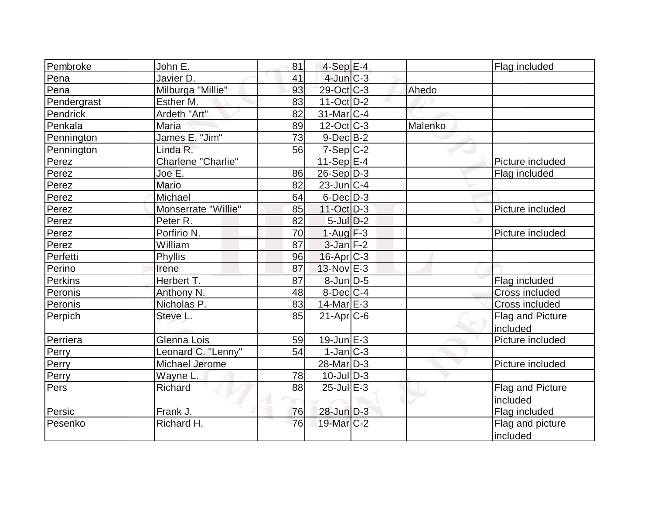| Pembroke    | John E.             | 81 | $4-Sep$ $E-4$          |         | Flag included         |
|-------------|---------------------|----|------------------------|---------|-----------------------|
| Pena        | Javier D.           | 41 | $4$ -Jun $C-3$         |         |                       |
| Pena        | Milburga "Millie"   | 93 | 29-Oct C-3             | Ahedo   |                       |
| Pendergrast | Esther M.           | 83 | $11-Oct$ D-2           |         |                       |
| Pendrick    | Ardeth "Art"        | 82 | $31$ -Mar $ C-4 $      |         |                       |
| Penkala     | Maria               | 89 | $12$ -Oct $ C-3 $      | Malenko |                       |
| Pennington  | James E. "Jim"      | 73 | $9$ -Dec $B$ -2        |         |                       |
| Pennington  | Linda R.            | 56 | $7-Sep C-2$            |         |                       |
| Perez       | Charlene "Charlie"  |    | 11-Sep $ E-4 $         |         | Picture included      |
| Perez       | Joe E.              | 86 | $26-Sep D-3$           |         | Flag included         |
| Perez       | Mario               | 82 | $23$ -Jun $ C-4$       |         |                       |
| Perez       | Michael             | 64 | $6$ -Dec $D-3$         |         |                       |
| Perez       | Monserrate "Willie" | 85 | $11-Oct$ D-3           |         | Picture included      |
| Perez       | Peter R.            | 82 | $5$ -Jul $D-2$         |         |                       |
| Perez       | Porfirio N.         | 70 | $1-Auq$ F-3            |         | Picture included      |
| Perez       | William             | 87 | $3$ -Jan $F-2$         |         |                       |
| Perfetti    | Phyllis             | 96 | $16$ -Apr $ C-3 $      |         |                       |
| Perino      | Irene               | 87 | $13-Nov$ $E-3$         |         |                       |
| Perkins     | Herbert T.          | 87 | 8-Jun D-5              |         | Flag included         |
| Peronis     | Anthony N.          | 48 | $8$ -Dec $ C-4 $       |         | <b>Cross included</b> |
| Peronis     | Nicholas P.         | 83 | $14$ -Mar $E-3$        |         | <b>Cross included</b> |
| Perpich     | Steve L.            | 85 | $21-Apr$ $C-6$         |         | Flag and Picture      |
|             |                     |    |                        |         | included              |
| Perriera    | Glenna Lois         | 59 | $19$ -Jun $E-3$        |         | Picture included      |
| Perry       | Leonard C. "Lenny"  | 54 | $1-Jan$ $C-3$          |         |                       |
| Perry       | Michael Jerome      |    | 28-Mar <sub>D-3</sub>  |         | Picture included      |
| Perry       | Wayne L.            | 78 | $10$ -JulD-3           |         |                       |
| Pers        | Richard             | 88 | $25$ -Jul $E-3$        |         | Flag and Picture      |
|             |                     |    |                        |         | included              |
| Persic      | Frank J.            | 76 | 28-Jun D-3             |         | Flag included         |
| Pesenko     | Richard H.          | 76 | 19-Mar <sub>IC-2</sub> |         | Flag and picture      |
|             |                     |    |                        |         | <i>included</i>       |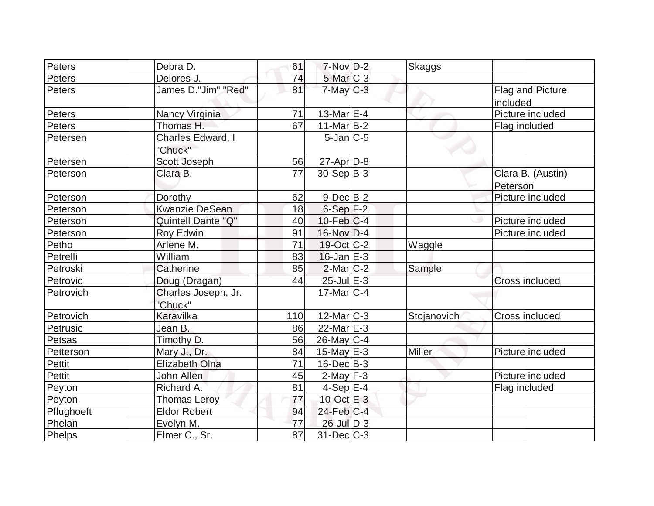| Peters        | Debra D.                       | 61  | $7-Nov$ D-2             | <b>Skaggs</b> |                               |
|---------------|--------------------------------|-----|-------------------------|---------------|-------------------------------|
| <b>Peters</b> | Delores J.                     | 74  | 5-Mar C-3               |               |                               |
| <b>Peters</b> | James D."Jim" "Red"            | 81  | $7$ -May $C-3$          |               | Flag and Picture<br>included  |
| Peters        | Nancy Virginia                 | 71  | 13-Mar $E$ -4           |               | Picture included              |
| Peters        | Thomas H.                      | 67  | $11$ -Mar $B-2$         |               | Flag included                 |
| Petersen      | Charles Edward, I<br>"Chuck"   |     | $5$ -Jan $ C$ -5        |               |                               |
| Petersen      | Scott Joseph                   | 56  | $27$ -Apr $D-8$         |               |                               |
| Peterson      | Clara B.                       | 77  | $30 - Sep$ B-3          |               | Clara B. (Austin)<br>Peterson |
| Peterson      | Dorothy                        | 62  | $9-Dec$ B-2             |               | Picture included              |
| Peterson      | <b>Kwanzie DeSean</b>          | 18  | $6-Sep$ $F-2$           |               |                               |
| Peterson      | Quintell Dante "Q"             | 40  | $10$ -Feb $ C-4 $       |               | Picture included              |
| Peterson      | Roy Edwin                      | 91  | $16$ -Nov $D-4$         |               | Picture included              |
| Petho         | Arlene M.                      | 71  | 19-Oct C-2              | Waggle        |                               |
| Petrelli      | William                        | 83  | $16$ -Jan $E-3$         |               |                               |
| Petroski      | Catherine                      | 85  | $2$ -Mar $ C-2 $        | Sample        |                               |
| Petrovic      | Doug (Dragan)                  | 44  | 25-Jul E-3              |               | <b>Cross included</b>         |
| Petrovich     | Charles Joseph, Jr.<br>"Chuck" |     | $17$ -Mar $ C-4 $       |               |                               |
| Petrovich     | Karavilka                      | 110 | 12-Mar $\overline{C-3}$ | Stojanovich   | <b>Cross included</b>         |
| Petrusic      | Jean B.                        | 86  | $22$ -Mar $E-3$         |               |                               |
| Petsas        | Timothy D.                     | 56  | $26$ -May C-4           |               |                               |
| Petterson     | Mary J., Dr.                   | 84  | $15$ -May $E$ -3        | Miller        | Picture included              |
| <b>Pettit</b> | <b>Elizabeth Olna</b>          | 71  | $16$ -Dec $B$ -3        |               |                               |
| Pettit        | John Allen                     | 45  | $2$ -May $F-3$          |               | Picture included              |
| Peyton        | Richard A.                     | 81  | $4-Sep$ E-4             |               | Flag included                 |
| Peyton        | <b>Thomas Leroy</b>            | 77  | 10-Oct E-3              |               |                               |
| Pflughoeft    | <b>Eldor Robert</b>            | 94  | $24$ -Feb $ C-4 $       |               |                               |
| Phelan        | Evelyn M.                      | 77  | $26$ -Jul $D-3$         |               |                               |
| Phelps        | Elmer C., Sr.                  | 87  | $31$ -Dec $ C-3 $       |               |                               |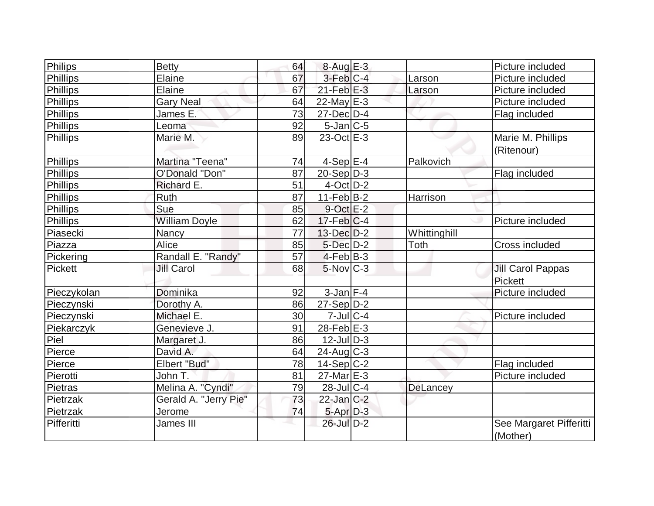| Philips         | <b>Betty</b>          | 64              | $8-Aug$ $E-3$             |              | Picture included                    |
|-----------------|-----------------------|-----------------|---------------------------|--------------|-------------------------------------|
| Phillips        | Elaine                | 67              | $3$ -Feb $C-4$            | Larson       | Picture included                    |
| <b>Phillips</b> | Elaine                | 67              | $21$ -Feb $E-3$           | Larson       | Picture included                    |
| <b>Phillips</b> | <b>Gary Neal</b>      | 64              | $22$ -May $E-3$           |              | Picture included                    |
| Phillips        | James E.              | 73              | $27$ -Dec $D-4$           |              | Flag included                       |
| <b>Phillips</b> | Leoma                 | 92              | $5$ -Jan $ C$ -5          |              |                                     |
| <b>Phillips</b> | Marie M.              | 89              | $23-Oct$ $E-3$            |              | Marie M. Phillips<br>(Ritenour)     |
| Phillips        | Martina "Teena"       | 74              | $4-Sep$ $E-4$             | Palkovich    |                                     |
| <b>Phillips</b> | O'Donald "Don"        | 87              | $20-Sep D-3$              |              | Flag included                       |
| <b>Phillips</b> | Richard E.            | 51              | $4$ -Oct $D-2$            |              |                                     |
| <b>Phillips</b> | Ruth                  | 87              | $11-Feb B-2$              | Harrison     |                                     |
| <b>Phillips</b> | Sue                   | 85              | $9$ -Oct $E-2$            |              |                                     |
| <b>Phillips</b> | <b>William Doyle</b>  | 62              | $17$ -Feb $ C-4 $         |              | Picture included                    |
| Piasecki        | Nancy                 | 77              | $13$ -Dec $D-2$           | Whittinghill |                                     |
| Piazza          | Alice                 | 85              | $5$ -Dec $D-2$            | <b>Toth</b>  | Cross included                      |
| Pickering       | Randall E. "Randy"    | 57              | $4-Feb B-3$               |              |                                     |
| <b>Pickett</b>  | <b>Jill Carol</b>     | 68              | $5$ -Nov $ C-3 $          |              | <b>Jill Carol Pappas</b><br>Pickett |
| Pieczykolan     | Dominika              | 92              | $3$ -Jan $F-4$            |              | Picture included                    |
| Pieczynski      | Dorothy A.            | 86              | $27-Sep D-2$              |              |                                     |
| Pieczynski      | Michael E.            | 30 <sub>l</sub> | $7$ -Jul $\overline{C-4}$ |              | Picture included                    |
| Piekarczyk      | Genevieve J.          | 91              | 28-Feb $E-3$              |              |                                     |
| Piel            | Margaret J.           | 86              | $12$ -JulD-3              |              |                                     |
| Pierce          | David A.              | 64              | $24$ -Aug $C-3$           |              |                                     |
| Pierce          | Elbert "Bud"          | 78              | $14-Sep C-2$              |              | Flag included                       |
| Pierotti        | John T.               | 81              | $27$ -Mar $E-3$           |              | Picture included                    |
| <b>Pietras</b>  | Melina A. "Cyndi"     | 79              | $28$ -JulC-4              | DeLancey     |                                     |
| Pietrzak        | Gerald A. "Jerry Pie" | 73              | $22$ -Jan $ C-2 $         |              |                                     |
| Pietrzak        | Jerome                | 74              | $5 - Apr$ $D-3$           |              |                                     |
| Pifferitti      | James III             |                 | 26-Jul D-2                |              | See Margaret Pifferitti<br>(Mother) |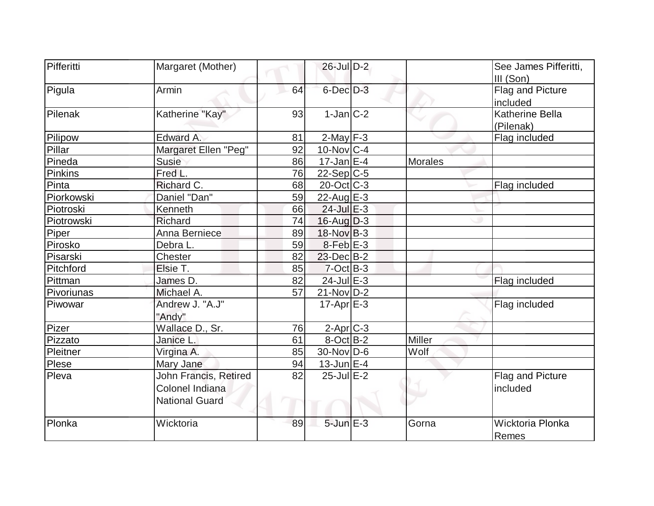| Pifferitti | Margaret (Mother)     |    | $26$ -Jul $D-2$   |         | See James Pifferitti,  |
|------------|-----------------------|----|-------------------|---------|------------------------|
|            |                       |    |                   |         | III (Son)              |
| Pigula     | Armin                 | 64 | 6-Dec D-3         |         | Flag and Picture       |
|            |                       |    |                   |         | included               |
| Pilenak    | Katherine "Kay"       | 93 | $1-Jan C-2$       |         | <b>Katherine Bella</b> |
|            |                       |    |                   |         | (Pilenak)              |
| Pilipow    | Edward A.             | 81 | $2$ -May $F-3$    |         | Flag included          |
| Pillar     | Margaret Ellen "Peg"  | 92 | $10$ -Nov $ C-4$  |         |                        |
| Pineda     | <b>Susie</b>          | 86 | $17$ -Jan $ E-4 $ | Morales |                        |
| Pinkins    | Fred L.               | 76 | $22-Sep C-5$      |         |                        |
| Pinta      | Richard C.            | 68 | $20$ -Oct $ C-3 $ |         | Flag included          |
| Piorkowski | Daniel "Dan"          | 59 | $22$ -Aug $E-3$   |         |                        |
| Piotroski  | Kenneth               | 66 | $24$ -Jul $E-3$   |         |                        |
| Piotrowski | Richard               | 74 | $16$ -Aug $D-3$   |         |                        |
| Piper      | Anna Berniece         | 89 | $18-Nov$ B-3      |         |                        |
| Pirosko    | Debra L.              | 59 | $8-Feb$ $E-3$     |         |                        |
| Pisarski   | Chester               | 82 | $23$ -Dec $B-2$   |         |                        |
| Pitchford  | Elsie T.              | 85 | $7-Cct$ B-3       |         |                        |
| Pittman    | James D.              | 82 | $24$ -Jul $E-3$   |         | Flag included          |
| Pivoriunas | Michael A.            | 57 | $21-Nov D-2$      |         |                        |
| Piwowar    | Andrew J. "A.J"       |    | $17$ -Apr $E-3$   |         | Flag included          |
|            | "Andy"                |    |                   |         |                        |
| Pizer      | Wallace D., Sr.       | 76 | $2$ -Apr $C$ -3   |         |                        |
| Pizzato    | Janice L.             | 61 | $8$ -Oct $B-2$    | Miller  |                        |
| Pleitner   | Virgina A.            | 85 | $30$ -Nov D-6     | Wolf    |                        |
| Plese      | Mary Jane             | 94 | $13$ -Jun $E-4$   |         |                        |
| Pleva      | John Francis, Retired | 82 | $25$ -Jul $E-2$   |         | Flag and Picture       |
|            | Colonel Indiana       |    |                   |         | included               |
|            | <b>National Guard</b> |    |                   |         |                        |
|            |                       |    |                   |         |                        |
| Plonka     | Wicktoria             | 89 | $5$ -Jun $E - 3$  | Gorna   | Wicktoria Plonka       |
|            |                       |    |                   |         | Remes                  |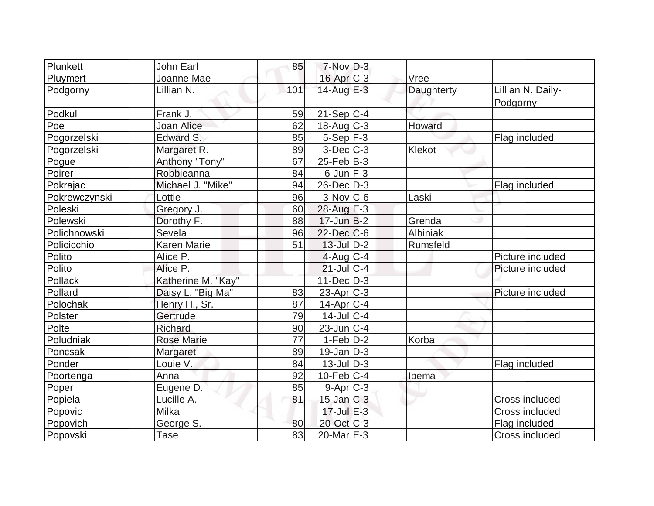| Plunkett      | John Earl          | 85  | $7-Nov$ D-3            |            |                               |
|---------------|--------------------|-----|------------------------|------------|-------------------------------|
| Pluymert      | Joanne Mae         |     | 16-Apr C-3             | Vree       |                               |
| Podgorny      | Lillian N.         | 101 | $14$ -Aug E-3          | Daughterty | Lillian N. Daily-<br>Podgorny |
| Podkul        | Frank J.           | 59  | $21-Sep C-4$           |            |                               |
| Poe           | Joan Alice         | 62  | $18$ -Aug C-3          | Howard     |                               |
| Pogorzelski   | Edward S.          | 85  | $5-Sep$ F-3            |            | Flag included                 |
| Pogorzelski   | Margaret R.        | 89  | $3-Dec$ $C-3$          | Klekot     |                               |
| Pogue         | Anthony "Tony"     | 67  | $25$ -Feb $ B-3 $      |            |                               |
| Poirer        | Robbieanna         | 84  | $6$ -Jun $F-3$         |            |                               |
| Pokrajac      | Michael J. "Mike"  | 94  | 26-Dec D-3             |            | Flag included                 |
| Pokrewczynski | Lottie             | 96  | $3-Nov$ <sub>C-6</sub> | Laski      |                               |
| Poleski       | Gregory J.         | 60  | $28$ -Aug E-3          |            |                               |
| Polewski      | Dorothy F.         | 88  | $17$ -Jun $B-2$        | Grenda     |                               |
| Polichnowski  | Sevela             | 96  | $22$ -Dec $C$ -6       | Albiniak   |                               |
| Policicchio   | <b>Karen Marie</b> | 51  | $13$ -Jul $ D-2 $      | Rumsfeld   |                               |
| Polito        | Alice P.           |     | $4$ -Aug C-4           |            | Picture included              |
| Polito        | Alice P.           |     | $21$ -Jul $C-4$        |            | Picture included              |
| Pollack       | Katherine M. "Kay" |     | $11$ -Dec $D-3$        |            |                               |
| Pollard       | Daisy L. "Big Ma"  | 83  | $23$ -Apr $ C-3 $      |            | Picture included              |
| Polochak      | Henry H., Sr.      | 87  | $14$ -Apr $ C-4$       |            |                               |
| Polster       | Gertrude           | 79  | $14$ -JulC-4           |            |                               |
| Polte         | Richard            | 90  | $23$ -Jun $C-4$        |            |                               |
| Poludniak     | <b>Rose Marie</b>  | 77  | $1-Feb D-2$            | Korba      |                               |
| Poncsak       | Margaret           | 89  | $19$ -Jan $ D-3 $      |            |                               |
| Ponder        | Louie V.           | 84  | $13$ -Jul $ D-3 $      |            | Flag included                 |
| Poortenga     | Anna               | 92  | $10$ -Feb $ C-4$       | Ipema      |                               |
| Poper         | Eugene D.          | 85  | $9-Apr$ $C-3$          |            |                               |
| Popiela       | Lucille A.         | 81  | $15$ -Jan $C-3$        |            | <b>Cross included</b>         |
| Popovic       | Milka              |     | $17$ -Jul $E-3$        |            | <b>Cross included</b>         |
| Popovich      | George S.          | 80  | $20$ -Oct C-3          |            | Flag included                 |
| Popovski      | Tase               | 83  | $20$ -Mar $E-3$        |            | Cross included                |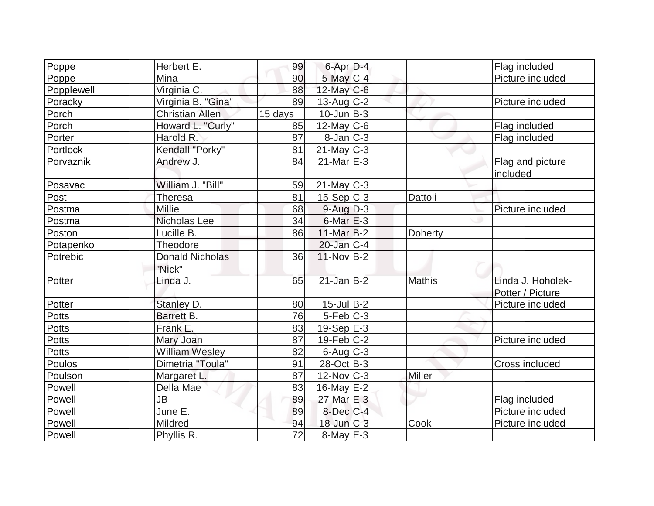| Poppe        | Herbert E.                       | 99              | 6-Apr D-4         |                | Flag included                         |
|--------------|----------------------------------|-----------------|-------------------|----------------|---------------------------------------|
| Poppe        | Mina                             | 90              | $5$ -May $C$ -4   |                | Picture included                      |
| Popplewell   | Virginia C.                      | 88              | $12$ -May C-6     |                |                                       |
| Poracky      | Virginia B. "Gina"               | 89              | $13$ -Aug C-2     |                | Picture included                      |
| Porch        | <b>Christian Allen</b>           | 15 days         | $10$ -Jun $B-3$   |                |                                       |
| Porch        | Howard L. "Curly"                | 85              | $12$ -May C-6     |                | Flag included                         |
| Porter       | Harold R.                        | 87              | $8$ -Jan $ C-3 $  |                | Flag included                         |
| Portlock     | Kendall "Porky"                  | 81              | $21$ -May $ C-3 $ |                |                                       |
| Porvaznik    | Andrew J.                        | 84              | $21$ -Mar $E-3$   |                | Flag and picture<br>included          |
| Posavac      | William J. "Bill"                | 59              | $21$ -May C-3     |                |                                       |
| Post         | Theresa                          | 81              | $15-Sep C-3$      | Dattoli        |                                       |
| Postma       | Millie                           | 68              | $9-Aug$ $D-3$     |                | Picture included                      |
| Postma       | Nicholas Lee                     | 34              | $6$ -Mar $E-3$    |                |                                       |
| Poston       | Lucille B.                       | 86              | $11$ -Mar $B-2$   | <b>Doherty</b> |                                       |
| Potapenko    | Theodore                         |                 | $20$ -Jan $ C-4 $ |                |                                       |
| Potrebic     | <b>Donald Nicholas</b><br>"Nick" | 36              | $11-Nov$ B-2      |                |                                       |
| Potter       | Linda J.                         | 65              | $21$ -Jan $B-2$   | <b>Mathis</b>  | Linda J. Hoholek-<br>Potter / Picture |
| Potter       | Stanley D.                       | 80              | $15$ -Jul B-2     |                | Picture included                      |
| Potts        | Barrett B.                       | 76              | $5-Feb$ $C-3$     |                |                                       |
| <b>Potts</b> | Frank E.                         | 83              | 19-Sep $E-3$      |                |                                       |
| <b>Potts</b> | Mary Joan                        | 87              | $19$ -Feb $ C-2 $ |                | Picture included                      |
| Potts        | <b>William Wesley</b>            | 82              | $6$ -Aug $C$ -3   |                |                                       |
| Poulos       | Dimetria "Toula"                 | 91              | 28-Oct B-3        |                | Cross included                        |
| Poulson      | Margaret L.                      | 87              | $12$ -Nov $ C-3 $ | Miller         |                                       |
| Powell       | Della Mae                        | 83              | $16$ -May $E-2$   |                |                                       |
| Powell       | JB                               | 89              | $27$ -Mar $E-3$   |                | Flag included                         |
| Powell       | June E.                          | 89              | $8$ -Dec $C$ -4   |                | Picture included                      |
| Powell       | Mildred                          | 94              | $18$ -Jun $C-3$   | Cook           | Picture included                      |
| Powell       | Phyllis R.                       | $\overline{72}$ | $8$ -May $E-3$    |                |                                       |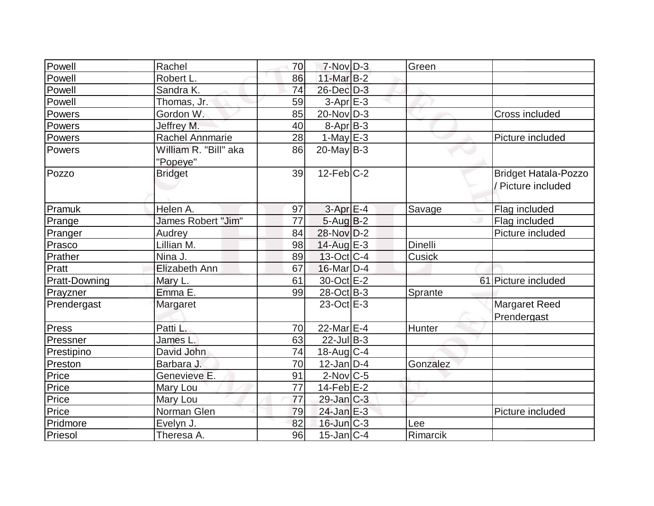| Powell               | Rachel                            | 70 | $7-Nov$ D-3       | Green    |                                                   |
|----------------------|-----------------------------------|----|-------------------|----------|---------------------------------------------------|
| Powell               | Robert L.                         | 86 | $11$ -Mar $B-2$   |          |                                                   |
| Powell               | Sandra K.                         | 74 | 26-Dec D-3        |          |                                                   |
| Powell               | Thomas, Jr.                       | 59 | $3-Apr$ $E-3$     |          |                                                   |
| Powers               | Gordon W.                         | 85 | $20$ -Nov $ D-3 $ |          | <b>Cross included</b>                             |
| Powers               | Jeffrey M.                        | 40 | $8-Apr$ B-3       |          |                                                   |
| Powers               | <b>Rachel Annmarie</b>            | 28 | 1-May $E-3$       |          | Picture included                                  |
| Powers               | William R. "Bill" aka<br>"Popeye" | 86 | $20$ -May B-3     |          |                                                   |
| Pozzo                | <b>Bridget</b>                    | 39 | $12$ -Feb $ C-2 $ |          | <b>Bridget Hatala-Pozzo</b><br>/ Picture included |
| Pramuk               | Helen A.                          | 97 | $3-AprE-4$        | Savage   | Flag included                                     |
| Prange               | James Robert "Jim"                | 77 | $5-Aug$ B-2       |          | Flag included                                     |
| Pranger              | Audrey                            | 84 | 28-Nov D-2        |          | Picture included                                  |
| Prasco               | Lillian M.                        | 98 | $14$ -Aug E-3     | Dinelli  |                                                   |
| Prather              | Nina J.                           | 89 | $13-Oct$ $C-4$    | Cusick   |                                                   |
| Pratt                | Elizabeth Ann                     | 67 | $16$ -Mar $D-4$   |          |                                                   |
| <b>Pratt-Downing</b> | Mary L.                           | 61 | 30-Oct E-2        |          | 61 Picture included                               |
| Prayzner             | Emma E.                           | 99 | $28-Oct$ B-3      | Sprante  |                                                   |
| Prendergast          | Margaret                          |    | 23-Oct E-3        |          | Margaret Reed<br>Prendergast                      |
| Press                | Patti L.                          | 70 | 22-Mar $E-4$      | Hunter   |                                                   |
| Pressner             | James L.                          | 63 | $22$ -Jul B-3     |          |                                                   |
| Prestipino           | David John                        | 74 | 18-Aug $ C-4 $    |          |                                                   |
| Preston              | Barbara J.                        | 70 | $12$ -Jan D-4     | Gonzalez |                                                   |
| Price                | Genevieve E.                      | 91 | $2$ -Nov $ C-5 $  |          |                                                   |
| Price                | Mary Lou                          | 77 | $14$ -Feb $E-2$   |          |                                                   |
| Price                | Mary Lou                          | 77 | $29$ -Jan $C-3$   |          |                                                   |
| Price                | Norman Glen                       | 79 | 24-Jan E-3        |          | Picture included                                  |
| Pridmore             | Evelyn J.                         | 82 | $16$ -Jun $C-3$   | Lee      |                                                   |
| Priesol              | Theresa A.                        | 96 | $15$ -Jan $ C-4$  | Rimarcik |                                                   |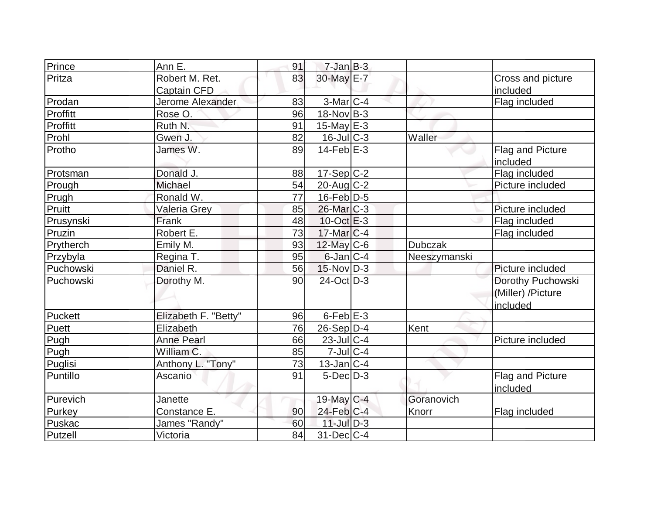| Prince    | Ann E.               | 91       | $7 - Jan$ $B-3$                      |                |                   |
|-----------|----------------------|----------|--------------------------------------|----------------|-------------------|
| Pritza    | Robert M. Ret.       | 83       | 30-May E-7                           |                | Cross and picture |
|           | Captain CFD          |          |                                      |                | included          |
| Prodan    | Jerome Alexander     | 83       | $3-Mar$ $C-4$                        |                | Flag included     |
| Proffitt  | Rose O.              | 96       | $18-Nov$ B-3                         |                |                   |
| Proffitt  | Ruth N.              | 91       | 15-May $E-3$                         |                |                   |
| Prohl     | Gwen J.              | 82       | $16$ -Jul $C-3$                      | Waller         |                   |
| Protho    | James W.             | 89       | $14$ -Feb $E-3$                      |                | Flag and Picture  |
|           |                      |          |                                      |                | included          |
| Protsman  | Donald J.            | 88       | 17-Sep C-2                           |                | Flag included     |
| Prough    | Michael              | 54       | $20$ -Aug $C-2$                      |                | Picture included  |
| Prugh     | Ronald W.            | 77       | $16$ -Feb $ D-5 $                    |                |                   |
| Pruitt    | Valeria Grey         | 85       | $26$ -Mar $C-3$                      |                | Picture included  |
| Prusynski | Frank                | 48       | $10$ -Oct $E-3$                      |                | Flag included     |
| Pruzin    | Robert E.            | 73       | $17$ -Mar $ C-4$                     |                | Flag included     |
| Prytherch | Emily M.             | 93       | $12$ -May C-6                        | <b>Dubczak</b> |                   |
|           |                      |          |                                      |                |                   |
| Przybyla  | Regina T.            | 95       | $6$ -Jan $ C-4 $                     | Neeszymanski   |                   |
| Puchowski | Daniel R.            | 56       | $15$ -Nov D-3                        |                | Picture included  |
| Puchowski | Dorothy M.           | 90       | $24$ -Oct D-3                        |                | Dorothy Puchowski |
|           |                      |          |                                      |                | (Miller) /Picture |
|           |                      |          |                                      |                | included          |
| Puckett   | Elizabeth F. "Betty" | 96       | $6$ -Feb $E-3$                       |                |                   |
| Puett     | Elizabeth            | 76       | $26-Sep D-4$                         | Kent           |                   |
| Pugh      | <b>Anne Pearl</b>    | 66       | $23$ -Jul $C-4$                      |                | Picture included  |
| Pugh      | William C.           | 85       | $7$ -Jul $C-4$                       |                |                   |
| Puglisi   | Anthony L. "Tony"    | 73       | $13$ -Jan $ C-4 $                    |                |                   |
| Puntillo  | Ascanio              | 91       | $5$ -Dec $D-3$                       |                | Flag and Picture  |
|           |                      |          |                                      |                | included          |
| Purevich  | Janette              |          | 19-May $C-4$                         | Goranovich     |                   |
| Purkey    | Constance E.         | 90       | $24$ -Feb $ C-4 $                    | Knorr          | Flag included     |
| Puskac    | James "Randy"        | 60<br>84 | $11$ -Jul $D-3$<br>$31$ -Dec $ C-4 $ |                |                   |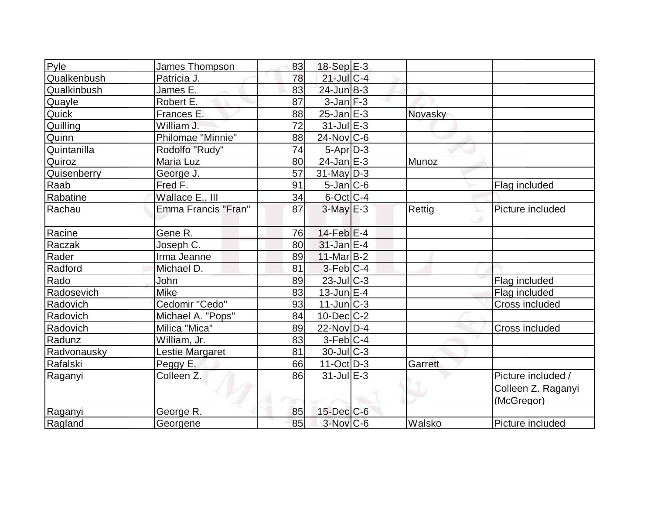| Pyle        | James Thompson        | 83 | $18-Sep$ $E-3$         |         |                    |
|-------------|-----------------------|----|------------------------|---------|--------------------|
| Qualkenbush | Patricia J.           | 78 | $21$ -Jul C-4          |         |                    |
| Qualkinbush | James E.              | 83 | $24$ -Jun $B-3$        |         |                    |
| Quayle      | Robert E.             | 87 | $3$ -Jan $F-3$         |         |                    |
| Quick       | Frances E.            | 88 | $25$ -Jan $E-3$        | Novasky |                    |
| Quilling    | William J.            | 72 | $31$ -Jul $E-3$        |         |                    |
| Quinn       | Philomae "Minnie"     | 88 | $24$ -Nov $ C-6 $      |         |                    |
| Quintanilla | Rodolfo "Rudy"        | 74 | $5-Apr$ $D-3$          |         |                    |
| Quiroz      | Maria Luz             | 80 | $24$ -Jan $E-3$        | Munoz   |                    |
| Quisenberry | George J.             | 57 | $31$ -May D-3          |         |                    |
| Raab        | Fred F.               | 91 | $5$ -Jan $ C$ -6       |         | Flag included      |
| Rabatine    | Wallace E., III       | 34 | $6$ -Oct C-4           |         |                    |
| Rachau      | Emma Francis "Fran"   | 87 | $3$ -May $E-3$         | Rettig  | Picture included   |
| Racine      | Gene R.               | 76 | $14$ -Feb $E-4$        |         |                    |
| Raczak      | Joseph C.             | 80 | $31$ -Jan $E-4$        |         |                    |
| Rader       | Irma Jeanne           | 89 | $11$ -Mar $B-2$        |         |                    |
| Radford     | Michael D.            | 81 | $3-Feb$ <sub>C-4</sub> |         |                    |
| Rado        | John                  | 89 | 23-Jul C-3             |         | Flag included      |
| Radosevich  | <b>Mike</b>           | 83 | $13$ -Jun $E-4$        |         | Flag included      |
| Radovich    | Cedomir "Cedo"        | 93 | $11$ -Jun $C-3$        |         | Cross included     |
| Radovich    | Michael A. "Pops"     | 84 | $10$ -Dec $ C-2 $      |         |                    |
| Radovich    | Milica "Mica"         | 89 | 22-Nov D-4             |         | Cross included     |
| Radunz      | William, Jr.          | 83 | $3-Feb C-4$            |         |                    |
| Radvonausky | Lestie Margaret       | 81 | $30$ -JulC-3           |         |                    |
| Rafalski    | Peggy E.              | 66 | $11-Oct$ D-3           | Garrett |                    |
| Raganyi     | Colleen <sub>Z.</sub> | 86 | $31$ -Jul $E-3$        |         | Picture included / |
|             |                       |    |                        |         | Colleen Z. Raganyi |
|             |                       |    |                        |         | (McGregor)         |
| Raganyi     | George R.             | 85 | $15$ -Dec $C$ -6       |         |                    |
| Ragland     | Georgene              | 85 | $3-Nov$ C-6            | Walsko  | Picture included   |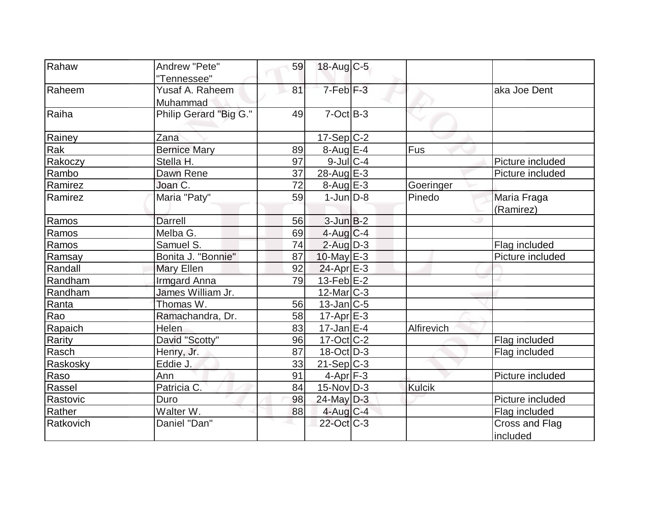| Rahaw     | Andrew "Pete"          | 59 | $18$ -Aug C-5           |            |                  |
|-----------|------------------------|----|-------------------------|------------|------------------|
|           | "Tennessee"            |    |                         |            |                  |
| Raheem    | Yusaf A. Raheem        | 81 | 7-Feb <sup>F-3</sup>    |            | aka Joe Dent     |
|           | Muhammad               |    |                         |            |                  |
| Raiha     | Philip Gerard "Big G." | 49 | $7-Cct$ B-3             |            |                  |
|           |                        |    |                         |            |                  |
| Rainey    | Zana                   |    | $17-Sep C-2$            |            |                  |
| Rak       | Bernice Mary           | 89 | $8-Aug$ $E-4$           | Fus        |                  |
| Rakoczy   | Stella H.              | 97 | $9$ -Jul $C$ -4         |            | Picture included |
| Rambo     | Dawn Rene              | 37 | $28$ -Aug $E-3$         |            | Picture included |
| Ramirez   | Joan C.                | 72 | $8-Aug$ $E-3$           | Goeringer  |                  |
| Ramirez   | Maria "Paty"           | 59 | $1$ -Jun $D-8$          | Pinedo     | Maria Fraga      |
|           |                        |    |                         |            | (Ramirez)        |
| Ramos     | <b>Darrell</b>         | 56 | $3$ -Jun $B-2$          |            |                  |
| Ramos     | Melba G.               | 69 | $4$ -Aug C-4            |            |                  |
| Ramos     | Samuel S.              | 74 | $2$ -Aug $D-3$          |            | Flag included    |
| Ramsay    | Bonita J. "Bonnie"     | 87 | 10-May $E-3$            |            | Picture included |
| Randall   | <b>Mary Ellen</b>      | 92 | $24-Apr \n\mathsf{E-3}$ |            |                  |
| Randham   | <b>Irmgard Anna</b>    | 79 | $13$ -Feb $E$ -2        |            |                  |
| Randham   | James William Jr.      |    | $12$ -Mar $C-3$         |            |                  |
| Ranta     | Thomas W.              | 56 | $13$ -Jan $ C-5$        |            |                  |
| Rao       | Ramachandra, Dr.       | 58 | $17$ -Apr $E$ -3        |            |                  |
| Rapaich   | Helen                  | 83 | $17 - Jan \nE-4$        | Alfirevich |                  |
| Rarity    | David "Scotty"         | 96 | $17-Oct$ $C-2$          |            | Flag included    |
| Rasch     | Henry, Jr.             | 87 | $18-Oct$ D-3            |            | Flag included    |
| Raskosky  | Eddie J.               | 33 | 21-Sep C-3              |            |                  |
| Raso      | Ann                    | 91 | $4-Apr$ F-3             |            | Picture included |
| Rassel    | Patricia C.            | 84 | $15$ -Nov $ D-3 $       | Kulcik     |                  |
| Rastovic  | Duro                   | 98 | $24$ -May D-3           |            | Picture included |
| Rather    | Walter W.              | 88 | $4$ -Aug C-4            |            | Flag included    |
| Ratkovich | Daniel "Dan"           |    | 22-Oct C-3              |            | Cross and Flag   |
|           |                        |    |                         |            | included         |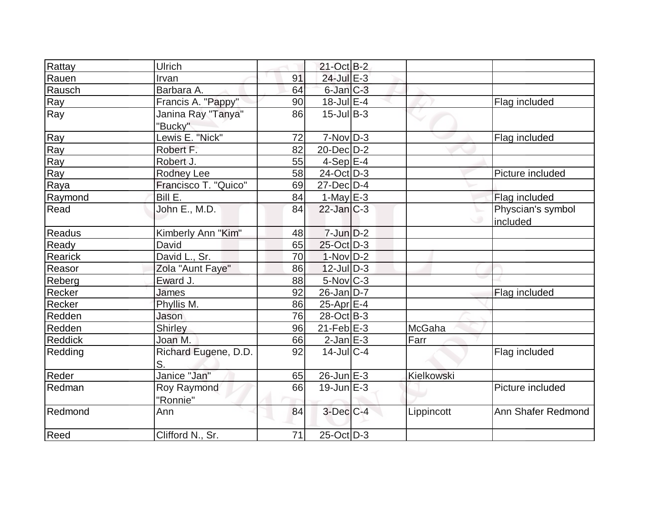| Rattay         | <b>Ulrich</b>        |    | $21-Oct$ B-2    |            |                    |
|----------------|----------------------|----|-----------------|------------|--------------------|
| Rauen          | Irvan                | 91 | 24-Jul E-3      |            |                    |
| Rausch         | Barbara A.           | 64 | $6$ -Jan $C-3$  |            |                    |
| Ray            | Francis A. "Pappy"   | 90 | $18$ -Jul $E-4$ |            | Flag included      |
| Ray            | Janina Ray "Tanya"   | 86 | $15$ -JulB-3    |            |                    |
|                | "Bucky"              |    |                 |            |                    |
| Ray            | Lewis E. "Nick"      | 72 | $7-Nov D-3$     |            | Flag included      |
| Ray            | Robert F.            | 82 | $20$ -Dec $D-2$ |            |                    |
| Ray            | Robert J.            | 55 | $4-Sep$ $E-4$   |            |                    |
| Ray            | <b>Rodney Lee</b>    | 58 | $24$ -Oct D-3   |            | Picture included   |
| Raya           | Francisco T. "Quico" | 69 | $27$ -Dec $D-4$ |            |                    |
| Raymond        | Bill E.              | 84 | $1-May$ $E-3$   |            | Flag included      |
| Read           | John E., M.D.        | 84 | $22$ -Jan $C-3$ |            | Physcian's symbol  |
|                |                      |    |                 |            | included           |
| Readus         | Kimberly Ann "Kim"   | 48 | $7$ -Jun $D-2$  |            |                    |
| Ready          | David                | 65 | 25-Oct D-3      |            |                    |
| Rearick        | David L., Sr.        | 70 | $1-Nov D-2$     |            |                    |
| Reasor         | Zola "Aunt Faye"     | 86 | $12$ -JulD-3    |            |                    |
| Reberg         | Eward J.             | 88 | 5-Nov C-3       |            |                    |
| Recker         | <b>James</b>         | 92 | $26$ -Jan $D-7$ |            | Flag included      |
| Recker         | Phyllis M.           | 86 | 25-Apr $E-4$    |            |                    |
| Redden         | Jason                | 76 | 28-Oct B-3      |            |                    |
| Redden         | Shirley              | 96 | $21$ -Feb $E-3$ | McGaha     |                    |
| <b>Reddick</b> | Joan M.              | 66 | $2$ -Jan $E-3$  | Farr       |                    |
| Redding        | Richard Eugene, D.D. | 92 | $14$ -JulC-4    |            | Flag included      |
|                | S.                   |    |                 |            |                    |
| Reder          | Janice "Jan"         | 65 | $26$ -Jun $E-3$ | Kielkowski |                    |
| Redman         | Roy Raymond          | 66 | $19$ -Jun $E-3$ |            | Picture included   |
|                | "Ronnie"             |    |                 |            |                    |
| Redmond        | Ann                  | 84 | $3$ -Dec $C-4$  | Lippincott | Ann Shafer Redmond |
| Reed           | Clifford N., Sr.     | 71 | $25$ -Oct $D-3$ |            |                    |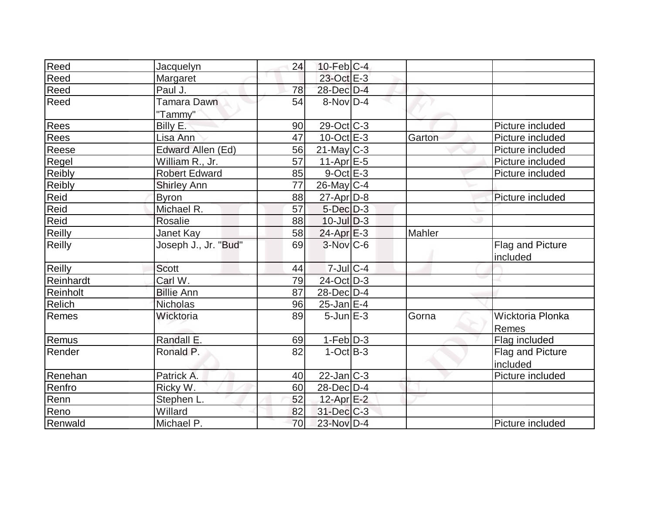| Reed          | Jacquelyn            | 24 | $10$ -Feb $ C-4 $      |        |                  |
|---------------|----------------------|----|------------------------|--------|------------------|
| Reed          | Margaret             |    | 23-Oct E-3             |        |                  |
| Reed          | Paul J.              | 78 | 28-Dec D-4             |        |                  |
| Reed          | Tamara Dawn          | 54 | $8-Nov D-4$            |        |                  |
|               | "Tammy"              |    |                        |        |                  |
| Rees          | Billy E.             | 90 | $29-Oct$ $C-3$         |        | Picture included |
| Rees          | Lisa Ann             | 47 | $10$ -Oct $E - 3$      | Garton | Picture included |
| Reese         | Edward Allen (Ed)    | 56 | $21$ -May C-3          |        | Picture included |
| Regel         | William R., Jr.      | 57 | $11-Apr$ $E-5$         |        | Picture included |
| <b>Reibly</b> | <b>Robert Edward</b> | 85 | $9$ -Oct $E-3$         |        | Picture included |
| <b>Reibly</b> | <b>Shirley Ann</b>   | 77 | $26$ -May C-4          |        |                  |
| Reid          | <b>Byron</b>         | 88 | $27$ -Apr $D-8$        |        | Picture included |
| Reid          | Michael R.           | 57 | $5$ -Dec $D-3$         |        |                  |
| Reid          | <b>Rosalie</b>       | 88 | $10$ -Jul $D-3$        |        |                  |
| Reilly        | Janet Kay            | 58 | $24$ -Apr $E-3$        | Mahler |                  |
| <b>Reilly</b> | Joseph J., Jr. "Bud" | 69 | $3-Nov$ <sub>C-6</sub> |        | Flag and Picture |
|               |                      |    |                        |        | included         |
| <b>Reilly</b> | <b>Scott</b>         | 44 | $7$ -Jul $ C-4$        |        |                  |
| Reinhardt     | Carl W.              | 79 | 24-Oct D-3             |        |                  |
| Reinholt      | <b>Billie Ann</b>    | 87 | 28-Dec D-4             |        |                  |
| Relich        | Nicholas             | 96 | $25$ -Jan $E-4$        |        |                  |
| Remes         | Wicktoria            | 89 | $5$ -Jun $E-3$         | Gorna  | Wicktoria Plonka |
|               |                      |    |                        |        | Remes            |
| Remus         | Randall E.           | 69 | $1-Feb D-3$            |        | Flag included    |
| Render        | Ronald P.            | 82 | $1-Oct$ B-3            |        | Flag and Picture |
|               |                      |    |                        |        | included         |
| Renehan       | Patrick A.           | 40 | $22$ -Jan $ C-3 $      |        | Picture included |
| Renfro        | Ricky W.             | 60 | $28$ -Dec $D-4$        |        |                  |
| Renn          | Stephen L.           | 52 | 12-Apr E-2             |        |                  |
| Reno          | Willard              | 82 | $31$ -Dec $C-3$        |        |                  |
| Renwald       | Michael P.           | 70 | 23-Nov D-4             |        | Picture included |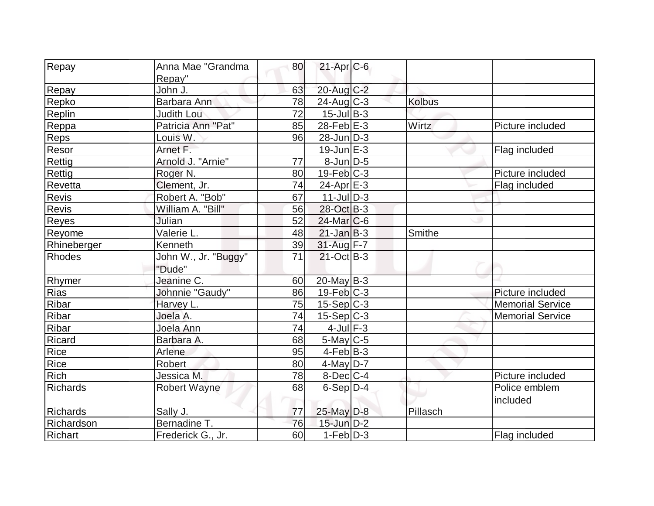| Repay           | Anna Mae "Grandma    | 80 | $21-Apr$ <sub>C-6</sub> |               |                         |
|-----------------|----------------------|----|-------------------------|---------------|-------------------------|
| Repay           | Repay"<br>John J.    | 63 | 20-Aug C-2              |               |                         |
|                 | Barbara Ann          | 78 |                         | <b>Kolbus</b> |                         |
| Repko           |                      | 72 | $24$ -Aug C-3           |               |                         |
| Replin          | <b>Judith Lou</b>    |    | $15$ -Jul B-3           |               |                         |
| Reppa           | Patricia Ann "Pat"   | 85 | $28$ -Feb $E-3$         | Wirtz         | Picture included        |
| Reps            | Louis W.             | 96 | $28$ -Jun $D-3$         |               |                         |
| Resor           | Arnet F.             |    | $19$ -Jun $E-3$         |               | Flag included           |
| Rettig          | Arnold J. "Arnie"    | 77 | $8$ -Jun $D-5$          |               |                         |
| Rettig          | Roger N.             | 80 | $19$ -Feb $ C-3$        |               | Picture included        |
| Revetta         | Clement, Jr.         | 74 | $24$ -Apr $E-3$         |               | Flag included           |
| Revis           | Robert A. "Bob"      | 67 | $11$ -JulD-3            |               |                         |
| Revis           | William A. "Bill"    | 56 | 28-Oct B-3              |               |                         |
| Reyes           | Julian               | 52 | $24$ -Mar $ C-6$        |               |                         |
| <b>Reyome</b>   | Valerie L.           | 48 | $21$ -Jan $B-3$         | Smithe        |                         |
| Rhineberger     | Kenneth              | 39 | 31-Aug F-7              |               |                         |
| <b>Rhodes</b>   | John W., Jr. "Buggy" | 71 | $21-Oct$ B-3            |               |                         |
|                 | "Dude"               |    |                         |               |                         |
| Rhymer          | Jeanine C.           | 60 | $20$ -May B-3           |               |                         |
| Rias            | Johnnie "Gaudy"      | 86 | $19$ -Feb $C-3$         |               | Picture included        |
| Ribar           | Harvey L.            | 75 | $15-Sep C-3$            |               | <b>Memorial Service</b> |
| Ribar           | Joela A.             | 74 | $15-Sep C-3$            |               | <b>Memorial Service</b> |
| Ribar           | Joela Ann            | 74 | $4$ -Jul $F-3$          |               |                         |
| Ricard          | Barbara A.           | 68 | $5$ -May $C$ -5         |               |                         |
| Rice            | Arlene               | 95 | $4$ -Feb $ B-3 $        |               |                         |
| Rice            | <b>Robert</b>        | 80 | $4$ -May D-7            |               |                         |
| <b>Rich</b>     | Jessica M.           | 78 | $8$ -Dec $C$ -4         |               | Picture included        |
| <b>Richards</b> | Robert Wayne         | 68 | $6-Sep D-4$             |               | Police emblem           |
|                 |                      |    |                         |               | included                |
| <b>Richards</b> | Sally J.             | 77 | 25-May D-8              | Pillasch      |                         |
| Richardson      | Bernadine T.         | 76 | $15$ -Jun $D-2$         |               |                         |
| Richart         | Frederick G., Jr.    | 60 | $1-Feb D-3$             |               | Flag included           |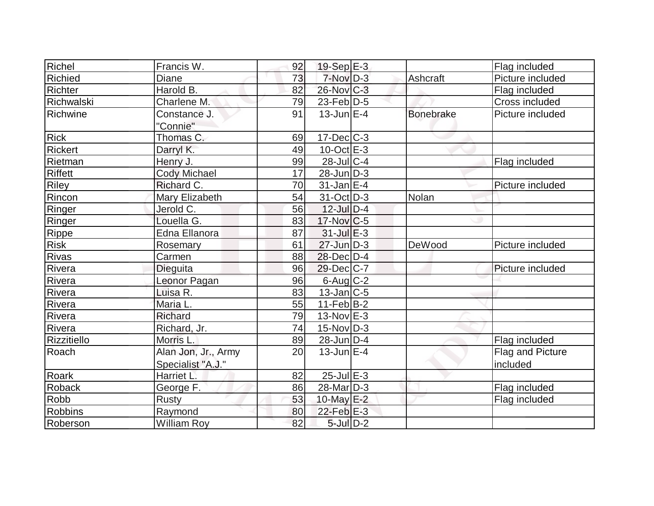| Richel         | Francis W.          | 92 | $19-Sep$ E-3      |                  | Flag included    |
|----------------|---------------------|----|-------------------|------------------|------------------|
| Richied        | <b>Diane</b>        | 73 | $7-NovD-3$        | Ashcraft         | Picture included |
| Richter        | Harold B.           | 82 | 26-Nov C-3        |                  | Flag included    |
| Richwalski     | Charlene M.         | 79 | $23$ -Feb $ D-5 $ |                  | Cross included   |
| Richwine       | Constance J.        | 91 | $13$ -Jun $E-4$   | <b>Bonebrake</b> | Picture included |
|                | "Connie"            |    |                   |                  |                  |
| <b>Rick</b>    | Thomas C.           | 69 | $17 - Dec$ $C-3$  |                  |                  |
| <b>Rickert</b> | Darryl K.           | 49 | $10$ -Oct $E - 3$ |                  |                  |
| Rietman        | Henry J.            | 99 | $28$ -Jul C-4     |                  | Flag included    |
| <b>Riffett</b> | <b>Cody Michael</b> | 17 | $28$ -Jun $ D-3 $ |                  |                  |
| <b>Riley</b>   | Richard C.          | 70 | $31$ -Jan $E-4$   |                  | Picture included |
| Rincon         | Mary Elizabeth      | 54 | $31-Oct$ D-3      | Nolan            |                  |
| Ringer         | Jerold C.           | 56 | $12$ -Jul $D-4$   |                  |                  |
| Ringer         | Louella G.          | 83 | $17$ -Nov $ C-5 $ |                  |                  |
| Rippe          | Edna Ellanora       | 87 | $31$ -Jul $E-3$   |                  |                  |
| <b>Risk</b>    | Rosemary            | 61 | $27$ -Jun $D-3$   | DeWood           | Picture included |
| Rivas          | Carmen              | 88 | 28-Dec D-4        |                  |                  |
| Rivera         | Dieguita            | 96 | 29-Dec C-7        |                  | Picture included |
| Rivera         | Leonor Pagan        | 96 | $6$ -Aug $C$ -2   |                  |                  |
| Rivera         | Luisa R.            | 83 | $13$ -Jan $ C-5 $ |                  |                  |
| Rivera         | Maria L.            | 55 | $11-Feb B-2$      |                  |                  |
| Rivera         | <b>Richard</b>      | 79 | $13-Nov$ $E-3$    |                  |                  |
| Rivera         | Richard, Jr.        | 74 | $15$ -Nov $ D-3 $ |                  |                  |
| Rizzitiello    | Morris L.           | 89 | $28$ -Jun $ D-4 $ |                  | Flag included    |
| Roach          | Alan Jon, Jr., Army | 20 | $13$ -Jun $E-4$   |                  | Flag and Picture |
|                | Specialist "A.J."   |    |                   |                  | included         |
| Roark          | Harriet L.          | 82 | $25$ -Jul $E-3$   |                  |                  |
| Roback         | George F.           | 86 | 28-Mar D-3        |                  | Flag included    |
| Robb           | <b>Rusty</b>        | 53 | 10-May $E-2$      |                  | Flag included    |
| <b>Robbins</b> | Raymond             | 80 | $22$ -Feb $E-3$   |                  |                  |
| Roberson       | <b>William Roy</b>  | 82 | $5$ -Jul $D-2$    |                  |                  |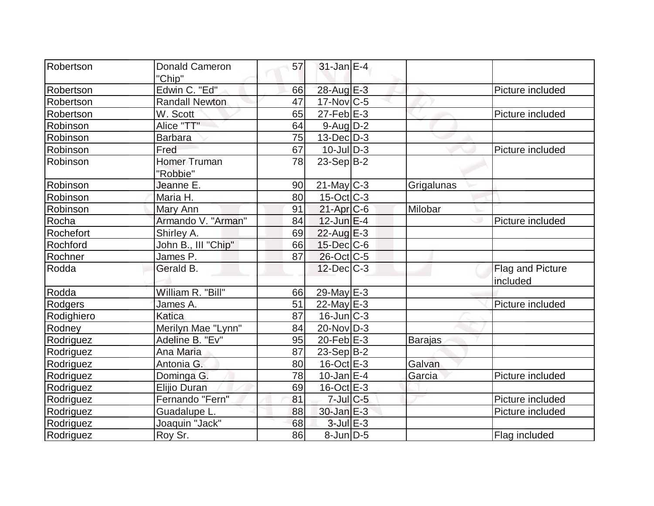| Robertson        | <b>Donald Cameron</b> | 57 | $31$ -Jan $E-4$     |                |                  |
|------------------|-----------------------|----|---------------------|----------------|------------------|
|                  | "Chip"                |    |                     |                |                  |
| Robertson        | Edwin C. "Ed"         | 66 | 28-Aug $E-3$        |                | Picture included |
| Robertson        | <b>Randall Newton</b> | 47 | $17$ -Nov $ C-5 $   |                |                  |
| Robertson        | W. Scott              | 65 | $27$ -Feb $E-3$     |                | Picture included |
| Robinson         | Alice "TT"            | 64 | $9$ -Aug $D-2$      |                |                  |
| Robinson         | <b>Barbara</b>        | 75 | $13$ -Dec $D-3$     |                |                  |
| Robinson         | Fred                  | 67 | $10$ -JulD-3        |                | Picture included |
| Robinson         | <b>Homer Truman</b>   | 78 | $23-Sep B-2$        |                |                  |
|                  | "Robbie"              |    |                     |                |                  |
| Robinson         | Jeanne E.             | 90 | $21$ -May C-3       | Grigalunas     |                  |
| Robinson         | Maria H.              | 80 | $15$ -Oct $ C-3 $   |                |                  |
| Robinson         | Mary Ann              | 91 | $21-Apr$ $C-6$      | Milobar        |                  |
| Rocha            | Armando V. "Arman"    | 84 | $12$ -Jun $E-4$     |                | Picture included |
| Rochefort        | Shirley A.            | 69 | $22$ -Aug $E-3$     |                |                  |
| Rochford         | John B., III "Chip"   | 66 | 15-Dec C-6          |                |                  |
| Rochner          | James P.              | 87 | $26$ -Oct C-5       |                |                  |
| Rodda            | Gerald B.             |    | $12$ -Dec $C-3$     |                | Flag and Picture |
|                  |                       |    |                     |                | included         |
| Rodda            | William R. "Bill"     | 66 | 29-May E-3          |                |                  |
| Rodgers          | James A.              | 51 | $22$ -May $E-3$     |                | Picture included |
| Rodighiero       | Katica                | 87 | $16$ -Jun $ C-3 $   |                |                  |
| Rodney           | Merilyn Mae "Lynn"    | 84 | $20$ -Nov $ D-3 $   |                |                  |
| Rodriguez        | Adeline B. "Ev"       | 95 | $20$ -Feb $E-3$     | <b>Barajas</b> |                  |
| Rodriguez        | Ana Maria             | 87 | $23-Sep B-2$        |                |                  |
| Rodriguez        | Antonia G.            | 80 | $16$ -Oct $E - 3$   | Galvan         |                  |
| Rodriguez        | Dominga G.            | 78 | $10$ -Jan $E-4$     | Garcia         | Picture included |
| <b>Rodriguez</b> | Elijio Duran          | 69 | $16$ -Oct $E - 3$   |                |                  |
| Rodriguez        | Fernando "Fern"       | 81 | $7$ -Jul $C$ -5     |                | Picture included |
| Rodriguez        | Guadalupe L.          | 88 | $30 - Jan \, E - 3$ |                | Picture included |
| Rodriguez        | Joaquin "Jack"        | 68 | $3$ -Jul $E-3$      |                |                  |
| Rodriguez        | Roy Sr.               | 86 | $8$ -Jun $D-5$      |                | Flag included    |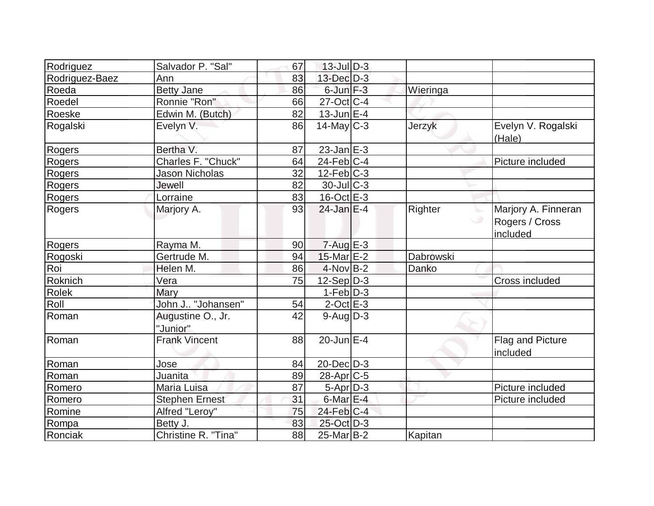| Rodriguez      | Salvador P. "Sal"             | 67 | $13$ -Jul $D-3$         |           |                                                   |
|----------------|-------------------------------|----|-------------------------|-----------|---------------------------------------------------|
| Rodriguez-Baez | Ann                           | 83 | 13-Dec D-3              |           |                                                   |
| Roeda          | <b>Betty Jane</b>             | 86 | $6$ -Jun $F-3$          | Wieringa  |                                                   |
| Roedel         | Ronnie "Ron"                  | 66 | $27-Oct$ <sub>C-4</sub> |           |                                                   |
| Roeske         | Edwin M. (Butch)              | 82 | $13$ -Jun $E-4$         |           |                                                   |
| Rogalski       | Evelyn V.                     | 86 | $14$ -May C-3           | Jerzyk    | Evelyn V. Rogalski<br>(Hale)                      |
| Rogers         | Bertha V.                     | 87 | $23$ -Jan $E-3$         |           |                                                   |
| Rogers         | Charles F. "Chuck"            | 64 | $24$ -Feb $ C-4 $       |           | Picture included                                  |
| Rogers         | <b>Jason Nicholas</b>         | 32 | $12$ -Feb $ C-3 $       |           |                                                   |
| Rogers         | Jewell                        | 82 | $30$ -Jul $C-3$         |           |                                                   |
| Rogers         | Lorraine                      | 83 | $16$ -Oct $E$ -3        |           |                                                   |
| Rogers         | Marjory A.                    | 93 | $24$ -Jan E-4           | Righter   | Marjory A. Finneran<br>Rogers / Cross<br>included |
| Rogers         | Rayma M.                      | 90 | $7 - Aug$ E-3           |           |                                                   |
| Rogoski        | Gertrude M.                   | 94 | 15-Mar E-2              | Dabrowski |                                                   |
| Roi            | Helen M.                      | 86 | $4$ -Nov B-2            | Danko     |                                                   |
| Roknich        | Vera                          | 75 | $12-Sep D-3$            |           | Cross included                                    |
| <b>Rolek</b>   | Mary                          |    | $1-Feb D-3$             |           |                                                   |
| Roll           | John J "Johansen"             | 54 | $2$ -Oct $E-3$          |           |                                                   |
| Roman          | Augustine O., Jr.<br>"Junior" | 42 | $9$ -Aug $D-3$          |           |                                                   |
| Roman          | <b>Frank Vincent</b>          | 88 | $20$ -Jun $E-4$         |           | Flag and Picture<br>included                      |
| Roman          | Jose                          | 84 | $20$ -Dec $D-3$         |           |                                                   |
| Roman          | Juanita                       | 89 | $28$ -Apr $C$ -5        |           |                                                   |
| Romero         | Maria Luisa                   | 87 | 5-Apr D-3               |           | Picture included                                  |
| Romero         | <b>Stephen Ernest</b>         | 31 | $6$ -Mar $E-4$          |           | Picture included                                  |
| Romine         | Alfred "Leroy"                | 75 | $24$ -Feb $ C-4 $       |           |                                                   |
| Rompa          | Betty J.                      | 83 | 25-Oct D-3              |           |                                                   |
| Ronciak        | Christine R. "Tina"           | 88 | $25$ -Mar $B-2$         | Kapitan   |                                                   |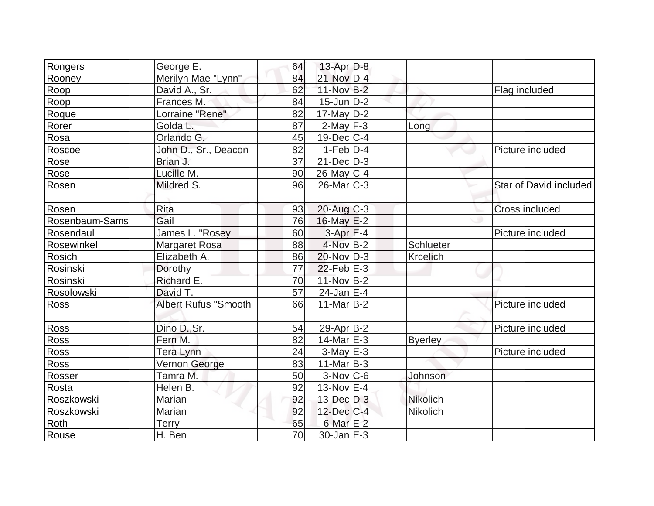| Rongers        | George E.                   | 64 | $13$ -Apr $D-8$        |                 |                        |
|----------------|-----------------------------|----|------------------------|-----------------|------------------------|
| Rooney         | Merilyn Mae "Lynn"          | 84 | 21-Nov D-4             |                 |                        |
| Roop           | David A., Sr.               | 62 | 11-Nov B-2             |                 | Flag included          |
| Roop           | Frances M.                  | 84 | $15$ -Jun $D-2$        |                 |                        |
| Roque          | Lorraine "Rene"             | 82 | $17$ -May D-2          |                 |                        |
| Rorer          | Golda L.                    | 87 | $2$ -May $F-3$         | Long            |                        |
| Rosa           | Orlando G.                  | 45 | $19$ -Dec $ C-4$       |                 |                        |
| Roscoe         | John D., Sr., Deacon        | 82 | $1-Feb D-4$            |                 | Picture included       |
| Rose           | Brian J.                    | 37 | $21$ -Dec $D-3$        |                 |                        |
| Rose           | Lucille M.                  | 90 | $26$ -May C-4          |                 |                        |
| Rosen          | Mildred S.                  | 96 | $26$ -Mar $ C-3 $      |                 | Star of David included |
| Rosen          | Rita                        | 93 | $20$ -Aug $C-3$        |                 | Cross included         |
| Rosenbaum-Sams | Gail                        | 76 | $16$ -May $E-2$        |                 |                        |
| Rosendaul      | James L. "Rosey             | 60 | $3-Apr$ $E-4$          |                 | Picture included       |
| Rosewinkel     | <b>Margaret Rosa</b>        | 88 | 4-Nov B-2              | Schlueter       |                        |
| Rosich         | Elizabeth A.                | 86 | $20$ -Nov $ D-3 $      | <b>Krcelich</b> |                        |
| Rosinski       | Dorothy                     | 77 | $22$ -Feb $E-3$        |                 |                        |
| Rosinski       | Richard E.                  | 70 | $11-Nov B-2$           |                 |                        |
| Rosolowski     | David T.                    | 57 | $24$ -Jan $E-4$        |                 |                        |
| <b>Ross</b>    | <b>Albert Rufus "Smooth</b> | 66 | $11$ -Mar $ B-2 $      |                 | Picture included       |
| Ross           | Dino D., Sr.                | 54 | $29-Apr B-2$           |                 | Picture included       |
| Ross           | Fern M.                     | 82 | $14$ -Mar $E-3$        | <b>Byerley</b>  |                        |
| Ross           | Tera Lynn                   | 24 | $3-May$ $E-3$          |                 | Picture included       |
| Ross           | Vernon George               | 83 | $11$ -Mar $ B-3 $      |                 |                        |
| Rosser         | Tamra M.                    | 50 | $3-Nov$ <sub>C-6</sub> | Johnson         |                        |
| Rosta          | Helen B.                    | 92 | 13-Nov E-4             |                 |                        |
| Roszkowski     | Marian                      | 92 | $13$ -Dec $D-3$        | <b>Nikolich</b> |                        |
| Roszkowski     | Marian                      | 92 | $12$ -Dec $ C-4 $      | Nikolich        |                        |
| Roth           | <b>Terry</b>                | 65 | $6$ -Mar $E-2$         |                 |                        |
| Rouse          | H. Ben                      | 70 | $30$ -Jan $E-3$        |                 |                        |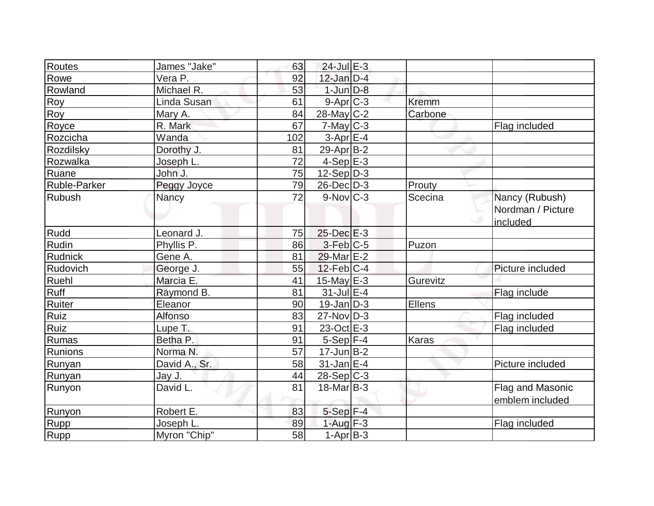| Routes       | James "Jake"  | 63  | $24$ -Jul $E-3$   |              |                   |
|--------------|---------------|-----|-------------------|--------------|-------------------|
| Rowe         | Vera P.       | 92  | $12$ -Jan $D-4$   |              |                   |
| Rowland      | Michael R.    | 53  | $1$ -Jun $D-8$    |              |                   |
| Roy          | Linda Susan   | 61  | $9-Apr$ $C-3$     | <b>Kremm</b> |                   |
| Roy          | Mary A.       | 84  | $28$ -May C-2     | Carbone      |                   |
| Royce        | R. Mark       | 67  | $7$ -May $C-3$    |              | Flag included     |
| Rozcicha     | Wanda         | 102 | $3-Apr$ $E-4$     |              |                   |
| Rozdilsky    | Dorothy J.    | 81  | $29$ -Apr $ B-2 $ |              |                   |
| Rozwalka     | Joseph L.     | 72  | $4-SepE-3$        |              |                   |
| Ruane        | John J.       | 75  | $12-Sep D-3$      |              |                   |
| Ruble-Parker | Peggy Joyce   | 79  | $26$ -Dec $D-3$   | Prouty       |                   |
| Rubush       | Nancy         | 72  | $9-Nov$ $C-3$     | Scecina      | Nancy (Rubush)    |
|              |               |     |                   |              | Nordman / Picture |
|              |               |     |                   |              | included          |
| Rudd         | Leonard J.    | 75  | $25$ -Dec $E-3$   |              |                   |
| Rudin        | Phyllis P.    | 86  | $3-Feb$ $C-5$     | Puzon        |                   |
| Rudnick      | Gene A.       | 81  | $29$ -Mar $E-2$   |              |                   |
| Rudovich     | George J.     | 55  | $12$ -Feb $ C-4$  |              | Picture included  |
| Ruehl        | Marcia E.     | 41  | 15-May $E-3$      | Gurevitz     |                   |
| Ruff         | Raymond B.    | 81  | $31$ -Jul $E-4$   |              | Flag include      |
| Ruiter       | Eleanor       | 90  | $19$ -Jan $D-3$   | Ellens       |                   |
| Ruiz         | Alfonso       | 83  | $27$ -Nov $ D-3 $ |              | Flag included     |
| <b>Ruiz</b>  | Lupe T.       | 91  | 23-Oct E-3        |              | Flag included     |
| Rumas        | Betha P.      | 91  | $5-Sep$ F-4       | Karas        |                   |
| Runions      | Norma N.      | 57  | $17$ -Jun $B-2$   |              |                   |
| Runyan       | David A., Sr. | 58  | $31$ -Jan $E-4$   |              | Picture included  |
| Runyan       | Jay J.        | 44  | $28-Sep C-3$      |              |                   |
| Runyon       | David L.      | 81  | $18$ -Mar $ B-3 $ |              | Flag and Masonic  |
|              |               |     |                   |              | emblem included   |
| Runyon       | Robert E.     | 83  | $5-Sep$ F-4       |              |                   |
| Rupp         | Joseph L.     | 89  | $1-Auq$ F-3       |              | Flag included     |
| <b>Rupp</b>  | Myron "Chip"  | 58  | $1-Apr$ B-3       |              |                   |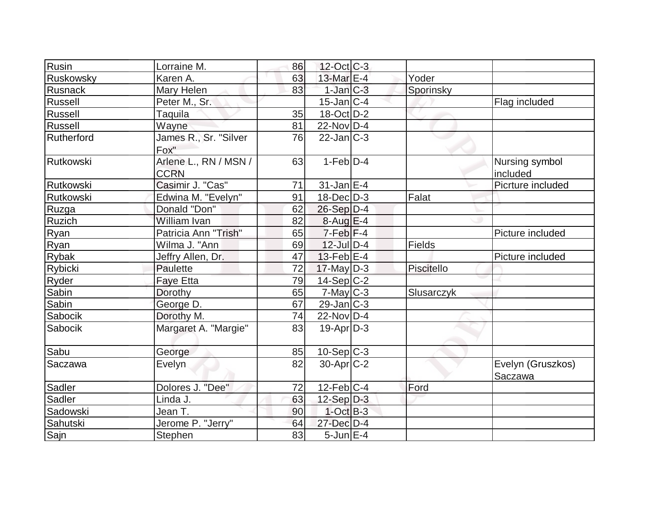| Rusin        | Lorraine M.                          | 86 | 12-Oct C-3        |                   |                              |
|--------------|--------------------------------------|----|-------------------|-------------------|------------------------------|
| Ruskowsky    | Karen A.                             | 63 | 13-Mar $E-4$      | Yoder             |                              |
| Rusnack      | Mary Helen                           | 83 | $1$ -Jan $ C-3 $  | Sporinsky         |                              |
| Russell      | Peter M., Sr.                        |    | $15$ -Jan $ C-4 $ |                   | Flag included                |
| Russell      | Taquila                              | 35 | $18$ -Oct $D-2$   |                   |                              |
| Russell      | Wayne                                | 81 | $22$ -Nov D-4     |                   |                              |
| Rutherford   | James R., Sr. "Silver<br>Fox"        | 76 | $22$ -Jan $ C-3 $ |                   |                              |
| Rutkowski    | Arlene L., RN / MSN /<br><b>CCRN</b> | 63 | $1-Feb D-4$       |                   | Nursing symbol<br>included   |
| Rutkowski    | Casimir J. "Cas"                     | 71 | $31$ -Jan $E-4$   |                   | Picrture included            |
| Rutkowski    | Edwina M. "Evelyn"                   | 91 | $18$ -Dec $D-3$   | Falat             |                              |
| Ruzga        | Donald "Don"                         | 62 | $26-Sep D-4$      |                   |                              |
| Ruzich       | William Ivan                         | 82 | $8-Aug$ $E-4$     |                   |                              |
| Ryan         | Patricia Ann <sup>"Trish"</sup>      | 65 | $7-Feb$ $F-4$     |                   | Picture included             |
| Ryan         | Wilma J. "Ann                        | 69 | $12$ -Jul $D-4$   | Fields            |                              |
| <b>Rybak</b> | Jeffry Allen, Dr.                    | 47 | $13$ -Feb $ E-4$  |                   | Picture included             |
| Rybicki      | Paulette                             | 72 | $17$ -May D-3     | Piscitello        |                              |
| Ryder        | <b>Faye Etta</b>                     | 79 | $14-Sep C-2$      |                   |                              |
| Sabin        | Dorothy                              | 65 | $7$ -May $C-3$    | <b>Slusarczyk</b> |                              |
| Sabin        | George D.                            | 67 | $29$ -Jan $ C-3 $ |                   |                              |
| Sabocik      | Dorothy M.                           | 74 | $22$ -Nov D-4     |                   |                              |
| Sabocik      | Margaret A. "Margie"                 | 83 | $19-Apr D-3$      |                   |                              |
| Sabu         | George                               | 85 | $10-Sep C-3$      |                   |                              |
| Saczawa      | Evelyn                               | 82 | $30$ -Apr $C-2$   |                   | Evelyn (Gruszkos)<br>Saczawa |
| Sadler       | Dolores J. "Dee"                     | 72 | $12$ -Feb $ C-4 $ | Ford              |                              |
| Sadler       | Linda J.                             | 63 | $12-Sep D-3$      |                   |                              |
| Sadowski     | Jean T.                              | 90 | $1$ -Oct $B-3$    |                   |                              |
| Sahutski     | Jerome P. "Jerry"                    | 64 | 27-Dec D-4        |                   |                              |
| Sajn         | Stephen                              | 83 | $5$ -Jun $E-4$    |                   |                              |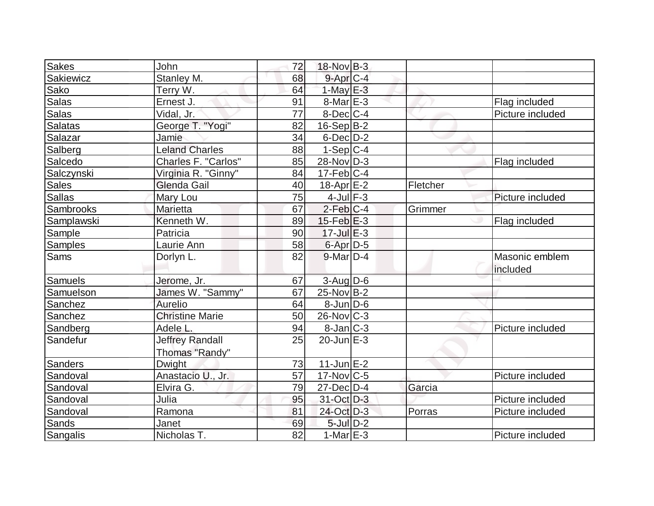| <b>Sakes</b>   | John                      | 72 | $18-Nov$ B-3      |          |                            |
|----------------|---------------------------|----|-------------------|----------|----------------------------|
| Sakiewicz      | Stanley M.                | 68 | $9$ -Apr $C$ -4   |          |                            |
| Sako           | Terry W.                  | 64 | $1$ -May $E-3$    |          |                            |
| Salas          | Ernest J.                 | 91 | $8$ -Mar $E - 3$  |          | Flag included              |
| <b>Salas</b>   | Vidal, Jr.                | 77 | $8$ -Dec $ C$ -4  |          | Picture included           |
| Salatas        | George T. "Yogi"          | 82 | $16-Sep B-2$      |          |                            |
| Salazar        | Jamie                     | 34 | $6$ -Dec $D-2$    |          |                            |
| Salberg        | <b>Leland Charles</b>     | 88 | $1-Sep C-4$       |          |                            |
| Salcedo        | Charles F. "Carlos"       | 85 | 28-Nov D-3        |          | Flag included              |
| Salczynski     | Virginia R. "Ginny"       | 84 | $17$ -Feb $ C-4$  |          |                            |
| <b>Sales</b>   | Glenda Gail               | 40 | $18$ -Apr $E-2$   | Fletcher |                            |
| <b>Sallas</b>  | Mary Lou                  | 75 | $4$ -Jul $F-3$    |          | Picture included           |
| Sambrooks      | Marietta                  | 67 | $2$ -Feb $ C-4$   | Grimmer  |                            |
| Samplawski     | Kenneth W.                | 89 | $15$ -Feb $E-3$   |          | Flag included              |
| Sample         | Patricia                  | 90 | $17$ -Jul $E-3$   |          |                            |
| <b>Samples</b> | Laurie Ann                | 58 | 6-Apr D-5         |          |                            |
| <b>Sams</b>    | Dorlyn L.                 | 82 | $9$ -Mar $D-4$    |          | Masonic emblem<br>included |
| <b>Samuels</b> | Jerome, Jr.               | 67 | $3$ -Aug D-6      |          |                            |
| Samuelson      | James W. "Sammy"          | 67 | $25$ -Nov B-2     |          |                            |
| Sanchez        | Aurelio                   | 64 | $8$ -Jun $D-6$    |          |                            |
| Sanchez        | <b>Christine Marie</b>    | 50 | $26$ -Nov $ C-3 $ |          |                            |
| Sandberg       | Adele L.                  | 94 | $8$ -Jan $ C-3 $  |          | Picture included           |
| Sandefur       | <b>Jeffrey Randall</b>    | 25 | $20$ -Jun $E-3$   |          |                            |
| Sanders        | Thomas "Randy"<br>Dwight. | 73 | $11$ -Jun $E$ -2  |          |                            |
| Sandoval       | Anastacio U., Jr.         | 57 | $17$ -Nov $ C-5$  |          | Picture included           |
| Sandoval       | Elvira G.                 | 79 | $27$ -Dec $D-4$   | Garcia   |                            |
| Sandoval       | Julia                     | 95 | 31-Oct D-3        |          | Picture included           |
| Sandoval       | Ramona                    | 81 | 24-Oct D-3        | Porras   | Picture included           |
| Sands          | Janet                     | 69 | $5$ -Jul $D-2$    |          |                            |
| Sangalis       | Nicholas T.               | 82 | $1-MarE-3$        |          |                            |
|                |                           |    |                   |          | Picture included           |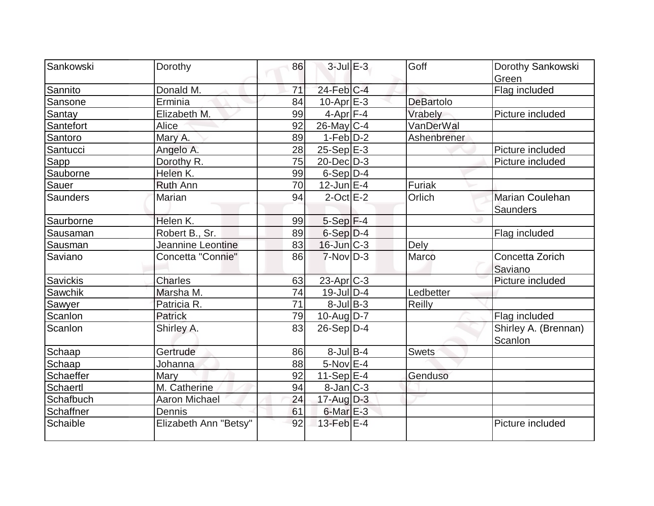| Sankowski | Dorothy               | 86              | $3$ -Jul $E-3$        | Goff             | Dorothy Sankowski      |
|-----------|-----------------------|-----------------|-----------------------|------------------|------------------------|
|           |                       |                 |                       |                  | Green                  |
| Sannito   | Donald M.             | 71              | 24-Feb C-4            |                  | Flag included          |
| Sansone   | Erminia               | 84              | $10$ -Apr $E-3$       | <b>DeBartolo</b> |                        |
| Santay    | Elizabeth M.          | 99              | $4$ -Apr $F-4$        | Vrabely          | Picture included       |
| Santefort | Alice                 | 92              | $26$ -May C-4         | VanDerWal        |                        |
| Santoro   | Mary A.               | 89              | $1-Feb D-2$           | Ashenbrener      |                        |
| Santucci  | Angelo A.             | 28              | $25-Sep$ E-3          |                  | Picture included       |
| Sapp      | Dorothy R.            | 75              | $20$ -Dec $D-3$       |                  | Picture included       |
| Sauborne  | Helen K.              | 99              | $6-Sep D-4$           |                  |                        |
| Sauer     | <b>Ruth Ann</b>       | 70              | $12$ -Jun $E-4$       | Furiak           |                        |
| Saunders  | Marian                | 94              | $2$ -Oct $E - 2$      | Orlich           | <b>Marian Coulehan</b> |
|           |                       |                 |                       |                  | Saunders               |
| Saurborne | Helen K.              | 99              | $5-Sep$ F-4           |                  |                        |
| Sausaman  | Robert B., Sr.        | 89              | $6-Sep D-4$           |                  | Flag included          |
| Sausman   | Jeannine Leontine     | 83              | $16$ -Jun $C-3$       | Dely             |                        |
| Saviano   | Concetta "Connie"     | 86              | $7-Nov$ D-3           | Marco            | Concetta Zorich        |
|           |                       |                 |                       |                  | Saviano                |
| Savickis  | Charles               | 63              | 23-Apr <sub>C-3</sub> |                  | Picture included       |
| Sawchik   | Marsha M.             | $\overline{74}$ | $19$ -Jul D-4         | Ledbetter        |                        |
| Sawyer    | Patricia R.           | 71              | $8$ -Jul B-3          | Reilly           |                        |
| Scanlon   | Patrick               | 79              | $10$ -Aug $D-7$       |                  | Flag included          |
| Scanlon   | Shirley A.            | 83              | $26-Sep D-4$          |                  | Shirley A. (Brennan)   |
|           |                       |                 |                       |                  | Scanlon                |
| Schaap    | Gertrude              | 86              | $8$ -Jul $B$ -4       | <b>Swets</b>     |                        |
| Schaap    | Johanna               | 88              | $5-Nov$ E-4           |                  |                        |
| Schaeffer | Mary                  | 92              | $11-Sep$ E-4          | Genduso          |                        |
| Schaertl  | M. Catherine          | 94              | $8$ -Jan $ C-3 $      |                  |                        |
| Schafbuch | Aaron Michael         | 24              | $17$ -Aug $D-3$       |                  |                        |
| Schaffner | Dennis                | 61              | $6$ -Mar $E-3$        |                  |                        |
| Schaible  | Elizabeth Ann "Betsy" | 92              | 13-Feb E-4            |                  | Picture included       |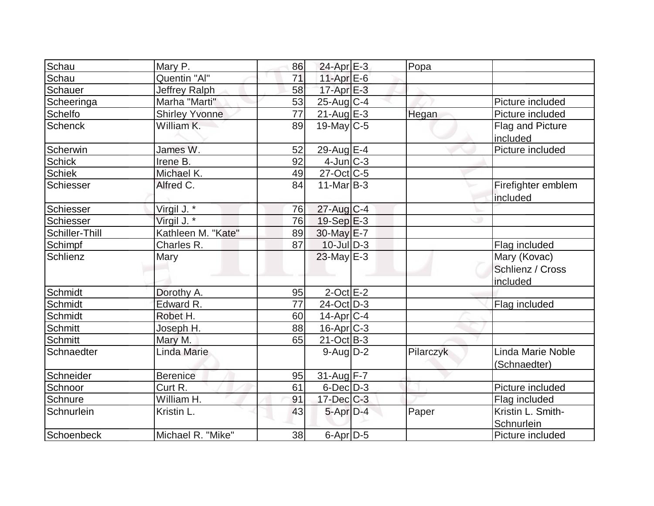| Schau          | Mary P.               | 86 | $24$ -Apr $E-3$   | Popa      |                                              |
|----------------|-----------------------|----|-------------------|-----------|----------------------------------------------|
| Schau          | Quentin "Al"          | 71 | 11-Apr $E-6$      |           |                                              |
| Schauer        | Jeffrey Ralph         | 58 | $17$ -Apr $E-3$   |           |                                              |
| Scheeringa     | Marha "Marti"         | 53 | $25$ -Aug C-4     |           | Picture included                             |
| <b>Schelfo</b> | <b>Shirley Yvonne</b> | 77 | $21-Aug$ $E-3$    | Hegan     | Picture included                             |
| <b>Schenck</b> | William K.            | 89 | 19-May $C-5$      |           | Flag and Picture<br>included                 |
| Scherwin       | James W.              | 52 | $29$ -Aug E-4     |           | Picture included                             |
| <b>Schick</b>  | Irene B.              | 92 | $4$ -Jun $ C-3 $  |           |                                              |
| <b>Schiek</b>  | Michael K.            | 49 | $27$ -Oct C-5     |           |                                              |
| Schiesser      | Alfred C.             | 84 | $11-Mar$ B-3      |           | Firefighter emblem<br>included               |
| Schiesser      | Virgil J. *           | 76 | 27-Aug C-4        |           |                                              |
| Schiesser      | Virgil J. *           | 76 | $19-Sep$ $E-3$    |           |                                              |
| Schiller-Thill | Kathleen M. "Kate"    | 89 | 30-May E-7        |           |                                              |
| Schimpf        | Charles R.            | 87 | $10$ -Jul $D-3$   |           | Flag included                                |
| Schlienz       | Mary                  |    | $23$ -May $E-3$   |           | Mary (Kovac)<br>Schlienz / Cross<br>included |
| Schmidt        | Dorothy A.            | 95 | $2$ -Oct $E-2$    |           |                                              |
| Schmidt        | Edward R.             | 77 | $24$ -Oct $ D-3 $ |           | Flag included                                |
| Schmidt        | Robet H.              | 60 | 14-Apr C-4        |           |                                              |
| Schmitt        | Joseph H.             | 88 | $16$ -Apr $ C-3 $ |           |                                              |
| Schmitt        | Mary M.               | 65 | $21-Oct$ B-3      |           |                                              |
| Schnaedter     | Linda Marie           |    | $9$ -Aug $D-2$    | Pilarczyk | Linda Marie Noble<br>(Schnaedter)            |
| Schneider      | <b>Berenice</b>       | 95 | 31-Aug F-7        |           |                                              |
| Schnoor        | Curt R.               | 61 | $6$ -Dec $D$ -3   |           | Picture included                             |
| Schnure        | William H.            | 91 | $17 - Dec$ $C-3$  |           | Flag included                                |
| Schnurlein     | Kristin L.            | 43 | $5$ -Apr $D-4$    | Paper     | Kristin L. Smith-<br>Schnurlein              |
| Schoenbeck     | Michael R. "Mike"     | 38 | $6$ -Apr $D-5$    |           | Picture included                             |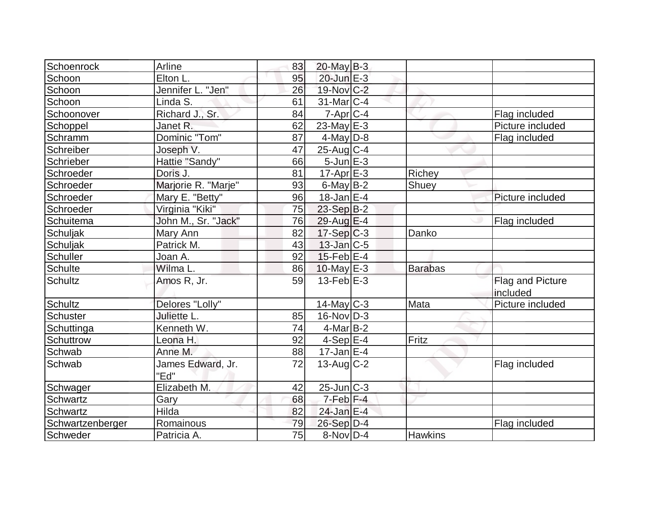| Schoenrock       | Arline                    | 83 | $20$ -May B-3     |                |                              |
|------------------|---------------------------|----|-------------------|----------------|------------------------------|
| Schoon           | Elton L.                  | 95 | 20-Jun E-3        |                |                              |
| Schoon           | Jennifer L. "Jen"         | 26 | 19-Nov C-2        |                |                              |
| Schoon           | Linda S.                  | 61 | $31$ -Mar $ C-4 $ |                |                              |
| Schoonover       | Richard J., Sr.           | 84 | $7$ -Apr $ C-4 $  |                | Flag included                |
| Schoppel         | Janet R.                  | 62 | 23-May $E-3$      |                | Picture included             |
| Schramm          | Dominic "Tom"             | 87 | $4$ -May D-8      |                | Flag included                |
| Schreiber        | Joseph V.                 | 47 | $25$ -Aug C-4     |                |                              |
| Schrieber        | Hattie "Sandy"            | 66 | $5$ -Jun $E-3$    |                |                              |
| Schroeder        | Doris J.                  | 81 | $17$ -Apr $E-3$   | Richey         |                              |
| Schroeder        | Marjorie R. "Marje"       | 93 | $6$ -May $B-2$    | Shuey          |                              |
| Schroeder        | Mary E. "Betty"           | 96 | $18$ -Jan $E-4$   |                | Picture included             |
| Schroeder        | Virginia "Kiki"           | 75 | $23-Sep B-2$      |                |                              |
| Schuitema        | John M., Sr. "Jack"       | 76 | $29$ -Aug $E-4$   |                | Flag included                |
| Schuljak         | Mary Ann                  | 82 | $17-Sep C-3$      | Danko          |                              |
| Schuljak         | Patrick M.                | 43 | $13$ -Jan $ C-5 $ |                |                              |
| Schuller         | Joan A.                   | 92 | $15$ -Feb $E$ -4  |                |                              |
| Schulte          | Wilma L.                  | 86 | $10$ -May E-3     | <b>Barabas</b> |                              |
| Schultz          | Amos R, Jr.               | 59 | $13$ -Feb $E-3$   |                | Flag and Picture<br>included |
| Schultz          | Delores "Lolly"           |    | $14$ -May C-3     | Mata           | Picture included             |
| Schuster         | Juliette L.               | 85 | $16$ -Nov $ D-3 $ |                |                              |
| Schuttinga       | Kenneth W.                | 74 | $4$ -Mar $ B-2 $  |                |                              |
| Schuttrow        | Leona H.                  | 92 | $4-Sep$ $E-4$     | Fritz          |                              |
| Schwab           | Anne M.                   | 88 | $17$ -Jan $E-4$   |                |                              |
| Schwab           | James Edward, Jr.<br>"Ed" | 72 | $13$ -Aug $C-2$   |                | Flag included                |
| Schwager         | Elizabeth M.              | 42 | $25$ -Jun $ C-3 $ |                |                              |
| Schwartz         | Gary                      | 68 | $7-Feb$ $F-4$     |                |                              |
| Schwartz         | <b>Hilda</b>              | 82 | $24$ -Jan E-4     |                |                              |
| Schwartzenberger | Romainous                 | 79 | $26-Sep D-4$      |                | Flag included                |
| Schweder         | Patricia A.               | 75 | $8-Nov D-4$       | <b>Hawkins</b> |                              |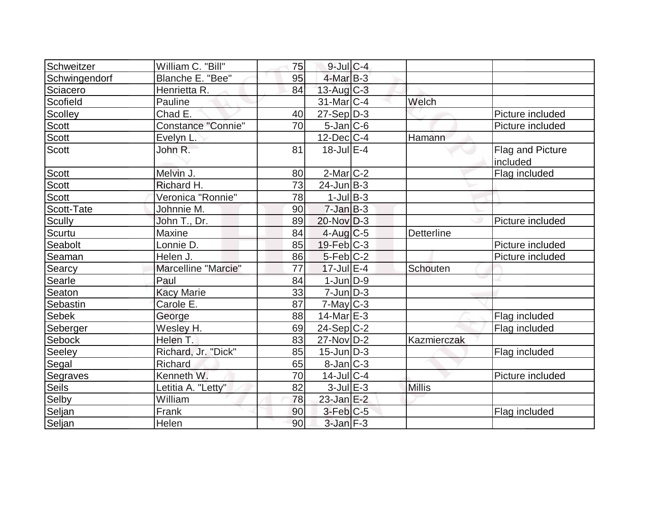| Schweitzer    | William C. "Bill"         | 75              | $9$ -Jul $C$ -4   |                   |                                     |
|---------------|---------------------------|-----------------|-------------------|-------------------|-------------------------------------|
| Schwingendorf | Blanche E. "Bee"          | 95              | $4$ -Mar $ B-3 $  |                   |                                     |
| Sciacero      | Henrietta R.              | 84              | $13$ -Aug $C-3$   |                   |                                     |
| Scofield      | Pauline                   |                 | $31$ -Mar $ C-4 $ | Welch             |                                     |
| Scolley       | Chad E.                   | 40              | $27-Sep D-3$      |                   | Picture included                    |
| <b>Scott</b>  | <b>Constance "Connie"</b> | 70              | $5$ -Jan $ C$ -6  |                   | Picture included                    |
| Scott         | Evelyn L.                 |                 | $12$ -Dec $ C-4 $ | Hamann            |                                     |
| Scott         | John R.                   | 81              | $18$ -Jul $E-4$   |                   | <b>Flag and Picture</b><br>included |
| Scott         | Melvin J.                 | 80              | $2$ -Mar $C-2$    |                   | Flag included                       |
| Scott         | Richard H.                | 73              | $24$ -Jun $B-3$   |                   |                                     |
| <b>Scott</b>  | Veronica "Ronnie"         | 78              | $1$ -Jul B-3      |                   |                                     |
| Scott-Tate    | Johnnie M.                | 90              | $7 - Jan$ B-3     |                   |                                     |
| Scully        | John T., Dr.              | 89              | $20$ -Nov $ D-3 $ |                   | Picture included                    |
| Scurtu        | Maxine                    | 84              | $4$ -Aug C-5      | <b>Detterline</b> |                                     |
| Seabolt       | Lonnie D.                 | 85              | $19$ -Feb $ C-3 $ |                   | Picture included                    |
| Seaman        | Helen J.                  | 86              | $5-Feb$ C-2       |                   | Picture included                    |
| Searcy        | Marcelline "Marcie"       | 77              | $17$ -Jul $E-4$   | Schouten          |                                     |
| Searle        | Paul                      | 84              | $1$ -Jun $D-9$    |                   |                                     |
| Seaton        | <b>Kacy Marie</b>         | 33              | $7$ -Jun $D-3$    |                   |                                     |
| Sebastin      | Carole E.                 | 87              | $7$ -May $C-3$    |                   |                                     |
| <b>Sebek</b>  | George                    | 88              | $14$ -Mar $E-3$   |                   | Flag included                       |
| Seberger      | Wesley H.                 | 69              | $24-Sep C-2$      |                   | Flag included                       |
| Sebock        | Helen T.                  | 83              | $27$ -Nov $D-2$   | Kazmierczak       |                                     |
| Seeley        | Richard, Jr. "Dick"       | 85              | $15$ -Jun $D-3$   |                   | Flag included                       |
| Segal         | Richard                   | 65              | $8$ -Jan $C-3$    |                   |                                     |
| Segraves      | Kenneth W.                | $\overline{70}$ | 14-Jul C-4        |                   | Picture included                    |
| Seils         | Letitia A. "Letty"        | 82              | $3$ -Jul $E-3$    | <b>Millis</b>     |                                     |
| Selby         | William                   | 78              | $23$ -Jan $E-2$   |                   |                                     |
| Seljan        | Frank                     | 90              | $3$ -Feb $ C-5 $  |                   | Flag included                       |
| Seljan        | Helen                     | 90              | $3$ -Jan $F-3$    |                   |                                     |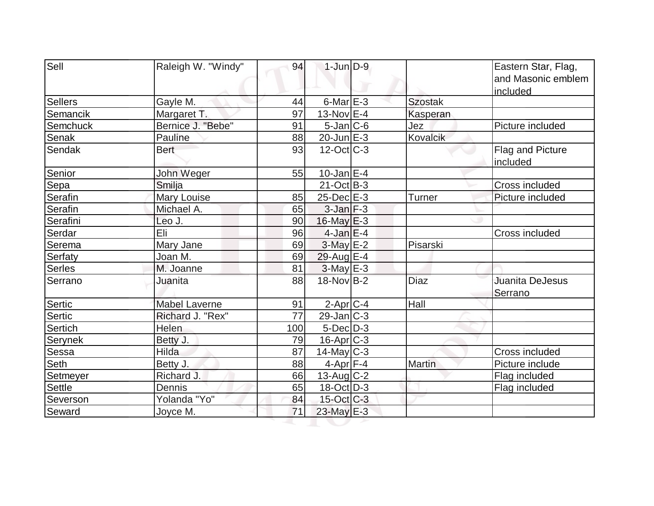| Sell           | Raleigh W. "Windy"   | 94  | $1$ -Jun $D-9$    |                 | Eastern Star, Flag,<br>and Masonic emblem<br>included |
|----------------|----------------------|-----|-------------------|-----------------|-------------------------------------------------------|
| <b>Sellers</b> | Gayle M.             | 44  | $6$ -Mar $E-3$    | <b>Szostak</b>  |                                                       |
| Semancik       | Margaret T.          | 97  | $13-Nov$ E-4      | Kasperan        |                                                       |
| Semchuck       | Bernice J. "Bebe"    | 91  | $5$ -Jan $ C$ -6  | Jez             | Picture included                                      |
| <b>Senak</b>   | Pauline              | 88  | 20-Jun E-3        | <b>Kovalcik</b> |                                                       |
| Sendak         | <b>Bert</b>          | 93  | $12$ -Oct $ C-3 $ |                 | Flag and Picture<br>included                          |
| Senior         | John Weger           | 55  | $10$ -Jan $ E-4 $ |                 |                                                       |
| Sepa           | Smilja               |     | $21$ -Oct B-3     |                 | Cross included                                        |
| Serafin        | <b>Mary Louise</b>   | 85  | $25$ -Dec $E-3$   | Turner          | Picture included                                      |
| Serafin        | Michael A.           | 65  | $3$ -Jan $F-3$    |                 |                                                       |
| Serafini       | Leo J.               | 90  | $16$ -May $E-3$   |                 |                                                       |
| Serdar         | Eli                  | 96  | $4$ -Jan $E-4$    |                 | Cross included                                        |
| Serema         | Mary Jane            | 69  | $3$ -May $E-2$    | Pisarski        |                                                       |
| Serfaty        | Joan M.              | 69  | 29-Aug E-4        |                 |                                                       |
| <b>Serles</b>  | M. Joanne            | 81  | $3$ -May $E-3$    |                 |                                                       |
| Serrano        | Juanita              | 88  | 18-Nov B-2        | <b>Diaz</b>     | Juanita DeJesus<br>Serrano                            |
| Sertic         | <b>Mabel Laverne</b> | 91  | $2$ -Apr $C$ -4   | Hall            |                                                       |
| Sertic         | Richard J. "Rex"     | 77  | $29$ -Jan $ C-3 $ |                 |                                                       |
| <b>Sertich</b> | Helen                | 100 | $5$ -Dec $D-3$    |                 |                                                       |
| Serynek        | Betty J.             | 79  | $16$ -Apr $ C-3 $ |                 |                                                       |
| <b>Sessa</b>   | Hilda                | 87  | $14$ -May C-3     |                 | <b>Cross included</b>                                 |
| Seth           | Betty J.             | 88  | 4-Apr F-4         | <b>Martin</b>   | Picture include                                       |
| Setmeyer       | Richard J.           | 66  | 13-Aug $ C-2 $    |                 | Flag included                                         |
| <b>Settle</b>  | Dennis               | 65  | $18-Oct$ D-3      |                 | Flag included                                         |
| Severson       | Yolanda "Yo"         | 84  | $15$ -Oct C-3     |                 |                                                       |
| Seward         | Joyce M.             | 71  | $23$ -May $E-3$   |                 |                                                       |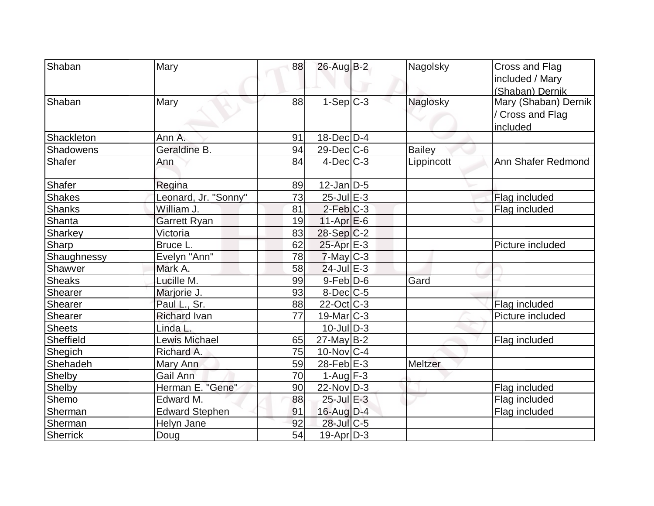| Shaban          | Mary                  | 88 | 26-Aug B-2        | Nagolsky      | Cross and Flag<br>included / Mary<br>(Shaban) Dernik |
|-----------------|-----------------------|----|-------------------|---------------|------------------------------------------------------|
| Shaban          | Mary                  | 88 | $1-Sep C-3$       | Naglosky      | Mary (Shaban) Dernik<br>/ Cross and Flag<br>included |
| Shackleton      | Ann A.                | 91 | 18-Dec D-4        |               |                                                      |
| Shadowens       | Geraldine B.          | 94 | $29$ -Dec $ C$ -6 | <b>Bailey</b> |                                                      |
| <b>Shafer</b>   | Ann                   | 84 | $4$ -Dec $C-3$    | Lippincott    | Ann Shafer Redmond                                   |
| Shafer          | Regina                | 89 | $12$ -Jan $D-5$   |               |                                                      |
| <b>Shakes</b>   | Leonard, Jr. "Sonny"  | 73 | $25$ -Jul $E-3$   |               | Flag included                                        |
| <b>Shanks</b>   | William J.            | 81 | $2-Feb C-3$       |               | Flag included                                        |
| Shanta          | <b>Garrett Ryan</b>   | 19 | $11-Apr$ $E-6$    |               |                                                      |
| Sharkey         | Victoria              | 83 | $28-Sep C-2$      |               |                                                      |
| Sharp           | Bruce L.              | 62 | $25$ -Apr $E-3$   |               | Picture included                                     |
| Shaughnessy     | Evelyn "Ann"          | 78 | $7$ -May C-3      |               |                                                      |
| Shawver         | Mark A.               | 58 | $24$ -Jul $E-3$   |               |                                                      |
| <b>Sheaks</b>   | Lucille M.            | 99 | $9$ -Feb $D$ -6   | Gard          |                                                      |
| Shearer         | Marjorie J.           | 93 | $8$ -Dec $C$ -5   |               |                                                      |
| Shearer         | Paul L., Sr.          | 88 | $22$ -Oct C-3     |               | Flag included                                        |
| Shearer         | <b>Richard Ivan</b>   | 77 | 19-Mar C-3        |               | Picture included                                     |
| <b>Sheets</b>   | Linda L.              |    | $10$ -JulD-3      |               |                                                      |
| Sheffield       | <b>Lewis Michael</b>  | 65 | $27$ -May B-2     |               | Flag included                                        |
| Shegich         | Richard A.            | 75 | $10$ -Nov $ C-4$  |               |                                                      |
| Shehadeh        | Mary Ann              | 59 | $28$ -Feb $E-3$   | Meltzer       |                                                      |
| Shelby          | Gail Ann              | 70 | $1-Aug$ F-3       |               |                                                      |
| Shelby          | Herman E. "Gene"      | 90 | $22$ -Nov $ D-3 $ |               | Flag included                                        |
| Shemo           | Edward M.             | 88 | 25-Jul E-3        |               | Flag included                                        |
| Sherman         | <b>Edward Stephen</b> | 91 | $16$ -Aug $D-4$   |               | Flag included                                        |
| Sherman         | Helyn Jane            | 92 | 28-Jul C-5        |               |                                                      |
| <b>Sherrick</b> | Doug                  | 54 | $19$ -Apr $D-3$   |               |                                                      |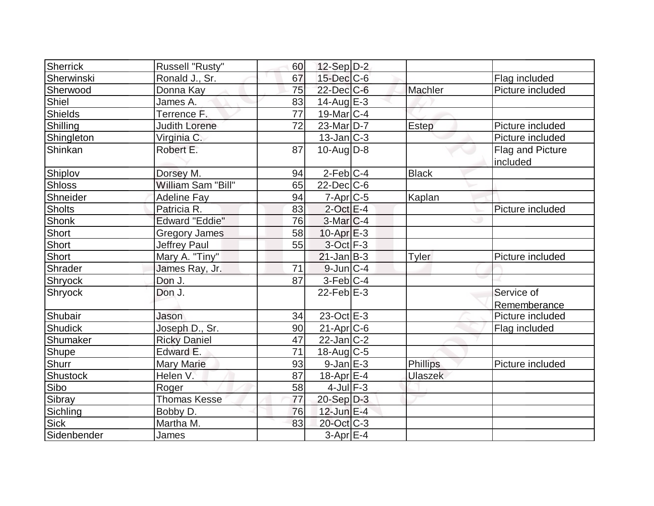| Sherrick      | Russell "Rusty"       | 60 | $12-Sep D-2$          |                |                              |
|---------------|-----------------------|----|-----------------------|----------------|------------------------------|
| Sherwinski    | Ronald J., Sr.        | 67 | $15$ -Dec $C$ -6      |                | Flag included                |
| Sherwood      | Donna Kay             | 75 | 22-Dec C-6            | Machler        | Picture included             |
| Shiel         | James A.              | 83 | $14$ -Aug $E-3$       |                |                              |
| Shields       | Terrence F.           | 77 | $19$ -Mar $ C-4$      |                |                              |
| Shilling      | Judith Lorene         | 72 | 23-Mar <sub>D-7</sub> | Estep          | Picture included             |
| Shingleton    | Virginia C.           |    | $13$ -Jan $C-3$       |                | Picture included             |
| Shinkan       | Robert E.             | 87 | $10$ -Aug $D-8$       |                | Flag and Picture<br>included |
| Shiplov       | Dorsey M.             | 94 | $2$ -Feb $ C-4$       | <b>Black</b>   |                              |
| <b>Shloss</b> | William Sam "Bill"    | 65 | $22$ -Dec $C$ -6      |                |                              |
| Shneider      | <b>Adeline Fay</b>    | 94 | $7$ -Apr $ C$ -5      | Kaplan         |                              |
| <b>Sholts</b> | Patricia R.           | 83 | $2$ -Oct E-4          |                | Picture included             |
| Shonk         | <b>Edward "Eddie"</b> | 76 | $3-Mar$ $C-4$         |                |                              |
| Short         | <b>Gregory James</b>  | 58 | $10$ -Apr $E-3$       |                |                              |
| Short         | <b>Jeffrey Paul</b>   | 55 | $3$ -Oct $F-3$        |                |                              |
| Short         | Mary A. "Tiny"        |    | $21$ -Jan $B-3$       | Tyler          | Picture included             |
| Shrader       | James Ray, Jr.        | 71 | $9$ -Jun $ C-4$       |                |                              |
| Shryock       | Don J.                | 87 | 3-Feb C-4             |                |                              |
| Shryock       | Don J.                |    | $22$ -Feb $E-3$       |                | Service of                   |
|               |                       |    |                       |                | Rememberance                 |
| Shubair       | Jason                 | 34 | 23-Oct E-3            |                | Picture included             |
| Shudick       | Joseph D., Sr.        | 90 | $21-Apr$ $C-6$        |                | Flag included                |
| Shumaker      | <b>Ricky Daniel</b>   | 47 | $22$ -Jan $ C-2 $     |                |                              |
| Shupe         | Edward E.             | 71 | $18$ -Aug C-5         |                |                              |
| Shurr         | <b>Mary Marie</b>     | 93 | $9$ -Jan $E-3$        | Phillips       | Picture included             |
| Shustock      | Helen V.              | 87 | $18$ -Apr $E-4$       | <b>Ulaszek</b> |                              |
| Sibo          | Roger                 | 58 | $4$ -Jul $F-3$        |                |                              |
| Sibray        | <b>Thomas Kesse</b>   | 77 | $20-Sep D-3$          |                |                              |
| Sichling      | Bobby D.              | 76 | $12$ -Jun $E-4$       |                |                              |
| Sick          | Martha M.             | 83 | 20-Oct C-3            |                |                              |
| Sidenbender   | James                 |    | $3-Apr$ E-4           |                |                              |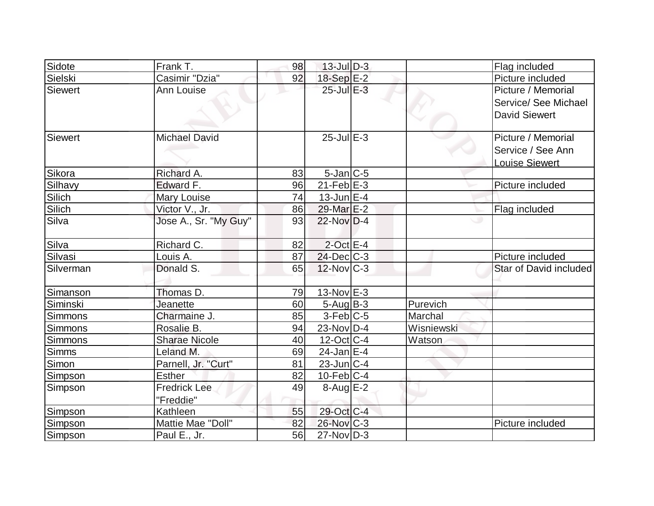| Sidote         | Frank T.                         | 98 | $13$ -Jul $D-3$         |            | Flag included                                                      |
|----------------|----------------------------------|----|-------------------------|------------|--------------------------------------------------------------------|
| Sielski        | Casimir "Dzia"                   | 92 | $18-Sep$ $E-2$          |            | Picture included                                                   |
| <b>Siewert</b> | Ann Louise                       |    | $25$ -Jul $E-3$         |            | Picture / Memorial<br>Service/ See Michael<br><b>David Siewert</b> |
| Siewert        | <b>Michael David</b>             |    | $25$ -Jul $E-3$         |            | Picture / Memorial<br>Service / See Ann<br><b>Louise Siewert</b>   |
| Sikora         | Richard A.                       | 83 | $5$ -Jan $ C$ -5        |            |                                                                    |
| Silhavy        | Edward F.                        | 96 | $21$ -Feb $E-3$         |            | Picture included                                                   |
| Silich         | Mary Louise                      | 74 | $13$ -Jun $E-4$         |            |                                                                    |
| Silich         | <u>Victor V., Jr.</u>            | 86 | 29-Mar <sub>IE</sub> -2 |            | Flag included                                                      |
| Silva          | Jose A., Sr. "My Guy"            | 93 | $22$ -Nov D-4           |            |                                                                    |
| Silva          | Richard C.                       | 82 | $2$ -Oct $E-4$          |            |                                                                    |
| Silvasi        | Louis A.                         | 87 | $24$ -Dec $C-3$         |            | Picture included                                                   |
| Silverman      | Donald S.                        | 65 | $12$ -Nov $ C-3 $       |            | Star of David included                                             |
| Simanson       | Thomas D.                        | 79 | $13-Nov$ E-3            |            |                                                                    |
| Siminski       | Jeanette                         | 60 | $5-Aug B-3$             | Purevich   |                                                                    |
| Simmons        | Charmaine J.                     | 85 | $3-Feb$ C-5             | Marchal    |                                                                    |
| Simmons        | Rosalie B.                       | 94 | $23$ -Nov $ D-4 $       | Wisniewski |                                                                    |
| Simmons        | <b>Sharae Nicole</b>             | 40 | $12$ -Oct C-4           | Watson     |                                                                    |
| <b>Simms</b>   | Leland M.                        | 69 | $24$ -Jan $E-4$         |            |                                                                    |
| Simon          | Parnell, Jr. "Curt"              | 81 | $23$ -Jun $C-4$         |            |                                                                    |
| Simpson        | <b>Esther</b>                    | 82 | $10$ -Feb $ C-4 $       |            |                                                                    |
| Simpson        | <b>Fredrick Lee</b><br>"Freddie" | 49 | $8-Aug$ $E-2$           |            |                                                                    |
| Simpson        | Kathleen                         | 55 | 29-Oct C-4              |            |                                                                    |
| Simpson        | Mattie Mae "Doll"                | 82 | 26-Nov C-3              |            | Picture included                                                   |
| Simpson        | Paul E., Jr.                     | 56 | $27$ -Nov $ D-3 $       |            |                                                                    |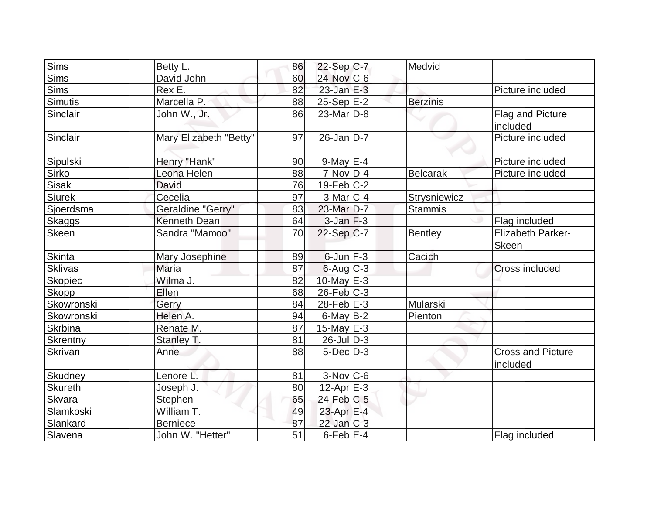| <b>Sims</b>     | Betty L.               | 86 | $22-Sep C-7$           | Medvid          |                                          |
|-----------------|------------------------|----|------------------------|-----------------|------------------------------------------|
| <b>Sims</b>     | David John             | 60 | $24$ -Nov $ C-6 $      |                 |                                          |
| <b>Sims</b>     | Rex E.                 | 82 | $23$ -Jan $E-3$        |                 | Picture included                         |
| Simutis         | Marcella P.            | 88 | $25-Sep$ E-2           | <b>Berzinis</b> |                                          |
| Sinclair        | John W., Jr.           | 86 | $23$ -Mar $ D-8 $      |                 | Flag and Picture<br>included             |
| Sinclair        | Mary Elizabeth "Betty" | 97 | $26$ -Jan $D-7$        |                 | Picture included                         |
| Sipulski        | Henry "Hank"           | 90 | $9$ -May $E-4$         |                 | Picture included                         |
| Sirko           | Leona Helen            | 88 | $7-Nov D-4$            | <b>Belcarak</b> | Picture included                         |
| Sisak           | <b>David</b>           | 76 | $19$ -Feb $ C-2$       |                 |                                          |
| Siurek          | Cecelia                | 97 | $3-Mar$ $C-4$          | Strysniewicz    |                                          |
| Sjoerdsma       | Geraldine "Gerry"      | 83 | 23-Mar D-7             | <b>Stammis</b>  |                                          |
| Skaggs          | Kenneth Dean           | 64 | $3$ -Jan $F-3$         |                 | Flag included                            |
| <b>Skeen</b>    | Sandra "Mamoo"         | 70 | $22-Sep C-7$           | <b>Bentley</b>  | <b>Elizabeth Parker-</b><br><b>Skeen</b> |
| Skinta          | Mary Josephine         | 89 | $6$ -Jun $F-3$         | Cacich          |                                          |
| <b>Sklivas</b>  | Maria                  | 87 | 6-Aug C-3              |                 | Cross included                           |
| <b>Skopiec</b>  | Wilma J.               | 82 | $10$ -May E-3          |                 |                                          |
| <b>Skopp</b>    | Ellen                  | 68 | $26$ -Feb $ C-3 $      |                 |                                          |
| Skowronski      | Gerry                  | 84 | $28$ -Feb $E-3$        | Mularski        |                                          |
| Skowronski      | Helen A.               | 94 | $6$ -May $B-2$         | Pienton         |                                          |
| Skrbina         | Renate M.              | 87 | 15-May $E-3$           |                 |                                          |
| <b>Skrentny</b> | Stanley T.             | 81 | $26$ -JulD-3           |                 |                                          |
| Skrivan         | Anne                   | 88 | $5$ -Dec $D-3$         |                 | <b>Cross and Picture</b><br>included     |
| <b>Skudney</b>  | Lenore L.              | 81 | $3-Nov$ <sub>C-6</sub> |                 |                                          |
| <b>Skureth</b>  | Joseph J.              | 80 | $12$ -Apr $E-3$        |                 |                                          |
| Skvara          | <b>Stephen</b>         | 65 | $24$ -Feb $ C$ -5      |                 |                                          |
| Slamkoski       | William T.             | 49 | 23-Apr $E-4$           |                 |                                          |
| Slankard        | <b>Berniece</b>        | 87 | $22$ -Jan $ C-3 $      |                 |                                          |
| Slavena         | John W. "Hetter"       | 51 | $6$ -Feb $E$ -4        |                 | Flag included                            |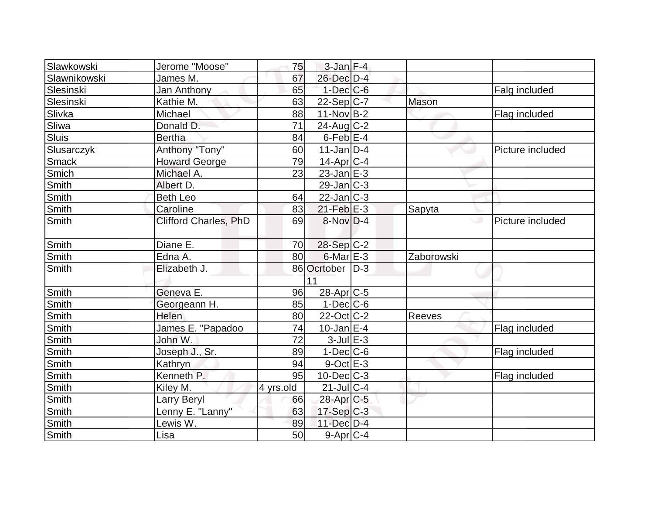| Slawkowski   | Jerome "Moose"               | 75        | $3$ -Jan $F-4$        |              |                  |
|--------------|------------------------------|-----------|-----------------------|--------------|------------------|
| Slawnikowski | James M.                     | 67        | 26-Dec D-4            |              |                  |
| Slesinski    | Jan Anthony                  | 65        | $1-Dec$ $C-6$         |              | Falg included    |
| Slesinski    | Kathie M.                    | 63        | 22-Sep C-7            | <b>Mason</b> |                  |
| Slivka       | Michael                      | 88        | $11-Nov B-2$          |              | Flag included    |
| Sliwa        | Donald D.                    | 71        | $24$ -Aug C-2         |              |                  |
| Sluis        | <b>Bertha</b>                | 84        | $6$ -Feb $E$ -4       |              |                  |
| Slusarczyk   | Anthony "Tony"               | 60        | $11$ -Jan $ D-4 $     |              | Picture included |
| Smack        | <b>Howard George</b>         | 79        | $14$ -Apr $ C-4$      |              |                  |
| Smich        | Michael A.                   | 23        | $23$ -Jan $E-3$       |              |                  |
| Smith        | Albert D.                    |           | $29$ -Jan $C-3$       |              |                  |
| Smith        | <b>Beth Leo</b>              | 64        | $22$ -Jan $ C-3 $     |              |                  |
| Smith        | Caroline                     | 83        | $21$ -Feb $E-3$       | Sapyta       |                  |
| Smith        | <b>Clifford Charles, PhD</b> | 69        | $8-Nov$ D-4           |              | Picture included |
| Smith        | Diane E.                     | 70        | 28-Sep C-2            |              |                  |
| Smith        | Edna A.                      | 80        | $6$ -Mar $E-3$        | Zaborowski   |                  |
| Smith        | Elizabeth J.                 | 86        | Ocrtober   D-3        |              |                  |
|              |                              |           | 11                    |              |                  |
| Smith        | Geneva E.                    | 96        | $28$ -Apr $C$ -5      |              |                  |
| <b>Smith</b> | Georgeann H.                 | 85        | $1-Dec$ $C-6$         |              |                  |
| Smith        | Helen                        | 80        | $22$ -Oct $ C-2 $     | Reeves       |                  |
| Smith        | James E. "Papadoo            | 74        | $10$ -Jan $E-4$       |              | Flag included    |
| Smith        | John W.                      | 72        | $3$ -Jul $E-3$        |              |                  |
| Smith        | Joseph J., Sr.               | 89        | $1-Dec$ $C-6$         |              | Flag included    |
| Smith        | Kathryn                      | 94        | $9$ -Oct $E-3$        |              |                  |
| Smith        | Kenneth P.                   | 95        | $10$ -Dec $C-3$       |              | Flag included    |
| Smith        | Kiley M.                     | 4 yrs.old | $21$ -Jul $C-4$       |              |                  |
| Smith        | <b>Larry Beryl</b>           | 66        | 28-Apr <sub>C-5</sub> |              |                  |
| Smith        | Lenny E. "Lanny"             | 63        | $17-Sep C-3$          |              |                  |
| <b>Smith</b> | Lewis W.                     | 89        | 11-Dec D-4            |              |                  |
| Smith        | Lisa                         | 50        | $9-Apr$ $C-4$         |              |                  |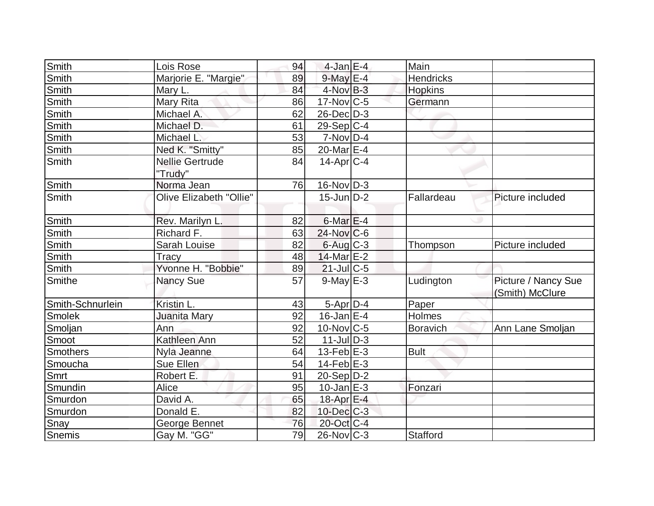| Smith            | Lois Rose               | 94 | $4$ -Jan E-4      | Main             |                                        |
|------------------|-------------------------|----|-------------------|------------------|----------------------------------------|
| Smith            | Marjorie E. "Margie"    | 89 | $9$ -May $E-4$    | <b>Hendricks</b> |                                        |
| <b>Smith</b>     | Mary L.                 | 84 | $4$ -Nov $B-3$    | <b>Hopkins</b>   |                                        |
| Smith            | Mary Rita               | 86 | $17$ -Nov $ C-5 $ | Germann          |                                        |
| Smith            | Michael A.              | 62 | $26$ -Dec $D-3$   |                  |                                        |
| Smith            | Michael D.              | 61 | $29-Sep C-4$      |                  |                                        |
| Smith            | Michael L               | 53 | $7-Nov$ D-4       |                  |                                        |
| Smith            | Ned K. "Smitty"         | 85 | 20-Mar E-4        |                  |                                        |
| Smith            | <b>Nellie Gertrude</b>  | 84 | $14$ -Apr $ C-4 $ |                  |                                        |
|                  | "Trudy"                 |    |                   |                  |                                        |
| Smith            | Norma Jean              | 76 | $16$ -Nov $ D-3 $ |                  |                                        |
| Smith            | Olive Elizabeth "Ollie" |    | $15$ -Jun $D-2$   | Fallardeau       | Picture included                       |
| <b>Smith</b>     | Rev. Marilyn L.         | 82 | $6$ -Mar $E-4$    |                  |                                        |
| <b>Smith</b>     | Richard F.              | 63 | $24$ -Nov $C$ -6  |                  |                                        |
| Smith            | Sarah Louise            | 82 | $6$ -Aug $C$ -3   | Thompson         | Picture included                       |
| Smith            | Tracy                   | 48 | 14-Mar E-2        |                  |                                        |
| Smith            | Yvonne H. "Bobbie"      | 89 | $21$ -Jul C-5     |                  |                                        |
| Smithe           | <b>Nancy Sue</b>        | 57 | $9$ -May $E-3$    | Ludington        | Picture / Nancy Sue<br>(Smith) McClure |
| Smith-Schnurlein | Kristin L.              | 43 | $5-Apr D-4$       | Paper            |                                        |
| Smolek           | Juanita Mary            | 92 | $16$ -Jan E-4     | Holmes           |                                        |
| Smoljan          | Ann                     | 92 | $10$ -Nov $ C-5 $ | <b>Boravich</b>  | Ann Lane Smoljan                       |
| Smoot            | Kathleen Ann            | 52 | $11$ -JulD-3      |                  |                                        |
| <b>Smothers</b>  | Nyla Jeanne             | 64 | 13-Feb $E-3$      | <b>Bult</b>      |                                        |
| Smoucha          | Sue Ellen               | 54 | $14$ -Feb $E-3$   |                  |                                        |
| Smrt             | Robert E.               | 91 | $20-Sep D-2$      |                  |                                        |
| Smundin          | Alice                   | 95 | $10$ -Jan $E-3$   | Fonzari          |                                        |
| Smurdon          | David A.                | 65 | 18-Apr E-4        |                  |                                        |
| Smurdon          | Donald E.               | 82 | $10$ -Dec $C$ -3  |                  |                                        |
| Snay             | George Bennet           | 76 | 20-Oct C-4        |                  |                                        |
| Snemis           | Gay M. "GG"             | 79 | $26$ -Nov $ C-3 $ | Stafford         |                                        |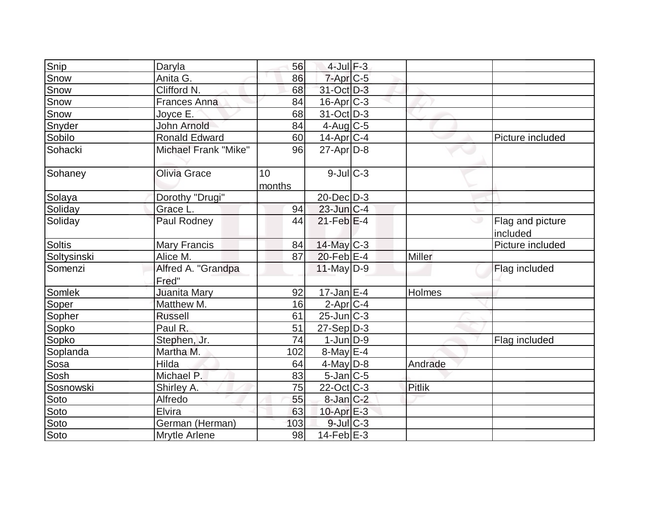| Snip          | Daryla                      | 56           | $4$ -Jul $F-3$    |               |                              |
|---------------|-----------------------------|--------------|-------------------|---------------|------------------------------|
| Snow          | Anita G.                    | 86           | 7-Apr C-5         |               |                              |
| Snow          | Clifford N.                 | 68           | 31-Oct D-3        |               |                              |
| Snow          | <b>Frances Anna</b>         | 84           | $16$ -Apr $C-3$   |               |                              |
| Snow          | Joyce E.                    | 68           | 31-Oct D-3        |               |                              |
| Snyder        | John Arnold                 | 84           | $4$ -Aug C-5      |               |                              |
| Sobilo        | <b>Ronald Edward</b>        | 60           | 14-Apr C-4        |               | Picture included             |
| Sohacki       | Michael Frank "Mike"        | 96           | $27$ -Apr $D-8$   |               |                              |
| Sohaney       | Olivia Grace                | 10<br>months | $9$ -Jul $C-3$    |               |                              |
| Solaya        | Dorothy "Drugi"             |              | $20$ -Dec $D-3$   |               |                              |
| Soliday       | Grace L.                    | 94           | $23$ -Jun $ C-4 $ |               |                              |
| Soliday       | Paul Rodney                 | 44           | $21$ -Feb $E-4$   |               | Flag and picture<br>included |
| <b>Soltis</b> | <b>Mary Francis</b>         | 84           | 14-May C-3        |               | Picture included             |
| Soltysinski   | Alice M.                    | 87           | $20$ -Feb $ E-4 $ | <b>Miller</b> |                              |
| Somenzi       | Alfred A. "Grandpa<br>Fred" |              | $11$ -May D-9     |               | Flag included                |
| Somlek        | Juanita Mary                | 92           | $17 - Jan$ E-4    | Holmes        |                              |
| Soper         | Matthew M.                  | 16           | $2$ -Apr $ C-4$   |               |                              |
| Sopher        | <b>Russell</b>              | 61           | $25$ -Jun $C-3$   |               |                              |
| Sopko         | Paul R.                     | 51           | $27-Sep D-3$      |               |                              |
| Sopko         | Stephen, Jr.                | 74           | $1$ -Jun $D-9$    |               | Flag included                |
| Soplanda      | Martha M.                   | 102          | $8$ -May $E-4$    |               |                              |
| Sosa          | Hilda                       | 64           | $4$ -May $D-8$    | Andrade       |                              |
| Sosh          | Michael P.                  | 83           | $5$ -Jan $ C$ -5  |               |                              |
| Sosnowski     | Shirley A.                  | 75           | $22$ -Oct C-3     | <b>Pitlik</b> |                              |
| Soto          | Alfredo                     | 55           | $8$ -Jan $C-2$    |               |                              |
| Soto          | <b>Elvira</b>               | 63           | $10$ -Apr $E-3$   |               |                              |
| Soto          | German (Herman)             | 103          | $9$ -Jul $C-3$    |               |                              |
| Soto          | Mrytle Arlene               | 98           | $14$ -Feb $E-3$   |               |                              |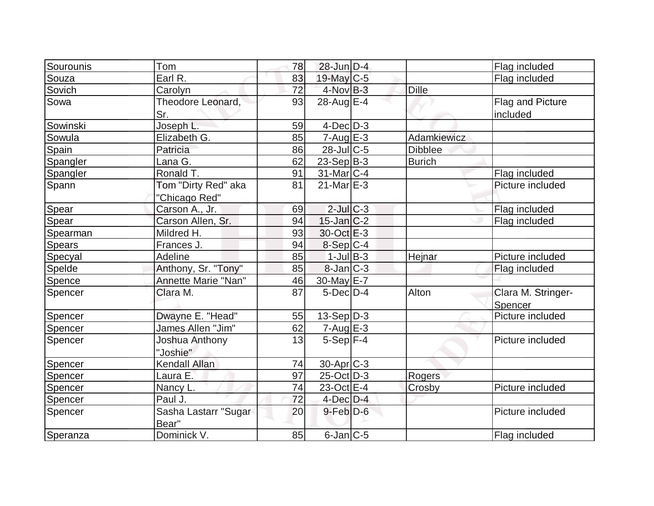| Sourounis | Tom                                  | 78 | $28$ -Jun $D-4$        |                | Flag included                 |
|-----------|--------------------------------------|----|------------------------|----------------|-------------------------------|
| Souza     | Earl R.                              | 83 | 19-May C-5             |                | Flag included                 |
| Sovich    | Carolyn                              | 72 | $4$ -Nov $B-3$         | <b>Dille</b>   |                               |
| Sowa      | Theodore Leonard,<br>Sr.             | 93 | $28$ -Aug $E-4$        |                | Flag and Picture<br>included  |
| Sowinski  | Joseph L.                            | 59 | $4$ -Dec $D-3$         |                |                               |
| Sowula    | Elizabeth G.                         | 85 | $7 - Aug$ E-3          | Adamkiewicz    |                               |
| Spain     | Patricia                             | 86 | $28$ -Jul C-5          | <b>Dibblee</b> |                               |
| Spangler  | Lana G.                              | 62 | $23-Sep B-3$           | <b>Burich</b>  |                               |
| Spangler  | Ronald T.                            | 91 | 31-Mar <sub>IC-4</sub> |                | Flag included                 |
| Spann     | Tom "Dirty Red" aka<br>"Chicago Red" | 81 | $21$ -Mar $E-3$        |                | Picture included              |
| Spear     | Carson A., Jr.                       | 69 | $2$ -Jul $C-3$         |                | Flag included                 |
| Spear     | Carson Allen, Sr.                    | 94 | $15$ -Jan $C-2$        |                | Flag included                 |
| Spearman  | Mildred H.                           | 93 | 30-Oct E-3             |                |                               |
| Spears    | Frances J.                           | 94 | $8-Sep C-4$            |                |                               |
| Specyal   | Adeline                              | 85 | $1$ -Jul $B-3$         | Hejnar         | Picture included              |
| Spelde    | Anthony, Sr. "Tony"                  | 85 | $8$ -Jan $ C-3 $       |                | Flag included                 |
| Spence    | Annette Marie "Nan"                  | 46 | 30-May E-7             |                |                               |
| Spencer   | Clara M.                             | 87 | $5$ -Dec $D-4$         | Alton          | Clara M. Stringer-<br>Spencer |
| Spencer   | Dwayne E. "Head"                     | 55 | $13-Sep\overline{D-3}$ |                | Picture included              |
| Spencer   | James Allen "Jim"                    | 62 | $7 - Aug$ E-3          |                |                               |
| Spencer   | Joshua Anthony<br>"Joshie"           | 13 | $5-Sep$ F-4            |                | Picture included              |
| Spencer   | Kendall Allan                        | 74 | 30-Apr <sub>C-3</sub>  |                |                               |
| Spencer   | Laura E.                             | 97 | $25$ -Oct $D-3$        | Rogers         |                               |
| Spencer   | Nancy L.                             | 74 | $23-Oct$ $E-4$         | Crosby         | Picture included              |
| Spencer   | Paul J.                              | 72 | $4$ -Dec $D-4$         |                |                               |
| Spencer   | Sasha Lastarr "Sugar<br>Bear"        | 20 | $9$ -Feb $D$ -6        |                | Picture included              |
| Speranza  | Dominick V.                          | 85 | $6$ -Jan $ C$ -5       |                | Flag included                 |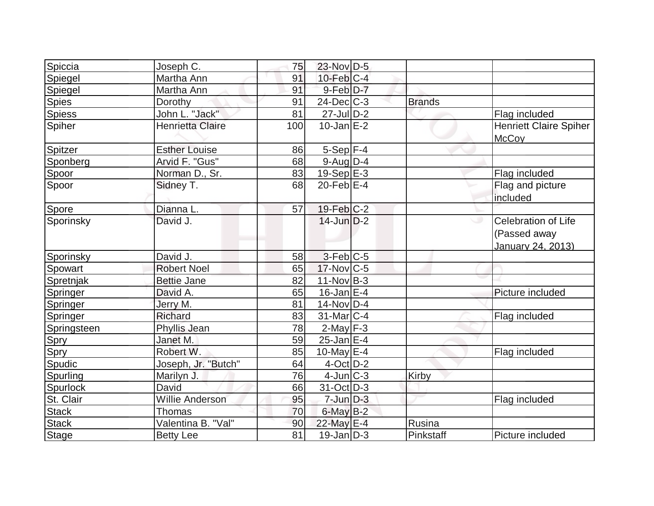| Spiccia       | Joseph C.               | 75  | 23-Nov D-5        |               |                                                                 |
|---------------|-------------------------|-----|-------------------|---------------|-----------------------------------------------------------------|
| Spiegel       | Martha Ann              | 91  | $10$ -Feb $ C-4 $ |               |                                                                 |
| Spiegel       | Martha Ann              | 91  | $9$ -Feb $D-7$    |               |                                                                 |
| <b>Spies</b>  | Dorothy                 | 91  | $24$ -Dec $C$ -3  | <b>Brands</b> |                                                                 |
| <b>Spiess</b> | John L. "Jack"          | 81  | $27 -$ Jul D-2    |               | Flag included                                                   |
| Spiher        | <b>Henrietta Claire</b> | 100 | $10$ -Jan $E-2$   |               | <b>Henriett Claire Spiher</b><br><b>McCoy</b>                   |
| Spitzer       | <b>Esther Louise</b>    | 86  | $5-Sep$ F-4       |               |                                                                 |
| Sponberg      | Arvid F. "Gus"          | 68  | $9$ -Aug $D-4$    |               |                                                                 |
| Spoor         | Norman D., Sr.          | 83  | $19-Sep$ $E-3$    |               | Flag included                                                   |
| Spoor         | Sidney T.               | 68  | $20$ -Feb $E-4$   |               | Flag and picture<br>included                                    |
| Spore         | Dianna L.               | 57  | $19$ -Feb $ C-2 $ |               |                                                                 |
| Sporinsky     | David J.                |     | $14$ -Jun $D-2$   |               | <b>Celebration of Life</b><br>(Passed away<br>January 24, 2013) |
| Sporinsky     | David J.                | 58  | $3-Feb C-5$       |               |                                                                 |
| Spowart       | <b>Robert Noel</b>      | 65  | $17$ -Nov $ C-5 $ |               |                                                                 |
| Spretnjak     | <b>Bettie Jane</b>      | 82  | $11$ -Nov $B-3$   |               |                                                                 |
| Springer      | David A.                | 65  | $16$ -Jan $E-4$   |               | Picture included                                                |
| Springer      | Jerry M.                | 81  | 14-Nov D-4        |               |                                                                 |
| Springer      | Richard                 | 83  | 31-Mar C-4        |               | Flag included                                                   |
| Springsteen   | Phyllis Jean            | 78  | $2$ -May $F-3$    |               |                                                                 |
| Spry          | Janet M.                | 59  | $25$ -Jan $E-4$   |               |                                                                 |
| Spry          | Robert W.               | 85  | 10-May $E-4$      |               | Flag included                                                   |
| Spudic        | Joseph, Jr. "Butch"     | 64  | $4$ -Oct $D-2$    |               |                                                                 |
| Spurling      | Marilyn J.              | 76  | $4$ -Jun $ C-3 $  | Kirby         |                                                                 |
| Spurlock      | David                   | 66  | $31$ -Oct D-3     |               |                                                                 |
| St. Clair     | Willie Anderson         | 95  | $7$ -Jun $D-3$    |               | Flag included                                                   |
| <b>Stack</b>  | Thomas                  | 70  | $6$ -May $B-2$    |               |                                                                 |
| <b>Stack</b>  | Valentina B. "Val"      | 90  | 22-May E-4        | Rusina        |                                                                 |
| <b>Stage</b>  | <b>Betty Lee</b>        | 81  | $19$ -Jan $D-3$   | Pinkstaff     | Picture included                                                |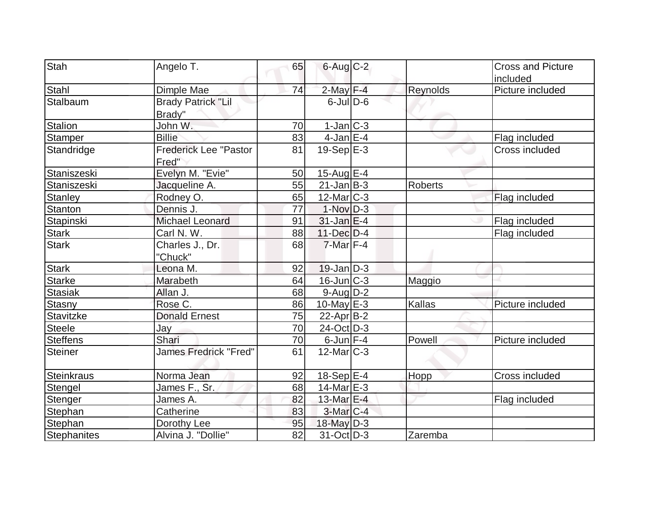| Stah               | Angelo T.                           | 65              | $6$ -Aug $C$ -2   |                | <b>Cross and Picture</b> |
|--------------------|-------------------------------------|-----------------|-------------------|----------------|--------------------------|
|                    |                                     |                 |                   |                | included                 |
| Stahl              | Dimple Mae                          | 74              | $2$ -May $F-4$    | Reynolds       | Picture included         |
| Stalbaum           | <b>Brady Patrick "Lil</b><br>Brady" |                 | $6$ -Jul $D$ -6   |                |                          |
| <b>Stalion</b>     | John W.                             | 70              | $1-Jan$ $C-3$     |                |                          |
| Stamper            | <b>Billie</b>                       | 83              | $4$ -Jan $E-4$    |                | Flag included            |
| Standridge         | Frederick Lee "Pastor<br>Fred"      | 81              | $19-Sep$ $E-3$    |                | Cross included           |
| Staniszeski        | Evelyn M. "Evie"                    | 50              | $15$ -Aug $E-4$   |                |                          |
| Staniszeski        | Jacqueline A.                       | 55              | $21$ -Jan $ B-3 $ | <b>Roberts</b> |                          |
| <b>Stanley</b>     | Rodney O.                           | 65              | $12$ -Mar $ C-3 $ |                | Flag included            |
| Stanton            | Dennis J.                           | 77              | $1-Nov$ D-3       |                |                          |
| Stapinski          | <b>Michael Leonard</b>              | 91              | $31$ -Jan $E-4$   |                | Flag included            |
| <b>Stark</b>       | Carl N. W.                          | 88              | $11$ -Dec $D-4$   |                | Flag included            |
| <b>Stark</b>       | Charles J., Dr.<br>"Chuck"          | 68              | $7$ -Mar $F-4$    |                |                          |
| <b>Stark</b>       | Leona M.                            | 92              | $19$ -Jan $D-3$   |                |                          |
| <b>Starke</b>      | Marabeth                            | 64              | 16-Jun C-3        | Maggio         |                          |
| <b>Stasiak</b>     | Allan J.                            | 68              | $9$ -Aug $D-2$    |                |                          |
| Stasny             | Rose C.                             | 86              | 10-May $E-3$      | Kallas         | Picture included         |
| Stavitzke          | <b>Donald Ernest</b>                | 75              | $22$ -Apr $B$ -2  |                |                          |
| <b>Steele</b>      | Jay                                 | 70              | 24-Oct D-3        |                |                          |
| <b>Steffens</b>    | Shari                               | 70              | $6$ -Jun $F-4$    | Powell         | Picture included         |
| <b>Steiner</b>     | James Fredrick "Fred"               | 61              | $12$ -Mar $ C-3 $ |                |                          |
| <b>Steinkraus</b>  | Norma Jean                          | 92              | 18-Sep $E-4$      | Hopp           | Cross included           |
| Stengel            | James F., Sr.                       | 68              | $14$ -Mar $E-3$   |                |                          |
| Stenger            | James A.                            | 82              | 13-Mar E-4        |                | Flag included            |
| Stephan            | Catherine                           | 83              | $3-Mar$ $C-4$     |                |                          |
| Stephan            | Dorothy Lee                         | 95              | $18$ -May $D-3$   |                |                          |
| <b>Stephanites</b> | Alvina J. "Dollie"                  | $\overline{82}$ | $31-Oct$ D-3      | Zaremba        |                          |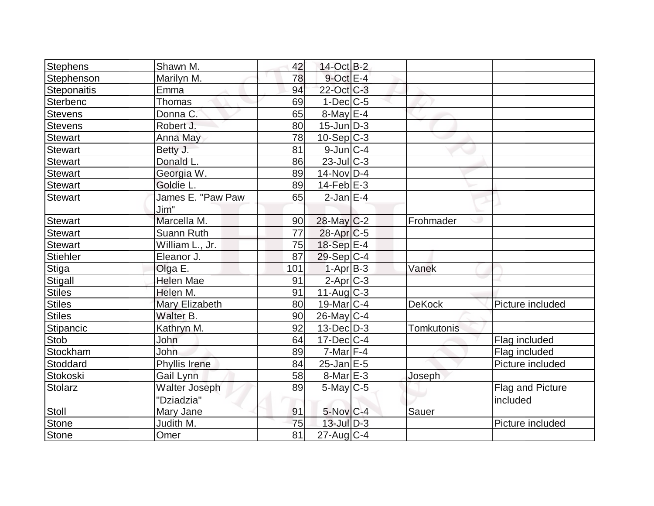| Stephens           | Shawn M.          | 42  | 14-Oct B-2         |                   |                  |
|--------------------|-------------------|-----|--------------------|-------------------|------------------|
| Stephenson         | Marilyn M.        | 78  | $9$ -Oct $E-4$     |                   |                  |
| <b>Steponaitis</b> | Emma              | 94  | 22-Oct C-3         |                   |                  |
| Sterbenc           | Thomas            | 69  | $1-Dec$ $C-5$      |                   |                  |
| Stevens            | Donna C.          | 65  | $8$ -May $E-4$     |                   |                  |
| Stevens            | Robert J.         | 80  | $15$ -Jun $ D-3 $  |                   |                  |
| <b>Stewart</b>     | Anna May          | 78  | $10-Sep C-3$       |                   |                  |
| Stewart            | Betty J.          | 81  | $9$ -Jun $C-4$     |                   |                  |
| <b>Stewart</b>     | Donald L.         | 86  | $23$ -Jul C-3      |                   |                  |
| <b>Stewart</b>     | Georgia W.        | 89  | $14$ -Nov $ D-4$   |                   |                  |
| <b>Stewart</b>     | Goldie L.         | 89  | $14$ -Feb $ E-3$   |                   |                  |
| Stewart            | James E. "Paw Paw | 65  | $2$ -Jan $E-4$     |                   |                  |
|                    | Jim"              |     |                    |                   |                  |
| <b>Stewart</b>     | Marcella M.       | 90  | $28$ -May C-2      | Frohmader         |                  |
| <b>Stewart</b>     | Suann Ruth        | 77  | $28$ -Apr $ C$ -5  |                   |                  |
| <b>Stewart</b>     | William L., Jr.   | 75  | 18-Sep E-4         |                   |                  |
| <b>Stiehler</b>    | Eleanor J.        | 87  | $29-Sep C-4$       |                   |                  |
| Stiga              | Olga E.           | 101 | $1-AprB-3$         | Vanek             |                  |
| Stigall            | <b>Helen Mae</b>  | 91  | $2$ -Apr $C$ -3    |                   |                  |
| <b>Stiles</b>      | Helen M.          | 91  | $11-Auq$ $C-3$     |                   |                  |
| <b>Stiles</b>      | Mary Elizabeth    | 80  | $19$ -Mar $ C-4$   | <b>DeKock</b>     | Picture included |
| Stiles             | Walter B.         | 90  | 26-May C-4         |                   |                  |
| Stipancic          | Kathryn M.        | 92  | $13$ -Dec $ D-3 $  | <b>Tomkutonis</b> |                  |
| Stob               | John              | 64  | $17 - Dec$ $C - 4$ |                   | Flag included    |
| Stockham           | <b>John</b>       | 89  | $7$ -Mar $ F-4 $   |                   | Flag included    |
| Stoddard           | Phyllis Irene     | 84  | $25$ -Jan $E$ -5   |                   | Picture included |
| Stokoski           | Gail Lynn         | 58  | $8$ -Mar $E-3$     | Joseph            |                  |
| Stolarz            | Walter Joseph     | 89  | $5$ -May $C$ -5    |                   | Flag and Picture |
|                    | "Dziadzia"        |     |                    |                   | included         |
| Stoll              | Mary Jane         | 91  | 5-Nov C-4          | Sauer             |                  |
| Stone              | Judith M.         | 75  | $13$ -Jul $D-3$    |                   | Picture included |
| <b>Stone</b>       | Omer              | 81  | $27$ -Aug C-4      |                   |                  |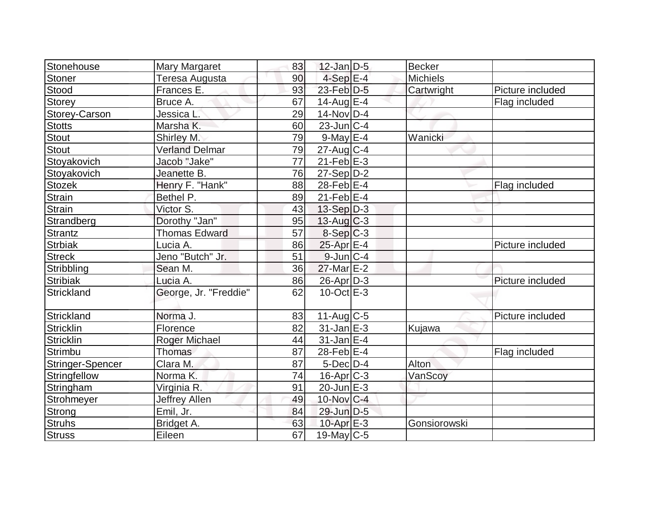| Stonehouse       | <b>Mary Margaret</b>  | 83 | $12$ -Jan D-5     | Becker          |                  |
|------------------|-----------------------|----|-------------------|-----------------|------------------|
| <b>Stoner</b>    | Teresa Augusta        | 90 | $4-Sep$ $E-4$     | <b>Michiels</b> |                  |
| Stood            | Frances E.            | 93 | $23$ -Feb $D-5$   | Cartwright      | Picture included |
| <b>Storey</b>    | Bruce A.              | 67 | $14$ -Aug $E-4$   |                 | Flag included    |
| Storey-Carson    | Jessica L.            | 29 | $14$ -Nov $ D-4$  |                 |                  |
| <b>Stotts</b>    | Marsha K.             | 60 | $23$ -Jun $ C-4$  |                 |                  |
| <b>Stout</b>     | Shirley M.            | 79 | $9$ -May $E - 4$  | Wanicki         |                  |
| <b>Stout</b>     | <b>Verland Delmar</b> | 79 | $27$ -Aug $C$ -4  |                 |                  |
| Stoyakovich      | Jacob "Jake"          | 77 | $21$ -Feb $E-3$   |                 |                  |
| Stoyakovich      | Jeanette B.           | 76 | $27-Sep D-2$      |                 |                  |
| Stozek           | Henry F. "Hank"       | 88 | $28$ -Feb $E-4$   |                 | Flag included    |
| <b>Strain</b>    | Bethel P.             | 89 | $21$ -Feb $E-4$   |                 |                  |
| <b>Strain</b>    | Victor S.             | 43 | $13-Sep D-3$      |                 |                  |
| Strandberg       | Dorothy "Jan"         | 95 | $13$ -Aug C-3     |                 |                  |
| Strantz          | <b>Thomas Edward</b>  | 57 | $8-Sep C-3$       |                 |                  |
| <b>Strbiak</b>   | Lucia A.              | 86 | $25$ -Apr $E-4$   |                 | Picture included |
| <b>Streck</b>    | Jeno "Butch" Jr.      | 51 | $9$ -Jun $C-4$    |                 |                  |
| Stribbling       | Sean M.               | 36 | $27$ -Mar $E-2$   |                 |                  |
| <b>Stribiak</b>  | Lucia A.              | 86 | 26-Apr D-3        |                 | Picture included |
| Strickland       | George, Jr. "Freddie" | 62 | $10$ -Oct $E - 3$ |                 |                  |
| Strickland       | Norma J.              | 83 | $11-Aug$ C-5      |                 | Picture included |
| <b>Stricklin</b> | Florence              | 82 | $31$ -Jan $E-3$   | Kujawa          |                  |
| Stricklin        | Roger Michael         | 44 | $31$ -Jan $E-4$   |                 |                  |
| Strimbu          | Thomas                | 87 | 28-Feb $E-4$      |                 | Flag included    |
| Stringer-Spencer | Clara M.              | 87 | $5$ -Dec $D-4$    | Alton           |                  |
| Stringfellow     | Norma K.              | 74 | $16$ -Apr $C-3$   | VanScoy         |                  |
| Stringham        | Virginia R.           | 91 | $20$ -Jun $E-3$   |                 |                  |
| Strohmeyer       | Jeffrey Allen         | 49 | $10$ -Nov $ C-4 $ |                 |                  |
| Strong           | Emil, Jr.             | 84 | 29-Jun D-5        |                 |                  |
| <b>Struhs</b>    | Bridget A.            | 63 | 10-Apr $E-3$      | Gonsiorowski    |                  |
| <b>Struss</b>    | Eileen                | 67 | $19$ -May C-5     |                 |                  |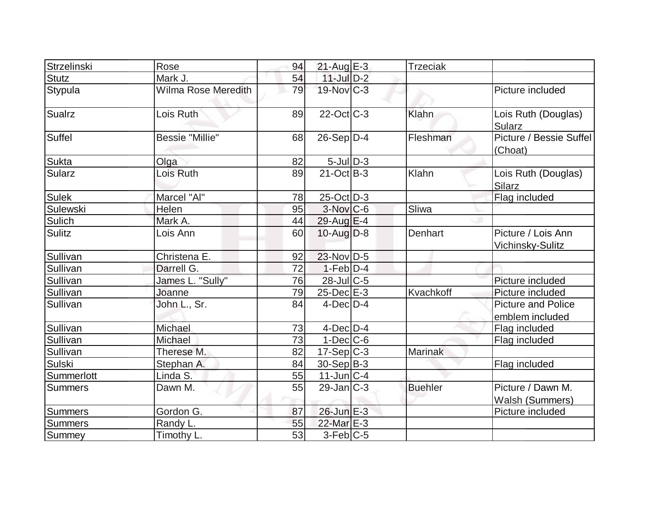| Strzelinski     | Rose                   | 94 | $21$ -Aug E-3     | <b>Trzeciak</b> |                                              |
|-----------------|------------------------|----|-------------------|-----------------|----------------------------------------------|
| <b>Stutz</b>    | Mark J.                | 54 | $11$ -Jul $D-2$   |                 |                                              |
| Stypula         | Wilma Rose Meredith    | 79 | 19-Nov C-3        |                 | Picture included                             |
| <b>Sualrz</b>   | Lois Ruth              | 89 | 22-Oct C-3        | Klahn           | Lois Ruth (Douglas)<br><b>Sularz</b>         |
| Suffel          | <b>Bessie "Millie"</b> | 68 | $26-Sep D-4$      | Fleshman        | Picture / Bessie Suffel<br>(Choat)           |
| <b>Sukta</b>    | Olga                   | 82 | $5$ -Jul $D-3$    |                 |                                              |
| <b>Sularz</b>   | Lois Ruth              | 89 | $21-Oct$ B-3      | Klahn           | Lois Ruth (Douglas)<br><b>Silarz</b>         |
| <b>Sulek</b>    | Marcel "Al"            | 78 | $25$ -Oct $ D-3 $ |                 | Flag included                                |
| <b>Sulewski</b> | Helen                  | 95 | 3-Nov C-6         | Sliwa           |                                              |
| Sulich          | Mark A.                | 44 | $29$ -Aug E-4     |                 |                                              |
| <b>Sulitz</b>   | Lois Ann               | 60 | $10$ -Aug $D-8$   | Denhart         | Picture / Lois Ann<br>Vichinsky-Sulitz       |
| Sullivan        | Christena E.           | 92 | $23$ -Nov D-5     |                 |                                              |
| Sullivan        | Darrell G.             | 72 | $1-Feb D-4$       |                 |                                              |
| Sullivan        | James L. "Sully"       | 76 | 28-Jul C-5        |                 | Picture included                             |
| Sullivan        | Joanne                 | 79 | $25$ -Dec $E-3$   | Kvachkoff       | Picture included                             |
| Sullivan        | John L., Sr.           | 84 | $4$ -Dec $D-4$    |                 | <b>Picture and Police</b><br>emblem included |
| Sullivan        | Michael                | 73 | $4$ -Dec $D-4$    |                 | Flag included                                |
| Sullivan        | Michael                | 73 | $1-Dec$ $C-6$     |                 | Flag included                                |
| Sullivan        | Therese M.             | 82 | $17-Sep C-3$      | Marinak         |                                              |
| Sulski          | Stephan A.             | 84 | 30-Sep B-3        |                 | Flag included                                |
| Summerlott      | Linda S.               | 55 | $11$ -Jun $ C-4 $ |                 |                                              |
| <b>Summers</b>  | Dawn M.                | 55 | $29$ -Jan $ C-3 $ | <b>Buehler</b>  | Picture / Dawn M.<br>Walsh (Summers)         |
| <b>Summers</b>  | Gordon G.              | 87 | 26-Jun E-3        |                 | Picture included                             |
| Summers         | Randy L.               | 55 | 22-Mar E-3        |                 |                                              |
| Summey          | Timothy L.             | 53 | $3-Feb$ C-5       |                 |                                              |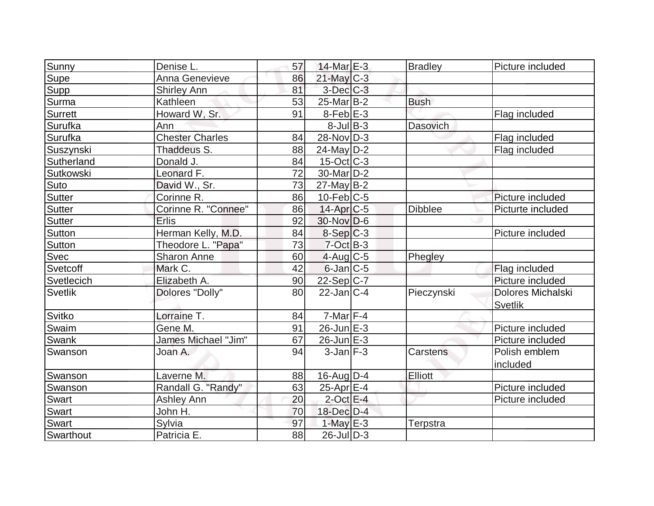| Sunny          | Denise L.              | 57 | $14$ -Mar $E-3$        | <b>Bradley</b> | Picture included                    |
|----------------|------------------------|----|------------------------|----------------|-------------------------------------|
| Supe           | Anna Genevieve         | 86 | $21$ -May C-3          |                |                                     |
| Supp           | <b>Shirley Ann</b>     | 81 | $3$ -Dec $C-3$         |                |                                     |
| <b>Surma</b>   | Kathleen               | 53 | 25-Mar <sub>B</sub> -2 | <b>Bush</b>    |                                     |
| Surrett        | Howard W, Sr.          | 91 | $8$ -Feb $E-3$         |                | Flag included                       |
| Surufka        | Ann                    |    | $8$ -Jul B-3           | Dasovich       |                                     |
| Surufka        | <b>Chester Charles</b> | 84 | 28-Nov D-3             |                | Flag included                       |
| Suszynski      | Thaddeus S.            | 88 | $24$ -May D-2          |                | Flag included                       |
| Sutherland     | Donald J.              | 84 | $15$ -Oct $ C-3 $      |                |                                     |
| Sutkowski      | Leonard F.             | 72 | $30$ -Mar $ D-2 $      |                |                                     |
| Suto           | David W., Sr.          | 73 | $27$ -May B-2          |                |                                     |
| Sutter         | Corinne R.             | 86 | $10$ -Feb $ C-5$       |                | Picture included                    |
| <b>Sutter</b>  | Corinne R. "Connee"    | 86 | $14$ -Apr $C$ -5       | <b>Dibblee</b> | Picturte included                   |
| Sutter         | <b>Erlis</b>           | 92 | $30$ -Nov D-6          |                |                                     |
| Sutton         | Herman Kelly, M.D.     | 84 | $8-Sep C-3$            |                | Picture included                    |
| Sutton         | Theodore L. "Papa"     | 73 | $7$ -Oct B-3           |                |                                     |
| Svec           | <b>Sharon Anne</b>     | 60 | $4$ -Aug C-5           | Phegley        |                                     |
| Svetcoff       | Mark C.                | 42 | $6$ -Jan $ C$ -5       |                | Flag included                       |
| Svetlecich     | Elizabeth A.           | 90 | $22-Sep C-7$           |                | Picture included                    |
| <b>Svetlik</b> | Dolores "Dolly"        | 80 | $22$ -Jan $ C-4 $      | Pieczynski     | Dolores Michalski<br><b>Svetlik</b> |
| Svitko         | Lorraine T.            | 84 | $7$ -Mar $ F-4 $       |                |                                     |
| <b>Swaim</b>   | Gene M.                | 91 | $26$ -Jun $E-3$        |                | Picture included                    |
| Swank          | James Michael "Jim"    | 67 | $26$ -Jun $E-3$        |                | Picture included                    |
| Swanson        | Joan A.                | 94 | $3$ -Jan $ F-3 $       | Carstens       | Polish emblem<br>included           |
| Swanson        | Laverne M.             | 88 | 16-Aug $D-4$           | Elliott        |                                     |
| Swanson        | Randall G. "Randy"     | 63 | $25$ -Apr $E-4$        |                | Picture included                    |
| <b>Swart</b>   | Ashley Ann             | 20 | $2$ -Oct $E-4$         |                | Picture included                    |
| Swart          | John H.                | 70 | 18-Dec D-4             |                |                                     |
| <b>Swart</b>   | Sylvia                 | 97 | 1-May $E-3$            | Terpstra       |                                     |
| Swarthout      | Patricia E.            | 88 | $26$ -Jul $ D-3 $      |                |                                     |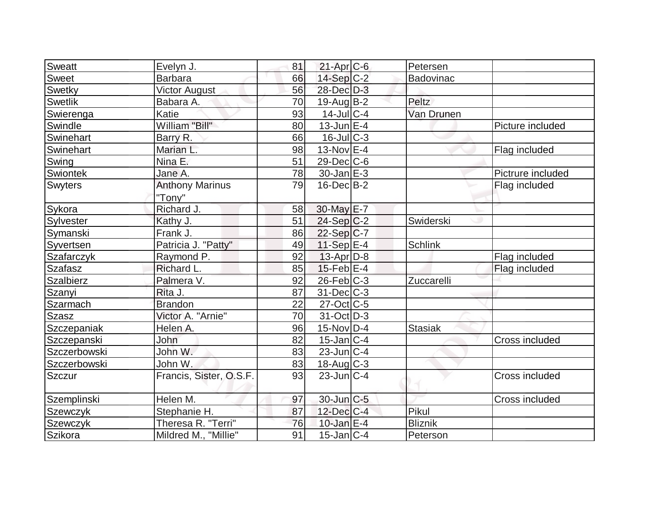| <b>Sweatt</b>  | Evelyn J.               | 81 | $21-Apr$ $C-6$    | Petersen         |                   |
|----------------|-------------------------|----|-------------------|------------------|-------------------|
| Sweet          | <b>Barbara</b>          | 66 | 14-Sep C-2        | <b>Badovinac</b> |                   |
| Swetky         | <b>Victor August</b>    | 56 | 28-Dec D-3        |                  |                   |
| <b>Swetlik</b> | Babara A.               | 70 | $19$ -Aug B-2     | Peltz            |                   |
| Swierenga      | Katie                   | 93 | $14$ -Jul C-4     | Van Drunen       |                   |
| Swindle        | William "Bill"          | 80 | $13$ -Jun $E-4$   |                  | Picture included  |
| Swinehart      | Barry R.                | 66 | $16$ -Jul $C-3$   |                  |                   |
| Swinehart      | Marian L.               | 98 | $13-Nov$ E-4      |                  | Flag included     |
| Swing          | Nina E.                 | 51 | $29$ -Dec $C$ -6  |                  |                   |
| Swiontek       | Jane A.                 | 78 | $30$ -Jan $E-3$   |                  | Pictrure included |
| <b>Swyters</b> | <b>Anthony Marinus</b>  | 79 | $16$ -Dec $B$ -2  |                  | Flag included     |
|                | "Tony"                  |    |                   |                  |                   |
| Sykora         | Richard J.              | 58 | 30-May E-7        |                  |                   |
| Sylvester      | Kathy J.                | 51 | $24-Sep C-2$      | Swiderski        |                   |
| Symanski       | Frank J.                | 86 | $22-Sep C-7$      |                  |                   |
| Syvertsen      | Patricia J. "Patty"     | 49 | $11-Sep$ E-4      | <b>Schlink</b>   |                   |
| Szafarczyk     | Raymond P.              | 92 | $13$ -Apr $ D-8$  |                  | Flag included     |
| <b>Szafasz</b> | Richard L.              | 85 | $15$ -Feb $E$ -4  |                  | Flag included     |
| Szalbierz      | Palmera V.              | 92 | $26$ -Feb $ C-3 $ | Zuccarelli       |                   |
| Szanyi         | Rita J.                 | 87 | $31$ -Dec $ C-3 $ |                  |                   |
| Szarmach       | <b>Brandon</b>          | 22 | $27$ -Oct $ C$ -5 |                  |                   |
| Szasz          | Victor A. "Arnie"       | 70 | $31$ -Oct $ D-3 $ |                  |                   |
| Szczepaniak    | Helen A.                | 96 | $15$ -Nov $ D-4$  | <b>Stasiak</b>   |                   |
| Szczepanski    | John                    | 82 | $15$ -Jan $ C-4 $ |                  | Cross included    |
| Szczerbowski   | John W.                 | 83 | $23$ -Jun $ C-4 $ |                  |                   |
| Szczerbowski   | John W.                 | 83 | 18-Aug C-3        |                  |                   |
| <b>Szczur</b>  | Francis, Sister, O.S.F. | 93 | $23$ -Jun $ C-4 $ |                  | Cross included    |
|                |                         |    |                   |                  |                   |
| Szemplinski    | Helen M.                | 97 | $30$ -Jun $C-5$   |                  | Cross included    |
| Szewczyk       | Stephanie H.            | 87 | $12$ -Dec $ C-4 $ | Pikul            |                   |
| Szewczyk       | Theresa R. "Terri"      | 76 | 10-Jan $E-4$      | <b>Bliznik</b>   |                   |
| Szikora        | Mildred M., "Millie"    | 91 | $15$ -Jan $ C-4$  | Peterson         |                   |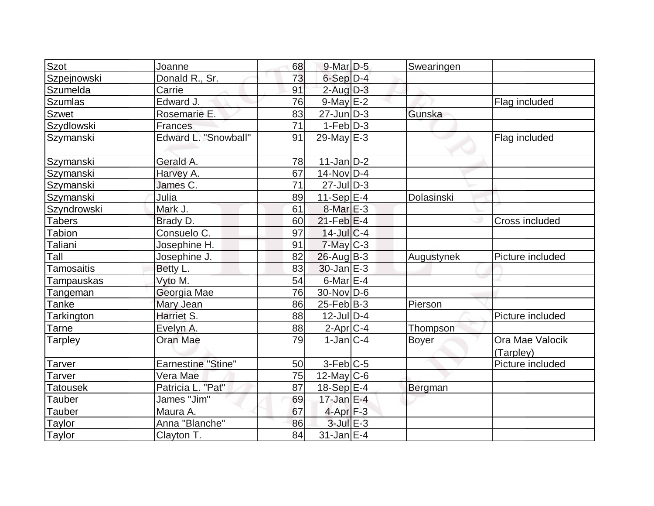| Szot              | Joanne                    | 68 | $9$ -Mar $D-5$           | Swearingen |                              |
|-------------------|---------------------------|----|--------------------------|------------|------------------------------|
| Szpejnowski       | Donald R., Sr.            | 73 | $6-Sep D-4$              |            |                              |
| Szumelda          | Carrie                    | 91 | $2$ -Aug $D-3$           |            |                              |
| <b>Szumlas</b>    | Edward J.                 | 76 | $9$ -May $E-2$           |            | Flag included                |
| <b>Szwet</b>      | Rosemarie E.              | 83 | $27$ -Jun $D-3$          | Gunska     |                              |
| Szydlowski        | <b>Frances</b>            | 71 | $1-Feb$ $D-3$            |            |                              |
| Szymanski         | Edward L. "Snowball"      | 91 | 29-May $E-3$             |            | Flag included                |
| Szymanski         | Gerald A.                 | 78 | $11$ -Jan $D-2$          |            |                              |
| Szymanski         | Harvey A.                 | 67 | 14-Nov D-4               |            |                              |
| Szymanski         | James C.                  | 71 | $27$ -JulD-3             |            |                              |
| Szymanski         | Julia                     | 89 | 11-Sep $E$ -4            | Dolasinski |                              |
| Szyndrowski       | Mark J.                   | 61 | 8-Mar E-3                |            |                              |
| <b>Tabers</b>     | Brady D.                  | 60 | $21$ -Feb $E$ -4         |            | Cross included               |
| <b>Tabion</b>     | Consuelo C.               | 97 | $14$ -Jul $C$ -4         |            |                              |
| Taliani           | Josephine H.              | 91 | $7$ -May $C-3$           |            |                              |
| Tall              | Josephine J.              | 82 | $26$ -Aug $B-3$          | Augustynek | Picture included             |
| <b>Tamosaitis</b> | Betty L.                  | 83 | $30$ -Jan $E-3$          |            |                              |
| Tampauskas        | Vyto M.                   | 54 | $6$ -Mar $E-4$           |            |                              |
| Tangeman          | Georgia Mae               | 76 | $30$ -Nov $D-6$          |            |                              |
| Tanke             | Mary Jean                 | 86 | $25$ -Feb $ B-3$         | Pierson    |                              |
| <b>Tarkington</b> | Harriet S.                | 88 | $12$ -Jul $D-4$          |            | Picture included             |
| Tarne             | Evelyn A.                 | 88 | $2$ -Apr $C$ -4          | Thompson   |                              |
| Tarpley           | Oran Mae                  | 79 | $1$ -Jan $IC-4$          | Boyer      | Ora Mae Valocik<br>(Tarpley) |
| Tarver            | <b>Earnestine "Stine"</b> | 50 | $3-Feb$ $C-5$            |            | Picture included             |
| Tarver            | Vera Mae                  | 75 | $12$ -May C-6            |            |                              |
| <b>Tatousek</b>   | Patricia L. "Pat"         | 87 | $18-Sep$ E-4             | Bergman    |                              |
| Tauber            | James "Jim"               | 69 | $17 - Jan \, \text{E-4}$ |            |                              |
| Tauber            | Maura A.                  | 67 | $4$ -Apr $F-3$           |            |                              |
| Taylor            | Anna "Blanche"            | 86 | $3$ -Jul $E-3$           |            |                              |
| Taylor            | Clayton T.                | 84 | $31$ -Jan E-4            |            |                              |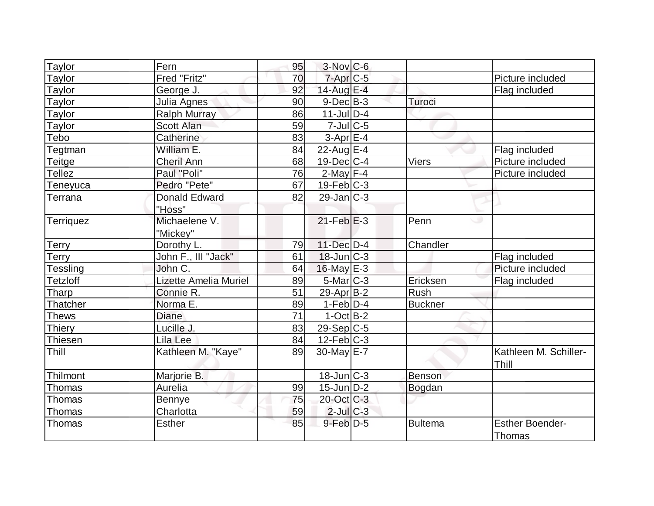| Taylor           | Fern                         | 95 | $3-Nov$ $C-6$     |                |                        |
|------------------|------------------------------|----|-------------------|----------------|------------------------|
| Taylor           | Fred "Fritz"                 | 70 | 7-Apr C-5         |                | Picture included       |
| Taylor           | George J.                    | 92 | $14$ -Aug $E-4$   |                | Flag included          |
| Taylor           | Julia Agnes                  | 90 | $9-Dec B-3$       | Turoci         |                        |
| Taylor           | Ralph Murray                 | 86 | $11$ -JulD-4      |                |                        |
| Taylor           | <b>Scott Alan</b>            | 59 | $7$ -Jul $C$ -5   |                |                        |
| Tebo             | Catherine                    | 83 | $3-Apr$ $E-4$     |                |                        |
| Tegtman          | William E.                   | 84 | 22-Aug $E-4$      |                | Flag included          |
| Teitge           | <b>Cheril Ann</b>            | 68 | $19$ -Dec $ C-4 $ | <b>Viers</b>   | Picture included       |
| <b>Tellez</b>    | Paul "Poli"                  | 76 | $2$ -May $F-4$    |                | Picture included       |
| Teneyuca         | Pedro "Pete"                 | 67 | $19$ -Feb $ C-3$  |                |                        |
| Terrana          | <b>Donald Edward</b>         | 82 | $29$ -Jan $ C-3 $ |                |                        |
|                  | "Hoss"                       |    |                   |                |                        |
| <b>Terriquez</b> | Michaelene V.                |    | $21$ -Feb $E-3$   | Penn           |                        |
|                  | "Mickey"                     |    |                   |                |                        |
| Terry            | Dorothy L.                   | 79 | $11$ -Dec $D-4$   | Chandler       |                        |
| Terry            | John F., III "Jack"          | 61 | $18$ -Jun $ C-3 $ |                | Flag included          |
| Tessling         | John C.                      | 64 | $16$ -May $E-3$   |                | Picture included       |
| <b>Tetzloff</b>  | <b>Lizette Amelia Muriel</b> | 89 | 5-Mar C-3         | Ericksen       | Flag included          |
| Tharp            | Connie R.                    | 51 | $29$ -Apr $ B-2 $ | Rush           |                        |
| Thatcher         | Norma E.                     | 89 | $1-Feb D-4$       | <b>Buckner</b> |                        |
| Thews            | <b>Diane</b>                 | 71 | $1-Oct$ B-2       |                |                        |
| <b>Thiery</b>    | Lucille J.                   | 83 | $29-Sep C-5$      |                |                        |
| Thiesen          | Lila Lee                     | 84 | $12$ -Feb $ C-3 $ |                |                        |
| Thill            | Kathleen M. "Kaye"           | 89 | 30-May E-7        |                | Kathleen M. Schiller-  |
|                  |                              |    |                   |                | Thill                  |
| Thilmont         | Marjorie B.                  |    | $18$ -Jun $ C-3 $ | Benson         |                        |
| Thomas           | Aurelia                      | 99 | $15$ -Jun $D-2$   | Bogdan         |                        |
| Thomas           | <b>Bennye</b>                | 75 | 20-Oct C-3        |                |                        |
| Thomas           | Charlotta                    | 59 | $2$ -JulC-3       |                |                        |
| Thomas           | <b>Esther</b>                | 85 | $9$ -Feb $D-5$    | <b>Bultema</b> | <b>Esther Boender-</b> |
|                  |                              |    |                   |                | Thomas                 |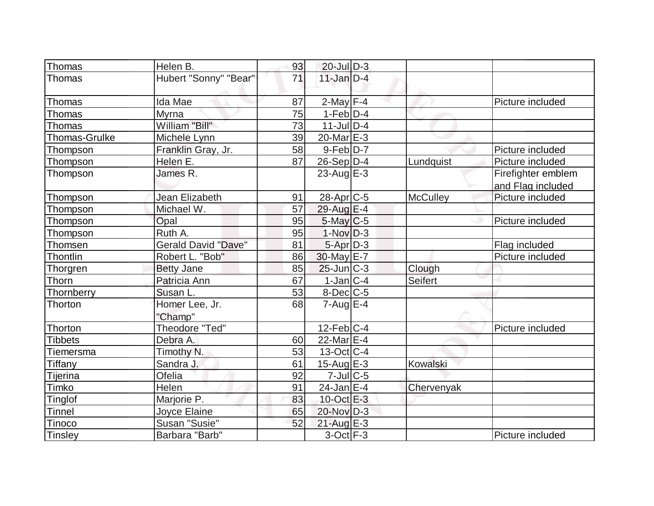| Thomas               | Helen B.                   | 93 | $20$ -Jul $D-3$       |                 |                    |
|----------------------|----------------------------|----|-----------------------|-----------------|--------------------|
| Thomas               | Hubert "Sonny" "Bear"      | 71 | $11$ -Jan $D-4$       |                 |                    |
|                      |                            |    |                       |                 |                    |
| Thomas               | Ida Mae                    | 87 | $2$ -May $F-4$        |                 | Picture included   |
| Thomas               | <b>Myrna</b>               | 75 | $1-Feb D-4$           |                 |                    |
| Thomas               | William "Bill"             | 73 | $11$ -JulD-4          |                 |                    |
| <b>Thomas-Grulke</b> | Michele Lynn               | 39 | $20$ -Mar $E-3$       |                 |                    |
| Thompson             | Franklin Gray, Jr.         | 58 | $9-Feb D-7$           |                 | Picture included   |
| Thompson             | Helen E.                   | 87 | 26-Sep D-4            | Lundquist       | Picture included   |
| Thompson             | James R.                   |    | 23-Aug $E-3$          |                 | Firefighter emblem |
|                      |                            |    |                       |                 | and Flag included  |
| Thompson             | Jean Elizabeth             | 91 | 28-Apr <sub>C-5</sub> | <b>McCulley</b> | Picture included   |
| Thompson             | Michael W.                 | 57 | 29-Aug E-4            |                 |                    |
| Thompson             | Opal                       | 95 | $5$ -May $C$ -5       |                 | Picture included   |
| Thompson             | Ruth A.                    | 95 | $1-Nov$ D-3           |                 |                    |
| Thomsen              | <b>Gerald David "Dave"</b> | 81 | $5 - Apr$ $D-3$       |                 | Flag included      |
| Thontlin             | Robert L. "Bob"            | 86 | $30$ -May $E-7$       |                 | Picture included   |
| Thorgren             | <b>Betty Jane</b>          | 85 | $25$ -Jun $ C-3 $     | Clough          |                    |
| Thorn                | Patricia Ann               | 67 | $1-Jan C-4$           | <b>Seifert</b>  |                    |
| Thornberry           | Susan L.                   | 53 | $8$ -Dec $C$ -5       |                 |                    |
| Thorton              | Homer Lee, Jr.             | 68 | $7 - Aug$ $E-4$       |                 |                    |
|                      | "Champ"                    |    |                       |                 |                    |
| Thorton              | Theodore "Ted"             |    | $12$ -Feb $ C-4 $     |                 | Picture included   |
| <b>Tibbets</b>       | Debra A.                   | 60 | 22-Mar E-4            |                 |                    |
| Tiemersma            | Timothy N.                 | 53 | $13-Oct$ $C-4$        |                 |                    |
| <b>Tiffany</b>       | Sandra J.                  | 61 | 15-Aug $E-3$          | Kowalski        |                    |
| Tijerina             | Ofelia                     | 92 | $7$ -Jul $ C$ -5      |                 |                    |
| Timko                | Helen                      | 91 | $24$ -Jan E-4         | Chervenyak      |                    |
| <b>Tinglof</b>       | Marjorie P.                | 83 | $10$ -Oct $E - 3$     |                 |                    |
| <b>Tinnel</b>        | Joyce Elaine               | 65 | 20-Nov D-3            |                 |                    |
| Tinoco               | Susan "Susie"              | 52 | $21$ -Aug E-3         |                 |                    |
| Tinsley              | Barbara "Barb"             |    | $3-Oct$ F-3           |                 | Picture included   |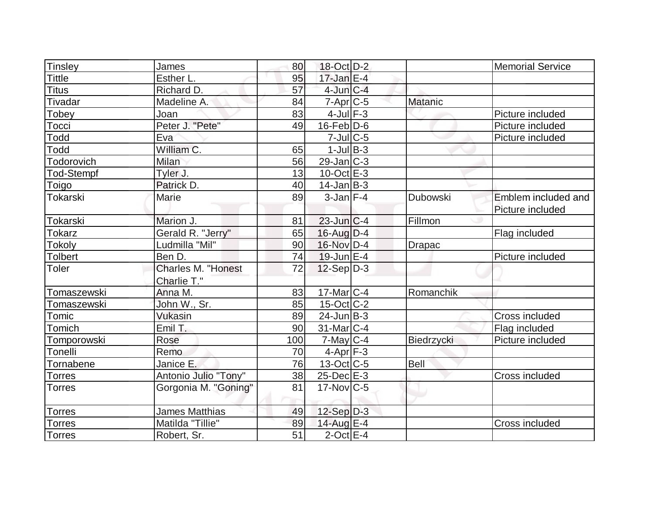| Tinsley           | James                 | 80  | 18-Oct D-2        |                 | <b>Memorial Service</b> |
|-------------------|-----------------------|-----|-------------------|-----------------|-------------------------|
| <b>Tittle</b>     | Esther L.             | 95  | $17$ -Jan E-4     |                 |                         |
| <b>Titus</b>      | Richard D.            | 57  | $4$ -Jun $C-4$    |                 |                         |
| Tivadar           | Madeline A.           | 84  | $7$ -Apr $C$ -5   | <b>Matanic</b>  |                         |
| Tobey             | Joan                  | 83  | $4$ -Jul $F-3$    |                 | Picture included        |
| Tocci             | Peter J. "Pete"       | 49  | $16$ -Feb $D-6$   |                 | Picture included        |
| Todd              | Eva                   |     | $7$ -Jul $C$ -5   |                 | Picture included        |
| Todd              | William C.            | 65  | $1$ -Jul $B-3$    |                 |                         |
| Todorovich        | <b>Milan</b>          | 56  | $29$ -Jan $ C-3 $ |                 |                         |
| <b>Tod-Stempf</b> | Tyler J.              | 13  | $10$ -Oct $E - 3$ |                 |                         |
| Toigo             | Patrick D.            | 40  | $14$ -Jan $ B-3 $ |                 |                         |
| Tokarski          | <b>Marie</b>          | 89  | $3$ -Jan $F-4$    | <b>Dubowski</b> | Emblem included and     |
|                   |                       |     |                   |                 | Picture included        |
| Tokarski          | Marion J.             | 81  | $23$ -Jun $C-4$   | Fillmon         |                         |
| <b>Tokarz</b>     | Gerald R. "Jerry"     | 65  | $16$ -Aug $D-4$   |                 | Flag included           |
| <b>Tokoly</b>     | Ludmilla "Mil"        | 90  | 16-Nov D-4        | <b>Drapac</b>   |                         |
| <b>Tolbert</b>    | Ben D.                | 74  | $19$ -Jun $E-4$   |                 | Picture included        |
| <b>Toler</b>      | Charles M. "Honest    | 72  | $12-Sep D-3$      |                 |                         |
|                   | Charlie T."           |     |                   |                 |                         |
| Tomaszewski       | Anna M.               | 83  | $17$ -Mar $ C-4 $ | Romanchik       |                         |
| Tomaszewski       | John W., Sr.          | 85  | $15$ -Oct $ C-2 $ |                 |                         |
| Tomic             | Vukasin               | 89  | $24$ -Jun $B-3$   |                 | Cross included          |
| Tomich            | Emil T.               | 90  | $31$ -Mar $ C-4 $ |                 | Flag included           |
| Tomporowski       | Rose                  | 100 | $7$ -May $C$ -4   | Biedrzycki      | Picture included        |
| Tonelli           | Remo                  | 70  | $4-Apr$ F-3       |                 |                         |
| Tornabene         | Janice E.             | 76  | $13-Oct$ $C-5$    | <b>Bell</b>     |                         |
| <b>Torres</b>     | Antonio Julio "Tony"  | 38  | $25$ -Dec $E-3$   |                 | Cross included          |
| <b>Torres</b>     | Gorgonia M. "Goning"  | 81  | $17$ -Nov $ C-5 $ |                 |                         |
|                   |                       |     |                   |                 |                         |
| <b>Torres</b>     | <b>James Matthias</b> | 49  | $12-Sep D-3$      |                 |                         |
| Torres            | Matilda "Tillie"      | 89  | 14-Aug E-4        |                 | Cross included          |
| Torres            | Robert, Sr.           | 51  | $2$ -Oct $E-4$    |                 |                         |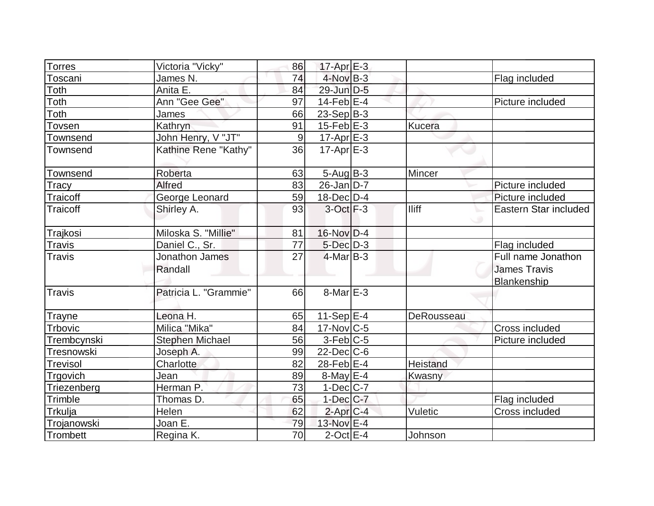| <b>Torres</b>   | Victoria "Vicky"          | 86    | $17$ -Apr $E-3$   |                 |                                                                 |
|-----------------|---------------------------|-------|-------------------|-----------------|-----------------------------------------------------------------|
| Toscani         | James N.                  | 74    | $4$ -Nov B-3      |                 | Flag included                                                   |
| Toth            | Anita E.                  | 84    | $29$ -Jun $D-5$   |                 |                                                                 |
| Toth            | Ann "Gee Gee"             | 97    | $14$ -Feb $E$ -4  |                 | Picture included                                                |
| Toth            | James                     | 66    | $23-Sep B-3$      |                 |                                                                 |
| Tovsen          | Kathryn                   | 91    | 15-Feb $E-3$      | Kucera          |                                                                 |
| Townsend        | John Henry, V "JT"        | $9\,$ | $17$ -Apr $E-3$   |                 |                                                                 |
| <b>Townsend</b> | Kathine Rene "Kathy"      | 36    | $17$ -Apr $E-3$   |                 |                                                                 |
| Townsend        | Roberta                   | 63    | $5-Aug B-3$       | Mincer          |                                                                 |
| Tracy           | <b>Alfred</b>             | 83    | $26$ -Jan D-7     |                 | Picture included                                                |
| Traicoff        | George Leonard            | 59    | $18$ -Dec $D-4$   |                 | Picture included                                                |
| Traicoff        | Shirley A.                | 93    | $3$ -Oct $F-3$    | <b>Iliff</b>    | Eastern Star included                                           |
| Trajkosi        | Miloska S. "Millie"       | 81    | $16$ -Nov $D-4$   |                 |                                                                 |
| <b>Travis</b>   | Daniel C., Sr.            | 77    | $5$ -Dec $D-3$    |                 | Flag included                                                   |
| <b>Travis</b>   | Jonathon James<br>Randall | 27    | $4$ -Mar $ B-3 $  |                 | Full name Jonathon<br><b>James Travis</b><br><b>Blankenship</b> |
| <b>Travis</b>   | Patricia L. "Grammie"     | 66    | $8$ -Mar $E - 3$  |                 |                                                                 |
| <b>Trayne</b>   | Leona H.                  | 65    | $11-Sep$ $E-4$    | DeRousseau      |                                                                 |
| <b>Trbovic</b>  | Milica "Mika"             | 84    | $17$ -Nov $ C-5 $ |                 | Cross included                                                  |
| Trembcynski     | <b>Stephen Michael</b>    | 56    | $3-Feb C-5$       |                 | Picture included                                                |
| Tresnowski      | Joseph A.                 | 99    | $22$ -Dec $C$ -6  |                 |                                                                 |
| <b>Trevisol</b> | Charlotte                 | 82    | 28-Feb E-4        | <b>Heistand</b> |                                                                 |
| Trgovich        | Jean                      | 89    | $8$ -May $E - 4$  | Kwasny          |                                                                 |
| Triezenberg     | Herman P.                 | 73    | $1-Dec$ $C-7$     |                 |                                                                 |
| Trimble         | Thomas D.                 | 65    | $1$ -Dec $ C-7 $  |                 | Flag included                                                   |
| Trkulja         | Helen                     | 62    | $2$ -Apr $C-4$    | Vuletic         | Cross included                                                  |
| Trojanowski     | Joan E.                   | 79    | 13-Nov E-4        |                 |                                                                 |
| Trombett        | Regina K.                 | 70    | $2$ -Oct $E - 4$  | Johnson         |                                                                 |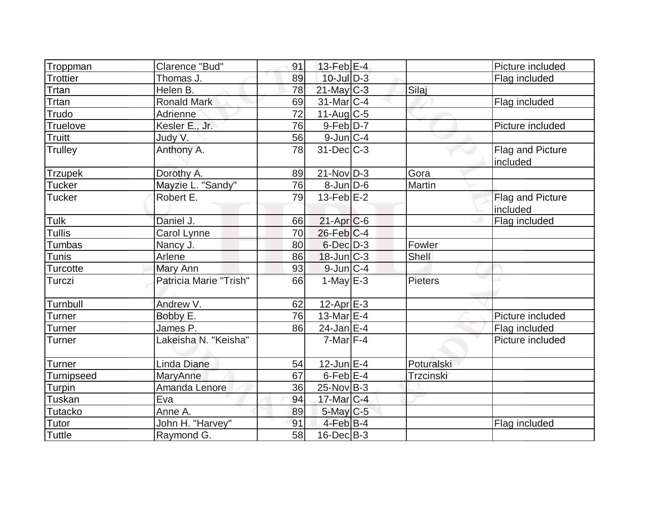|                   | Clarence "Bud"         |    |                   |            | Picture included             |
|-------------------|------------------------|----|-------------------|------------|------------------------------|
| Troppman          |                        | 91 | $13$ -Feb $E-4$   |            |                              |
| <b>Trottier</b>   | Thomas J.              | 89 | $10$ -Jul $D-3$   |            | Flag included                |
| Trtan             | Helen B.               | 78 | $21$ -May C-3     | Silaj      |                              |
| Trtan             | <b>Ronald Mark</b>     | 69 | $31$ -Mar $ C-4 $ |            | Flag included                |
| Trudo             | Adrienne               | 72 | $11-Aug$ C-5      |            |                              |
| Truelove          | Kesler E., Jr.         | 76 | $9-Feb$ $D-7$     |            | Picture included             |
| <b>Truitt</b>     | Judy V.                | 56 | $9$ -Jun $C-4$    |            |                              |
| <b>Trulley</b>    | Anthony A.             | 78 | $31$ -Dec $C-3$   |            | Flag and Picture<br>included |
| <b>Trzupek</b>    | Dorothy A.             | 89 | $21-Nov D-3$      | Gora       |                              |
| <b>Tucker</b>     | Mayzie L. "Sandy"      | 76 | $8$ -Jun $D$ -6   | Martin     |                              |
| <b>Tucker</b>     | Robert E.              | 79 | $13$ -Feb $E-2$   |            |                              |
|                   |                        |    |                   |            | Flag and Picture<br>included |
| Tulk              | Daniel J.              | 66 | $21$ -Apr $C$ -6  |            | Flag included                |
| <b>Tullis</b>     | Carol Lynne            | 70 | $26$ -Feb $C-4$   |            |                              |
| Tumbas            | Nancy J.               | 80 | $6$ -Dec $D-3$    | Fowler     |                              |
| Tunis             | Arlene                 | 86 | $18$ -Jun $ C-3 $ | Shell      |                              |
| <b>Turcotte</b>   | Mary Ann               | 93 | $9$ -Jun $C-4$    |            |                              |
| Turczi            | Patricia Marie "Trish" | 66 | $1$ -May $E-3$    | Pieters    |                              |
| Turnbull          | Andrew V.              | 62 | $12$ -Apr $E-3$   |            |                              |
| Turner            | Bobby E.               | 76 | 13-Mar $E-4$      |            | Picture included             |
| Turner            | James P.               | 86 | $24$ -Jan E-4     |            | Flag included                |
| Turner            | Lakeisha N. "Keisha"   |    | $7$ -Mar $ F-4 $  |            | Picture included             |
| <b>Turner</b>     | Linda Diane            | 54 | $12$ -Jun $E-4$   | Poturalski |                              |
| <b>Turnipseed</b> | MaryAnne               | 67 | $6$ -Feb $E-4$    | Trzcinski  |                              |
| Turpin            | Amanda Lenore          | 36 | $25$ -Nov B-3     |            |                              |
| Tuskan            | Eva                    | 94 | 17-Mar C-4        |            |                              |
| <b>Tutacko</b>    | Anne A.                | 89 | 5-May C-5         |            |                              |
| Tutor             | John H. "Harvey"       | 91 | $4$ -Feb $ B-4 $  |            | Flag included                |
| <b>Tuttle</b>     | Raymond G.             | 58 | $16$ -Dec $B$ -3  |            |                              |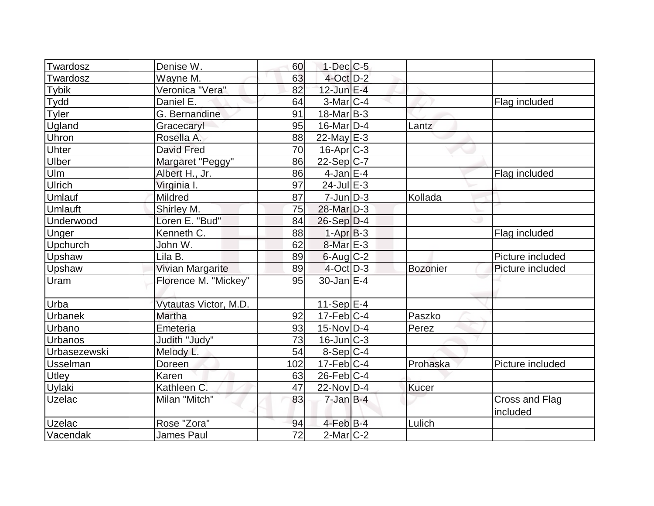| Twardosz       | Denise W.             | 60              | $1$ -Dec $ C$ -5        |              |                            |
|----------------|-----------------------|-----------------|-------------------------|--------------|----------------------------|
| Twardosz       | Wayne M.              | 63              | $4$ -Oct $D-2$          |              |                            |
| <b>Tybik</b>   | Veronica "Vera"       | 82              | $12$ -Jun $E-4$         |              |                            |
| Tydd           | Daniel E.             | 64              | $3-Mar$ C-4             |              | Flag included              |
| Tyler          | G. Bernandine         | 91              | $18$ -Mar $B$ -3        |              |                            |
| Ugland         | Gracecaryl            | 95              | $16$ -Mar $ D-4$        | Lantz        |                            |
| Uhron          | Rosella A.            | 88              | $22$ -May $E-3$         |              |                            |
| Uhter          | <b>David Fred</b>     | 70              | $16$ -Apr $C-3$         |              |                            |
| Ulber          | Margaret "Peggy"      | 86              | $22-Sep C-7$            |              |                            |
| Ulm            | Albert H., Jr.        | 86              | $4$ -Jan $E-4$          |              | Flag included              |
| Ulrich         | Virginia I.           | 97              | $24$ -Jul $E-3$         |              |                            |
| Umlauf         | Mildred               | 87              | $7$ -Jun $D-3$          | Kollada      |                            |
| Umlauft        | Shirley M.            | 75              | 28-Mar D-3              |              |                            |
| Underwood      | Loren E. "Bud"        | 84              | $26-Sep D-4$            |              |                            |
| Unger          | Kenneth C.            | 88              | $1-Apr$ B-3             |              | Flag included              |
| Upchurch       | John W.               | 62              | 8-Mar E-3               |              |                            |
| Upshaw         | Lila B.               | 89              | $6$ -Aug $C$ -2         |              | Picture included           |
| Upshaw         | Vivian Margarite      | 89              | $4$ -Oct $D-3$          | Bozonier     | Picture included           |
| <b>Uram</b>    | Florence M. "Mickey"  | 95              | 30-Jan E-4              |              |                            |
| Urba           | Vytautas Victor, M.D. |                 | $11-Sep$ $E-4$          |              |                            |
| <b>Urbanek</b> | Martha                | 92              | $17-Feb$ C-4            | Paszko       |                            |
| Urbano         | Emeteria              | 93              | $15$ -Nov $ D-4 $       | Perez        |                            |
| <b>Urbanos</b> | Judith "Judy"         | 73              | $16$ -Jun $ C-3 $       |              |                            |
| Urbasezewski   | Melody L.             | 54              | $8-Sep C-4$             |              |                            |
| Usselman       | Doreen                | 102             | $17-Feb$ <sub>C-4</sub> | Prohaska     | Picture included           |
| Utley          | Karen                 | 63              | $26$ -Feb $ C-4 $       |              |                            |
| Uylaki         | Kathleen C.           | 47              | 22-Nov D-4              | <b>Kucer</b> |                            |
| <b>Uzelac</b>  | Milan "Mitch"         | 83              | $7 - Jan$ B-4           |              | Cross and Flag<br>included |
| <b>Uzelac</b>  | Rose "Zora"           | 94              | $4$ -Feb $B$ -4         | Lulich       |                            |
| Vacendak       | <b>James Paul</b>     | $\overline{72}$ | $2$ -Mar $C-2$          |              |                            |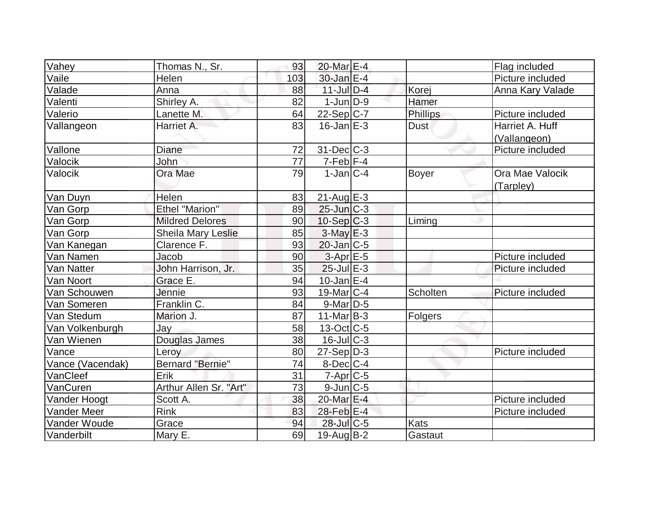| Vahey            | Thomas N., Sr.            | 93  | 20-Mar E-4        |                 | Flag included                   |
|------------------|---------------------------|-----|-------------------|-----------------|---------------------------------|
| Vaile            | Helen                     | 103 | 30-Jan E-4        |                 | Picture included                |
| Valade           | Anna                      | 88  | $11$ -Jul $D-4$   | Korej           | Anna Kary Valade                |
| Valenti          | Shirley A.                | 82  | $1$ -Jun $D-9$    | Hamer           |                                 |
| Valerio          | Lanette M.                | 64  | $22-Sep C-7$      | <b>Phillips</b> | Picture included                |
| Vallangeon       | Harriet A.                | 83  | $16$ -Jan $E-3$   | <b>Dust</b>     | Harriet A. Huff<br>(Vallangeon) |
| Vallone          | Diane                     | 72  | $31$ -Dec $C$ -3  |                 | Picture included                |
| Valocik          | John                      | 77  | $7-Feb$ $F-4$     |                 |                                 |
| Valocik          | Ora Mae                   | 79  | $1-Jan C-4$       | <b>Boyer</b>    | Ora Mae Valocik<br>(Tarpley)    |
| Van Duyn         | Helen                     | 83  | $21$ -Aug $E-3$   |                 |                                 |
| Van Gorp         | <b>Ethel "Marion"</b>     | 89  | $25$ -Jun $C-3$   |                 |                                 |
| Van Gorp         | <b>Mildred Delores</b>    | 90  | $10-Sep C-3$      | Liming          |                                 |
| Van Gorp         | <b>Sheila Mary Leslie</b> | 85  | $3-May$ $E-3$     |                 |                                 |
| Van Kanegan      | Clarence F.               | 93  | $20$ -Jan $ C-5 $ |                 |                                 |
| Van Namen        | Jacob                     | 90  | $3-Apr$ $E-5$     |                 | Picture included                |
| Van Natter       | John Harrison, Jr.        | 35  | $25$ -Jul $E-3$   |                 | Picture included                |
| Van Noort        | Grace E.                  | 94  | $10$ -Jan $ E-4 $ |                 |                                 |
| Van Schouwen     | Jennie                    | 93  | $19$ -Mar $ C-4$  | Scholten        | Picture included                |
| Van Someren      | Franklin C.               | 84  | $9$ -Mar $D-5$    |                 |                                 |
| Van Stedum       | Marion J.                 | 87  | $11-Mar$ B-3      | Folgers         |                                 |
| Van Volkenburgh  | Jay                       | 58  | $13-Oct$ $C-5$    |                 |                                 |
| Van Wienen       | Douglas James             | 38  | $16$ -Jul $C-3$   |                 |                                 |
| Vance            | Leroy                     | 80  | $27-Sep D-3$      |                 | Picture included                |
| Vance (Vacendak) | <b>Bernard "Bernie"</b>   | 74  | $8$ -Dec $C$ -4   |                 |                                 |
| VanCleef         | Erik                      | 31  | $7-Apr$ $C-5$     |                 |                                 |
| VanCuren         | Arthur Allen Sr. "Art"    | 73  | $9$ -Jun $ C-5$   |                 |                                 |
| Vander Hoogt     | Scott A.                  | 38  | 20-Mar E-4        |                 | Picture included                |
| Vander Meer      | <b>Rink</b>               | 83  | 28-Feb E-4        |                 | Picture included                |
| Vander Woude     | Grace                     | 94  | 28-Jul C-5        | <b>Kats</b>     |                                 |
| Vanderbilt       | Mary E.                   | 69  | $19$ -Aug B-2     | Gastaut         |                                 |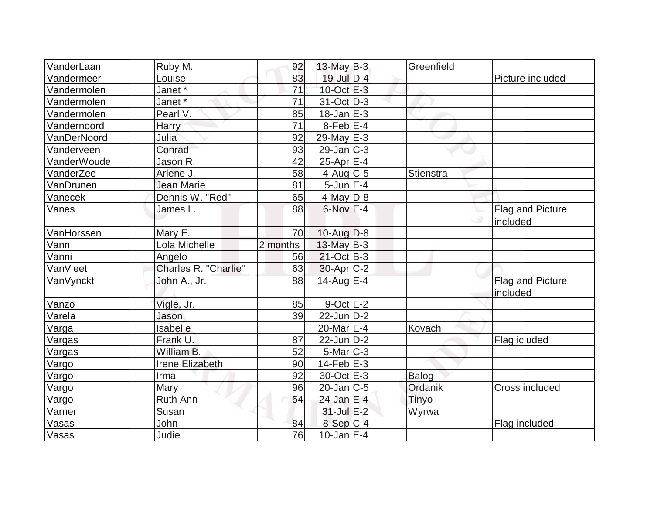| VanderLaan   | Ruby M.                | 92       | $13$ -May B-3          | Greenfield   |                                     |
|--------------|------------------------|----------|------------------------|--------------|-------------------------------------|
| Vandermeer   | Louise                 | 83       | $19$ -Jul $D-4$        |              | Picture included                    |
| Vandermolen  | Janet*                 | 71       | 10-Oct E-3             |              |                                     |
| Vandermolen  | Janet *                | 71       | $31-Oct$ D-3           |              |                                     |
| Vandermolen  | Pearl V.               | 85       | $18$ -Jan $E-3$        |              |                                     |
| Vandernoord  | Harry                  | 71       | $8$ -Feb $E$ -4        |              |                                     |
| VanDerNoord  | Julia                  | 92       | 29-May $E-3$           |              |                                     |
| Vanderveen   | Conrad                 | 93       | $29$ -Jan $ C-3 $      |              |                                     |
| VanderWoude  | Jason R.               | 42       | $25$ -Apr $E-4$        |              |                                     |
| VanderZee    | Arlene J.              | 58       | $4$ -Aug C-5           | Stienstra    |                                     |
| VanDrunen    | <b>Jean Marie</b>      | 81       | $5$ -Jun $E-4$         |              |                                     |
| Vanecek      | Dennis W. "Red"        | 65       | $4$ -May $D-8$         |              |                                     |
| Vanes        | James L.               | 88       | $6$ -Nov $E-4$         |              | <b>Flag and Picture</b><br>included |
| VanHorssen   | Mary E.                | 70       | $10$ -Aug $D-8$        |              |                                     |
| Vann         | Lola Michelle          | 2 months | 13-May B-3             |              |                                     |
| Vanni        | Angelo                 | 56       | $21-Oct$ B-3           |              |                                     |
| VanVleet     | Charles R. "Charlie"   | 63       | 30-Apr <sub>C-2</sub>  |              |                                     |
| VanVynckt    | John A., Jr.           | 88       | 14-Aug E-4             |              | Flag and Picture<br>included        |
| Vanzo        | Vigle, Jr.             | 85       | $9$ -Oct $E - 2$       |              |                                     |
| Varela       | Jason                  | 39       | $22$ -Jun $D-2$        |              |                                     |
| <u>Varga</u> | <b>Isabelle</b>        |          | 20-Mar <sub>IE-4</sub> | Kovach       |                                     |
| Vargas       | Frank U.               | 87       | $22$ -Jun $D-2$        |              | Flag icluded                        |
| Vargas       | William B.             | 52       | $5$ -Mar $ C-3 $       |              |                                     |
| Vargo        | <b>Irene Elizabeth</b> | 90       | $14$ -Feb $E-3$        |              |                                     |
| Vargo        | Irma                   | 92       | 30-Oct E-3             | <b>Balog</b> |                                     |
| Vargo        | Mary                   | 96       | $20$ -Jan $ C-5 $      | Ordanik      | <b>Cross included</b>               |
| Vargo        | Ruth Ann               | 54       | 24-Jan E-4             | Tinyo        |                                     |
| Varner       | Susan                  |          | $31$ -Jul $E-2$        | Wyrwa        |                                     |
| Vasas        | John                   | 84       | $8-Sep C-4$            |              | Flag included                       |
| Vasas        | Judie                  | 76       | $10$ -Jan $E-4$        |              |                                     |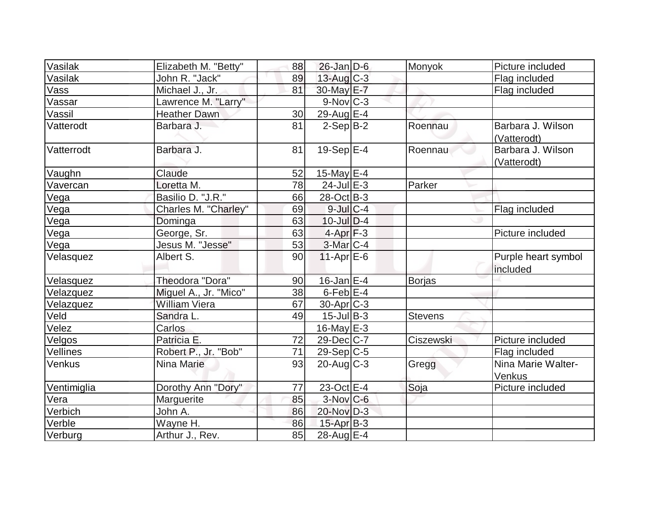| Vasilak     | Elizabeth M. "Betty"  | 88 | $26$ -Jan $D-6$        | Monyok         | Picture included                 |
|-------------|-----------------------|----|------------------------|----------------|----------------------------------|
| Vasilak     | John R. "Jack"        | 89 | $13$ -Aug C-3          |                | Flag included                    |
| Vass        | Michael J., Jr.       | 81 | 30-May E-7             |                | Flag included                    |
| Vassar      | Lawrence M. "Larry"   |    | $9-Nov$ <sub>C-3</sub> |                |                                  |
| Vassil      | <b>Heather Dawn</b>   | 30 | 29-Aug $E-4$           |                |                                  |
| Vatterodt   | Barbara J.            | 81 | $2-Sep B-2$            | Roennau        | Barbara J. Wilson<br>(Vatterodt) |
| Vatterrodt  | Barbara J.            | 81 | $19-Sep$ $E-4$         | Roennau        | Barbara J. Wilson<br>(Vatterodt) |
| Vaughn      | Claude                | 52 | 15-May $E-4$           |                |                                  |
| Vavercan    | Loretta M.            | 78 | $24$ -Jul $E-3$        | Parker         |                                  |
| Vega        | Basilio D. "J.R."     | 66 | 28-Oct B-3             |                |                                  |
| Vega        | Charles M. "Charley"  | 69 | $9$ -Jul $C-4$         |                | Flag included                    |
| Vega        | Dominga               | 63 | $10$ -Jul $D-4$        |                |                                  |
| Vega        | George, Sr.           | 63 | $4-Apr$ F-3            |                | Picture included                 |
| Vega        | Jesus M. "Jesse"      | 53 | $3$ -Mar $ C-4$        |                |                                  |
| Velasquez   | Albert S.             | 90 | $11-Apr \, E-6$        |                | Purple heart symbol<br>included  |
| Velasquez   | Theodora "Dora"       | 90 | $16$ -Jan $E-4$        | <b>Borjas</b>  |                                  |
| Velazquez   | Miguel A., Jr. "Mico" | 38 | $6$ -Feb $E-4$         |                |                                  |
| Velazquez   | <b>William Viera</b>  | 67 | $30$ -Apr $ C-3 $      |                |                                  |
| Veld        | Sandra L.             | 49 | $15$ -Jul B-3          | <b>Stevens</b> |                                  |
| Velez       | Carlos                |    | $16$ -May $E-3$        |                |                                  |
| Velgos      | Patricia E.           | 72 | $29$ -Dec $C$ -7       | Ciszewski      | Picture included                 |
| Vellines    | Robert P., Jr. "Bob"  | 71 | $29-Sep C-5$           |                | Flag included                    |
| Venkus      | Nina Marie            | 93 | $20$ -Aug $C-3$        | Gregg          | Nina Marie Walter-<br>Venkus     |
| Ventimiglia | Dorothy Ann "Dory"    | 77 | $23-Oct$ $E-4$         | Soja           | Picture included                 |
| Vera        | <b>Marguerite</b>     | 85 | $3-Nov$ <sub>C-6</sub> |                |                                  |
| Verbich     | John A.               | 86 | 20-Nov D-3             |                |                                  |
| Verble      | Wayne H.              | 86 | $15$ -Apr $B$ -3       |                |                                  |
| Verburg     | Arthur J., Rev.       | 85 | 28-Aug E-4             |                |                                  |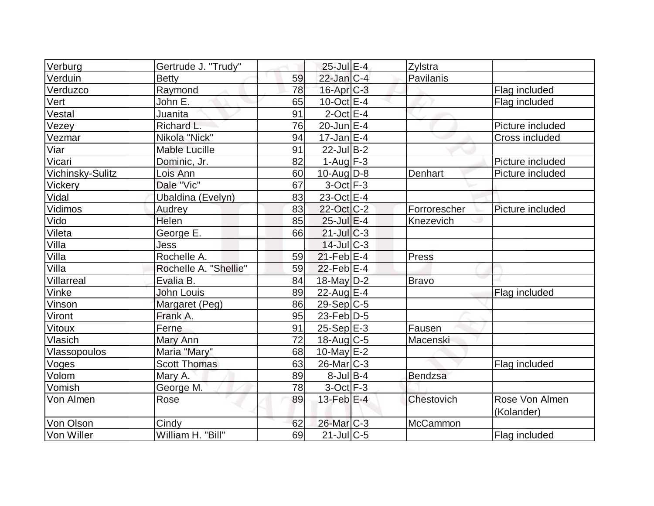| Verburg          | Gertrude J. "Trudy"   |    | $25$ -Jul $E-4$             | Zylstra      |                  |
|------------------|-----------------------|----|-----------------------------|--------------|------------------|
| Verduin          | Betty                 | 59 | $22$ -Jan $ C-4 $           | Pavilanis    |                  |
| Verduzco         | Raymond               | 78 | $16$ -Apr $C-3$             |              | Flag included    |
| Vert             | John E.               | 65 | $10$ -Oct $E - 4$           |              | Flag included    |
| Vestal           | Juanita               | 91 | $2$ -Oct E-4                |              |                  |
| Vezey            | Richard L.            | 76 | $20$ -Jun $E-4$             |              | Picture included |
| Vezmar           | Nikola "Nick"         | 94 | $17$ -Jan $ E-4$            |              | Cross included   |
| Viar             | <b>Mable Lucille</b>  | 91 | $22$ -Jul B-2               |              |                  |
| Vicari           | Dominic, Jr.          | 82 | $1-Auq$ F-3                 |              | Picture included |
| Vichinsky-Sulitz | Lois Ann              | 60 | $10$ -Aug $D-8$             | Denhart      | Picture included |
| Vickery          | Dale "Vic"            | 67 | $3$ -Oct $F-3$              |              |                  |
| Vidal            | Ubaldina (Evelyn)     | 83 | 23-Oct $E-4$                |              |                  |
| Vidimos          | Audrey                | 83 | 22-Oct C-2                  | Forrorescher | Picture included |
| Vido             | Helen                 | 85 | 25-Jul E-4                  | Knezevich    |                  |
| Vileta           | George E.             | 66 | $21$ -JulC-3                |              |                  |
| Villa            | Jess                  |    | $14$ -Jul $C-3$             |              |                  |
| Villa            | Rochelle A.           | 59 | $21$ -Feb $E-4$             | Press        |                  |
| Villa            | Rochelle A. "Shellie" | 59 | $22$ -Feb $ E-4$            |              |                  |
| Villarreal       | Evalia B.             | 84 | $18$ -May D-2               | <b>Bravo</b> |                  |
| Vinke            | John Louis            | 89 | 22-Aug E-4                  |              | Flag included    |
| Vinson           | Margaret (Peg)        | 86 | $29-Sep C-5$                |              |                  |
| Viront           | Frank A.              | 95 | $23$ -Feb $\overline{D}$ -5 |              |                  |
| Vitoux           | Ferne                 | 91 | $25-Sep$ $E-3$              | Fausen       |                  |
| Vlasich          | Mary Ann              | 72 | $18$ -Aug C-5               | Macenski     |                  |
| Vlassopoulos     | Maria "Mary"          | 68 | 10-May $E-2$                |              |                  |
| Voges            | <b>Scott Thomas</b>   | 63 | 26-Mar C-3                  |              | Flag included    |
| Volom            | Mary A.               | 89 | $8$ -Jul B-4                | Bendzsa      |                  |
| Vomish           | George M.             | 78 | $3$ -Oct $F-3$              |              |                  |
| Von Almen        | Rose                  | 89 | 13-Feb $E-4$                | Chestovich   | Rose Von Almen   |
| Von Olson        | Cindy                 | 62 | 26-Mar <sub>IC-3</sub>      | McCammon     | (Kolander)       |
| Von Willer       | William H. "Bill"     | 69 | $21$ -Jul $C$ -5            |              | Flag included    |
|                  |                       |    |                             |              |                  |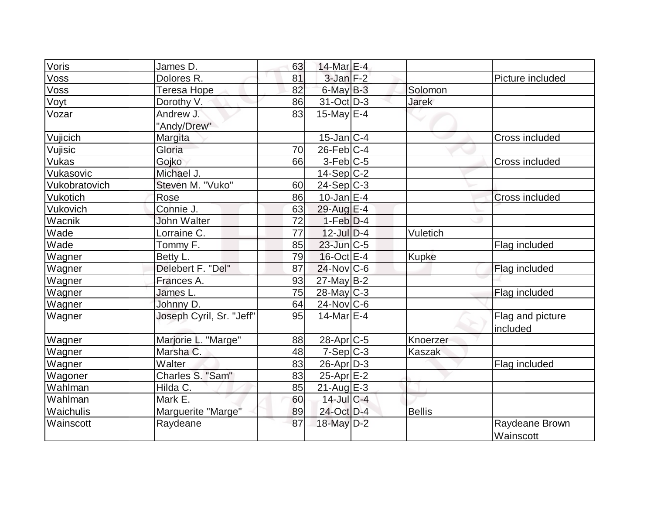| Voris         | James D.                 | 63 | 14-Mar E-4        |               |                              |
|---------------|--------------------------|----|-------------------|---------------|------------------------------|
| Voss          | Dolores R.               | 81 | $3$ -Jan $F-2$    |               | Picture included             |
| Voss          | Teresa Hope              | 82 | $6$ -May $B-3$    | Solomon       |                              |
| Voyt          | Dorothy V.               | 86 | $31-Oct$ D-3      | <b>Jarek</b>  |                              |
| Vozar         | Andrew J.                | 83 | 15-May $E-4$      |               |                              |
|               | "Andy/Drew"              |    |                   |               |                              |
| Vujicich      | Margita                  |    | $15$ -Jan $ C-4 $ |               | Cross included               |
| Vujisic       | Gloria                   | 70 | $26$ -Feb $ C-4 $ |               |                              |
| Vukas         | Gojko                    | 66 | $3-Feb$ C-5       |               | Cross included               |
| Vukasovic     | Michael J.               |    | $14-Sep C-2$      |               |                              |
| Vukobratovich | Steven M. "Vuko"         | 60 | $24-Sep C-3$      |               |                              |
| Vukotich      | Rose                     | 86 | $10$ -Jan $E-4$   |               | <b>Cross included</b>        |
| Vukovich      | Connie J.                | 63 | 29-Aug E-4        |               |                              |
| Wacnik        | John Walter              | 72 | $1-Feb D-4$       |               |                              |
| Wade          | Lorraine C.              | 77 | $12$ -Jul $D-4$   | Vuletich      |                              |
| Wade          | Tommy F.                 | 85 | $23$ -Jun $ C-5$  |               | Flag included                |
| Wagner        | Betty L.                 | 79 | $16$ -Oct $E-4$   | <b>Kupke</b>  |                              |
| Wagner        | Delebert F. "Del"        | 87 | $24$ -Nov $ C-6 $ |               | Flag included                |
| Wagner        | Frances A.               | 93 | $27$ -May B-2     |               |                              |
| Wagner        | James L.                 | 75 | $28$ -May C-3     |               | Flag included                |
| Wagner        | Johnny D.                | 64 | $24$ -Nov $ C$ -6 |               |                              |
| Wagner        | Joseph Cyril, Sr. "Jeff" | 95 | $14$ -Mar $E-4$   |               | Flag and picture<br>included |
| Wagner        | Marjorie L. "Marge"      | 88 | $28$ -Apr $C$ -5  | Knoerzer      |                              |
| Wagner        | Marsha C.                | 48 | $7-Sep C-3$       | <b>Kaszak</b> |                              |
| Wagner        | Walter                   | 83 | $26$ -Apr $D-3$   |               | Flag included                |
| Wagoner       | Charles S. "Sam"         | 83 | $25$ -Apr $E-2$   |               |                              |
| Wahlman       | Hilda C.                 | 85 | $21$ -Aug $E-3$   |               |                              |
| Wahlman       | Mark E.                  | 60 | $14$ -Jul C-4     |               |                              |
| Waichulis     | Marguerite "Marge"       | 89 | 24-Oct D-4        | <b>Bellis</b> |                              |
| Wainscott     | Raydeane                 | 87 | 18-May D-2        |               | Raydeane Brown<br>Wainscott  |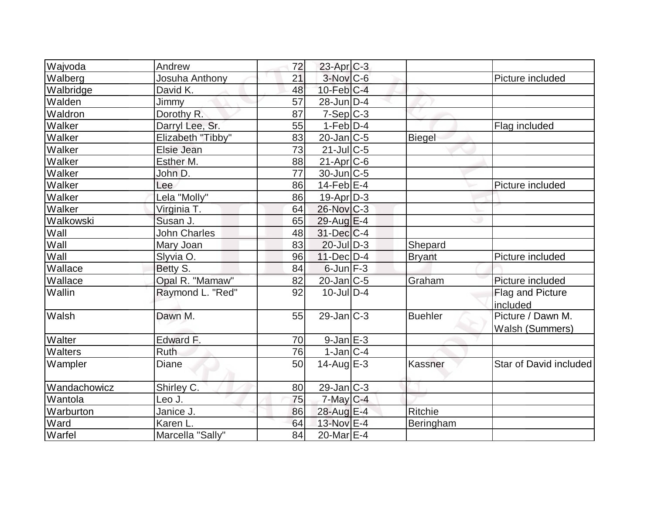| Wajvoda      | Andrew              | 72              | $23$ -Apr $ C-3 $           |                |                        |
|--------------|---------------------|-----------------|-----------------------------|----------------|------------------------|
| Walberg      | Josuha Anthony      | 21              | 3-Nov C-6                   |                | Picture included       |
| Walbridge    | David K.            | 48              | $10$ -Feb $C-4$             |                |                        |
| Walden       | Jimmy               | 57              | $28$ -Jun $D-4$             |                |                        |
| Waldron      | Dorothy R.          | 87              | $7-Sep$ $C-3$               |                |                        |
| Walker       | Darryl Lee, Sr.     | 55              | $1-Feb$ $D-4$               |                | Flag included          |
| Walker       | Elizabeth "Tibby"   | 83              | $20$ -Jan $ C-5 $           | <b>Biegel</b>  |                        |
| Walker       | Elsie Jean          | $\overline{73}$ | $21$ -JulC-5                |                |                        |
| Walker       | Esther M.           | 88              | $21-Apr$ $C-6$              |                |                        |
| Walker       | John D.             | 77              | $30$ -Jun $ C-5 $           |                |                        |
| Walker       | Lee                 | 86              | $\overline{14}$ -Feb $ E-4$ |                | Picture included       |
| Walker       | Lela "Molly"        | 86              | $19-Apr D-3$                |                |                        |
| Walker       | Virginia T.         | 64              | 26-Nov C-3                  |                |                        |
| Walkowski    | Susan J.            | 65              | $29$ -Aug E-4               |                |                        |
| Wall         | <b>John Charles</b> | 48              | $31$ -Dec $ C-4 $           |                |                        |
| Wall         | Mary Joan           | 83              | $20$ -Jul $D-3$             | Shepard        |                        |
| Wall         | Slyvia O.           | 96              | $11$ -Dec $D-4$             | <b>Bryant</b>  | Picture included       |
| Wallace      | Betty S.            | 84              | $6$ -Jun $F-3$              |                |                        |
| Wallace      | Opal R. "Mamaw"     | 82              | 20-Jan C-5                  | Graham         | Picture included       |
| Wallin       | Raymond L. "Red"    | 92              | $10 -$ Jul $D - 4$          |                | Flag and Picture       |
|              |                     |                 |                             |                | included               |
| Walsh        | Dawn M.             | 55              | $29$ -Jan $C-3$             | <b>Buehler</b> | Picture / Dawn M.      |
|              |                     |                 |                             |                | Walsh (Summers)        |
| Walter       | Edward F.           | 70              | $9$ -Jan $E-3$              |                |                        |
| Walters      | Ruth                | 76              | $1$ -Jan $ C-4 $            |                |                        |
| Wampler      | Diane               | 50              | $14$ -Aug $E-3$             | Kassner        | Star of David included |
| Wandachowicz | Shirley C.          | 80              | $29$ -Jan $ C-3 $           |                |                        |
| Wantola      | Leo J.              | 75              | $7$ -May $C$ -4             |                |                        |
| Warburton    | Janice J.           | 86              | 28-Aug E-4                  | Ritchie        |                        |
| Ward         | Karen L.            | 64              | 13-Nov E-4                  | Beringham      |                        |
| Warfel       | Marcella "Sally"    | 84              | 20-Mar E-4                  |                |                        |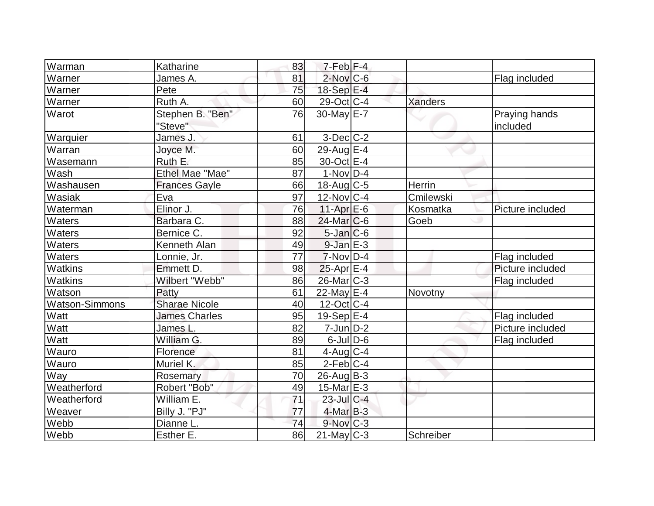| Warman                | Katharine            | 83              | $7-Feb$ $F-4$            |                |                  |
|-----------------------|----------------------|-----------------|--------------------------|----------------|------------------|
| Warner                | James A.             | 81              | $2$ -Nov $C$ -6          |                | Flag included    |
| Warner                | Pete                 | 75              | 18-Sep E-4               |                |                  |
| Warner                | Ruth A.              | 60              | $29$ -Oct C-4            | <b>Xanders</b> |                  |
| Warot                 | Stephen B. "Ben"     | 76              | 30-May E-7               |                | Praying hands    |
|                       | "Steve"              |                 |                          |                | included         |
| Warquier              | James J.             | 61              | $3-Dec$ $C-2$            |                |                  |
| Warran                | Joyce M.             | 60              | 29-Aug $E-4$             |                |                  |
| Wasemann              | Ruth E.              | 85              | 30-Oct E-4               |                |                  |
| Wash                  | Ethel Mae "Mae"      | 87              | $1-Nov D-4$              |                |                  |
| Washausen             | <b>Frances Gayle</b> | 66              | $18$ -Aug C-5            | Herrin         |                  |
| Wasiak                | Eva                  | 97              | $12$ -Nov $ C-4 $        | Cmilewski      |                  |
| Waterman              | Elinor J.            | 76              | $11-Apr$ E-6             | Kosmatka       | Picture included |
| <b>Waters</b>         | Barbara C.           | 88              | $24$ -Mar $ C-6 $        | Goeb           |                  |
| Waters                | Bernice C.           | 92              | $5$ -Jan $C$ -6          |                |                  |
| Waters                | Kenneth Alan         | 49              | $9$ -Jan $E-3$           |                |                  |
| Waters                | Lonnie, Jr.          | $\overline{77}$ | $7-Nov D-4$              |                | Flag included    |
| Watkins               | Emmett D.            | 98              | $25$ -Apr $E-4$          |                | Picture included |
| Watkins               | Wilbert "Webb"       | 86              | $26$ -Mar $C-3$          |                | Flag included    |
| Watson                | Patty                | 61              | 22-May E-4               | Novotny        |                  |
| <b>Watson-Simmons</b> | <b>Sharae Nicole</b> | 40              | $12$ -Oct $ C-4 $        |                |                  |
| Watt                  | <b>James Charles</b> | 95              | $19-Sep$ $E-4$           |                | Flag included    |
| Watt                  | James L.             | 82              | $7$ -Jun $D-2$           |                | Picture included |
| Watt                  | William G.           | 89              | $6$ -JulD-6              |                | Flag included    |
| Wauro                 | Florence             | 81              | $4$ -Aug C-4             |                |                  |
| Wauro                 | Muriel K.            | 85              | $2$ -Feb $ C-4 $         |                |                  |
| Way                   | Rosemary             | 70              | $26$ -Aug $B-3$          |                |                  |
| Weatherford           | Robert "Bob"         | 49              | $15$ -Mar $E-3$          |                |                  |
| Weatherford           | William E.           | 71              | $23$ -Jul C-4            |                |                  |
| Weaver                | Billy J. "PJ"        | 77              | $4$ -Mar $B-3$           |                |                  |
| Webb                  | Dianne L.            | 74              | $9-Nov$ <sub>C-3</sub>   |                |                  |
| Webb                  | Esther E.            | 86              | $\overline{2}$ 1-May C-3 | Schreiber      |                  |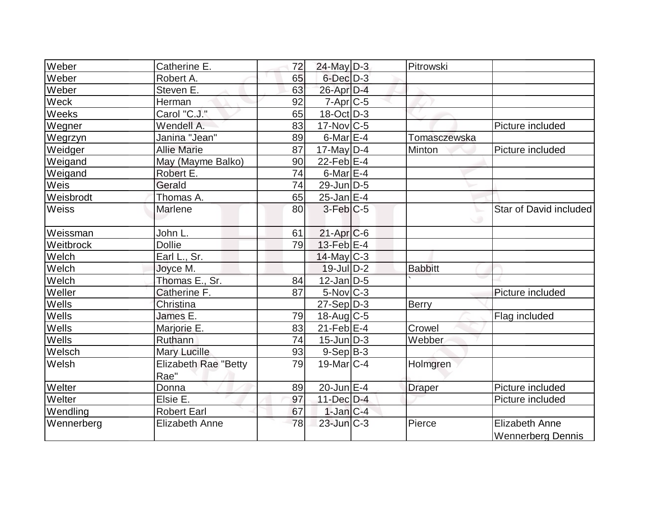| Weber      | Catherine E.                        | 72 | $24$ -May D-3     | Pitrowski      |                                                   |
|------------|-------------------------------------|----|-------------------|----------------|---------------------------------------------------|
| Weber      | Robert A.                           | 65 | $6$ -Dec $D-3$    |                |                                                   |
| Weber      | Steven E.                           | 63 | 26-Apr D-4        |                |                                                   |
| Weck       | Herman                              | 92 | $7-Apr$ $C-5$     |                |                                                   |
| Weeks      | Carol "C.J."                        | 65 | $18$ -Oct $D-3$   |                |                                                   |
| Wegner     | Wendell A.                          | 83 | $17$ -Nov $ C-5 $ |                | Picture included                                  |
| Wegrzyn    | Janina "Jean"                       | 89 | 6-Mar $E-4$       | Tomasczewska   |                                                   |
| Weidger    | <b>Allie Marie</b>                  | 87 | $17$ -May D-4     | Minton         | Picture included                                  |
| Weigand    | May (Mayme Balko)                   | 90 | $22$ -Feb $E-4$   |                |                                                   |
| Weigand    | Robert E.                           | 74 | 6-Mar $E-4$       |                |                                                   |
| Weis       | Gerald                              | 74 | $29$ -Jun $D-5$   |                |                                                   |
| Weisbrodt  | Thomas A.                           | 65 | $25$ -Jan $E-4$   |                |                                                   |
| Weiss      | Marlene                             | 80 | $3$ -Feb $ C-5$   |                | Star of David included                            |
| Weissman   | John L.                             | 61 | $21-Apr$ $C-6$    |                |                                                   |
| Weitbrock  | <b>Dollie</b>                       | 79 | $13$ -Feb $E-4$   |                |                                                   |
| Welch      | Earl L., Sr.                        |    | $14$ -May C-3     |                |                                                   |
| Welch      | Joyce M.                            |    | $19$ -Jul $D-2$   | <b>Babbitt</b> |                                                   |
| Welch      | Thomas E., Sr.                      | 84 | $12$ -Jan D-5     |                |                                                   |
| Weller     | Catherine F.                        | 87 | $5$ -Nov $ C-3 $  |                | Picture included                                  |
| Wells      | Christina                           |    | $27-Sep D-3$      | Berry          |                                                   |
| Wells      | James E.                            | 79 | $18$ -Aug C-5     |                | Flag included                                     |
| Wells      | Marjorie E.                         | 83 | $21$ -Feb $E$ -4  | Crowel         |                                                   |
| Wells      | Ruthann                             | 74 | $15$ -Jun $ D-3 $ | Webber         |                                                   |
| Welsch     | Mary Lucille                        | 93 | $9-Sep B-3$       |                |                                                   |
| Welsh      | <b>Elizabeth Rae "Betty</b><br>Rae" | 79 | $19$ -Mar $C-4$   | Holmgren       |                                                   |
| Welter     | Donna                               | 89 | $20$ -Jun $E-4$   | <b>Draper</b>  | Picture included                                  |
| Welter     | Elsie E.                            | 97 | 11-Dec D-4        |                | Picture included                                  |
| Wendling   | <b>Robert Earl</b>                  | 67 | $1$ -Jan $ C-4 $  |                |                                                   |
| Wennerberg | <b>Elizabeth Anne</b>               | 78 | $23$ -Jun $C-3$   | Pierce         | <b>Elizabeth Anne</b><br><b>Wennerberg Dennis</b> |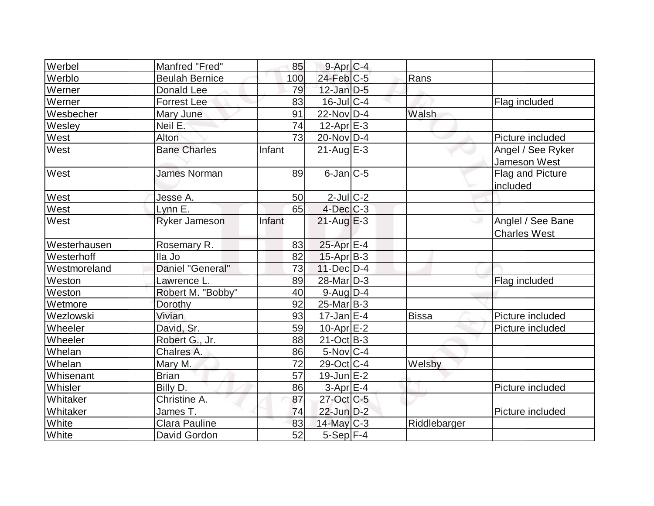| Werbel       | Manfred "Fred"        | 85              | 9-Apr C-4         |              |                                          |
|--------------|-----------------------|-----------------|-------------------|--------------|------------------------------------------|
| Werblo       | <b>Beulah Bernice</b> | 100             | $24$ -Feb $ C-5 $ | Rans         |                                          |
| Werner       | Donald Lee            | 79              | $12$ -Jan D-5     |              |                                          |
| Werner       | <b>Forrest Lee</b>    | 83              | $16$ -Jul $C-4$   |              | Flag included                            |
| Wesbecher    | <b>Mary June</b>      | 91              | $22$ -Nov D-4     | Walsh        |                                          |
| Wesley       | Neil E:               | 74              | $12$ -Apr $E-3$   |              |                                          |
| West         | <b>Alton</b>          | 73              | $20$ -Nov $ D-4 $ |              | Picture included                         |
| West         | <b>Bane Charles</b>   | Infant          | $21$ -Aug $E-3$   |              | Angel / See Ryker<br>Jameson West        |
| West         | <b>James Norman</b>   | 89              | $6$ -Jan $ C$ -5  |              | <b>Flag and Picture</b><br>included      |
| West         | Jesse A.              | 50              | $2$ -Jul $C-2$    |              |                                          |
| West         | $Lynn \tE.$           | 65              | $4$ -Dec $C$ -3   |              |                                          |
| West         | <b>Ryker Jameson</b>  | Infant          | $21$ -Aug $E-3$   |              | Anglel / See Bane<br><b>Charles West</b> |
| Westerhausen | Rosemary R.           | 83              | $25$ -Apr $E-4$   |              |                                          |
| Westerhoff   | lla Jo                | 82              | $15$ -Apr $B$ -3  |              |                                          |
| Westmoreland | Daniel "General"      | 73              | $11$ -Dec $D-4$   |              |                                          |
| Weston       | Lawrence L.           | 89              | 28-Mar D-3        |              | Flag included                            |
| Weston       | Robert M. "Bobby"     | 40              | $9$ -Aug $D-4$    |              |                                          |
| Wetmore      | Dorothy               | 92              | $25$ -Mar $ B-3 $ |              |                                          |
| Wezlowski    | Vivian                | 93              | $17$ -Jan $ E-4 $ | <b>Bissa</b> | Picture included                         |
| Wheeler      | David, Sr.            | 59              | $10$ -Apr $E-2$   |              | Picture included                         |
| Wheeler      | Robert G., Jr.        | 88              | $21-Oct$ B-3      |              |                                          |
| Whelan       | Chalres A.            | 86              | $5-Nov C-4$       |              |                                          |
| Whelan       | Mary M.               | 72              | 29-Oct C-4        | Welsby       |                                          |
| Whisenant    | <b>Brian</b>          | $\overline{57}$ | $19$ -Jun $E-2$   |              |                                          |
| Whisler      | Billy D.              | 86              | $3-Apr$ $E-4$     |              | Picture included                         |
| Whitaker     | Christine A.          | 87              | 27-Oct C-5        |              |                                          |
| Whitaker     | James T.              | 74              | $22$ -Jun $D-2$   |              | Picture included                         |
| White        | <b>Clara Pauline</b>  | 83              | $14$ -May C-3     | Riddlebarger |                                          |
| White        | David Gordon          | 52              | $5-Sep$ F-4       |              |                                          |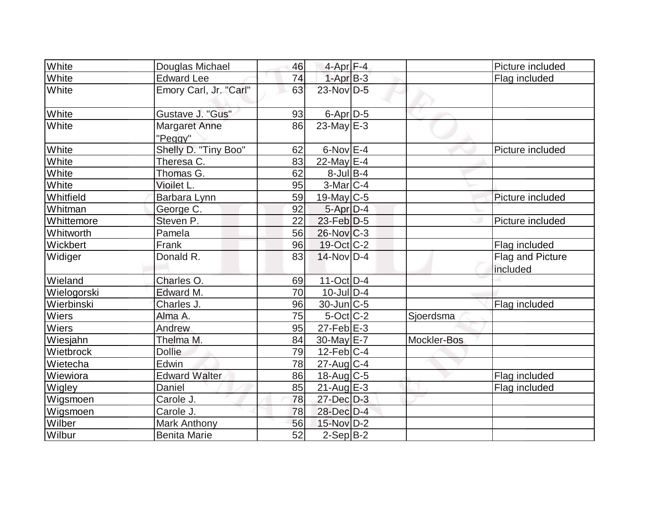| <b>White</b> | Douglas Michael                 | 46 | 4-Apr F-4         |             | Picture included             |
|--------------|---------------------------------|----|-------------------|-------------|------------------------------|
| White        | <b>Edward Lee</b>               | 74 | $1-AprB-3$        |             | Flag included                |
| White        | Emory Carl, Jr. "Carl"          | 63 | 23-Nov D-5        |             |                              |
| White        | Gustave J. "Gus"                | 93 | $6$ -Apr $D-5$    |             |                              |
| White        | <b>Margaret Anne</b><br>"Peggy" | 86 | 23-May $E-3$      |             |                              |
| White        | Shelly D. "Tiny Boo"            | 62 | $6$ -Nov $E-4$    |             | Picture included             |
| White        | Theresa C.                      | 83 | 22-May $E-4$      |             |                              |
| White        | Thomas G.                       | 62 | $8$ -Jul B-4      |             |                              |
| White        | Vioilet L.                      | 95 | $3-Mar$ C-4       |             |                              |
| Whitfield    | Barbara Lynn                    | 59 | 19-May $C-5$      |             | Picture included             |
| Whitman      | George C.                       | 92 | $5-Apr D-4$       |             |                              |
| Whittemore   | Steven P.                       | 22 | 23-Feb D-5        |             | Picture included             |
| Whitworth    | Pamela                          | 56 | $26$ -Nov $ C-3 $ |             |                              |
| Wickbert     | Frank                           | 96 | 19-Oct C-2        |             | Flag included                |
| Widiger      | Donald R.                       | 83 | $14$ -Nov $ D-4$  |             | Flag and Picture<br>included |
| Wieland      | Charles O.                      | 69 | $11$ -Oct $ D-4 $ |             |                              |
| Wielogorski  | Edward M.                       | 70 | $10$ -JulD-4      |             |                              |
| Wierbinski   | Charles J.                      | 96 | $30$ -Jun $ C-5$  |             | Flag included                |
| Wiers        | Alma A.                         | 75 | $5$ -Oct C-2      | Sjoerdsma   |                              |
| Wiers        | Andrew                          | 95 | $27$ -Feb $E-3$   |             |                              |
| Wiesjahn     | Thelma M.                       | 84 | $30$ -May $E$ -7  | Mockler-Bos |                              |
| Wietbrock    | <b>Dollie</b>                   | 79 | $12$ -Feb $ C-4$  |             |                              |
| Wietecha     | Edwin                           | 78 | $27$ -Aug C-4     |             |                              |
| Wiewiora     | <b>Edward Walter</b>            | 86 | $18$ -Aug C-5     |             | Flag included                |
| Wigley       | Daniel                          | 85 | $21$ -Aug $E-3$   |             | Flag included                |
| Wigsmoen     | Carole J.                       | 78 | $27 - Dec$ $D-3$  |             |                              |
| Wigsmoen     | Carole J.                       | 78 | 28-Dec D-4        |             |                              |
| Wilber       | <b>Mark Anthony</b>             | 56 | 15-Nov D-2        |             |                              |
| Wilbur       | <b>Benita Marie</b>             | 52 | $2-Sep B-2$       |             |                              |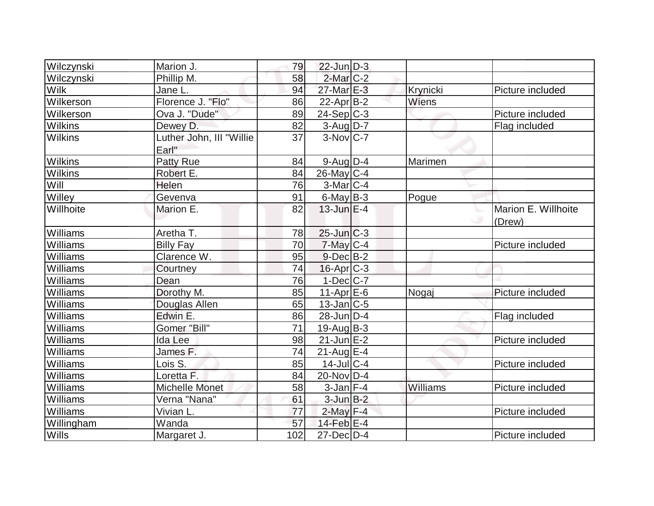| Wilczynski      | Marion J.                         | 79  | $22$ -Jun $D-3$        |              |                               |
|-----------------|-----------------------------------|-----|------------------------|--------------|-------------------------------|
| Wilczynski      | Phillip M.                        | 58  | $2$ -Mar $C-2$         |              |                               |
| <b>Wilk</b>     | Jane L.                           | 94  | 27-Mar E-3             | Krynicki     | Picture included              |
| Wilkerson       | Florence J. "Flo"                 | 86  | $22$ -Apr $ B-2 $      | <b>Wiens</b> |                               |
| Wilkerson       | Ova J. "Dude"                     | 89  | $24-Sep C-3$           |              | Picture included              |
| Wilkins         | Dewey D.                          | 82  | $3$ -Aug D-7           |              | Flag included                 |
| <b>Wilkins</b>  | Luther John, III "Willie<br>Earl" | 37  | $3-Nov$ <sub>C-7</sub> |              |                               |
| <b>Wilkins</b>  | <b>Patty Rue</b>                  | 84  | $9$ -Aug $D-4$         | Marimen      |                               |
| <b>Wilkins</b>  | Robert E.                         | 84  | $26$ -May C-4          |              |                               |
| Will            | Helen                             | 76  | $3-Mar$ C-4            |              |                               |
| Willey          | Gevenva                           | 91  | $6$ -May $B-3$         | Pogue        |                               |
| Willhoite       | Marion E.                         | 82  | $13$ -Jun $E-4$        |              | Marion E. Willhoite<br>(Drew) |
| Williams        | Aretha T.                         | 78  | $25$ -Jun $C-3$        |              |                               |
| Williams        | <b>Billy Fay</b>                  | 70  | $7$ -May $C$ -4        |              | Picture included              |
| Williams        | Clarence W.                       | 95  | $9$ -Dec $B$ -2        |              |                               |
| Williams        | Courtney                          | 74  | $16$ -Apr $C-3$        |              |                               |
| <b>Williams</b> | Dean                              | 76  | $1-Dec C-7 $           |              |                               |
| Williams        | Dorothy M.                        | 85  | $11-Apr$ $E-6$         | Nogaj        | Picture included              |
| Williams        | Douglas Allen                     | 65  | $13$ -Jan $ C-5 $      |              |                               |
| Williams        | Edwin E.                          | 86  | $28$ -Jun $D-4$        |              | Flag included                 |
| Williams        | Gomer "Bill"                      | 71  | $19$ -Aug $B - 3$      |              |                               |
| Williams        | Ida Lee                           | 98  | $21$ -Jun $E-2$        |              | Picture included              |
| Williams        | James F.                          | 74  | $21$ -Aug $E-4$        |              |                               |
| Williams        | Lois S.                           | 85  | $14$ -Jul $C-4$        |              | Picture included              |
| Williams        | Loretta F.                        | 84  | 20-Nov D-4             |              |                               |
| Williams        | <b>Michelle Monet</b>             | 58  | $3$ -Jan $F-4$         | Williams     | Picture included              |
| Williams        | Verna "Nana"                      | 61  | $3$ -Jun $B-2$         |              |                               |
| Williams        | Vivian L.                         | 77  | $2$ -May $F-4$         |              | Picture included              |
| Willingham      | Wanda                             | 57  | $14$ -Feb $E-4$        |              |                               |
| Wills           | Margaret J.                       | 102 | $27$ -Dec $D-4$        |              | Picture included              |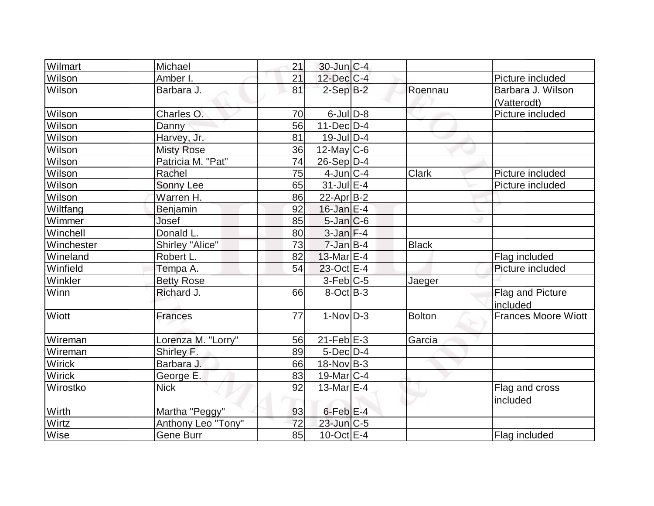| Wilmart       | Michael                | 21 | $30$ -Jun $C-4$      |              |                            |
|---------------|------------------------|----|----------------------|--------------|----------------------------|
| <b>Wilson</b> | Amber I.               | 21 | $12$ -Dec $ C-4 $    |              | Picture included           |
| Wilson        | Barbara J.             | 81 | $2-Sep$ $B-2$        | Roennau      | Barbara J. Wilson          |
|               |                        |    |                      |              | (Vatterodt)                |
| Wilson        | Charles O.             | 70 | $6$ -JulD-8          |              | Picture included           |
| Wilson        | Danny                  | 56 | $11$ -Dec $D-4$      |              |                            |
| Wilson        | Harvey, Jr.            | 81 | $19$ -Jul $D-4$      |              |                            |
| Wilson        | <b>Misty Rose</b>      | 36 | $12$ -May C-6        |              |                            |
| Wilson        | Patricia M. "Pat"      | 74 | $26-Sep D-4$         |              |                            |
| Wilson        | Rachel                 | 75 | $4$ -Jun $ C-4 $     | Clark        | Picture included           |
| Wilson        | Sonny Lee              | 65 | $31$ -Jul $E-4$      |              | Picture included           |
| Wilson        | Warren H.              | 86 | $22$ -Apr $ B-2 $    |              |                            |
| Wiltfang      | Benjamin               | 92 | $16$ -Jan E-4        |              |                            |
| Wimmer        | Josef                  | 85 | $5$ -Jan $C$ -6      |              |                            |
| Winchell      | Donald L.              | 80 | $3$ -Jan $F-4$       |              |                            |
| Winchester    | <b>Shirley "Alice"</b> | 73 | $7$ -Jan $B-4$       | <b>Black</b> |                            |
| Wineland      | Robert L.              | 82 | 13-Mar $E-4$         |              | Flag included              |
| Winfield      | Tempa A.               | 54 | $23$ -Oct $E-4$      |              | Picture included           |
| Winkler       | <b>Betty Rose</b>      |    | $3-Feb C-5$          | Jaeger       |                            |
| Winn          | Richard J.             | 66 | $8-Oct$ B-3          |              | Flag and Picture           |
|               |                        |    |                      |              | included                   |
| Wiott         | <b>Frances</b>         | 77 | $1-Nov D-3$          | Bolton       | <b>Frances Moore Wiott</b> |
| Wireman       | Lorenza M. "Lorry"     | 56 | $21$ -Feb $E-3$      | Garcia       |                            |
| Wireman       | Shirley F.             | 89 | $5$ -Dec $D-4$       |              |                            |
| <b>Wirick</b> | Barbara J.             | 66 | $18-Nov B-3$         |              |                            |
| Wirick        | George E.              | 83 | $19$ -Mar $ C-4 $    |              |                            |
| Wirostko      | <b>Nick</b>            | 92 | 13-Mar $E-4$         |              | Flag and cross             |
|               |                        |    |                      |              | included                   |
| Wirth         | Martha "Peggy"         | 93 | 6-Feb <sup>E-4</sup> |              |                            |
| Wirtz         | Anthony Leo "Tony"     | 72 | $23$ -Jun $C-5$      |              |                            |
| Wise          | <b>Gene Burr</b>       | 85 | $10$ -Oct $E - 4$    |              | Flag included              |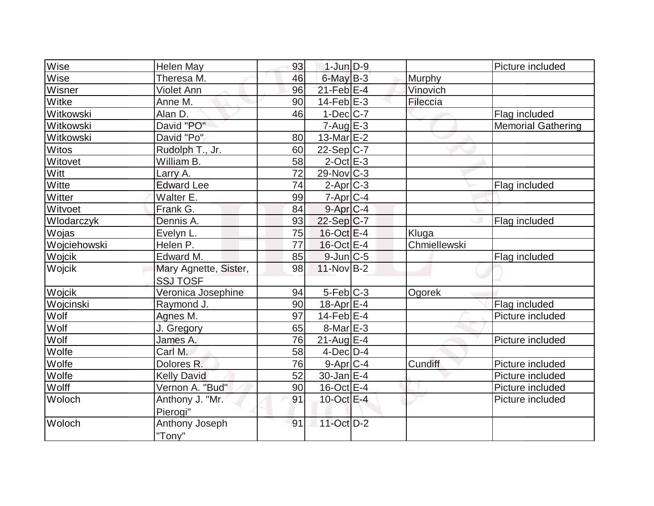| Wise          | <b>Helen May</b>      | 93 | $1-Jun$ $D-9$     |              | Picture included          |
|---------------|-----------------------|----|-------------------|--------------|---------------------------|
| Wise          | Theresa M.            | 46 | $6$ -May $B-3$    | Murphy       |                           |
| Wisner        | <b>Violet Ann</b>     | 96 | $21$ -Feb $E-4$   | Vinovich     |                           |
| Witke         | Anne M.               | 90 | $14$ -Feb $E-3$   | Fileccia     |                           |
| Witkowski     | Alan D.               | 46 | $1-Dec$ $C-7$     |              | Flag included             |
| Witkowski     | David "PO"            |    | $7 - Aug$ $E-3$   |              | <b>Memorial Gathering</b> |
| Witkowski     | David "Po"            | 80 | 13-Mar $E-2$      |              |                           |
| <b>Witos</b>  | Rudolph T., Jr.       | 60 | $22-Sep C-7$      |              |                           |
| Witovet       | William B.            | 58 | $2$ -Oct $E - 3$  |              |                           |
| Witt          | Larry A.              | 72 | $29-Nov$ C-3      |              |                           |
| Witte         | <b>Edward Lee</b>     | 74 | $2$ -Apr $C-3$    |              | Flag included             |
| Witter        | Walter E.             | 99 | $7 - Apr$ $C - 4$ |              |                           |
| Witvoet       | Frank G.              | 84 | $9$ -Apr $C$ -4   |              |                           |
| Wlodarczyk    | Dennis A.             | 93 | $22-Sep C-7$      |              | Flag included             |
| Wojas         | Evelyn L.             | 75 | $16$ -Oct $E - 4$ | Kluga        |                           |
| Wojciehowski  | Helen P.              | 77 | $16$ -Oct $E - 4$ | Chmiellewski |                           |
| <b>Wojcik</b> | Edward M.             | 85 | $9$ -Jun $ C-5$   |              | Flag included             |
| Wojcik        | Mary Agnette, Sister, | 98 | $11-Nov B-2$      |              |                           |
|               | <b>SSJ TOSF</b>       |    |                   |              |                           |
| Wojcik        | Veronica Josephine    | 94 | $5-Feb$ C-3       | Ogorek       |                           |
| Wojcinski     | Raymond J.            | 90 | $18$ -Apr $E-4$   |              | Flag included             |
| Wolf          | Agnes M.              | 97 | $14$ -Feb $E-4$   |              | Picture included          |
| Wolf          | J. Gregory            | 65 | $8$ -Mar $E - 3$  |              |                           |
| Wolf          | James A.              | 76 | $21$ -Aug $E-4$   |              | Picture included          |
| Wolfe         | Carl M.               | 58 | $4$ -Dec $D-4$    |              |                           |
| Wolfe         | Dolores R.            | 76 | $9$ -Apr $C$ -4   | Cundiff      | Picture included          |
| Wolfe         | <b>Kelly David</b>    | 52 | $30$ -Jan $ E-4 $ |              | Picture included          |
| Wolff         | Vernon A. "Bud"       | 90 | $16$ -Oct $E - 4$ |              | Picture included          |
| Woloch        | Anthony J. "Mr.       | 91 | 10-Oct E-4        |              | Picture included          |
|               | Pierogi"              |    |                   |              |                           |
| Woloch        | Anthony Joseph        | 91 | 11-Oct D-2        |              |                           |
|               | "Tony"                |    |                   |              |                           |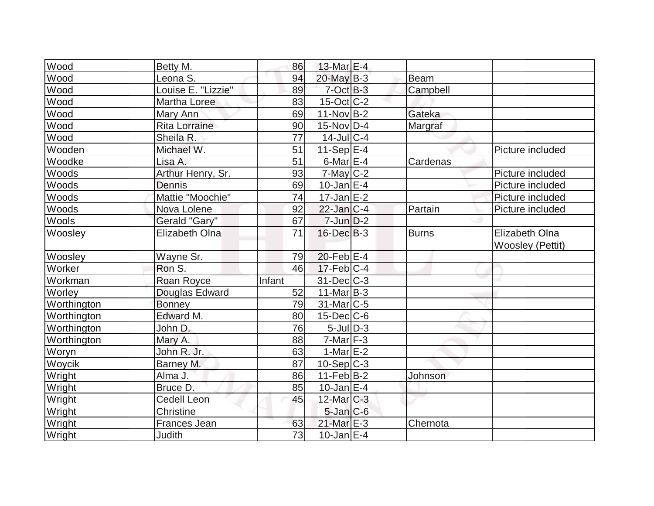| Wood        | Betty M.              | 86     | 13-Mar $E-4$               |             |                       |
|-------------|-----------------------|--------|----------------------------|-------------|-----------------------|
| Wood        | Leona S.              | 94     | $20$ -May B-3              | <b>Beam</b> |                       |
| Wood        | Louise E. "Lizzie"    | 89     | $7$ -Oct $B-3$             | Campbell    |                       |
| Wood        | Martha Loree          | 83     | $15$ -Oct $ C-2 $          |             |                       |
| Wood        | Mary Ann              | 69     | $11-Nov B-2$               | Gateka      |                       |
| Wood        | <b>Rita Lorraine</b>  | 90     | $15$ -Nov $ D-4 $          | Margraf     |                       |
| Wood        | Sheila R.             | 77     | $14$ -Jul $C-4$            |             |                       |
| Wooden      | Michael W.            | 51     | 11-Sep $E-4$               |             | Picture included      |
| Woodke      | Lisa A.               | 51     | $6$ -Mar $E$ -4            | Cardenas    |                       |
| Woods       | Arthur Henry, Sr.     | 93     | $7$ -May $C-2$             |             | Picture included      |
| Woods       | Dennis                | 69     | $10$ -Jan $ E-4 $          |             | Picture included      |
| Woods       | Mattie "Moochie"      | 74     | $17$ -Jan $E-2$            |             | Picture included      |
| Woods       | Nova Lolene           | 92     | $22$ -Jan $ C-4 $          | Partain     | Picture included      |
| Wools       | Gerald "Gary"         | 67     | $7 - Jim$ $D-2$            |             |                       |
| Woosley     | <b>Elizabeth Olna</b> | 71     | $16$ -Dec $B$ -3           | Burns       | <b>Elizabeth Olna</b> |
|             |                       |        |                            |             | Woosley (Pettit)      |
| Woosley     | Wayne Sr.             | 79     | $20$ -Feb $E-4$            |             |                       |
| Worker      | Ron S.                | 46     | $17$ -Feb $ C-4 $          |             |                       |
| Workman     | Roan Royce            | Infant | $31$ -Dec $C-3$            |             |                       |
| Worley      | Douglas Edward        | 52     | $11$ -Mar $ B-3 $          |             |                       |
| Worthington | <b>Bonney</b>         | 79     | $31$ -Mar $C-5$            |             |                       |
| Worthington | Edward M.             | 80     | $15$ -Dec $ C$ -6          |             |                       |
| Worthington | John D.               | 76     | $5$ -Jul $\overline{D}$ -3 |             |                       |
| Worthington | Mary A.               | 88     | $7-Mar$ F-3                |             |                       |
| Woryn       | John R. Jr.           | 63     | 1-Mar $E-2$                |             |                       |
| Woycik      | Barney M.             | 87     | $10-Sep$ $C-3$             |             |                       |
| Wright      | Alma J.               | 86     | $11-Feb B-2$               | Johnson     |                       |
| Wright      | Bruce D.              | 85     | $10$ -Jan $ E-4 $          |             |                       |
| Wright      | <b>Cedell Leon</b>    | 45     | 12-Mar C-3                 |             |                       |
| Wright      | Christine             |        | $5$ -Jan $C$ -6            |             |                       |
| Wright      | <b>Frances Jean</b>   | 63     | $21$ -Mar $E-3$            | Chernota    |                       |
| Wright      | Judith                | 73     | $10$ -Jan $ E-4 $          |             |                       |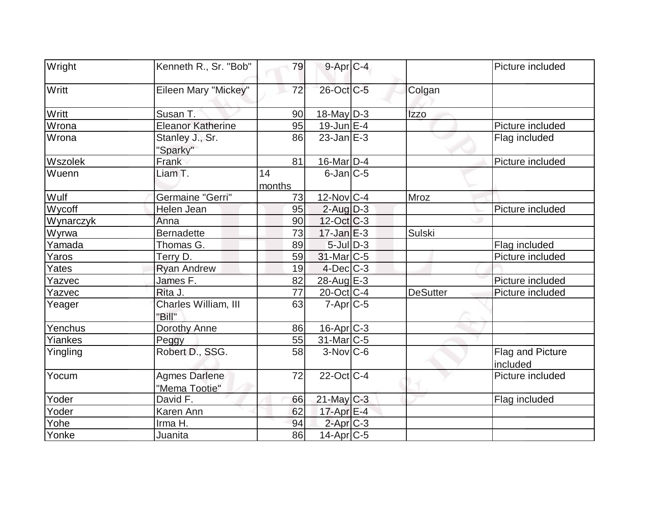| Wright    | Kenneth R., Sr. "Bob"                 | 79           | $9$ -Apr $C$ -4            |                 | Picture included             |
|-----------|---------------------------------------|--------------|----------------------------|-----------------|------------------------------|
| Writt     | Eileen Mary "Mickey"                  | 72           | 26-Oct C-5                 | Colgan          |                              |
| Writt     | Susan T.                              | 90           | $18$ -May D-3              | <b>Izzo</b>     |                              |
| Wrona     | <b>Eleanor Katherine</b>              | 95           | $19$ -Jun $E-4$            |                 | Picture included             |
| Wrona     | Stanley J., Sr.<br>"Sparky"           | 86           | $23$ -Jan $E-3$            |                 | Flag included                |
| Wszolek   | Frank                                 | 81           | $16$ -Mar $ D-4 $          |                 | Picture included             |
| Wuenn     | Liam T.                               | 14<br>months | $6$ -Jan $ C$ -5           |                 |                              |
| Wulf      | <b>Germaine "Gerri"</b>               | 73           | $12$ -Nov $ C-4 $          | Mroz            |                              |
| Wycoff    | Helen Jean                            | 95           | $2$ -Aug $D-3$             |                 | Picture included             |
| Wynarczyk | Anna                                  | 90           | $12$ -Oct $ C-3 $          |                 |                              |
| Wyrwa     | <b>Bernadette</b>                     | 73           | $17$ -Jan $E-3$            | <b>Sulski</b>   |                              |
| Yamada    | Thomas G.                             | 89           | $5$ -Jul $\overline{D}$ -3 |                 | Flag included                |
| Yaros     | Terry D.                              | 59           | $31$ -Mar $ C-5 $          |                 | Picture included             |
| Yates     | <b>Ryan Andrew</b>                    | 19           | $4$ -Dec $C-3$             |                 |                              |
| Yazvec    | James F.                              | 82           | $28$ -Aug $E-3$            |                 | Picture included             |
| Yazvec    | Rita J.                               | 77           | $20$ -Oct $ C-4 $          | <b>DeSutter</b> | Picture included             |
| Yeager    | Charles William, III<br>"Bill"        | 63           | $7 - Apr$ $C - 5$          |                 |                              |
| Yenchus   | Dorothy Anne                          | 86           | $16$ -Apr $C-3$            |                 |                              |
| Yiankes   | Peggy                                 | 55           | $31$ -Mar $ C-5 $          |                 |                              |
| Yingling  | Robert D., SSG.                       | 58           | $3-Nov$ <sub>C-6</sub>     |                 | Flag and Picture<br>included |
| Yocum     | <b>Agmes Darlene</b><br>"Mema Tootie" | 72           | $22$ -Oct $ C-4 $          |                 | Picture included             |
| Yoder     | David F.                              | 66           | $21$ -May C-3              |                 | Flag included                |
| Yoder     | Karen Ann                             | 62           | $17$ -Apr $E-4$            |                 |                              |
| Yohe      | Irma H.                               | 94           | $2$ -Apr $C-3$             |                 |                              |
| Yonke     | Juanita                               | 86           | $14$ -Apr $ C$ -5          |                 |                              |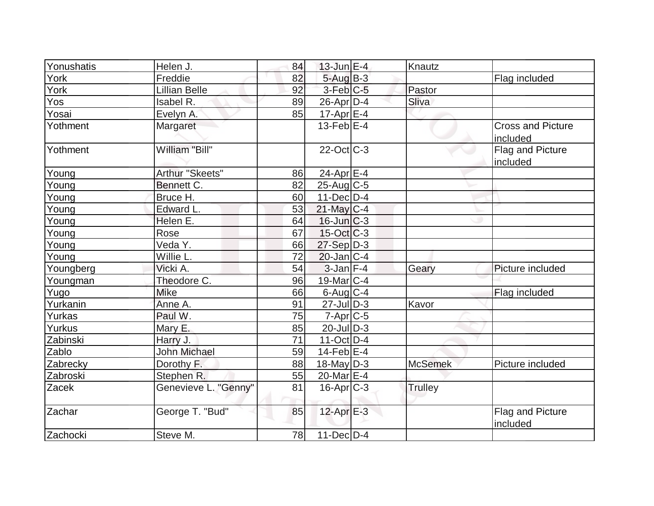| Yonushatis | Helen J.             | 84 | $13$ -Jun $E-4$   | Knautz         |                                      |
|------------|----------------------|----|-------------------|----------------|--------------------------------------|
| York       | Freddie              | 82 | $5 - Aug$ $B-3$   |                | Flag included                        |
| York       | <b>Lillian Belle</b> | 92 | $3-Feb$ $C-5$     | Pastor         |                                      |
| Yos        | Isabel R.            | 89 | $26$ -Apr $D-4$   | Sliva          |                                      |
| Yosai      | Evelyn A.            | 85 | $17$ -Apr $E-4$   |                |                                      |
| Yothment   | Margaret             |    | $13$ -Feb $E-4$   |                | <b>Cross and Picture</b><br>included |
| Yothment   | William "Bill"       |    | $22$ -Oct C-3     |                | Flag and Picture<br>included         |
| Young      | Arthur "Skeets"      | 86 | $24$ -Apr $E-4$   |                |                                      |
| Young      | Bennett C.           | 82 | $25$ -Aug C-5     |                |                                      |
| Young      | Bruce H.             | 60 | $11$ -Dec $ D-4 $ |                |                                      |
| Young      | Edward L.            | 53 | $21$ -May C-4     |                |                                      |
| Young      | Helen E.             | 64 | $16$ -Jun $C-3$   |                |                                      |
| Young      | Rose                 | 67 | $15$ -Oct $ C-3 $ |                |                                      |
| Young      | Veda Y.              | 66 | 27-Sep D-3        |                |                                      |
| Young      | Willie L.            | 72 | $20$ -Jan $ C-4 $ |                |                                      |
| Youngberg  | Vicki A.             | 54 | $3$ -Jan $F-4$    | Geary          | Picture included                     |
| Youngman   | Theodore C.          | 96 | 19-Mar $ C-4 $    |                |                                      |
| Yugo       | Mike                 | 66 | $6$ -Aug $C$ -4   |                | Flag included                        |
| Yurkanin   | Anne A.              | 91 | $27$ -JulD-3      | Kavor          |                                      |
| Yurkas     | Paul W.              | 75 | $7 - Apr$ $C - 5$ |                |                                      |
| Yurkus     | Mary E.              | 85 | $20$ -JulD-3      |                |                                      |
| Zabinski   | Harry J.             | 71 | $11$ -Oct D-4     |                |                                      |
| Zablo      | <b>John Michael</b>  | 59 | $14$ -Feb $ E-4 $ |                |                                      |
| Zabrecky   | Dorothy F.           | 88 | $18$ -May D-3     | <b>McSemek</b> | Picture included                     |
| Zabroski   | Stephen R.           | 55 | 20-Mar $E-4$      |                |                                      |
| Zacek      | Genevieve L. "Genny" | 81 | $16$ -Apr $ C-3 $ | Trulley        |                                      |
| Zachar     | George T. "Bud"      | 85 | $12$ -Apr $E-3$   |                | Flag and Picture<br>included         |
| Zachocki   | Steve M.             | 78 | $11$ -Dec $ D-4 $ |                |                                      |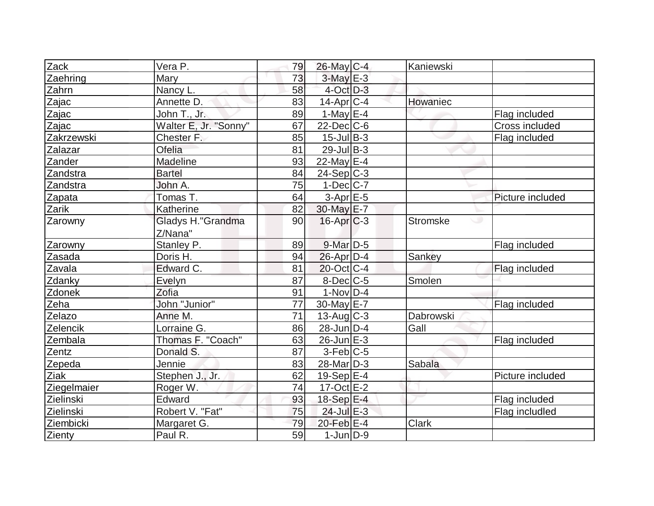| Zack        | Vera P.               | 79              | 26-May C-4        | Kaniewski       |                  |
|-------------|-----------------------|-----------------|-------------------|-----------------|------------------|
| Zaehring    | Mary                  | 73              | $3$ -May $E-3$    |                 |                  |
| Zahrn       | Nancy L.              | 58              | $4$ -Oct $D-3$    |                 |                  |
| Zajac       | Annette D.            | 83              | $14$ -Apr $ C-4$  | Howaniec        |                  |
| Zajac       | John T., Jr.          | 89              | 1-May $E-4$       |                 | Flag included    |
| Zajac       | Walter E, Jr. "Sonny" | 67              | $22$ -Dec $C$ -6  |                 | Cross included   |
| Zakrzewski  | Chester F.            | 85              | $15$ -Jul B-3     |                 | Flag included    |
| Zalazar     | Ofelia                | 81              | $29$ -Jul B-3     |                 |                  |
| Zander      | Madeline              | 93              | 22-May $E-4$      |                 |                  |
| Zandstra    | <b>Bartel</b>         | 84              | $24-Sep C-3$      |                 |                  |
| Zandstra    | John A.               | 75              | $1-Dec$ $C-7$     |                 |                  |
| Zapata      | Tomas T.              | 64              | $3-Apr$ $E-5$     |                 | Picture included |
| Zarik       | Katherine             | 82              | 30-May E-7        |                 |                  |
| Zarowny     | Gladys H."Grandma     | 90              | $16$ -Apr $C$ -3  | <b>Stromske</b> |                  |
|             | Z/Nana"               |                 |                   |                 |                  |
| Zarowny     | Stanley P.            | 89              | $9$ -Mar $D-5$    |                 | Flag included    |
| Zasada      | Doris H.              | 94              | $26$ -Apr $D-4$   | Sankey          |                  |
| Zavala      | Edward C.             | 81              | 20-Oct C-4        |                 | Flag included    |
| Zdanky      | Evelyn                | 87              | 8-Dec C-5         | Smolen          |                  |
| Zdonek      | Zofia                 | 91              | $1-Nov$ D-4       |                 |                  |
| Zeha        | John "Junior"         | 77              | 30-May E-7        |                 | Flag included    |
| Zelazo      | Anne M.               | $\overline{71}$ | $13$ -Aug $ C-3 $ | Dabrowski       |                  |
| Zelencik    | Lorraine G.           | 86              | $28$ -Jun $D-4$   | Gall            |                  |
| Zembala     | Thomas F. "Coach"     | 63              | $26$ -Jun $E-3$   |                 | Flag included    |
| Zentz       | Donald S.             | 87              | $3-Feb$ C-5       |                 |                  |
| Zepeda      | Jennie                | 83              | $28$ -Mar $ D-3 $ | Sabala          |                  |
| Ziak        | Stephen J., Jr.       | 62              | $19-Sep$ $E-4$    |                 | Picture included |
| Ziegelmaier | Roger W.              | 74              | $17-Oct$ $E-2$    |                 |                  |
| Zielinski   | Edward                | 93              | 18-Sep E-4        |                 | Flag included    |
| Zielinski   | Robert V. "Fat"       | 75              | $24$ -Jul $E-3$   |                 | Flag includled   |
| Ziembicki   | Margaret G.           | 79              | $20$ -Feb $E-4$   | <b>Clark</b>    |                  |
| Zienty      | Paul R.               | 59              | $1$ -Jun $D-9$    |                 |                  |